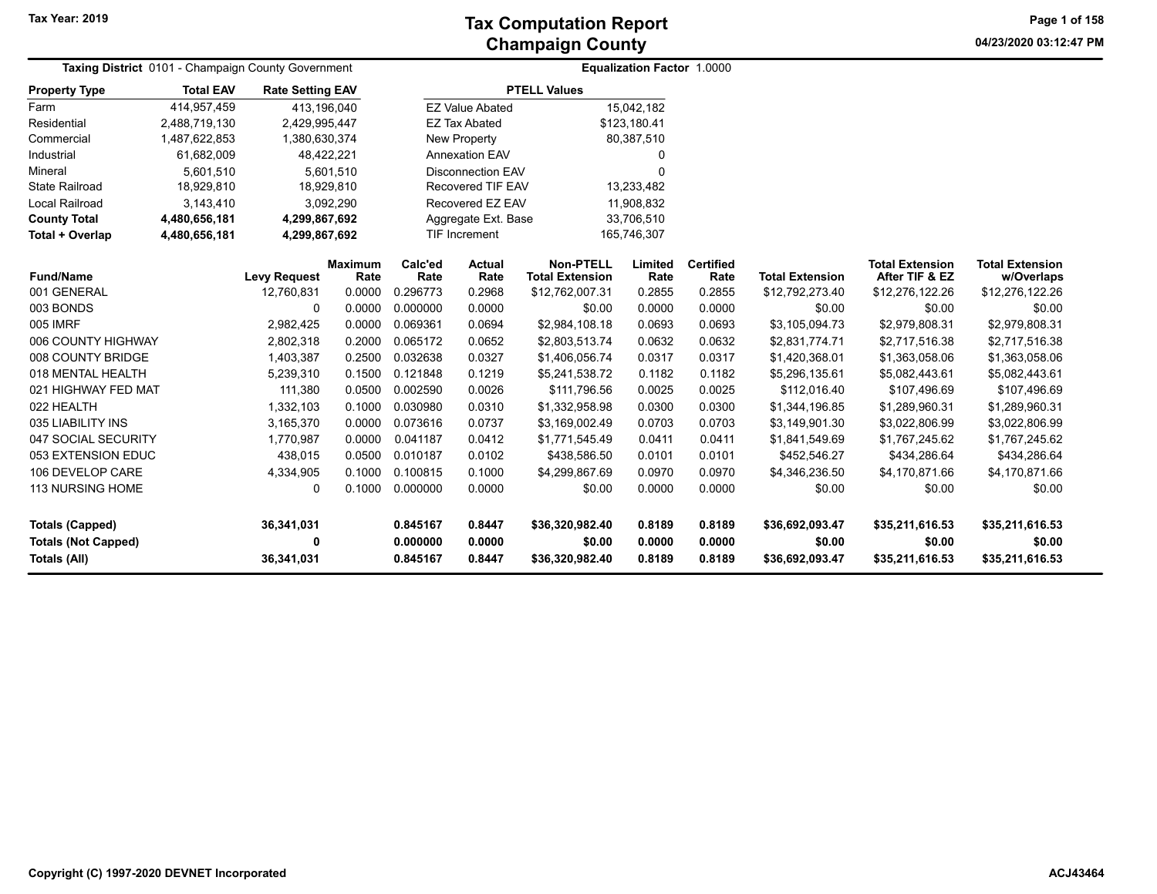**04/23/2020 03:12:47 PM Page 1 of 158**

| Taxing District 0101 - Champaign County Government |                          |                         |                 |                              |                          |                                            | <b>Equalization Factor 1.0000</b> |                          |                        |                                          |                                      |
|----------------------------------------------------|--------------------------|-------------------------|-----------------|------------------------------|--------------------------|--------------------------------------------|-----------------------------------|--------------------------|------------------------|------------------------------------------|--------------------------------------|
| <b>Property Type</b>                               | <b>Total EAV</b>         | <b>Rate Setting EAV</b> |                 |                              |                          | <b>PTELL Values</b>                        |                                   |                          |                        |                                          |                                      |
| Farm                                               | 414,957,459              | 413,196,040             |                 |                              | <b>EZ Value Abated</b>   |                                            | 15,042,182                        |                          |                        |                                          |                                      |
| Residential                                        | 2,488,719,130            | 2,429,995,447           |                 |                              | <b>EZ Tax Abated</b>     |                                            | \$123,180.41                      |                          |                        |                                          |                                      |
| Commercial                                         | 1,487,622,853            | 1,380,630,374           |                 |                              | New Property             |                                            | 80,387,510                        |                          |                        |                                          |                                      |
| Industrial                                         | 61,682,009               | 48,422,221              |                 |                              | <b>Annexation EAV</b>    |                                            | 0                                 |                          |                        |                                          |                                      |
| Mineral                                            | 5,601,510                |                         | 5,601,510       |                              | <b>Disconnection EAV</b> |                                            | 0                                 |                          |                        |                                          |                                      |
| <b>State Railroad</b>                              | 18,929,810<br>18,929,810 |                         |                 |                              | <b>Recovered TIF EAV</b> |                                            | 13,233,482                        |                          |                        |                                          |                                      |
| <b>Local Railroad</b>                              | 3,143,410<br>3,092,290   |                         |                 |                              | Recovered EZ EAV         |                                            | 11,908,832                        |                          |                        |                                          |                                      |
| <b>County Total</b>                                | 4,480,656,181            | 4,299,867,692           |                 |                              | Aggregate Ext. Base      |                                            | 33,706,510                        |                          |                        |                                          |                                      |
| Total + Overlap                                    | 4,480,656,181            | 4,299,867,692           |                 | TIF Increment<br>165,746,307 |                          |                                            |                                   |                          |                        |                                          |                                      |
| <b>Fund/Name</b>                                   |                          | <b>Levy Request</b>     | Maximum<br>Rate | Calc'ed<br>Rate              | <b>Actual</b><br>Rate    | <b>Non-PTELL</b><br><b>Total Extension</b> | Limited<br>Rate                   | <b>Certified</b><br>Rate | <b>Total Extension</b> | <b>Total Extension</b><br>After TIF & EZ | <b>Total Extension</b><br>w/Overlaps |
| 001 GENERAL                                        |                          | 12,760,831              | 0.0000          | 0.296773                     | 0.2968                   | \$12,762,007.31                            | 0.2855                            | 0.2855                   | \$12,792,273.40        | \$12,276,122.26                          | \$12,276,122.26                      |
| 003 BONDS                                          |                          | 0                       | 0.0000          | 0.000000                     | 0.0000                   | \$0.00                                     | 0.0000                            | 0.0000                   | \$0.00                 | \$0.00                                   | \$0.00                               |
| 005 IMRF                                           |                          | 2,982,425               | 0.0000          | 0.069361                     | 0.0694                   | \$2,984,108.18                             | 0.0693                            | 0.0693                   | \$3,105,094.73         | \$2,979,808.31                           | \$2,979,808.31                       |
| 006 COUNTY HIGHWAY                                 |                          | 2,802,318               | 0.2000          | 0.065172                     | 0.0652                   | \$2,803,513.74                             | 0.0632                            | 0.0632                   | \$2,831,774.71         | \$2,717,516.38                           | \$2,717,516.38                       |
| 008 COUNTY BRIDGE                                  |                          | 1,403,387               | 0.2500          | 0.032638                     | 0.0327                   | \$1,406,056.74                             | 0.0317                            | 0.0317                   | \$1,420,368.01         | \$1,363,058.06                           | \$1,363,058.06                       |
| 018 MENTAL HEALTH                                  |                          | 5,239,310               | 0.1500          | 0.121848                     | 0.1219                   | \$5,241,538.72                             | 0.1182                            | 0.1182                   | \$5,296,135.61         | \$5,082,443.61                           | \$5,082,443.61                       |
| 021 HIGHWAY FED MAT                                |                          | 111,380                 | 0.0500          | 0.002590                     | 0.0026                   | \$111,796.56                               | 0.0025                            | 0.0025                   | \$112,016.40           | \$107,496.69                             | \$107,496.69                         |
| 022 HEALTH                                         |                          | 1,332,103               | 0.1000          | 0.030980                     | 0.0310                   | \$1,332,958.98                             | 0.0300                            | 0.0300                   | \$1,344,196.85         | \$1,289,960.31                           | \$1,289,960.31                       |
| 035 LIABILITY INS                                  |                          | 3,165,370               | 0.0000          | 0.073616                     | 0.0737                   | \$3,169,002.49                             | 0.0703                            | 0.0703                   | \$3,149,901.30         | \$3,022,806.99                           | \$3,022,806.99                       |
| 047 SOCIAL SECURITY                                |                          | 1,770,987               | 0.0000          | 0.041187                     | 0.0412                   | \$1,771,545.49                             | 0.0411                            | 0.0411                   | \$1,841,549.69         | \$1,767,245.62                           | \$1,767,245.62                       |
| 053 EXTENSION EDUC                                 |                          | 438,015                 | 0.0500          | 0.010187                     | 0.0102                   | \$438,586.50                               | 0.0101                            | 0.0101                   | \$452,546.27           | \$434,286.64                             | \$434,286.64                         |
| 106 DEVELOP CARE                                   |                          | 4,334,905               | 0.1000          | 0.100815                     | 0.1000                   | \$4,299,867.69                             | 0.0970                            | 0.0970                   | \$4,346,236.50         | \$4,170,871.66                           | \$4,170,871.66                       |
| 113 NURSING HOME                                   |                          | 0                       | 0.1000          | 0.000000                     | 0.0000                   | \$0.00                                     | 0.0000                            | 0.0000                   | \$0.00                 | \$0.00                                   | \$0.00                               |
| <b>Totals (Capped)</b>                             |                          | 36,341,031              |                 | 0.845167                     | 0.8447                   | \$36,320,982.40                            | 0.8189                            | 0.8189                   | \$36,692,093.47        | \$35,211,616.53                          | \$35,211,616.53                      |
| <b>Totals (Not Capped)</b>                         |                          | 0                       |                 | 0.000000                     | 0.0000                   | \$0.00                                     | 0.0000                            | 0.0000                   | \$0.00                 | \$0.00                                   | \$0.00                               |
| Totals (All)                                       |                          | 36,341,031              |                 | 0.845167                     | 0.8447                   | \$36,320,982.40                            | 0.8189                            | 0.8189                   | \$36,692,093.47        | \$35,211,616.53                          | \$35,211,616.53                      |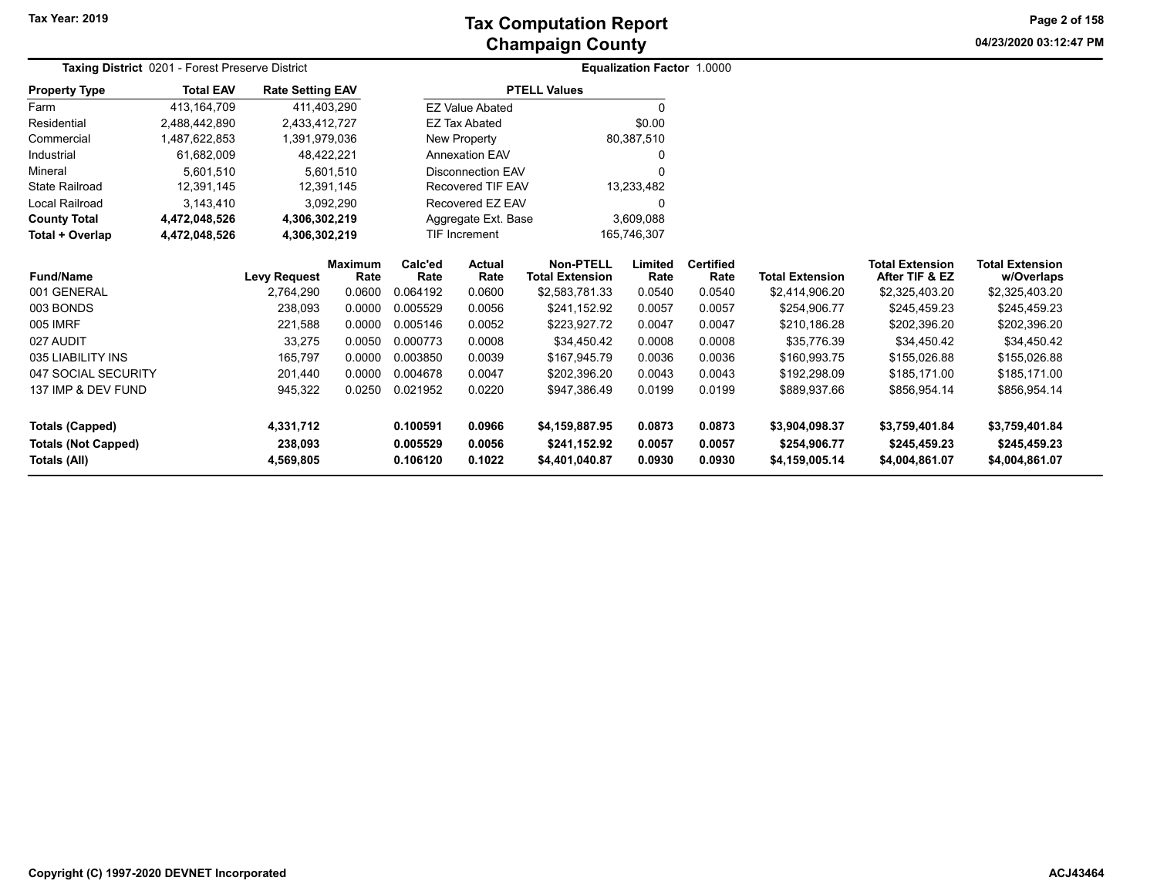**Tax Year: 2019**

# **Champaign County Tax Computation Report**

**04/23/2020 03:12:47 PMPage 2 of 158**

| Taxing District 0201 - Forest Preserve District<br><b>Property Type</b> |                                           |                                  |                                                                                                                                                                  |                                  |                                                                                                              |                                                                 |                          |                                      |                                          |                                                  |
|-------------------------------------------------------------------------|-------------------------------------------|----------------------------------|------------------------------------------------------------------------------------------------------------------------------------------------------------------|----------------------------------|--------------------------------------------------------------------------------------------------------------|-----------------------------------------------------------------|--------------------------|--------------------------------------|------------------------------------------|--------------------------------------------------|
| <b>Total EAV</b>                                                        |                                           |                                  |                                                                                                                                                                  |                                  |                                                                                                              |                                                                 |                          |                                      |                                          |                                                  |
| 413, 164, 709                                                           |                                           |                                  |                                                                                                                                                                  |                                  |                                                                                                              | $\Omega$                                                        |                          |                                      |                                          |                                                  |
| 2,488,442,890                                                           |                                           |                                  |                                                                                                                                                                  |                                  |                                                                                                              | \$0.00                                                          |                          |                                      |                                          |                                                  |
| 1,487,622,853                                                           |                                           |                                  |                                                                                                                                                                  | New Property                     |                                                                                                              |                                                                 |                          |                                      |                                          |                                                  |
| 61,682,009                                                              |                                           |                                  |                                                                                                                                                                  | <b>Annexation EAV</b>            |                                                                                                              | 0                                                               |                          |                                      |                                          |                                                  |
| 5,601,510                                                               |                                           |                                  |                                                                                                                                                                  |                                  | ი                                                                                                            |                                                                 |                          |                                      |                                          |                                                  |
| 12,391,145                                                              |                                           |                                  |                                                                                                                                                                  | <b>Recovered TIF EAV</b>         |                                                                                                              | 13,233,482                                                      |                          |                                      |                                          |                                                  |
| 3,143,410                                                               |                                           |                                  |                                                                                                                                                                  | Recovered EZ EAV<br>0            |                                                                                                              |                                                                 |                          |                                      |                                          |                                                  |
| 4,472,048,526                                                           |                                           |                                  |                                                                                                                                                                  | 3,609,088<br>Aggregate Ext. Base |                                                                                                              |                                                                 |                          |                                      |                                          |                                                  |
| 4,472,048,526                                                           |                                           |                                  |                                                                                                                                                                  | 165,746,307                      |                                                                                                              |                                                                 |                          |                                      |                                          |                                                  |
|                                                                         |                                           | <b>Maximum</b><br>Rate           | Calc'ed<br>Rate                                                                                                                                                  | <b>Actual</b><br>Rate            | <b>Non-PTELL</b>                                                                                             | Limited<br>Rate                                                 | <b>Certified</b><br>Rate | <b>Total Extension</b>               | <b>Total Extension</b><br>After TIF & EZ | <b>Total Extension</b><br>w/Overlaps             |
|                                                                         | 2,764,290                                 | 0.0600                           | 0.064192                                                                                                                                                         | 0.0600                           | \$2,583,781.33                                                                                               | 0.0540                                                          | 0.0540                   | \$2,414,906.20                       | \$2,325,403.20                           | \$2,325,403.20                                   |
|                                                                         | 238,093                                   | 0.0000                           | 0.005529                                                                                                                                                         | 0.0056                           | \$241.152.92                                                                                                 | 0.0057                                                          | 0.0057                   | \$254,906.77                         | \$245,459.23                             | \$245,459.23                                     |
|                                                                         | 221,588                                   | 0.0000                           | 0.005146                                                                                                                                                         | 0.0052                           | \$223,927.72                                                                                                 | 0.0047                                                          | 0.0047                   | \$210,186.28                         | \$202,396.20                             | \$202,396.20                                     |
|                                                                         | 33,275                                    | 0.0050                           | 0.000773                                                                                                                                                         | 0.0008                           | \$34.450.42                                                                                                  | 0.0008                                                          | 0.0008                   | \$35,776.39                          | \$34,450.42                              | \$34,450.42                                      |
|                                                                         | 165,797                                   | 0.0000                           | 0.003850                                                                                                                                                         | 0.0039                           | \$167,945.79                                                                                                 | 0.0036                                                          | 0.0036                   | \$160,993.75                         | \$155,026.88                             | \$155,026.88                                     |
|                                                                         | 201,440                                   | 0.0000                           | 0.004678                                                                                                                                                         | 0.0047                           | \$202,396.20                                                                                                 | 0.0043                                                          | 0.0043                   | \$192,298.09                         | \$185,171.00                             | \$185,171.00                                     |
|                                                                         | 945,322                                   | 0.0250                           | 0.021952                                                                                                                                                         | 0.0220                           | \$947,386.49                                                                                                 | 0.0199                                                          | 0.0199                   | \$889,937.66                         | \$856,954.14                             | \$856,954.14                                     |
|                                                                         | 4,331,712<br>238,093                      |                                  | 0.100591<br>0.005529                                                                                                                                             | 0.0966<br>0.0056                 | \$4,159,887.95<br>\$241,152.92                                                                               | 0.0873<br>0.0057                                                | 0.0873<br>0.0057         | \$3,904,098.37<br>\$254,906.77       | \$3,759,401.84<br>\$245,459.23           | \$3,759,401.84<br>\$245,459.23<br>\$4,004,861.07 |
|                                                                         | 047 SOCIAL SECURITY<br>137 IMP & DEV FUND | <b>Levy Request</b><br>4,569,805 | <b>Rate Setting EAV</b><br>411,403,290<br>2,433,412,727<br>1,391,979,036<br>48,422,221<br>5,601,510<br>12,391,145<br>3,092,290<br>4,306,302,219<br>4,306,302,219 | 0.106120                         | <b>EZ Value Abated</b><br><b>EZ Tax Abated</b><br><b>Disconnection EAV</b><br><b>TIF Increment</b><br>0.1022 | <b>PTELL Values</b><br><b>Total Extension</b><br>\$4,401,040.87 | 80,387,510<br>0.0930     | Equalization Factor 1.0000<br>0.0930 | \$4,159,005.14                           | \$4,004,861.07                                   |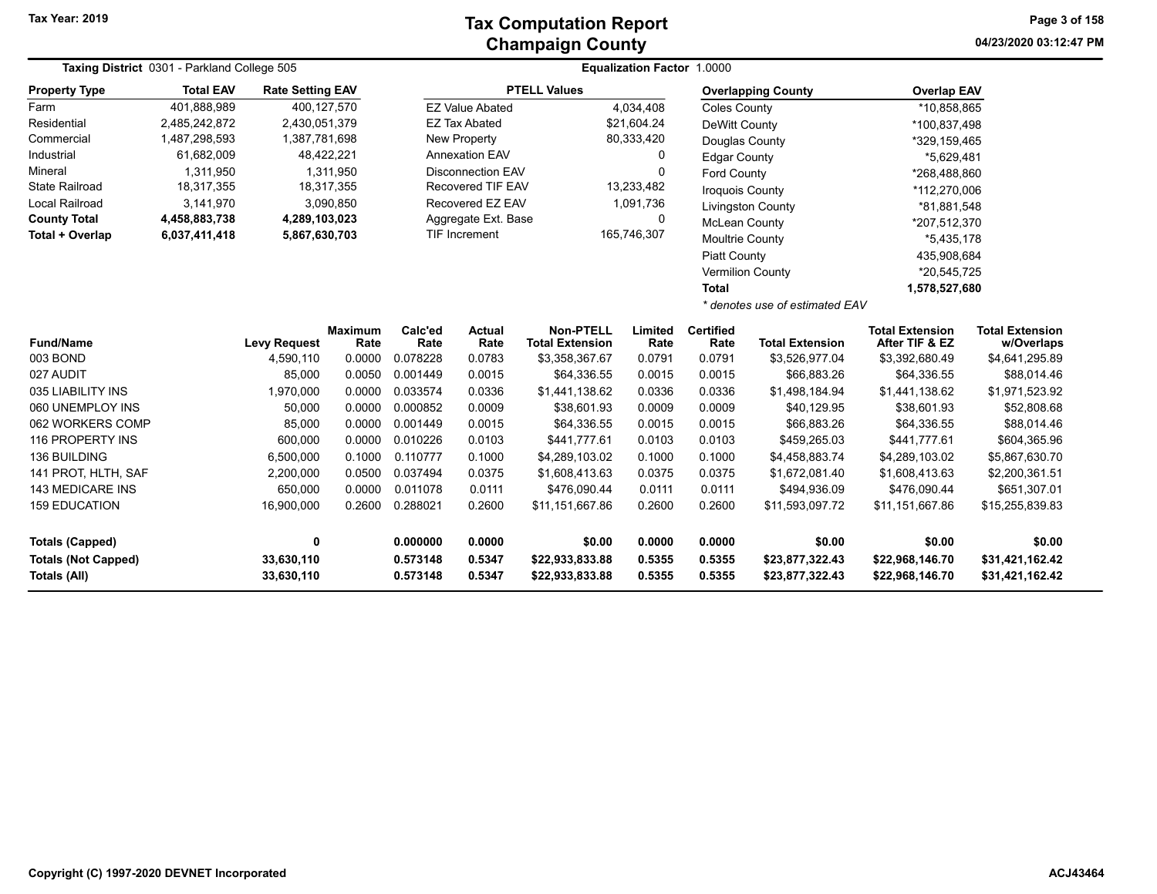| Taxing District 0301 - Parkland College 505 |                 |                                   |                                                                                                                                                                                            |                          | <b>Equalization Factor 1.0000</b>                                                                 |                                                                                                           |                                                                                                    |                           |                                                                                                                                                                                                                                                                                                           |                                                                                                                                                                                                                                                                                      |
|---------------------------------------------|-----------------|-----------------------------------|--------------------------------------------------------------------------------------------------------------------------------------------------------------------------------------------|--------------------------|---------------------------------------------------------------------------------------------------|-----------------------------------------------------------------------------------------------------------|----------------------------------------------------------------------------------------------------|---------------------------|-----------------------------------------------------------------------------------------------------------------------------------------------------------------------------------------------------------------------------------------------------------------------------------------------------------|--------------------------------------------------------------------------------------------------------------------------------------------------------------------------------------------------------------------------------------------------------------------------------------|
| <b>Total EAV</b>                            |                 |                                   |                                                                                                                                                                                            |                          |                                                                                                   |                                                                                                           |                                                                                                    |                           |                                                                                                                                                                                                                                                                                                           |                                                                                                                                                                                                                                                                                      |
| 401,888,989                                 |                 |                                   |                                                                                                                                                                                            |                          |                                                                                                   |                                                                                                           |                                                                                                    |                           |                                                                                                                                                                                                                                                                                                           |                                                                                                                                                                                                                                                                                      |
| 2,485,242,872                               |                 |                                   |                                                                                                                                                                                            |                          |                                                                                                   |                                                                                                           |                                                                                                    |                           |                                                                                                                                                                                                                                                                                                           |                                                                                                                                                                                                                                                                                      |
| 1,487,298,593                               |                 |                                   |                                                                                                                                                                                            |                          |                                                                                                   |                                                                                                           | Douglas County                                                                                     |                           |                                                                                                                                                                                                                                                                                                           |                                                                                                                                                                                                                                                                                      |
| 61,682,009                                  |                 |                                   | <b>Annexation EAV</b>                                                                                                                                                                      |                          |                                                                                                   | 0                                                                                                         | <b>Edgar County</b>                                                                                |                           |                                                                                                                                                                                                                                                                                                           |                                                                                                                                                                                                                                                                                      |
| 1,311,950                                   |                 |                                   |                                                                                                                                                                                            | <b>Disconnection EAV</b> |                                                                                                   | $\mathbf 0$                                                                                               |                                                                                                    |                           |                                                                                                                                                                                                                                                                                                           |                                                                                                                                                                                                                                                                                      |
| 18,317,355                                  |                 |                                   |                                                                                                                                                                                            | Recovered TIF EAV        |                                                                                                   |                                                                                                           |                                                                                                    |                           |                                                                                                                                                                                                                                                                                                           |                                                                                                                                                                                                                                                                                      |
| 3,141,970                                   |                 |                                   | Recovered EZ EAV                                                                                                                                                                           |                          |                                                                                                   |                                                                                                           |                                                                                                    |                           |                                                                                                                                                                                                                                                                                                           |                                                                                                                                                                                                                                                                                      |
| 4,458,883,738                               |                 |                                   |                                                                                                                                                                                            |                          |                                                                                                   | 0                                                                                                         |                                                                                                    |                           |                                                                                                                                                                                                                                                                                                           |                                                                                                                                                                                                                                                                                      |
| 6,037,411,418                               |                 |                                   |                                                                                                                                                                                            |                          |                                                                                                   |                                                                                                           |                                                                                                    |                           |                                                                                                                                                                                                                                                                                                           |                                                                                                                                                                                                                                                                                      |
|                                             |                 |                                   |                                                                                                                                                                                            |                          |                                                                                                   |                                                                                                           |                                                                                                    |                           |                                                                                                                                                                                                                                                                                                           |                                                                                                                                                                                                                                                                                      |
|                                             |                 |                                   |                                                                                                                                                                                            |                          |                                                                                                   |                                                                                                           |                                                                                                    |                           |                                                                                                                                                                                                                                                                                                           |                                                                                                                                                                                                                                                                                      |
|                                             |                 |                                   |                                                                                                                                                                                            |                          |                                                                                                   |                                                                                                           | <b>Total</b>                                                                                       |                           |                                                                                                                                                                                                                                                                                                           |                                                                                                                                                                                                                                                                                      |
|                                             |                 |                                   |                                                                                                                                                                                            |                          |                                                                                                   |                                                                                                           |                                                                                                    |                           |                                                                                                                                                                                                                                                                                                           |                                                                                                                                                                                                                                                                                      |
|                                             |                 |                                   | Calc'ed                                                                                                                                                                                    | <b>Actual</b>            | Non-PTELL                                                                                         | Limited                                                                                                   | <b>Certified</b>                                                                                   |                           | <b>Total Extension</b><br>After TIF & EZ                                                                                                                                                                                                                                                                  | <b>Total Extension</b><br>w/Overlaps                                                                                                                                                                                                                                                 |
|                                             | 4,590,110       | 0.0000                            | 0.078228                                                                                                                                                                                   | 0.0783                   |                                                                                                   | 0.0791                                                                                                    | 0.0791                                                                                             |                           |                                                                                                                                                                                                                                                                                                           | \$4,641,295.89                                                                                                                                                                                                                                                                       |
|                                             | 85,000          | 0.0050                            | 0.001449                                                                                                                                                                                   | 0.0015                   | \$64,336.55                                                                                       | 0.0015                                                                                                    | 0.0015                                                                                             | \$66,883.26               | \$64,336.55                                                                                                                                                                                                                                                                                               | \$88,014.46                                                                                                                                                                                                                                                                          |
|                                             | 1,970,000       | 0.0000                            | 0.033574                                                                                                                                                                                   | 0.0336                   | \$1,441,138.62                                                                                    | 0.0336                                                                                                    | 0.0336                                                                                             | \$1,498,184.94            | \$1,441,138.62                                                                                                                                                                                                                                                                                            | \$1,971,523.92                                                                                                                                                                                                                                                                       |
|                                             | 50,000          | 0.0000                            | 0.000852                                                                                                                                                                                   | 0.0009                   | \$38,601.93                                                                                       | 0.0009                                                                                                    | 0.0009                                                                                             | \$40,129.95               | \$38,601.93                                                                                                                                                                                                                                                                                               | \$52,808.68                                                                                                                                                                                                                                                                          |
|                                             | 85,000          | 0.0000                            | 0.001449                                                                                                                                                                                   | 0.0015                   | \$64,336.55                                                                                       | 0.0015                                                                                                    | 0.0015                                                                                             | \$66,883.26               | \$64,336.55                                                                                                                                                                                                                                                                                               | \$88,014.46                                                                                                                                                                                                                                                                          |
|                                             | 600,000         | 0.0000                            | 0.010226                                                                                                                                                                                   | 0.0103                   | \$441,777.61                                                                                      | 0.0103                                                                                                    | 0.0103                                                                                             | \$459,265.03              | \$441,777.61                                                                                                                                                                                                                                                                                              | \$604,365.96                                                                                                                                                                                                                                                                         |
|                                             | 6,500,000       | 0.1000                            | 0.110777                                                                                                                                                                                   | 0.1000                   | \$4,289,103.02                                                                                    | 0.1000                                                                                                    | 0.1000                                                                                             | \$4,458,883.74            | \$4,289,103.02                                                                                                                                                                                                                                                                                            | \$5,867,630.70                                                                                                                                                                                                                                                                       |
|                                             | 2,200,000       | 0.0500                            | 0.037494                                                                                                                                                                                   | 0.0375                   | \$1,608,413.63                                                                                    | 0.0375                                                                                                    | 0.0375                                                                                             | \$1,672,081.40            | \$1,608,413.63                                                                                                                                                                                                                                                                                            | \$2,200,361.51                                                                                                                                                                                                                                                                       |
|                                             | 650,000         | 0.0000                            | 0.011078                                                                                                                                                                                   | 0.0111                   | \$476,090.44                                                                                      | 0.0111                                                                                                    | 0.0111                                                                                             | \$494,936.09              | \$476,090.44                                                                                                                                                                                                                                                                                              | \$651,307.01                                                                                                                                                                                                                                                                         |
|                                             | 16,900,000      | 0.2600                            | 0.288021                                                                                                                                                                                   | 0.2600                   | \$11,151,667.86                                                                                   | 0.2600                                                                                                    | 0.2600                                                                                             | \$11,593,097.72           | \$11,151,667.86                                                                                                                                                                                                                                                                                           | \$15,255,839.83                                                                                                                                                                                                                                                                      |
|                                             | 0<br>33,630,110 |                                   | 0.000000<br>0.573148                                                                                                                                                                       | 0.0000<br>0.5347         | \$0.00<br>\$22,933,833.88                                                                         | 0.0000<br>0.5355                                                                                          | 0.0000<br>0.5355                                                                                   | \$0.00<br>\$23,877,322.43 | \$0.00<br>\$22,968,146.70                                                                                                                                                                                                                                                                                 | \$0.00<br>\$31,421,162.42<br>\$31,421,162.42                                                                                                                                                                                                                                         |
|                                             |                 | <b>Levy Request</b><br>33,630,110 | <b>Rate Setting EAV</b><br>400,127,570<br>2,430,051,379<br>1,387,781,698<br>48,422,221<br>1,311,950<br>18,317,355<br>3,090,850<br>4,289,103,023<br>5,867,630,703<br><b>Maximum</b><br>Rate | Rate<br>0.573148         | <b>EZ Value Abated</b><br><b>EZ Tax Abated</b><br>New Property<br>TIF Increment<br>Rate<br>0.5347 | <b>PTELL Values</b><br>Aggregate Ext. Base<br><b>Total Extension</b><br>\$3,358,367.67<br>\$22,933,833.88 | 4,034,408<br>\$21,604.24<br>80,333,420<br>13,233,482<br>1,091,736<br>165,746,307<br>Rate<br>0.5355 | Rate<br>0.5355            | <b>Overlapping County</b><br><b>Coles County</b><br><b>DeWitt County</b><br>Ford County<br><b>Iroquois County</b><br><b>Livingston County</b><br><b>McLean County</b><br>Moultrie County<br><b>Piatt County</b><br><b>Vermilion County</b><br><b>Total Extension</b><br>\$3,526,977.04<br>\$23,877,322.43 | <b>Overlap EAV</b><br>*10,858,865<br>*100,837,498<br>*329,159,465<br>*5,629,481<br>*268,488,860<br>*112,270,006<br>*81,881,548<br>*207,512,370<br>$*5,435,178$<br>435,908,684<br>*20,545,725<br>1,578,527,680<br>* denotes use of estimated EAV<br>\$3,392,680.49<br>\$22,968,146.70 |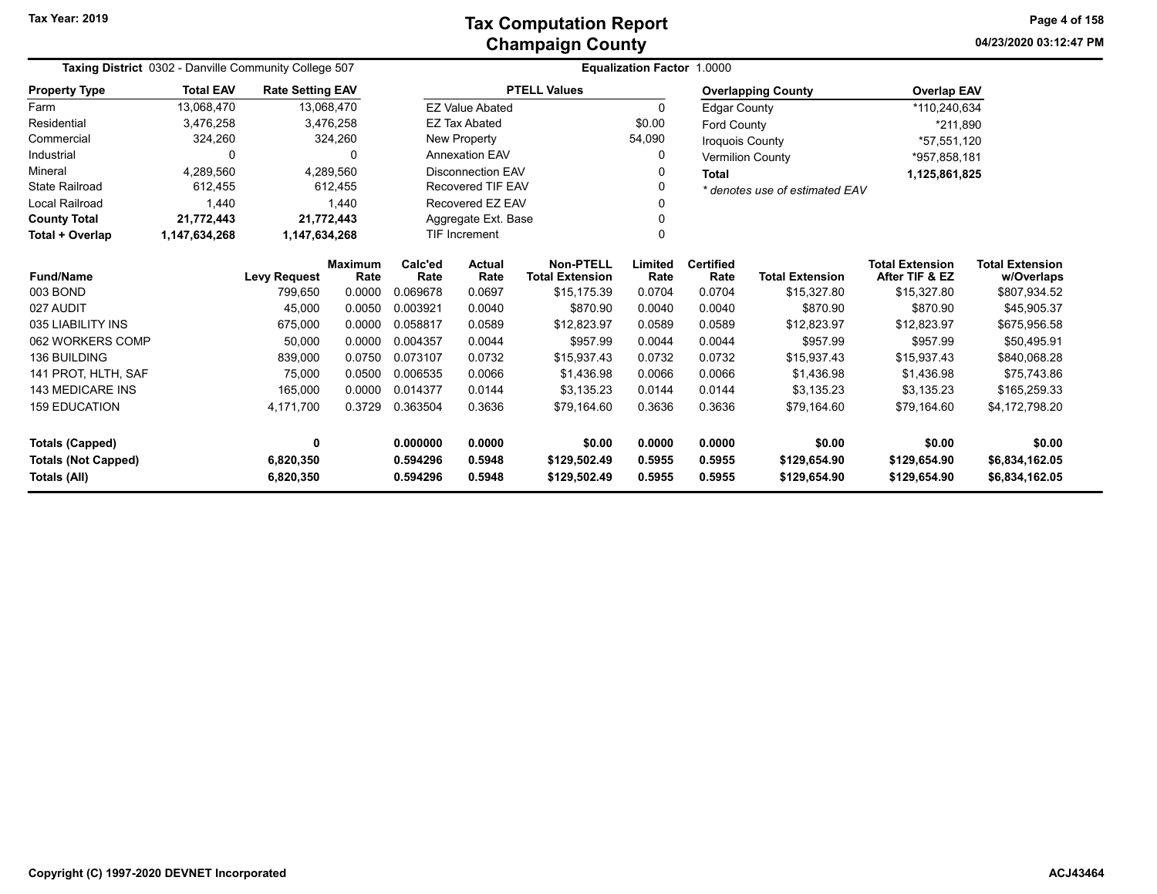| Taxing District 0302 - Danville Community College 507 |                                                                                                                        |                         |                        | Equalization Factor 1.0000       |                              |                                            |                                  |                          |                                |                                          |                                      |
|-------------------------------------------------------|------------------------------------------------------------------------------------------------------------------------|-------------------------|------------------------|----------------------------------|------------------------------|--------------------------------------------|----------------------------------|--------------------------|--------------------------------|------------------------------------------|--------------------------------------|
| <b>Property Type</b>                                  | <b>Total EAV</b>                                                                                                       | <b>Rate Setting EAV</b> |                        |                                  |                              | <b>PTELL Values</b>                        |                                  |                          | <b>Overlapping County</b>      | <b>Overlap EAV</b>                       |                                      |
| Farm                                                  | 13,068,470                                                                                                             |                         | 13,068,470             |                                  | <b>EZ Value Abated</b>       |                                            | $\Omega$                         | <b>Edgar County</b>      |                                | *110,240,634                             |                                      |
| Residential                                           | 3,476,258                                                                                                              |                         | 3,476,258              |                                  | <b>EZ Tax Abated</b>         |                                            | \$0.00                           | <b>Ford County</b>       |                                | *211,890                                 |                                      |
| Commercial                                            | 324,260                                                                                                                |                         | 324,260                |                                  | New Property                 |                                            | 54,090                           | <b>Iroquois County</b>   |                                | *57,551,120                              |                                      |
| Industrial                                            | $\Omega$                                                                                                               |                         | O                      |                                  | <b>Annexation EAV</b>        |                                            |                                  |                          | <b>Vermilion County</b>        | *957,858,181                             |                                      |
| Mineral                                               | 4,289,560                                                                                                              |                         | 4,289,560              |                                  | <b>Disconnection EAV</b>     |                                            | 0                                | <b>Total</b>             |                                | 1,125,861,825                            |                                      |
| <b>State Railroad</b>                                 | 612,455                                                                                                                |                         | 612,455                |                                  | <b>Recovered TIF EAV</b>     |                                            |                                  |                          | * denotes use of estimated EAV |                                          |                                      |
| Local Railroad                                        | 1.440                                                                                                                  |                         | 1,440                  | Recovered EZ EAV                 |                              |                                            | 0                                |                          |                                |                                          |                                      |
| <b>County Total</b>                                   | 21,772,443                                                                                                             |                         | 21,772,443             | Aggregate Ext. Base<br>0         |                              |                                            |                                  |                          |                                |                                          |                                      |
| Total + Overlap                                       | 1,147,634,268                                                                                                          | 1,147,634,268           |                        | $\Omega$<br><b>TIF Increment</b> |                              |                                            |                                  |                          |                                |                                          |                                      |
| <b>Fund/Name</b>                                      |                                                                                                                        | <b>Levy Request</b>     | <b>Maximum</b><br>Rate | Calc'ed<br>Rate                  | Actual<br>Rate               | <b>Non-PTELL</b><br><b>Total Extension</b> | Limited<br>Rate                  | <b>Certified</b><br>Rate | <b>Total Extension</b>         | <b>Total Extension</b><br>After TIF & EZ | <b>Total Extension</b><br>w/Overlaps |
| 003 BOND                                              |                                                                                                                        | 799,650                 | 0.0000                 | 0.069678                         | 0.0697                       | \$15,175.39                                | 0.0704                           | 0.0704                   | \$15,327.80                    | \$15,327.80                              | \$807,934.52                         |
| 027 AUDIT                                             |                                                                                                                        | 45,000                  | 0.0050                 | 0.003921                         | 0.0040                       | \$870.90                                   | 0.0040                           | 0.0040                   | \$870.90                       | \$870.90                                 | \$45,905.37                          |
| 035 LIABILITY INS                                     |                                                                                                                        | 675,000                 | 0.0000                 | 0.058817                         | 0.0589                       | \$12,823.97                                | 0.0589                           | 0.0589                   | \$12,823.97                    | \$12,823.97                              | \$675,956.58                         |
| 062 WORKERS COMP                                      |                                                                                                                        | 50,000                  | 0.0000                 | 0.004357                         | 0.0044                       | \$957.99                                   | 0.0044                           | 0.0044                   | \$957.99                       | \$957.99                                 | \$50,495.91                          |
| <b>136 BUILDING</b>                                   |                                                                                                                        | 839,000                 | 0.0750                 | 0.073107                         | 0.0732                       | \$15,937.43                                | 0.0732                           | 0.0732                   | \$15,937.43                    | \$15,937.43                              | \$840,068.28                         |
| 141 PROT. HLTH. SAF                                   |                                                                                                                        | 75.000                  | 0.0500                 | 0.006535                         | 0.0066                       | \$1.436.98                                 | 0.0066                           | 0.0066                   | \$1,436.98                     | \$1,436.98                               | \$75,743.86                          |
| <b>143 MEDICARE INS</b>                               |                                                                                                                        | 165,000                 | 0.0000                 | 0.014377                         | 0.0144                       | \$3,135.23                                 | 0.0144                           | 0.0144                   | \$3,135.23                     | \$3,135.23                               | \$165,259.33                         |
| <b>159 EDUCATION</b>                                  |                                                                                                                        | 4,171,700               | 0.3729                 | 0.363504                         | 0.3636                       | \$79,164.60                                | 0.3636                           | 0.3636                   | \$79,164.60                    | \$79,164.60                              | \$4,172,798.20                       |
|                                                       |                                                                                                                        |                         |                        |                                  |                              |                                            |                                  |                          |                                |                                          |                                      |
| <b>Totals (Capped)</b>                                |                                                                                                                        | $\mathbf{0}$            |                        | 0.000000                         | 0.0000                       | \$0.00                                     | 0.0000                           | 0.0000                   | \$0.00                         | \$0.00                                   | \$0.00                               |
| <b>Totals (Not Capped)</b><br>Totals (All)            | 0.594296<br>6,820,350<br>0.5948<br>\$129,502.49<br>0.5955<br>0.594296<br>0.5948<br>6,820,350<br>\$129,502.49<br>0.5955 |                         |                        | 0.5955<br>0.5955                 | \$129,654.90<br>\$129,654.90 | \$129,654.90<br>\$129,654.90               | \$6,834,162.05<br>\$6,834,162.05 |                          |                                |                                          |                                      |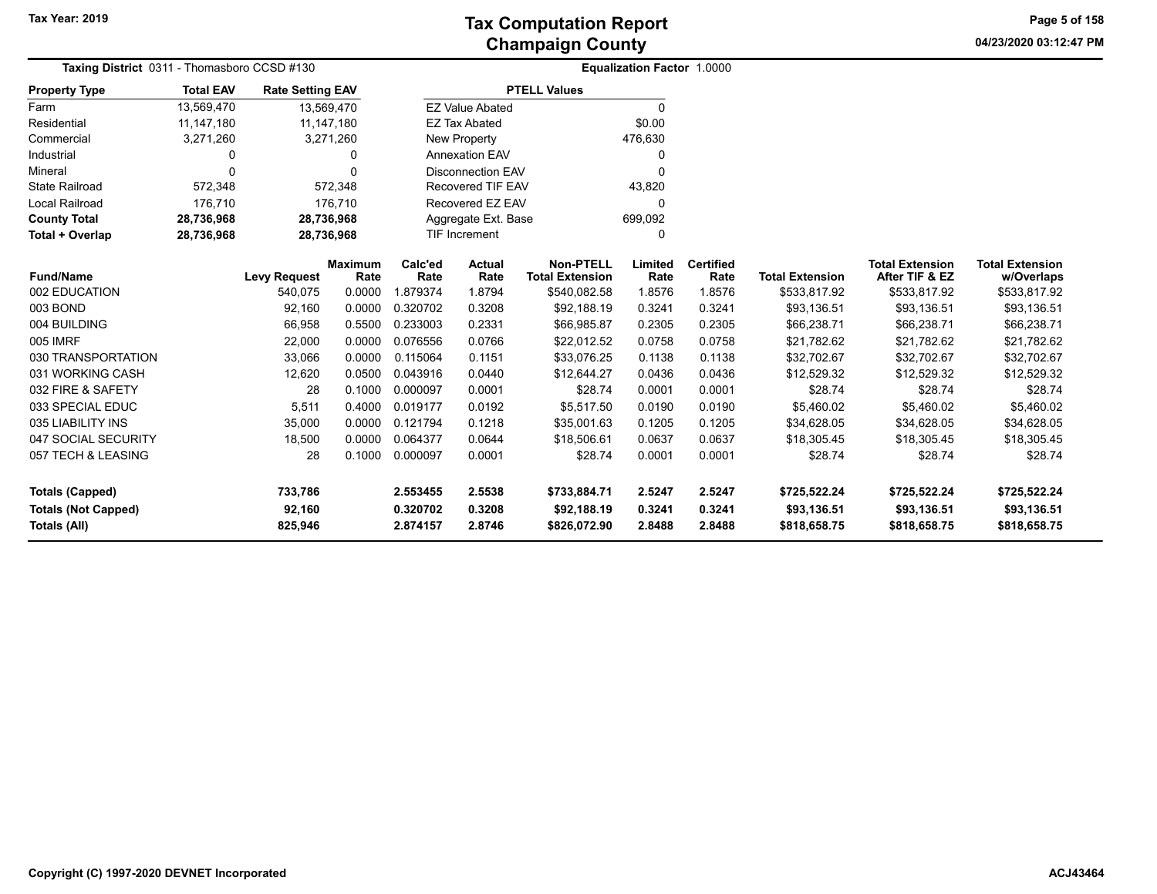**04/23/2020 03:12:47 PM Page 5 of 158**

| Taxing District 0311 - Thomasboro CCSD #130 |                  |                         |                        |                 | Equalization Factor 1.0000 |                                            |                 |                          |                        |                                          |                                      |
|---------------------------------------------|------------------|-------------------------|------------------------|-----------------|----------------------------|--------------------------------------------|-----------------|--------------------------|------------------------|------------------------------------------|--------------------------------------|
| <b>Property Type</b>                        | <b>Total EAV</b> | <b>Rate Setting EAV</b> |                        |                 |                            | <b>PTELL Values</b>                        |                 |                          |                        |                                          |                                      |
| Farm                                        | 13,569,470       | 13,569,470              |                        |                 | <b>EZ Value Abated</b>     |                                            | $\Omega$        |                          |                        |                                          |                                      |
| Residential                                 | 11,147,180       | 11,147,180              |                        |                 | <b>EZ Tax Abated</b>       |                                            | \$0.00          |                          |                        |                                          |                                      |
| Commercial                                  | 3,271,260        |                         | 3,271,260              |                 | <b>New Property</b>        |                                            | 476,630         |                          |                        |                                          |                                      |
| Industrial                                  | 0                |                         | 0                      |                 | <b>Annexation EAV</b>      |                                            | 0               |                          |                        |                                          |                                      |
| Mineral                                     | 0                |                         | $\Omega$               |                 | <b>Disconnection EAV</b>   |                                            | $\Omega$        |                          |                        |                                          |                                      |
| <b>State Railroad</b>                       | 572,348          |                         | 572,348                |                 | <b>Recovered TIF EAV</b>   |                                            | 43,820          |                          |                        |                                          |                                      |
| <b>Local Railroad</b>                       | 176,710          |                         | 176.710                |                 | Recovered EZ EAV           |                                            | $\Omega$        |                          |                        |                                          |                                      |
| <b>County Total</b>                         | 28,736,968       | 28,736,968              |                        |                 | Aggregate Ext. Base        |                                            | 699,092         |                          |                        |                                          |                                      |
| Total + Overlap                             | 28,736,968       | 28,736,968              |                        |                 | <b>TIF Increment</b>       |                                            | 0               |                          |                        |                                          |                                      |
| <b>Fund/Name</b>                            |                  | <b>Levy Request</b>     | <b>Maximum</b><br>Rate | Calc'ed<br>Rate | <b>Actual</b><br>Rate      | <b>Non-PTELL</b><br><b>Total Extension</b> | Limited<br>Rate | <b>Certified</b><br>Rate | <b>Total Extension</b> | <b>Total Extension</b><br>After TIF & EZ | <b>Total Extension</b><br>w/Overlaps |
| 002 EDUCATION                               |                  | 540,075                 | 0.0000                 | 1.879374        | 1.8794                     | \$540,082.58                               | 1.8576          | 1.8576                   | \$533,817.92           | \$533,817.92                             | \$533,817.92                         |
| 003 BOND                                    |                  | 92,160                  | 0.0000                 | 0.320702        | 0.3208                     | \$92,188.19                                | 0.3241          | 0.3241                   | \$93,136.51            | \$93,136.51                              | \$93,136.51                          |
| 004 BUILDING                                |                  | 66,958                  | 0.5500                 | 0.233003        | 0.2331                     | \$66,985.87                                | 0.2305          | 0.2305                   | \$66,238.71            | \$66,238.71                              | \$66,238.71                          |
| 005 IMRF                                    |                  | 22,000                  | 0.0000                 | 0.076556        | 0.0766                     | \$22,012.52                                | 0.0758          | 0.0758                   | \$21,782.62            | \$21,782.62                              | \$21,782.62                          |
| 030 TRANSPORTATION                          |                  | 33,066                  | 0.0000                 | 0.115064        | 0.1151                     | \$33,076.25                                | 0.1138          | 0.1138                   | \$32,702.67            | \$32,702.67                              | \$32,702.67                          |
| 031 WORKING CASH                            |                  | 12,620                  | 0.0500                 | 0.043916        | 0.0440                     | \$12,644.27                                | 0.0436          | 0.0436                   | \$12,529.32            | \$12,529.32                              | \$12,529.32                          |
| 032 FIRE & SAFETY                           |                  | 28                      | 0.1000                 | 0.000097        | 0.0001                     | \$28.74                                    | 0.0001          | 0.0001                   | \$28.74                | \$28.74                                  | \$28.74                              |
| 033 SPECIAL EDUC                            |                  | 5,511                   | 0.4000                 | 0.019177        | 0.0192                     | \$5,517.50                                 | 0.0190          | 0.0190                   | \$5,460.02             | \$5,460.02                               | \$5,460.02                           |
| 035 LIABILITY INS                           |                  | 35,000                  | 0.0000                 | 0.121794        | 0.1218                     | \$35,001.63                                | 0.1205          | 0.1205                   | \$34,628.05            | \$34,628.05                              | \$34,628.05                          |
| 047 SOCIAL SECURITY                         |                  | 18,500                  | 0.0000                 | 0.064377        | 0.0644                     | \$18,506.61                                | 0.0637          | 0.0637                   | \$18,305.45            | \$18,305.45                              | \$18,305.45                          |
| 057 TECH & LEASING                          |                  | 28                      | 0.1000                 | 0.000097        | 0.0001                     | \$28.74                                    | 0.0001          | 0.0001                   | \$28.74                | \$28.74                                  | \$28.74                              |
| <b>Totals (Capped)</b>                      |                  | 733,786                 |                        | 2.553455        | 2.5538                     | \$733,884.71                               | 2.5247          | 2.5247                   | \$725,522.24           | \$725,522.24                             | \$725,522.24                         |
| <b>Totals (Not Capped)</b>                  |                  | 92,160                  |                        | 0.320702        | 0.3208                     | \$92,188.19                                | 0.3241          | 0.3241                   | \$93,136.51            | \$93,136.51                              | \$93,136.51                          |
| Totals (All)                                |                  | 825,946                 |                        | 2.874157        | 2.8746                     | \$826,072.90                               | 2.8488          | 2.8488                   | \$818,658.75           | \$818,658.75                             | \$818,658.75                         |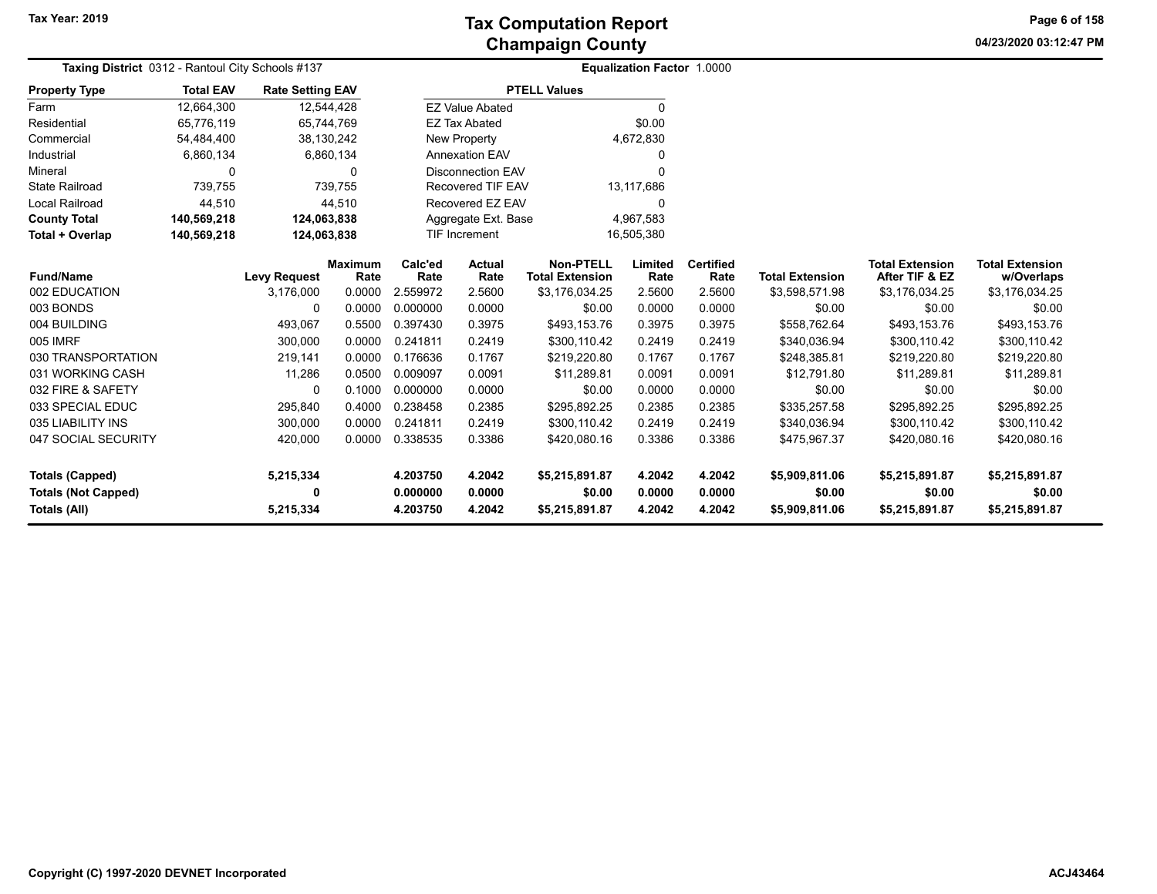**04/23/2020 03:12:47 PM Page 6 of 158**

| Taxing District 0312 - Rantoul City Schools #137                            |                  |                                  |                |                                  | <b>Equalization Factor 1.0000</b> |                                            |                            |                            |                                            |                                            |                                            |
|-----------------------------------------------------------------------------|------------------|----------------------------------|----------------|----------------------------------|-----------------------------------|--------------------------------------------|----------------------------|----------------------------|--------------------------------------------|--------------------------------------------|--------------------------------------------|
| <b>Property Type</b>                                                        | <b>Total EAV</b> | <b>Rate Setting EAV</b>          |                |                                  |                                   | <b>PTELL Values</b>                        |                            |                            |                                            |                                            |                                            |
| Farm                                                                        | 12,664,300       | 12,544,428                       |                |                                  | <b>EZ Value Abated</b>            |                                            | $\Omega$                   |                            |                                            |                                            |                                            |
| Residential                                                                 | 65,776,119       | 65,744,769                       |                |                                  | <b>EZ Tax Abated</b>              |                                            | \$0.00                     |                            |                                            |                                            |                                            |
| Commercial                                                                  | 54,484,400       | 38,130,242                       |                |                                  | <b>New Property</b>               |                                            | 4,672,830                  |                            |                                            |                                            |                                            |
| Industrial                                                                  | 6,860,134        |                                  | 6,860,134      |                                  | <b>Annexation EAV</b>             |                                            | 0                          |                            |                                            |                                            |                                            |
| Mineral                                                                     | 0                |                                  | 0              |                                  | <b>Disconnection EAV</b>          |                                            | $\Omega$                   |                            |                                            |                                            |                                            |
| <b>State Railroad</b>                                                       | 739,755          |                                  | 739,755        |                                  | <b>Recovered TIF EAV</b>          |                                            | 13,117,686                 |                            |                                            |                                            |                                            |
| <b>Local Railroad</b>                                                       | 44,510           |                                  | 44,510         |                                  | Recovered EZ EAV                  |                                            | O                          |                            |                                            |                                            |                                            |
| <b>County Total</b>                                                         | 140,569,218      | 124,063,838                      |                |                                  | Aggregate Ext. Base               |                                            | 4,967,583                  |                            |                                            |                                            |                                            |
| Total + Overlap                                                             | 140,569,218      | 124,063,838                      |                |                                  | TIF Increment                     |                                            | 16,505,380                 |                            |                                            |                                            |                                            |
| <b>Fund/Name</b>                                                            |                  |                                  | <b>Maximum</b> | Calc'ed<br>Rate                  | Actual<br>Rate                    | <b>Non-PTELL</b><br><b>Total Extension</b> | Limited<br>Rate            | <b>Certified</b>           | <b>Total Extension</b>                     | <b>Total Extension</b><br>After TIF & EZ   | <b>Total Extension</b>                     |
| 002 EDUCATION                                                               |                  | <b>Levy Request</b><br>3,176,000 | Rate<br>0.0000 | 2.559972                         | 2.5600                            | \$3,176,034.25                             | 2.5600                     | Rate<br>2.5600             | \$3,598,571.98                             | \$3,176,034.25                             | w/Overlaps<br>\$3,176,034.25               |
| 003 BONDS                                                                   |                  | $\Omega$                         | 0.0000         | 0.000000                         | 0.0000                            | \$0.00                                     | 0.0000                     | 0.0000                     | \$0.00                                     | \$0.00                                     | \$0.00                                     |
| 004 BUILDING                                                                |                  | 493,067                          | 0.5500         | 0.397430                         | 0.3975                            | \$493,153.76                               | 0.3975                     | 0.3975                     | \$558,762.64                               | \$493,153.76                               | \$493,153.76                               |
| <b>005 IMRF</b>                                                             |                  | 300,000                          | 0.0000         | 0.241811                         | 0.2419                            | \$300,110.42                               | 0.2419                     | 0.2419                     | \$340,036.94                               | \$300,110.42                               | \$300,110.42                               |
| 030 TRANSPORTATION                                                          |                  | 219,141                          | 0.0000         | 0.176636                         | 0.1767                            | \$219,220.80                               | 0.1767                     | 0.1767                     | \$248,385.81                               | \$219,220.80                               |                                            |
| 031 WORKING CASH                                                            |                  | 11,286                           | 0.0500         | 0.009097                         | 0.0091                            | \$11,289.81                                | 0.0091                     | 0.0091                     | \$12,791.80                                | \$11,289.81                                | \$219,220.80<br>\$11,289.81                |
| 032 FIRE & SAFETY                                                           |                  |                                  | 0.1000         | 0.000000                         | 0.0000                            | \$0.00                                     | 0.0000                     | 0.0000                     | \$0.00                                     | \$0.00                                     | \$0.00                                     |
| 033 SPECIAL EDUC                                                            |                  | 0<br>295,840                     | 0.4000         | 0.238458                         | 0.2385                            | \$295,892.25                               | 0.2385                     | 0.2385                     |                                            | \$295,892.25                               | \$295,892.25                               |
| 035 LIABILITY INS                                                           |                  | 300,000                          | 0.0000         | 0.241811                         | 0.2419                            | \$300,110.42                               | 0.2419                     | 0.2419                     | \$335,257.58<br>\$340,036.94               | \$300,110.42                               | \$300,110.42                               |
|                                                                             |                  |                                  |                |                                  |                                   |                                            |                            |                            |                                            |                                            |                                            |
| 047 SOCIAL SECURITY                                                         |                  | 420,000                          | 0.0000         | 0.338535                         | 0.3386                            | \$420,080.16                               | 0.3386                     | 0.3386                     | \$475,967.37                               | \$420,080.16                               | \$420,080.16                               |
| <b>Totals (Capped)</b><br><b>Totals (Not Capped)</b><br><b>Totals (All)</b> |                  | 5,215,334<br>0<br>5,215,334      |                | 4.203750<br>0.000000<br>4.203750 | 4.2042<br>0.0000<br>4.2042        | \$5,215,891.87<br>\$0.00<br>\$5,215,891.87 | 4.2042<br>0.0000<br>4.2042 | 4.2042<br>0.0000<br>4.2042 | \$5,909,811.06<br>\$0.00<br>\$5,909,811.06 | \$5,215,891.87<br>\$0.00<br>\$5,215,891.87 | \$5,215,891.87<br>\$0.00<br>\$5,215,891.87 |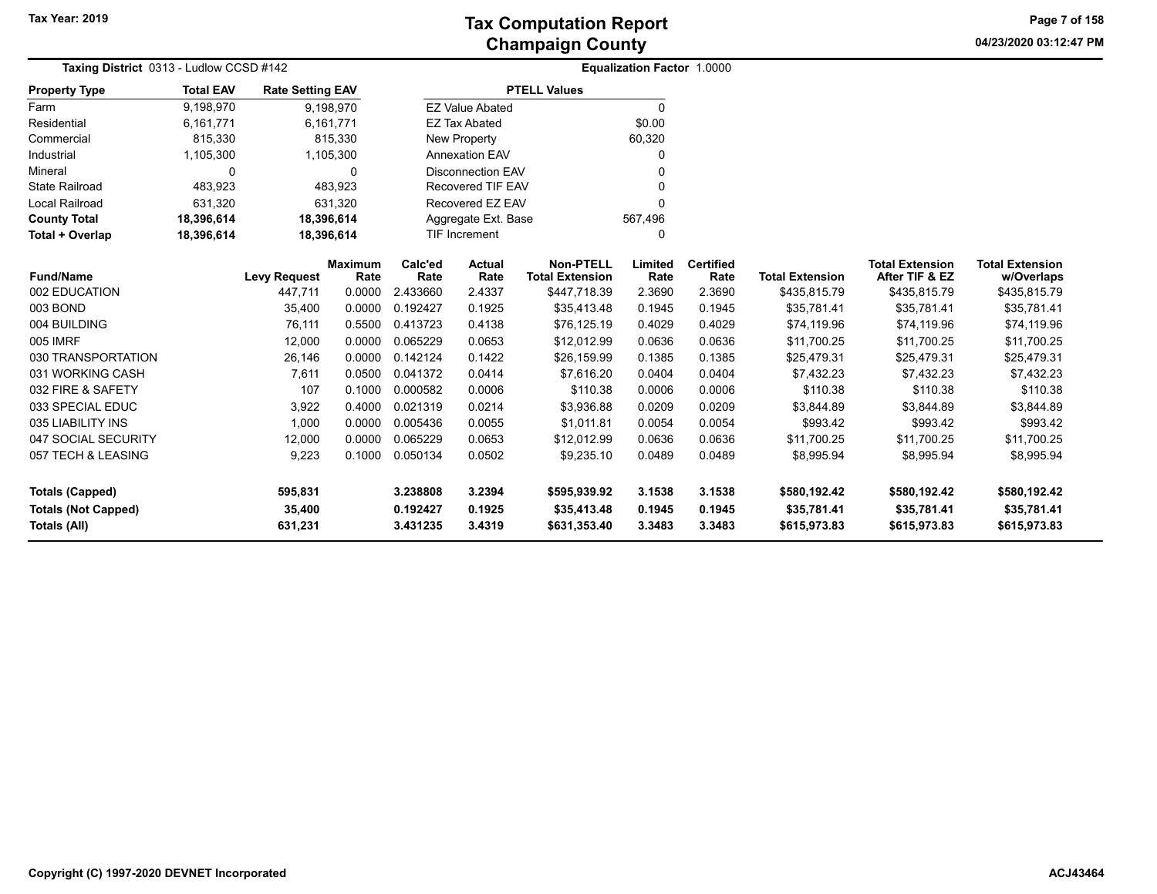**04/23/2020 03:12:47 PM Page 7 of 158**

| Taxing District 0313 - Ludlow CCSD #142 |                    |                         |                 | <b>Equalization Factor 1.0000</b> |                          |                                            |                 |                          |                        |                                          |                                      |
|-----------------------------------------|--------------------|-------------------------|-----------------|-----------------------------------|--------------------------|--------------------------------------------|-----------------|--------------------------|------------------------|------------------------------------------|--------------------------------------|
| <b>Property Type</b>                    | <b>Total EAV</b>   | <b>Rate Setting EAV</b> |                 |                                   |                          | <b>PTELL Values</b>                        |                 |                          |                        |                                          |                                      |
| Farm                                    | 9,198,970          |                         | 9,198,970       |                                   | <b>EZ Value Abated</b>   |                                            | 0               |                          |                        |                                          |                                      |
| Residential                             | 6,161,771          |                         | 6,161,771       |                                   | <b>EZ Tax Abated</b>     |                                            | \$0.00          |                          |                        |                                          |                                      |
| Commercial                              | 815,330            |                         | 815,330         |                                   | New Property             |                                            | 60,320          |                          |                        |                                          |                                      |
| Industrial                              | 1,105,300          |                         | 1,105,300       |                                   | <b>Annexation EAV</b>    |                                            | 0               |                          |                        |                                          |                                      |
| Mineral                                 | $\Omega$           |                         | $\Omega$        |                                   | <b>Disconnection EAV</b> |                                            |                 |                          |                        |                                          |                                      |
| <b>State Railroad</b>                   | 483,923            |                         | 483,923         |                                   | <b>Recovered TIF EAV</b> |                                            | U               |                          |                        |                                          |                                      |
| <b>Local Railroad</b>                   | 631,320<br>631,320 |                         |                 |                                   | Recovered EZ EAV         |                                            | 0               |                          |                        |                                          |                                      |
| <b>County Total</b>                     | 18,396,614         | 18,396,614              |                 |                                   | Aggregate Ext. Base      |                                            | 567,496         |                          |                        |                                          |                                      |
| Total + Overlap                         | 18,396,614         | 18,396,614              |                 |                                   | TIF Increment            |                                            | 0               |                          |                        |                                          |                                      |
| <b>Fund/Name</b>                        |                    | <b>Levy Request</b>     | Maximum<br>Rate | Calc'ed<br>Rate                   | Actual<br>Rate           | <b>Non-PTELL</b><br><b>Total Extension</b> | Limited<br>Rate | <b>Certified</b><br>Rate | <b>Total Extension</b> | <b>Total Extension</b><br>After TIF & EZ | <b>Total Extension</b><br>w/Overlaps |
| 002 EDUCATION                           |                    | 447,711                 | 0.0000          | 2.433660                          | 2.4337                   | \$447,718.39                               | 2.3690          | 2.3690                   | \$435,815.79           | \$435,815.79                             | \$435,815.79                         |
| 003 BOND                                |                    | 35,400                  | 0.0000          | 0.192427                          | 0.1925                   | \$35,413.48                                | 0.1945          | 0.1945                   | \$35,781.41            | \$35,781.41                              | \$35,781.41                          |
| 004 BUILDING                            |                    | 76,111                  | 0.5500          | 0.413723                          | 0.4138                   | \$76,125.19                                | 0.4029          | 0.4029                   | \$74,119.96            | \$74,119.96                              | \$74,119.96                          |
| 005 IMRF                                |                    | 12,000                  | 0.0000          | 0.065229                          | 0.0653                   | \$12,012.99                                | 0.0636          | 0.0636                   | \$11,700.25            | \$11,700.25                              | \$11,700.25                          |
| 030 TRANSPORTATION                      |                    | 26,146                  | 0.0000          | 0.142124                          | 0.1422                   | \$26,159.99                                | 0.1385          | 0.1385                   | \$25,479.31            | \$25,479.31                              | \$25,479.31                          |
| 031 WORKING CASH                        |                    | 7,611                   | 0.0500          | 0.041372                          | 0.0414                   | \$7,616.20                                 | 0.0404          | 0.0404                   | \$7,432.23             | \$7,432.23                               | \$7,432.23                           |
| 032 FIRE & SAFETY                       |                    | 107                     | 0.1000          | 0.000582                          | 0.0006                   | \$110.38                                   | 0.0006          | 0.0006                   | \$110.38               | \$110.38                                 | \$110.38                             |
| 033 SPECIAL EDUC                        |                    | 3,922                   | 0.4000          | 0.021319                          | 0.0214                   | \$3,936.88                                 | 0.0209          | 0.0209                   | \$3,844.89             | \$3,844.89                               | \$3,844.89                           |
| 035 LIABILITY INS                       |                    | 1,000                   | 0.0000          | 0.005436                          | 0.0055                   | \$1,011.81                                 | 0.0054          | 0.0054                   | \$993.42               | \$993.42                                 | \$993.42                             |
| 047 SOCIAL SECURITY                     |                    | 12,000                  | 0.0000          | 0.065229                          | 0.0653                   | \$12,012.99                                | 0.0636          | 0.0636                   | \$11,700.25            | \$11,700.25                              | \$11,700.25                          |
| 057 TECH & LEASING                      |                    | 9,223                   | 0.1000          | 0.050134                          | 0.0502                   | \$9,235.10                                 | 0.0489          | 0.0489                   | \$8,995.94             | \$8,995.94                               | \$8,995.94                           |
| <b>Totals (Capped)</b>                  |                    | 595,831                 |                 | 3.238808                          | 3.2394                   | \$595,939.92                               | 3.1538          | 3.1538                   | \$580,192.42           | \$580,192.42                             | \$580,192.42                         |
| <b>Totals (Not Capped)</b>              |                    | 35,400                  |                 | 0.192427                          | 0.1925                   | \$35,413.48                                | 0.1945          | 0.1945                   | \$35,781.41            | \$35,781.41                              | \$35,781.41                          |
| Totals (All)                            |                    | 631,231                 |                 | 3.431235                          | 3.4319                   | \$631,353.40                               | 3.3483          | 3.3483                   | \$615,973.83           | \$615,973.83                             | \$615,973.83                         |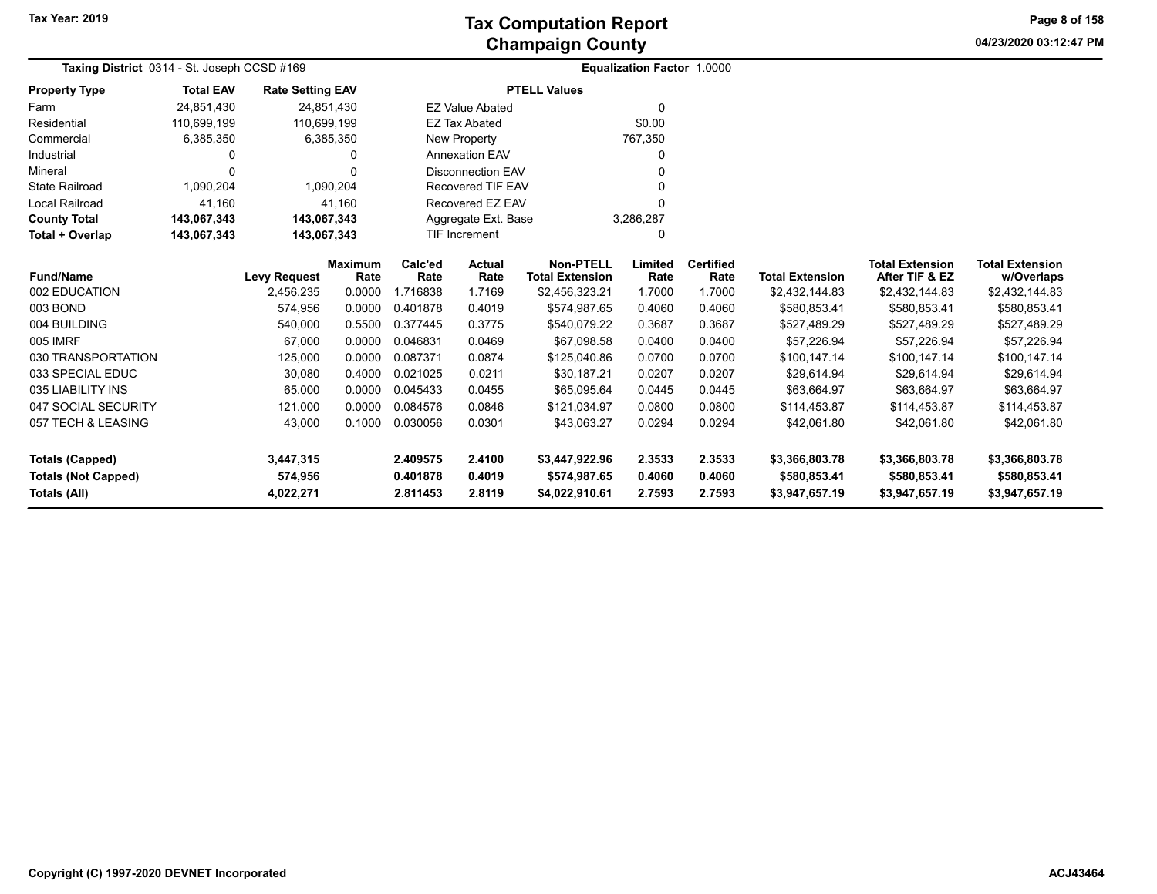**04/23/2020 03:12:47 PM Page 8 of 158**

| Taxing District 0314 - St. Joseph CCSD #169 |                               |                         |                        |                 | <b>Equalization Factor 1.0000</b> |                                            |                 |                          |                        |                                          |                                      |
|---------------------------------------------|-------------------------------|-------------------------|------------------------|-----------------|-----------------------------------|--------------------------------------------|-----------------|--------------------------|------------------------|------------------------------------------|--------------------------------------|
| <b>Property Type</b>                        | <b>Total EAV</b>              | <b>Rate Setting EAV</b> |                        |                 |                                   | <b>PTELL Values</b>                        |                 |                          |                        |                                          |                                      |
| Farm                                        | 24,851,430                    |                         | 24,851,430             |                 | <b>EZ Value Abated</b>            |                                            | $\Omega$        |                          |                        |                                          |                                      |
| Residential                                 | 110,699,199                   | 110,699,199             |                        |                 | <b>EZ Tax Abated</b>              |                                            | \$0.00          |                          |                        |                                          |                                      |
| Commercial                                  | 6,385,350                     |                         | 6,385,350              |                 | New Property                      |                                            | 767,350         |                          |                        |                                          |                                      |
| Industrial                                  |                               |                         |                        |                 | <b>Annexation EAV</b>             |                                            | 0               |                          |                        |                                          |                                      |
| Mineral                                     | $\Omega$                      |                         |                        |                 | <b>Disconnection EAV</b>          |                                            |                 |                          |                        |                                          |                                      |
| <b>State Railroad</b>                       | 1,090,204                     |                         | 1,090,204              |                 | <b>Recovered TIF EAV</b>          |                                            | ŋ               |                          |                        |                                          |                                      |
| Local Railroad                              | 41,160                        |                         | 41.160                 |                 | Recovered EZ EAV                  |                                            | 0               |                          |                        |                                          |                                      |
| <b>County Total</b>                         | 143,067,343                   | 143,067,343             |                        |                 | Aggregate Ext. Base               |                                            | 3,286,287       |                          |                        |                                          |                                      |
| Total + Overlap                             | 143,067,343                   | 143,067,343             |                        |                 | <b>TIF Increment</b>              |                                            | 0               |                          |                        |                                          |                                      |
| <b>Fund/Name</b>                            |                               | <b>Levy Request</b>     | <b>Maximum</b><br>Rate | Calc'ed<br>Rate | <b>Actual</b><br>Rate             | <b>Non-PTELL</b><br><b>Total Extension</b> | Limited<br>Rate | <b>Certified</b><br>Rate | <b>Total Extension</b> | <b>Total Extension</b><br>After TIF & EZ | <b>Total Extension</b><br>w/Overlaps |
| 002 EDUCATION                               |                               | 2,456,235               | 0.0000                 | 1.716838        | 1.7169                            | \$2,456,323.21                             | 1.7000          | 1.7000                   | \$2,432,144.83         | \$2,432,144.83                           | \$2,432,144.83                       |
| 003 BOND                                    |                               | 574,956                 | 0.0000                 | 0.401878        | 0.4019                            | \$574,987.65                               | 0.4060          | 0.4060                   | \$580,853.41           | \$580,853.41                             | \$580,853.41                         |
| 004 BUILDING                                |                               | 540,000                 | 0.5500                 | 0.377445        | 0.3775                            | \$540,079.22                               | 0.3687          | 0.3687                   | \$527,489.29           | \$527,489.29                             | \$527,489.29                         |
| 005 IMRF                                    |                               | 67,000                  | 0.0000                 | 0.046831        | 0.0469                            | \$67,098.58                                | 0.0400          | 0.0400                   | \$57,226.94            | \$57,226.94                              | \$57,226.94                          |
| 030 TRANSPORTATION                          |                               | 125,000                 | 0.0000                 | 0.087371        | 0.0874                            | \$125,040.86                               | 0.0700          | 0.0700                   | \$100,147.14           | \$100,147.14                             | \$100,147.14                         |
| 033 SPECIAL EDUC                            |                               | 30,080                  | 0.4000                 | 0.021025        | 0.0211                            | \$30,187.21                                | 0.0207          | 0.0207                   | \$29,614.94            | \$29,614.94                              | \$29,614.94                          |
| 035 LIABILITY INS                           |                               | 65,000                  | 0.0000                 | 0.045433        | 0.0455                            | \$65,095.64                                | 0.0445          | 0.0445                   | \$63,664.97            | \$63,664.97                              | \$63,664.97                          |
| 047 SOCIAL SECURITY                         |                               | 121,000                 | 0.0000                 | 0.084576        | 0.0846                            | \$121.034.97                               | 0.0800          | 0.0800                   | \$114,453.87           | \$114,453.87                             | \$114,453.87                         |
| 057 TECH & LEASING                          |                               | 43,000                  | 0.1000                 | 0.030056        | 0.0301                            | \$43,063.27                                | 0.0294          | 0.0294                   | \$42,061.80            | \$42,061.80                              | \$42,061.80                          |
| <b>Totals (Capped)</b>                      |                               | 3,447,315               |                        | 2.409575        | 2.4100                            | \$3,447,922.96                             | 2.3533          | 2.3533                   | \$3,366,803.78         | \$3,366,803.78                           | \$3,366,803.78                       |
| <b>Totals (Not Capped)</b>                  | 574,956<br>0.401878<br>0.4019 |                         | \$574,987.65           | 0.4060          | 0.4060                            | \$580,853.41                               | \$580,853.41    | \$580,853.41             |                        |                                          |                                      |
| Totals (All)                                |                               | 4,022,271               |                        | 2.811453        | 2.8119                            | \$4,022,910.61                             | 2.7593          | 2.7593                   | \$3,947,657.19         | \$3,947,657.19                           | \$3,947,657.19                       |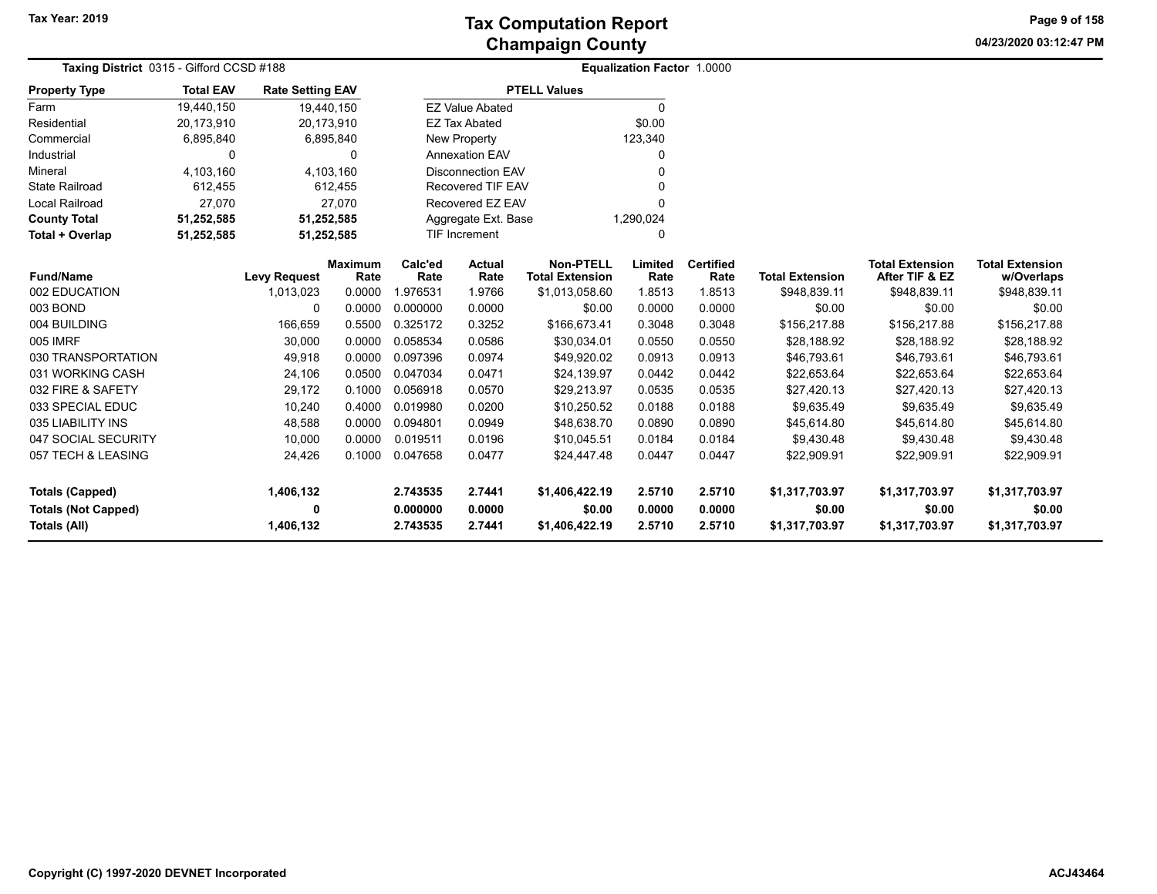**04/23/2020 03:12:47 PM Page 9 of 158**

| Taxing District 0315 - Gifford CCSD #188 |                  |                         |                |          |                          | Equalization Factor 1.0000 |           |                  |                        |                        |                        |
|------------------------------------------|------------------|-------------------------|----------------|----------|--------------------------|----------------------------|-----------|------------------|------------------------|------------------------|------------------------|
| <b>Property Type</b>                     | <b>Total EAV</b> | <b>Rate Setting EAV</b> |                |          |                          | <b>PTELL Values</b>        |           |                  |                        |                        |                        |
| Farm                                     | 19,440,150       | 19,440,150              |                |          | <b>EZ Value Abated</b>   |                            | $\Omega$  |                  |                        |                        |                        |
| Residential                              | 20,173,910       | 20,173,910              |                |          | <b>EZ Tax Abated</b>     |                            | \$0.00    |                  |                        |                        |                        |
| Commercial                               | 6,895,840        |                         | 6,895,840      |          | New Property             |                            | 123,340   |                  |                        |                        |                        |
| Industrial                               | $\Omega$         |                         | 0              |          | <b>Annexation EAV</b>    |                            |           |                  |                        |                        |                        |
| Mineral                                  | 4,103,160        |                         | 4,103,160      |          | <b>Disconnection EAV</b> |                            |           |                  |                        |                        |                        |
| <b>State Railroad</b>                    | 612,455          |                         | 612,455        |          | <b>Recovered TIF EAV</b> |                            |           |                  |                        |                        |                        |
| Local Railroad                           | 27,070           |                         | 27.070         |          | Recovered EZ EAV         |                            |           |                  |                        |                        |                        |
| <b>County Total</b>                      | 51,252,585       | 51,252,585              |                |          | Aggregate Ext. Base      |                            | 1,290,024 |                  |                        |                        |                        |
| Total + Overlap                          | 51,252,585       | 51,252,585              |                |          | <b>TIF Increment</b>     |                            | $\Omega$  |                  |                        |                        |                        |
|                                          |                  |                         | <b>Maximum</b> | Calc'ed  | <b>Actual</b>            | <b>Non-PTELL</b>           | Limited   | <b>Certified</b> |                        | <b>Total Extension</b> | <b>Total Extension</b> |
| <b>Fund/Name</b>                         |                  | <b>Levy Request</b>     | Rate           | Rate     | Rate                     | <b>Total Extension</b>     | Rate      | Rate             | <b>Total Extension</b> | After TIF & EZ         | w/Overlaps             |
| 002 EDUCATION                            |                  | 1,013,023               | 0.0000         | 1.976531 | 1.9766                   | \$1,013,058.60             | 1.8513    | 1.8513           | \$948,839.11           | \$948,839.11           | \$948,839.11           |
| 003 BOND                                 |                  | $\Omega$                | 0.0000         | 0.000000 | 0.0000                   | \$0.00                     | 0.0000    | 0.0000           | \$0.00                 | \$0.00                 | \$0.00                 |
| 004 BUILDING                             |                  | 166,659                 | 0.5500         | 0.325172 | 0.3252                   | \$166,673.41               | 0.3048    | 0.3048           | \$156,217.88           | \$156,217.88           | \$156,217.88           |
| 005 IMRF                                 |                  | 30,000                  | 0.0000         | 0.058534 | 0.0586                   | \$30,034.01                | 0.0550    | 0.0550           | \$28,188.92            | \$28,188.92            | \$28,188.92            |
| 030 TRANSPORTATION                       |                  | 49,918                  | 0.0000         | 0.097396 | 0.0974                   | \$49,920.02                | 0.0913    | 0.0913           | \$46,793.61            | \$46,793.61            | \$46,793.61            |
| 031 WORKING CASH                         |                  | 24,106                  | 0.0500         | 0.047034 | 0.0471                   | \$24,139.97                | 0.0442    | 0.0442           | \$22,653.64            | \$22,653.64            | \$22,653.64            |
| 032 FIRE & SAFETY                        |                  | 29,172                  | 0.1000         | 0.056918 | 0.0570                   | \$29,213.97                | 0.0535    | 0.0535           | \$27,420.13            | \$27,420.13            | \$27,420.13            |
| 033 SPECIAL EDUC                         |                  | 10,240                  | 0.4000         | 0.019980 | 0.0200                   | \$10,250.52                | 0.0188    | 0.0188           | \$9,635.49             | \$9,635.49             | \$9,635.49             |
| 035 LIABILITY INS                        |                  | 48,588                  | 0.0000         | 0.094801 | 0.0949                   | \$48,638.70                | 0.0890    | 0.0890           | \$45,614.80            | \$45,614.80            | \$45,614.80            |
| 047 SOCIAL SECURITY                      |                  | 10,000                  | 0.0000         | 0.019511 | 0.0196                   | \$10,045.51                | 0.0184    | 0.0184           | \$9,430.48             | \$9,430.48             | \$9,430.48             |
| 057 TECH & LEASING                       |                  | 24,426                  | 0.1000         | 0.047658 | 0.0477                   | \$24,447.48                | 0.0447    | 0.0447           | \$22,909.91            | \$22,909.91            | \$22,909.91            |
|                                          |                  |                         |                |          |                          |                            |           |                  |                        |                        |                        |
| <b>Totals (Capped)</b>                   |                  | 1,406,132               |                | 2.743535 | 2.7441                   | \$1,406,422.19             | 2.5710    | 2.5710           | \$1,317,703.97         | \$1,317,703.97         | \$1,317,703.97         |
| <b>Totals (Not Capped)</b>               |                  | 0                       |                | 0.000000 | 0.0000                   | \$0.00                     | 0.0000    | 0.0000           | \$0.00                 | \$0.00                 | \$0.00                 |
| <b>Totals (All)</b>                      |                  | 1,406,132               |                | 2.743535 | 2.7441                   | \$1,406,422.19             | 2.5710    | 2.5710           | \$1,317,703.97         | \$1,317,703.97         | \$1,317,703.97         |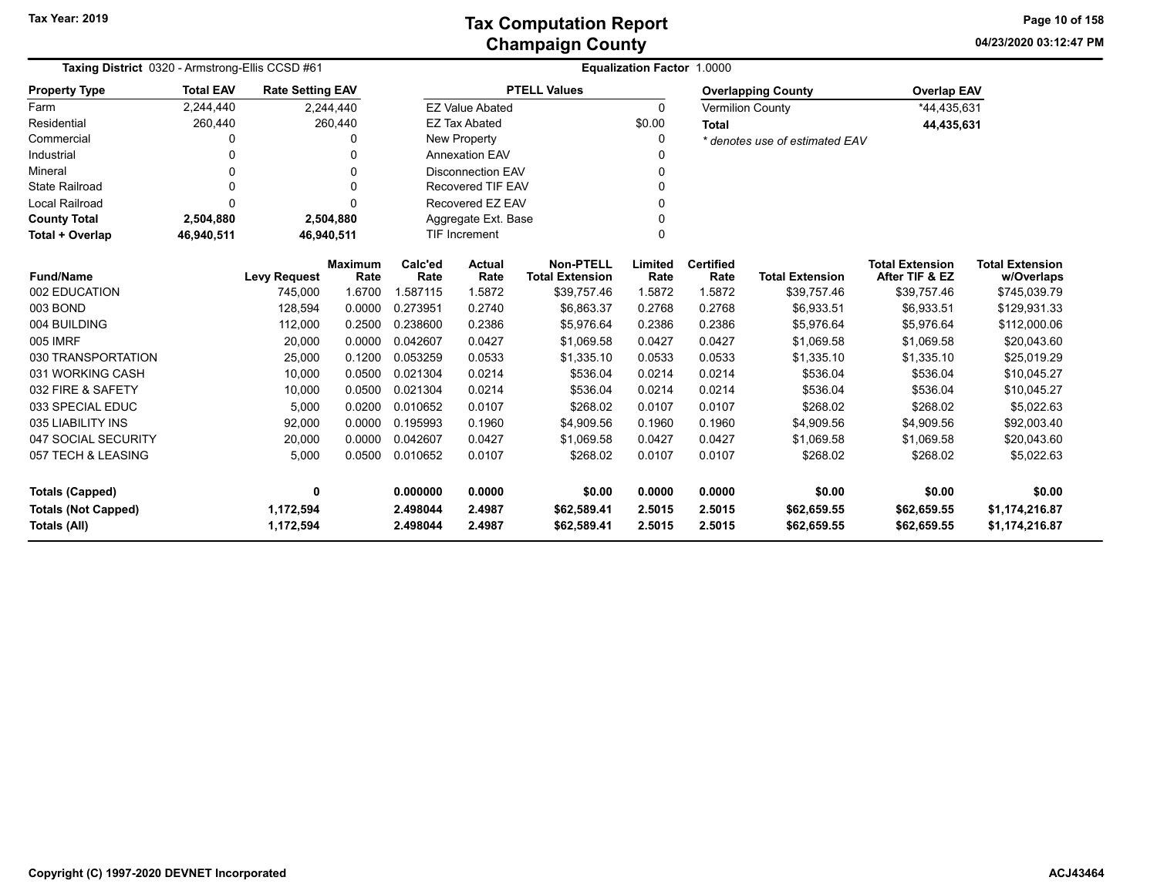**04/23/2020 03:12:47 PM Page 10 of 158**

|                            | Taxing District 0320 - Armstrong-Ellis CCSD #61 |                                |                |                 | <b>Equalization Factor 1.0000</b> |                                            |                |                  |                                |                                          |                            |
|----------------------------|-------------------------------------------------|--------------------------------|----------------|-----------------|-----------------------------------|--------------------------------------------|----------------|------------------|--------------------------------|------------------------------------------|----------------------------|
| <b>Property Type</b>       | <b>Total EAV</b>                                | <b>Rate Setting EAV</b>        |                |                 |                                   | <b>PTELL Values</b>                        |                |                  | <b>Overlapping County</b>      | <b>Overlap EAV</b>                       |                            |
| Farm                       | 2,244,440                                       |                                | 2,244,440      |                 | <b>EZ Value Abated</b>            |                                            | 0              |                  | <b>Vermilion County</b>        | *44,435,631                              |                            |
| Residential                | 260,440                                         |                                | 260,440        |                 | <b>EZ Tax Abated</b>              |                                            | \$0.00         | <b>Total</b>     |                                | 44,435,631                               |                            |
| Commercial                 | 0                                               |                                | 0              |                 | New Property                      |                                            | 0              |                  | * denotes use of estimated EAV |                                          |                            |
| Industrial                 | 0                                               |                                | 0              |                 | <b>Annexation EAV</b>             |                                            |                |                  |                                |                                          |                            |
| Mineral                    | 0                                               |                                | 0              |                 | <b>Disconnection EAV</b>          |                                            | 0              |                  |                                |                                          |                            |
| <b>State Railroad</b>      | 0                                               |                                | $\Omega$       |                 | <b>Recovered TIF EAV</b>          |                                            | 0              |                  |                                |                                          |                            |
| <b>Local Railroad</b>      | $\Omega$                                        |                                | $\Omega$       |                 | Recovered EZ EAV                  |                                            | 0              |                  |                                |                                          |                            |
| <b>County Total</b>        | 2,504,880                                       |                                | 2,504,880      |                 | Aggregate Ext. Base               |                                            |                |                  |                                |                                          |                            |
| Total + Overlap            | 46,940,511                                      | 46,940,511                     |                |                 | <b>TIF Increment</b><br>$\Omega$  |                                            |                |                  |                                |                                          |                            |
| <b>Fund/Name</b>           |                                                 |                                | <b>Maximum</b> | Calc'ed<br>Rate | <b>Actual</b>                     | <b>Non-PTELL</b><br><b>Total Extension</b> | Limited        | <b>Certified</b> | <b>Total Extension</b>         | <b>Total Extension</b><br>After TIF & EZ | <b>Total Extension</b>     |
| 002 EDUCATION              |                                                 | <b>Levy Request</b><br>745,000 | Rate<br>1.6700 | 1.587115        | Rate<br>1.5872                    | \$39,757.46                                | Rate<br>1.5872 | Rate<br>1.5872   | \$39,757.46                    | \$39,757.46                              | w/Overlaps<br>\$745,039.79 |
| 003 BOND                   |                                                 | 128,594                        | 0.0000         | 0.273951        | 0.2740                            | \$6,863.37                                 | 0.2768         | 0.2768           | \$6,933.51                     | \$6,933.51                               | \$129,931.33               |
| 004 BUILDING               |                                                 | 112,000                        | 0.2500         | 0.238600        | 0.2386                            | \$5,976.64                                 | 0.2386         | 0.2386           | \$5,976.64                     | \$5,976.64                               |                            |
| 005 IMRF                   |                                                 | 20,000                         | 0.0000         | 0.042607        | 0.0427                            | \$1,069.58                                 | 0.0427         | 0.0427           | \$1,069.58                     | \$1,069.58                               | \$112,000.06               |
| 030 TRANSPORTATION         |                                                 |                                | 0.1200         | 0.053259        |                                   |                                            | 0.0533         | 0.0533           |                                |                                          | \$20,043.60                |
| 031 WORKING CASH           |                                                 | 25,000<br>10,000               | 0.0500         | 0.021304        | 0.0533<br>0.0214                  | \$1,335.10<br>\$536.04                     | 0.0214         | 0.0214           | \$1,335.10<br>\$536.04         | \$1,335.10                               | \$25,019.29<br>\$10,045.27 |
| 032 FIRE & SAFETY          |                                                 |                                | 0.0500         | 0.021304        | 0.0214                            | \$536.04                                   | 0.0214         | 0.0214           | \$536.04                       | \$536.04<br>\$536.04                     |                            |
| 033 SPECIAL EDUC           |                                                 | 10,000<br>5,000                | 0.0200         | 0.010652        | 0.0107                            | \$268.02                                   | 0.0107         | 0.0107           | \$268.02                       | \$268.02                                 | \$10,045.27<br>\$5,022.63  |
| 035 LIABILITY INS          |                                                 | 92,000                         | 0.0000         | 0.195993        | 0.1960                            | \$4,909.56                                 | 0.1960         | 0.1960           | \$4,909.56                     | \$4,909.56                               | \$92,003.40                |
| 047 SOCIAL SECURITY        |                                                 |                                | 0.0000         | 0.042607        | 0.0427                            | \$1.069.58                                 | 0.0427         | 0.0427           |                                | \$1.069.58                               |                            |
|                            |                                                 | 20,000                         |                |                 |                                   |                                            |                |                  | \$1,069.58                     |                                          | \$20,043.60                |
| 057 TECH & LEASING         |                                                 | 5,000                          | 0.0500         | 0.010652        | 0.0107                            | \$268.02                                   | 0.0107         | 0.0107           | \$268.02                       | \$268.02                                 | \$5,022.63                 |
| <b>Totals (Capped)</b>     |                                                 | 0                              |                | 0.000000        | 0.0000                            | \$0.00                                     | 0.0000         | 0.0000           | \$0.00                         | \$0.00                                   | \$0.00                     |
| <b>Totals (Not Capped)</b> |                                                 | 1,172,594                      |                | 2.498044        | 2.4987                            | \$62,589.41                                | 2.5015         | 2.5015           | \$62,659.55                    | \$62,659.55                              | \$1,174,216.87             |
| Totals (All)               |                                                 | 1,172,594                      |                | 2.498044        | 2.4987                            | \$62,589.41                                | 2.5015         | 2.5015           | \$62,659.55                    | \$62,659.55                              | \$1,174,216.87             |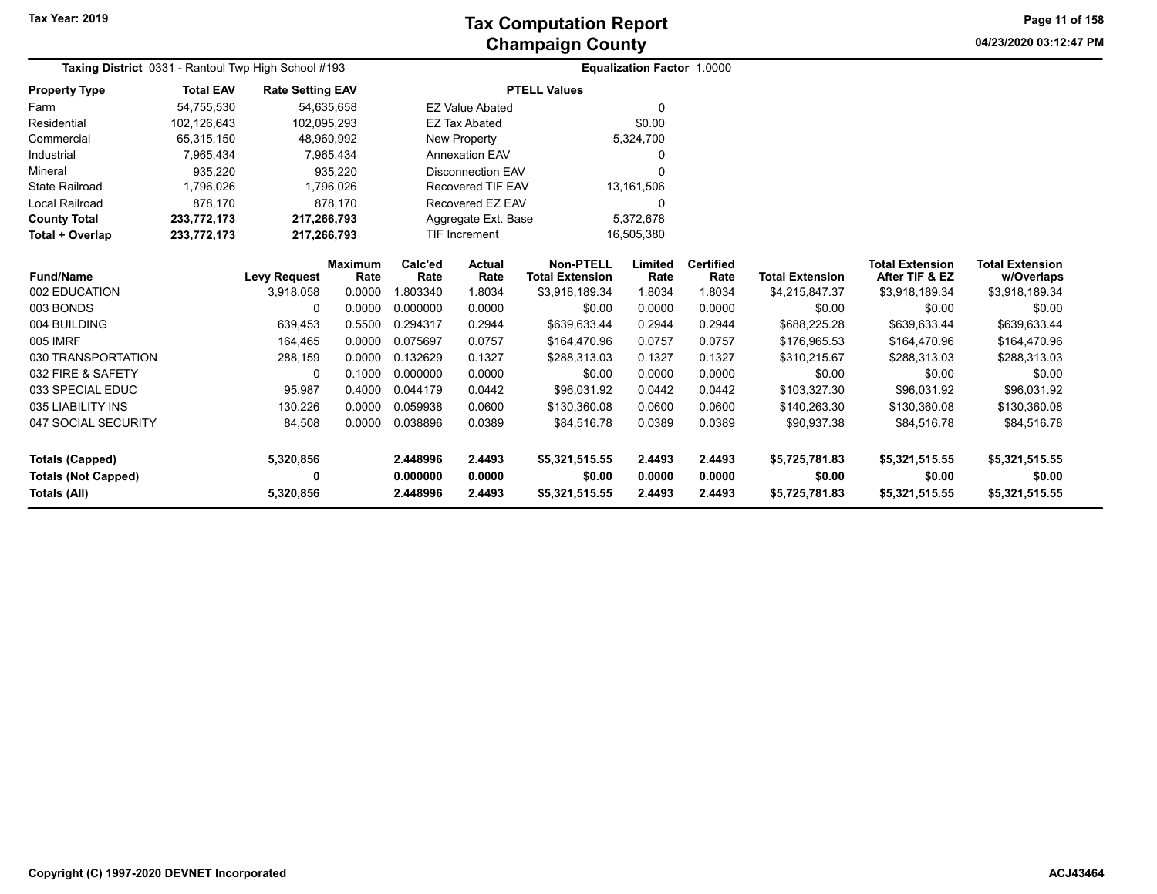**04/23/2020 03:12:47 PM Page 11 of 158**

| Taxing District 0331 - Rantoul Twp High School #193 |                  |                         |                        |                          | <b>Equalization Factor 1.0000</b> |                                            |                 |                          |                        |                                          |                                      |
|-----------------------------------------------------|------------------|-------------------------|------------------------|--------------------------|-----------------------------------|--------------------------------------------|-----------------|--------------------------|------------------------|------------------------------------------|--------------------------------------|
| <b>Property Type</b>                                | <b>Total EAV</b> | <b>Rate Setting EAV</b> |                        |                          |                                   | <b>PTELL Values</b>                        |                 |                          |                        |                                          |                                      |
| Farm                                                | 54,755,530       |                         | 54,635,658             |                          | <b>EZ Value Abated</b>            |                                            | 0               |                          |                        |                                          |                                      |
| Residential                                         | 102,126,643      | 102,095,293             |                        |                          | <b>EZ Tax Abated</b>              |                                            | \$0.00          |                          |                        |                                          |                                      |
| Commercial                                          | 65,315,150       |                         | 48,960,992             |                          | New Property                      |                                            | 5,324,700       |                          |                        |                                          |                                      |
| Industrial                                          | 7,965,434        |                         | 7,965,434              |                          | <b>Annexation EAV</b>             |                                            | 0               |                          |                        |                                          |                                      |
| Mineral                                             | 935,220          |                         | 935,220                |                          | <b>Disconnection EAV</b>          |                                            | 0               |                          |                        |                                          |                                      |
| <b>State Railroad</b>                               | 1,796,026        |                         | 1,796,026              | <b>Recovered TIF EAV</b> |                                   |                                            | 13,161,506      |                          |                        |                                          |                                      |
| <b>Local Railroad</b>                               | 878,170          |                         | 878.170                | Recovered EZ EAV         |                                   |                                            | 0               |                          |                        |                                          |                                      |
| <b>County Total</b>                                 | 233,772,173      | 217,266,793             |                        |                          | Aggregate Ext. Base               |                                            | 5,372,678       |                          |                        |                                          |                                      |
| Total + Overlap                                     | 233,772,173      | 217,266,793             |                        |                          | TIF Increment                     |                                            | 16,505,380      |                          |                        |                                          |                                      |
| <b>Fund/Name</b>                                    |                  | <b>Levy Request</b>     | <b>Maximum</b><br>Rate | Calc'ed<br>Rate          | Actual<br>Rate                    | <b>Non-PTELL</b><br><b>Total Extension</b> | Limited<br>Rate | <b>Certified</b><br>Rate | <b>Total Extension</b> | <b>Total Extension</b><br>After TIF & EZ | <b>Total Extension</b><br>w/Overlaps |
| 002 EDUCATION                                       |                  | 3,918,058               | 0.0000                 | 1.803340                 | 1.8034                            | \$3,918,189.34                             | 1.8034          | 1.8034                   | \$4,215,847.37         | \$3,918,189.34                           | \$3,918,189.34                       |
| 003 BONDS                                           |                  | 0                       | 0.0000                 | 0.000000                 | 0.0000                            | \$0.00                                     | 0.0000          | 0.0000                   | \$0.00                 | \$0.00                                   | \$0.00                               |
| 004 BUILDING                                        |                  | 639,453                 | 0.5500                 | 0.294317                 | 0.2944                            | \$639,633.44                               | 0.2944          | 0.2944                   | \$688,225.28           | \$639,633.44                             | \$639,633.44                         |
| 005 IMRF                                            |                  | 164,465                 | 0.0000                 | 0.075697                 | 0.0757                            | \$164,470.96                               | 0.0757          | 0.0757                   | \$176,965.53           | \$164,470.96                             | \$164,470.96                         |
| 030 TRANSPORTATION                                  |                  | 288,159                 | 0.0000                 | 0.132629                 | 0.1327                            | \$288,313.03                               | 0.1327          | 0.1327                   | \$310,215.67           | \$288,313.03                             | \$288,313.03                         |
| 032 FIRE & SAFETY                                   |                  | 0                       | 0.1000                 | 0.000000                 | 0.0000                            | \$0.00                                     | 0.0000          | 0.0000                   | \$0.00                 | \$0.00                                   | \$0.00                               |
| 033 SPECIAL EDUC                                    |                  | 95,987                  | 0.4000                 | 0.044179                 | 0.0442                            | \$96,031.92                                | 0.0442          | 0.0442                   | \$103,327.30           | \$96,031.92                              | \$96,031.92                          |
| 035 LIABILITY INS                                   |                  | 130,226                 | 0.0000                 | 0.059938                 | 0.0600                            | \$130,360.08                               | 0.0600          | 0.0600                   | \$140,263.30           | \$130,360.08                             | \$130,360.08                         |
| 047 SOCIAL SECURITY                                 |                  | 84,508                  | 0.0000                 | 0.038896                 | 0.0389                            | \$84,516.78                                | 0.0389          | 0.0389                   | \$90,937.38            | \$84,516.78                              | \$84,516.78                          |
| <b>Totals (Capped)</b>                              |                  | 5,320,856               |                        | 2.448996                 | 2.4493                            | \$5,321,515.55                             | 2.4493          | 2.4493                   | \$5,725,781.83         | \$5,321,515.55                           | \$5,321,515.55                       |
| <b>Totals (Not Capped)</b>                          |                  | 0                       |                        | 0.000000                 | 0.0000                            | \$0.00                                     | 0.0000          | 0.0000                   | \$0.00                 | \$0.00                                   | \$0.00                               |
| Totals (All)                                        |                  | 5,320,856               |                        | 2.448996                 | 2.4493                            | \$5,321,515.55                             | 2.4493          | 2.4493                   | \$5,725,781.83         | \$5,321,515.55                           | \$5,321,515.55                       |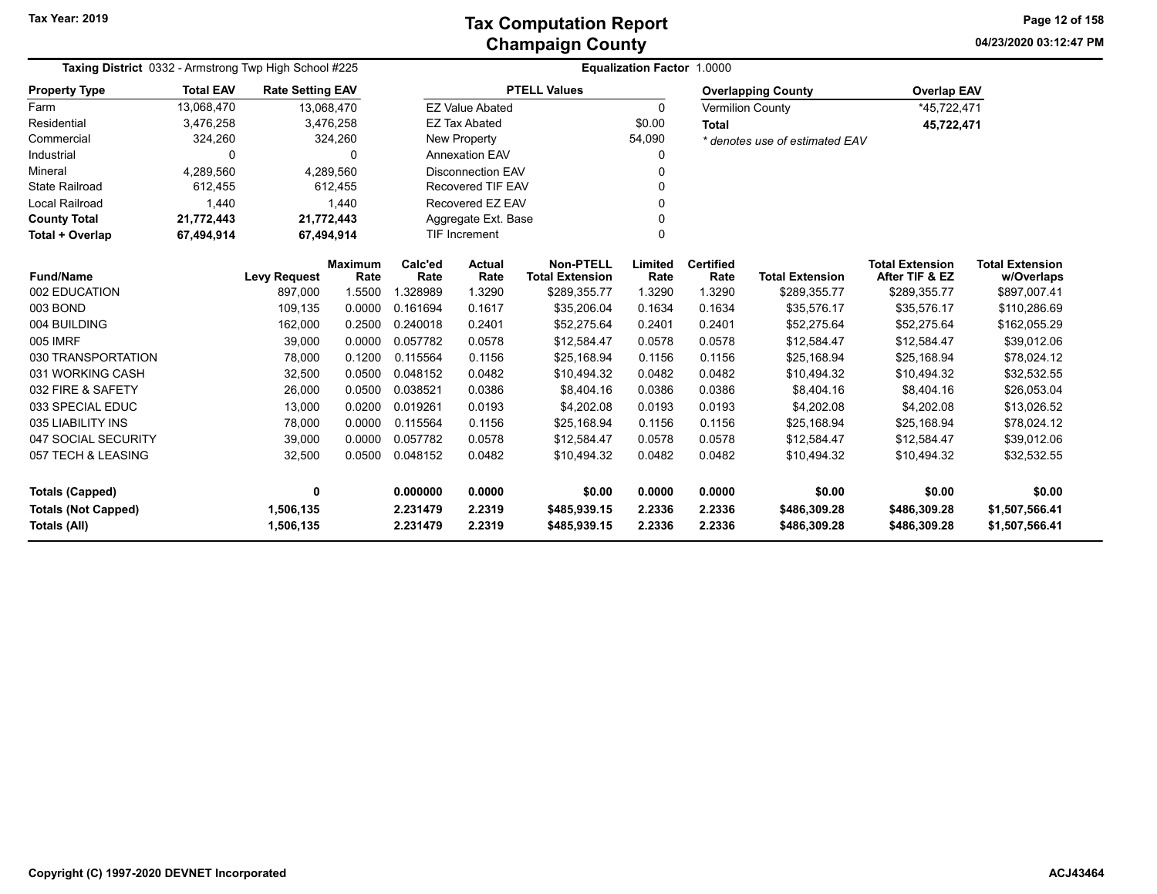**04/23/2020 03:12:47 PM Page 12 of 158**

| Taxing District 0332 - Armstrong Twp High School #225 |                  |                         |                        |                      | <b>Equalization Factor 1.0000</b> |                                            |                  |                          |                                |                                          |                                      |
|-------------------------------------------------------|------------------|-------------------------|------------------------|----------------------|-----------------------------------|--------------------------------------------|------------------|--------------------------|--------------------------------|------------------------------------------|--------------------------------------|
| <b>Property Type</b>                                  | <b>Total EAV</b> | <b>Rate Setting EAV</b> |                        |                      |                                   | <b>PTELL Values</b>                        |                  |                          | <b>Overlapping County</b>      | <b>Overlap EAV</b>                       |                                      |
| Farm                                                  | 13,068,470       |                         | 13,068,470             |                      | <b>EZ Value Abated</b>            |                                            | 0                |                          | <b>Vermilion County</b>        | *45,722,471                              |                                      |
| Residential                                           | 3,476,258        |                         | 3,476,258              |                      | <b>EZ Tax Abated</b>              |                                            | \$0.00           | <b>Total</b>             |                                | 45,722,471                               |                                      |
| Commercial                                            | 324,260          |                         | 324,260                |                      | New Property                      |                                            | 54,090           |                          | * denotes use of estimated EAV |                                          |                                      |
| Industrial                                            | 0                |                         | 0                      |                      | <b>Annexation EAV</b>             |                                            | 0                |                          |                                |                                          |                                      |
| Mineral                                               | 4,289,560        |                         | 4,289,560              |                      | <b>Disconnection EAV</b>          |                                            | 0                |                          |                                |                                          |                                      |
| <b>State Railroad</b>                                 | 612,455          |                         | 612,455                |                      | Recovered TIF EAV                 |                                            |                  |                          |                                |                                          |                                      |
| Local Railroad                                        | 1,440            |                         | 1,440                  |                      | Recovered EZ EAV                  |                                            | 0                |                          |                                |                                          |                                      |
| <b>County Total</b>                                   | 21,772,443       |                         | 21,772,443             |                      | Aggregate Ext. Base               |                                            |                  |                          |                                |                                          |                                      |
| Total + Overlap                                       | 67,494,914       |                         | 67,494,914             |                      | <b>TIF Increment</b>              |                                            | 0                |                          |                                |                                          |                                      |
| <b>Fund/Name</b>                                      |                  | <b>Levy Request</b>     | <b>Maximum</b><br>Rate | Calc'ed<br>Rate      | <b>Actual</b><br>Rate             | <b>Non-PTELL</b><br><b>Total Extension</b> | Limited<br>Rate  | <b>Certified</b><br>Rate | <b>Total Extension</b>         | <b>Total Extension</b><br>After TIF & EZ | <b>Total Extension</b><br>w/Overlaps |
| 002 EDUCATION                                         |                  | 897,000                 | 1.5500                 | 1.328989             | 1.3290                            | \$289,355.77                               | 1.3290           | 1.3290                   | \$289,355.77                   | \$289,355.77                             | \$897,007.41                         |
| 003 BOND                                              |                  | 109,135                 | 0.0000                 | 0.161694             | 0.1617                            | \$35,206.04                                | 0.1634           | 0.1634                   | \$35,576.17                    | \$35,576.17                              | \$110,286.69                         |
| 004 BUILDING                                          |                  | 162,000                 | 0.2500                 | 0.240018             | 0.2401                            | \$52,275.64                                | 0.2401           | 0.2401                   | \$52,275.64                    | \$52,275.64                              | \$162,055.29                         |
| 005 IMRF                                              |                  | 39,000                  | 0.0000                 | 0.057782             | 0.0578                            | \$12,584.47                                | 0.0578           | 0.0578                   | \$12,584.47                    | \$12,584.47                              | \$39,012.06                          |
| 030 TRANSPORTATION                                    |                  | 78,000                  | 0.1200                 | 0.115564             | 0.1156                            | \$25,168.94                                | 0.1156           | 0.1156                   | \$25,168.94                    | \$25,168.94                              | \$78,024.12                          |
| 031 WORKING CASH                                      |                  | 32,500                  | 0.0500                 | 0.048152             | 0.0482                            | \$10,494.32                                | 0.0482           | 0.0482                   | \$10,494.32                    | \$10,494.32                              | \$32,532.55                          |
| 032 FIRE & SAFETY                                     |                  | 26,000                  | 0.0500                 | 0.038521             | 0.0386                            | \$8,404.16                                 | 0.0386           | 0.0386                   | \$8,404.16                     | \$8,404.16                               | \$26,053.04                          |
| 033 SPECIAL EDUC                                      |                  | 13,000                  | 0.0200                 | 0.019261             | 0.0193                            | \$4,202.08                                 | 0.0193           | 0.0193                   | \$4,202.08                     | \$4,202.08                               | \$13,026.52                          |
| 035 LIABILITY INS                                     |                  | 78,000                  | 0.0000                 | 0.115564             | 0.1156                            | \$25,168.94                                | 0.1156           | 0.1156                   | \$25,168.94                    | \$25,168.94                              | \$78,024.12                          |
| 047 SOCIAL SECURITY                                   |                  | 39,000                  | 0.0000                 | 0.057782             | 0.0578                            | \$12,584.47                                | 0.0578           | 0.0578                   | \$12,584.47                    | \$12,584.47                              | \$39,012.06                          |
| 057 TECH & LEASING                                    |                  | 32,500                  | 0.0500                 | 0.048152             | 0.0482                            | \$10,494.32                                | 0.0482           | 0.0482                   | \$10,494.32                    | \$10,494.32                              | \$32,532.55                          |
| <b>Totals (Capped)</b>                                |                  | 0                       |                        | 0.000000             | 0.0000                            | \$0.00                                     | 0.0000           | 0.0000                   | \$0.00                         | \$0.00                                   | \$0.00                               |
| <b>Totals (Not Capped)</b><br><b>Totals (All)</b>     |                  | 1,506,135<br>1,506,135  |                        | 2.231479<br>2.231479 | 2.2319<br>2.2319                  | \$485,939.15<br>\$485,939.15               | 2.2336<br>2.2336 | 2.2336<br>2.2336         | \$486,309.28<br>\$486,309.28   | \$486,309.28<br>\$486,309.28             | \$1,507,566.41<br>\$1,507,566.41     |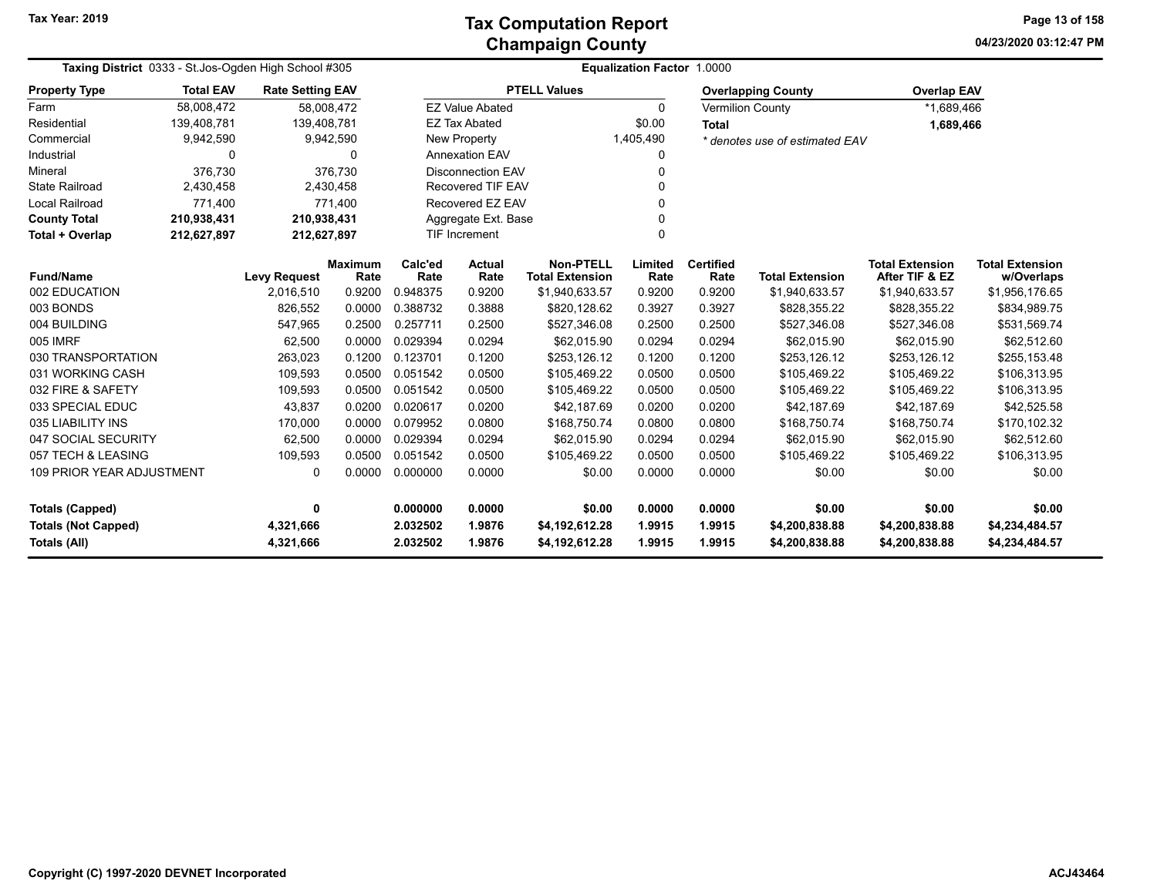**04/23/2020 03:12:47 PM Page 13 of 158**

| Taxing District 0333 - St. Jos-Ogden High School #305                                                         |                  | Equalization Factor 1.0000 |                        |                 |                          |                                            |                 |                          |                                |                                          |                                      |  |
|---------------------------------------------------------------------------------------------------------------|------------------|----------------------------|------------------------|-----------------|--------------------------|--------------------------------------------|-----------------|--------------------------|--------------------------------|------------------------------------------|--------------------------------------|--|
| <b>Property Type</b>                                                                                          | <b>Total EAV</b> | <b>Rate Setting EAV</b>    |                        |                 |                          | <b>PTELL Values</b>                        |                 |                          | <b>Overlapping County</b>      | <b>Overlap EAV</b>                       |                                      |  |
| Farm                                                                                                          | 58,008,472       | 58,008,472                 |                        |                 | <b>EZ Value Abated</b>   |                                            | $\mathbf{0}$    |                          | <b>Vermilion County</b>        | *1,689,466                               |                                      |  |
| Residential                                                                                                   | 139,408,781      | 139,408,781                |                        |                 | <b>EZ Tax Abated</b>     |                                            | \$0.00          | <b>Total</b>             |                                | 1,689,466                                |                                      |  |
| Commercial                                                                                                    | 9,942,590        |                            | 9,942,590              |                 | New Property             |                                            | 1,405,490       |                          | * denotes use of estimated EAV |                                          |                                      |  |
| Industrial                                                                                                    | 0                |                            | 0                      |                 | <b>Annexation EAV</b>    |                                            | 0               |                          |                                |                                          |                                      |  |
| Mineral                                                                                                       | 376.730          |                            | 376,730                |                 | Disconnection EAV        |                                            |                 |                          |                                |                                          |                                      |  |
| <b>State Railroad</b>                                                                                         | 2,430,458        |                            | 2,430,458              |                 | Recovered TIF EAV        |                                            |                 |                          |                                |                                          |                                      |  |
| <b>Local Railroad</b>                                                                                         | 771,400          |                            | 771,400                |                 | Recovered EZ EAV         | $\Omega$                                   |                 |                          |                                |                                          |                                      |  |
| <b>County Total</b>                                                                                           | 210,938,431      | 210,938,431                |                        |                 | Aggregate Ext. Base<br>O |                                            |                 |                          |                                |                                          |                                      |  |
| Total + Overlap                                                                                               | 212,627,897      | 212,627,897                |                        |                 | TIF Increment            |                                            | $\Omega$        |                          |                                |                                          |                                      |  |
| <b>Fund/Name</b>                                                                                              |                  | <b>Levy Request</b>        | <b>Maximum</b><br>Rate | Calc'ed<br>Rate | Actual<br>Rate           | <b>Non-PTELL</b><br><b>Total Extension</b> | Limited<br>Rate | <b>Certified</b><br>Rate | <b>Total Extension</b>         | <b>Total Extension</b><br>After TIF & EZ | <b>Total Extension</b><br>w/Overlaps |  |
| 002 EDUCATION                                                                                                 |                  | 2,016,510                  | 0.9200                 | 0.948375        | 0.9200                   | \$1,940,633.57                             | 0.9200          | 0.9200                   | \$1,940,633.57                 | \$1,940,633.57                           | \$1,956,176.65                       |  |
| 003 BONDS                                                                                                     |                  | 826,552                    | 0.0000                 | 0.388732        | 0.3888                   | \$820,128.62                               | 0.3927          | 0.3927                   | \$828,355.22                   | \$828,355.22                             | \$834,989.75                         |  |
| 004 BUILDING                                                                                                  |                  | 547,965                    | 0.2500                 | 0.257711        | 0.2500                   | \$527,346.08                               | 0.2500          | 0.2500                   | \$527,346.08                   | \$527,346.08                             | \$531,569.74                         |  |
| 005 IMRF                                                                                                      |                  | 62,500                     | 0.0000                 | 0.029394        | 0.0294                   | \$62,015.90                                | 0.0294          | 0.0294                   | \$62,015.90                    | \$62,015.90                              | \$62,512.60                          |  |
| 030 TRANSPORTATION                                                                                            |                  | 263,023                    | 0.1200                 | 0.123701        | 0.1200                   | \$253,126.12                               | 0.1200          | 0.1200                   | \$253,126.12                   | \$253,126.12                             | \$255,153.48                         |  |
| 031 WORKING CASH                                                                                              |                  | 109,593                    | 0.0500                 | 0.051542        | 0.0500                   | \$105,469.22                               | 0.0500          | 0.0500                   | \$105,469.22                   | \$105,469.22                             | \$106,313.95                         |  |
| 032 FIRE & SAFETY                                                                                             |                  | 109,593                    | 0.0500                 | 0.051542        | 0.0500                   | \$105,469.22                               | 0.0500          | 0.0500                   | \$105,469.22                   | \$105,469.22                             | \$106,313.95                         |  |
| 033 SPECIAL EDUC                                                                                              |                  | 43,837                     | 0.0200                 | 0.020617        | 0.0200                   | \$42,187.69                                | 0.0200          | 0.0200                   | \$42,187.69                    | \$42,187.69                              | \$42,525.58                          |  |
| 035 LIABILITY INS                                                                                             |                  | 170,000                    | 0.0000                 | 0.079952        | 0.0800                   | \$168,750.74                               | 0.0800          | 0.0800                   | \$168,750.74                   | \$168,750.74                             | \$170,102.32                         |  |
| 047 SOCIAL SECURITY                                                                                           |                  | 62,500                     | 0.0000                 | 0.029394        | 0.0294                   | \$62,015.90                                | 0.0294          | 0.0294                   | \$62,015.90                    | \$62,015.90                              | \$62,512.60                          |  |
| 057 TECH & LEASING                                                                                            |                  | 109,593                    | 0.0500                 | 0.051542        | 0.0500                   | \$105,469.22                               | 0.0500          | 0.0500                   | \$105,469.22                   | \$105,469.22                             | \$106,313.95                         |  |
| 109 PRIOR YEAR ADJUSTMENT<br>0.0000<br>0.000000<br>0.0000<br>\$0.00<br>0.0000<br>0.0000<br>\$0.00<br>$\Omega$ |                  |                            |                        | \$0.00          | \$0.00                   |                                            |                 |                          |                                |                                          |                                      |  |
| 0.000000<br>0.0000<br>0.0000<br>0.0000<br>\$0.00<br>\$0.00<br><b>Totals (Capped)</b><br>0<br>\$0.00           |                  |                            |                        |                 | \$0.00                   |                                            |                 |                          |                                |                                          |                                      |  |
| <b>Totals (Not Capped)</b>                                                                                    |                  | 4,321,666                  |                        | 2.032502        | 1.9876                   | \$4,192,612.28                             | 1.9915          | 1.9915                   | \$4,200,838.88                 | \$4,200,838.88<br>\$4,234,484.57         |                                      |  |
| <b>Totals (All)</b>                                                                                           |                  | 4,321,666                  |                        | 2.032502        | 1.9876                   | \$4,192,612.28                             | 1.9915          |                          | \$4,200,838.88                 | \$4,200,838.88                           | \$4,234,484.57                       |  |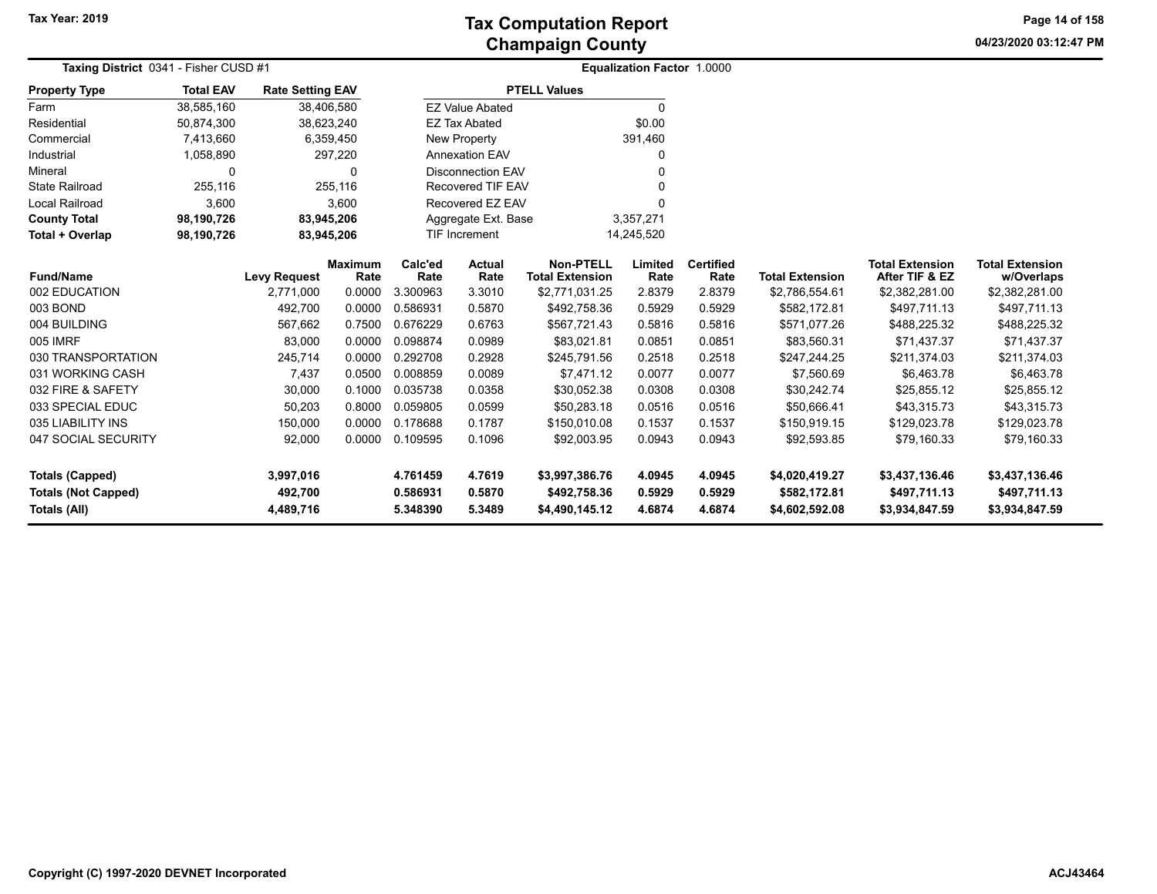**04/23/2020 03:12:47 PM Page 14 of 158**

| Taxing District 0341 - Fisher CUSD #1 |                  |                         |                        |                 | Equalization Factor 1.0000 |                                            |                 |                          |                        |                                          |                                      |
|---------------------------------------|------------------|-------------------------|------------------------|-----------------|----------------------------|--------------------------------------------|-----------------|--------------------------|------------------------|------------------------------------------|--------------------------------------|
| <b>Property Type</b>                  | <b>Total EAV</b> | <b>Rate Setting EAV</b> |                        |                 |                            | <b>PTELL Values</b>                        |                 |                          |                        |                                          |                                      |
| Farm                                  | 38,585,160       | 38,406,580              |                        |                 | <b>EZ Value Abated</b>     |                                            | $\Omega$        |                          |                        |                                          |                                      |
| Residential                           | 50,874,300       | 38,623,240              |                        |                 | <b>EZ Tax Abated</b>       |                                            | \$0.00          |                          |                        |                                          |                                      |
| Commercial                            | 7,413,660        |                         | 6,359,450              |                 | New Property               |                                            | 391,460         |                          |                        |                                          |                                      |
| Industrial                            | 1,058,890        |                         | 297,220                |                 | <b>Annexation EAV</b>      |                                            | 0               |                          |                        |                                          |                                      |
| Mineral                               | <sup>0</sup>     |                         | 0                      |                 | <b>Disconnection EAV</b>   |                                            | ∩               |                          |                        |                                          |                                      |
| <b>State Railroad</b>                 | 255,116          |                         | 255,116                |                 | <b>Recovered TIF EAV</b>   |                                            | $\Omega$        |                          |                        |                                          |                                      |
| <b>Local Railroad</b>                 | 3,600            |                         | 3,600                  |                 | Recovered EZ EAV           |                                            | $\Omega$        |                          |                        |                                          |                                      |
| <b>County Total</b>                   | 98,190,726       | 83,945,206              |                        |                 | Aggregate Ext. Base        |                                            | 3,357,271       |                          |                        |                                          |                                      |
| Total + Overlap                       | 98,190,726       | 83,945,206              |                        |                 | TIF Increment              |                                            | 14,245,520      |                          |                        |                                          |                                      |
| <b>Fund/Name</b>                      |                  | <b>Levy Request</b>     | <b>Maximum</b><br>Rate | Calc'ed<br>Rate | <b>Actual</b><br>Rate      | <b>Non-PTELL</b><br><b>Total Extension</b> | Limited<br>Rate | <b>Certified</b><br>Rate | <b>Total Extension</b> | <b>Total Extension</b><br>After TIF & EZ | <b>Total Extension</b><br>w/Overlaps |
| 002 EDUCATION                         |                  | 2,771,000               | 0.0000                 | 3.300963        | 3.3010                     | \$2,771,031.25                             | 2.8379          | 2.8379                   | \$2,786,554.61         | \$2,382,281.00                           | \$2,382,281.00                       |
| 003 BOND                              |                  | 492,700                 | 0.0000                 | 0.586931        | 0.5870                     | \$492,758.36                               | 0.5929          | 0.5929                   | \$582,172.81           | \$497,711.13                             | \$497,711.13                         |
| 004 BUILDING                          |                  | 567,662                 | 0.7500                 | 0.676229        | 0.6763                     | \$567,721.43                               | 0.5816          | 0.5816                   | \$571,077.26           | \$488,225.32                             | \$488,225.32                         |
| 005 IMRF                              |                  | 83,000                  | 0.0000                 | 0.098874        | 0.0989                     | \$83,021.81                                | 0.0851          | 0.0851                   | \$83,560.31            | \$71,437.37                              | \$71,437.37                          |
| 030 TRANSPORTATION                    |                  | 245,714                 | 0.0000                 | 0.292708        | 0.2928                     | \$245,791.56                               | 0.2518          | 0.2518                   | \$247,244.25           | \$211,374.03                             | \$211,374.03                         |
| 031 WORKING CASH                      |                  | 7,437                   | 0.0500                 | 0.008859        | 0.0089                     | \$7,471.12                                 | 0.0077          | 0.0077                   | \$7,560.69             | \$6,463.78                               | \$6,463.78                           |
| 032 FIRE & SAFETY                     |                  | 30,000                  | 0.1000                 | 0.035738        | 0.0358                     | \$30,052.38                                | 0.0308          | 0.0308                   | \$30,242.74            | \$25,855.12                              | \$25,855.12                          |
| 033 SPECIAL EDUC                      |                  | 50,203                  | 0.8000                 | 0.059805        | 0.0599                     | \$50,283.18                                | 0.0516          | 0.0516                   | \$50,666.41            | \$43,315.73                              | \$43,315.73                          |
| 035 LIABILITY INS                     |                  | 150,000                 | 0.0000                 | 0.178688        | 0.1787                     | \$150,010.08                               | 0.1537          | 0.1537                   | \$150,919.15           | \$129,023.78                             | \$129,023.78                         |
| 047 SOCIAL SECURITY                   |                  | 92,000                  | 0.0000                 | 0.109595        | 0.1096                     | \$92,003.95                                | 0.0943          | 0.0943                   | \$92,593.85            | \$79,160.33                              | \$79,160.33                          |
|                                       |                  |                         |                        |                 |                            |                                            |                 |                          |                        |                                          |                                      |
| <b>Totals (Capped)</b>                |                  | 3,997,016               |                        | 4.761459        | 4.7619                     | \$3,997,386.76                             | 4.0945          | 4.0945                   | \$4,020,419.27         | \$3,437,136.46                           | \$3,437,136.46                       |
| <b>Totals (Not Capped)</b>            |                  | 492,700                 |                        | 0.586931        | 0.5870                     | \$492,758.36                               | 0.5929          | 0.5929                   | \$582,172.81           | \$497,711.13                             | \$497,711.13                         |
| Totals (All)                          |                  | 4,489,716               |                        | 5.348390        | 5.3489                     | \$4,490,145.12                             | 4.6874          | 4.6874                   | \$4,602,592.08         | \$3,934,847.59                           | \$3,934,847.59                       |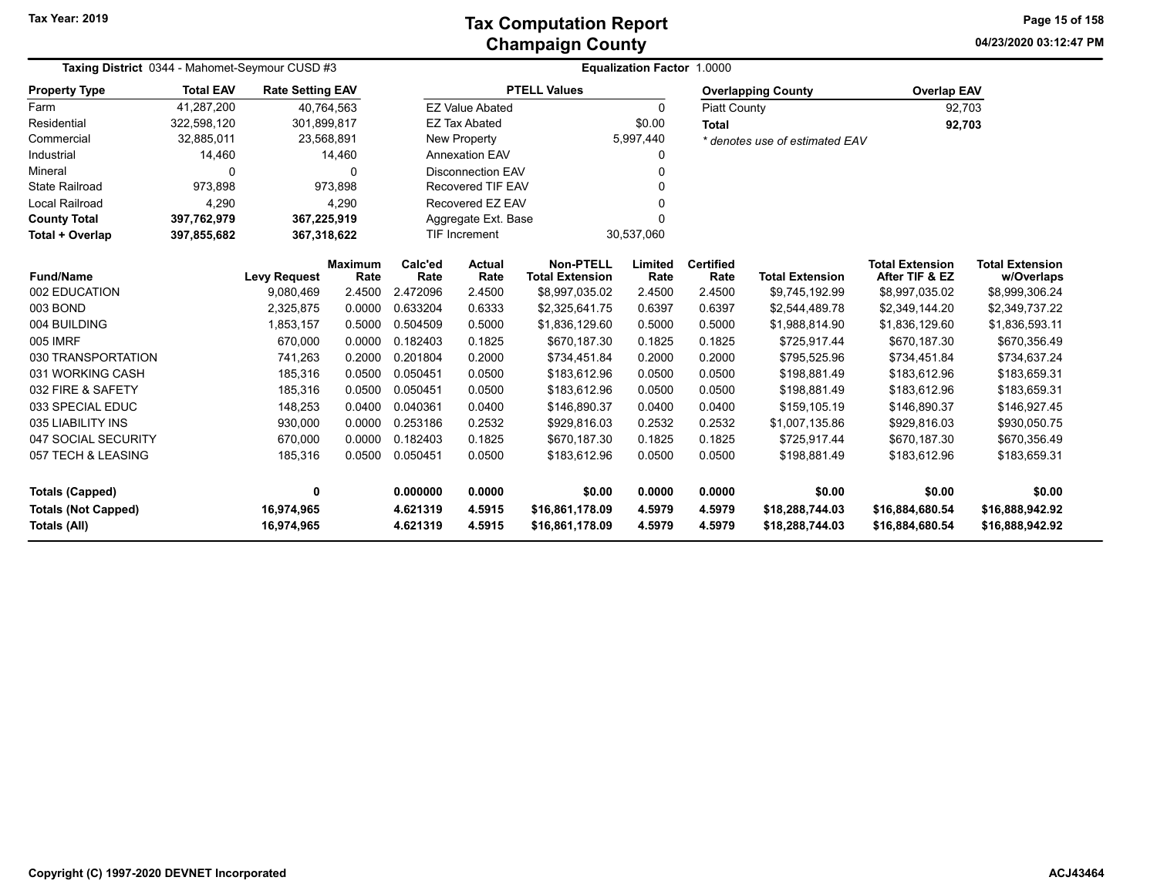**04/23/2020 03:12:47 PM Page 15 of 158**

| Taxing District 0344 - Mahomet-Seymour CUSD #3 |                  |                         |                 |                 |                                      |                                            | <b>Equalization Factor 1.0000</b> |                          |                                |                                          |                                      |
|------------------------------------------------|------------------|-------------------------|-----------------|-----------------|--------------------------------------|--------------------------------------------|-----------------------------------|--------------------------|--------------------------------|------------------------------------------|--------------------------------------|
| <b>Property Type</b>                           | <b>Total EAV</b> | <b>Rate Setting EAV</b> |                 |                 |                                      | <b>PTELL Values</b>                        |                                   |                          | <b>Overlapping County</b>      | <b>Overlap EAV</b>                       |                                      |
| Farm                                           | 41,287,200       | 40,764,563              |                 |                 | <b>EZ Value Abated</b>               |                                            | $\mathbf{0}$                      | <b>Piatt County</b>      |                                | 92,703                                   |                                      |
| Residential                                    | 322,598,120      | 301,899,817             |                 |                 | <b>EZ Tax Abated</b>                 |                                            | \$0.00                            | <b>Total</b>             |                                | 92,703                                   |                                      |
| Commercial                                     | 32,885,011       | 23,568,891              |                 |                 | New Property                         |                                            | 5,997,440                         |                          | * denotes use of estimated EAV |                                          |                                      |
| Industrial                                     | 14,460           |                         | 14,460          |                 | <b>Annexation EAV</b><br>0           |                                            |                                   |                          |                                |                                          |                                      |
| Mineral                                        | $\Omega$         |                         | $\Omega$        |                 | <b>Disconnection EAV</b><br>$\Omega$ |                                            |                                   |                          |                                |                                          |                                      |
| <b>State Railroad</b>                          | 973,898          |                         | 973.898         |                 | <b>Recovered TIF EAV</b><br>$\Omega$ |                                            |                                   |                          |                                |                                          |                                      |
| <b>Local Railroad</b>                          | 4,290            |                         | 4,290           |                 | Recovered EZ EAV<br>$\Omega$         |                                            |                                   |                          |                                |                                          |                                      |
| <b>County Total</b>                            | 397,762,979      | 367,225,919             |                 |                 | Aggregate Ext. Base<br>$\Omega$      |                                            |                                   |                          |                                |                                          |                                      |
| Total + Overlap                                | 397,855,682      | 367,318,622             |                 |                 | <b>TIF Increment</b>                 |                                            | 30,537,060                        |                          |                                |                                          |                                      |
| <b>Fund/Name</b>                               |                  | <b>Levy Request</b>     | Maximum<br>Rate | Calc'ed<br>Rate | <b>Actual</b><br>Rate                | <b>Non-PTELL</b><br><b>Total Extension</b> | Limited<br>Rate                   | <b>Certified</b><br>Rate | <b>Total Extension</b>         | <b>Total Extension</b><br>After TIF & EZ | <b>Total Extension</b><br>w/Overlaps |
| 002 EDUCATION                                  |                  | 9,080,469               | 2.4500          | 2.472096        | 2.4500                               | \$8,997,035.02                             | 2.4500                            | 2.4500                   | \$9,745,192.99                 | \$8,997,035.02                           | \$8,999,306.24                       |
| 003 BOND                                       |                  | 2,325,875               | 0.0000          | 0.633204        | 0.6333                               | \$2,325,641.75                             | 0.6397                            | 0.6397                   | \$2,544,489.78                 | \$2,349,144.20                           | \$2,349,737.22                       |
| 004 BUILDING                                   |                  | 1,853,157               | 0.5000          | 0.504509        | 0.5000                               | \$1,836,129.60                             | 0.5000                            | 0.5000                   | \$1,988,814.90                 | \$1,836,129.60                           | \$1,836,593.11                       |
| 005 IMRF                                       |                  | 670,000                 | 0.0000          | 0.182403        | 0.1825                               | \$670,187.30                               | 0.1825                            | 0.1825                   | \$725,917.44                   | \$670,187.30                             | \$670,356.49                         |
| 030 TRANSPORTATION                             |                  | 741,263                 | 0.2000          | 0.201804        | 0.2000                               | \$734,451.84                               | 0.2000                            | 0.2000                   | \$795,525.96                   | \$734,451.84                             | \$734,637.24                         |
| 031 WORKING CASH                               |                  | 185,316                 | 0.0500          | 0.050451        | 0.0500                               | \$183,612.96                               | 0.0500                            | 0.0500                   | \$198,881.49                   | \$183,612.96                             | \$183,659.31                         |
| 032 FIRE & SAFETY                              |                  | 185,316                 | 0.0500          | 0.050451        | 0.0500                               | \$183,612.96                               | 0.0500                            | 0.0500                   | \$198,881.49                   | \$183,612.96                             | \$183,659.31                         |
| 033 SPECIAL EDUC                               |                  | 148,253                 | 0.0400          | 0.040361        | 0.0400                               | \$146,890.37                               | 0.0400                            | 0.0400                   | \$159,105.19                   | \$146,890.37                             | \$146,927.45                         |
| 035 LIABILITY INS                              |                  | 930,000                 | 0.0000          | 0.253186        | 0.2532                               | \$929,816.03                               | 0.2532                            | 0.2532                   | \$1,007,135.86                 | \$929,816.03                             | \$930,050.75                         |
| 047 SOCIAL SECURITY                            |                  | 670,000                 | 0.0000          | 0.182403        | 0.1825                               | \$670,187.30                               | 0.1825                            | 0.1825                   | \$725,917.44                   | \$670,187.30                             | \$670,356.49                         |
| 057 TECH & LEASING                             |                  | 185,316                 | 0.0500          | 0.050451        | 0.0500                               | \$183,612.96                               | 0.0500                            | 0.0500                   | \$198,881.49                   | \$183,612.96                             | \$183,659.31                         |
| <b>Totals (Capped)</b>                         |                  | 0                       |                 | 0.000000        | 0.0000                               | \$0.00                                     | 0.0000                            | 0.0000                   | \$0.00                         | \$0.00                                   | \$0.00                               |
| <b>Totals (Not Capped)</b>                     |                  | 16,974,965              |                 | 4.621319        | 4.5915                               | \$16,861,178.09                            | 4.5979                            | 4.5979                   | \$18,288,744.03                | \$16,884,680.54                          | \$16,888,942.92                      |
| Totals (All)                                   |                  | 16,974,965              |                 | 4.621319        | 4.5915                               | \$16,861,178.09                            | 4.5979                            | 4.5979                   | \$18,288,744.03                | \$16,884,680.54                          | \$16,888,942.92                      |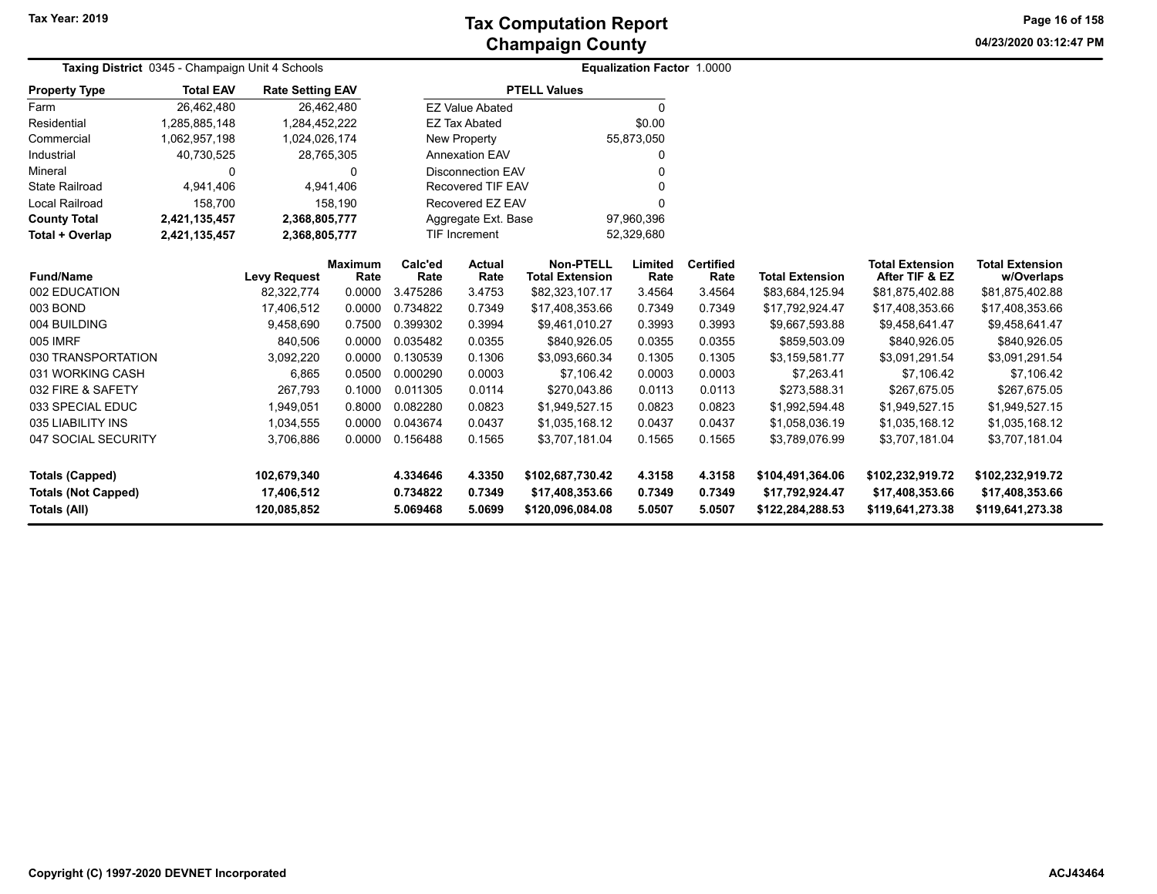**04/23/2020 03:12:47 PM Page 16 of 158**

| Taxing District 0345 - Champaign Unit 4 Schools   | Equalization Factor 1.0000 |                           |                        |                      |                                   |                                            |                  |                          |                                     |                                          |                                      |
|---------------------------------------------------|----------------------------|---------------------------|------------------------|----------------------|-----------------------------------|--------------------------------------------|------------------|--------------------------|-------------------------------------|------------------------------------------|--------------------------------------|
| <b>Property Type</b>                              | <b>Total EAV</b>           | <b>Rate Setting EAV</b>   |                        |                      |                                   | <b>PTELL Values</b>                        |                  |                          |                                     |                                          |                                      |
| Farm                                              | 26,462,480                 | 26,462,480                |                        |                      | <b>EZ Value Abated</b>            |                                            | $\Omega$         |                          |                                     |                                          |                                      |
| Residential                                       | 1,285,885,148              | 1,284,452,222             |                        |                      | <b>EZ Tax Abated</b>              |                                            | \$0.00           |                          |                                     |                                          |                                      |
| Commercial                                        | 1,062,957,198              | 1,024,026,174             |                        |                      | <b>New Property</b><br>55,873,050 |                                            |                  |                          |                                     |                                          |                                      |
| Industrial                                        | 40,730,525                 | 28,765,305                |                        |                      | <b>Annexation EAV</b>             |                                            | ი                |                          |                                     |                                          |                                      |
| Mineral                                           | 0                          |                           | $\Omega$               |                      | <b>Disconnection EAV</b>          |                                            |                  |                          |                                     |                                          |                                      |
| <b>State Railroad</b>                             | 4,941,406                  |                           | 4,941,406              |                      | <b>Recovered TIF EAV</b><br>ი     |                                            |                  |                          |                                     |                                          |                                      |
| Local Railroad                                    | 158,700                    |                           | 158,190                |                      | Recovered EZ EAV                  |                                            |                  |                          |                                     |                                          |                                      |
| <b>County Total</b>                               | 2,421,135,457              | 2,368,805,777             |                        |                      | Aggregate Ext. Base               |                                            | 97,960,396       |                          |                                     |                                          |                                      |
| Total + Overlap                                   | 2,421,135,457              | 2,368,805,777             |                        |                      | <b>TIF Increment</b>              |                                            | 52,329,680       |                          |                                     |                                          |                                      |
| <b>Fund/Name</b>                                  |                            | <b>Levy Request</b>       | <b>Maximum</b><br>Rate | Calc'ed<br>Rate      | Actual<br>Rate                    | <b>Non-PTELL</b><br><b>Total Extension</b> | Limited<br>Rate  | <b>Certified</b><br>Rate | <b>Total Extension</b>              | <b>Total Extension</b><br>After TIF & EZ | <b>Total Extension</b><br>w/Overlaps |
| 002 EDUCATION                                     |                            | 82,322,774                | 0.0000                 | 3.475286             | 3.4753                            | \$82,323,107.17                            | 3.4564           | 3.4564                   | \$83,684,125.94                     | \$81,875,402.88                          | \$81,875,402.88                      |
| 003 BOND                                          |                            | 17,406,512                | 0.0000                 | 0.734822             | 0.7349                            | \$17,408,353.66                            | 0.7349           | 0.7349                   | \$17,792,924.47                     | \$17,408,353.66                          | \$17,408,353.66                      |
| 004 BUILDING                                      |                            | 9,458,690                 | 0.7500                 | 0.399302             | 0.3994                            | \$9,461,010.27                             | 0.3993           | 0.3993                   | \$9,667,593.88                      | \$9,458,641.47                           | \$9,458,641.47                       |
| 005 IMRF                                          |                            | 840,506                   | 0.0000                 | 0.035482             | 0.0355                            | \$840.926.05                               | 0.0355           | 0.0355                   | \$859,503.09                        | \$840,926.05                             | \$840,926.05                         |
| 030 TRANSPORTATION                                |                            | 3,092,220                 | 0.0000                 | 0.130539             | 0.1306                            | \$3,093,660.34                             | 0.1305           | 0.1305                   | \$3,159,581.77                      | \$3,091,291.54                           | \$3,091,291.54                       |
| 031 WORKING CASH                                  |                            | 6,865                     | 0.0500                 | 0.000290             | 0.0003                            | \$7,106.42                                 | 0.0003           | 0.0003                   | \$7,263.41                          | \$7,106.42                               | \$7,106.42                           |
| 032 FIRE & SAFETY                                 |                            | 267,793                   | 0.1000                 | 0.011305             | 0.0114                            | \$270,043.86                               | 0.0113           | 0.0113                   | \$273,588.31                        | \$267,675.05                             | \$267,675.05                         |
| 033 SPECIAL EDUC                                  |                            | 1,949,051                 | 0.8000                 | 0.082280             | 0.0823                            | \$1,949,527.15                             | 0.0823           | 0.0823                   | \$1,992,594.48                      | \$1,949,527.15                           | \$1,949,527.15                       |
| 035 LIABILITY INS                                 |                            | 1,034,555                 | 0.0000                 | 0.043674             | 0.0437                            | \$1,035,168.12                             | 0.0437           | 0.0437                   | \$1,058,036.19                      | \$1,035,168.12                           | \$1,035,168.12                       |
| 047 SOCIAL SECURITY                               |                            | 3,706,886                 | 0.0000                 | 0.156488             | 0.1565                            | \$3.707.181.04                             | 0.1565           | 0.1565                   | \$3,789,076.99                      | \$3,707,181.04                           | \$3,707,181.04                       |
| <b>Totals (Capped)</b>                            |                            | 102,679,340               |                        | 4.334646             | 4.3350                            | \$102,687,730.42                           | 4.3158           | 4.3158                   | \$104,491,364.06                    | \$102,232,919.72                         | \$102,232,919.72                     |
| <b>Totals (Not Capped)</b><br><b>Totals (All)</b> |                            | 17,406,512<br>120,085,852 |                        | 0.734822<br>5.069468 | 0.7349<br>5.0699                  | \$17,408,353.66<br>\$120,096,084.08        | 0.7349<br>5.0507 | 0.7349<br>5.0507         | \$17,792,924.47<br>\$122,284,288.53 | \$17,408,353.66<br>\$119,641,273.38      | \$17,408,353.66<br>\$119,641,273.38  |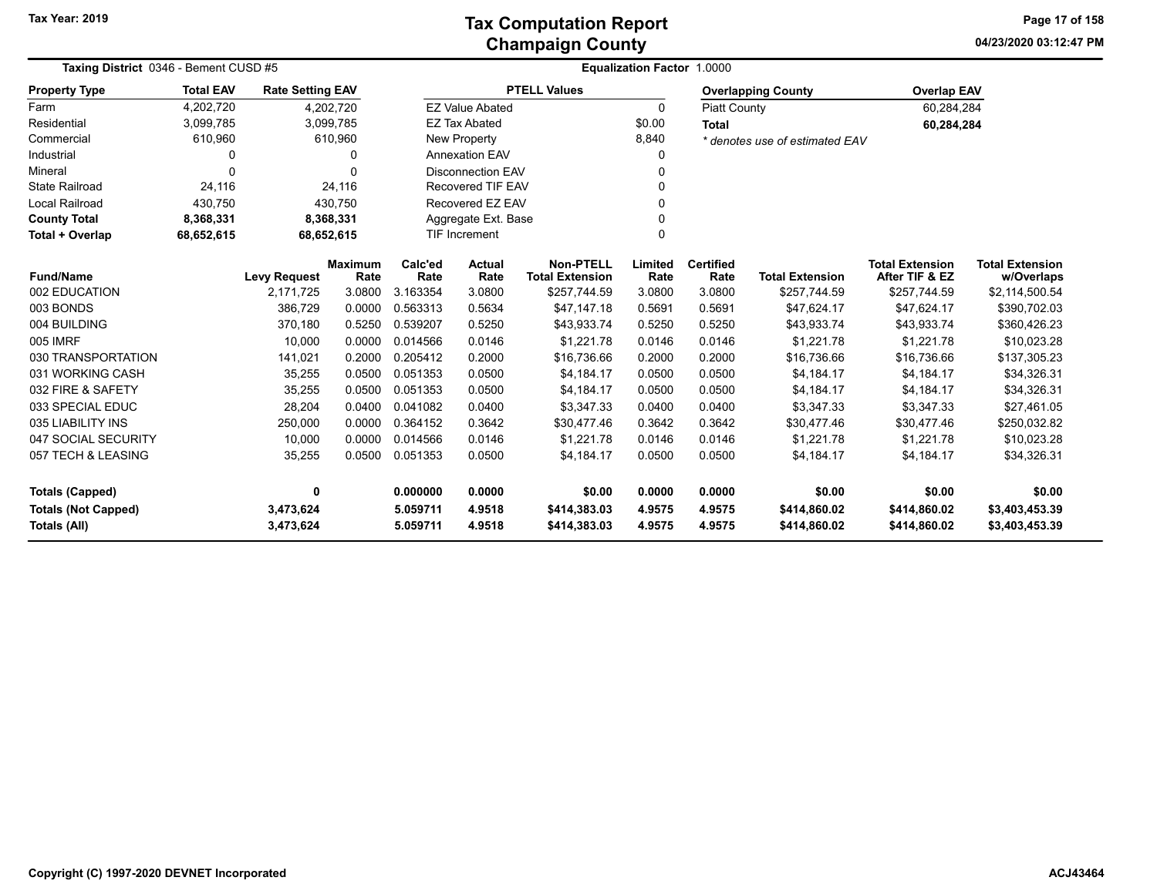**04/23/2020 03:12:47 PM Page 17 of 158**

| Taxing District 0346 - Bement CUSD #5                                |                  |                         |                        | <b>Equalization Factor 1.0000</b> |                               |                                            |                  |                              |                                |                                          |                                      |  |  |
|----------------------------------------------------------------------|------------------|-------------------------|------------------------|-----------------------------------|-------------------------------|--------------------------------------------|------------------|------------------------------|--------------------------------|------------------------------------------|--------------------------------------|--|--|
| <b>Property Type</b>                                                 | <b>Total EAV</b> | <b>Rate Setting EAV</b> |                        |                                   |                               | <b>PTELL Values</b>                        |                  |                              | <b>Overlapping County</b>      | <b>Overlap EAV</b>                       |                                      |  |  |
| Farm                                                                 | 4,202,720        |                         | 4,202,720              |                                   | <b>EZ Value Abated</b>        |                                            | 0                | <b>Piatt County</b>          |                                | 60,284,284                               |                                      |  |  |
| Residential                                                          | 3,099,785        |                         | 3,099,785              |                                   | <b>EZ Tax Abated</b>          |                                            | \$0.00           | <b>Total</b>                 |                                | 60,284,284                               |                                      |  |  |
| Commercial                                                           | 610,960          |                         | 610,960                |                                   | New Property                  |                                            | 8,840            |                              | * denotes use of estimated EAV |                                          |                                      |  |  |
| Industrial                                                           | 0                |                         | 0                      |                                   | Annexation EAV                |                                            | 0                |                              |                                |                                          |                                      |  |  |
| Mineral                                                              | $\Omega$         |                         | ∩                      |                                   | <b>Disconnection EAV</b><br>U |                                            |                  |                              |                                |                                          |                                      |  |  |
| <b>State Railroad</b>                                                | 24,116           |                         | 24,116                 |                                   | Recovered TIF EAV             |                                            |                  |                              |                                |                                          |                                      |  |  |
| <b>Local Railroad</b>                                                | 430,750          |                         | 430,750                |                                   | Recovered EZ EAV<br>U         |                                            |                  |                              |                                |                                          |                                      |  |  |
| <b>County Total</b>                                                  | 8,368,331        |                         | 8,368,331              |                                   | Aggregate Ext. Base           |                                            |                  |                              |                                |                                          |                                      |  |  |
| Total + Overlap                                                      | 68,652,615       | 68,652,615              |                        |                                   | TIF Increment<br>0            |                                            |                  |                              |                                |                                          |                                      |  |  |
| <b>Fund/Name</b>                                                     |                  | <b>Levy Request</b>     | <b>Maximum</b><br>Rate | Calc'ed<br>Rate                   | <b>Actual</b><br>Rate         | <b>Non-PTELL</b><br><b>Total Extension</b> | Limited<br>Rate  | <b>Certified</b><br>Rate     | <b>Total Extension</b>         | <b>Total Extension</b><br>After TIF & EZ | <b>Total Extension</b><br>w/Overlaps |  |  |
| 002 EDUCATION                                                        |                  | 2,171,725               | 3.0800                 | 3.163354                          | 3.0800                        | \$257,744.59                               | 3.0800           | 3.0800                       | \$257,744.59                   | \$257,744.59                             | \$2,114,500.54                       |  |  |
| 003 BONDS                                                            |                  | 386,729                 | 0.0000                 | 0.563313                          | 0.5634                        | \$47,147.18                                | 0.5691           | 0.5691                       | \$47,624.17                    | \$47,624.17                              | \$390,702.03                         |  |  |
| 004 BUILDING                                                         |                  | 370,180                 | 0.5250                 | 0.539207                          | 0.5250                        | \$43,933.74                                | 0.5250           | 0.5250                       | \$43,933.74                    | \$43,933.74                              | \$360,426.23                         |  |  |
| 005 IMRF                                                             |                  | 10,000                  | 0.0000                 | 0.014566                          | 0.0146                        | \$1,221.78                                 | 0.0146           | 0.0146                       | \$1,221.78                     | \$1,221.78                               | \$10,023.28                          |  |  |
| 030 TRANSPORTATION                                                   |                  | 141,021                 | 0.2000                 | 0.205412                          | 0.2000                        | \$16,736.66                                | 0.2000           | 0.2000                       | \$16,736.66                    | \$16,736.66                              | \$137,305.23                         |  |  |
| 031 WORKING CASH                                                     |                  | 35,255                  | 0.0500                 | 0.051353                          | 0.0500                        | \$4,184.17                                 | 0.0500           | 0.0500                       | \$4,184.17                     | \$4,184.17                               | \$34,326.31                          |  |  |
| 032 FIRE & SAFETY                                                    |                  | 35,255                  | 0.0500                 | 0.051353                          | 0.0500                        | \$4,184.17                                 | 0.0500           | 0.0500                       | \$4,184.17                     | \$4,184.17                               | \$34,326.31                          |  |  |
| 033 SPECIAL EDUC                                                     |                  | 28,204                  | 0.0400                 | 0.041082                          | 0.0400                        | \$3,347.33                                 | 0.0400           | 0.0400                       | \$3,347.33                     | \$3,347.33                               | \$27,461.05                          |  |  |
| 035 LIABILITY INS                                                    |                  | 250,000                 | 0.0000                 | 0.364152                          | 0.3642                        | \$30,477.46                                | 0.3642           | 0.3642                       | \$30,477.46                    | \$30,477.46                              | \$250,032.82                         |  |  |
| 047 SOCIAL SECURITY                                                  |                  | 10,000                  | 0.0000                 | 0.014566                          | 0.0146                        | \$1,221.78                                 | 0.0146           | 0.0146                       | \$1,221.78                     | \$1,221.78                               | \$10,023.28                          |  |  |
| 057 TECH & LEASING                                                   |                  | 35,255                  | 0.0500                 | 0.051353                          | 0.0500                        | \$4,184.17                                 | 0.0500           | 0.0500                       | \$4,184.17                     | \$4,184.17                               | \$34,326.31                          |  |  |
| <b>Totals (Capped)</b>                                               |                  | 0                       |                        | 0.000000                          | 0.0000                        | \$0.00                                     | 0.0000           | 0.0000                       | \$0.00                         | \$0.00                                   | \$0.00                               |  |  |
| <b>Totals (Not Capped)</b><br>3,473,624<br>Totals (All)<br>3,473,624 |                  |                         | 5.059711<br>5.059711   | 4.9518<br>4.9518                  | \$414,383.03<br>\$414,383.03  | 4.9575<br>4.9575                           | 4.9575<br>4.9575 | \$414,860.02<br>\$414,860.02 | \$414,860.02<br>\$414,860.02   | \$3,403,453.39<br>\$3,403,453.39         |                                      |  |  |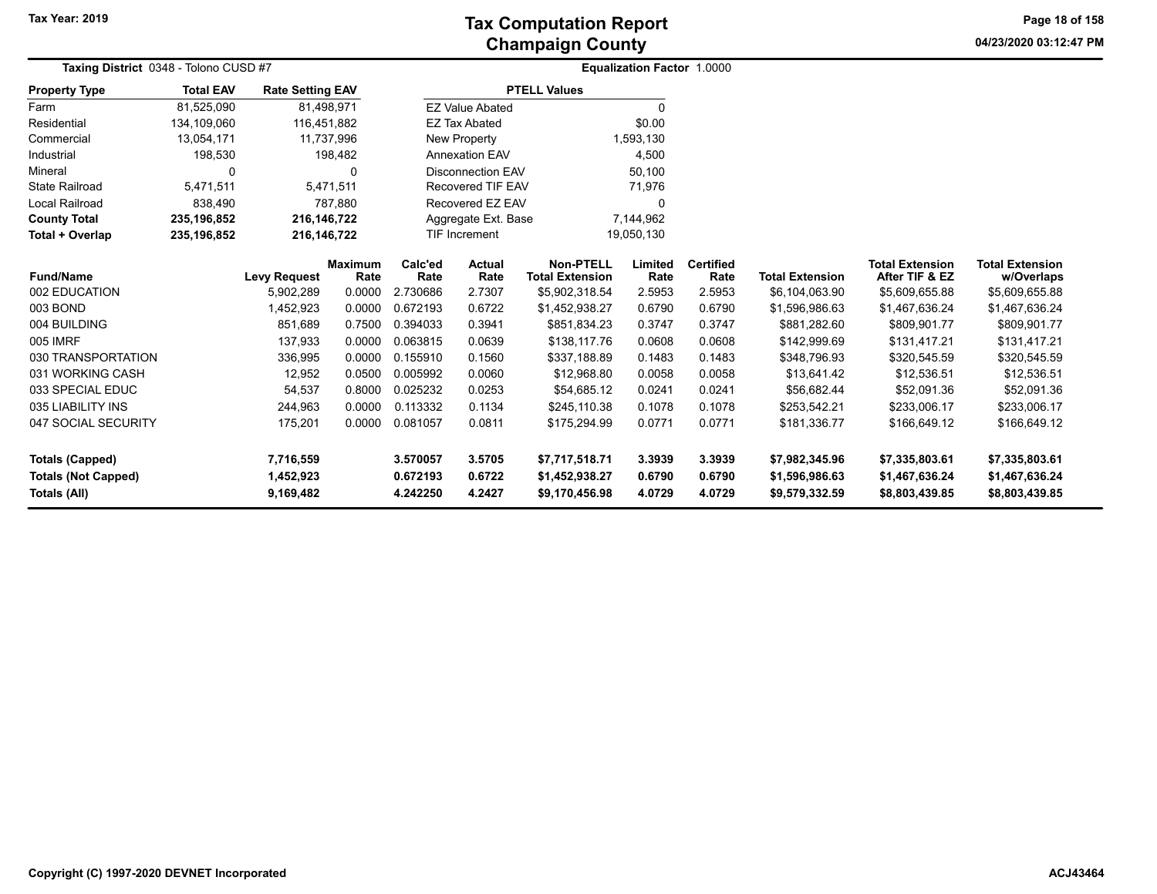**04/23/2020 03:12:47 PM Page 18 of 158**

| Taxing District 0348 - Tolono CUSD #7 |                  |                         |                |          |                          |                        | <b>Equalization Factor 1.0000</b> |                  |                        |                        |                        |
|---------------------------------------|------------------|-------------------------|----------------|----------|--------------------------|------------------------|-----------------------------------|------------------|------------------------|------------------------|------------------------|
| <b>Property Type</b>                  | <b>Total EAV</b> | <b>Rate Setting EAV</b> |                |          |                          | <b>PTELL Values</b>    |                                   |                  |                        |                        |                        |
| Farm                                  | 81,525,090       |                         | 81,498,971     |          | <b>EZ Value Abated</b>   |                        | 0                                 |                  |                        |                        |                        |
| Residential                           | 134,109,060      | 116,451,882             |                |          | <b>EZ Tax Abated</b>     |                        | \$0.00                            |                  |                        |                        |                        |
| Commercial                            | 13,054,171       |                         | 11,737,996     |          | New Property             |                        | 1,593,130                         |                  |                        |                        |                        |
| Industrial                            | 198,530          |                         | 198,482        |          | <b>Annexation EAV</b>    |                        | 4,500                             |                  |                        |                        |                        |
| Mineral                               | 0                |                         | $\Omega$       |          | <b>Disconnection EAV</b> |                        | 50,100                            |                  |                        |                        |                        |
| <b>State Railroad</b>                 | 5,471,511        |                         | 5,471,511      |          | Recovered TIF EAV        |                        | 71,976                            |                  |                        |                        |                        |
| Local Railroad                        | 838,490          |                         | 787,880        |          | Recovered EZ EAV         |                        | 0                                 |                  |                        |                        |                        |
| <b>County Total</b>                   | 235, 196, 852    | 216,146,722             |                |          | Aggregate Ext. Base      |                        | 7,144,962                         |                  |                        |                        |                        |
| Total + Overlap                       | 235, 196, 852    | 216, 146, 722           |                |          | TIF Increment            |                        | 19,050,130                        |                  |                        |                        |                        |
|                                       |                  |                         | <b>Maximum</b> | Calc'ed  | <b>Actual</b>            | <b>Non-PTELL</b>       | Limited                           | <b>Certified</b> |                        | <b>Total Extension</b> | <b>Total Extension</b> |
| <b>Fund/Name</b>                      |                  | <b>Levy Request</b>     | Rate           | Rate     | Rate                     | <b>Total Extension</b> | Rate                              | Rate             | <b>Total Extension</b> | After TIF & EZ         | w/Overlaps             |
| 002 EDUCATION                         |                  | 5,902,289               | 0.0000         | 2.730686 | 2.7307                   | \$5,902,318.54         | 2.5953                            | 2.5953           | \$6,104,063.90         | \$5,609,655.88         | \$5,609,655.88         |
| 003 BOND                              |                  | 1,452,923               | 0.0000         | 0.672193 | 0.6722                   | \$1,452,938.27         | 0.6790                            | 0.6790           | \$1,596,986.63         | \$1,467,636.24         | \$1,467,636.24         |
| 004 BUILDING                          |                  | 851,689                 | 0.7500         | 0.394033 | 0.3941                   | \$851,834.23           | 0.3747                            | 0.3747           | \$881,282.60           | \$809,901.77           | \$809,901.77           |
| 005 IMRF                              |                  | 137,933                 | 0.0000         | 0.063815 | 0.0639                   | \$138,117.76           | 0.0608                            | 0.0608           | \$142,999.69           | \$131,417.21           | \$131,417.21           |
| 030 TRANSPORTATION                    |                  | 336,995                 | 0.0000         | 0.155910 | 0.1560                   | \$337,188.89           | 0.1483                            | 0.1483           | \$348,796.93           | \$320,545.59           | \$320,545.59           |
| 031 WORKING CASH                      |                  | 12,952                  | 0.0500         | 0.005992 | 0.0060                   | \$12,968.80            | 0.0058                            | 0.0058           | \$13,641.42            | \$12,536.51            | \$12,536.51            |
| 033 SPECIAL EDUC                      |                  | 54,537                  | 0.8000         | 0.025232 | 0.0253                   | \$54,685.12            | 0.0241                            | 0.0241           | \$56,682.44            | \$52,091.36            | \$52,091.36            |
| 035 LIABILITY INS                     |                  | 244,963                 | 0.0000         | 0.113332 | 0.1134                   | \$245,110.38           | 0.1078                            | 0.1078           | \$253,542.21           | \$233,006.17           | \$233,006.17           |
| 047 SOCIAL SECURITY                   |                  | 175,201                 | 0.0000         | 0.081057 | 0.0811                   | \$175,294.99           | 0.0771                            | 0.0771           | \$181,336.77           | \$166,649.12           | \$166,649.12           |
| <b>Totals (Capped)</b>                |                  | 7,716,559               |                | 3.570057 | 3.5705                   | \$7,717,518.71         | 3.3939                            | 3.3939           | \$7,982,345.96         | \$7,335,803.61         | \$7,335,803.61         |
| <b>Totals (Not Capped)</b>            |                  | 1,452,923               |                | 0.672193 | 0.6722                   | \$1,452,938.27         | 0.6790                            | 0.6790           | \$1,596,986.63         | \$1,467,636.24         | \$1,467,636.24         |
| Totals (All)                          |                  | 9,169,482               |                | 4.242250 | 4.2427                   | \$9,170,456.98         | 4.0729                            | 4.0729           | \$9,579,332.59         | \$8,803,439.85         | \$8,803,439.85         |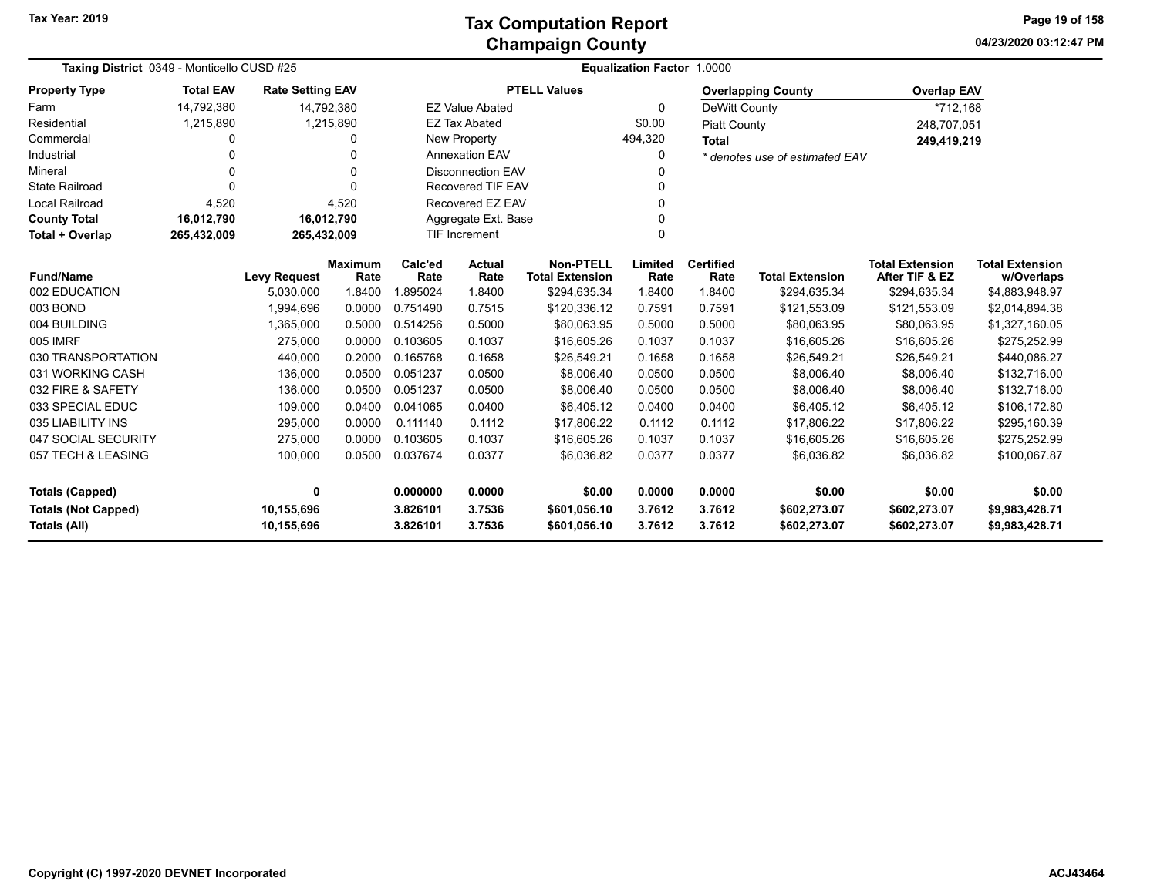**04/23/2020 03:12:47 PM Page 19 of 158**

| Taxing District 0349 - Monticello CUSD #25 |                  |                         |                | <b>Equalization Factor 1.0000</b> |                                  |                        |              |                     |                                                |                        |                        |  |
|--------------------------------------------|------------------|-------------------------|----------------|-----------------------------------|----------------------------------|------------------------|--------------|---------------------|------------------------------------------------|------------------------|------------------------|--|
| <b>Property Type</b>                       | <b>Total EAV</b> | <b>Rate Setting EAV</b> |                |                                   |                                  | <b>PTELL Values</b>    |              |                     | <b>Overlapping County</b>                      | <b>Overlap EAV</b>     |                        |  |
| Farm                                       | 14,792,380       |                         | 14,792,380     |                                   | <b>EZ Value Abated</b>           |                        | $\mathbf{0}$ | DeWitt County       |                                                | *712,168               |                        |  |
| Residential                                | 1,215,890        |                         | 1,215,890      |                                   | <b>EZ Tax Abated</b>             |                        | \$0.00       | <b>Piatt County</b> |                                                | 248,707,051            |                        |  |
| Commercial                                 | 0                |                         | O              |                                   | New Property                     |                        | 494,320      | <b>Total</b>        |                                                | 249,419,219            |                        |  |
| Industrial                                 | O                |                         |                |                                   | <b>Annexation EAV</b>            |                        | 0            |                     | * denotes use of estimated EAV                 |                        |                        |  |
| Mineral                                    | 0                |                         | $\Omega$       |                                   | <b>Disconnection EAV</b><br>U    |                        |              |                     |                                                |                        |                        |  |
| <b>State Railroad</b>                      | 0                |                         | $\Omega$       |                                   | <b>Recovered TIF EAV</b>         |                        |              |                     |                                                |                        |                        |  |
| Local Railroad                             | 4,520            |                         | 4,520          |                                   | Recovered EZ EAV                 |                        | $\Omega$     |                     |                                                |                        |                        |  |
| <b>County Total</b>                        | 16,012,790       |                         | 16,012,790     |                                   | Aggregate Ext. Base              |                        |              |                     |                                                |                        |                        |  |
| Total + Overlap                            | 265,432,009      | 265,432,009             |                |                                   | <b>TIF Increment</b><br>$\Omega$ |                        |              |                     |                                                |                        |                        |  |
|                                            |                  |                         | <b>Maximum</b> | Calc'ed                           | <b>Actual</b>                    | <b>Non-PTELL</b>       | Limited      | <b>Certified</b>    |                                                | <b>Total Extension</b> | <b>Total Extension</b> |  |
| <b>Fund/Name</b>                           |                  | <b>Levy Request</b>     | Rate           | Rate                              | Rate                             | <b>Total Extension</b> | Rate         | Rate                | <b>Total Extension</b>                         | After TIF & EZ         | w/Overlaps             |  |
| 002 EDUCATION                              |                  | 5,030,000               | 1.8400         | 1.895024                          | 1.8400                           | \$294,635.34           | 1.8400       | 1.8400              | \$294,635.34                                   | \$294,635.34           | \$4,883,948.97         |  |
| 003 BOND                                   |                  | 1,994,696               | 0.0000         | 0.751490                          | 0.7515                           | \$120,336.12           | 0.7591       | 0.7591              | \$121,553.09                                   | \$121,553.09           | \$2,014,894.38         |  |
| 004 BUILDING                               |                  | 1,365,000               | 0.5000         | 0.514256                          | 0.5000                           | \$80,063.95            | 0.5000       | 0.5000              | \$80,063.95                                    | \$80,063.95            | \$1,327,160.05         |  |
| 005 IMRF                                   |                  | 275.000                 | 0.0000         | 0.103605                          | 0.1037                           | \$16,605.26            | 0.1037       | 0.1037              | \$16,605.26                                    | \$16,605.26            | \$275,252.99           |  |
| 030 TRANSPORTATION                         |                  | 440,000                 | 0.2000         | 0.165768                          | 0.1658                           | \$26,549.21            | 0.1658       | 0.1658              | \$26,549.21                                    | \$26,549.21            | \$440,086.27           |  |
| 031 WORKING CASH                           |                  | 136,000                 | 0.0500         | 0.051237                          | 0.0500                           | \$8,006.40             | 0.0500       | 0.0500              | \$8,006.40                                     | \$8,006.40             | \$132,716.00           |  |
| 032 FIRE & SAFETY                          |                  | 136,000                 | 0.0500         | 0.051237                          | 0.0500                           | \$8,006.40             | 0.0500       | 0.0500              | \$8,006.40                                     | \$8,006.40             | \$132,716.00           |  |
| 033 SPECIAL EDUC                           |                  | 109,000                 | 0.0400         | 0.041065                          | 0.0400                           | \$6,405.12             | 0.0400       | 0.0400              | \$6,405.12                                     | \$6,405.12             | \$106,172.80           |  |
| 035 LIABILITY INS                          |                  | 295,000                 | 0.0000         | 0.111140                          | 0.1112                           | \$17,806.22            | 0.1112       | 0.1112              | \$17,806.22                                    | \$17,806.22            | \$295,160.39           |  |
| 047 SOCIAL SECURITY                        |                  | 275,000                 | 0.0000         | 0.103605                          | 0.1037                           | \$16,605.26            | 0.1037       | 0.1037              | \$16,605.26                                    | \$16,605.26            | \$275,252.99           |  |
| 057 TECH & LEASING                         |                  | 100,000                 | 0.0500         | 0.037674                          | 0.0377                           | \$6,036.82             | 0.0377       | 0.0377              | \$6,036.82                                     | \$6,036.82             | \$100,067.87           |  |
| <b>Totals (Capped)</b>                     |                  | 0                       |                | 0.000000                          | 0.0000                           | \$0.00                 | 0.0000       | 0.0000              | \$0.00                                         | \$0.00                 | \$0.00                 |  |
| <b>Totals (Not Capped)</b>                 |                  | 10,155,696              |                | 3.826101                          | 3.7536                           | \$601,056.10           | 3.7612       | 3.7612              | \$602,273.07<br>\$602,273.07<br>\$9,983,428.71 |                        |                        |  |
| Totals (All)                               |                  | 10,155,696              |                | 3.826101                          | 3.7536                           | \$601,056.10           | 3.7612       | 3.7612              | \$602,273.07                                   | \$602,273.07           | \$9,983,428.71         |  |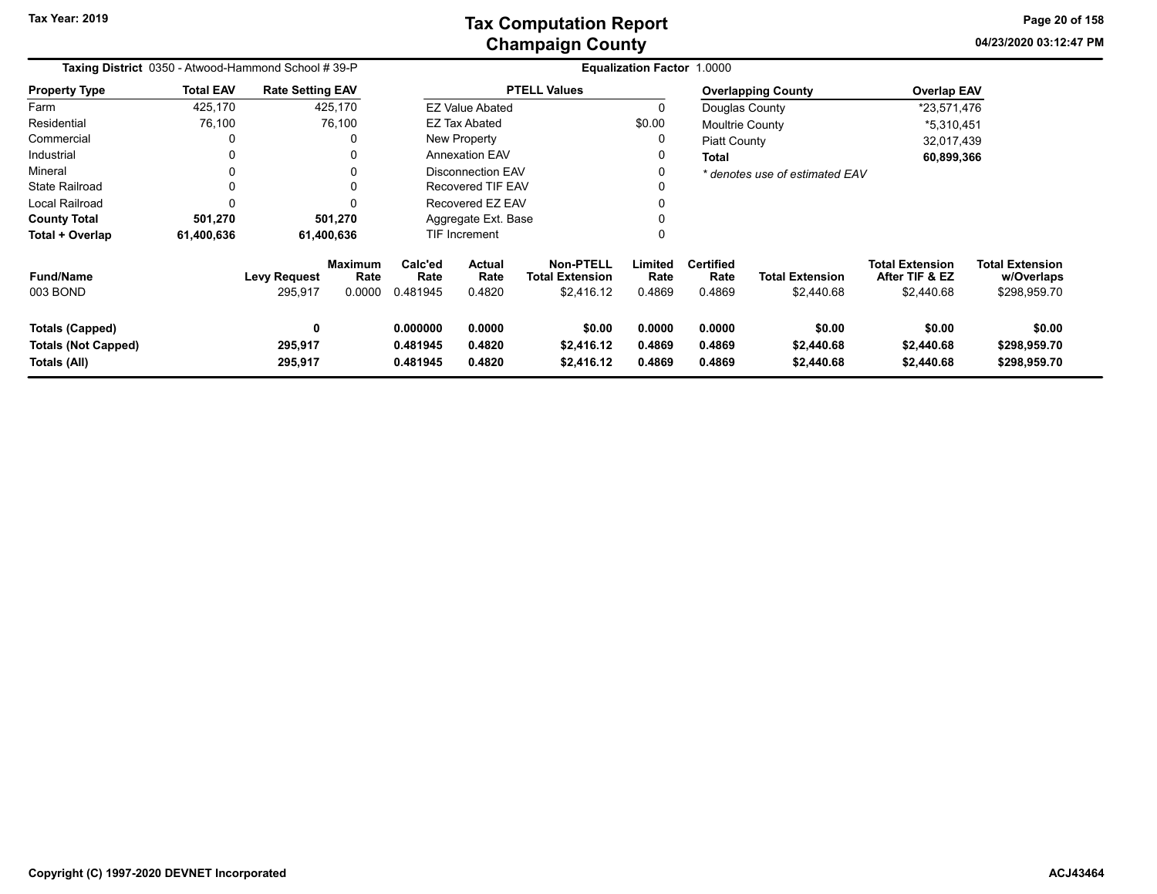**04/23/2020 03:12:47 PM Page 20 of 158**

| Taxing District 0350 - Atwood-Hammond School #39-P<br><b>Total EAV</b><br><b>Rate Setting EAV</b> |            |                                |                                  | Equalization Factor 1.0000       |                            |                                                   |                            |                                    |                                      |                                                        |                                                      |  |
|---------------------------------------------------------------------------------------------------|------------|--------------------------------|----------------------------------|----------------------------------|----------------------------|---------------------------------------------------|----------------------------|------------------------------------|--------------------------------------|--------------------------------------------------------|------------------------------------------------------|--|
| <b>Property Type</b>                                                                              |            |                                |                                  |                                  |                            | <b>PTELL Values</b>                               |                            |                                    | <b>Overlapping County</b>            | <b>Overlap EAV</b>                                     |                                                      |  |
| Farm                                                                                              | 425,170    |                                | 425,170                          |                                  | <b>EZ Value Abated</b>     |                                                   | 0                          | Douglas County                     |                                      | *23,571,476                                            |                                                      |  |
| Residential                                                                                       | 76,100     |                                | 76,100                           |                                  | <b>EZ Tax Abated</b>       |                                                   | \$0.00                     | Moultrie County                    |                                      | *5,310,451                                             |                                                      |  |
| Commercial                                                                                        | 0          |                                |                                  |                                  | New Property               |                                                   | 0                          | <b>Piatt County</b>                |                                      | 32,017,439                                             |                                                      |  |
| Industrial                                                                                        | 0          |                                | 0                                |                                  | <b>Annexation EAV</b>      |                                                   | 0                          | <b>Total</b>                       |                                      | 60,899,366                                             |                                                      |  |
| Mineral                                                                                           | 0          |                                | 0                                |                                  | Disconnection EAV          |                                                   | 0                          |                                    | * denotes use of estimated EAV       |                                                        |                                                      |  |
| <b>State Railroad</b>                                                                             | 0          |                                | 0                                | Recovered TIF EAV<br>0           |                            |                                                   |                            |                                    |                                      |                                                        |                                                      |  |
| Local Railroad                                                                                    | 0          |                                | 0                                |                                  | Recovered EZ EAV           |                                                   | 0                          |                                    |                                      |                                                        |                                                      |  |
| <b>County Total</b>                                                                               | 501,270    |                                | 501,270                          | Aggregate Ext. Base              |                            |                                                   |                            |                                    |                                      |                                                        |                                                      |  |
| Total + Overlap                                                                                   | 61,400,636 |                                | 61,400,636                       |                                  | TIF Increment              |                                                   | 0                          |                                    |                                      |                                                        |                                                      |  |
| <b>Fund/Name</b><br>003 BOND                                                                      |            | <b>Levy Request</b><br>295,917 | <b>Maximum</b><br>Rate<br>0.0000 | Calc'ed<br>Rate<br>0.481945      | Actual<br>Rate<br>0.4820   | Non-PTELL<br><b>Total Extension</b><br>\$2,416.12 | Limited<br>Rate<br>0.4869  | <b>Certified</b><br>Rate<br>0.4869 | <b>Total Extension</b><br>\$2,440.68 | <b>Total Extension</b><br>After TIF & EZ<br>\$2,440.68 | <b>Total Extension</b><br>w/Overlaps<br>\$298,959.70 |  |
| <b>Totals (Capped)</b><br><b>Totals (Not Capped)</b><br>Totals (All)                              |            | 0<br>295,917<br>295,917        |                                  | 0.000000<br>0.481945<br>0.481945 | 0.0000<br>0.4820<br>0.4820 | \$0.00<br>\$2,416.12<br>\$2,416.12                | 0.0000<br>0.4869<br>0.4869 | 0.0000<br>0.4869<br>0.4869         | \$0.00<br>\$2,440.68<br>\$2,440.68   | \$0.00<br>\$2,440.68<br>\$2,440.68                     | \$0.00<br>\$298,959.70<br>\$298,959.70               |  |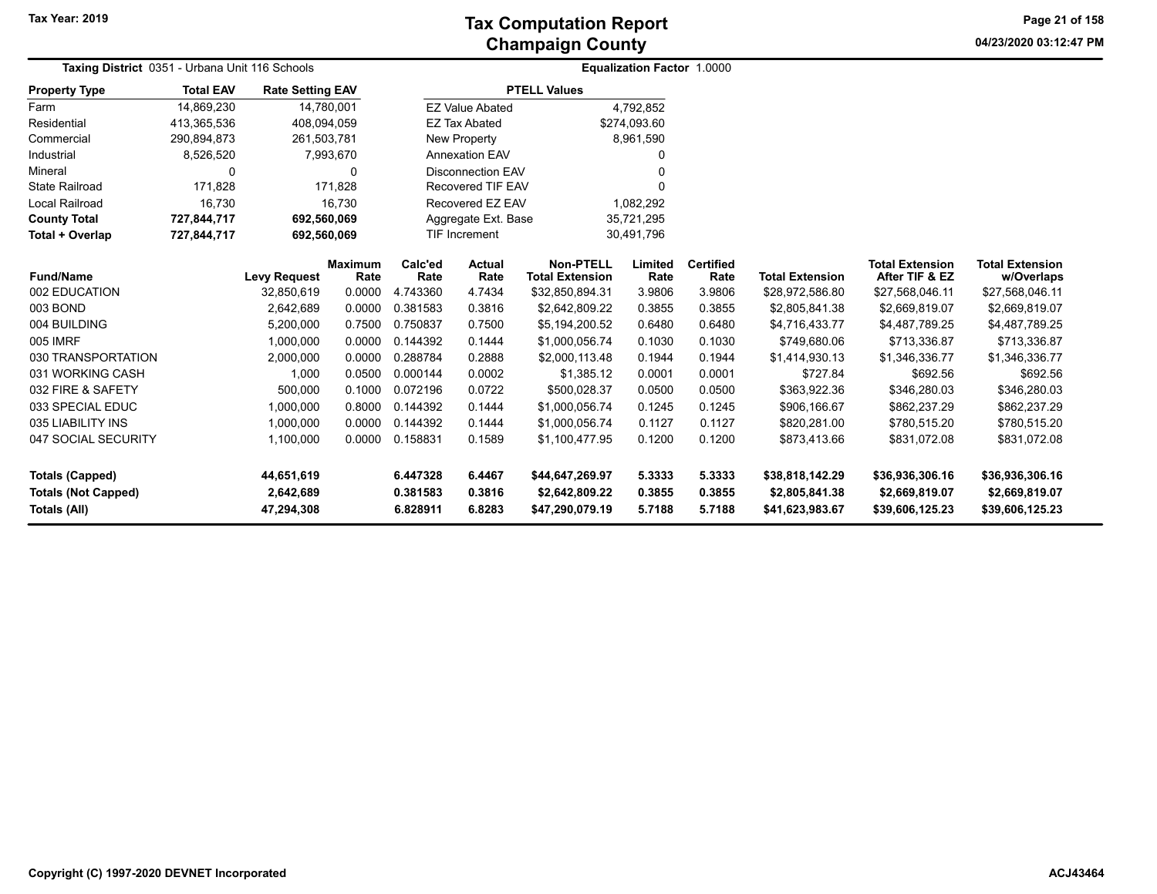**04/23/2020 03:12:47 PM Page 21 of 158**

| Taxing District 0351 - Urbana Unit 116 Schools                              |                  |                                       |                        |                                  | Equalization Factor 1.0000 |                                                      |                            |                            |                                                      |                                                      |                                                      |
|-----------------------------------------------------------------------------|------------------|---------------------------------------|------------------------|----------------------------------|----------------------------|------------------------------------------------------|----------------------------|----------------------------|------------------------------------------------------|------------------------------------------------------|------------------------------------------------------|
| <b>Property Type</b>                                                        | <b>Total EAV</b> | <b>Rate Setting EAV</b>               |                        |                                  |                            | <b>PTELL Values</b>                                  |                            |                            |                                                      |                                                      |                                                      |
| Farm                                                                        | 14,869,230       | 14,780,001                            |                        |                                  | <b>EZ Value Abated</b>     |                                                      | 4,792,852                  |                            |                                                      |                                                      |                                                      |
| Residential                                                                 | 413,365,536      | 408,094,059                           |                        |                                  | <b>EZ Tax Abated</b>       |                                                      | \$274,093.60               |                            |                                                      |                                                      |                                                      |
| Commercial                                                                  | 290,894,873      | 261,503,781                           |                        |                                  | New Property               |                                                      | 8,961,590                  |                            |                                                      |                                                      |                                                      |
| Industrial                                                                  | 8,526,520        |                                       | 7,993,670              |                                  | <b>Annexation EAV</b>      |                                                      | 0                          |                            |                                                      |                                                      |                                                      |
| Mineral                                                                     | 0                |                                       | $\Omega$               |                                  | <b>Disconnection EAV</b>   |                                                      | 0                          |                            |                                                      |                                                      |                                                      |
| <b>State Railroad</b>                                                       | 171.828          |                                       | 171.828                |                                  | <b>Recovered TIF EAV</b>   |                                                      | 0                          |                            |                                                      |                                                      |                                                      |
| <b>Local Railroad</b>                                                       | 16,730           |                                       | 16.730                 |                                  | Recovered EZ EAV           |                                                      | 1,082,292                  |                            |                                                      |                                                      |                                                      |
| <b>County Total</b>                                                         | 727,844,717      | 692,560,069                           |                        |                                  | Aggregate Ext. Base        |                                                      | 35,721,295                 |                            |                                                      |                                                      |                                                      |
| Total + Overlap                                                             | 727,844,717      | 692,560,069                           |                        |                                  | <b>TIF Increment</b>       | 30,491,796                                           |                            |                            |                                                      |                                                      |                                                      |
| <b>Fund/Name</b>                                                            |                  | <b>Levy Request</b>                   | <b>Maximum</b><br>Rate | Calc'ed<br>Rate                  | Actual<br>Rate             | <b>Non-PTELL</b><br><b>Total Extension</b>           | Limited<br>Rate            | <b>Certified</b><br>Rate   | <b>Total Extension</b>                               | <b>Total Extension</b><br>After TIF & EZ             | <b>Total Extension</b><br>w/Overlaps                 |
| 002 EDUCATION                                                               |                  | 32,850,619                            | 0.0000                 | 4.743360                         | 4.7434                     | \$32,850,894.31                                      | 3.9806                     | 3.9806                     | \$28,972,586.80                                      | \$27,568,046.11                                      | \$27,568,046.11                                      |
| 003 BOND                                                                    |                  | 2,642,689                             | 0.0000                 | 0.381583                         | 0.3816                     | \$2,642,809.22                                       | 0.3855                     | 0.3855                     | \$2,805,841.38                                       | \$2,669,819.07                                       | \$2,669,819.07                                       |
| 004 BUILDING                                                                |                  | 5,200,000                             | 0.7500                 | 0.750837                         | 0.7500                     | \$5,194,200.52                                       | 0.6480                     | 0.6480                     | \$4,716,433.77                                       | \$4,487,789.25                                       | \$4,487,789.25                                       |
| 005 IMRF                                                                    |                  | 1,000,000                             | 0.0000                 | 0.144392                         | 0.1444                     | \$1,000,056.74                                       | 0.1030                     | 0.1030                     | \$749,680.06                                         | \$713,336.87                                         | \$713,336.87                                         |
| 030 TRANSPORTATION                                                          |                  | 2,000,000                             | 0.0000                 | 0.288784                         | 0.2888                     | \$2,000,113.48                                       | 0.1944                     | 0.1944                     | \$1,414,930.13                                       | \$1,346,336.77                                       | \$1,346,336.77                                       |
| 031 WORKING CASH                                                            |                  | 1,000                                 | 0.0500                 | 0.000144                         | 0.0002                     | \$1,385.12                                           | 0.0001                     | 0.0001                     | \$727.84                                             | \$692.56                                             | \$692.56                                             |
| 032 FIRE & SAFETY                                                           |                  | 500,000                               | 0.1000                 | 0.072196                         | 0.0722                     | \$500.028.37                                         | 0.0500                     | 0.0500                     | \$363,922.36                                         | \$346,280.03                                         | \$346,280.03                                         |
| 033 SPECIAL EDUC                                                            |                  | 1,000,000                             | 0.8000                 | 0.144392                         | 0.1444                     | \$1,000,056.74                                       | 0.1245                     | 0.1245                     | \$906,166.67                                         | \$862,237.29                                         | \$862,237.29                                         |
| 035 LIABILITY INS                                                           |                  | 1,000,000                             | 0.0000                 | 0.144392                         | 0.1444                     | \$1,000,056.74                                       | 0.1127                     | 0.1127                     | \$820,281.00                                         | \$780,515.20                                         | \$780,515.20                                         |
| 047 SOCIAL SECURITY                                                         |                  | 1,100,000                             | 0.0000                 | 0.158831                         | 0.1589                     | \$1,100,477.95                                       | 0.1200                     | 0.1200                     | \$873,413.66                                         | \$831,072.08                                         | \$831,072.08                                         |
| <b>Totals (Capped)</b><br><b>Totals (Not Capped)</b><br><b>Totals (All)</b> |                  | 44,651,619<br>2,642,689<br>47,294,308 |                        | 6.447328<br>0.381583<br>6.828911 | 6.4467<br>0.3816<br>6.8283 | \$44,647,269.97<br>\$2,642,809.22<br>\$47,290,079.19 | 5.3333<br>0.3855<br>5.7188 | 5.3333<br>0.3855<br>5.7188 | \$38,818,142.29<br>\$2,805,841.38<br>\$41,623,983.67 | \$36,936,306.16<br>\$2,669,819.07<br>\$39,606,125.23 | \$36,936,306.16<br>\$2,669,819.07<br>\$39,606,125.23 |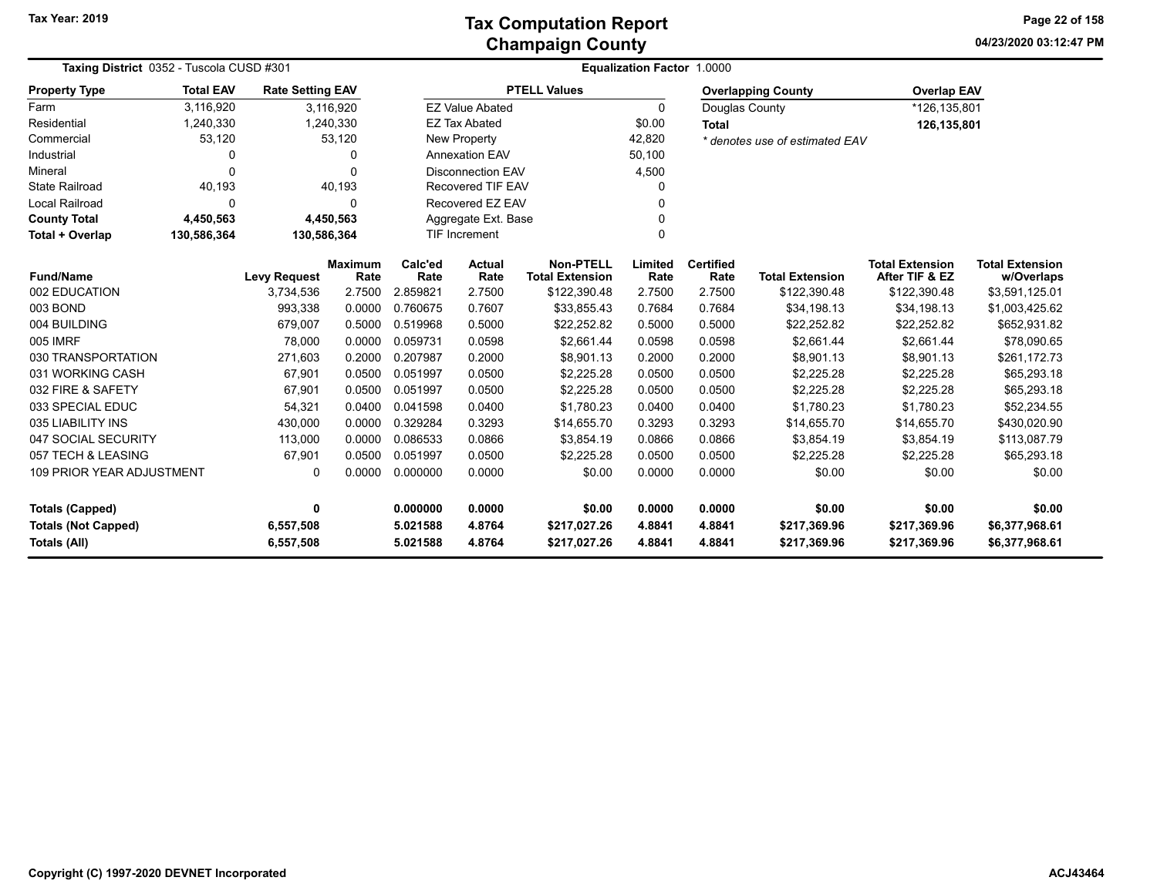**04/23/2020 03:12:47 PM Page 22 of 158**

| Taxing District 0352 - Tuscola CUSD #301                                                                                | <b>Equalization Factor 1.0000</b> |                         |                        |                 |                          |                                            |                 |                          |                                |                                          |                                      |  |
|-------------------------------------------------------------------------------------------------------------------------|-----------------------------------|-------------------------|------------------------|-----------------|--------------------------|--------------------------------------------|-----------------|--------------------------|--------------------------------|------------------------------------------|--------------------------------------|--|
| <b>Property Type</b>                                                                                                    | <b>Total EAV</b>                  | <b>Rate Setting EAV</b> |                        |                 |                          | <b>PTELL Values</b>                        |                 |                          | <b>Overlapping County</b>      | <b>Overlap EAV</b>                       |                                      |  |
| Farm                                                                                                                    | 3,116,920                         |                         | 3,116,920              |                 | <b>EZ Value Abated</b>   |                                            | 0               | Douglas County           |                                | *126,135,801                             |                                      |  |
| Residential                                                                                                             | 1,240,330                         |                         | 1,240,330              |                 | <b>EZ Tax Abated</b>     |                                            | \$0.00          | <b>Total</b>             |                                | 126,135,801                              |                                      |  |
| Commercial                                                                                                              | 53,120                            |                         | 53,120                 |                 | <b>New Property</b>      |                                            | 42,820          |                          | * denotes use of estimated EAV |                                          |                                      |  |
| Industrial                                                                                                              | 0                                 |                         | 0                      |                 | <b>Annexation EAV</b>    |                                            | 50,100          |                          |                                |                                          |                                      |  |
| Mineral                                                                                                                 | $\Omega$                          |                         | O                      |                 | <b>Disconnection EAV</b> |                                            | 4,500           |                          |                                |                                          |                                      |  |
| <b>State Railroad</b>                                                                                                   | 40,193                            |                         | 40,193                 |                 | Recovered TIF EAV        |                                            | O               |                          |                                |                                          |                                      |  |
| Local Railroad                                                                                                          | 0                                 |                         | <sup>0</sup>           |                 | Recovered EZ EAV         |                                            | O               |                          |                                |                                          |                                      |  |
| <b>County Total</b>                                                                                                     | 4,450,563                         |                         | 4,450,563              |                 | Aggregate Ext. Base      |                                            | $\Omega$        |                          |                                |                                          |                                      |  |
| Total + Overlap                                                                                                         | 130,586,364                       | 130,586,364             |                        |                 | <b>TIF Increment</b>     |                                            | $\Omega$        |                          |                                |                                          |                                      |  |
| <b>Fund/Name</b>                                                                                                        |                                   | <b>Levy Request</b>     | <b>Maximum</b><br>Rate | Calc'ed<br>Rate | Actual<br>Rate           | <b>Non-PTELL</b><br><b>Total Extension</b> | Limited<br>Rate | <b>Certified</b><br>Rate | <b>Total Extension</b>         | <b>Total Extension</b><br>After TIF & EZ | <b>Total Extension</b><br>w/Overlaps |  |
| 002 EDUCATION                                                                                                           |                                   | 3,734,536               | 2.7500                 | 2.859821        | 2.7500                   | \$122,390.48                               | 2.7500          | 2.7500                   | \$122,390.48                   | \$122,390.48                             | \$3,591,125.01                       |  |
| 003 BOND                                                                                                                |                                   | 993,338                 | 0.0000                 | 0.760675        | 0.7607                   | \$33,855.43                                | 0.7684          | 0.7684                   | \$34,198.13                    | \$34,198.13                              | \$1,003,425.62                       |  |
| 004 BUILDING                                                                                                            |                                   | 679,007                 | 0.5000                 | 0.519968        | 0.5000                   | \$22,252.82                                | 0.5000          | 0.5000                   | \$22,252.82                    | \$22,252.82                              | \$652,931.82                         |  |
| 005 IMRF                                                                                                                |                                   | 78,000                  | 0.0000                 | 0.059731        | 0.0598                   | \$2,661.44                                 | 0.0598          | 0.0598                   | \$2,661.44                     | \$2,661.44                               | \$78,090.65                          |  |
| 030 TRANSPORTATION                                                                                                      |                                   | 271,603                 | 0.2000                 | 0.207987        | 0.2000                   | \$8,901.13                                 | 0.2000          | 0.2000                   | \$8,901.13                     | \$8,901.13                               | \$261,172.73                         |  |
| 031 WORKING CASH                                                                                                        |                                   | 67,901                  | 0.0500                 | 0.051997        | 0.0500                   | \$2,225.28                                 | 0.0500          | 0.0500                   | \$2,225.28                     | \$2,225.28                               | \$65,293.18                          |  |
| 032 FIRE & SAFETY                                                                                                       |                                   | 67,901                  | 0.0500                 | 0.051997        | 0.0500                   | \$2,225.28                                 | 0.0500          | 0.0500                   | \$2,225.28                     | \$2,225.28                               | \$65,293.18                          |  |
| 033 SPECIAL EDUC                                                                                                        |                                   | 54,321                  | 0.0400                 | 0.041598        | 0.0400                   | \$1,780.23                                 | 0.0400          | 0.0400                   | \$1.780.23                     | \$1.780.23                               | \$52,234.55                          |  |
| 035 LIABILITY INS                                                                                                       |                                   | 430,000                 | 0.0000                 | 0.329284        | 0.3293                   | \$14,655.70                                | 0.3293          | 0.3293                   | \$14,655.70                    | \$14,655.70                              | \$430,020.90                         |  |
| 047 SOCIAL SECURITY                                                                                                     |                                   | 113,000                 | 0.0000                 | 0.086533        | 0.0866                   | \$3,854.19                                 | 0.0866          | 0.0866                   | \$3,854.19                     | \$3,854.19                               | \$113,087.79                         |  |
| 057 TECH & LEASING                                                                                                      |                                   | 67,901                  | 0.0500                 | 0.051997        | 0.0500                   | \$2,225.28                                 | 0.0500          | 0.0500                   | \$2,225.28                     | \$2,225.28                               | \$65,293.18                          |  |
| 0.0000<br><b>109 PRIOR YEAR ADJUSTMENT</b><br>0.0000<br>0.000000<br>\$0.00<br>0.0000<br>0.0000<br>\$0.00<br>\$0.00<br>0 |                                   |                         |                        | \$0.00          |                          |                                            |                 |                          |                                |                                          |                                      |  |
| <b>Totals (Capped)</b>                                                                                                  |                                   | 0                       |                        | 0.000000        | 0.0000                   | \$0.00                                     | 0.0000          | 0.0000                   | \$0.00                         | \$0.00                                   | \$0.00                               |  |
| <b>Totals (Not Capped)</b>                                                                                              |                                   | 6,557,508               |                        | 5.021588        | 4.8764                   | \$217,027.26                               | 4.8841          | 4.8841                   | \$217,369.96                   | \$217,369.96<br>\$6,377,968.61           |                                      |  |
| <b>Totals (All)</b>                                                                                                     |                                   | 6,557,508               |                        | 5.021588        | 4.8764                   | \$217,027.26                               | 4.8841          | 4.8841                   | \$217,369.96                   | \$217,369.96                             | \$6,377,968.61                       |  |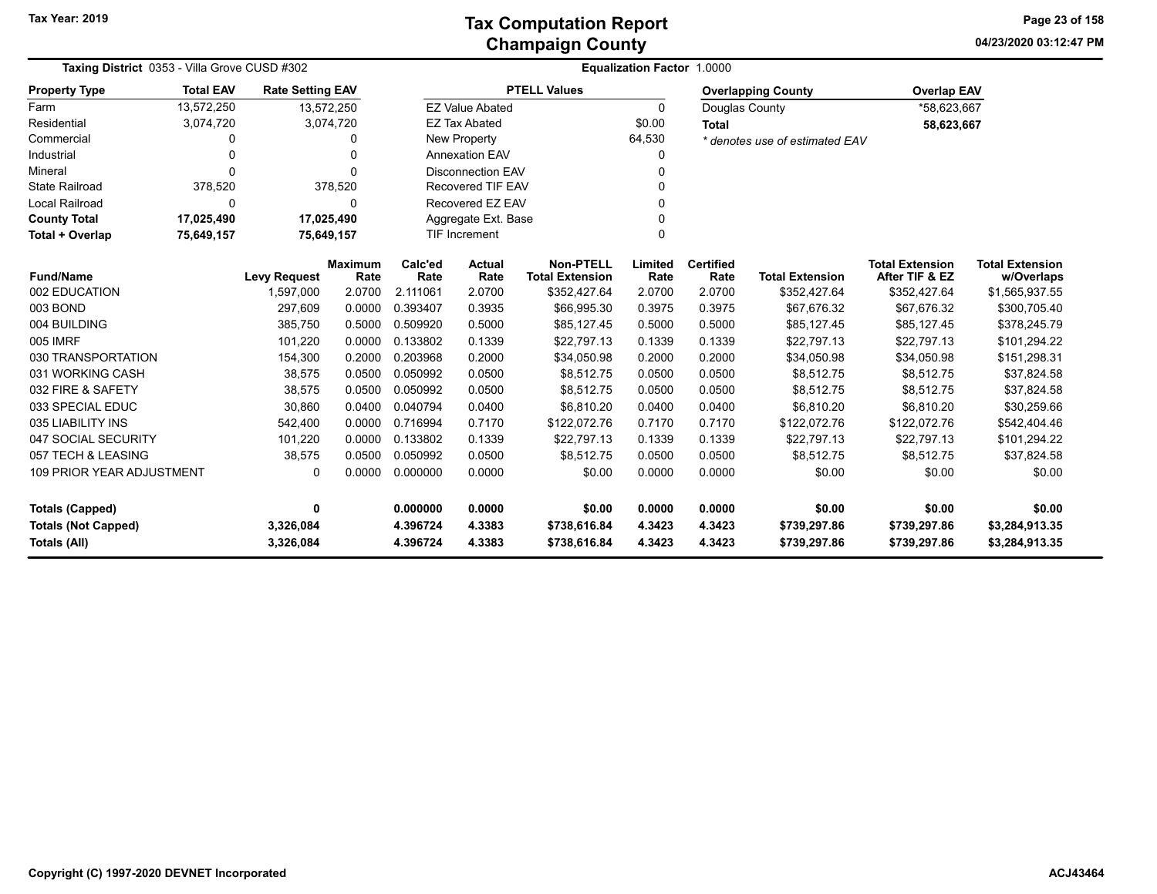**04/23/2020 03:12:47 PM Page 23 of 158**

| Taxing District 0353 - Villa Grove CUSD #302 |                  |                         |                        | <b>Equalization Factor 1.0000</b> |                          |                                            |                 |                          |                                |                                          |                                      |  |  |
|----------------------------------------------|------------------|-------------------------|------------------------|-----------------------------------|--------------------------|--------------------------------------------|-----------------|--------------------------|--------------------------------|------------------------------------------|--------------------------------------|--|--|
| <b>Property Type</b>                         | <b>Total EAV</b> | <b>Rate Setting EAV</b> |                        |                                   |                          | <b>PTELL Values</b>                        |                 |                          | <b>Overlapping County</b>      | <b>Overlap EAV</b>                       |                                      |  |  |
| Farm                                         | 13,572,250       | 13,572,250              |                        |                                   | <b>EZ Value Abated</b>   |                                            | $\Omega$        | Douglas County           |                                | *58,623,667                              |                                      |  |  |
| Residential                                  | 3,074,720        |                         | 3,074,720              |                                   | <b>EZ Tax Abated</b>     |                                            | \$0.00          | <b>Total</b>             |                                | 58,623,667                               |                                      |  |  |
| Commercial                                   | 0                |                         | $\Omega$               |                                   | <b>New Property</b>      |                                            | 64,530          |                          | * denotes use of estimated EAV |                                          |                                      |  |  |
| Industrial                                   | 0                |                         | $\Omega$               |                                   | <b>Annexation EAV</b>    |                                            | 0               |                          |                                |                                          |                                      |  |  |
| Mineral                                      | 0                |                         | $\Omega$               |                                   | <b>Disconnection EAV</b> |                                            | 0               |                          |                                |                                          |                                      |  |  |
| <b>State Railroad</b>                        | 378,520          |                         | 378,520                |                                   | Recovered TIF EAV        |                                            | 0               |                          |                                |                                          |                                      |  |  |
| <b>Local Railroad</b>                        | 0                |                         | $\Omega$               |                                   | Recovered EZ EAV         |                                            | 0               |                          |                                |                                          |                                      |  |  |
| <b>County Total</b>                          | 17,025,490       | 17,025,490              |                        |                                   | Aggregate Ext. Base<br>0 |                                            |                 |                          |                                |                                          |                                      |  |  |
| Total + Overlap                              | 75,649,157       | 75,649,157              |                        |                                   | <b>TIF Increment</b>     |                                            | $\Omega$        |                          |                                |                                          |                                      |  |  |
| <b>Fund/Name</b>                             |                  | <b>Levy Request</b>     | <b>Maximum</b><br>Rate | Calc'ed<br>Rate                   | Actual<br>Rate           | <b>Non-PTELL</b><br><b>Total Extension</b> | Limited<br>Rate | <b>Certified</b><br>Rate | <b>Total Extension</b>         | <b>Total Extension</b><br>After TIF & EZ | <b>Total Extension</b><br>w/Overlaps |  |  |
| 002 EDUCATION                                |                  | 1,597,000               | 2.0700                 | 2.111061                          | 2.0700                   | \$352,427.64                               | 2.0700          | 2.0700                   | \$352,427.64                   | \$352,427.64                             | \$1,565,937.55                       |  |  |
| 003 BOND                                     |                  | 297,609                 | 0.0000                 | 0.393407                          | 0.3935                   | \$66,995.30                                | 0.3975          | 0.3975                   | \$67,676.32                    | \$67,676.32                              | \$300,705.40                         |  |  |
| 004 BUILDING                                 |                  | 385,750                 | 0.5000                 | 0.509920                          | 0.5000                   | \$85,127.45                                | 0.5000          | 0.5000                   | \$85,127.45                    | \$85,127.45                              | \$378,245.79                         |  |  |
| 005 IMRF                                     |                  | 101,220                 | 0.0000                 | 0.133802                          | 0.1339                   | \$22,797.13                                | 0.1339          | 0.1339                   | \$22,797.13                    | \$22,797.13                              | \$101,294.22                         |  |  |
| 030 TRANSPORTATION                           |                  | 154,300                 | 0.2000                 | 0.203968                          | 0.2000                   | \$34,050.98                                | 0.2000          | 0.2000                   | \$34,050.98                    | \$34,050.98                              | \$151,298.31                         |  |  |
| 031 WORKING CASH                             |                  | 38,575                  | 0.0500                 | 0.050992                          | 0.0500                   | \$8,512.75                                 | 0.0500          | 0.0500                   | \$8,512.75                     | \$8,512.75                               | \$37,824.58                          |  |  |
| 032 FIRE & SAFETY                            |                  | 38,575                  | 0.0500                 | 0.050992                          | 0.0500                   | \$8,512.75                                 | 0.0500          | 0.0500                   | \$8,512.75                     | \$8,512.75                               | \$37,824.58                          |  |  |
| 033 SPECIAL EDUC                             |                  | 30,860                  | 0.0400                 | 0.040794                          | 0.0400                   | \$6,810.20                                 | 0.0400          | 0.0400                   | \$6,810.20                     | \$6,810.20                               | \$30,259.66                          |  |  |
| 035 LIABILITY INS                            |                  | 542,400                 | 0.0000                 | 0.716994                          | 0.7170                   | \$122,072.76                               | 0.7170          | 0.7170                   | \$122,072.76                   | \$122,072.76                             | \$542,404.46                         |  |  |
| 047 SOCIAL SECURITY                          |                  | 101,220                 | 0.0000                 | 0.133802                          | 0.1339                   | \$22,797.13                                | 0.1339          | 0.1339                   | \$22,797.13                    | \$22,797.13                              | \$101,294.22                         |  |  |
| 057 TECH & LEASING                           |                  | 38,575                  | 0.0500                 | 0.050992                          | 0.0500                   | \$8,512.75                                 | 0.0500          | 0.0500                   | \$8,512.75                     | \$8,512.75                               | \$37,824.58                          |  |  |
| 109 PRIOR YEAR ADJUSTMENT                    |                  | 0                       | 0.0000                 | 0.000000                          | 0.0000                   | \$0.00                                     | 0.0000          | 0.0000                   | \$0.00                         | \$0.00                                   | \$0.00                               |  |  |
| Totals (Capped)                              |                  | 0                       |                        | 0.000000                          | 0.0000                   | \$0.00                                     | 0.0000          | 0.0000                   | \$0.00                         | \$0.00                                   | \$0.00                               |  |  |
| <b>Totals (Not Capped)</b>                   |                  | 3,326,084               |                        | 4.396724                          | 4.3383                   | \$738,616.84                               | 4.3423          | 4.3423                   | \$739,297.86                   | \$739,297.86                             | \$3,284,913.35                       |  |  |
| <b>Totals (All)</b>                          |                  | 3,326,084               |                        | 4.396724                          | 4.3383                   | \$738,616.84                               | 4.3423          | 4.3423                   | \$739,297.86                   | \$739,297.86                             | \$3,284,913.35                       |  |  |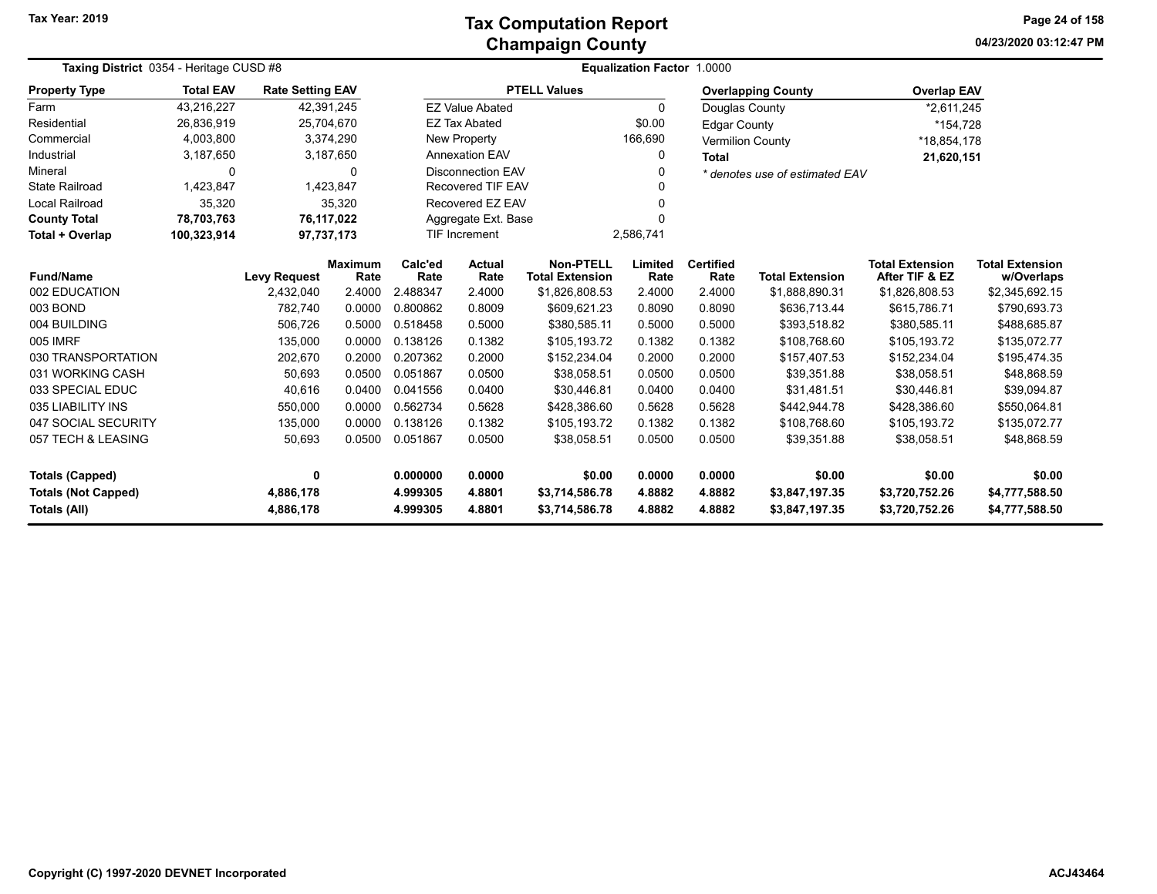**04/23/2020 03:12:47 PM Page 24 of 158**

| Taxing District 0354 - Heritage CUSD #8    |                                                                                                                                                            |                         |                          | <b>Equalization Factor 1.0000</b> |                                          |                                      |                  |                     |                                  |                                  |                                  |  |  |
|--------------------------------------------|------------------------------------------------------------------------------------------------------------------------------------------------------------|-------------------------|--------------------------|-----------------------------------|------------------------------------------|--------------------------------------|------------------|---------------------|----------------------------------|----------------------------------|----------------------------------|--|--|
| <b>Property Type</b>                       | <b>Total EAV</b>                                                                                                                                           | <b>Rate Setting EAV</b> |                          |                                   |                                          | <b>PTELL Values</b>                  |                  |                     | <b>Overlapping County</b>        | <b>Overlap EAV</b>               |                                  |  |  |
| Farm                                       | 43,216,227                                                                                                                                                 |                         | 42,391,245               |                                   | <b>EZ Value Abated</b>                   |                                      | $\Omega$         | Douglas County      |                                  | *2,611,245                       |                                  |  |  |
| Residential                                | 26,836,919                                                                                                                                                 |                         | 25,704,670               |                                   | <b>EZ Tax Abated</b>                     |                                      | \$0.00           | <b>Edgar County</b> |                                  | *154,728                         |                                  |  |  |
| Commercial                                 | 4,003,800                                                                                                                                                  |                         | 3,374,290                |                                   | New Property                             |                                      | 166,690          |                     | <b>Vermilion County</b>          | *18,854,178                      |                                  |  |  |
| Industrial                                 | 3,187,650                                                                                                                                                  |                         | 3,187,650                |                                   | <b>Annexation EAV</b><br>0               |                                      |                  |                     |                                  | 21,620,151                       |                                  |  |  |
| Mineral                                    | 0                                                                                                                                                          |                         | $\Omega$                 |                                   | <b>Disconnection EAV</b><br>0            |                                      |                  |                     | * denotes use of estimated EAV   |                                  |                                  |  |  |
| <b>State Railroad</b>                      | 1,423,847                                                                                                                                                  |                         | 1,423,847                |                                   | <b>Recovered TIF EAV</b>                 |                                      |                  |                     |                                  |                                  |                                  |  |  |
| Local Railroad                             | 35,320                                                                                                                                                     |                         | 35,320                   |                                   | Recovered EZ EAV<br>0                    |                                      |                  |                     |                                  |                                  |                                  |  |  |
| <b>County Total</b>                        | 78,703,763                                                                                                                                                 |                         | 76,117,022               |                                   | Aggregate Ext. Base<br>0                 |                                      |                  |                     |                                  |                                  |                                  |  |  |
| Total + Overlap                            | 100,323,914                                                                                                                                                |                         | 97,737,173               |                                   | TIF Increment                            |                                      | 2,586,741        |                     |                                  |                                  |                                  |  |  |
| <b>Fund/Name</b>                           | Calc'ed<br><b>Non-PTELL</b><br>Limited<br><b>Maximum</b><br><b>Actual</b><br><b>Levy Request</b><br>Rate<br>Rate<br>Rate<br><b>Total Extension</b><br>Rate |                         | <b>Certified</b><br>Rate | <b>Total Extension</b>            | <b>Total Extension</b><br>After TIF & EZ | <b>Total Extension</b><br>w/Overlaps |                  |                     |                                  |                                  |                                  |  |  |
| 002 EDUCATION                              |                                                                                                                                                            | 2,432,040               | 2.4000                   | 2.488347                          | 2.4000                                   | \$1,826,808.53                       | 2.4000           | 2.4000              | \$1,888,890.31                   | \$1,826,808.53                   | \$2,345,692.15                   |  |  |
| 003 BOND                                   |                                                                                                                                                            | 782,740                 | 0.0000                   | 0.800862                          | 0.8009                                   | \$609,621.23                         | 0.8090           | 0.8090              | \$636,713.44                     | \$615,786.71                     | \$790,693.73                     |  |  |
| 004 BUILDING                               |                                                                                                                                                            | 506,726                 | 0.5000                   | 0.518458                          | 0.5000                                   | \$380,585.11                         | 0.5000           | 0.5000              | \$393,518.82                     | \$380,585.11                     | \$488,685.87                     |  |  |
| 005 IMRF                                   |                                                                                                                                                            | 135,000                 | 0.0000                   | 0.138126                          | 0.1382                                   | \$105,193.72                         | 0.1382           | 0.1382              | \$108,768.60                     | \$105,193.72                     | \$135,072.77                     |  |  |
| 030 TRANSPORTATION                         |                                                                                                                                                            | 202,670                 | 0.2000                   | 0.207362                          | 0.2000                                   | \$152,234.04                         | 0.2000           | 0.2000              | \$157,407.53                     | \$152,234.04                     | \$195,474.35                     |  |  |
| 031 WORKING CASH                           |                                                                                                                                                            | 50,693                  | 0.0500                   | 0.051867                          | 0.0500                                   | \$38,058.51                          | 0.0500           | 0.0500              | \$39,351.88                      | \$38,058.51                      | \$48,868.59                      |  |  |
| 033 SPECIAL EDUC                           |                                                                                                                                                            | 40,616                  | 0.0400                   | 0.041556                          | 0.0400                                   | \$30,446.81                          | 0.0400           | 0.0400              | \$31,481.51                      | \$30,446.81                      | \$39,094.87                      |  |  |
| 035 LIABILITY INS                          |                                                                                                                                                            | 550,000                 | 0.0000                   | 0.562734                          | 0.5628                                   | \$428,386.60                         | 0.5628           | 0.5628              | \$442,944.78                     | \$428,386.60                     | \$550,064.81                     |  |  |
| 047 SOCIAL SECURITY                        |                                                                                                                                                            | 135,000                 | 0.0000                   | 0.138126                          | 0.1382                                   | \$105,193.72                         | 0.1382           | 0.1382              | \$108,768.60                     | \$105,193.72                     | \$135,072.77                     |  |  |
| 057 TECH & LEASING                         |                                                                                                                                                            | 50,693                  | 0.0500                   | 0.051867                          | 0.0500                                   | \$38,058.51                          | 0.0500           | 0.0500              | \$39,351.88                      | \$38,058.51                      | \$48,868.59                      |  |  |
| <b>Totals (Capped)</b>                     |                                                                                                                                                            | 0                       |                          | 0.000000                          | 0.0000                                   | \$0.00                               | 0.0000           | 0.0000              | \$0.00                           | \$0.00                           | \$0.00                           |  |  |
| <b>Totals (Not Capped)</b><br>Totals (All) |                                                                                                                                                            | 4,886,178<br>4,886,178  |                          | 4.999305<br>4.999305              | 4.8801<br>4.8801                         | \$3,714,586.78<br>\$3,714,586.78     | 4.8882<br>4.8882 | 4.8882<br>4.8882    | \$3,847,197.35<br>\$3,847,197.35 | \$3,720,752.26<br>\$3,720,752.26 | \$4,777,588.50<br>\$4,777,588.50 |  |  |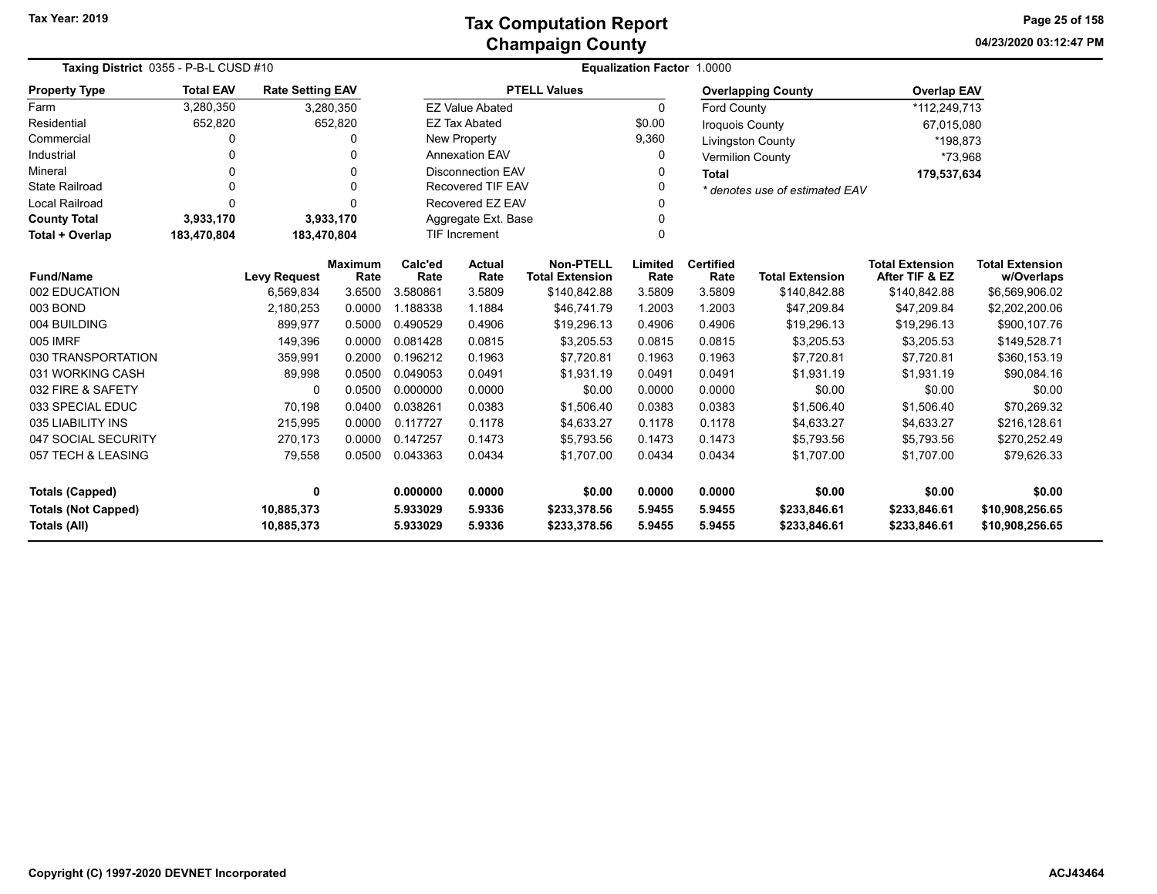**04/23/2020 03:12:47 PM Page 25 of 158**

| Taxing District 0355 - P-B-L CUSD #10      |                  |                          |                        | <b>Equalization Factor 1.0000</b>                                                      |                          |                     |                  |                              |                                |                                          |                                      |
|--------------------------------------------|------------------|--------------------------|------------------------|----------------------------------------------------------------------------------------|--------------------------|---------------------|------------------|------------------------------|--------------------------------|------------------------------------------|--------------------------------------|
| <b>Property Type</b>                       | <b>Total EAV</b> | <b>Rate Setting EAV</b>  |                        |                                                                                        |                          | <b>PTELL Values</b> |                  |                              | <b>Overlapping County</b>      | <b>Overlap EAV</b>                       |                                      |
| Farm                                       | 3,280,350        |                          | 3,280,350              |                                                                                        | <b>EZ Value Abated</b>   |                     | $\Omega$         | <b>Ford County</b>           |                                | *112,249,713                             |                                      |
| Residential                                | 652,820          |                          | 652,820                |                                                                                        | <b>EZ Tax Abated</b>     |                     | \$0.00           | <b>Iroquois County</b>       |                                | 67,015,080                               |                                      |
| Commercial                                 | 0                |                          |                        |                                                                                        | New Property             |                     | 9,360            |                              | <b>Livingston County</b>       | *198,873                                 |                                      |
| Industrial                                 |                  |                          |                        |                                                                                        | <b>Annexation EAV</b>    |                     | O                |                              | <b>Vermilion County</b>        | *73,968                                  |                                      |
| Mineral                                    |                  |                          | U                      |                                                                                        | <b>Disconnection EAV</b> |                     | 0                | <b>Total</b>                 |                                | 179,537,634                              |                                      |
| <b>State Railroad</b>                      | $\Omega$         |                          |                        | <b>Recovered TIF EAV</b>                                                               |                          |                     |                  |                              | * denotes use of estimated EAV |                                          |                                      |
| <b>Local Railroad</b>                      | 0                |                          |                        | Recovered EZ EAV                                                                       |                          |                     |                  |                              |                                |                                          |                                      |
| <b>County Total</b>                        | 3,933,170        |                          | 3,933,170              | Aggregate Ext. Base                                                                    |                          |                     |                  |                              |                                |                                          |                                      |
| Total + Overlap                            | 183,470,804      | 183,470,804              |                        | <b>TIF Increment</b>                                                                   |                          |                     | $\Omega$         |                              |                                |                                          |                                      |
| <b>Fund/Name</b>                           |                  | <b>Levy Request</b>      | <b>Maximum</b><br>Rate | <b>Non-PTELL</b><br>Calc'ed<br><b>Actual</b><br>Rate<br>Rate<br><b>Total Extension</b> |                          |                     | Limited<br>Rate  | <b>Certified</b><br>Rate     | <b>Total Extension</b>         | <b>Total Extension</b><br>After TIF & EZ | <b>Total Extension</b><br>w/Overlaps |
| 002 EDUCATION                              |                  | 6,569,834                | 3.6500                 | 3.580861                                                                               | 3.5809                   | \$140,842.88        | 3.5809           | 3.5809                       | \$140,842.88                   | \$140,842.88                             | \$6,569,906.02                       |
| 003 BOND                                   |                  | 2,180,253                | 0.0000                 | 1.188338                                                                               | 1.1884                   | \$46,741.79         | 1.2003           | 1.2003                       | \$47,209.84                    | \$47,209.84                              | \$2,202,200.06                       |
| 004 BUILDING                               |                  | 899,977                  | 0.5000                 | 0.490529                                                                               | 0.4906                   | \$19,296.13         | 0.4906           | 0.4906                       | \$19,296.13                    | \$19,296.13                              | \$900,107.76                         |
| 005 IMRF                                   |                  | 149,396                  | 0.0000                 | 0.081428                                                                               | 0.0815                   | \$3,205.53          | 0.0815           | 0.0815                       | \$3,205.53                     | \$3,205.53                               | \$149,528.71                         |
| 030 TRANSPORTATION                         |                  | 359,991                  | 0.2000                 | 0.196212                                                                               | 0.1963                   | \$7,720.81          | 0.1963           | 0.1963                       | \$7,720.81                     | \$7,720.81                               | \$360,153.19                         |
| 031 WORKING CASH                           |                  | 89,998                   | 0.0500                 | 0.049053                                                                               | 0.0491                   | \$1,931.19          | 0.0491           | 0.0491                       | \$1,931.19                     | \$1,931.19                               | \$90,084.16                          |
| 032 FIRE & SAFETY                          |                  | 0                        | 0.0500                 | 0.000000                                                                               | 0.0000                   | \$0.00              | 0.0000           | 0.0000                       | \$0.00                         | \$0.00                                   | \$0.00                               |
| 033 SPECIAL EDUC                           |                  | 70,198                   | 0.0400                 | 0.038261                                                                               | 0.0383                   | \$1,506.40          | 0.0383           | 0.0383                       | \$1,506.40                     | \$1.506.40                               | \$70,269.32                          |
| 035 LIABILITY INS                          |                  | 215,995                  | 0.0000                 | 0.117727                                                                               | 0.1178                   | \$4,633.27          | 0.1178           | 0.1178                       | \$4,633.27                     | \$4,633.27                               | \$216,128.61                         |
| 047 SOCIAL SECURITY                        |                  | 270,173                  | 0.0000                 | 0.147257                                                                               | 0.1473                   | \$5,793.56          | 0.1473           | 0.1473                       | \$5,793.56                     | \$5,793.56                               | \$270,252.49                         |
| 057 TECH & LEASING                         |                  | 79,558                   | 0.0500                 | 0.043363                                                                               | 0.0434                   | \$1,707.00          | 0.0434           | 0.0434                       | \$1,707.00                     | \$1,707.00                               | \$79,626.33                          |
| <b>Totals (Capped)</b>                     |                  | 0                        |                        | 0.000000<br>0.0000<br>\$0.00                                                           |                          | 0.0000              | 0.0000           | \$0.00                       | \$0.00                         | \$0.00                                   |                                      |
| <b>Totals (Not Capped)</b><br>Totals (All) |                  | 10,885,373<br>10,885,373 |                        | 5.933029<br>5.9336<br>\$233,378.56<br>5.933029<br>5.9336<br>\$233,378.56               |                          | 5.9455<br>5.9455    | 5.9455<br>5.9455 | \$233,846.61<br>\$233,846.61 | \$233,846.61<br>\$233,846.61   | \$10,908,256.65<br>\$10,908,256.65       |                                      |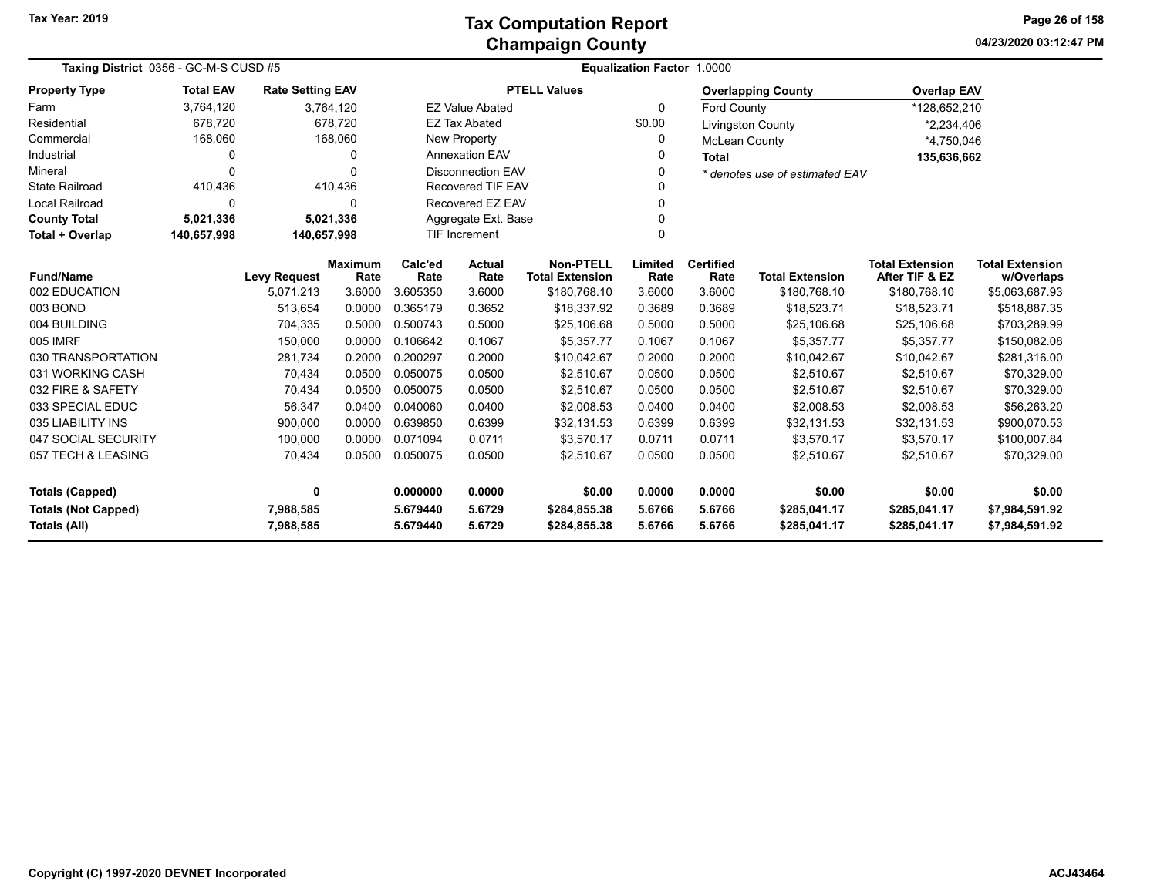| Taxing District 0356 - GC-M-S CUSD #5             |                  |                         |                        | <b>Equalization Factor 1.0000</b> |                          |                                            |                  |                          |                                |                                          |                                      |
|---------------------------------------------------|------------------|-------------------------|------------------------|-----------------------------------|--------------------------|--------------------------------------------|------------------|--------------------------|--------------------------------|------------------------------------------|--------------------------------------|
| <b>Property Type</b>                              | <b>Total EAV</b> | <b>Rate Setting EAV</b> |                        |                                   |                          | <b>PTELL Values</b>                        |                  |                          | <b>Overlapping County</b>      | <b>Overlap EAV</b>                       |                                      |
| Farm                                              | 3,764,120        |                         | 3,764,120              |                                   | <b>EZ Value Abated</b>   |                                            | $\Omega$         | <b>Ford County</b>       |                                | *128,652,210                             |                                      |
| Residential                                       | 678,720          |                         | 678,720                |                                   | <b>EZ Tax Abated</b>     |                                            | \$0.00           |                          | <b>Livingston County</b>       | *2,234,406                               |                                      |
| Commercial                                        | 168,060          |                         | 168,060                |                                   | New Property             |                                            | 0                | <b>McLean County</b>     |                                | *4,750,046                               |                                      |
| Industrial                                        | $\Omega$         |                         | 0                      |                                   | <b>Annexation EAV</b>    |                                            | 0                | <b>Total</b>             |                                | 135,636,662                              |                                      |
| Mineral                                           | $\Omega$         |                         | $\Omega$               |                                   | <b>Disconnection EAV</b> |                                            | 0                |                          | * denotes use of estimated EAV |                                          |                                      |
| <b>State Railroad</b>                             | 410,436          |                         | 410,436                | <b>Recovered TIF EAV</b>          |                          |                                            |                  |                          |                                |                                          |                                      |
| Local Railroad                                    | 0                |                         | $\Omega$               |                                   | Recovered EZ EAV         |                                            |                  |                          |                                |                                          |                                      |
| <b>County Total</b>                               | 5,021,336        |                         | 5,021,336              |                                   | Aggregate Ext. Base      |                                            | 0                |                          |                                |                                          |                                      |
| Total + Overlap                                   | 140,657,998      | 140,657,998             |                        | TIF Increment                     |                          |                                            | $\Omega$         |                          |                                |                                          |                                      |
| <b>Fund/Name</b>                                  |                  | <b>Levy Request</b>     | <b>Maximum</b><br>Rate | Calc'ed<br>Rate                   | <b>Actual</b><br>Rate    | <b>Non-PTELL</b><br><b>Total Extension</b> | Limited<br>Rate  | <b>Certified</b><br>Rate | <b>Total Extension</b>         | <b>Total Extension</b><br>After TIF & EZ | <b>Total Extension</b><br>w/Overlaps |
| 002 EDUCATION                                     |                  | 5,071,213               | 3.6000                 | 3.605350                          | 3.6000                   | \$180,768.10                               | 3.6000           | 3.6000                   | \$180,768.10                   | \$180,768.10                             | \$5,063,687.93                       |
| 003 BOND                                          |                  | 513,654                 | 0.0000                 | 0.365179                          | 0.3652                   | \$18,337.92                                | 0.3689           | 0.3689                   | \$18,523.71                    | \$18,523.71                              | \$518,887.35                         |
| 004 BUILDING                                      |                  | 704,335                 | 0.5000                 | 0.500743                          | 0.5000                   | \$25,106.68                                | 0.5000           | 0.5000                   | \$25,106.68                    | \$25,106.68                              | \$703,289.99                         |
| 005 IMRF                                          |                  | 150,000                 | 0.0000                 | 0.106642                          | 0.1067                   | \$5,357.77                                 | 0.1067           | 0.1067                   | \$5,357.77                     | \$5,357.77                               | \$150,082.08                         |
| 030 TRANSPORTATION                                |                  | 281,734                 | 0.2000                 | 0.200297                          | 0.2000                   | \$10,042.67                                | 0.2000           | 0.2000                   | \$10,042.67                    | \$10,042.67                              | \$281,316.00                         |
| 031 WORKING CASH                                  |                  | 70,434                  | 0.0500                 | 0.050075                          | 0.0500                   | \$2,510.67                                 | 0.0500           | 0.0500                   | \$2,510.67                     | \$2,510.67                               | \$70,329.00                          |
| 032 FIRE & SAFETY                                 |                  | 70,434                  | 0.0500                 | 0.050075                          | 0.0500                   | \$2,510.67                                 | 0.0500           | 0.0500                   | \$2,510.67                     | \$2,510.67                               | \$70,329.00                          |
| 033 SPECIAL EDUC                                  |                  | 56,347                  | 0.0400                 | 0.040060                          | 0.0400                   | \$2,008.53                                 | 0.0400           | 0.0400                   | \$2,008.53                     | \$2,008.53                               | \$56,263.20                          |
| 035 LIABILITY INS                                 |                  | 900,000                 | 0.0000                 | 0.639850                          | 0.6399                   | \$32,131.53                                | 0.6399           | 0.6399                   | \$32,131.53                    | \$32,131.53                              | \$900,070.53                         |
| 047 SOCIAL SECURITY                               |                  | 100,000                 | 0.0000                 | 0.071094                          | 0.0711                   | \$3,570.17                                 | 0.0711           | 0.0711                   | \$3,570.17                     | \$3,570.17                               | \$100,007.84                         |
| 057 TECH & LEASING                                |                  | 70,434                  | 0.0500                 | 0.050075                          | 0.0500                   | \$2,510.67                                 | 0.0500           | 0.0500                   | \$2,510.67                     | \$2,510.67                               | \$70,329.00                          |
| <b>Totals (Capped)</b>                            |                  | 0                       |                        | 0.000000                          | 0.0000                   | \$0.00                                     | 0.0000           | 0.0000                   | \$0.00                         | \$0.00                                   | \$0.00                               |
| <b>Totals (Not Capped)</b><br><b>Totals (All)</b> |                  | 7,988,585<br>7,988,585  |                        | 5.679440<br>5.679440              | 5.6729<br>5.6729         | \$284,855.38<br>\$284,855.38               | 5.6766<br>5.6766 | 5.6766<br>5.6766         | \$285,041.17<br>\$285,041.17   | \$285,041.17<br>\$285,041.17             | \$7,984,591.92<br>\$7,984,591.92     |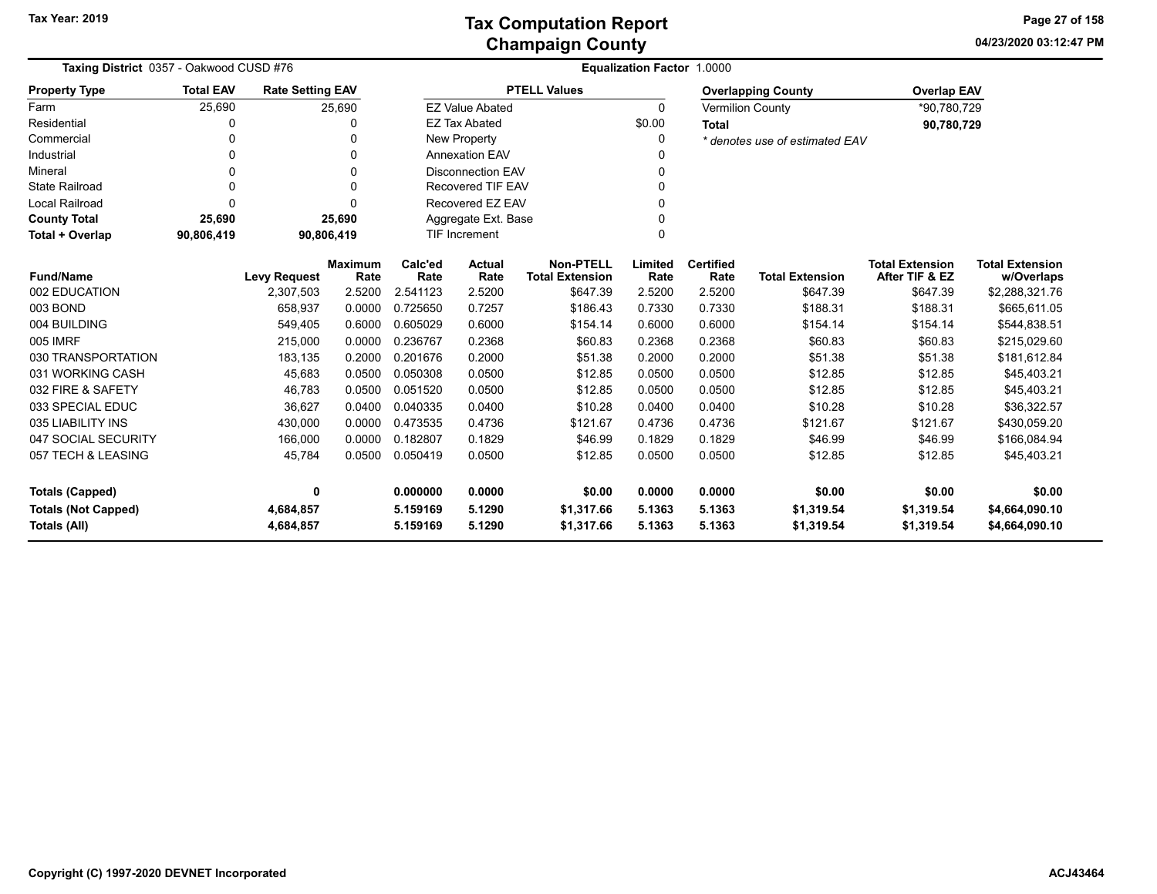**04/23/2020 03:12:47 PM Page 27 of 158**

| Taxing District 0357 - Oakwood CUSD #76    |                  |                         |                        |                      |                          |                                            | Equalization Factor 1.0000 |                          |                                |                                          |                                      |
|--------------------------------------------|------------------|-------------------------|------------------------|----------------------|--------------------------|--------------------------------------------|----------------------------|--------------------------|--------------------------------|------------------------------------------|--------------------------------------|
| <b>Property Type</b>                       | <b>Total EAV</b> | <b>Rate Setting EAV</b> |                        |                      |                          | <b>PTELL Values</b>                        |                            |                          | <b>Overlapping County</b>      | <b>Overlap EAV</b>                       |                                      |
| Farm                                       | 25,690           |                         | 25,690                 |                      | <b>EZ Value Abated</b>   |                                            | $\Omega$                   |                          | <b>Vermilion County</b>        | *90,780,729                              |                                      |
| Residential                                | 0                |                         |                        |                      | <b>EZ Tax Abated</b>     |                                            | \$0.00                     | <b>Total</b>             |                                | 90,780,729                               |                                      |
| Commercial                                 | 0                |                         | 0                      |                      | New Property             |                                            |                            |                          | * denotes use of estimated EAV |                                          |                                      |
| Industrial                                 | 0                |                         | $\Omega$               |                      | <b>Annexation EAV</b>    |                                            |                            |                          |                                |                                          |                                      |
| Mineral                                    | 0                |                         | 0                      |                      | <b>Disconnection EAV</b> |                                            |                            |                          |                                |                                          |                                      |
| <b>State Railroad</b>                      | 0                |                         |                        |                      | <b>Recovered TIF EAV</b> |                                            |                            |                          |                                |                                          |                                      |
| Local Railroad                             | $\Omega$         |                         |                        | Recovered EZ EAV     |                          |                                            |                            |                          |                                |                                          |                                      |
| <b>County Total</b>                        | 25,690           |                         | 25,690                 |                      | Aggregate Ext. Base      |                                            |                            |                          |                                |                                          |                                      |
| Total + Overlap                            | 90,806,419       | 90,806,419              |                        |                      | <b>TIF Increment</b>     |                                            | O                          |                          |                                |                                          |                                      |
| <b>Fund/Name</b>                           |                  | <b>Levy Request</b>     | <b>Maximum</b><br>Rate | Calc'ed<br>Rate      | <b>Actual</b><br>Rate    | <b>Non-PTELL</b><br><b>Total Extension</b> | Limited<br>Rate            | <b>Certified</b><br>Rate | <b>Total Extension</b>         | <b>Total Extension</b><br>After TIF & EZ | <b>Total Extension</b><br>w/Overlaps |
| 002 EDUCATION                              |                  | 2,307,503               | 2.5200                 | 2.541123             | 2.5200                   | \$647.39                                   | 2.5200                     | 2.5200                   | \$647.39                       | \$647.39                                 | \$2,288,321.76                       |
| 003 BOND                                   |                  | 658,937                 | 0.0000                 | 0.725650             | 0.7257                   | \$186.43                                   | 0.7330                     | 0.7330                   | \$188.31                       | \$188.31                                 | \$665,611.05                         |
| 004 BUILDING                               |                  | 549,405                 | 0.6000                 | 0.605029             | 0.6000                   | \$154.14                                   | 0.6000                     | 0.6000                   | \$154.14                       | \$154.14                                 | \$544,838.51                         |
| 005 IMRF                                   |                  | 215,000                 | 0.0000                 | 0.236767             | 0.2368                   | \$60.83                                    | 0.2368                     | 0.2368                   | \$60.83                        | \$60.83                                  | \$215,029.60                         |
| 030 TRANSPORTATION                         |                  | 183,135                 | 0.2000                 | 0.201676             | 0.2000                   | \$51.38                                    | 0.2000                     | 0.2000                   | \$51.38                        | \$51.38                                  | \$181,612.84                         |
| 031 WORKING CASH                           |                  | 45,683                  | 0.0500                 | 0.050308             | 0.0500                   | \$12.85                                    | 0.0500                     | 0.0500                   | \$12.85                        | \$12.85                                  | \$45,403.21                          |
| 032 FIRE & SAFETY                          |                  | 46,783                  | 0.0500                 | 0.051520             | 0.0500                   | \$12.85                                    | 0.0500                     | 0.0500                   | \$12.85                        | \$12.85                                  | \$45,403.21                          |
| 033 SPECIAL EDUC                           |                  | 36,627                  | 0.0400                 | 0.040335             | 0.0400                   | \$10.28                                    | 0.0400                     | 0.0400                   | \$10.28                        | \$10.28                                  | \$36,322.57                          |
| 035 LIABILITY INS                          |                  | 430,000                 | 0.0000                 | 0.473535             | 0.4736                   | \$121.67                                   | 0.4736                     | 0.4736                   | \$121.67                       | \$121.67                                 | \$430,059.20                         |
| 047 SOCIAL SECURITY                        |                  | 166,000                 | 0.0000                 | 0.182807             | 0.1829                   | \$46.99                                    | 0.1829                     | 0.1829                   | \$46.99                        | \$46.99                                  | \$166,084.94                         |
| 057 TECH & LEASING                         |                  | 45,784                  | 0.0500                 | 0.050419             | 0.0500                   | \$12.85                                    | 0.0500                     | 0.0500                   | \$12.85                        | \$12.85                                  | \$45,403.21                          |
| <b>Totals (Capped)</b>                     |                  | 0                       |                        | 0.000000             | 0.0000                   | \$0.00                                     | 0.0000                     | 0.0000                   | \$0.00                         | \$0.00                                   | \$0.00                               |
| <b>Totals (Not Capped)</b><br>Totals (All) |                  | 4,684,857<br>4,684,857  |                        | 5.159169<br>5.159169 | 5.1290<br>5.1290         | \$1,317.66<br>\$1,317.66                   | 5.1363<br>5.1363           | 5.1363<br>5.1363         | \$1,319.54<br>\$1,319.54       | \$1,319.54<br>\$1,319.54                 | \$4,664,090.10<br>\$4,664,090.10     |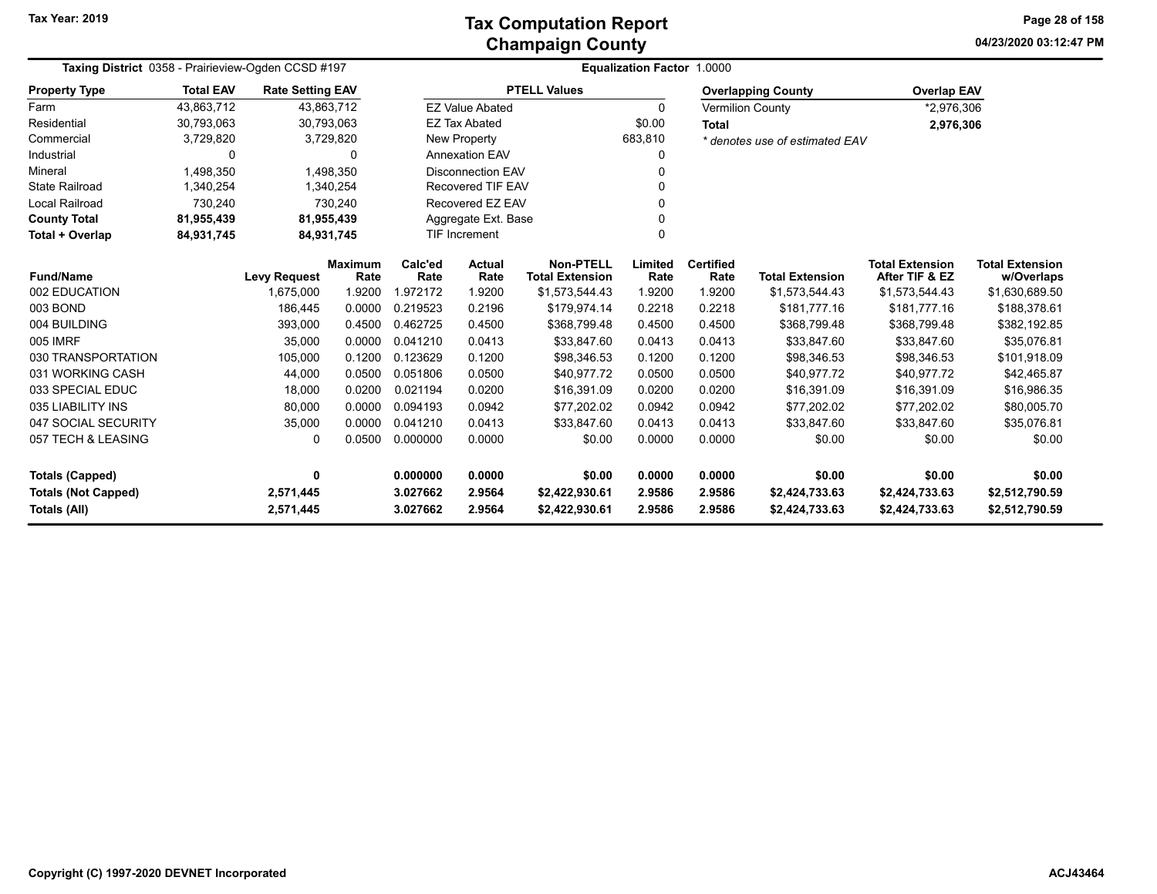**04/23/2020 03:12:47 PM Page 28 of 158**

| Taxing District 0358 - Prairieview-Ogden CCSD #197 |                  |                                        |           |                      |                          |                                            | <b>Equalization Factor 1.0000</b> |                          |                                  |                                          |                                      |
|----------------------------------------------------|------------------|----------------------------------------|-----------|----------------------|--------------------------|--------------------------------------------|-----------------------------------|--------------------------|----------------------------------|------------------------------------------|--------------------------------------|
| <b>Property Type</b>                               | <b>Total EAV</b> | <b>Rate Setting EAV</b>                |           |                      |                          | <b>PTELL Values</b>                        |                                   |                          | <b>Overlapping County</b>        | <b>Overlap EAV</b>                       |                                      |
| Farm                                               | 43,863,712       | 43,863,712                             |           |                      | <b>EZ Value Abated</b>   |                                            | 0                                 | <b>Vermilion County</b>  |                                  | *2,976,306                               |                                      |
| Residential                                        | 30,793,063       | 30,793,063                             |           |                      | <b>EZ Tax Abated</b>     |                                            | \$0.00                            | <b>Total</b>             |                                  | 2,976,306                                |                                      |
| Commercial                                         | 3,729,820        |                                        | 3,729,820 |                      | <b>New Property</b>      |                                            | 683,810                           |                          | * denotes use of estimated EAV   |                                          |                                      |
| Industrial                                         | $\Omega$         |                                        | 0         |                      | <b>Annexation EAV</b>    |                                            | O                                 |                          |                                  |                                          |                                      |
| Mineral                                            | 1,498,350        |                                        | 1,498,350 |                      | <b>Disconnection EAV</b> |                                            | 0                                 |                          |                                  |                                          |                                      |
| <b>State Railroad</b>                              | 1,340,254        |                                        | 1,340,254 |                      | Recovered TIF EAV        |                                            | O                                 |                          |                                  |                                          |                                      |
| <b>Local Railroad</b>                              | 730,240          |                                        | 730,240   |                      | Recovered EZ EAV         |                                            |                                   |                          |                                  |                                          |                                      |
| <b>County Total</b>                                | 81,955,439       | 81,955,439                             |           |                      | Aggregate Ext. Base      |                                            | $\Omega$                          |                          |                                  |                                          |                                      |
| Total + Overlap                                    | 84,931,745       | 84,931,745                             |           |                      | TIF Increment            |                                            |                                   |                          |                                  |                                          |                                      |
| <b>Fund/Name</b>                                   |                  | Maximum<br><b>Levy Request</b><br>Rate |           | Calc'ed<br>Rate      | <b>Actual</b><br>Rate    | <b>Non-PTELL</b><br><b>Total Extension</b> | Limited<br>Rate                   | <b>Certified</b><br>Rate | <b>Total Extension</b>           | <b>Total Extension</b><br>After TIF & EZ | <b>Total Extension</b><br>w/Overlaps |
| 002 EDUCATION                                      |                  | 1,675,000                              | 1.9200    | 1.972172             | 1.9200                   | \$1,573,544.43                             | 1.9200                            | 1.9200                   | \$1,573,544.43                   | \$1,573,544.43                           | \$1,630,689.50                       |
| 003 BOND                                           |                  | 186,445                                | 0.0000    | 0.219523             | 0.2196                   | \$179,974.14                               | 0.2218                            | 0.2218                   | \$181,777.16                     | \$181,777.16                             | \$188,378.61                         |
| 004 BUILDING                                       |                  | 393,000                                | 0.4500    | 0.462725             | 0.4500                   | \$368,799.48                               | 0.4500                            | 0.4500                   | \$368,799.48                     | \$368,799.48                             | \$382,192.85                         |
| 005 IMRF                                           |                  | 35,000                                 | 0.0000    | 0.041210             | 0.0413                   | \$33,847.60                                | 0.0413                            | 0.0413                   | \$33,847.60                      | \$33,847.60                              | \$35,076.81                          |
| 030 TRANSPORTATION                                 |                  | 105,000                                | 0.1200    | 0.123629             | 0.1200                   | \$98,346.53                                | 0.1200                            | 0.1200                   | \$98,346.53                      | \$98,346.53                              | \$101,918.09                         |
| 031 WORKING CASH                                   |                  | 44,000                                 | 0.0500    | 0.051806             | 0.0500                   | \$40,977.72                                | 0.0500                            | 0.0500                   | \$40,977.72                      | \$40,977.72                              | \$42,465.87                          |
| 033 SPECIAL EDUC                                   |                  | 18,000                                 | 0.0200    | 0.021194             | 0.0200                   | \$16,391.09                                | 0.0200                            | 0.0200                   | \$16,391.09                      | \$16,391.09                              | \$16,986.35                          |
| 035 LIABILITY INS                                  |                  | 80,000                                 | 0.0000    | 0.094193             | 0.0942                   | \$77,202.02                                | 0.0942                            | 0.0942                   | \$77,202.02                      | \$77,202.02                              | \$80,005.70                          |
| 047 SOCIAL SECURITY                                |                  | 35,000                                 | 0.0000    | 0.041210             | 0.0413                   | \$33,847.60                                | 0.0413                            | 0.0413                   | \$33,847.60                      | \$33,847.60                              | \$35,076.81                          |
| 057 TECH & LEASING                                 |                  | $\Omega$                               | 0.0500    | 0.000000             | 0.0000                   | \$0.00                                     | 0.0000                            | 0.0000                   | \$0.00                           | \$0.00                                   | \$0.00                               |
| Totals (Capped)                                    |                  | 0                                      |           | 0.000000             | 0.0000                   | \$0.00                                     | 0.0000                            | 0.0000                   | \$0.00                           | \$0.00                                   | \$0.00                               |
| <b>Totals (Not Capped)</b><br>Totals (All)         |                  | 2,571,445<br>2,571,445                 |           | 3.027662<br>3.027662 | 2.9564<br>2.9564         | \$2,422,930.61<br>\$2,422,930.61           | 2.9586<br>2.9586                  | 2.9586<br>2.9586         | \$2,424,733.63<br>\$2,424,733.63 | \$2,424,733.63<br>\$2,424,733.63         | \$2,512,790.59<br>\$2,512,790.59     |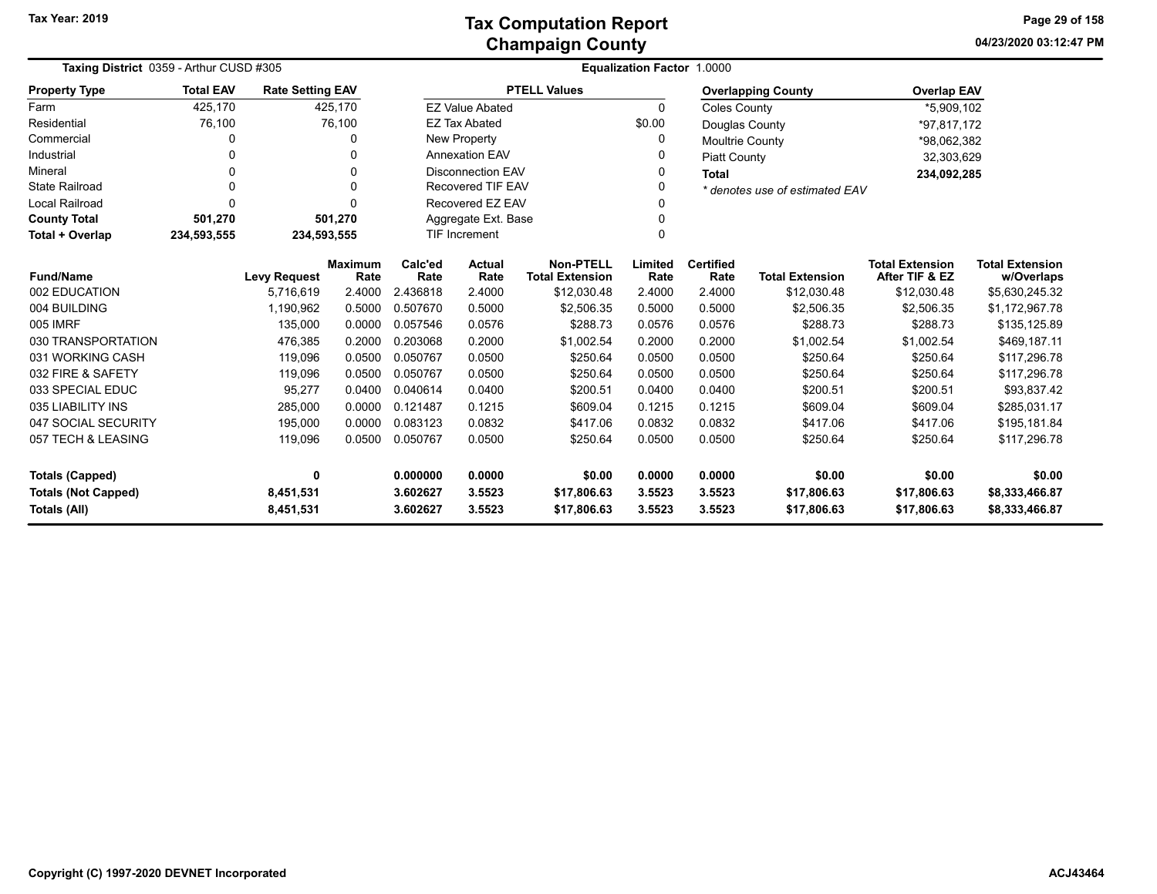**04/23/2020 03:12:47 PM Page 29 of 158**

| Taxing District 0359 - Arthur CUSD #305 |                  |                         |                        |                                                                                        |                        |                     | Equalization Factor 1.0000 |                          |                                |                                          |                                      |
|-----------------------------------------|------------------|-------------------------|------------------------|----------------------------------------------------------------------------------------|------------------------|---------------------|----------------------------|--------------------------|--------------------------------|------------------------------------------|--------------------------------------|
| <b>Property Type</b>                    | <b>Total EAV</b> | <b>Rate Setting EAV</b> |                        |                                                                                        |                        | <b>PTELL Values</b> |                            |                          | <b>Overlapping County</b>      | <b>Overlap EAV</b>                       |                                      |
| Farm                                    | 425,170          |                         | 425,170                |                                                                                        | <b>EZ Value Abated</b> |                     | $\Omega$                   | <b>Coles County</b>      |                                | *5,909,102                               |                                      |
| Residential                             | 76,100           |                         | 76,100                 |                                                                                        | <b>EZ Tax Abated</b>   |                     | \$0.00                     | Douglas County           |                                | *97,817,172                              |                                      |
| Commercial                              | 0                |                         | 0                      |                                                                                        | New Property           |                     | 0                          | <b>Moultrie County</b>   |                                | *98,062,382                              |                                      |
| Industrial                              |                  |                         | 0                      |                                                                                        | <b>Annexation EAV</b>  |                     |                            | <b>Piatt County</b>      |                                | 32,303,629                               |                                      |
| Mineral                                 | 0                |                         | $\Omega$               | <b>Disconnection EAV</b>                                                               |                        |                     | 0                          | <b>Total</b>             |                                | 234,092,285                              |                                      |
| <b>State Railroad</b>                   | 0                |                         | 0                      | <b>Recovered TIF EAV</b>                                                               |                        |                     | $\Omega$                   |                          | * denotes use of estimated EAV |                                          |                                      |
| <b>Local Railroad</b>                   | $\Omega$         |                         | $\Omega$               |                                                                                        | Recovered EZ EAV       |                     |                            |                          |                                |                                          |                                      |
| <b>County Total</b>                     | 501,270          |                         | 501,270                | Aggregate Ext. Base                                                                    |                        |                     | 0                          |                          |                                |                                          |                                      |
| Total + Overlap                         | 234,593,555      | 234,593,555             |                        | <b>TIF Increment</b>                                                                   |                        |                     | 0                          |                          |                                |                                          |                                      |
| <b>Fund/Name</b>                        |                  | <b>Levy Request</b>     | <b>Maximum</b><br>Rate | <b>Non-PTELL</b><br>Calc'ed<br><b>Actual</b><br>Rate<br>Rate<br><b>Total Extension</b> |                        |                     | Limited<br>Rate            | <b>Certified</b><br>Rate | <b>Total Extension</b>         | <b>Total Extension</b><br>After TIF & EZ | <b>Total Extension</b><br>w/Overlaps |
| 002 EDUCATION                           |                  | 5,716,619               | 2.4000                 | 2.436818                                                                               | 2.4000                 | \$12,030.48         | 2.4000                     | 2.4000                   | \$12,030.48                    | \$12,030.48                              | \$5,630,245.32                       |
| 004 BUILDING                            |                  | 1,190,962               | 0.5000                 | 0.507670                                                                               | 0.5000                 | \$2,506.35          | 0.5000                     | 0.5000                   | \$2,506.35                     | \$2,506.35                               | \$1,172,967.78                       |
| 005 IMRF                                |                  | 135,000                 | 0.0000                 | 0.057546                                                                               | 0.0576                 | \$288.73            | 0.0576                     | 0.0576                   | \$288.73                       | \$288.73                                 | \$135,125.89                         |
| 030 TRANSPORTATION                      |                  | 476,385                 | 0.2000                 | 0.203068                                                                               | 0.2000                 | \$1,002.54          | 0.2000                     | 0.2000                   | \$1,002.54                     | \$1,002.54                               | \$469,187.11                         |
| 031 WORKING CASH                        |                  | 119,096                 | 0.0500                 | 0.050767                                                                               | 0.0500                 | \$250.64            | 0.0500                     | 0.0500                   | \$250.64                       | \$250.64                                 | \$117,296.78                         |
| 032 FIRE & SAFETY                       |                  | 119,096                 | 0.0500                 | 0.050767                                                                               | 0.0500                 | \$250.64            | 0.0500                     | 0.0500                   | \$250.64                       | \$250.64                                 | \$117,296.78                         |
| 033 SPECIAL EDUC                        |                  | 95,277                  | 0.0400                 | 0.040614                                                                               | 0.0400                 | \$200.51            | 0.0400                     | 0.0400                   | \$200.51                       | \$200.51                                 | \$93,837.42                          |
| 035 LIABILITY INS                       |                  | 285,000                 | 0.0000                 | 0.121487                                                                               | 0.1215                 | \$609.04            | 0.1215                     | 0.1215                   | \$609.04                       | \$609.04                                 | \$285,031.17                         |
| 047 SOCIAL SECURITY                     |                  | 195,000                 | 0.0000                 | 0.083123                                                                               | 0.0832                 | \$417.06            | 0.0832                     | 0.0832                   | \$417.06                       | \$417.06                                 | \$195,181.84                         |
| 057 TECH & LEASING                      |                  | 119,096                 | 0.0500                 | 0.050767                                                                               | 0.0500                 | \$250.64            | 0.0500                     | 0.0500                   | \$250.64                       | \$250.64                                 | \$117,296.78                         |
| <b>Totals (Capped)</b>                  |                  | 0                       |                        | 0.000000                                                                               | 0.0000                 | \$0.00              | 0.0000                     | 0.0000                   | \$0.00                         | \$0.00                                   | \$0.00                               |
| <b>Totals (Not Capped)</b>              |                  | 8,451,531<br>3.602627   |                        |                                                                                        | 3.5523                 | \$17,806.63         | 3.5523                     | 3.5523                   | \$17,806.63                    | \$17,806.63                              | \$8,333,466.87                       |
| Totals (All)                            |                  | 8,451,531               | 3.602627               |                                                                                        | 3.5523                 | \$17,806.63         | 3.5523                     | 3.5523                   | \$17,806.63                    | \$17,806.63                              | \$8,333,466.87                       |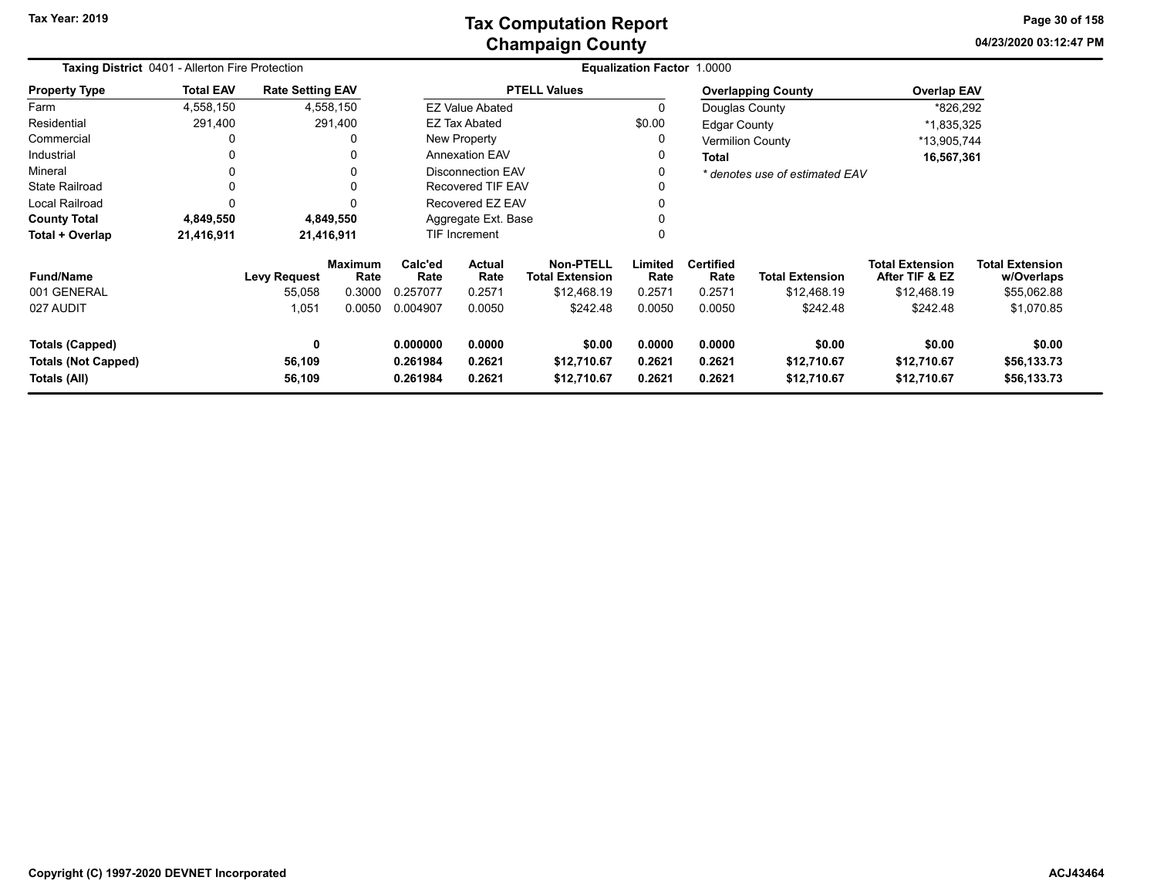**04/23/2020 03:12:47 PMPage 30 of 158**

| Taxing District 0401 - Allerton Fire Protection                      |                  |                         |                        |                                  |                                                                     |                                      | Equalization Factor 1.0000 |                            |                                      |                                          |                                      |
|----------------------------------------------------------------------|------------------|-------------------------|------------------------|----------------------------------|---------------------------------------------------------------------|--------------------------------------|----------------------------|----------------------------|--------------------------------------|------------------------------------------|--------------------------------------|
| <b>Property Type</b>                                                 | <b>Total EAV</b> | <b>Rate Setting EAV</b> |                        |                                  |                                                                     | <b>PTELL Values</b>                  |                            |                            | <b>Overlapping County</b>            | <b>Overlap EAV</b>                       |                                      |
| Farm                                                                 | 4,558,150        |                         | 4,558,150              |                                  | <b>EZ Value Abated</b>                                              |                                      | $\Omega$                   | Douglas County             |                                      | *826,292                                 |                                      |
| Residential                                                          | 291,400          |                         | 291,400                |                                  | EZ Tax Abated                                                       |                                      | \$0.00                     | <b>Edgar County</b>        |                                      | *1,835,325                               |                                      |
| Commercial                                                           | 0                |                         | 0                      |                                  | New Property                                                        |                                      | $\Omega$                   |                            | <b>Vermilion County</b>              | *13,905,744                              |                                      |
| Industrial                                                           | 0                |                         | 0                      |                                  | <b>Annexation EAV</b>                                               |                                      | 0                          | Total                      |                                      | 16,567,361                               |                                      |
| Mineral                                                              | 0                |                         | 0                      |                                  | Disconnection EAV                                                   |                                      |                            |                            | * denotes use of estimated EAV       |                                          |                                      |
| <b>State Railroad</b>                                                | 0                |                         | 0                      |                                  | Recovered TIF EAV                                                   |                                      |                            |                            |                                      |                                          |                                      |
| <b>Local Railroad</b>                                                | 0                |                         | ŋ                      | Recovered EZ EAV                 |                                                                     |                                      |                            |                            |                                      |                                          |                                      |
| <b>County Total</b>                                                  | 4,849,550        |                         | 4,849,550              |                                  | Aggregate Ext. Base                                                 |                                      |                            |                            |                                      |                                          |                                      |
| Total + Overlap                                                      | 21,416,911       |                         | 21,416,911             |                                  | <b>TIF Increment</b>                                                |                                      |                            |                            |                                      |                                          |                                      |
| <b>Fund/Name</b>                                                     |                  | <b>Levy Request</b>     | <b>Maximum</b><br>Rate | Calc'ed<br>Rate                  | <b>Non-PTELL</b><br><b>Actual</b><br>Rate<br><b>Total Extension</b> |                                      | Limited<br>Rate            | <b>Certified</b><br>Rate   | <b>Total Extension</b>               | <b>Total Extension</b><br>After TIF & EZ | <b>Total Extension</b><br>w/Overlaps |
| 001 GENERAL                                                          |                  | 55,058                  | 0.3000                 | 0.257077                         | 0.2571                                                              | \$12,468.19                          | 0.2571                     | 0.2571                     | \$12,468.19                          | \$12,468.19                              | \$55,062.88                          |
| 027 AUDIT                                                            |                  | 1,051                   | 0.0050                 | 0.004907                         | 0.0050                                                              | \$242.48                             | 0.0050                     | 0.0050                     | \$242.48                             | \$242.48                                 | \$1,070.85                           |
| <b>Totals (Capped)</b><br><b>Totals (Not Capped)</b><br>Totals (All) |                  | 0<br>56,109<br>56,109   |                        | 0.000000<br>0.261984<br>0.261984 | 0.0000<br>0.2621<br>0.2621                                          | \$0.00<br>\$12,710.67<br>\$12,710.67 | 0.0000<br>0.2621<br>0.2621 | 0.0000<br>0.2621<br>0.2621 | \$0.00<br>\$12,710.67<br>\$12,710.67 | \$0.00<br>\$12,710.67<br>\$12,710.67     | \$0.00<br>\$56,133.73<br>\$56,133.73 |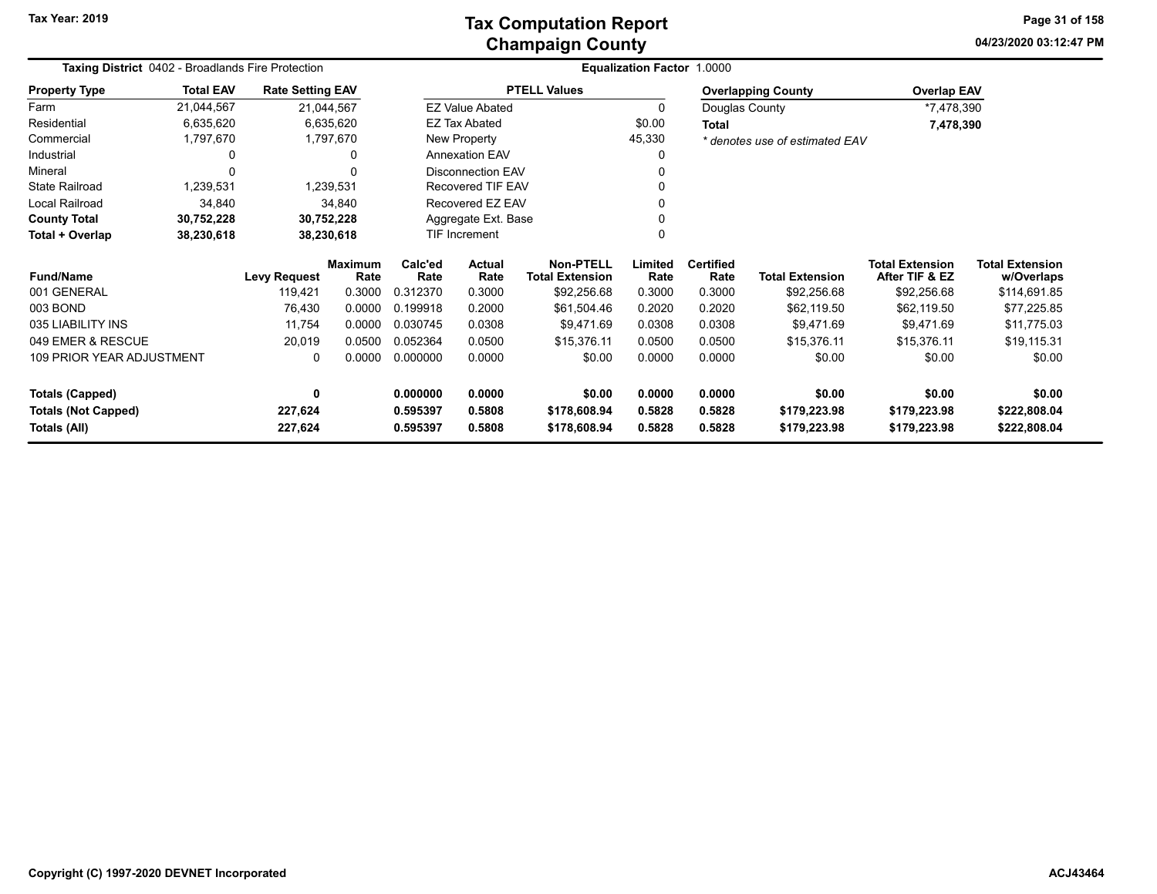**Tax Year: 2019**

### **Champaign County Tax Computation Report**

**04/23/2020 03:12:47 PM Page 31 of 158**

| <b>Taxing District 0402 - Broadlands Fire Protection</b> |                  |                         |                        |                     |                          |                                            | Equalization Factor 1.0000 |                          |                                |                                          |                                      |
|----------------------------------------------------------|------------------|-------------------------|------------------------|---------------------|--------------------------|--------------------------------------------|----------------------------|--------------------------|--------------------------------|------------------------------------------|--------------------------------------|
| <b>Property Type</b>                                     | <b>Total EAV</b> | <b>Rate Setting EAV</b> |                        |                     |                          | <b>PTELL Values</b>                        |                            |                          | <b>Overlapping County</b>      | <b>Overlap EAV</b>                       |                                      |
| Farm                                                     | 21,044,567       | 21,044,567              |                        |                     | <b>EZ Value Abated</b>   |                                            | 0                          | Douglas County           |                                | *7,478,390                               |                                      |
| Residential                                              | 6,635,620        |                         | 6,635,620              |                     | <b>EZ Tax Abated</b>     |                                            | \$0.00                     | Total                    |                                | 7,478,390                                |                                      |
| Commercial                                               | 1,797,670        |                         | 1,797,670              |                     | New Property             |                                            | 45,330                     |                          | * denotes use of estimated EAV |                                          |                                      |
| Industrial                                               | $\Omega$         |                         |                        |                     | <b>Annexation EAV</b>    |                                            | 0                          |                          |                                |                                          |                                      |
| Mineral                                                  | $\Omega$         |                         |                        |                     | <b>Disconnection EAV</b> |                                            | 0                          |                          |                                |                                          |                                      |
| <b>State Railroad</b>                                    | 1,239,531        |                         | 1,239,531              |                     | <b>Recovered TIF EAV</b> |                                            | 0                          |                          |                                |                                          |                                      |
| Local Railroad                                           | 34,840           |                         | 34,840                 |                     | Recovered EZ EAV         |                                            | 0                          |                          |                                |                                          |                                      |
| <b>County Total</b>                                      | 30,752,228       | 30,752,228              |                        | Aggregate Ext. Base |                          |                                            |                            |                          |                                |                                          |                                      |
| Total + Overlap                                          | 38,230,618       | 38,230,618              |                        | TIF Increment       |                          |                                            | $\mathbf{0}$               |                          |                                |                                          |                                      |
| <b>Fund/Name</b>                                         |                  | <b>Levy Request</b>     | <b>Maximum</b><br>Rate | Calc'ed<br>Rate     | <b>Actual</b><br>Rate    | <b>Non-PTELL</b><br><b>Total Extension</b> | Limited<br>Rate            | <b>Certified</b><br>Rate | <b>Total Extension</b>         | <b>Total Extension</b><br>After TIF & EZ | <b>Total Extension</b><br>w/Overlaps |
| 001 GENERAL                                              |                  | 119,421                 | 0.3000                 | 0.312370            | 0.3000                   | \$92,256.68                                | 0.3000                     | 0.3000                   | \$92,256.68                    | \$92,256.68                              | \$114,691.85                         |
| 003 BOND                                                 |                  | 76,430                  | 0.0000                 | 0.199918            | 0.2000                   | \$61,504.46                                | 0.2020                     | 0.2020                   | \$62,119.50                    | \$62,119.50                              | \$77,225.85                          |
| 035 LIABILITY INS                                        |                  | 11.754                  | 0.0000                 | 0.030745            | 0.0308                   | \$9,471.69                                 | 0.0308                     | 0.0308                   | \$9,471.69                     | \$9,471.69                               | \$11,775.03                          |
| 049 EMER & RESCUE                                        |                  | 20,019                  | 0.0500                 | 0.052364            | 0.0500                   | \$15,376.11                                | 0.0500                     | 0.0500                   | \$15,376.11                    | \$15,376.11                              | \$19,115.31                          |
| 109 PRIOR YEAR ADJUSTMENT                                |                  | 0                       | 0.0000                 | 0.000000            | 0.0000                   | \$0.00                                     | 0.0000                     | 0.0000                   | \$0.00                         | \$0.00                                   | \$0.00                               |
| <b>Totals (Capped)</b>                                   |                  | 0                       |                        | 0.000000            | 0.0000                   | \$0.00                                     | 0.0000                     | 0.0000                   | \$0.00                         | \$0.00                                   | \$0.00                               |
| <b>Totals (Not Capped)</b>                               |                  | 227,624                 |                        | 0.595397            | 0.5808                   | \$178,608.94                               | 0.5828                     | 0.5828                   | \$179,223.98                   | \$179,223.98                             | \$222,808.04                         |
| Totals (All)                                             |                  | 227,624                 |                        | 0.595397            | 0.5808                   | \$178,608.94                               | 0.5828                     | 0.5828                   | \$179,223.98                   | \$179,223.98                             | \$222,808.04                         |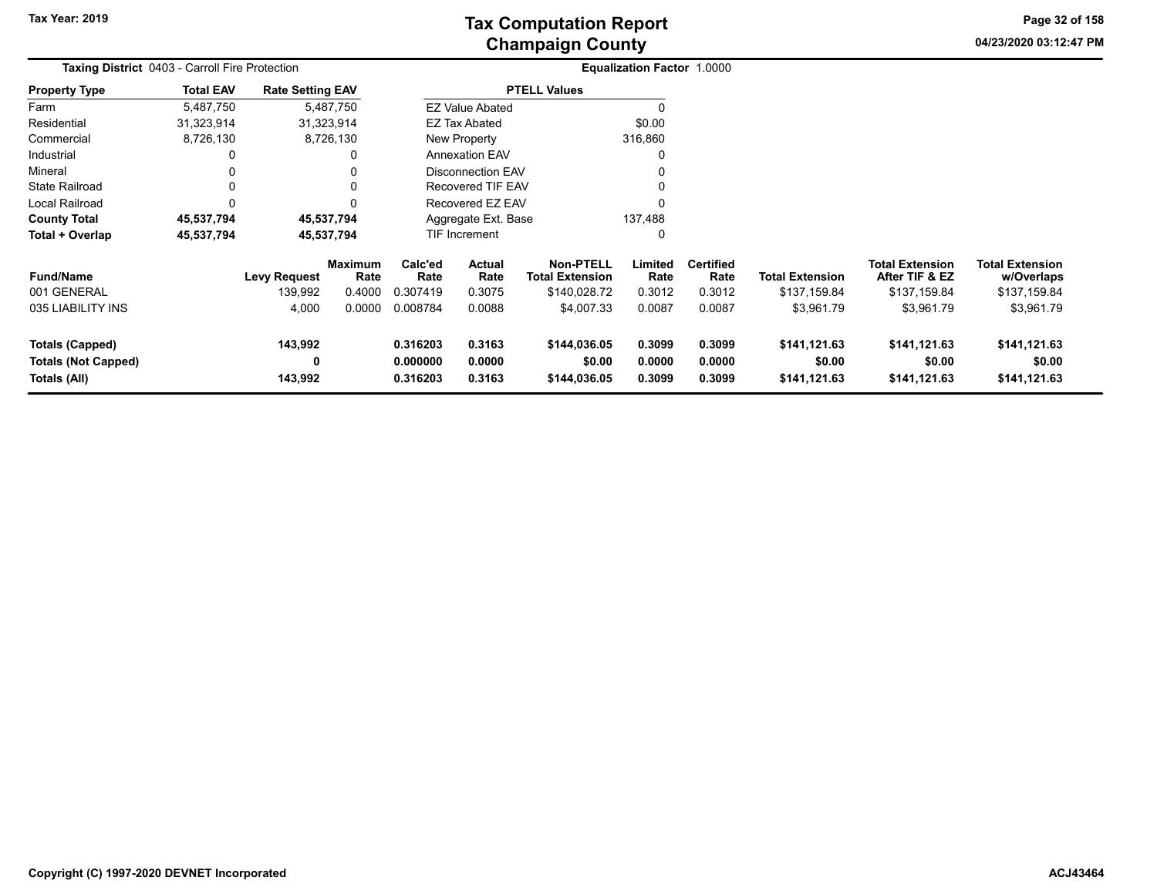**04/23/2020 03:12:47 PM Page 32 of 158**

|                            | <b>Taxing District 0403 - Carroll Fire Protection</b> |                         |                        |                                    |                          |                                            | <b>Equalization Factor 1.0000</b> |                          |                        |                                          |                                      |  |
|----------------------------|-------------------------------------------------------|-------------------------|------------------------|------------------------------------|--------------------------|--------------------------------------------|-----------------------------------|--------------------------|------------------------|------------------------------------------|--------------------------------------|--|
| <b>Property Type</b>       | <b>Total EAV</b>                                      | <b>Rate Setting EAV</b> |                        |                                    |                          | <b>PTELL Values</b>                        |                                   |                          |                        |                                          |                                      |  |
| Farm                       | 5,487,750                                             |                         | 5,487,750              |                                    | <b>EZ Value Abated</b>   |                                            |                                   |                          |                        |                                          |                                      |  |
| Residential                | 31,323,914                                            |                         | 31,323,914             |                                    | EZ Tax Abated            |                                            | \$0.00                            |                          |                        |                                          |                                      |  |
| Commercial                 | 8,726,130                                             |                         | 8,726,130              |                                    | <b>New Property</b>      |                                            | 316,860                           |                          |                        |                                          |                                      |  |
| Industrial                 |                                                       |                         |                        |                                    | <b>Annexation EAV</b>    |                                            |                                   |                          |                        |                                          |                                      |  |
| Mineral                    |                                                       |                         |                        |                                    | <b>Disconnection EAV</b> |                                            |                                   |                          |                        |                                          |                                      |  |
| <b>State Railroad</b>      |                                                       |                         |                        |                                    | <b>Recovered TIF EAV</b> |                                            | 0                                 |                          |                        |                                          |                                      |  |
| Local Railroad             |                                                       |                         |                        |                                    | Recovered EZ EAV         |                                            | $\Omega$                          |                          |                        |                                          |                                      |  |
| <b>County Total</b>        | 45,537,794                                            |                         | 45,537,794             |                                    | Aggregate Ext. Base      |                                            | 137,488                           |                          |                        |                                          |                                      |  |
| Total + Overlap            | 45,537,794                                            |                         | 45,537,794             |                                    | <b>TIF Increment</b>     |                                            | 0                                 |                          |                        |                                          |                                      |  |
| <b>Fund/Name</b>           |                                                       | <b>Levy Request</b>     | <b>Maximum</b><br>Rate | Calc'ed<br>Rate                    | <b>Actual</b><br>Rate    | <b>Non-PTELL</b><br><b>Total Extension</b> | Limited<br>Rate                   | <b>Certified</b><br>Rate | <b>Total Extension</b> | <b>Total Extension</b><br>After TIF & EZ | <b>Total Extension</b><br>w/Overlaps |  |
| 001 GENERAL                |                                                       | 139,992                 | 0.4000                 | 0.307419                           | 0.3075                   | \$140,028.72                               | 0.3012                            | 0.3012                   | \$137,159.84           | \$137,159.84                             | \$137,159.84                         |  |
| 035 LIABILITY INS          |                                                       | 4,000                   | 0.0000                 | 0.008784                           | 0.0088                   | \$4,007.33                                 | 0.0087                            | 0.0087                   | \$3,961.79             | \$3,961.79                               | \$3,961.79                           |  |
| <b>Totals (Capped)</b>     |                                                       | 143,992                 |                        | 0.3163<br>0.316203                 |                          | \$144,036.05                               | 0.3099                            | 0.3099                   | \$141,121.63           | \$141,121.63                             | \$141,121.63                         |  |
| <b>Totals (Not Capped)</b> |                                                       | 0                       |                        | 0.000000<br>0.0000                 |                          | \$0.00                                     | 0.0000                            | 0.0000                   | \$0.00                 | \$0.00                                   | \$0.00                               |  |
| Totals (All)               |                                                       | 143,992                 |                        | 0.3163<br>0.316203<br>\$144,036.05 |                          |                                            | 0.3099                            | 0.3099                   | \$141,121.63           | \$141,121.63                             | \$141,121.63                         |  |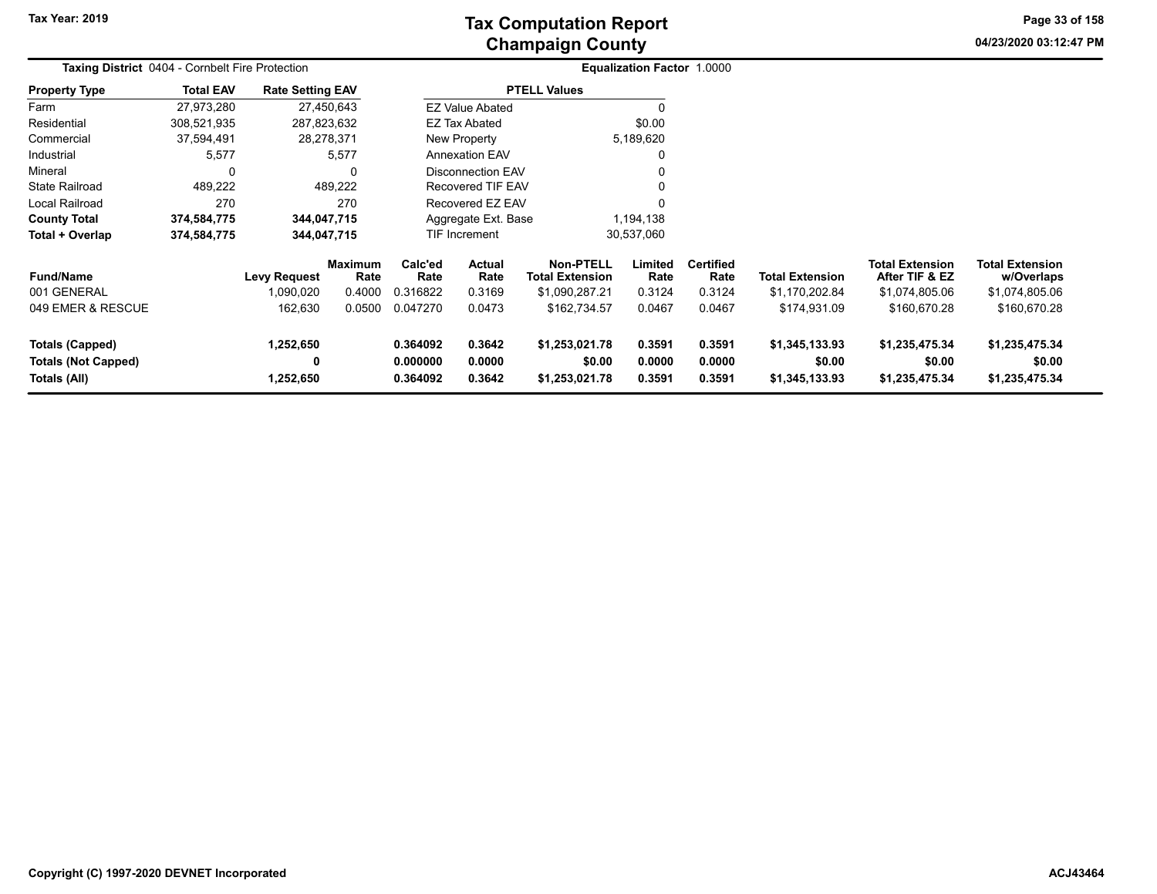**Tax Year: 2019**

# **Champaign County Tax Computation Report**

**04/23/2020 03:12:47 PMPage 33 of 158**

|                                                                      | Taxing District 0404 - Cornbelt Fire Protection |                             |                        |                                  |                            |                                            | <b>Equalization Factor 1.0000</b> |                            |                                            |                                            |                                            |  |
|----------------------------------------------------------------------|-------------------------------------------------|-----------------------------|------------------------|----------------------------------|----------------------------|--------------------------------------------|-----------------------------------|----------------------------|--------------------------------------------|--------------------------------------------|--------------------------------------------|--|
| <b>Property Type</b>                                                 | <b>Total EAV</b>                                | <b>Rate Setting EAV</b>     |                        |                                  |                            | <b>PTELL Values</b>                        |                                   |                            |                                            |                                            |                                            |  |
| Farm                                                                 | 27,973,280                                      |                             | 27,450,643             |                                  | <b>EZ Value Abated</b>     |                                            | $\Omega$                          |                            |                                            |                                            |                                            |  |
| Residential                                                          | 308,521,935                                     | 287,823,632                 |                        |                                  | EZ Tax Abated              |                                            | \$0.00                            |                            |                                            |                                            |                                            |  |
| Commercial                                                           | 37,594,491                                      |                             | 28,278,371             |                                  | <b>New Property</b>        |                                            | 5,189,620                         |                            |                                            |                                            |                                            |  |
| Industrial                                                           | 5,577                                           |                             | 5,577                  |                                  | <b>Annexation EAV</b>      |                                            | 0                                 |                            |                                            |                                            |                                            |  |
| Mineral                                                              | 0                                               |                             | 0                      |                                  | <b>Disconnection EAV</b>   |                                            |                                   |                            |                                            |                                            |                                            |  |
| <b>State Railroad</b>                                                | 489,222                                         |                             | 489,222                |                                  | <b>Recovered TIF EAV</b>   |                                            | 0                                 |                            |                                            |                                            |                                            |  |
| Local Railroad                                                       | 270                                             |                             | 270                    |                                  | <b>Recovered EZ EAV</b>    |                                            | $\Omega$                          |                            |                                            |                                            |                                            |  |
| <b>County Total</b>                                                  | 374,584,775                                     | 344,047,715                 |                        |                                  | Aggregate Ext. Base        |                                            | 1,194,138                         |                            |                                            |                                            |                                            |  |
| Total + Overlap                                                      | 374,584,775                                     | 344,047,715                 |                        |                                  | TIF Increment              |                                            | 30,537,060                        |                            |                                            |                                            |                                            |  |
| <b>Fund/Name</b>                                                     |                                                 | <b>Levy Request</b>         | <b>Maximum</b><br>Rate | Calc'ed<br>Rate                  | Actual<br>Rate             | <b>Non-PTELL</b><br><b>Total Extension</b> | Limited<br>Rate                   | <b>Certified</b><br>Rate   | <b>Total Extension</b>                     | <b>Total Extension</b><br>After TIF & EZ   | Total Extension<br>w/Overlaps              |  |
| 001 GENERAL                                                          |                                                 | 1,090,020                   | 0.4000                 | 0.316822                         | 0.3169                     | \$1,090,287.21                             | 0.3124                            | 0.3124                     | \$1,170,202.84                             | \$1,074,805.06                             | \$1,074,805.06                             |  |
| 049 EMER & RESCUE                                                    |                                                 | 162,630                     | 0.0500                 | 0.047270                         | 0.0473                     | \$162,734.57                               | 0.0467                            | 0.0467                     | \$174,931.09                               | \$160,670.28                               | \$160,670.28                               |  |
| <b>Totals (Capped)</b><br><b>Totals (Not Capped)</b><br>Totals (All) |                                                 | 1,252,650<br>0<br>1,252,650 |                        | 0.364092<br>0.000000<br>0.364092 | 0.3642<br>0.0000<br>0.3642 | \$1,253,021.78<br>\$0.00<br>\$1,253,021.78 | 0.3591<br>0.0000<br>0.3591        | 0.3591<br>0.0000<br>0.3591 | \$1,345,133.93<br>\$0.00<br>\$1,345,133.93 | \$1,235,475.34<br>\$0.00<br>\$1,235,475.34 | \$1,235,475.34<br>\$0.00<br>\$1,235,475.34 |  |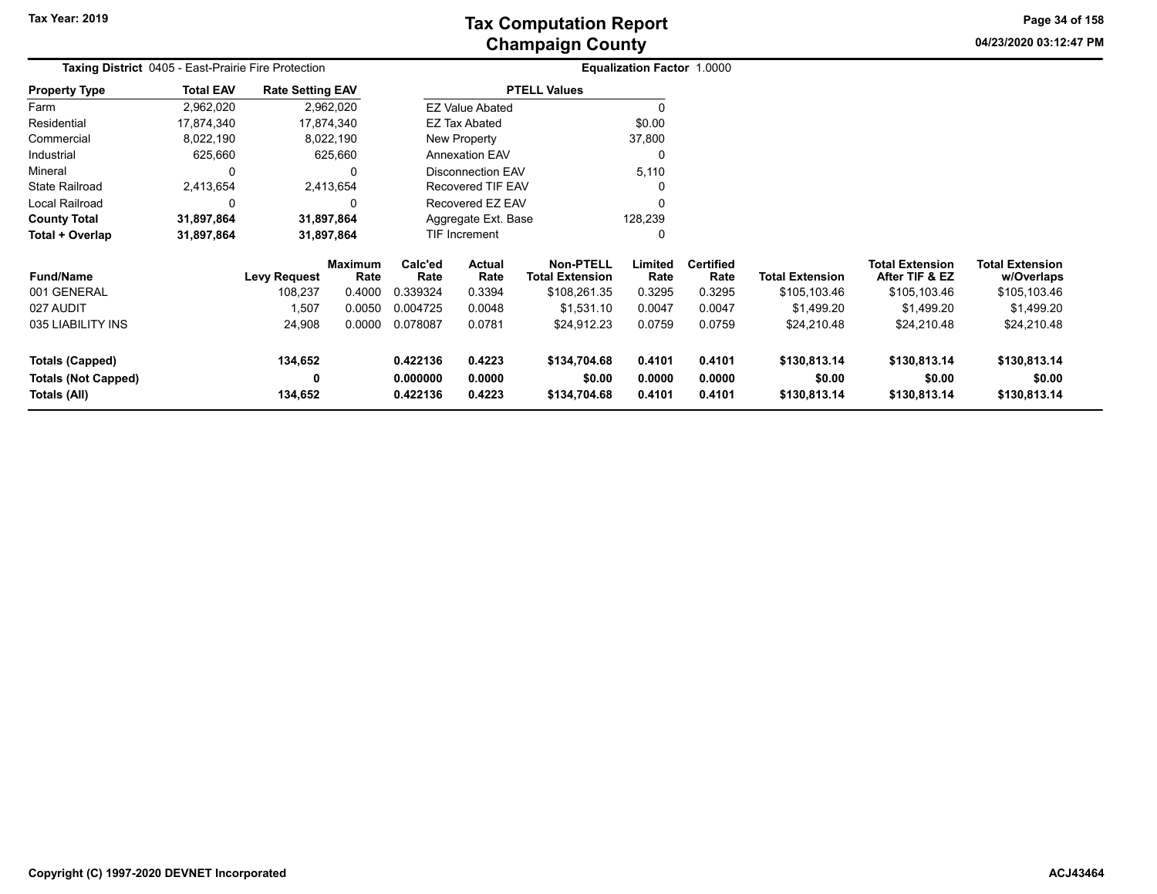**04/23/2020 03:12:47 PM Page 34 of 158**

| <b>Taxing District</b> 0405 - East-Prairie Fire Protection |                  |                         |                        |                      |                                          |                        | Equalization Factor 1,0000 |                          |                        |                                          |                                      |  |
|------------------------------------------------------------|------------------|-------------------------|------------------------|----------------------|------------------------------------------|------------------------|----------------------------|--------------------------|------------------------|------------------------------------------|--------------------------------------|--|
| <b>Property Type</b>                                       | <b>Total EAV</b> | <b>Rate Setting EAV</b> |                        |                      |                                          | <b>PTELL Values</b>    |                            |                          |                        |                                          |                                      |  |
| Farm                                                       | 2,962,020        |                         | 2,962,020              |                      | <b>EZ Value Abated</b>                   |                        | 0                          |                          |                        |                                          |                                      |  |
| Residential                                                | 17,874,340       |                         | 17,874,340             |                      | <b>EZ Tax Abated</b>                     |                        | \$0.00                     |                          |                        |                                          |                                      |  |
| Commercial                                                 | 8,022,190        |                         | 8,022,190              |                      | New Property                             |                        | 37,800                     |                          |                        |                                          |                                      |  |
| Industrial                                                 | 625,660          |                         | 625,660                |                      | <b>Annexation EAV</b>                    |                        | 0                          |                          |                        |                                          |                                      |  |
| Mineral                                                    | 0                |                         | 0                      |                      | <b>Disconnection EAV</b>                 |                        | 5,110                      |                          |                        |                                          |                                      |  |
| <b>State Railroad</b>                                      | 2,413,654        |                         | 2,413,654              |                      | Recovered TIF EAV                        |                        | 0                          |                          |                        |                                          |                                      |  |
| Local Railroad                                             | $\Omega$         |                         | 0                      |                      | Recovered EZ EAV                         |                        | $\Omega$                   |                          |                        |                                          |                                      |  |
| <b>County Total</b>                                        | 31,897,864       |                         | 31,897,864             |                      | Aggregate Ext. Base                      |                        | 128,239                    |                          |                        |                                          |                                      |  |
| Total + Overlap                                            | 31,897,864       |                         | 31,897,864             |                      | TIF Increment                            |                        | 0                          |                          |                        |                                          |                                      |  |
| <b>Fund/Name</b>                                           |                  | <b>Levy Request</b>     | <b>Maximum</b><br>Rate | Calc'ed<br>Rate      | Actual<br>Rate<br><b>Total Extension</b> |                        | Limited<br>Rate            | <b>Certified</b><br>Rate | <b>Total Extension</b> | <b>Total Extension</b><br>After TIF & EZ | <b>Total Extension</b><br>w/Overlaps |  |
| 001 GENERAL                                                |                  | 108,237                 | 0.4000                 | 0.339324             | 0.3394                                   | \$108,261.35           | 0.3295                     | 0.3295                   | \$105,103.46           | \$105,103.46                             | \$105,103.46                         |  |
| 027 AUDIT                                                  |                  | 1,507                   | 0.0050                 | 0.004725             | 0.0048                                   | \$1,531.10             | 0.0047                     | 0.0047                   | \$1,499.20             | \$1,499.20                               | \$1,499.20                           |  |
| 035 LIABILITY INS                                          |                  | 24,908                  | 0.0000                 | 0.078087             | 0.0781                                   | \$24,912.23            | 0.0759                     | 0.0759                   | \$24,210.48            | \$24,210.48                              | \$24,210.48                          |  |
| <b>Totals (Capped)</b>                                     |                  | 134,652                 |                        | 0.422136<br>0.4223   |                                          | \$134,704.68           | 0.4101                     | 0.4101                   | \$130,813.14           | \$130,813.14                             | \$130,813.14                         |  |
| <b>Totals (Not Capped)</b><br>Totals (All)                 |                  | 0<br>134,652            |                        | 0.000000<br>0.422136 | 0.0000<br>0.4223                         | \$0.00<br>\$134,704.68 | 0.0000<br>0.4101           | 0.0000<br>0.4101         | \$0.00<br>\$130,813.14 | \$0.00<br>\$130,813.14                   | \$0.00<br>\$130,813.14               |  |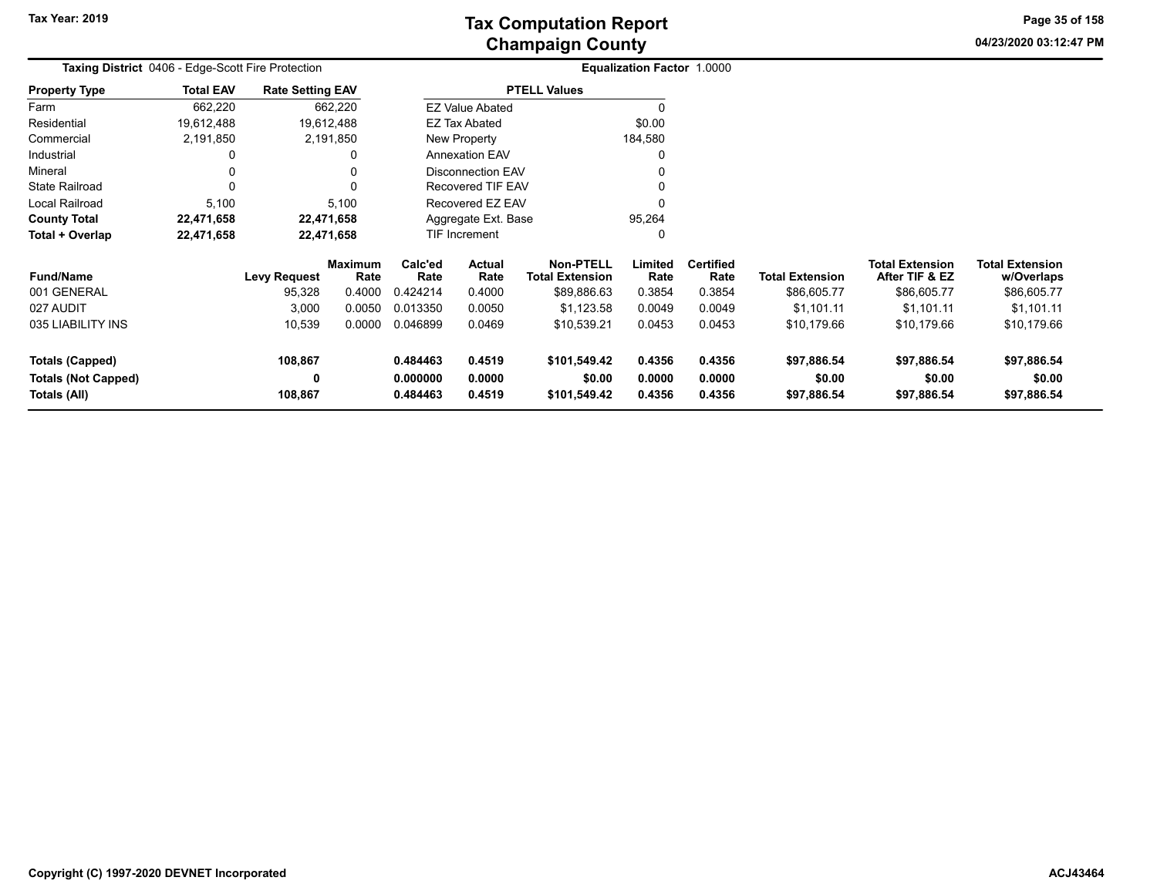**04/23/2020 03:12:47 PM Page 35 of 158**

| Taxing District 0406 - Edge-Scott Fire Protection |                  |                         |                 |                 |                          |                                     | Equalization Factor 1.0000 |                          |                        |                                          |                                      |
|---------------------------------------------------|------------------|-------------------------|-----------------|-----------------|--------------------------|-------------------------------------|----------------------------|--------------------------|------------------------|------------------------------------------|--------------------------------------|
| <b>Property Type</b>                              | <b>Total EAV</b> | <b>Rate Setting EAV</b> |                 |                 |                          | <b>PTELL Values</b>                 |                            |                          |                        |                                          |                                      |
| Farm                                              | 662,220          |                         | 662,220         |                 | <b>EZ Value Abated</b>   |                                     |                            |                          |                        |                                          |                                      |
| Residential                                       | 19,612,488       |                         | 19,612,488      |                 | EZ Tax Abated            |                                     | \$0.00                     |                          |                        |                                          |                                      |
| Commercial                                        | 2,191,850        |                         | 2,191,850       |                 | New Property             |                                     | 184,580                    |                          |                        |                                          |                                      |
| Industrial                                        |                  |                         | 0               |                 | <b>Annexation EAV</b>    |                                     | 0                          |                          |                        |                                          |                                      |
| Mineral                                           | 0                |                         | 0               |                 | <b>Disconnection EAV</b> |                                     |                            |                          |                        |                                          |                                      |
| State Railroad                                    | 0                |                         | $\Omega$        |                 | Recovered TIF EAV        |                                     |                            |                          |                        |                                          |                                      |
| Local Railroad                                    | 5,100            |                         | 5,100           |                 | Recovered EZ EAV         |                                     |                            |                          |                        |                                          |                                      |
| <b>County Total</b>                               | 22,471,658       |                         | 22,471,658      |                 | Aggregate Ext. Base      |                                     | 95,264                     |                          |                        |                                          |                                      |
| Total + Overlap                                   | 22,471,658       |                         | 22,471,658      |                 | TIF Increment            |                                     | 0                          |                          |                        |                                          |                                      |
| <b>Fund/Name</b>                                  |                  | <b>Levy Request</b>     | Maximum<br>Rate | Calc'ed<br>Rate | Actual<br>Rate           | Non-PTELL<br><b>Total Extension</b> | Limited<br>Rate            | <b>Certified</b><br>Rate | <b>Total Extension</b> | <b>Total Extension</b><br>After TIF & EZ | <b>Total Extension</b><br>w/Overlaps |
| 001 GENERAL                                       |                  | 95,328                  | 0.4000          | 0.424214        | 0.4000                   | \$89,886.63                         | 0.3854                     | 0.3854                   | \$86,605.77            | \$86,605.77                              | \$86,605.77                          |
| 027 AUDIT                                         |                  | 3,000                   | 0.0050          | 0.013350        | 0.0050                   | \$1,123.58                          | 0.0049                     | 0.0049                   | \$1,101.11             | \$1,101.11                               | \$1,101.11                           |
| 035 LIABILITY INS                                 |                  | 10,539                  | 0.0000          | 0.046899        | 0.0469                   | \$10,539.21                         | 0.0453                     | 0.0453                   | \$10,179.66            | \$10,179.66                              | \$10,179.66                          |
| Totals (Capped)                                   |                  | 108,867                 |                 | 0.484463        | 0.4519                   | \$101,549.42                        | 0.4356                     | 0.4356                   | \$97,886.54            | \$97,886.54                              | \$97,886.54                          |
| <b>Totals (Not Capped)</b>                        |                  | 0                       |                 | 0.000000        | 0.0000                   | \$0.00                              | 0.0000                     | 0.0000                   | \$0.00                 | \$0.00                                   | \$0.00                               |
| Totals (All)                                      | 108,867          |                         | 0.484463        | 0.4519          | \$101,549.42             | 0.4356                              | 0.4356                     | \$97,886.54              | \$97,886.54            | \$97,886.54                              |                                      |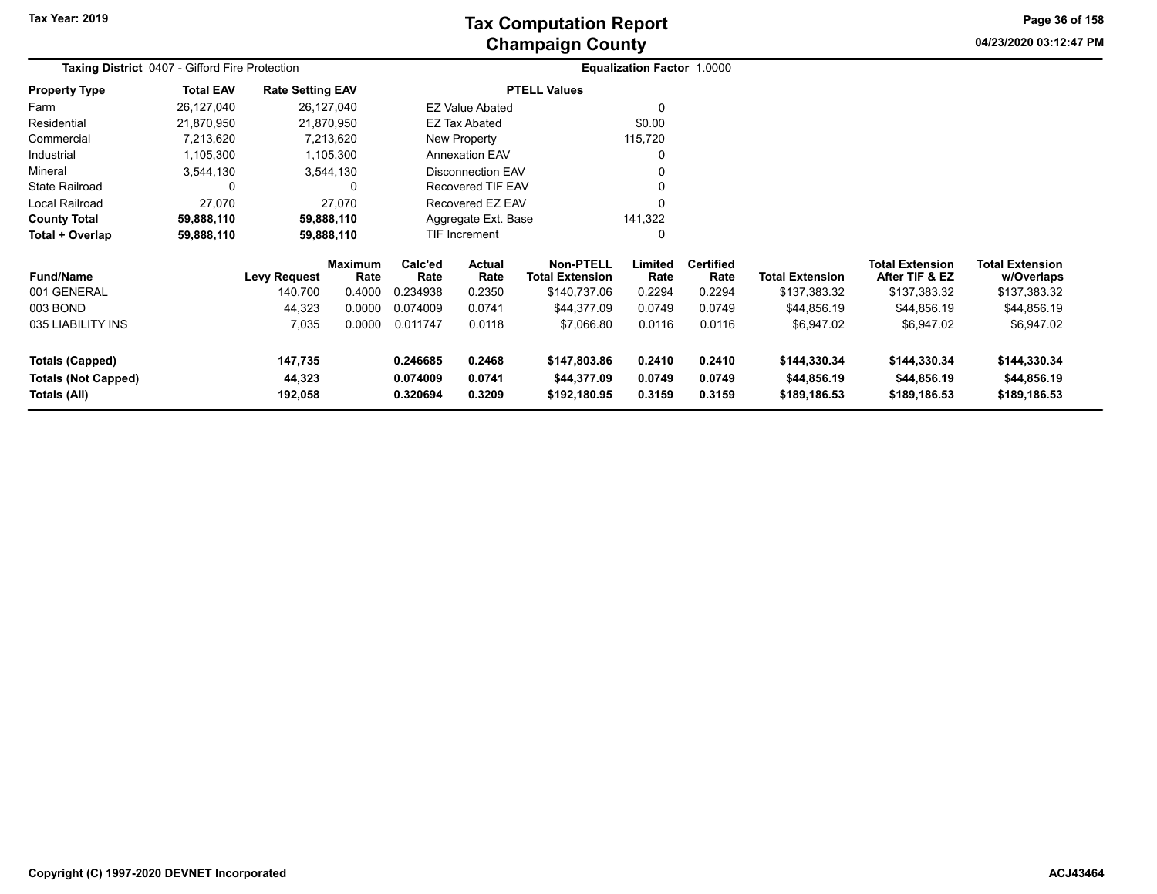**04/23/2020 03:12:47 PM Page 36 of 158**

| <b>Taxing District 0407 - Gifford Fire Protection</b> |                  |                         |                        |                                                                         | Equalization Factor 1.0000 |                                            |                  |                          |                             |                                          |                                      |
|-------------------------------------------------------|------------------|-------------------------|------------------------|-------------------------------------------------------------------------|----------------------------|--------------------------------------------|------------------|--------------------------|-----------------------------|------------------------------------------|--------------------------------------|
| <b>Property Type</b>                                  | <b>Total EAV</b> | <b>Rate Setting EAV</b> |                        |                                                                         |                            | <b>PTELL Values</b>                        |                  |                          |                             |                                          |                                      |
| Farm                                                  | 26,127,040       |                         | 26,127,040             |                                                                         | <b>EZ Value Abated</b>     |                                            |                  |                          |                             |                                          |                                      |
| Residential                                           | 21,870,950       |                         | 21,870,950             |                                                                         | EZ Tax Abated              |                                            | \$0.00           |                          |                             |                                          |                                      |
| Commercial                                            | 7,213,620        |                         | 7,213,620              |                                                                         | <b>New Property</b>        |                                            | 115,720          |                          |                             |                                          |                                      |
| Industrial                                            | 1,105,300        |                         | 1,105,300              |                                                                         | <b>Annexation EAV</b>      |                                            |                  |                          |                             |                                          |                                      |
| Mineral                                               | 3,544,130        |                         | 3,544,130              |                                                                         | <b>Disconnection EAV</b>   |                                            |                  |                          |                             |                                          |                                      |
| State Railroad                                        | 0                |                         | 0                      |                                                                         | Recovered TIF EAV          |                                            |                  |                          |                             |                                          |                                      |
| Local Railroad                                        | 27,070           |                         | 27,070                 |                                                                         | Recovered EZ EAV           |                                            |                  |                          |                             |                                          |                                      |
| <b>County Total</b>                                   | 59,888,110       |                         | 59,888,110             |                                                                         | Aggregate Ext. Base        |                                            | 141,322          |                          |                             |                                          |                                      |
| Total + Overlap                                       | 59,888,110       |                         | 59,888,110             |                                                                         | TIF Increment              |                                            | 0                |                          |                             |                                          |                                      |
| <b>Fund/Name</b>                                      |                  | <b>Levy Request</b>     | <b>Maximum</b><br>Rate | Calc'ed<br>Rate                                                         | Actual<br>Rate             | <b>Non-PTELL</b><br><b>Total Extension</b> | Limited<br>Rate  | <b>Certified</b><br>Rate | <b>Total Extension</b>      | <b>Total Extension</b><br>After TIF & EZ | <b>Total Extension</b><br>w/Overlaps |
| 001 GENERAL                                           |                  | 140,700                 | 0.4000                 | 0.234938                                                                | 0.2350                     | \$140,737.06                               | 0.2294           | 0.2294                   | \$137,383.32                | \$137,383.32                             | \$137,383.32                         |
| 003 BOND                                              |                  | 44,323                  | 0.0000                 | 0.074009                                                                | 0.0741                     | \$44,377.09                                | 0.0749           | 0.0749                   | \$44,856.19                 | \$44,856.19                              | \$44,856.19                          |
| 035 LIABILITY INS                                     |                  | 7,035                   | 0.0000                 | 0.011747                                                                | 0.0118                     | \$7,066.80                                 | 0.0116           | 0.0116                   | \$6,947.02                  | \$6,947.02                               | \$6,947.02                           |
| <b>Totals (Capped)</b><br><b>Totals (Not Capped)</b>  |                  | 147,735<br>44,323       |                        | 0.246685                                                                | 0.2468                     | \$147,803.86                               | 0.2410<br>0.0749 | 0.2410<br>0.0749         | \$144,330.34<br>\$44,856.19 | \$144,330.34<br>\$44,856.19              | \$144,330.34<br>\$44,856.19          |
| Totals (All)                                          |                  | 192,058                 |                        | 0.074009<br>0.0741<br>\$44,377.09<br>0.3209<br>0.320694<br>\$192,180.95 |                            |                                            | 0.3159           | 0.3159                   | \$189,186.53                | \$189,186.53                             | \$189,186.53                         |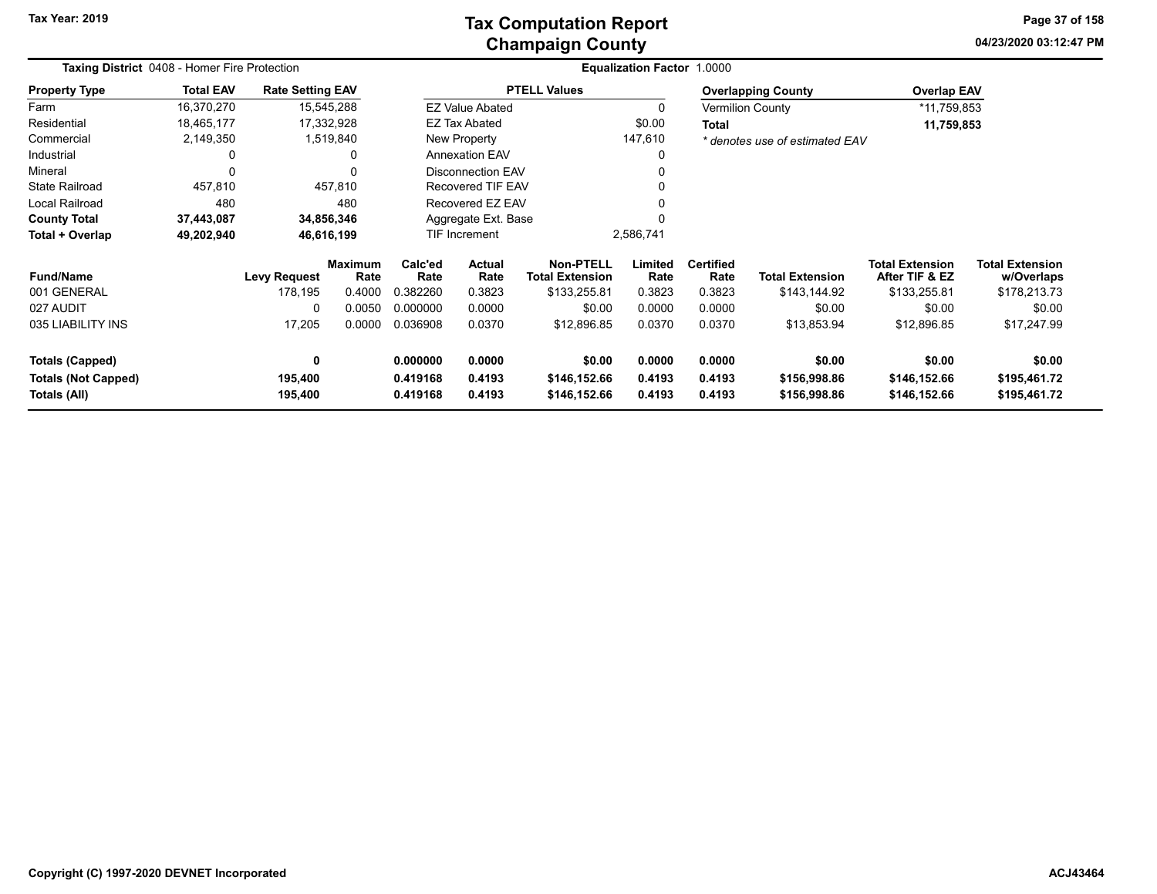### **Champaign County Tax Computation Report**

**04/23/2020 03:12:47 PM Page 37 of 158**

| Taxing District 0408 - Homer Fire Protection         |                  |                         |                        |                      |                          |                                            | Equalization Factor 1.0000 |                          |                                |                                          |                                      |
|------------------------------------------------------|------------------|-------------------------|------------------------|----------------------|--------------------------|--------------------------------------------|----------------------------|--------------------------|--------------------------------|------------------------------------------|--------------------------------------|
| <b>Property Type</b>                                 | <b>Total EAV</b> | <b>Rate Setting EAV</b> |                        |                      |                          | <b>PTELL Values</b>                        |                            |                          | <b>Overlapping County</b>      | <b>Overlap EAV</b>                       |                                      |
| Farm                                                 | 16,370,270       | 15,545,288              |                        |                      | <b>EZ Value Abated</b>   |                                            |                            |                          | <b>Vermilion County</b>        | *11,759,853                              |                                      |
| Residential                                          | 18,465,177       | 17,332,928              |                        |                      | <b>EZ Tax Abated</b>     |                                            | \$0.00                     | Total                    |                                | 11,759,853                               |                                      |
| Commercial                                           | 2,149,350        |                         | 1,519,840              |                      | New Property             |                                            | 147,610                    |                          | * denotes use of estimated EAV |                                          |                                      |
| Industrial                                           | 0                |                         | 0                      |                      | <b>Annexation EAV</b>    |                                            |                            |                          |                                |                                          |                                      |
| Mineral                                              | 0                |                         | $\mathbf{0}$           |                      | <b>Disconnection EAV</b> |                                            |                            |                          |                                |                                          |                                      |
| <b>State Railroad</b>                                | 457,810          |                         | 457,810                |                      | Recovered TIF EAV        |                                            |                            |                          |                                |                                          |                                      |
| Local Railroad                                       | 480              |                         | 480                    |                      | Recovered EZ EAV         |                                            |                            |                          |                                |                                          |                                      |
| <b>County Total</b>                                  | 37,443,087       | 34,856,346              |                        |                      | Aggregate Ext. Base      |                                            |                            |                          |                                |                                          |                                      |
| Total + Overlap                                      | 49,202,940       | 46,616,199              |                        |                      | TIF Increment            |                                            | 2,586,741                  |                          |                                |                                          |                                      |
| <b>Fund/Name</b>                                     |                  | <b>Levy Request</b>     | <b>Maximum</b><br>Rate | Calc'ed<br>Rate      | Actual<br>Rate           | <b>Non-PTELL</b><br><b>Total Extension</b> | Limited<br>Rate            | <b>Certified</b><br>Rate | <b>Total Extension</b>         | <b>Total Extension</b><br>After TIF & EZ | <b>Total Extension</b><br>w/Overlaps |
| 001 GENERAL                                          |                  | 178,195                 | 0.4000                 | 0.382260             | 0.3823                   | \$133,255.81                               | 0.3823                     | 0.3823                   | \$143,144.92                   | \$133,255.81                             | \$178,213.73                         |
| 027 AUDIT                                            |                  | 0                       | 0.0050                 | 0.000000             | 0.0000                   | \$0.00                                     | 0.0000                     | 0.0000                   | \$0.00                         | \$0.00                                   | \$0.00                               |
| 035 LIABILITY INS                                    |                  | 17,205                  | 0.0000                 | 0.036908             | 0.0370                   | \$12,896.85                                | 0.0370                     | 0.0370                   | \$13,853.94                    | \$12,896.85                              | \$17,247.99                          |
| <b>Totals (Capped)</b><br><b>Totals (Not Capped)</b> |                  | 0<br>195,400            |                        | 0.000000<br>0.419168 | 0.0000<br>0.4193         | \$0.00<br>\$146,152.66                     | 0.0000<br>0.4193           | 0.0000<br>0.4193         | \$0.00<br>\$156,998.86         | \$0.00<br>\$146,152.66                   | \$0.00<br>\$195,461.72               |
| Totals (All)                                         |                  | 195,400                 |                        | 0.419168             | 0.4193                   | \$146,152.66                               | 0.4193                     | 0.4193                   | \$156,998.86                   | \$146,152.66                             | \$195,461.72                         |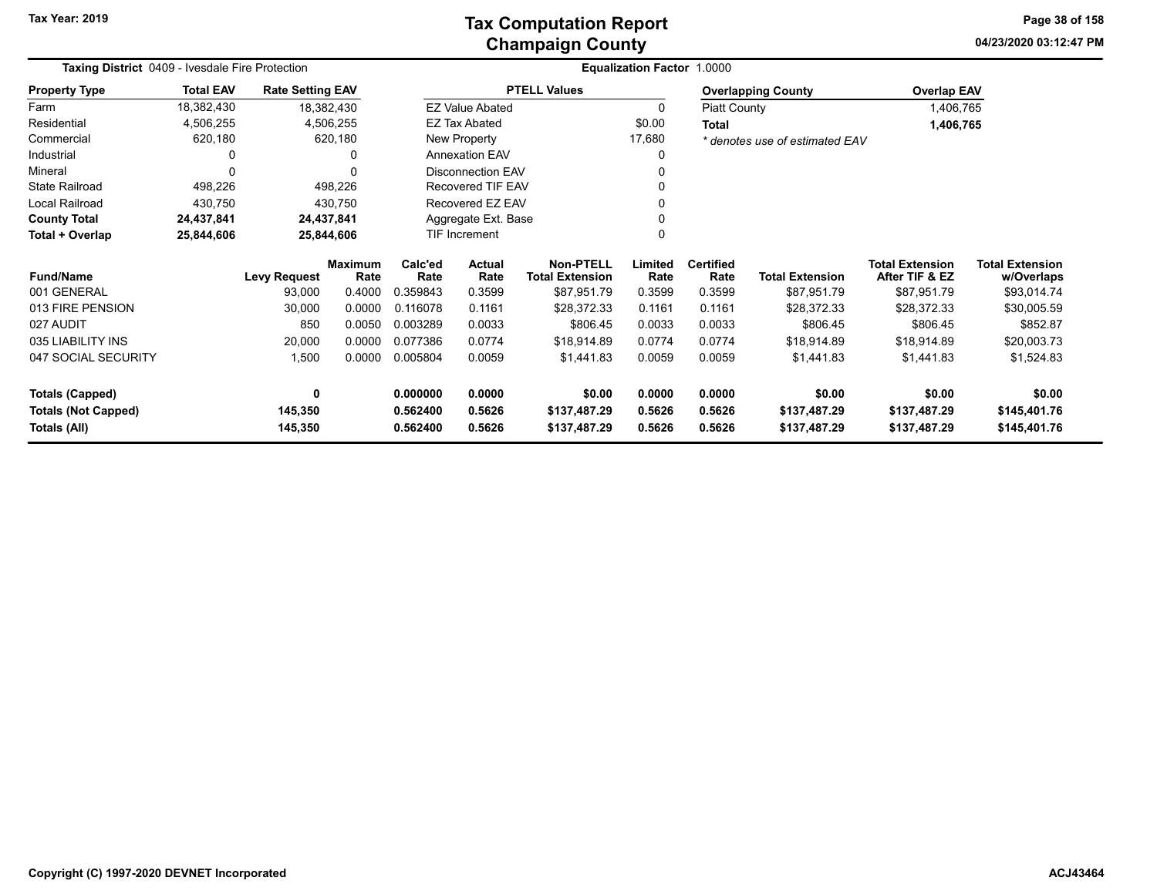**04/23/2020 03:12:47 PM Page 38 of 158**

| <b>Taxing District</b> 0409 - Ivesdale Fire Protection |                  |                         |                        |                 |                                          |                     | <b>Equalization Factor 1.0000</b> |                          |                                |                                          |                                      |
|--------------------------------------------------------|------------------|-------------------------|------------------------|-----------------|------------------------------------------|---------------------|-----------------------------------|--------------------------|--------------------------------|------------------------------------------|--------------------------------------|
| <b>Property Type</b>                                   | <b>Total EAV</b> | <b>Rate Setting EAV</b> |                        |                 |                                          | <b>PTELL Values</b> |                                   |                          | <b>Overlapping County</b>      | <b>Overlap EAV</b>                       |                                      |
| Farm                                                   | 18,382,430       |                         | 18,382,430             |                 | <b>EZ Value Abated</b>                   |                     | 0                                 | <b>Piatt County</b>      |                                | 1,406,765                                |                                      |
| Residential                                            | 4,506,255        |                         | 4,506,255              |                 | <b>EZ Tax Abated</b>                     |                     | \$0.00                            | <b>Total</b>             |                                | 1,406,765                                |                                      |
| Commercial                                             | 620,180          |                         | 620,180                |                 | <b>New Property</b>                      |                     | 17,680                            |                          | * denotes use of estimated EAV |                                          |                                      |
| Industrial                                             | 0                |                         | <sup>0</sup>           |                 | <b>Annexation EAV</b>                    |                     | 0                                 |                          |                                |                                          |                                      |
| Mineral                                                | 0                |                         | 0                      |                 | <b>Disconnection EAV</b>                 |                     |                                   |                          |                                |                                          |                                      |
| <b>State Railroad</b>                                  | 498,226          |                         | 498,226                |                 | Recovered TIF EAV                        |                     |                                   |                          |                                |                                          |                                      |
| Local Railroad                                         | 430,750          |                         | 430,750                |                 | Recovered EZ EAV                         |                     |                                   |                          |                                |                                          |                                      |
| <b>County Total</b>                                    | 24,437,841       |                         | 24,437,841             |                 | Aggregate Ext. Base                      |                     |                                   |                          |                                |                                          |                                      |
| Total + Overlap                                        | 25,844,606       |                         | 25,844,606             |                 | <b>TIF Increment</b>                     |                     |                                   |                          |                                |                                          |                                      |
| <b>Fund/Name</b>                                       |                  | <b>Levy Request</b>     | <b>Maximum</b><br>Rate | Calc'ed<br>Rate | Actual<br>Rate<br><b>Total Extension</b> |                     | Limited<br>Rate                   | <b>Certified</b><br>Rate | <b>Total Extension</b>         | <b>Total Extension</b><br>After TIF & EZ | <b>Total Extension</b><br>w/Overlaps |
| 001 GENERAL                                            |                  | 93,000                  | 0.4000                 | 0.359843        | 0.3599                                   | \$87,951.79         | 0.3599                            | 0.3599                   | \$87,951.79                    | \$87,951.79                              | \$93,014.74                          |
| 013 FIRE PENSION                                       |                  | 30,000                  | 0.0000                 | 0.116078        | 0.1161                                   | \$28,372.33         | 0.1161                            | 0.1161                   | \$28,372.33                    | \$28,372.33                              | \$30,005.59                          |
| 027 AUDIT                                              |                  | 850                     | 0.0050                 | 0.003289        | 0.0033                                   | \$806.45            | 0.0033                            | 0.0033                   | \$806.45                       | \$806.45                                 | \$852.87                             |
| 035 LIABILITY INS                                      |                  | 20,000                  | 0.0000                 | 0.077386        | 0.0774                                   | \$18,914.89         | 0.0774                            | 0.0774                   | \$18,914.89                    | \$18,914.89                              | \$20,003.73                          |
| 047 SOCIAL SECURITY                                    |                  | 1,500                   | 0.0000                 | 0.005804        | 0.0059                                   | \$1,441.83          | 0.0059                            | 0.0059                   | \$1,441.83                     | \$1,441.83                               | \$1,524.83                           |
| <b>Totals (Capped)</b>                                 |                  | 0                       |                        | 0.000000        | 0.0000                                   | \$0.00              | 0.0000                            | 0.0000                   | \$0.00                         | \$0.00                                   | \$0.00                               |
| <b>Totals (Not Capped)</b>                             |                  | 145,350                 |                        | 0.562400        | 0.5626                                   | \$137,487.29        | 0.5626                            | 0.5626                   | \$137,487.29                   | \$137,487.29                             | \$145,401.76                         |
| Totals (All)                                           | 145,350          |                         |                        | 0.562400        | 0.5626                                   | \$137,487.29        | 0.5626                            | 0.5626                   | \$137,487.29                   | \$137,487.29                             | \$145,401.76                         |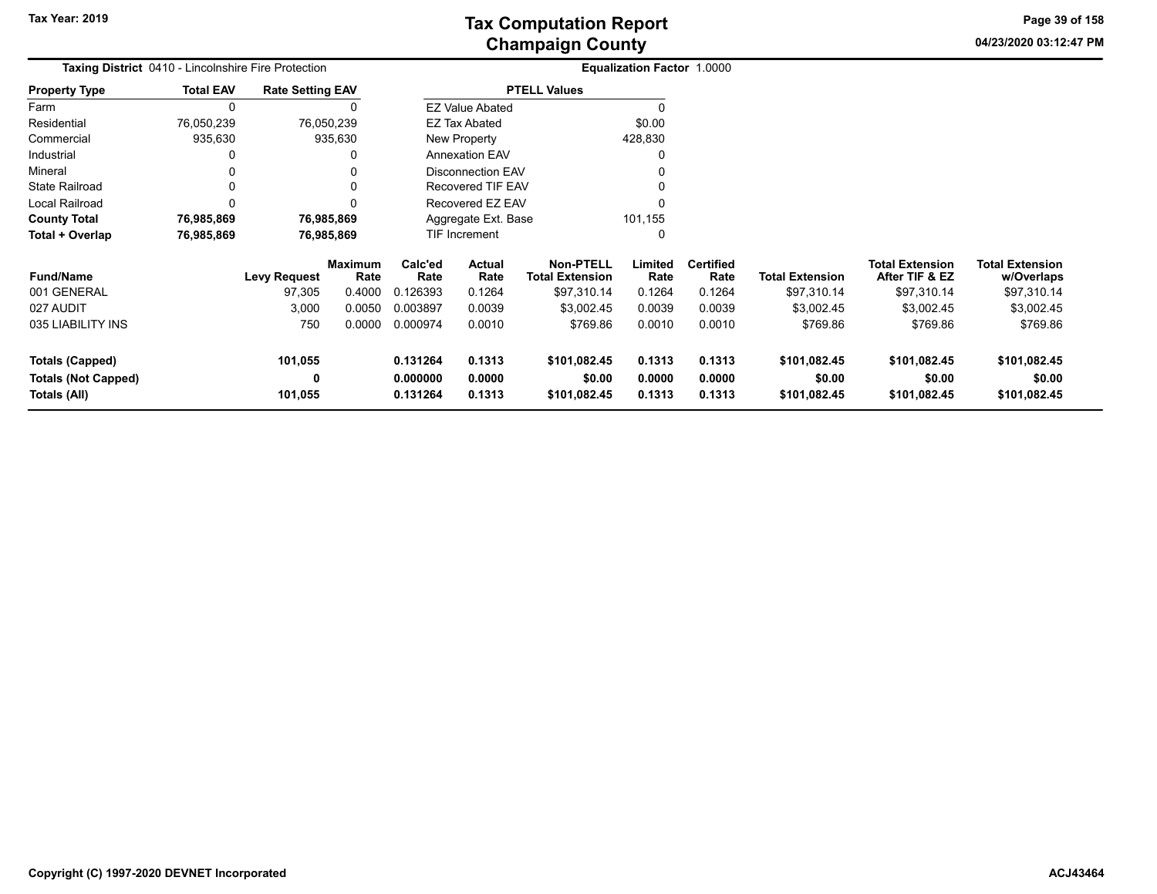**04/23/2020 03:12:47 PM Page 39 of 158**

| <b>Taxing District</b> 0410 - Lincolnshire Fire Protection |                  |                         |                 | Equalization Factor 1.0000               |                                            |                                            |                  |                          |                        |                                          |                                      |
|------------------------------------------------------------|------------------|-------------------------|-----------------|------------------------------------------|--------------------------------------------|--------------------------------------------|------------------|--------------------------|------------------------|------------------------------------------|--------------------------------------|
| <b>Property Type</b>                                       | <b>Total EAV</b> | <b>Rate Setting EAV</b> |                 |                                          |                                            | <b>PTELL Values</b>                        |                  |                          |                        |                                          |                                      |
| Farm                                                       | 0                |                         |                 |                                          | <b>EZ Value Abated</b>                     |                                            |                  |                          |                        |                                          |                                      |
| Residential                                                | 76,050,239       |                         | 76,050,239      |                                          | <b>EZ Tax Abated</b>                       |                                            | \$0.00           |                          |                        |                                          |                                      |
| Commercial                                                 | 935,630          |                         | 935,630         |                                          | New Property                               |                                            | 428,830          |                          |                        |                                          |                                      |
| Industrial                                                 |                  |                         |                 |                                          | <b>Annexation EAV</b>                      |                                            |                  |                          |                        |                                          |                                      |
| Mineral                                                    |                  |                         |                 |                                          | <b>Disconnection EAV</b>                   |                                            |                  |                          |                        |                                          |                                      |
| <b>State Railroad</b>                                      |                  |                         |                 |                                          | Recovered TIF EAV                          |                                            |                  |                          |                        |                                          |                                      |
| Local Railroad                                             |                  |                         |                 |                                          | Recovered EZ EAV                           |                                            |                  |                          |                        |                                          |                                      |
| <b>County Total</b>                                        | 76,985,869       |                         | 76,985,869      |                                          | Aggregate Ext. Base                        |                                            | 101,155          |                          |                        |                                          |                                      |
| Total + Overlap                                            | 76,985,869       |                         | 76,985,869      |                                          | <b>TIF Increment</b>                       |                                            |                  |                          |                        |                                          |                                      |
| <b>Fund/Name</b>                                           |                  | Levy Request            | Maximum<br>Rate | Calc'ed<br>Rate                          | <b>Actual</b><br>Rate                      | <b>Non-PTELL</b><br><b>Total Extension</b> | Limited<br>Rate  | <b>Certified</b><br>Rate | <b>Total Extension</b> | <b>Total Extension</b><br>After TIF & EZ | <b>Total Extension</b><br>w/Overlaps |
| 001 GENERAL                                                |                  | 97,305                  | 0.4000          | 0.126393                                 | 0.1264                                     | \$97,310.14                                | 0.1264           | 0.1264                   | \$97,310.14            | \$97,310.14                              | \$97,310.14                          |
| 027 AUDIT                                                  |                  | 3,000                   | 0.0050          | 0.003897                                 | 0.0039                                     | \$3,002.45                                 | 0.0039           | 0.0039                   | \$3,002.45             | \$3,002.45                               | \$3,002.45                           |
| 035 LIABILITY INS                                          |                  | 750                     | 0.0000          | 0.000974                                 | 0.0010                                     | \$769.86                                   | 0.0010           | 0.0010                   | \$769.86               | \$769.86                                 | \$769.86                             |
| <b>Totals (Capped)</b>                                     |                  | 101,055<br>0            |                 | 0.131264<br>0.1313<br>0.000000<br>0.0000 |                                            | \$101,082.45                               | 0.1313<br>0.0000 | 0.1313<br>0.0000         | \$101,082.45<br>\$0.00 | \$101,082.45<br>\$0.00                   | \$101,082.45<br>\$0.00               |
| <b>Totals (Not Capped)</b><br>Totals (All)                 |                  | 101,055                 |                 | 0.131264                                 | \$0.00<br>0.1313<br>\$101,082.45<br>0.1313 |                                            |                  | 0.1313                   | \$101,082.45           | \$101,082.45                             | \$101,082.45                         |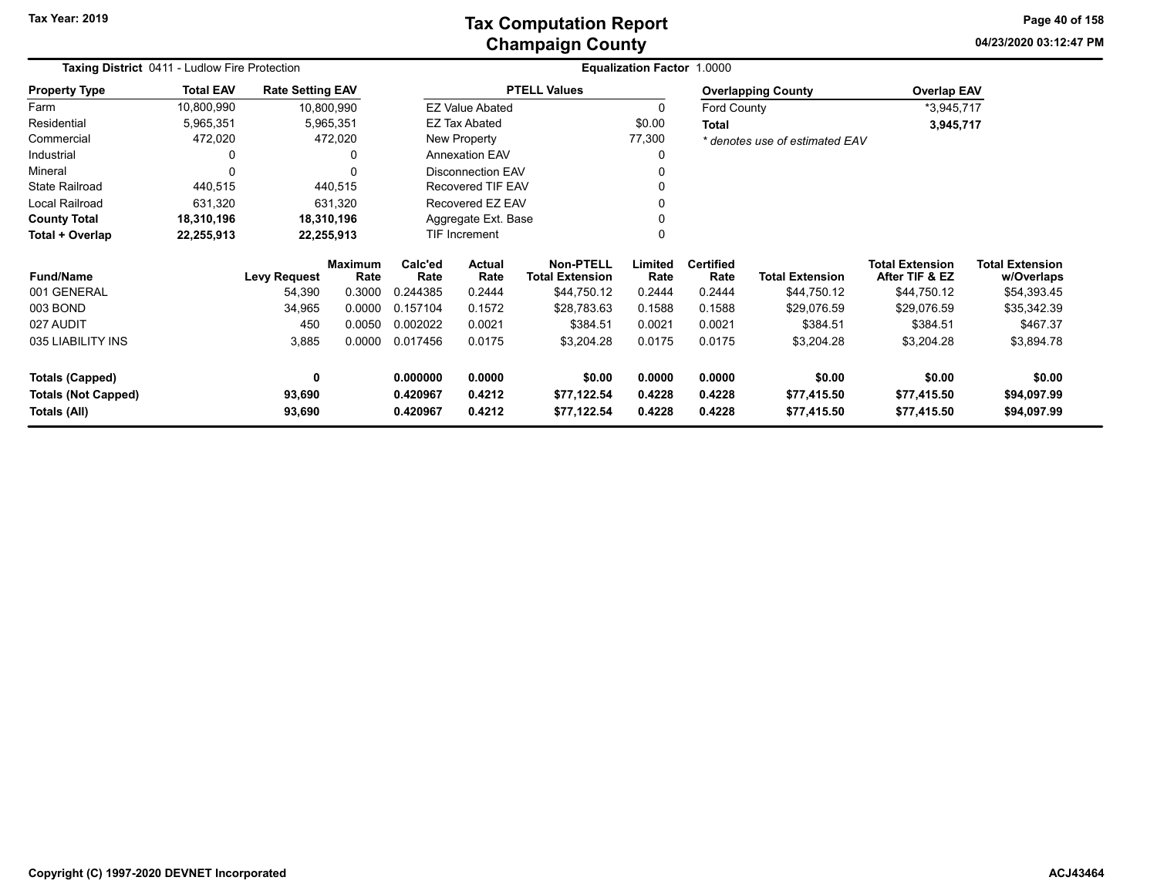**04/23/2020 03:12:47 PM Page 40 of 158**

| Taxing District 0411 - Ludlow Fire Protection |                  |                         |                 |                      |                          |                                            | Equalization Factor 1.0000 |                          |                                |                                          |                                      |
|-----------------------------------------------|------------------|-------------------------|-----------------|----------------------|--------------------------|--------------------------------------------|----------------------------|--------------------------|--------------------------------|------------------------------------------|--------------------------------------|
| <b>Property Type</b>                          | <b>Total EAV</b> | <b>Rate Setting EAV</b> |                 |                      |                          | <b>PTELL Values</b>                        |                            |                          | <b>Overlapping County</b>      | <b>Overlap EAV</b>                       |                                      |
| Farm                                          | 10,800,990       | 10,800,990              |                 |                      | <b>EZ Value Abated</b>   |                                            | 0                          | Ford County              |                                | *3,945,717                               |                                      |
| Residential                                   | 5,965,351        |                         | 5,965,351       |                      | EZ Tax Abated            |                                            | \$0.00                     | <b>Total</b>             |                                | 3,945,717                                |                                      |
| Commercial                                    | 472,020          |                         | 472,020         |                      | New Property             |                                            | 77,300                     |                          | * denotes use of estimated EAV |                                          |                                      |
| Industrial                                    |                  |                         | 0               |                      | <b>Annexation EAV</b>    |                                            | 0                          |                          |                                |                                          |                                      |
| Mineral                                       | O                |                         | U               |                      | <b>Disconnection EAV</b> |                                            |                            |                          |                                |                                          |                                      |
| <b>State Railroad</b>                         | 440,515          |                         | 440,515         |                      | Recovered TIF EAV        |                                            |                            |                          |                                |                                          |                                      |
| Local Railroad                                | 631,320          |                         | 631,320         |                      | Recovered EZ EAV         |                                            |                            |                          |                                |                                          |                                      |
| <b>County Total</b>                           | 18,310,196       |                         | 18,310,196      |                      | Aggregate Ext. Base      |                                            |                            |                          |                                |                                          |                                      |
| Total + Overlap                               | 22,255,913       | 22,255,913              |                 |                      | TIF Increment            |                                            | 0                          |                          |                                |                                          |                                      |
| <b>Fund/Name</b>                              |                  | <b>Levy Request</b>     | Maximum<br>Rate | Calc'ed<br>Rate      | Actual<br>Rate           | <b>Non-PTELL</b><br><b>Total Extension</b> | Limited<br>Rate            | <b>Certified</b><br>Rate | <b>Total Extension</b>         | <b>Total Extension</b><br>After TIF & EZ | <b>Total Extension</b><br>w/Overlaps |
| 001 GENERAL                                   |                  | 54,390                  | 0.3000          | 0.244385             | 0.2444                   | \$44,750.12                                | 0.2444                     | 0.2444                   | \$44,750.12                    | \$44,750.12                              | \$54,393.45                          |
| 003 BOND                                      |                  | 34,965                  | 0.0000          | 0.157104             | 0.1572                   | \$28,783.63                                | 0.1588                     | 0.1588                   | \$29,076.59                    | \$29,076.59                              | \$35,342.39                          |
| 027 AUDIT                                     |                  | 450                     | 0.0050          | 0.002022             | 0.0021                   | \$384.51                                   | 0.0021                     | 0.0021                   | \$384.51                       | \$384.51                                 | \$467.37                             |
| 035 LIABILITY INS                             |                  | 3,885                   | 0.0000          | 0.017456             | 0.0175                   | \$3,204.28                                 | 0.0175                     | 0.0175                   | \$3,204.28                     | \$3,204.28                               | \$3,894.78                           |
| <b>Totals (Capped)</b>                        |                  | 0                       |                 | 0.000000             | 0.0000                   | \$0.00                                     | 0.0000                     | 0.0000                   | \$0.00                         | \$0.00                                   | \$0.00                               |
| <b>Totals (Not Capped)</b><br>Totals (All)    |                  | 93,690<br>93,690        |                 | 0.420967<br>0.420967 | 0.4212<br>0.4212         | \$77,122.54<br>\$77,122.54                 | 0.4228<br>0.4228           | 0.4228<br>0.4228         | \$77,415.50<br>\$77,415.50     | \$77,415.50<br>\$77,415.50               | \$94,097.99<br>\$94,097.99           |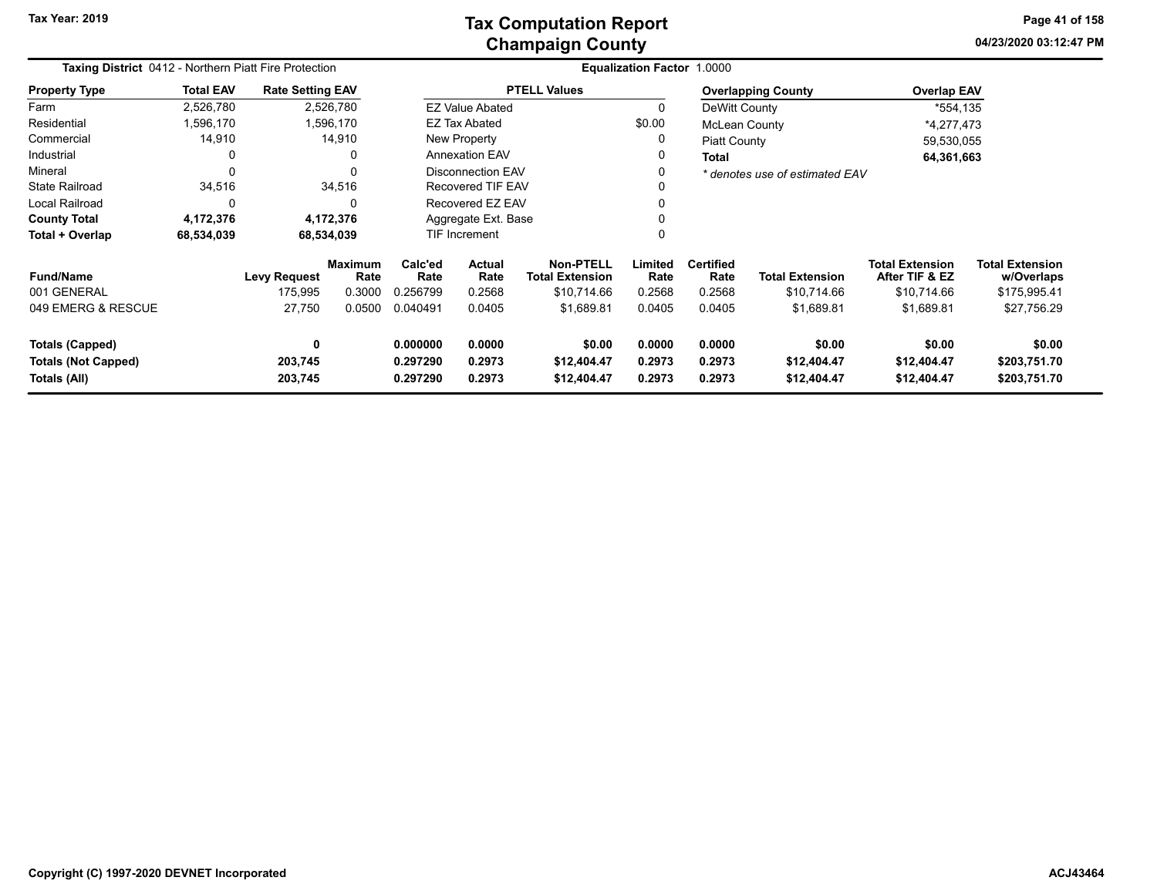**04/23/2020 03:12:47 PM Page 41 of 158**

|                            | <b>Taxing District</b> 0412 - Northern Piatt Fire Protection |                         |                        |                                   |                          |                                            | Equalization Factor 1.0000 |                          |                                |                                          |                                      |
|----------------------------|--------------------------------------------------------------|-------------------------|------------------------|-----------------------------------|--------------------------|--------------------------------------------|----------------------------|--------------------------|--------------------------------|------------------------------------------|--------------------------------------|
| <b>Property Type</b>       | <b>Total EAV</b>                                             | <b>Rate Setting EAV</b> |                        |                                   |                          | <b>PTELL Values</b>                        |                            |                          | <b>Overlapping County</b>      | <b>Overlap EAV</b>                       |                                      |
| Farm                       | 2,526,780                                                    |                         | 2,526,780              |                                   | <b>EZ Value Abated</b>   |                                            | $\Omega$                   | DeWitt County            |                                | *554,135                                 |                                      |
| Residential                | 1,596,170                                                    |                         | 1,596,170              |                                   | <b>EZ Tax Abated</b>     |                                            | \$0.00                     | <b>McLean County</b>     |                                | *4,277,473                               |                                      |
| Commercial                 | 14,910                                                       |                         | 14,910                 |                                   | New Property             |                                            | 0                          | <b>Piatt County</b>      |                                | 59,530,055                               |                                      |
| Industrial                 | 0                                                            |                         | 0                      |                                   | <b>Annexation EAV</b>    |                                            | 0                          | <b>Total</b>             |                                | 64,361,663                               |                                      |
| Mineral                    | $\Omega$                                                     |                         | $\Omega$               |                                   | Disconnection EAV        |                                            | $\Omega$                   |                          | * denotes use of estimated EAV |                                          |                                      |
| <b>State Railroad</b>      | 34,516                                                       |                         | 34,516                 |                                   | <b>Recovered TIF EAV</b> |                                            | $\Omega$                   |                          |                                |                                          |                                      |
| <b>Local Railroad</b>      | 0                                                            |                         | 0                      |                                   | Recovered EZ EAV         |                                            | $\Omega$                   |                          |                                |                                          |                                      |
| <b>County Total</b>        | 4,172,376                                                    |                         | 4,172,376              |                                   | Aggregate Ext. Base      |                                            |                            |                          |                                |                                          |                                      |
| Total + Overlap            | 68,534,039                                                   | 68,534,039              |                        | TIF Increment                     |                          |                                            | 0                          |                          |                                |                                          |                                      |
| <b>Fund/Name</b>           |                                                              | <b>Levy Request</b>     | <b>Maximum</b><br>Rate | Calc'ed<br>Rate                   | <b>Actual</b><br>Rate    | <b>Non-PTELL</b><br><b>Total Extension</b> | Limited<br>Rate            | <b>Certified</b><br>Rate | <b>Total Extension</b>         | <b>Total Extension</b><br>After TIF & EZ | <b>Total Extension</b><br>w/Overlaps |
| 001 GENERAL                |                                                              | 175,995                 | 0.3000                 | 0.256799                          | 0.2568                   | \$10,714.66                                | 0.2568                     | 0.2568                   | \$10,714.66                    | \$10,714.66                              | \$175,995.41                         |
| 049 EMERG & RESCUE         |                                                              | 27,750                  | 0.0500                 | 0.040491                          | 0.0405                   | \$1,689.81                                 | 0.0405                     | 0.0405                   | \$1,689.81                     | \$1,689.81                               | \$27,756.29                          |
| <b>Totals (Capped)</b>     |                                                              | 0                       |                        | 0.000000<br>0.0000<br>\$0.00      |                          |                                            | 0.0000                     | 0.0000                   | \$0.00                         | \$0.00                                   | \$0.00                               |
| <b>Totals (Not Capped)</b> |                                                              | 203,745                 |                        | 0.297290<br>0.2973<br>\$12,404.47 |                          |                                            | 0.2973                     | 0.2973                   | \$12,404.47                    | \$12,404.47                              | \$203,751.70                         |
| Totals (All)               |                                                              | 203,745                 |                        | 0.297290<br>0.2973<br>\$12,404.47 |                          |                                            | 0.2973                     | 0.2973                   | \$12,404.47                    | \$12,404.47                              | \$203,751.70                         |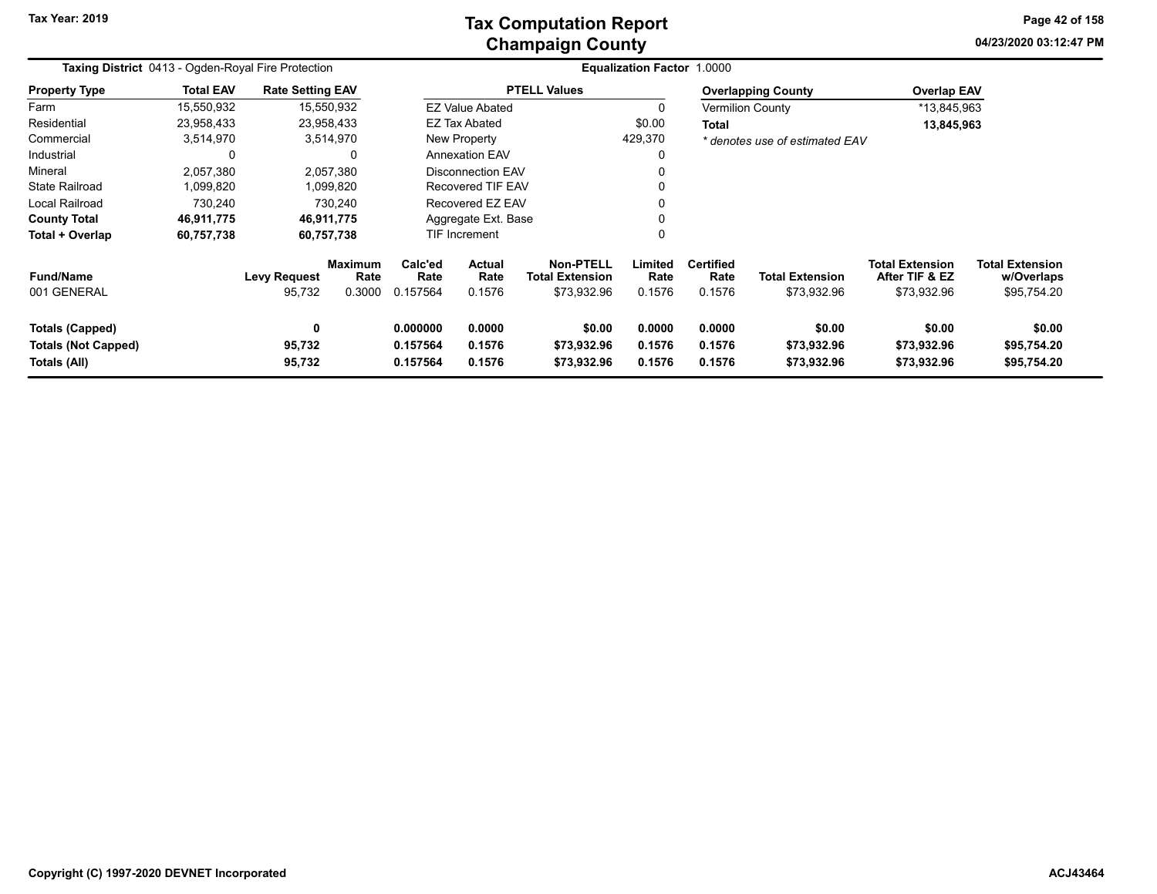### **Champaign County Tax Computation Report**

**04/23/2020 03:12:47 PMPage 42 of 158**

| <b>Taxing District</b> 0413 - Ogden-Royal Fire Protection     |                  |                               |                                  |                                                                                                                                      |                                                                                                                           |                     | Equalization Factor 1.0000         |                                       |                                                         |                                                     |  |
|---------------------------------------------------------------|------------------|-------------------------------|----------------------------------|--------------------------------------------------------------------------------------------------------------------------------------|---------------------------------------------------------------------------------------------------------------------------|---------------------|------------------------------------|---------------------------------------|---------------------------------------------------------|-----------------------------------------------------|--|
| <b>Property Type</b>                                          | <b>Total EAV</b> | <b>Rate Setting EAV</b>       |                                  |                                                                                                                                      |                                                                                                                           | <b>PTELL Values</b> |                                    |                                       | <b>Overlapping County</b>                               | <b>Overlap EAV</b>                                  |  |
| Farm                                                          | 15,550,932       |                               | 15,550,932                       |                                                                                                                                      | <b>EZ Value Abated</b>                                                                                                    |                     |                                    |                                       | <b>Vermilion County</b>                                 | *13,845,963                                         |  |
| Residential                                                   | 23,958,433       |                               | 23,958,433                       |                                                                                                                                      | EZ Tax Abated                                                                                                             |                     | \$0.00                             | <b>Total</b>                          |                                                         | 13,845,963                                          |  |
| Commercial                                                    | 3,514,970        |                               | 3,514,970                        |                                                                                                                                      | New Property                                                                                                              |                     | 429,370                            |                                       | * denotes use of estimated EAV                          |                                                     |  |
| Industrial                                                    | 0                |                               |                                  |                                                                                                                                      | <b>Annexation EAV</b>                                                                                                     |                     |                                    |                                       |                                                         |                                                     |  |
| Mineral                                                       | 2,057,380        |                               | 2,057,380                        |                                                                                                                                      | <b>Disconnection EAV</b>                                                                                                  |                     |                                    |                                       |                                                         |                                                     |  |
| <b>State Railroad</b>                                         | 1,099,820        |                               | 1,099,820                        |                                                                                                                                      | <b>Recovered TIF EAV</b>                                                                                                  |                     |                                    |                                       |                                                         |                                                     |  |
| <b>Local Railroad</b>                                         | 730,240          |                               | 730,240                          |                                                                                                                                      | Recovered EZ EAV                                                                                                          |                     |                                    |                                       |                                                         |                                                     |  |
| <b>County Total</b>                                           | 46,911,775       |                               | 46,911,775                       |                                                                                                                                      | Aggregate Ext. Base                                                                                                       |                     |                                    |                                       |                                                         |                                                     |  |
| Total + Overlap                                               | 60,757,738       |                               | 60,757,738                       |                                                                                                                                      | <b>TIF Increment</b>                                                                                                      |                     |                                    |                                       |                                                         |                                                     |  |
| <b>Fund/Name</b><br>001 GENERAL                               |                  | <b>Levy Request</b><br>95,732 | <b>Maximum</b><br>Rate<br>0.3000 | Calc'ed<br>Rate<br>0.157564                                                                                                          | <b>Non-PTELL</b><br>Limited<br><b>Actual</b><br>Rate<br><b>Total Extension</b><br>Rate<br>0.1576<br>\$73,932.96<br>0.1576 |                     | <b>Certified</b><br>Rate<br>0.1576 | <b>Total Extension</b><br>\$73,932.96 | <b>Total Extension</b><br>After TIF & EZ<br>\$73,932.96 | <b>Total Extension</b><br>w/Overlaps<br>\$95,754.20 |  |
| Totals (Capped)<br><b>Totals (Not Capped)</b><br>Totals (All) |                  | 0<br>95,732<br>95,732         |                                  | 0.000000<br>0.0000<br>\$0.00<br>0.0000<br>0.157564<br>0.1576<br>0.1576<br>\$73,932.96<br>0.1576<br>0.157564<br>\$73,932.96<br>0.1576 |                                                                                                                           |                     | 0.0000<br>0.1576<br>0.1576         | \$0.00<br>\$73,932.96<br>\$73,932.96  | \$0.00<br>\$73,932.96<br>\$73,932.96                    | \$0.00<br>\$95,754.20<br>\$95,754.20                |  |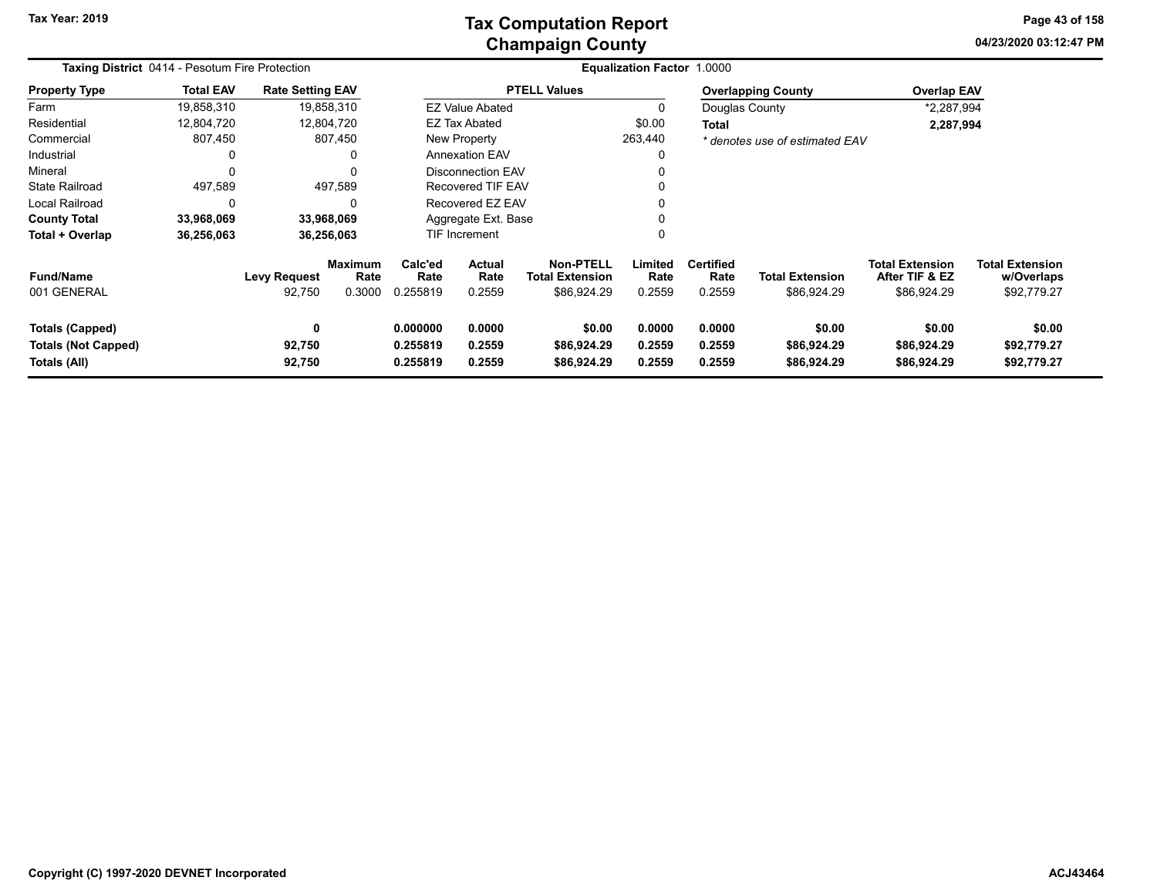### **Champaign County Tax Computation Report**

**04/23/2020 03:12:47 PM Page 43 of 158**

|                                                               | <b>Taxing District 0414 - Pesotum Fire Protection</b> |                               |                                  |                                                                |                            |                                                           | <b>Equalization Factor 1.0000</b> |                                    |                                       |                                                         |                                                     |  |
|---------------------------------------------------------------|-------------------------------------------------------|-------------------------------|----------------------------------|----------------------------------------------------------------|----------------------------|-----------------------------------------------------------|-----------------------------------|------------------------------------|---------------------------------------|---------------------------------------------------------|-----------------------------------------------------|--|
| <b>Property Type</b>                                          | <b>Total EAV</b>                                      | <b>Rate Setting EAV</b>       |                                  |                                                                |                            | <b>PTELL Values</b>                                       |                                   |                                    | <b>Overlapping County</b>             | <b>Overlap EAV</b>                                      |                                                     |  |
| Farm                                                          | 19,858,310                                            |                               | 19,858,310                       |                                                                | <b>EZ Value Abated</b>     |                                                           | 0                                 |                                    | Douglas County                        | *2,287,994                                              |                                                     |  |
| Residential                                                   | 12,804,720                                            |                               | 12,804,720                       |                                                                | <b>EZ Tax Abated</b>       |                                                           | \$0.00                            | Total                              |                                       | 2,287,994                                               |                                                     |  |
| Commercial                                                    | 807,450                                               |                               | 807,450                          |                                                                | New Property               |                                                           | 263,440                           |                                    | * denotes use of estimated EAV        |                                                         |                                                     |  |
| Industrial                                                    |                                                       |                               | 0                                |                                                                | <b>Annexation EAV</b>      |                                                           | 0                                 |                                    |                                       |                                                         |                                                     |  |
| Mineral                                                       |                                                       |                               | 0                                |                                                                | <b>Disconnection EAV</b>   |                                                           |                                   |                                    |                                       |                                                         |                                                     |  |
| <b>State Railroad</b>                                         | 497,589                                               |                               | 497,589                          |                                                                | <b>Recovered TIF EAV</b>   |                                                           |                                   |                                    |                                       |                                                         |                                                     |  |
| <b>Local Railroad</b>                                         | 0                                                     |                               | 0                                |                                                                | Recovered EZ EAV           |                                                           |                                   |                                    |                                       |                                                         |                                                     |  |
| <b>County Total</b>                                           | 33,968,069                                            |                               | 33,968,069                       |                                                                | Aggregate Ext. Base        |                                                           |                                   |                                    |                                       |                                                         |                                                     |  |
| Total + Overlap                                               | 36,256,063                                            |                               | 36,256,063                       |                                                                | TIF Increment              |                                                           | 0                                 |                                    |                                       |                                                         |                                                     |  |
| <b>Fund/Name</b><br>001 GENERAL                               |                                                       | <b>Levy Request</b><br>92,750 | <b>Maximum</b><br>Rate<br>0.3000 | Calc'ed<br><b>Actual</b><br>Rate<br>Rate<br>0.255819<br>0.2559 |                            | <b>Non-PTELL</b><br><b>Total Extension</b><br>\$86,924.29 | Limited<br>Rate<br>0.2559         | <b>Certified</b><br>Rate<br>0.2559 | <b>Total Extension</b><br>\$86,924.29 | <b>Total Extension</b><br>After TIF & EZ<br>\$86,924.29 | <b>Total Extension</b><br>w/Overlaps<br>\$92,779.27 |  |
| Totals (Capped)<br><b>Totals (Not Capped)</b><br>Totals (All) |                                                       | 0<br>92,750<br>92,750         |                                  | 0.000000<br>0.255819<br>0.255819                               | 0.0000<br>0.2559<br>0.2559 | \$0.00<br>\$86,924.29<br>\$86,924.29                      | 0.0000<br>0.2559<br>0.2559        | 0.0000<br>0.2559<br>0.2559         | \$0.00<br>\$86,924.29<br>\$86,924.29  | \$0.00<br>\$86,924.29<br>\$86,924.29                    | \$0.00<br>\$92,779.27<br>\$92,779.27                |  |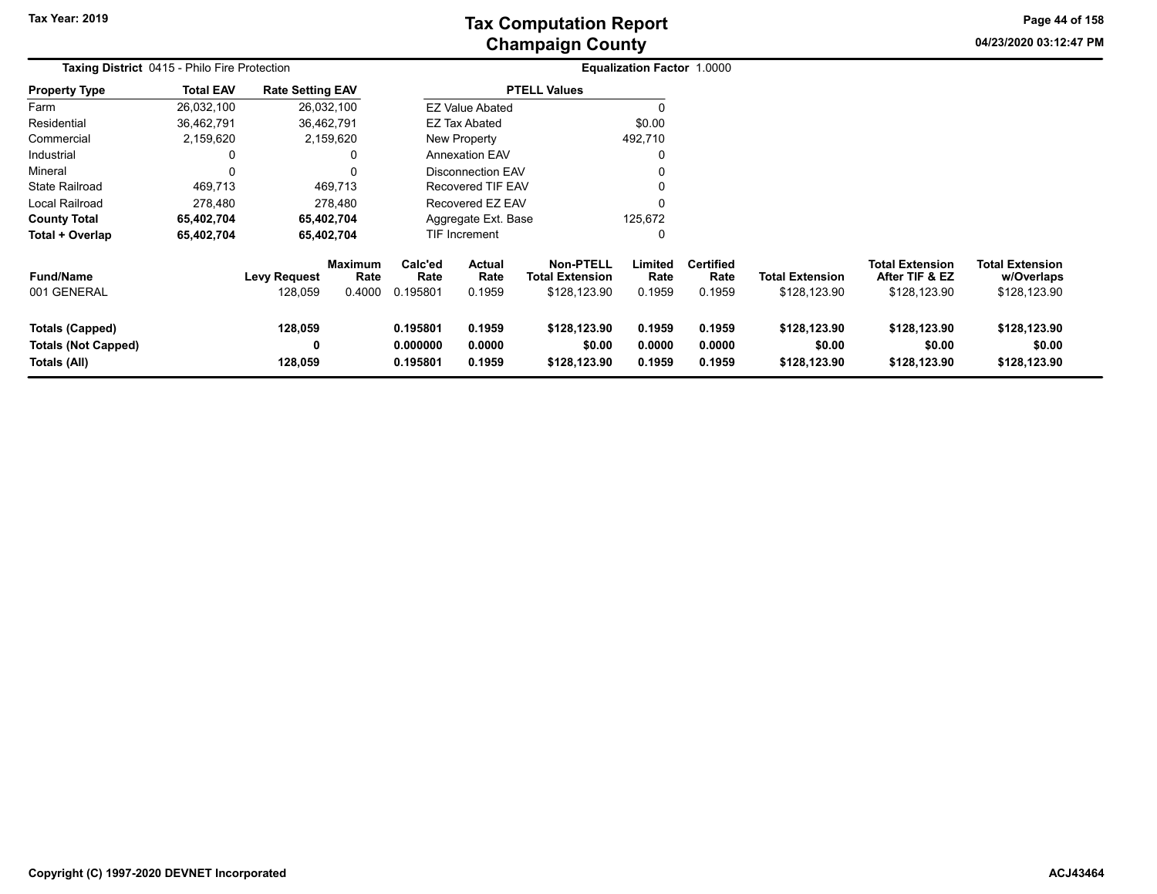# **Champaign County Tax Computation Report**

**04/23/2020 03:12:47 PMPage 44 of 158**

|                                                                      | Taxing District 0415 - Philo Fire Protection |                                |                                  |                                  |                                 |                                                            | Equalization Factor 1.0000 |                                    |                                        |                                                          |                                                      |  |
|----------------------------------------------------------------------|----------------------------------------------|--------------------------------|----------------------------------|----------------------------------|---------------------------------|------------------------------------------------------------|----------------------------|------------------------------------|----------------------------------------|----------------------------------------------------------|------------------------------------------------------|--|
| <b>Property Type</b>                                                 | <b>Total EAV</b>                             | <b>Rate Setting EAV</b>        |                                  |                                  |                                 | <b>PTELL Values</b>                                        |                            |                                    |                                        |                                                          |                                                      |  |
| Farm                                                                 | 26,032,100                                   | 26,032,100                     |                                  |                                  | <b>EZ Value Abated</b>          |                                                            |                            |                                    |                                        |                                                          |                                                      |  |
| Residential                                                          | 36,462,791                                   | 36,462,791                     |                                  |                                  | <b>EZ Tax Abated</b>            |                                                            | \$0.00                     |                                    |                                        |                                                          |                                                      |  |
| Commercial                                                           | 2,159,620                                    | 2,159,620                      |                                  |                                  | New Property                    |                                                            | 492,710                    |                                    |                                        |                                                          |                                                      |  |
| Industrial                                                           |                                              |                                | $\Omega$                         |                                  | <b>Annexation EAV</b>           |                                                            | O                          |                                    |                                        |                                                          |                                                      |  |
| Mineral                                                              |                                              |                                | $\Omega$                         |                                  | Disconnection EAV               |                                                            |                            |                                    |                                        |                                                          |                                                      |  |
| <b>State Railroad</b>                                                | 469,713                                      |                                | 469,713                          |                                  | Recovered TIF EAV               |                                                            | $\Omega$                   |                                    |                                        |                                                          |                                                      |  |
| <b>Local Railroad</b>                                                | 278,480                                      |                                | 278,480                          |                                  | Recovered EZ EAV                |                                                            | 0                          |                                    |                                        |                                                          |                                                      |  |
| <b>County Total</b>                                                  | 65,402,704                                   | 65,402,704                     |                                  |                                  | Aggregate Ext. Base             |                                                            | 125,672                    |                                    |                                        |                                                          |                                                      |  |
| Total + Overlap                                                      | 65,402,704                                   | 65,402,704                     |                                  |                                  | <b>TIF Increment</b>            |                                                            | 0                          |                                    |                                        |                                                          |                                                      |  |
| <b>Fund/Name</b><br>001 GENERAL                                      |                                              | <b>Levy Request</b><br>128,059 | <b>Maximum</b><br>Rate<br>0.4000 | Calc'ed<br>Rate<br>0.195801      | <b>Actual</b><br>Rate<br>0.1959 | <b>Non-PTELL</b><br><b>Total Extension</b><br>\$128,123.90 | Limited<br>Rate<br>0.1959  | <b>Certified</b><br>Rate<br>0.1959 | <b>Total Extension</b><br>\$128,123.90 | <b>Total Extension</b><br>After TIF & EZ<br>\$128,123.90 | <b>Total Extension</b><br>w/Overlaps<br>\$128,123.90 |  |
| <b>Totals (Capped)</b><br><b>Totals (Not Capped)</b><br>Totals (All) |                                              | 128,059<br>0<br>128,059        |                                  | 0.195801<br>0.000000<br>0.195801 | 0.1959<br>0.0000<br>0.1959      | \$128,123.90<br>\$0.00<br>\$128,123.90                     | 0.1959<br>0.0000<br>0.1959 | 0.1959<br>0.0000<br>0.1959         | \$128,123.90<br>\$0.00<br>\$128,123.90 | \$128,123.90<br>\$0.00<br>\$128,123.90                   | \$128,123.90<br>\$0.00<br>\$128,123.90               |  |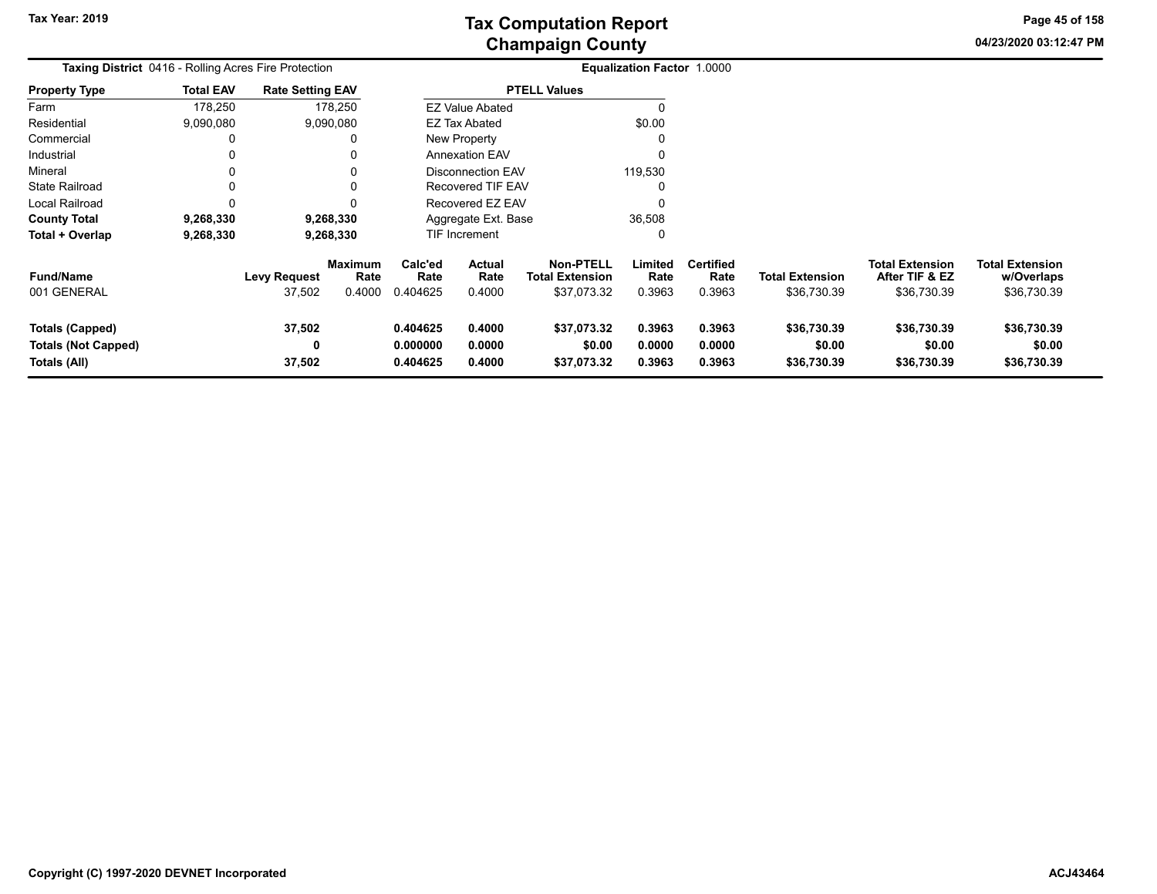**04/23/2020 03:12:47 PMPage 45 of 158**

|                                                                      | Taxing District 0416 - Rolling Acres Fire Protection |                               |                           |                                  |                                 |                                                           | <b>Equalization Factor 1.0000</b> |                                    |                                       |                                                         |                                                     |  |
|----------------------------------------------------------------------|------------------------------------------------------|-------------------------------|---------------------------|----------------------------------|---------------------------------|-----------------------------------------------------------|-----------------------------------|------------------------------------|---------------------------------------|---------------------------------------------------------|-----------------------------------------------------|--|
| <b>Property Type</b>                                                 | <b>Total EAV</b>                                     | <b>Rate Setting EAV</b>       |                           |                                  |                                 | <b>PTELL Values</b>                                       |                                   |                                    |                                       |                                                         |                                                     |  |
| Farm                                                                 | 178,250                                              |                               | 178,250                   |                                  | <b>EZ Value Abated</b>          |                                                           |                                   |                                    |                                       |                                                         |                                                     |  |
| Residential                                                          | 9,090,080                                            |                               | 9,090,080                 |                                  | <b>EZ Tax Abated</b>            |                                                           | \$0.00                            |                                    |                                       |                                                         |                                                     |  |
| Commercial                                                           |                                                      |                               |                           |                                  | New Property                    |                                                           |                                   |                                    |                                       |                                                         |                                                     |  |
| Industrial                                                           |                                                      |                               |                           |                                  | <b>Annexation EAV</b>           |                                                           | 0                                 |                                    |                                       |                                                         |                                                     |  |
| Mineral                                                              |                                                      |                               |                           |                                  | Disconnection EAV               |                                                           | 119,530                           |                                    |                                       |                                                         |                                                     |  |
| <b>State Railroad</b>                                                |                                                      |                               |                           |                                  | Recovered TIF EAV               |                                                           |                                   |                                    |                                       |                                                         |                                                     |  |
| Local Railroad                                                       |                                                      |                               |                           |                                  | Recovered EZ EAV                |                                                           |                                   |                                    |                                       |                                                         |                                                     |  |
| <b>County Total</b>                                                  | 9,268,330                                            |                               | 9,268,330                 |                                  | Aggregate Ext. Base             |                                                           | 36,508                            |                                    |                                       |                                                         |                                                     |  |
| Total + Overlap                                                      | 9,268,330                                            |                               | 9,268,330                 |                                  | <b>TIF Increment</b>            |                                                           | 0                                 |                                    |                                       |                                                         |                                                     |  |
| <b>Fund/Name</b><br>001 GENERAL                                      |                                                      | <b>Levy Request</b><br>37,502 | Maximum<br>Rate<br>0.4000 | Calc'ed<br>Rate<br>0.404625      | <b>Actual</b><br>Rate<br>0.4000 | <b>Non-PTELL</b><br><b>Total Extension</b><br>\$37,073.32 | Limited<br>Rate<br>0.3963         | <b>Certified</b><br>Rate<br>0.3963 | <b>Total Extension</b><br>\$36,730.39 | <b>Total Extension</b><br>After TIF & EZ<br>\$36,730.39 | <b>Total Extension</b><br>w/Overlaps<br>\$36,730.39 |  |
| <b>Totals (Capped)</b><br><b>Totals (Not Capped)</b><br>Totals (All) |                                                      | 37,502<br>0<br>37,502         |                           | 0.404625<br>0.000000<br>0.404625 | 0.4000<br>0.0000<br>0.4000      | \$37,073.32<br>\$0.00<br>\$37,073.32                      | 0.3963<br>0.0000<br>0.3963        | 0.3963<br>0.0000<br>0.3963         | \$36,730.39<br>\$0.00<br>\$36,730.39  | \$36,730.39<br>\$0.00<br>\$36,730.39                    | \$36,730.39<br>\$0.00<br>\$36,730.39                |  |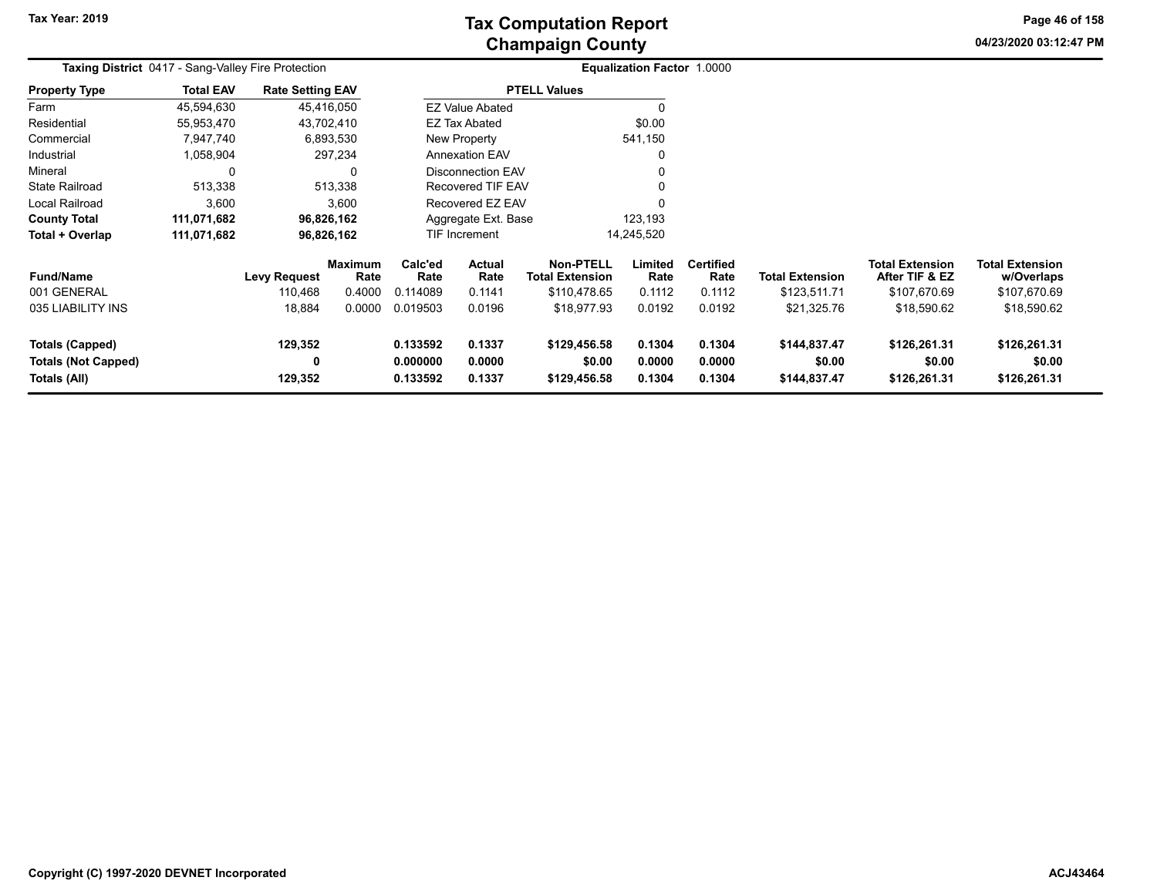**04/23/2020 03:12:47 PM Page 46 of 158**

| <b>Taxing District</b> 0417 - Sang-Valley Fire Protection |                  |                         |                 |                                    |                          |                                            | Equalization Factor 1.0000 |                          |                        |                                   |                                      |
|-----------------------------------------------------------|------------------|-------------------------|-----------------|------------------------------------|--------------------------|--------------------------------------------|----------------------------|--------------------------|------------------------|-----------------------------------|--------------------------------------|
| <b>Property Type</b>                                      | <b>Total EAV</b> | <b>Rate Setting EAV</b> |                 |                                    |                          | <b>PTELL Values</b>                        |                            |                          |                        |                                   |                                      |
| Farm                                                      | 45,594,630       |                         | 45,416,050      |                                    | <b>EZ Value Abated</b>   |                                            |                            |                          |                        |                                   |                                      |
| Residential                                               | 55,953,470       |                         | 43,702,410      |                                    | EZ Tax Abated            |                                            | \$0.00                     |                          |                        |                                   |                                      |
| Commercial                                                | 7,947,740        |                         | 6,893,530       |                                    | New Property             |                                            | 541,150                    |                          |                        |                                   |                                      |
| Industrial                                                | 1,058,904        |                         | 297,234         |                                    | <b>Annexation EAV</b>    |                                            |                            |                          |                        |                                   |                                      |
| Mineral                                                   | $\Omega$         |                         | 0               |                                    | <b>Disconnection EAV</b> |                                            |                            |                          |                        |                                   |                                      |
| State Railroad                                            | 513,338          |                         | 513,338         |                                    | Recovered TIF EAV        |                                            |                            |                          |                        |                                   |                                      |
| Local Railroad                                            | 3,600            |                         | 3,600           |                                    | Recovered EZ EAV         |                                            |                            |                          |                        |                                   |                                      |
| <b>County Total</b>                                       | 111,071,682      |                         | 96,826,162      |                                    | Aggregate Ext. Base      |                                            | 123,193                    |                          |                        |                                   |                                      |
| Total + Overlap                                           | 111,071,682      |                         | 96,826,162      |                                    | <b>TIF Increment</b>     |                                            | 14,245,520                 |                          |                        |                                   |                                      |
| <b>Fund/Name</b>                                          |                  | <b>Levy Request</b>     | Maximum<br>Rate | Calc'ed<br>Rate                    | Actual<br>Rate           | <b>Non-PTELL</b><br><b>Total Extension</b> | Limited<br>Rate            | <b>Certified</b><br>Rate | <b>Total Extension</b> | Total Extension<br>After TIF & EZ | <b>Total Extension</b><br>w/Overlaps |
| 001 GENERAL                                               |                  | 110,468                 | 0.4000          | 0.114089                           | 0.1141                   | \$110,478.65                               | 0.1112                     | 0.1112                   | \$123,511.71           | \$107,670.69                      | \$107,670.69                         |
| 035 LIABILITY INS                                         |                  | 18,884                  | 0.0000          | 0.019503                           | 0.0196                   | \$18,977.93                                | 0.0192                     | 0.0192                   | \$21,325.76            | \$18,590.62                       | \$18,590.62                          |
| <b>Totals (Capped)</b>                                    |                  | 129,352                 |                 | 0.133592                           | 0.1337                   | \$129,456.58                               | 0.1304                     | 0.1304                   | \$144,837.47           | \$126,261.31                      | \$126,261.31                         |
| <b>Totals (Not Capped)</b>                                |                  | 0                       |                 | 0.000000                           | 0.0000                   | \$0.00                                     | 0.0000                     | 0.0000                   | \$0.00                 | \$0.00                            | \$0.00                               |
| Totals (All)                                              |                  | 129,352                 |                 | 0.133592<br>0.1337<br>\$129,456.58 |                          |                                            | 0.1304                     | 0.1304                   | \$144,837.47           | \$126,261.31                      | \$126,261.31                         |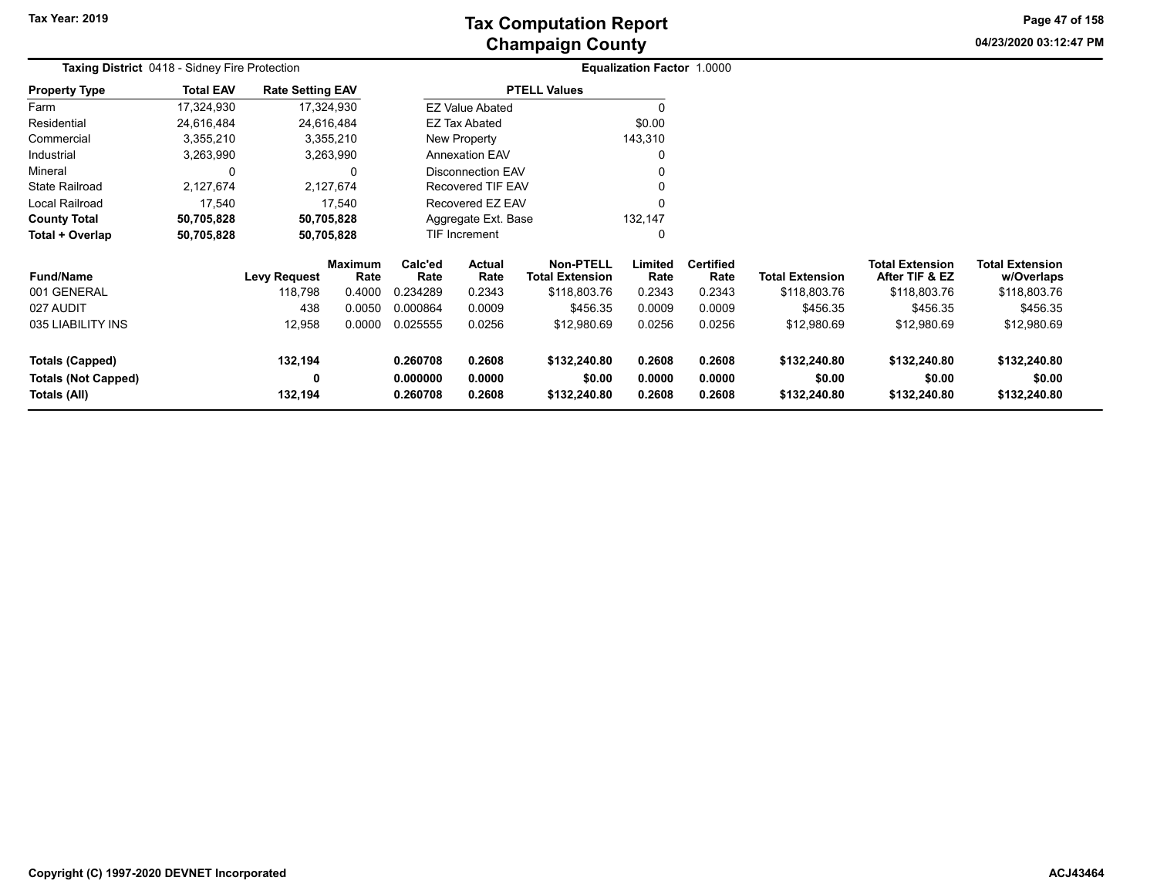# **Champaign County Tax Computation Report**

**04/23/2020 03:12:47 PM Page 47 of 158**

|                            | Taxing District 0418 - Sidney Fire Protection |                         |                        |                 |                                                 |                     | Equalization Factor 1.0000 |                          |                        |                                          |                                      |  |
|----------------------------|-----------------------------------------------|-------------------------|------------------------|-----------------|-------------------------------------------------|---------------------|----------------------------|--------------------------|------------------------|------------------------------------------|--------------------------------------|--|
| <b>Property Type</b>       | <b>Total EAV</b>                              | <b>Rate Setting EAV</b> |                        |                 |                                                 | <b>PTELL Values</b> |                            |                          |                        |                                          |                                      |  |
| Farm                       | 17,324,930                                    |                         | 17,324,930             |                 | <b>EZ Value Abated</b>                          |                     | 0                          |                          |                        |                                          |                                      |  |
| Residential                | 24,616,484                                    |                         | 24,616,484             |                 | <b>EZ Tax Abated</b>                            |                     | \$0.00                     |                          |                        |                                          |                                      |  |
| Commercial                 | 3,355,210                                     |                         | 3,355,210              |                 | New Property                                    |                     | 143,310                    |                          |                        |                                          |                                      |  |
| Industrial                 | 3,263,990                                     |                         | 3,263,990              |                 | <b>Annexation EAV</b>                           |                     | 0                          |                          |                        |                                          |                                      |  |
| Mineral                    | 0                                             |                         | 0                      |                 | <b>Disconnection EAV</b>                        |                     | 0                          |                          |                        |                                          |                                      |  |
| <b>State Railroad</b>      | 2,127,674                                     |                         | 2,127,674              |                 | Recovered TIF EAV                               |                     |                            |                          |                        |                                          |                                      |  |
| Local Railroad             | 17,540                                        |                         | 17,540                 |                 | Recovered EZ EAV                                |                     | $\Omega$                   |                          |                        |                                          |                                      |  |
| <b>County Total</b>        | 50,705,828                                    |                         | 50,705,828             |                 | Aggregate Ext. Base                             |                     | 132,147                    |                          |                        |                                          |                                      |  |
| Total + Overlap            | 50,705,828                                    |                         | 50,705,828             |                 | TIF Increment                                   |                     | 0                          |                          |                        |                                          |                                      |  |
| <b>Fund/Name</b>           |                                               | <b>Levy Request</b>     | <b>Maximum</b><br>Rate | Calc'ed<br>Rate | <b>Actual</b><br>Rate<br><b>Total Extension</b> |                     | Limited<br>Rate            | <b>Certified</b><br>Rate | <b>Total Extension</b> | <b>Total Extension</b><br>After TIF & EZ | <b>Total Extension</b><br>w/Overlaps |  |
| 001 GENERAL                |                                               | 118,798                 | 0.4000                 | 0.234289        | 0.2343                                          | \$118,803.76        | 0.2343                     | 0.2343                   | \$118,803.76           | \$118,803.76                             | \$118,803.76                         |  |
| 027 AUDIT                  |                                               | 438                     | 0.0050                 | 0.000864        | 0.0009                                          | \$456.35            | 0.0009                     | 0.0009                   | \$456.35               | \$456.35                                 | \$456.35                             |  |
| 035 LIABILITY INS          |                                               | 12,958                  | 0.0000                 | 0.025555        | 0.0256                                          | \$12,980.69         | 0.0256                     | 0.0256                   | \$12,980.69            | \$12,980.69                              | \$12,980.69                          |  |
| <b>Totals (Capped)</b>     |                                               | 132,194                 |                        | 0.260708        | 0.2608                                          | \$132,240.80        | 0.2608                     | 0.2608                   | \$132,240.80           | \$132,240.80                             | \$132,240.80                         |  |
| <b>Totals (Not Capped)</b> |                                               | 0                       |                        | 0.000000        | 0.0000                                          | \$0.00              | 0.0000                     | 0.0000                   | \$0.00                 | \$0.00                                   | \$0.00                               |  |
| Totals (All)               | 132,194                                       |                         |                        | 0.260708        | 0.2608                                          | \$132,240.80        | 0.2608                     | 0.2608                   | \$132,240.80           | \$132,240.80                             | \$132,240.80                         |  |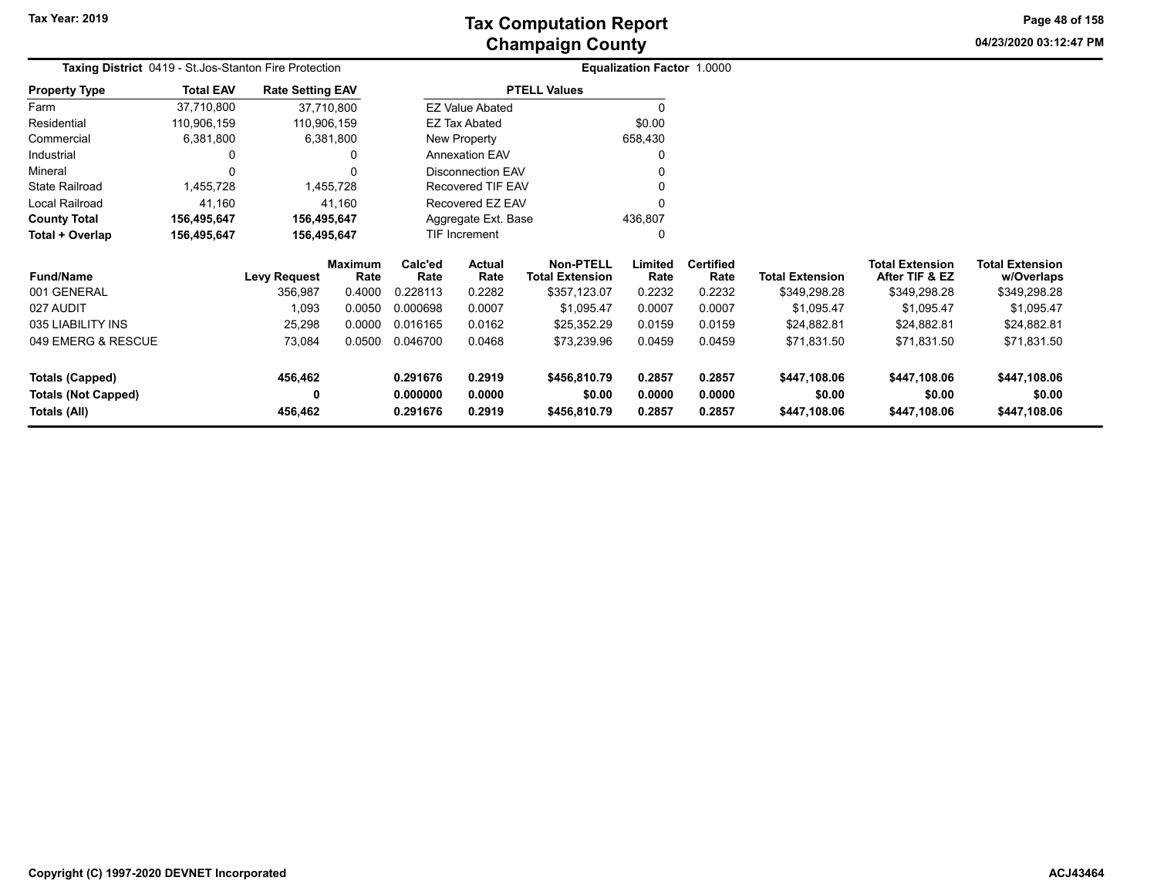**04/23/2020 03:12:47 PM Page 48 of 158**

| <b>Taxing District</b> 0419 - St.Jos-Stanton Fire Protection |                  |                         |                 | <b>Equalization Factor 1.0000</b> |                          |                                            |                 |                          |                        |                                          |                                      |
|--------------------------------------------------------------|------------------|-------------------------|-----------------|-----------------------------------|--------------------------|--------------------------------------------|-----------------|--------------------------|------------------------|------------------------------------------|--------------------------------------|
| <b>Property Type</b>                                         | <b>Total EAV</b> | <b>Rate Setting EAV</b> |                 |                                   |                          | <b>PTELL Values</b>                        |                 |                          |                        |                                          |                                      |
| Farm                                                         | 37,710,800       | 37,710,800              |                 |                                   | <b>EZ Value Abated</b>   |                                            | $\mathbf{0}$    |                          |                        |                                          |                                      |
| Residential                                                  | 110,906,159      | 110,906,159             |                 |                                   | EZ Tax Abated            |                                            | \$0.00          |                          |                        |                                          |                                      |
| Commercial                                                   | 6,381,800        |                         | 6,381,800       |                                   | New Property             |                                            | 658,430         |                          |                        |                                          |                                      |
| Industrial                                                   |                  |                         | 0               |                                   | <b>Annexation EAV</b>    |                                            | 0               |                          |                        |                                          |                                      |
| Mineral                                                      |                  |                         |                 |                                   | <b>Disconnection EAV</b> |                                            |                 |                          |                        |                                          |                                      |
| <b>State Railroad</b>                                        | 1,455,728        |                         | 1,455,728       |                                   | Recovered TIF EAV        |                                            |                 |                          |                        |                                          |                                      |
| Local Railroad                                               | 41,160           |                         | 41,160          |                                   | Recovered EZ EAV         |                                            | 0               |                          |                        |                                          |                                      |
| <b>County Total</b>                                          | 156,495,647      | 156,495,647             |                 |                                   | Aggregate Ext. Base      |                                            | 436,807         |                          |                        |                                          |                                      |
| Total + Overlap                                              | 156,495,647      | 156,495,647             |                 |                                   | TIF Increment            |                                            | 0               |                          |                        |                                          |                                      |
| <b>Fund/Name</b>                                             |                  | <b>Levy Request</b>     | Maximum<br>Rate | Calc'ed<br>Rate                   | Actual<br>Rate           | <b>Non-PTELL</b><br><b>Total Extension</b> | Limited<br>Rate | <b>Certified</b><br>Rate | <b>Total Extension</b> | <b>Total Extension</b><br>After TIF & EZ | <b>Total Extension</b><br>w/Overlaps |
| 001 GENERAL                                                  |                  | 356,987                 | 0.4000          | 0.228113                          | 0.2282                   | \$357,123.07                               | 0.2232          | 0.2232                   | \$349,298.28           | \$349,298.28                             | \$349,298.28                         |
| 027 AUDIT                                                    |                  | 1,093                   | 0.0050          | 0.000698                          | 0.0007                   | \$1,095.47                                 | 0.0007          | 0.0007                   | \$1,095.47             | \$1,095.47                               | \$1,095.47                           |
| 035 LIABILITY INS                                            |                  | 25,298                  | 0.0000          | 0.016165                          | 0.0162                   | \$25,352.29                                | 0.0159          | 0.0159                   | \$24,882.81            | \$24,882.81                              | \$24,882.81                          |
| 049 EMERG & RESCUE                                           |                  | 73,084                  | 0.0500          | 0.046700                          | 0.0468                   |                                            | 0.0459          | 0.0459                   | \$71,831.50            | \$71,831.50                              | \$71,831.50                          |
| <b>Totals (Capped)</b>                                       |                  | 456,462                 |                 | 0.291676                          | 0.2919<br>\$456,810.79   |                                            | 0.2857          | 0.2857                   | \$447,108.06           | \$447,108.06                             | \$447,108.06                         |
| <b>Totals (Not Capped)</b>                                   |                  |                         |                 | 0.000000                          | 0.0000                   | \$0.00                                     | 0.0000          | 0.0000                   | \$0.00                 | \$0.00                                   | \$0.00                               |
| Totals (All)                                                 |                  | 456,462                 |                 | 0.291676<br>0.2919                |                          | \$456,810.79                               | 0.2857          | 0.2857                   | \$447,108.06           | \$447,108.06                             | \$447,108.06                         |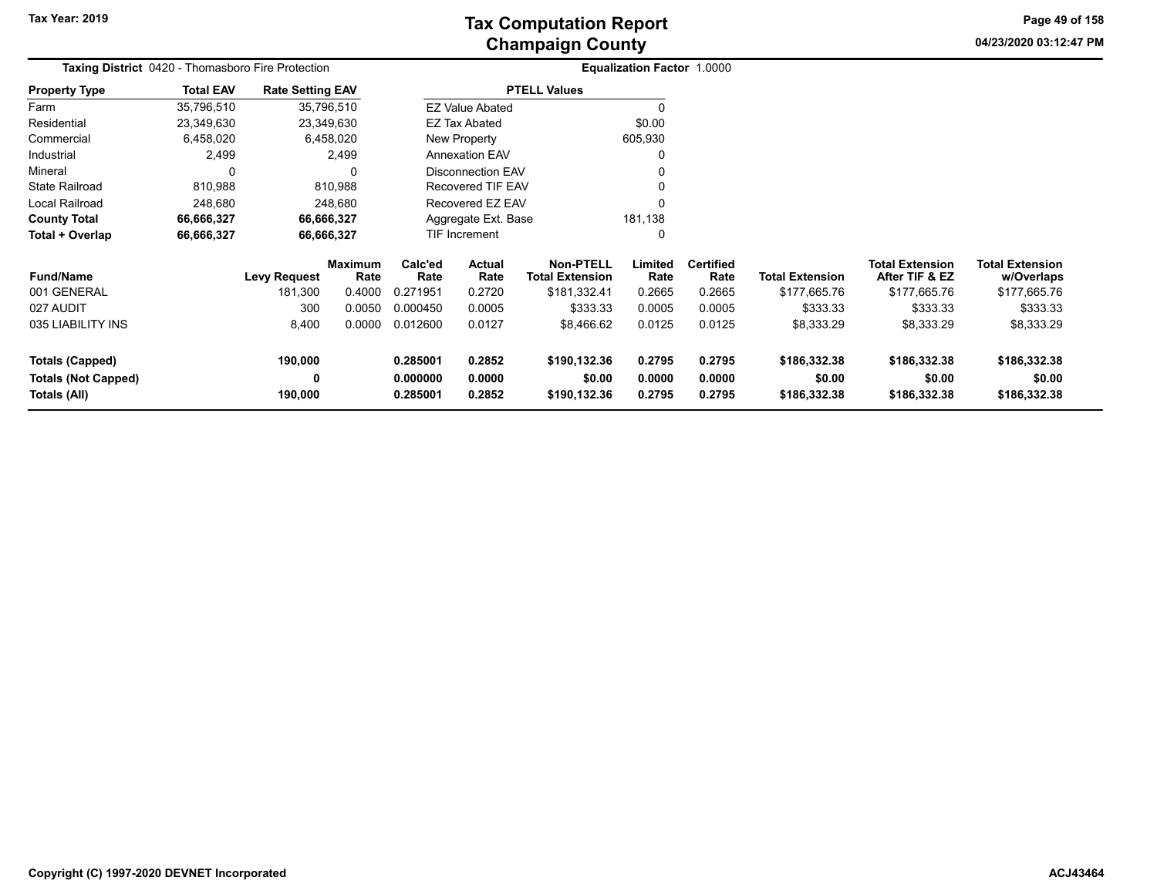**04/23/2020 03:12:47 PM Page 49 of 158**

| <b>Taxing District</b> 0420 - Thomasboro Fire Protection |                  |                         |                        |                      |                          |                                     | Equalization Factor 1.0000 |                          |                        |                                          |                                      |
|----------------------------------------------------------|------------------|-------------------------|------------------------|----------------------|--------------------------|-------------------------------------|----------------------------|--------------------------|------------------------|------------------------------------------|--------------------------------------|
| <b>Property Type</b>                                     | <b>Total EAV</b> | <b>Rate Setting EAV</b> |                        |                      |                          | <b>PTELL Values</b>                 |                            |                          |                        |                                          |                                      |
| Farm                                                     | 35,796,510       | 35,796,510              |                        |                      | <b>EZ Value Abated</b>   |                                     | 0                          |                          |                        |                                          |                                      |
| Residential                                              | 23,349,630       | 23,349,630              |                        |                      | <b>EZ Tax Abated</b>     |                                     | \$0.00                     |                          |                        |                                          |                                      |
| Commercial                                               | 6,458,020        |                         | 6,458,020              |                      | New Property             |                                     | 605,930                    |                          |                        |                                          |                                      |
| Industrial                                               | 2,499            |                         | 2,499                  |                      | <b>Annexation EAV</b>    |                                     | 0                          |                          |                        |                                          |                                      |
| Mineral                                                  | 0                |                         | 0                      |                      | <b>Disconnection EAV</b> |                                     |                            |                          |                        |                                          |                                      |
| <b>State Railroad</b>                                    | 810,988          |                         | 810,988                |                      | <b>Recovered TIF EAV</b> |                                     |                            |                          |                        |                                          |                                      |
| Local Railroad                                           | 248,680          |                         | 248,680                |                      | Recovered EZ EAV         |                                     | O                          |                          |                        |                                          |                                      |
| <b>County Total</b>                                      | 66,666,327       |                         | 66,666,327             |                      | Aggregate Ext. Base      |                                     | 181,138                    |                          |                        |                                          |                                      |
| Total + Overlap                                          | 66,666,327       | 66,666,327              |                        |                      | <b>TIF Increment</b>     |                                     | 0                          |                          |                        |                                          |                                      |
| <b>Fund/Name</b>                                         |                  | <b>Levy Request</b>     | <b>Maximum</b><br>Rate | Calc'ed<br>Rate      | <b>Actual</b><br>Rate    | Non-PTELL<br><b>Total Extension</b> | Limited<br>Rate            | <b>Certified</b><br>Rate | <b>Total Extension</b> | <b>Total Extension</b><br>After TIF & EZ | <b>Total Extension</b><br>w/Overlaps |
| 001 GENERAL                                              |                  | 181,300                 | 0.4000                 | 0.271951             | 0.2720                   | \$181,332.41                        | 0.2665                     | 0.2665                   | \$177,665.76           | \$177,665.76                             | \$177,665.76                         |
| 027 AUDIT                                                |                  | 300                     | 0.0050                 | 0.000450             | 0.0005                   | \$333.33                            | 0.0005                     | 0.0005                   | \$333.33               | \$333.33                                 | \$333.33                             |
| 035 LIABILITY INS                                        |                  | 8,400                   | 0.0000                 | 0.012600             | 0.0127                   | \$8,466.62                          | 0.0125                     | 0.0125                   | \$8,333.29             | \$8,333.29                               | \$8,333.29                           |
| Totals (Capped)                                          |                  | 190,000                 |                        | 0.285001             | 0.2852                   | \$190,132.36                        | 0.2795                     | 0.2795                   | \$186,332.38           | \$186,332.38                             | \$186,332.38                         |
| <b>Totals (Not Capped)</b><br>Totals (All)               |                  | 0<br>190,000            |                        | 0.000000<br>0.285001 | 0.0000<br>0.2852         | \$0.00<br>\$190,132.36              | 0.0000<br>0.2795           | 0.0000<br>0.2795         | \$0.00<br>\$186,332.38 | \$0.00<br>\$186,332.38                   | \$0.00<br>\$186,332.38               |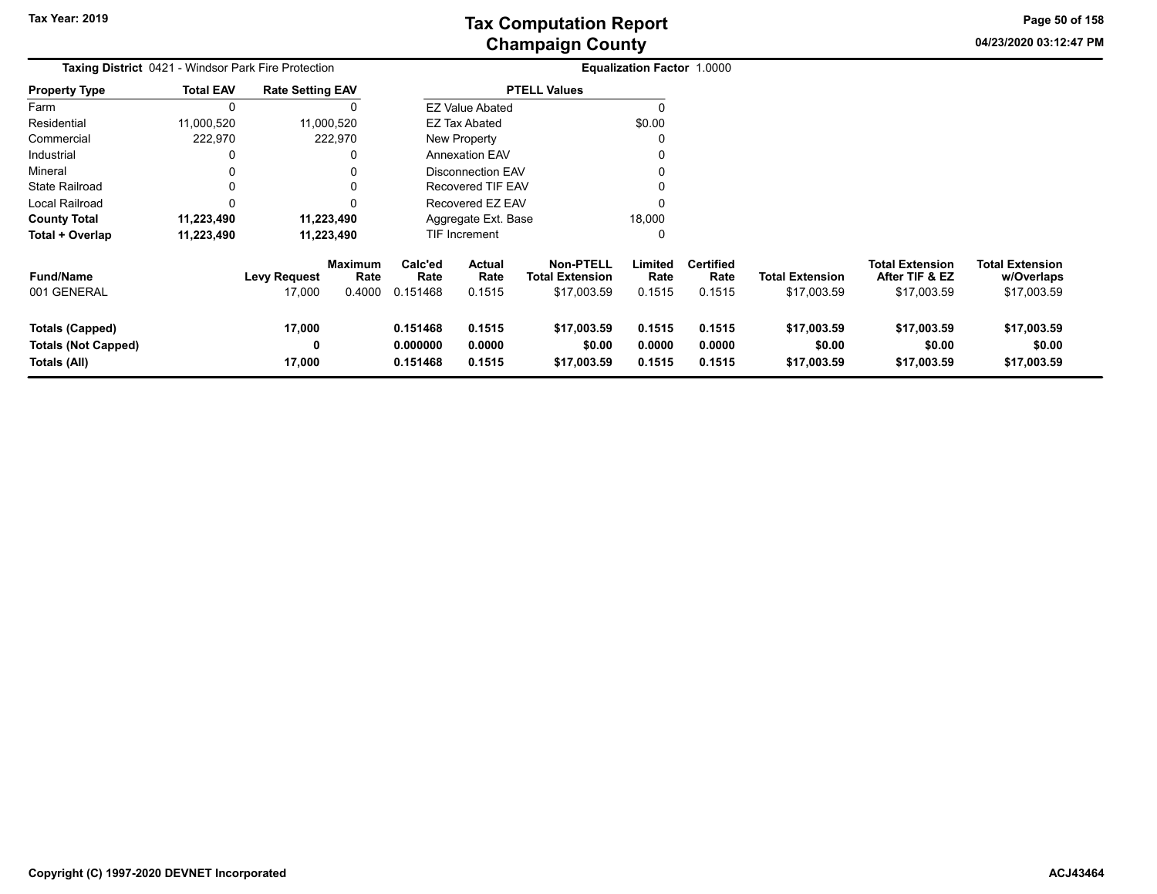**04/23/2020 03:12:47 PMPage 50 of 158**

| <b>Taxing District 0421 - Windsor Park Fire Protection</b>    |                  |                               |                                  | Equalization Factor 1.0000       |                            |                                                           |                            |                                    |                                       |                                                         |                                                     |  |
|---------------------------------------------------------------|------------------|-------------------------------|----------------------------------|----------------------------------|----------------------------|-----------------------------------------------------------|----------------------------|------------------------------------|---------------------------------------|---------------------------------------------------------|-----------------------------------------------------|--|
| <b>Property Type</b>                                          | <b>Total EAV</b> | <b>Rate Setting EAV</b>       |                                  |                                  |                            | <b>PTELL Values</b>                                       |                            |                                    |                                       |                                                         |                                                     |  |
| Farm                                                          | $\Omega$         |                               |                                  |                                  | <b>EZ Value Abated</b>     |                                                           |                            |                                    |                                       |                                                         |                                                     |  |
| Residential                                                   | 11,000,520       |                               | 11,000,520                       |                                  | <b>EZ Tax Abated</b>       |                                                           | \$0.00                     |                                    |                                       |                                                         |                                                     |  |
| Commercial                                                    | 222,970          |                               | 222,970                          |                                  | New Property               |                                                           |                            |                                    |                                       |                                                         |                                                     |  |
| Industrial                                                    |                  |                               | 0                                |                                  | <b>Annexation EAV</b>      |                                                           |                            |                                    |                                       |                                                         |                                                     |  |
| Mineral                                                       |                  |                               | 0                                |                                  | <b>Disconnection EAV</b>   |                                                           |                            |                                    |                                       |                                                         |                                                     |  |
| <b>State Railroad</b>                                         |                  |                               | $\Omega$                         |                                  | Recovered TIF EAV          |                                                           |                            |                                    |                                       |                                                         |                                                     |  |
| Local Railroad                                                |                  |                               | $\Omega$                         |                                  | Recovered EZ EAV           |                                                           |                            |                                    |                                       |                                                         |                                                     |  |
| <b>County Total</b>                                           | 11,223,490       |                               | 11,223,490                       |                                  | Aggregate Ext. Base        |                                                           | 18,000                     |                                    |                                       |                                                         |                                                     |  |
| Total + Overlap                                               | 11,223,490       | 11,223,490                    |                                  | TIF Increment<br>0               |                            |                                                           |                            |                                    |                                       |                                                         |                                                     |  |
| <b>Fund/Name</b><br>001 GENERAL                               |                  | <b>Levy Request</b><br>17,000 | <b>Maximum</b><br>Rate<br>0.4000 | Calc'ed<br>Rate<br>0.151468      | Actual<br>Rate<br>0.1515   | <b>Non-PTELL</b><br><b>Total Extension</b><br>\$17,003.59 | Limited<br>Rate<br>0.1515  | <b>Certified</b><br>Rate<br>0.1515 | <b>Total Extension</b><br>\$17,003.59 | <b>Total Extension</b><br>After TIF & EZ<br>\$17,003.59 | <b>Total Extension</b><br>w/Overlaps<br>\$17,003.59 |  |
| Totals (Capped)<br><b>Totals (Not Capped)</b><br>Totals (All) |                  | 17,000<br>0<br>17,000         |                                  | 0.151468<br>0.000000<br>0.151468 | 0.1515<br>0.0000<br>0.1515 | \$17,003.59<br>\$0.00<br>\$17,003.59                      | 0.1515<br>0.0000<br>0.1515 | 0.1515<br>0.0000<br>0.1515         | \$17,003.59<br>\$0.00<br>\$17,003.59  | \$17,003.59<br>\$0.00<br>\$17,003.59                    | \$17,003.59<br>\$0.00<br>\$17,003.59                |  |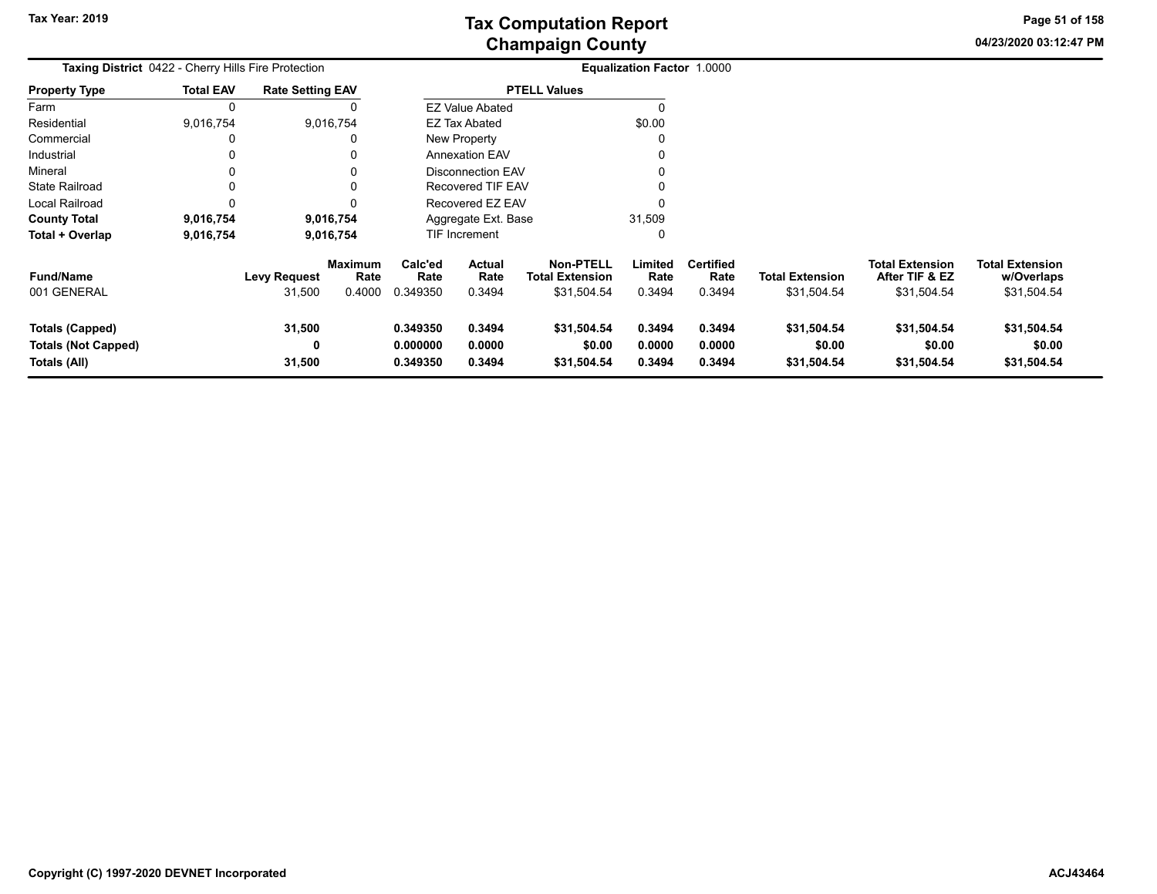**04/23/2020 03:12:47 PM Page 51 of 158**

| Taxing District 0422 - Cherry Hills Fire Protection                  |                  |                               |                                  | Equalization Factor 1.0000       |                                 |                                                    |                            |                                    |                                       |                                                         |                                                     |
|----------------------------------------------------------------------|------------------|-------------------------------|----------------------------------|----------------------------------|---------------------------------|----------------------------------------------------|----------------------------|------------------------------------|---------------------------------------|---------------------------------------------------------|-----------------------------------------------------|
| <b>Property Type</b>                                                 | <b>Total EAV</b> | <b>Rate Setting EAV</b>       |                                  |                                  |                                 | <b>PTELL Values</b>                                |                            |                                    |                                       |                                                         |                                                     |
| Farm                                                                 | 0                |                               |                                  |                                  | <b>EZ Value Abated</b>          |                                                    |                            |                                    |                                       |                                                         |                                                     |
| Residential                                                          | 9,016,754        |                               | 9,016,754                        |                                  | <b>EZ Tax Abated</b>            |                                                    | \$0.00                     |                                    |                                       |                                                         |                                                     |
| Commercial                                                           | 0                |                               |                                  |                                  | New Property                    |                                                    |                            |                                    |                                       |                                                         |                                                     |
| Industrial                                                           | 0                |                               |                                  |                                  | <b>Annexation EAV</b>           |                                                    |                            |                                    |                                       |                                                         |                                                     |
| Mineral                                                              | 0                |                               |                                  |                                  | <b>Disconnection EAV</b>        |                                                    |                            |                                    |                                       |                                                         |                                                     |
| <b>State Railroad</b>                                                | 0                |                               | 0                                |                                  | <b>Recovered TIF EAV</b>        |                                                    |                            |                                    |                                       |                                                         |                                                     |
| Local Railroad                                                       | $\Omega$         |                               |                                  |                                  | Recovered EZ EAV                |                                                    |                            |                                    |                                       |                                                         |                                                     |
| <b>County Total</b>                                                  | 9,016,754        |                               | 9,016,754                        |                                  | Aggregate Ext. Base             |                                                    | 31,509                     |                                    |                                       |                                                         |                                                     |
| Total + Overlap                                                      | 9,016,754        |                               | 9,016,754                        |                                  | TIF Increment                   |                                                    | 0                          |                                    |                                       |                                                         |                                                     |
| <b>Fund/Name</b><br>001 GENERAL                                      |                  | <b>Levy Request</b><br>31,500 | <b>Maximum</b><br>Rate<br>0.4000 | Calc'ed<br>Rate<br>0.349350      | <b>Actual</b><br>Rate<br>0.3494 | <b>Non-PTELL</b><br>Total Extension<br>\$31,504.54 | Limited<br>Rate<br>0.3494  | <b>Certified</b><br>Rate<br>0.3494 | <b>Total Extension</b><br>\$31,504.54 | <b>Total Extension</b><br>After TIF & EZ<br>\$31,504.54 | <b>Total Extension</b><br>w/Overlaps<br>\$31,504.54 |
| <b>Totals (Capped)</b><br><b>Totals (Not Capped)</b><br>Totals (All) |                  | 31,500<br>0<br>31,500         |                                  | 0.349350<br>0.000000<br>0.349350 | 0.3494<br>0.0000<br>0.3494      | \$31,504.54<br>\$0.00<br>\$31,504.54               | 0.3494<br>0.0000<br>0.3494 | 0.3494<br>0.0000<br>0.3494         | \$31,504.54<br>\$0.00<br>\$31,504.54  | \$31,504.54<br>\$0.00<br>\$31,504.54                    | \$31,504.54<br>\$0.00<br>\$31,504.54                |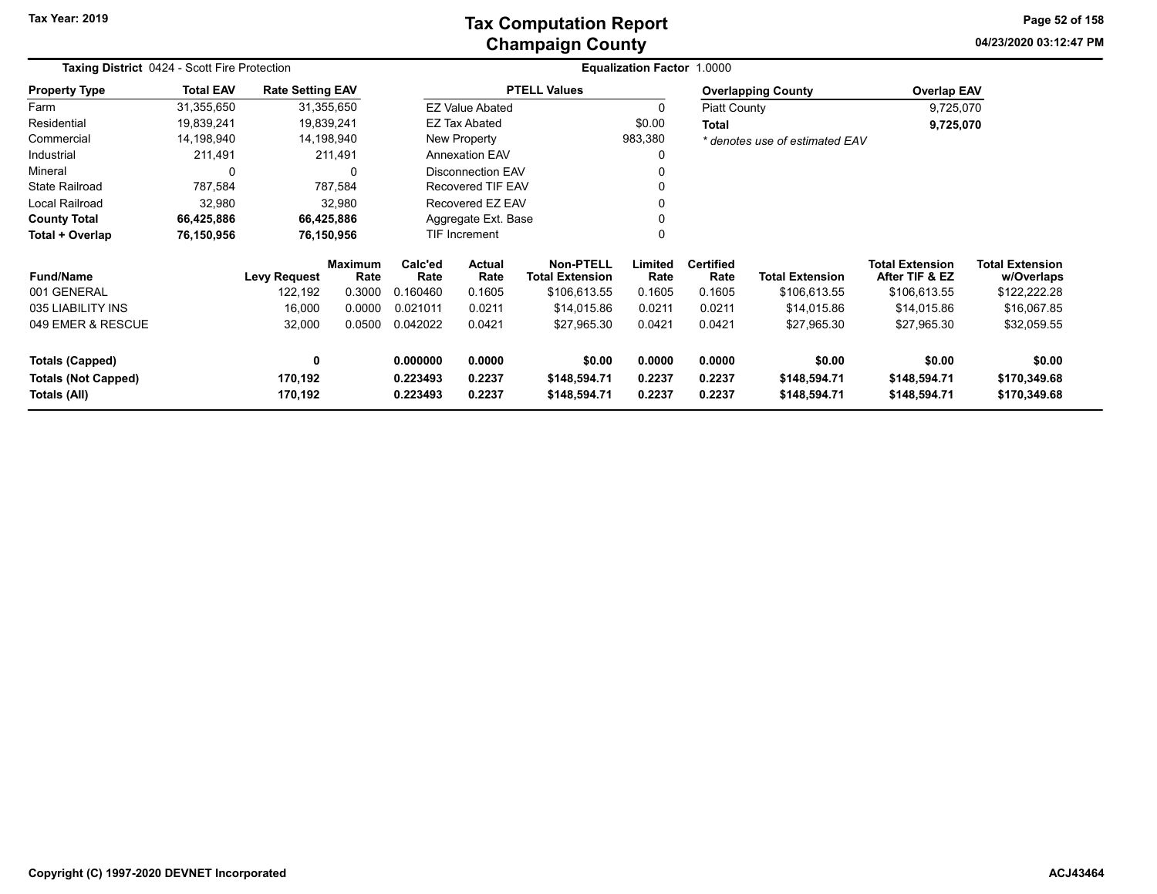### **Champaign County Tax Computation Report**

**04/23/2020 03:12:47 PMPage 52 of 158**

| <b>Taxing District 0424 - Scott Fire Protection</b> | Equalization Factor 1.0000 |                         |                        |                      |                                                              |                              |                  |                          |                                |                                          |                                      |
|-----------------------------------------------------|----------------------------|-------------------------|------------------------|----------------------|--------------------------------------------------------------|------------------------------|------------------|--------------------------|--------------------------------|------------------------------------------|--------------------------------------|
| <b>Property Type</b>                                | <b>Total EAV</b>           | <b>Rate Setting EAV</b> |                        |                      |                                                              | <b>PTELL Values</b>          |                  |                          | <b>Overlapping County</b>      | <b>Overlap EAV</b>                       |                                      |
| Farm                                                | 31,355,650                 |                         | 31,355,650             |                      | <b>EZ Value Abated</b>                                       |                              |                  | Piatt County             |                                | 9,725,070                                |                                      |
| Residential                                         | 19,839,241                 |                         | 19,839,241             |                      | <b>EZ Tax Abated</b>                                         |                              | \$0.00           | Total                    |                                | 9,725,070                                |                                      |
| Commercial                                          | 14,198,940                 |                         | 14,198,940             |                      | New Property                                                 |                              | 983,380          |                          | * denotes use of estimated EAV |                                          |                                      |
| Industrial                                          | 211,491                    |                         | 211,491                |                      | <b>Annexation EAV</b>                                        |                              |                  |                          |                                |                                          |                                      |
| Mineral                                             | 0                          |                         | 0                      |                      | <b>Disconnection EAV</b>                                     |                              |                  |                          |                                |                                          |                                      |
| <b>State Railroad</b>                               | 787,584                    |                         | 787,584                |                      | Recovered TIF EAV                                            |                              |                  |                          |                                |                                          |                                      |
| Local Railroad                                      | 32,980                     |                         | 32,980                 |                      | Recovered EZ EAV                                             |                              |                  |                          |                                |                                          |                                      |
| <b>County Total</b>                                 | 66,425,886                 |                         | 66,425,886             |                      | Aggregate Ext. Base                                          |                              |                  |                          |                                |                                          |                                      |
| Total + Overlap                                     | 76,150,956                 |                         | 76,150,956             | <b>TIF Increment</b> |                                                              |                              |                  |                          |                                |                                          |                                      |
| <b>Fund/Name</b>                                    |                            | <b>Levy Request</b>     | <b>Maximum</b><br>Rate | Calc'ed<br>Rate      | <b>Non-PTELL</b><br>Actual<br><b>Total Extension</b><br>Rate |                              | Limited<br>Rate  | <b>Certified</b><br>Rate | <b>Total Extension</b>         | <b>Total Extension</b><br>After TIF & EZ | <b>Total Extension</b><br>w/Overlaps |
| 001 GENERAL                                         |                            | 122,192                 | 0.3000                 | 0.160460             | 0.1605                                                       | \$106,613.55                 | 0.1605           | 0.1605                   | \$106,613.55                   | \$106,613.55                             | \$122,222.28                         |
| 035 LIABILITY INS                                   |                            | 16,000                  | 0.0000                 | 0.021011             | 0.0211                                                       | \$14,015.86                  | 0.0211           | 0.0211                   | \$14,015.86                    | \$14,015.86                              | \$16,067.85                          |
| 049 EMER & RESCUE                                   |                            | 32,000                  | 0.0500                 | 0.042022             | 0.0421                                                       | \$27,965.30                  | 0.0421           | 0.0421                   | \$27,965.30                    | \$27,965.30                              | \$32,059.55                          |
| <b>Totals (Capped)</b>                              |                            | 0                       |                        | 0.000000             | 0.0000                                                       | \$0.00                       | 0.0000           | 0.0000                   | \$0.00                         | \$0.00                                   | \$0.00                               |
| <b>Totals (Not Capped)</b><br>Totals (All)          |                            | 170,192<br>170,192      |                        | 0.223493<br>0.223493 | 0.2237<br>0.2237                                             | \$148,594.71<br>\$148,594.71 | 0.2237<br>0.2237 | 0.2237<br>0.2237         | \$148,594.71<br>\$148,594.71   | \$148,594.71<br>\$148,594.71             | \$170,349.68<br>\$170,349.68         |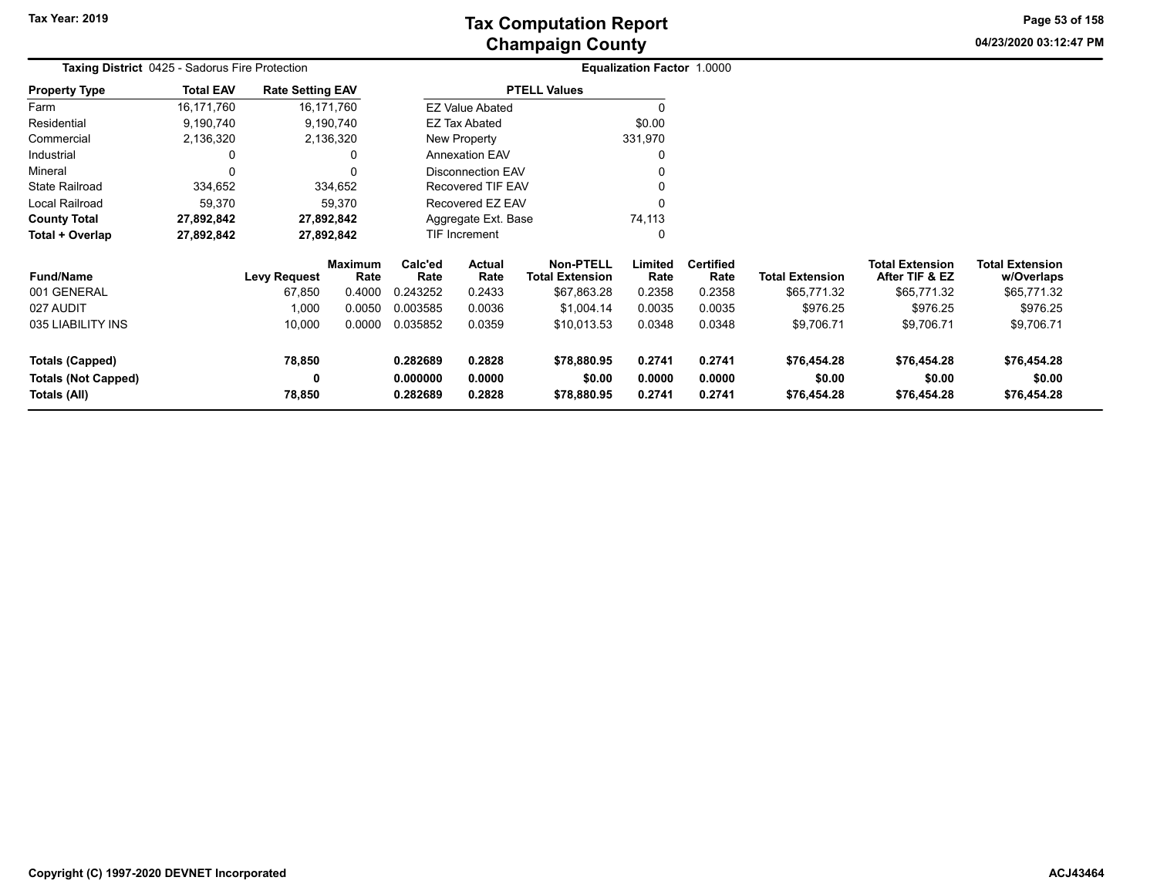**04/23/2020 03:12:47 PM Page 53 of 158**

| <b>Taxing District</b> 0425 - Sadorus Fire Protection |                  |                         |                 |                          |                        |                                            | <b>Equalization Factor 1.0000</b> |                          |                        |                                          |                                      |
|-------------------------------------------------------|------------------|-------------------------|-----------------|--------------------------|------------------------|--------------------------------------------|-----------------------------------|--------------------------|------------------------|------------------------------------------|--------------------------------------|
| <b>Property Type</b>                                  | <b>Total EAV</b> | <b>Rate Setting EAV</b> |                 |                          |                        | <b>PTELL Values</b>                        |                                   |                          |                        |                                          |                                      |
| Farm                                                  | 16,171,760       |                         | 16,171,760      |                          | <b>EZ Value Abated</b> |                                            |                                   |                          |                        |                                          |                                      |
| Residential                                           | 9,190,740        |                         | 9,190,740       |                          | <b>EZ Tax Abated</b>   |                                            | \$0.00                            |                          |                        |                                          |                                      |
| Commercial                                            | 2,136,320        |                         | 2,136,320       |                          | New Property           |                                            | 331,970                           |                          |                        |                                          |                                      |
| Industrial                                            |                  |                         |                 | <b>Annexation EAV</b>    |                        |                                            | O                                 |                          |                        |                                          |                                      |
| Mineral                                               |                  |                         |                 | <b>Disconnection EAV</b> |                        |                                            |                                   |                          |                        |                                          |                                      |
| <b>State Railroad</b>                                 | 334,652          |                         | 334,652         |                          | Recovered TIF EAV      |                                            |                                   |                          |                        |                                          |                                      |
| Local Railroad                                        | 59,370           |                         | 59,370          | Recovered EZ EAV         |                        |                                            |                                   |                          |                        |                                          |                                      |
| <b>County Total</b>                                   | 27,892,842       |                         | 27,892,842      |                          | Aggregate Ext. Base    |                                            | 74,113                            |                          |                        |                                          |                                      |
| Total + Overlap                                       | 27,892,842       |                         | 27,892,842      | <b>TIF Increment</b>     |                        |                                            | 0                                 |                          |                        |                                          |                                      |
| <b>Fund/Name</b>                                      |                  | <b>Levy Request</b>     | Maximum<br>Rate | Calc'ed<br>Rate          | Actual<br>Rate         | <b>Non-PTELL</b><br><b>Total Extension</b> | Limited<br>Rate                   | <b>Certified</b><br>Rate | <b>Total Extension</b> | <b>Total Extension</b><br>After TIF & EZ | <b>Total Extension</b><br>w/Overlaps |
| 001 GENERAL                                           |                  | 67,850                  | 0.4000          | 0.243252                 | 0.2433                 | \$67,863.28                                | 0.2358                            | 0.2358                   | \$65,771.32            | \$65,771.32                              | \$65,771.32                          |
| 027 AUDIT                                             |                  | 1,000                   | 0.0050          | 0.003585                 | 0.0036                 | \$1,004.14                                 | 0.0035                            | 0.0035                   | \$976.25               | \$976.25                                 | \$976.25                             |
| 035 LIABILITY INS                                     |                  | 10,000                  | 0.0000          | 0.035852                 | 0.0359                 | \$10,013.53                                | 0.0348                            | 0.0348                   | \$9,706.71             | \$9,706.71                               | \$9,706.71                           |
| <b>Totals (Capped)</b>                                |                  | 78,850                  |                 | 0.282689                 | 0.2828                 | \$78,880.95                                | 0.2741                            | 0.2741                   | \$76,454.28            | \$76,454.28                              | \$76,454.28                          |
| <b>Totals (Not Capped)</b><br>Totals (All)            |                  | 0<br>78,850             |                 | 0.000000<br>0.282689     | 0.0000<br>0.2828       | \$0.00<br>\$78,880.95                      | 0.0000<br>0.2741                  | 0.0000<br>0.2741         | \$0.00<br>\$76,454.28  | \$0.00<br>\$76,454.28                    | \$0.00<br>\$76,454.28                |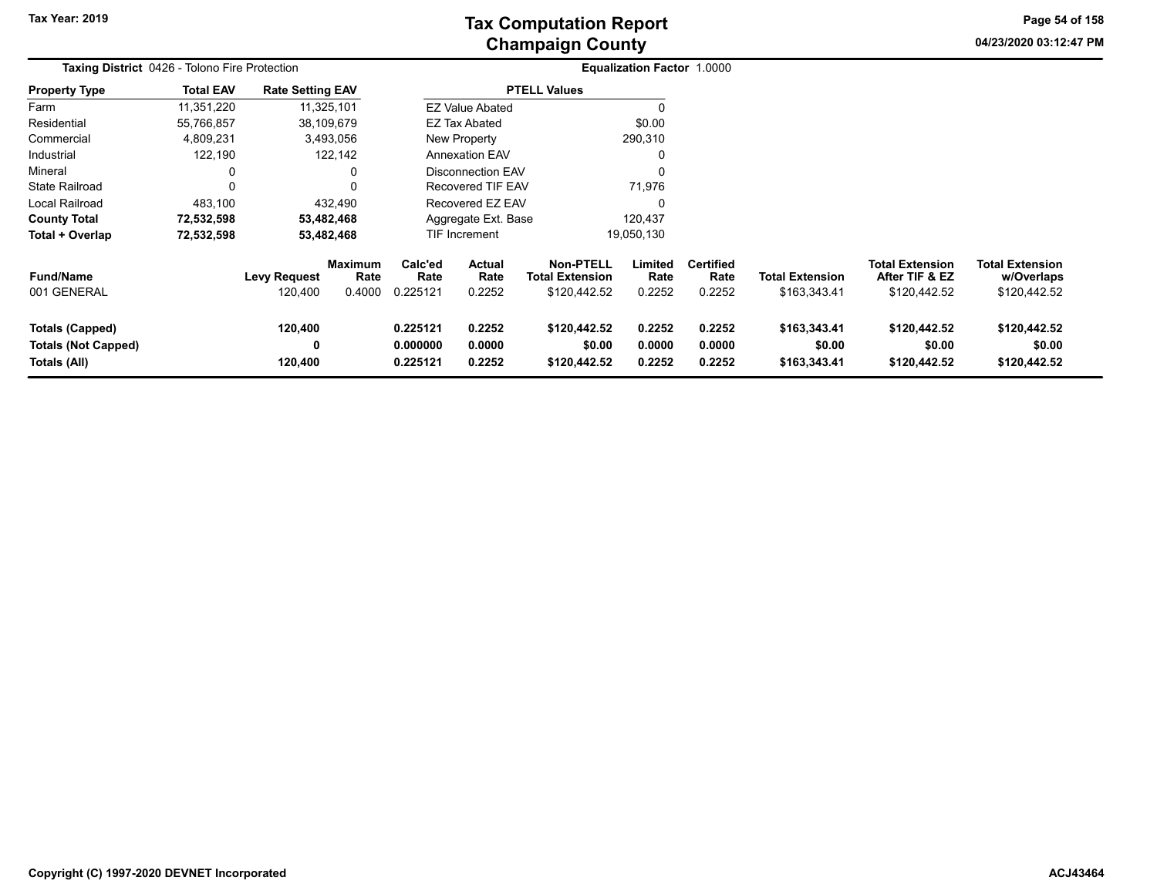**04/23/2020 03:12:47 PM Page 54 of 158**

| <b>Taxing District</b> 0426 - Tolono Fire Protection          |                  |                                |                           |                                  |                                 |                                                     | <b>Equalization Factor 1.0000</b> |                                    |                                        |                                                          |                                                      |  |
|---------------------------------------------------------------|------------------|--------------------------------|---------------------------|----------------------------------|---------------------------------|-----------------------------------------------------|-----------------------------------|------------------------------------|----------------------------------------|----------------------------------------------------------|------------------------------------------------------|--|
| <b>Property Type</b>                                          | <b>Total EAV</b> | <b>Rate Setting EAV</b>        |                           |                                  |                                 | <b>PTELL Values</b>                                 |                                   |                                    |                                        |                                                          |                                                      |  |
| Farm                                                          | 11,351,220       | 11,325,101                     |                           |                                  | <b>EZ Value Abated</b>          |                                                     | -0                                |                                    |                                        |                                                          |                                                      |  |
| Residential                                                   | 55,766,857       | 38,109,679                     |                           |                                  | <b>EZ Tax Abated</b>            |                                                     | \$0.00                            |                                    |                                        |                                                          |                                                      |  |
| Commercial                                                    | 4,809,231        |                                | 3,493,056                 |                                  | New Property                    |                                                     | 290,310                           |                                    |                                        |                                                          |                                                      |  |
| Industrial                                                    | 122,190          |                                | 122,142                   |                                  | <b>Annexation EAV</b>           |                                                     | 0                                 |                                    |                                        |                                                          |                                                      |  |
| Mineral                                                       | 0                |                                | 0                         |                                  | <b>Disconnection EAV</b>        |                                                     | 0                                 |                                    |                                        |                                                          |                                                      |  |
| <b>State Railroad</b>                                         | 0                |                                | 0                         | Recovered TIF EAV                |                                 |                                                     | 71,976                            |                                    |                                        |                                                          |                                                      |  |
| Local Railroad                                                | 483,100          |                                | 432,490                   | Recovered EZ EAV                 |                                 |                                                     | 0                                 |                                    |                                        |                                                          |                                                      |  |
| <b>County Total</b>                                           | 72,532,598       |                                | 53,482,468                |                                  | Aggregate Ext. Base             |                                                     | 120,437                           |                                    |                                        |                                                          |                                                      |  |
| Total + Overlap                                               | 72,532,598       |                                | 53,482,468                |                                  | TIF Increment<br>19,050,130     |                                                     |                                   |                                    |                                        |                                                          |                                                      |  |
| <b>Fund/Name</b><br>001 GENERAL                               |                  | <b>Levy Request</b><br>120,400 | Maximum<br>Rate<br>0.4000 | Calc'ed<br>Rate<br>0.225121      | <b>Actual</b><br>Rate<br>0.2252 | Non-PTELL<br><b>Total Extension</b><br>\$120,442.52 | Limited<br>Rate<br>0.2252         | <b>Certified</b><br>Rate<br>0.2252 | <b>Total Extension</b><br>\$163,343.41 | <b>Total Extension</b><br>After TIF & EZ<br>\$120,442.52 | <b>Total Extension</b><br>w/Overlaps<br>\$120,442.52 |  |
| Totals (Capped)<br><b>Totals (Not Capped)</b><br>Totals (All) |                  | 120,400<br>0<br>120,400        |                           | 0.225121<br>0.000000<br>0.225121 | 0.2252<br>0.0000<br>0.2252      | \$120,442.52<br>\$0.00<br>\$120,442.52              | 0.2252<br>0.0000<br>0.2252        | 0.2252<br>0.0000<br>0.2252         | \$163,343.41<br>\$0.00<br>\$163,343.41 | \$120,442.52<br>\$0.00<br>\$120,442.52                   | \$120,442.52<br>\$0.00<br>\$120,442.52               |  |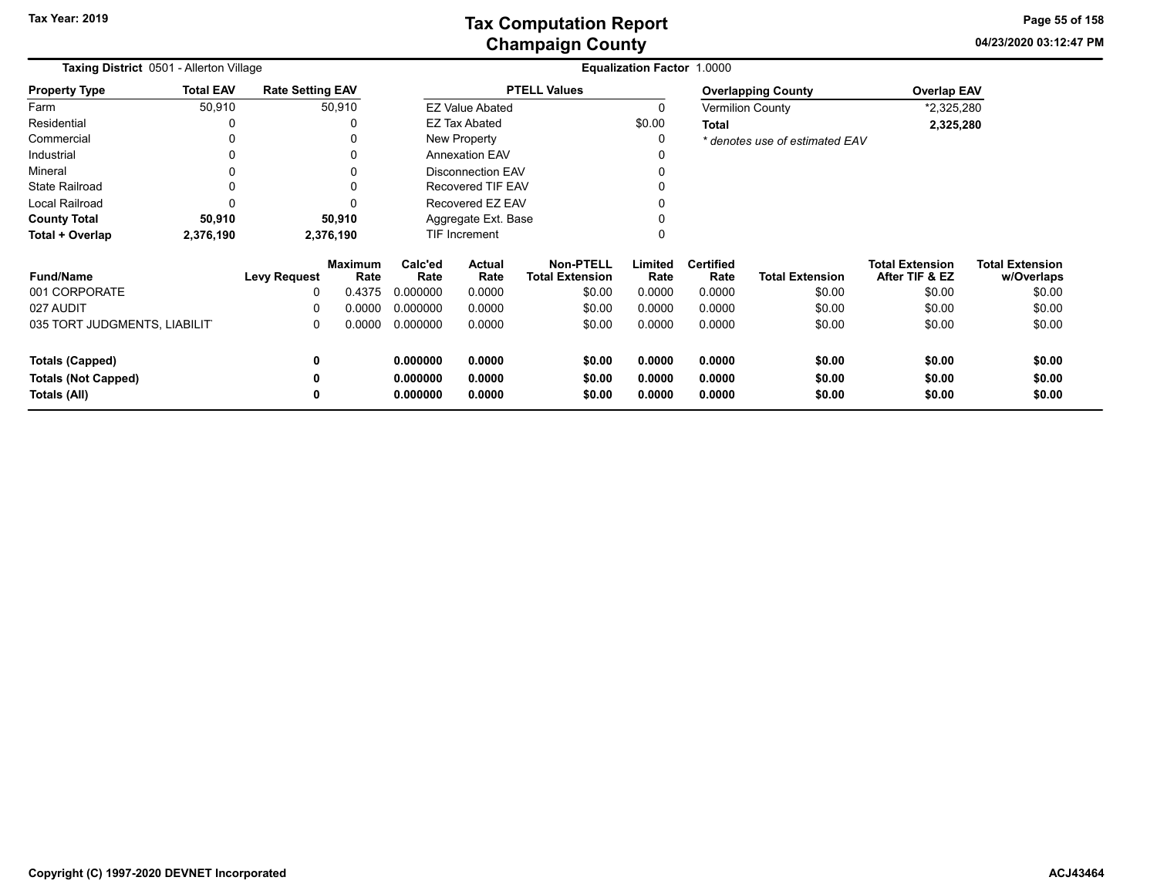**04/23/2020 03:12:47 PM Page 55 of 158**

| <b>Taxing District</b> 0501 - Allerton Village |                                   |                         |                        | Equalization Factor 1.0000 |                          |                                            |                 |                          |                                |                                          |                                      |
|------------------------------------------------|-----------------------------------|-------------------------|------------------------|----------------------------|--------------------------|--------------------------------------------|-----------------|--------------------------|--------------------------------|------------------------------------------|--------------------------------------|
| <b>Property Type</b>                           | <b>Total EAV</b>                  | <b>Rate Setting EAV</b> |                        |                            |                          | <b>PTELL Values</b>                        |                 |                          | <b>Overlapping County</b>      | <b>Overlap EAV</b>                       |                                      |
| Farm                                           | 50,910                            |                         | 50,910                 |                            | <b>EZ Value Abated</b>   |                                            |                 |                          | <b>Vermilion County</b>        | *2,325,280                               |                                      |
| Residential                                    |                                   |                         | 0                      |                            | <b>EZ Tax Abated</b>     |                                            | \$0.00          | <b>Total</b>             |                                | 2,325,280                                |                                      |
| Commercial                                     |                                   |                         | 0                      |                            | New Property             |                                            |                 |                          | * denotes use of estimated EAV |                                          |                                      |
| Industrial                                     |                                   |                         | 0                      |                            | <b>Annexation EAV</b>    |                                            |                 |                          |                                |                                          |                                      |
| Mineral                                        |                                   |                         |                        |                            | <b>Disconnection EAV</b> |                                            |                 |                          |                                |                                          |                                      |
| <b>State Railroad</b>                          |                                   |                         | 0                      | Recovered TIF EAV          |                          |                                            |                 |                          |                                |                                          |                                      |
| Local Railroad                                 |                                   |                         | C                      | Recovered EZ EAV           |                          |                                            |                 |                          |                                |                                          |                                      |
| <b>County Total</b>                            | 50,910                            |                         | 50,910                 | Aggregate Ext. Base        |                          |                                            |                 |                          |                                |                                          |                                      |
| Total + Overlap                                | 2,376,190                         |                         | 2,376,190              | TIF Increment              |                          |                                            |                 |                          |                                |                                          |                                      |
| <b>Fund/Name</b>                               |                                   | <b>Levy Request</b>     | <b>Maximum</b><br>Rate | Calc'ed<br>Rate            | Actual<br>Rate           | <b>Non-PTELL</b><br><b>Total Extension</b> | Limited<br>Rate | <b>Certified</b><br>Rate | <b>Total Extension</b>         | <b>Total Extension</b><br>After TIF & EZ | <b>Total Extension</b><br>w/Overlaps |
| 001 CORPORATE                                  |                                   | 0                       | 0.4375                 | 0.000000                   | 0.0000                   | \$0.00                                     | 0.0000          | 0.0000                   | \$0.00                         | \$0.00                                   | \$0.00                               |
| 027 AUDIT                                      |                                   | O                       | 0.0000                 | 0.000000                   | 0.0000                   | \$0.00                                     | 0.0000          | 0.0000                   | \$0.00                         | \$0.00                                   | \$0.00                               |
|                                                | 035 TORT JUDGMENTS, LIABILIT<br>0 |                         | 0.0000                 | 0.000000                   | 0.0000                   | \$0.00                                     | 0.0000          | 0.0000                   | \$0.00                         | \$0.00                                   | \$0.00                               |
| <b>Totals (Capped)</b><br>0                    |                                   |                         | 0.000000               | 0.0000                     | \$0.00                   | 0.0000                                     | 0.0000          | \$0.00                   | \$0.00                         | \$0.00                                   |                                      |
| <b>Totals (Not Capped)</b>                     |                                   | 0                       |                        | 0.000000                   | 0.0000                   | \$0.00                                     | 0.0000          | 0.0000                   | \$0.00                         | \$0.00                                   | \$0.00                               |
| Totals (All)<br>0                              |                                   |                         | 0.000000               | 0.0000                     | \$0.00                   | 0.0000                                     | 0.0000          | \$0.00                   | \$0.00                         | \$0.00                                   |                                      |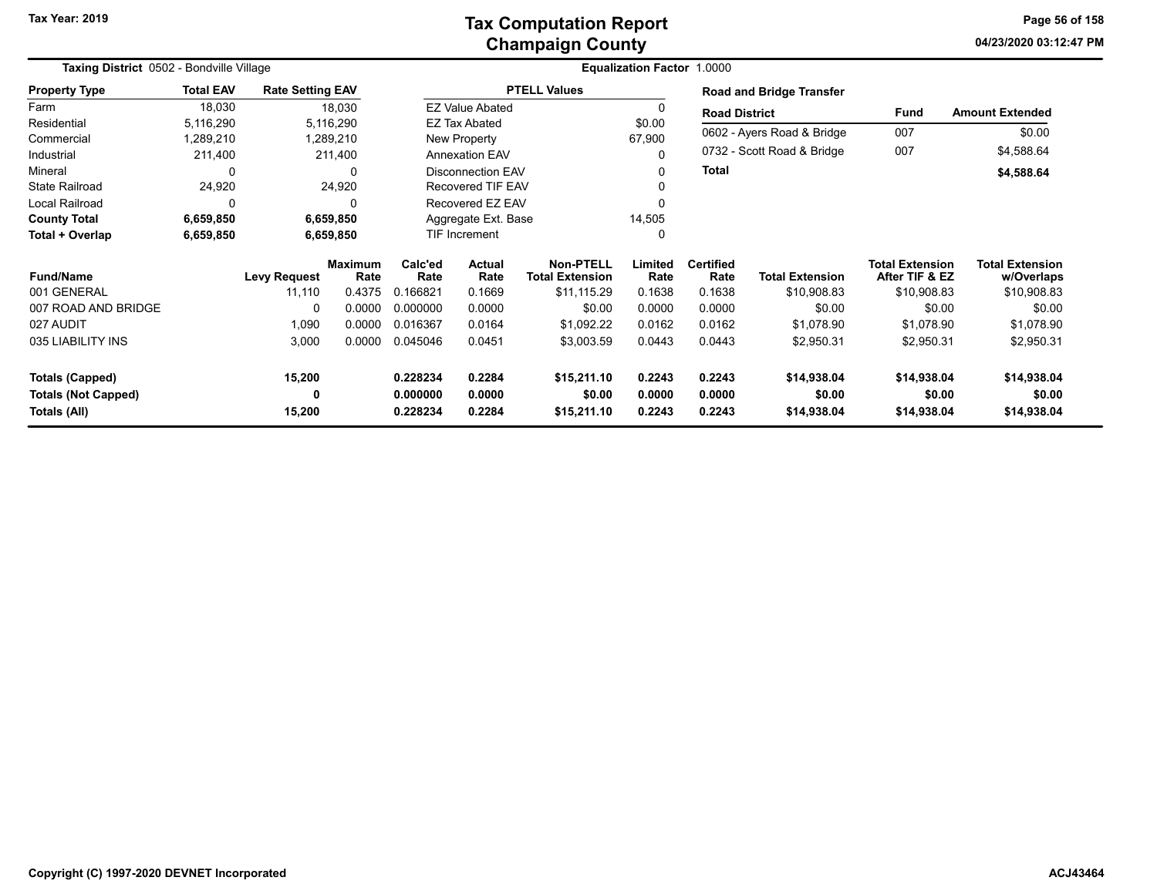**04/23/2020 03:12:47 PM Page 56 of 158**

| Taxing District 0502 - Bondville Village |                  |                         |                        |                                   | Equalization Factor 1.0000 |                                            |                  |                          |                                 |                                          |                                      |  |  |
|------------------------------------------|------------------|-------------------------|------------------------|-----------------------------------|----------------------------|--------------------------------------------|------------------|--------------------------|---------------------------------|------------------------------------------|--------------------------------------|--|--|
| <b>Property Type</b>                     | <b>Total EAV</b> | <b>Rate Setting EAV</b> |                        |                                   |                            | <b>PTELL Values</b>                        |                  |                          | <b>Road and Bridge Transfer</b> |                                          |                                      |  |  |
| Farm                                     | 18,030           |                         | 18,030                 |                                   | <b>EZ Value Abated</b>     |                                            | 0                | <b>Road District</b>     |                                 | Fund                                     | <b>Amount Extended</b>               |  |  |
| Residential                              | 5,116,290        |                         | 5,116,290              |                                   | <b>EZ Tax Abated</b>       |                                            | \$0.00<br>67,900 |                          | 0602 - Ayers Road & Bridge      | 007                                      | \$0.00                               |  |  |
| Commercial                               | 289,210,         |                         | 1,289,210              |                                   | New Property               |                                            |                  |                          |                                 |                                          |                                      |  |  |
| Industrial                               | 211,400          |                         | 211,400                |                                   | <b>Annexation EAV</b>      |                                            |                  |                          | 0732 - Scott Road & Bridge      | 007                                      | \$4,588.64                           |  |  |
| Mineral                                  | 0                |                         | 0                      |                                   | <b>Disconnection EAV</b>   |                                            |                  | Total                    |                                 |                                          | \$4,588.64                           |  |  |
| <b>State Railroad</b>                    | 24,920           |                         | 24,920                 |                                   | <b>Recovered TIF EAV</b>   |                                            |                  |                          |                                 |                                          |                                      |  |  |
| Local Railroad                           | 0                |                         |                        |                                   | Recovered EZ EAV           |                                            |                  |                          |                                 |                                          |                                      |  |  |
| <b>County Total</b>                      | 6,659,850        |                         | 6,659,850              |                                   | Aggregate Ext. Base        |                                            | 14,505           |                          |                                 |                                          |                                      |  |  |
| Total + Overlap                          | 6,659,850        |                         | 6,659,850              |                                   | TIF Increment              |                                            | 0                |                          |                                 |                                          |                                      |  |  |
| <b>Fund/Name</b>                         |                  | <b>Levy Request</b>     | <b>Maximum</b><br>Rate | Calc'ed<br>Rate                   | Actual<br>Rate             | <b>Non-PTELL</b><br><b>Total Extension</b> | Limited<br>Rate  | <b>Certified</b><br>Rate | <b>Total Extension</b>          | <b>Total Extension</b><br>After TIF & EZ | <b>Total Extension</b><br>w/Overlaps |  |  |
| 001 GENERAL                              |                  | 11,110                  | 0.4375                 | 0.166821                          | 0.1669                     | \$11,115.29                                | 0.1638           | 0.1638                   | \$10,908.83                     | \$10,908.83                              | \$10,908.83                          |  |  |
| 007 ROAD AND BRIDGE                      |                  | 0                       | 0.0000                 | 0.000000                          | 0.0000                     | \$0.00                                     | 0.0000           | 0.0000                   | \$0.00                          | \$0.00                                   | \$0.00                               |  |  |
| 027 AUDIT                                |                  | 1,090                   | 0.0000                 | 0.016367                          | 0.0164                     | \$1,092.22                                 | 0.0162           | 0.0162                   | \$1,078.90                      | \$1,078.90                               | \$1,078.90                           |  |  |
| 035 LIABILITY INS                        |                  | 3,000                   | 0.0000                 | 0.045046                          | 0.0451                     | \$3,003.59                                 | 0.0443           | 0.0443                   | \$2,950.31                      | \$2,950.31                               | \$2,950.31                           |  |  |
| <b>Totals (Capped)</b>                   |                  | 15,200                  |                        | 0.228234                          | 0.2284                     | \$15,211.10                                | 0.2243           | 0.2243                   | \$14,938.04                     | \$14,938.04                              | \$14,938.04                          |  |  |
| <b>Totals (Not Capped)</b>               |                  | 0                       |                        | 0.000000<br>0.0000<br>\$0.00      |                            | 0.0000                                     | 0.0000           | \$0.00                   | \$0.00                          | \$0.00                                   |                                      |  |  |
| Totals (All)                             |                  | 15,200                  |                        | 0.2284<br>0.228234<br>\$15,211.10 |                            |                                            | 0.2243           | 0.2243                   | \$14,938.04                     | \$14,938.04                              | \$14,938.04                          |  |  |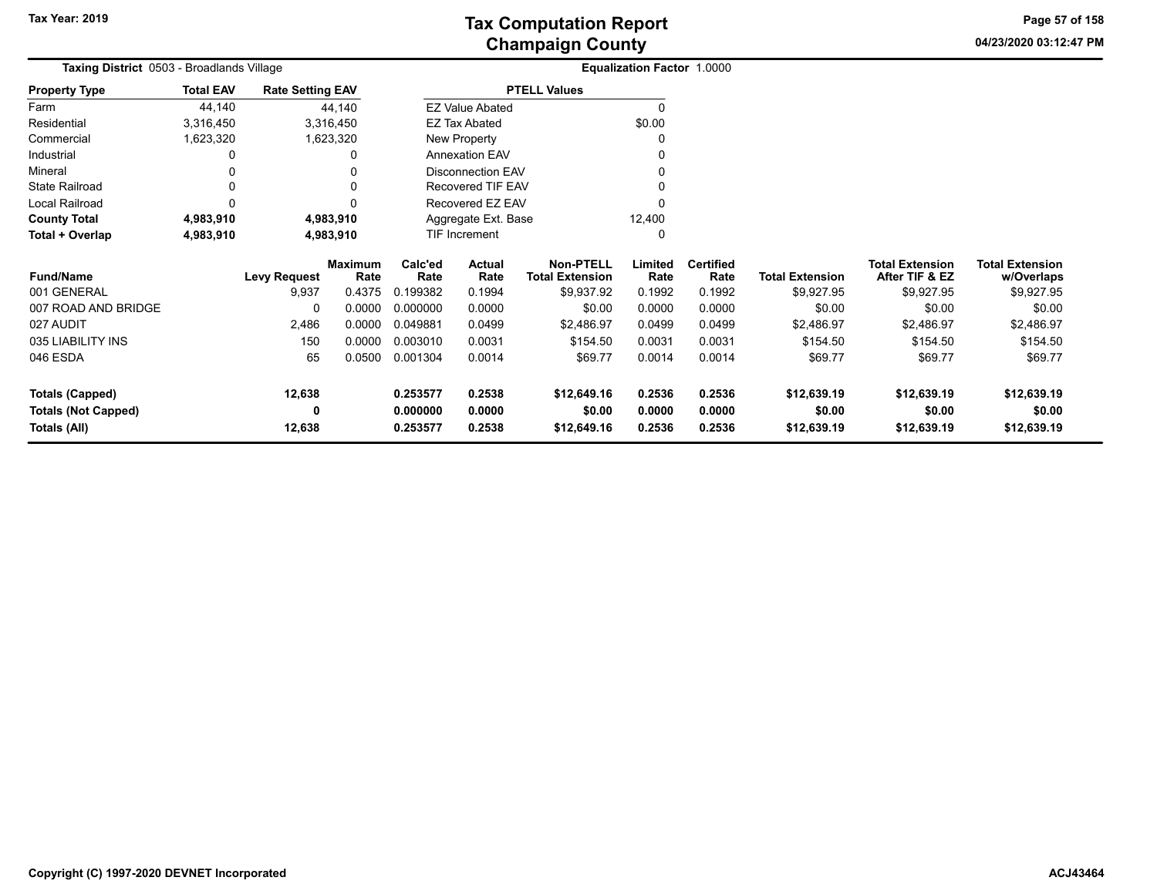**04/23/2020 03:12:47 PM Page 57 of 158**

| Taxing District 0503 - Broadlands Village |                  |                         |                        |                     | <b>Equalization Factor 1.0000</b> |                                            |                 |                          |                        |                                          |                                      |
|-------------------------------------------|------------------|-------------------------|------------------------|---------------------|-----------------------------------|--------------------------------------------|-----------------|--------------------------|------------------------|------------------------------------------|--------------------------------------|
| <b>Property Type</b>                      | <b>Total EAV</b> | <b>Rate Setting EAV</b> |                        |                     |                                   | <b>PTELL Values</b>                        |                 |                          |                        |                                          |                                      |
| Farm                                      | 44,140           |                         | 44,140                 |                     | <b>EZ Value Abated</b>            |                                            |                 |                          |                        |                                          |                                      |
| Residential                               | 3,316,450        |                         | 3,316,450              |                     | EZ Tax Abated                     |                                            | \$0.00          |                          |                        |                                          |                                      |
| Commercial                                | 1,623,320        |                         | 1,623,320              |                     | New Property                      |                                            |                 |                          |                        |                                          |                                      |
| Industrial                                |                  |                         | 0                      |                     | <b>Annexation EAV</b>             |                                            |                 |                          |                        |                                          |                                      |
| Mineral                                   |                  |                         |                        |                     | <b>Disconnection EAV</b>          |                                            |                 |                          |                        |                                          |                                      |
| <b>State Railroad</b>                     |                  |                         |                        |                     | Recovered TIF EAV                 |                                            |                 |                          |                        |                                          |                                      |
| Local Railroad                            | 0                |                         |                        |                     | Recovered EZ EAV                  |                                            |                 |                          |                        |                                          |                                      |
| <b>County Total</b>                       | 4,983,910        |                         | 4,983,910              | Aggregate Ext. Base |                                   |                                            | 12,400          |                          |                        |                                          |                                      |
| Total + Overlap                           | 4,983,910        |                         | 4,983,910              |                     | TIF Increment                     |                                            |                 |                          |                        |                                          |                                      |
| <b>Fund/Name</b>                          |                  | <b>Levy Request</b>     | <b>Maximum</b><br>Rate | Calc'ed<br>Rate     | Actual<br>Rate                    | <b>Non-PTELL</b><br><b>Total Extension</b> | Limited<br>Rate | <b>Certified</b><br>Rate | <b>Total Extension</b> | <b>Total Extension</b><br>After TIF & EZ | <b>Total Extension</b><br>w/Overlaps |
| 001 GENERAL                               |                  | 9,937                   | 0.4375                 | 0.199382            | 0.1994                            | \$9,937.92                                 | 0.1992          | 0.1992                   | \$9,927.95             | \$9,927.95                               | \$9,927.95                           |
| 007 ROAD AND BRIDGE                       |                  | 0                       | 0.0000                 | 0.000000            | 0.0000                            | \$0.00                                     | 0.0000          | 0.0000                   | \$0.00                 | \$0.00                                   | \$0.00                               |
| 027 AUDIT                                 |                  | 2,486                   | 0.0000                 | 0.049881            | 0.0499                            | \$2,486.97                                 | 0.0499          | 0.0499                   | \$2,486.97             | \$2,486.97                               | \$2,486.97                           |
| 035 LIABILITY INS                         |                  | 150                     | 0.0000                 | 0.003010            | 0.0031                            | \$154.50                                   | 0.0031          | 0.0031                   | \$154.50               | \$154.50                                 | \$154.50                             |
| 046 ESDA                                  |                  | 65                      | 0.0500                 | 0.001304            | 0.0014                            | \$69.77                                    | 0.0014          | 0.0014                   | \$69.77                | \$69.77                                  | \$69.77                              |
| <b>Totals (Capped)</b>                    |                  | 12,638                  |                        | 0.253577            | 0.2538                            | \$12,649.16                                | 0.2536          | 0.2536                   | \$12,639.19            | \$12,639.19                              | \$12,639.19                          |
| <b>Totals (Not Capped)</b>                |                  | 0                       |                        | 0.000000            | 0.0000                            | \$0.00                                     | 0.0000          | 0.0000                   | \$0.00                 | \$0.00                                   | \$0.00                               |
| Totals (All)                              | 12,638           |                         | 0.253577               | 0.2538              | \$12,649.16                       | 0.2536                                     | 0.2536          | \$12,639.19              | \$12,639.19            | \$12,639.19                              |                                      |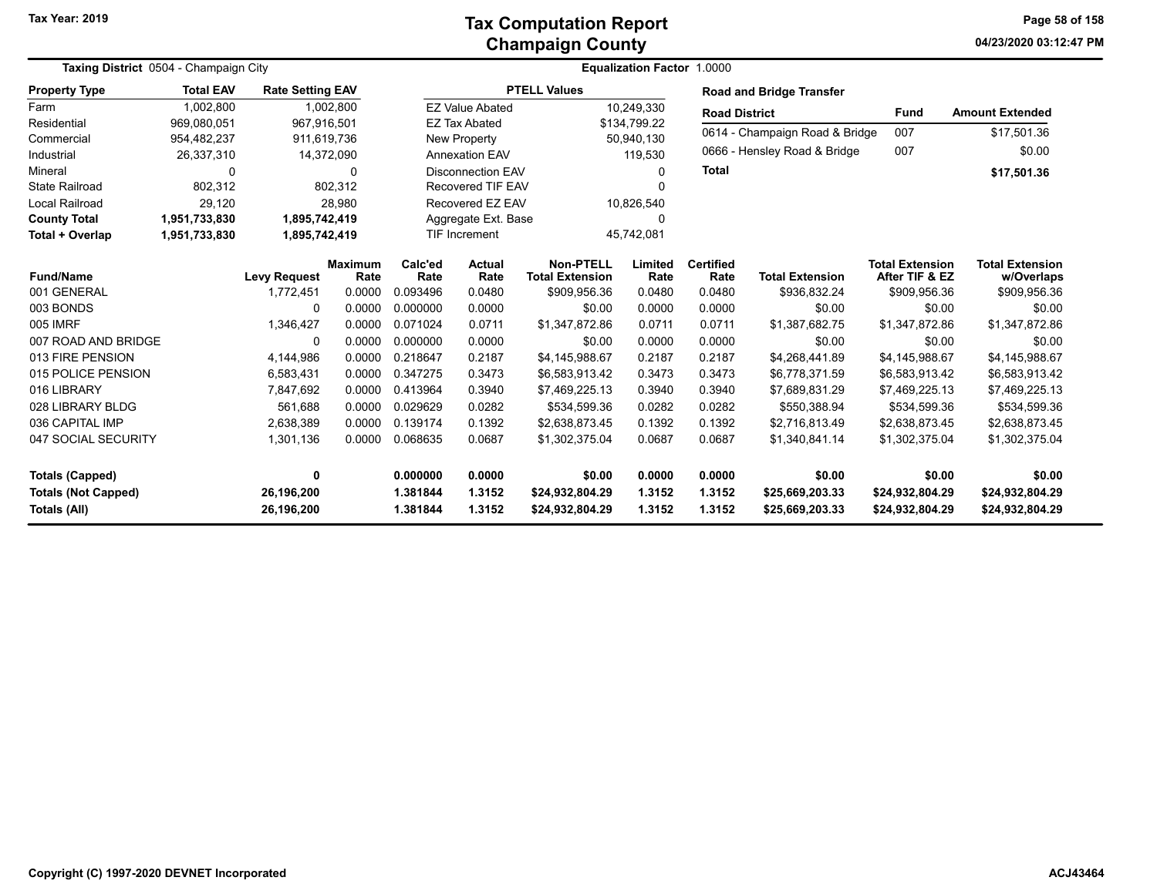| Taxing District 0504 - Champaign City      |                  |                          |                 |                      | Equalization Factor 1.0000 |                                            |                  |                          |                                    |                                          |                                      |  |  |
|--------------------------------------------|------------------|--------------------------|-----------------|----------------------|----------------------------|--------------------------------------------|------------------|--------------------------|------------------------------------|------------------------------------------|--------------------------------------|--|--|
| <b>Property Type</b>                       | <b>Total EAV</b> | <b>Rate Setting EAV</b>  |                 |                      |                            | <b>PTELL Values</b>                        |                  |                          | <b>Road and Bridge Transfer</b>    |                                          |                                      |  |  |
| Farm                                       | 1,002,800        |                          | 1,002,800       |                      | <b>EZ Value Abated</b>     |                                            | 10,249,330       | <b>Road District</b>     |                                    | <b>Fund</b>                              | <b>Amount Extended</b>               |  |  |
| Residential                                | 969,080,051      | 967,916,501              |                 |                      | <b>EZ Tax Abated</b>       |                                            | \$134,799.22     |                          | 0614 - Champaign Road & Bridge     | 007                                      | \$17,501.36                          |  |  |
| Commercial                                 | 954,482,237      | 911,619,736              |                 | New Property         |                            |                                            | 50,940,130       |                          |                                    |                                          |                                      |  |  |
| Industrial                                 | 26,337,310       | 14,372,090               |                 |                      | <b>Annexation EAV</b>      |                                            | 119.530          |                          | 0666 - Hensley Road & Bridge       | 007                                      | \$0.00                               |  |  |
| Mineral                                    | 0                |                          | $\Omega$        |                      | <b>Disconnection EAV</b>   | 0<br>O                                     |                  | <b>Total</b>             |                                    |                                          | \$17,501.36                          |  |  |
| <b>State Railroad</b>                      | 802,312          |                          | 802,312         |                      |                            | <b>Recovered TIF EAV</b>                   |                  |                          |                                    |                                          |                                      |  |  |
| <b>Local Railroad</b>                      | 29,120           |                          | 28,980          |                      | Recovered EZ EAV           |                                            | 10,826,540       |                          |                                    |                                          |                                      |  |  |
| <b>County Total</b>                        | 1,951,733,830    | 1,895,742,419            |                 |                      | Aggregate Ext. Base        |                                            | O                |                          |                                    |                                          |                                      |  |  |
| Total + Overlap                            | 1,951,733,830    | 1,895,742,419            |                 |                      | <b>TIF Increment</b>       |                                            | 45,742,081       |                          |                                    |                                          |                                      |  |  |
| <b>Fund/Name</b>                           |                  | <b>Levy Request</b>      | Maximum<br>Rate | Calc'ed<br>Rate      | <b>Actual</b><br>Rate      | <b>Non-PTELL</b><br><b>Total Extension</b> | Limited<br>Rate  | <b>Certified</b><br>Rate | <b>Total Extension</b>             | <b>Total Extension</b><br>After TIF & EZ | <b>Total Extension</b><br>w/Overlaps |  |  |
| 001 GENERAL                                |                  | 1,772,451                | 0.0000          | 0.093496             | 0.0480                     | \$909,956.36                               | 0.0480           | 0.0480                   | \$936,832.24                       | \$909,956.36                             | \$909,956.36                         |  |  |
| 003 BONDS                                  |                  | 0                        | 0.0000          | 0.000000             | 0.0000                     | \$0.00                                     | 0.0000           | 0.0000                   | \$0.00                             | \$0.00                                   | \$0.00                               |  |  |
| 005 IMRF                                   |                  | 1,346,427                | 0.0000          | 0.071024             | 0.0711                     | \$1,347,872.86                             | 0.0711           | 0.0711                   | \$1,387,682.75                     | \$1,347,872.86                           | \$1,347,872.86                       |  |  |
| 007 ROAD AND BRIDGE                        |                  | $\Omega$                 | 0.0000          | 0.000000             | 0.0000                     | \$0.00                                     | 0.0000           | 0.0000                   | \$0.00                             | \$0.00                                   | \$0.00                               |  |  |
| 013 FIRE PENSION                           |                  | 4,144,986                | 0.0000          | 0.218647             | 0.2187                     | \$4,145,988.67                             | 0.2187           | 0.2187                   | \$4,268,441.89                     | \$4,145,988.67                           | \$4,145,988.67                       |  |  |
| 015 POLICE PENSION                         |                  | 6,583,431                | 0.0000          | 0.347275             | 0.3473                     | \$6,583,913.42                             | 0.3473           | 0.3473                   | \$6,778,371.59                     | \$6,583,913.42                           | \$6,583,913.42                       |  |  |
| 016 LIBRARY                                |                  | 7,847,692                | 0.0000          | 0.413964             | 0.3940                     | \$7,469,225.13                             | 0.3940           | 0.3940                   | \$7,689,831.29                     | \$7,469,225.13                           | \$7,469,225.13                       |  |  |
| 028 LIBRARY BLDG                           |                  | 561,688                  | 0.0000          | 0.029629             | 0.0282                     | \$534,599.36                               | 0.0282           | 0.0282                   | \$550,388.94                       | \$534,599.36                             | \$534,599.36                         |  |  |
| 036 CAPITAL IMP                            |                  | 2,638,389                | 0.0000          | 0.139174             | 0.1392                     | \$2,638,873.45                             | 0.1392           | 0.1392                   | \$2,716,813.49                     | \$2,638,873.45                           | \$2,638,873.45                       |  |  |
| 047 SOCIAL SECURITY                        |                  | 1,301,136                | 0.0000          | 0.068635             | 0.0687                     | \$1,302,375.04                             | 0.0687           | 0.0687                   | \$1,340,841.14                     | \$1,302,375.04                           | \$1,302,375.04                       |  |  |
| <b>Totals (Capped)</b>                     |                  | 0                        |                 | 0.000000             | 0.0000                     | \$0.00                                     | 0.0000           | 0.0000                   | \$0.00                             | \$0.00                                   | \$0.00                               |  |  |
| <b>Totals (Not Capped)</b><br>Totals (All) |                  | 26,196,200<br>26,196,200 |                 | 1.381844<br>1.381844 | 1.3152<br>1.3152           | \$24,932,804.29<br>\$24,932,804.29         | 1.3152<br>1.3152 | 1.3152<br>1.3152         | \$25,669,203.33<br>\$25,669,203.33 | \$24,932,804.29<br>\$24,932,804.29       | \$24,932,804.29<br>\$24,932,804.29   |  |  |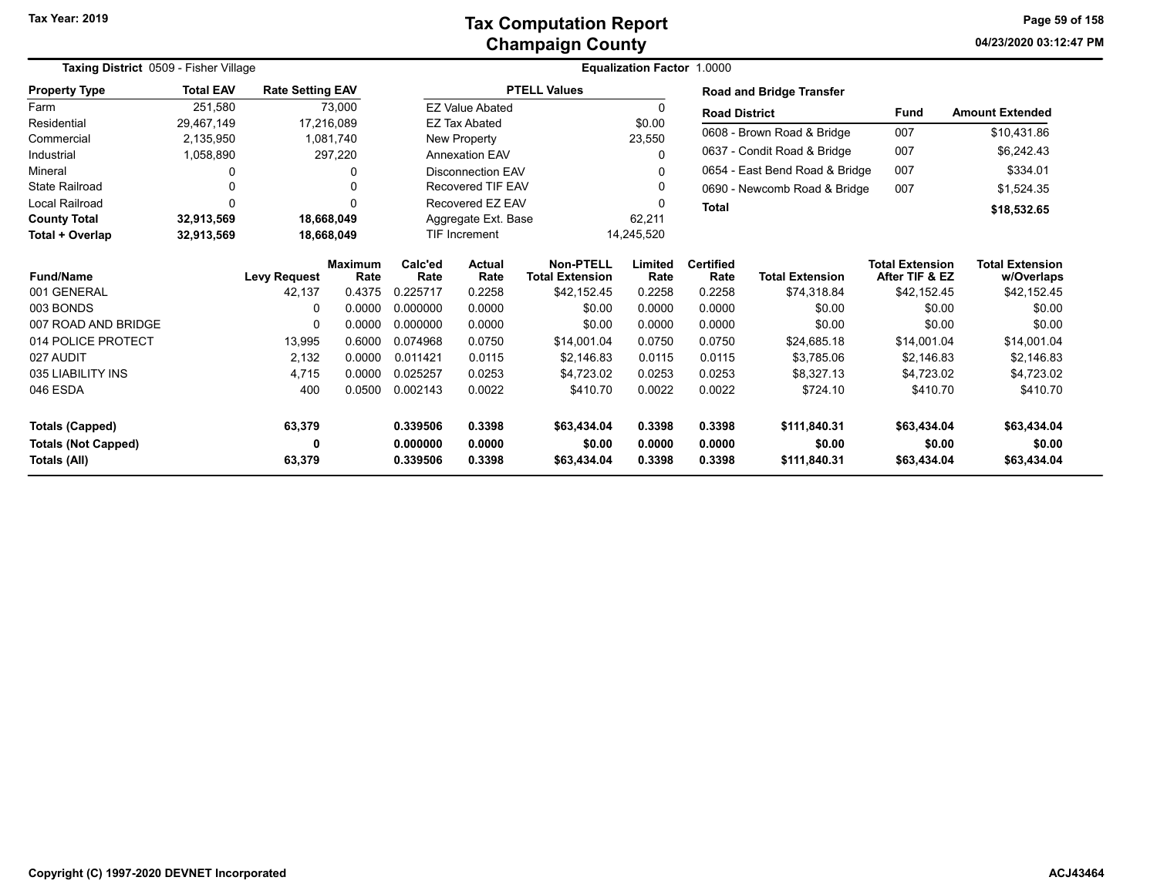#### **Champaign County Tax Computation Report**

**04/23/2020 03:12:47 PM Page 59 of 158**

| Taxing District 0509 - Fisher Village |                  |                         |                        | Equalization Factor 1.0000 |                               |                                            |                 |                          |                                 |                                          |                                      |  |
|---------------------------------------|------------------|-------------------------|------------------------|----------------------------|-------------------------------|--------------------------------------------|-----------------|--------------------------|---------------------------------|------------------------------------------|--------------------------------------|--|
| <b>Property Type</b>                  | <b>Total EAV</b> | <b>Rate Setting EAV</b> |                        |                            |                               | <b>PTELL Values</b>                        |                 |                          | <b>Road and Bridge Transfer</b> |                                          |                                      |  |
| Farm                                  | 251.580          |                         | 73,000                 |                            | <b>EZ Value Abated</b>        |                                            |                 | <b>Road District</b>     |                                 | <b>Fund</b>                              | <b>Amount Extended</b>               |  |
| Residential                           | 29,467,149       |                         | 17,216,089             |                            | <b>EZ Tax Abated</b>          |                                            | \$0.00          |                          | 0608 - Brown Road & Bridge      | 007                                      | \$10,431.86                          |  |
| Commercial                            | 2,135,950        |                         | 1,081,740              |                            | New Property                  |                                            | 23,550          |                          |                                 |                                          |                                      |  |
| Industrial                            | 1,058,890        |                         | 297,220                |                            | <b>Annexation EAV</b>         |                                            | $\Omega$        |                          | 0637 - Condit Road & Bridge     | 007                                      | \$6,242.43                           |  |
| Mineral                               | 0                |                         |                        |                            | <b>Disconnection EAV</b>      |                                            | $\Omega$        |                          | 0654 - East Bend Road & Bridge  | 007                                      | \$334.01                             |  |
| <b>State Railroad</b>                 | 0                |                         |                        |                            | <b>Recovered TIF EAV</b>      |                                            | <sup>0</sup>    |                          | 0690 - Newcomb Road & Bridge    | 007                                      | \$1,524.35                           |  |
| Local Railroad                        | 0                |                         |                        |                            | Recovered EZ EAV              |                                            |                 | <b>Total</b>             |                                 |                                          | \$18,532.65                          |  |
| <b>County Total</b>                   | 32,913,569       |                         | 18,668,049             |                            | 62,211<br>Aggregate Ext. Base |                                            |                 |                          |                                 |                                          |                                      |  |
| Total + Overlap                       | 32,913,569       |                         | 18,668,049             |                            | <b>TIF Increment</b>          |                                            | 14,245,520      |                          |                                 |                                          |                                      |  |
| <b>Fund/Name</b>                      |                  | <b>Levy Request</b>     | <b>Maximum</b><br>Rate | Calc'ed<br>Rate            | Actual<br>Rate                | <b>Non-PTELL</b><br><b>Total Extension</b> | Limited<br>Rate | <b>Certified</b><br>Rate | <b>Total Extension</b>          | <b>Total Extension</b><br>After TIF & EZ | <b>Total Extension</b><br>w/Overlaps |  |
| 001 GENERAL                           |                  | 42,137                  | 0.4375                 | 0.225717                   | 0.2258                        | \$42,152.45                                | 0.2258          | 0.2258                   | \$74,318.84                     | \$42,152.45                              | \$42,152.45                          |  |
| 003 BONDS                             |                  | 0                       | 0.0000                 | 0.000000                   | 0.0000                        | \$0.00                                     | 0.0000          | 0.0000                   | \$0.00                          | \$0.00                                   | \$0.00                               |  |
| 007 ROAD AND BRIDGE                   |                  | 0                       | 0.0000                 | 0.000000                   | 0.0000                        | \$0.00                                     | 0.0000          | 0.0000                   | \$0.00                          | \$0.00                                   | \$0.00                               |  |
| 014 POLICE PROTECT                    |                  | 13,995                  | 0.6000                 | 0.074968                   | 0.0750                        | \$14,001.04                                | 0.0750          | 0.0750                   | \$24,685.18                     | \$14,001.04                              | \$14,001.04                          |  |
| 027 AUDIT                             |                  | 2,132                   | 0.0000                 | 0.011421                   | 0.0115                        | \$2,146.83                                 | 0.0115          | 0.0115                   | \$3,785.06                      | \$2,146.83                               | \$2,146.83                           |  |
| 035 LIABILITY INS                     |                  | 4.715                   | 0.0000                 | 0.025257                   | 0.0253                        | \$4,723.02                                 | 0.0253          | 0.0253                   | \$8,327.13                      | \$4,723.02                               | \$4,723.02                           |  |
| 046 ESDA                              |                  | 400                     | 0.0500                 | 0.002143                   | 0.0022                        | \$410.70                                   | 0.0022          | 0.0022                   | \$724.10                        | \$410.70                                 | \$410.70                             |  |
| <b>Totals (Capped)</b>                |                  | 63,379                  |                        | 0.339506                   | 0.3398                        | \$63,434.04                                | 0.3398          | 0.3398                   | \$111,840.31                    | \$63,434.04                              | \$63,434.04                          |  |
| <b>Totals (Not Capped)</b>            |                  | 0                       |                        | 0.000000                   | 0.0000                        | \$0.00                                     | 0.0000          | 0.0000                   | \$0.00                          | \$0.00                                   | \$0.00                               |  |
| Totals (All)                          |                  | 63,379                  |                        | 0.339506                   | 0.3398                        | \$63,434.04                                | 0.3398          | 0.3398                   | \$111,840.31                    | \$63,434.04                              | \$63,434.04                          |  |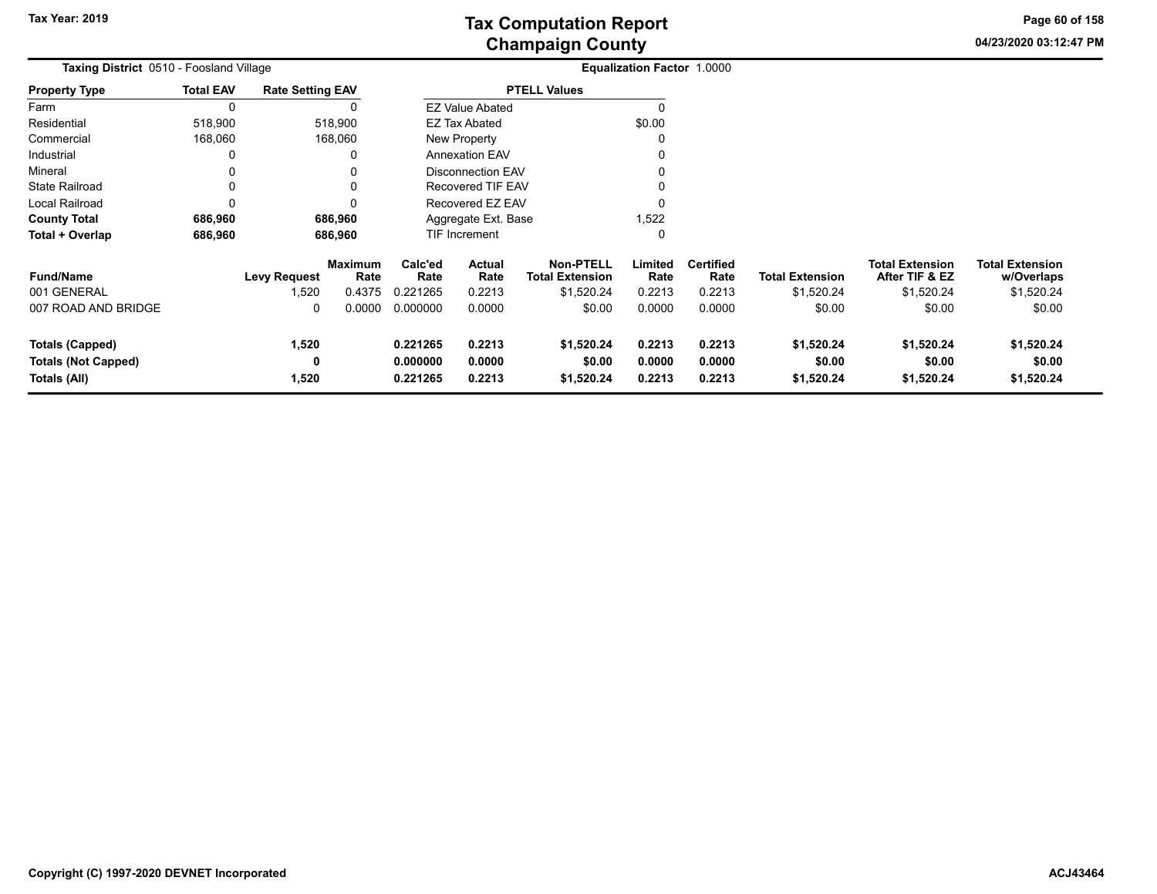**04/23/2020 03:12:47 PM Page 60 of 158**

| Taxing District 0510 - Foosland Village |                  |                         |                        |                    | <b>Equalization Factor 1.0000</b> |                                            |                 |                          |                        |                                          |                                      |
|-----------------------------------------|------------------|-------------------------|------------------------|--------------------|-----------------------------------|--------------------------------------------|-----------------|--------------------------|------------------------|------------------------------------------|--------------------------------------|
| <b>Property Type</b>                    | <b>Total EAV</b> | <b>Rate Setting EAV</b> |                        |                    |                                   | <b>PTELL Values</b>                        |                 |                          |                        |                                          |                                      |
| Farm                                    | $\Omega$         |                         | 0                      |                    | <b>EZ Value Abated</b>            |                                            | 0               |                          |                        |                                          |                                      |
| Residential                             | 518,900          |                         | 518,900                |                    | <b>EZ Tax Abated</b>              |                                            | \$0.00          |                          |                        |                                          |                                      |
| Commercial                              | 168,060          |                         | 168,060                |                    | New Property                      |                                            | 0               |                          |                        |                                          |                                      |
| Industrial                              | 0                |                         | 0                      |                    | <b>Annexation EAV</b>             |                                            | 0               |                          |                        |                                          |                                      |
| Mineral                                 | 0                |                         | $\Omega$               |                    | <b>Disconnection EAV</b>          |                                            | 0               |                          |                        |                                          |                                      |
| <b>State Railroad</b>                   | 0                |                         | 0                      |                    | Recovered TIF EAV                 |                                            | 0               |                          |                        |                                          |                                      |
| Local Railroad                          |                  |                         | $\Omega$               |                    | Recovered EZ EAV                  |                                            | 0               |                          |                        |                                          |                                      |
| <b>County Total</b>                     | 686,960          |                         | 686,960                |                    | Aggregate Ext. Base               |                                            | 1,522           |                          |                        |                                          |                                      |
| Total + Overlap                         | 686,960          |                         | 686,960                | TIF Increment<br>0 |                                   |                                            |                 |                          |                        |                                          |                                      |
| <b>Fund/Name</b>                        |                  | Levy Request            | <b>Maximum</b><br>Rate | Calc'ed<br>Rate    | Actual<br>Rate                    | <b>Non-PTELL</b><br><b>Total Extension</b> | Limited<br>Rate | <b>Certified</b><br>Rate | <b>Total Extension</b> | <b>Total Extension</b><br>After TIF & EZ | <b>Total Extension</b><br>w/Overlaps |
| 001 GENERAL                             |                  | 1,520                   | 0.4375                 | 0.221265           | 0.2213                            | \$1,520.24                                 | 0.2213          | 0.2213                   | \$1,520.24             | \$1,520.24                               | \$1,520.24                           |
| 007 ROAD AND BRIDGE                     |                  | 0                       | 0.0000                 | 0.000000           | 0.0000                            | \$0.00                                     | 0.0000          | 0.0000                   | \$0.00                 | \$0.00                                   | \$0.00                               |
| <b>Totals (Capped)</b>                  |                  | 1,520                   |                        | 0.221265           | 0.2213                            | \$1,520.24                                 | 0.2213          | 0.2213                   | \$1,520.24             | \$1,520.24                               | \$1,520.24                           |
| <b>Totals (Not Capped)</b>              |                  | 0                       |                        | 0.000000           | 0.0000                            | \$0.00                                     | 0.0000          | 0.0000                   | \$0.00                 | \$0.00                                   | \$0.00                               |
| Totals (All)                            |                  | 1,520                   |                        | 0.221265           | 0.2213                            | \$1,520.24                                 | 0.2213          | 0.2213                   | \$1,520.24             | \$1,520.24                               | \$1,520.24                           |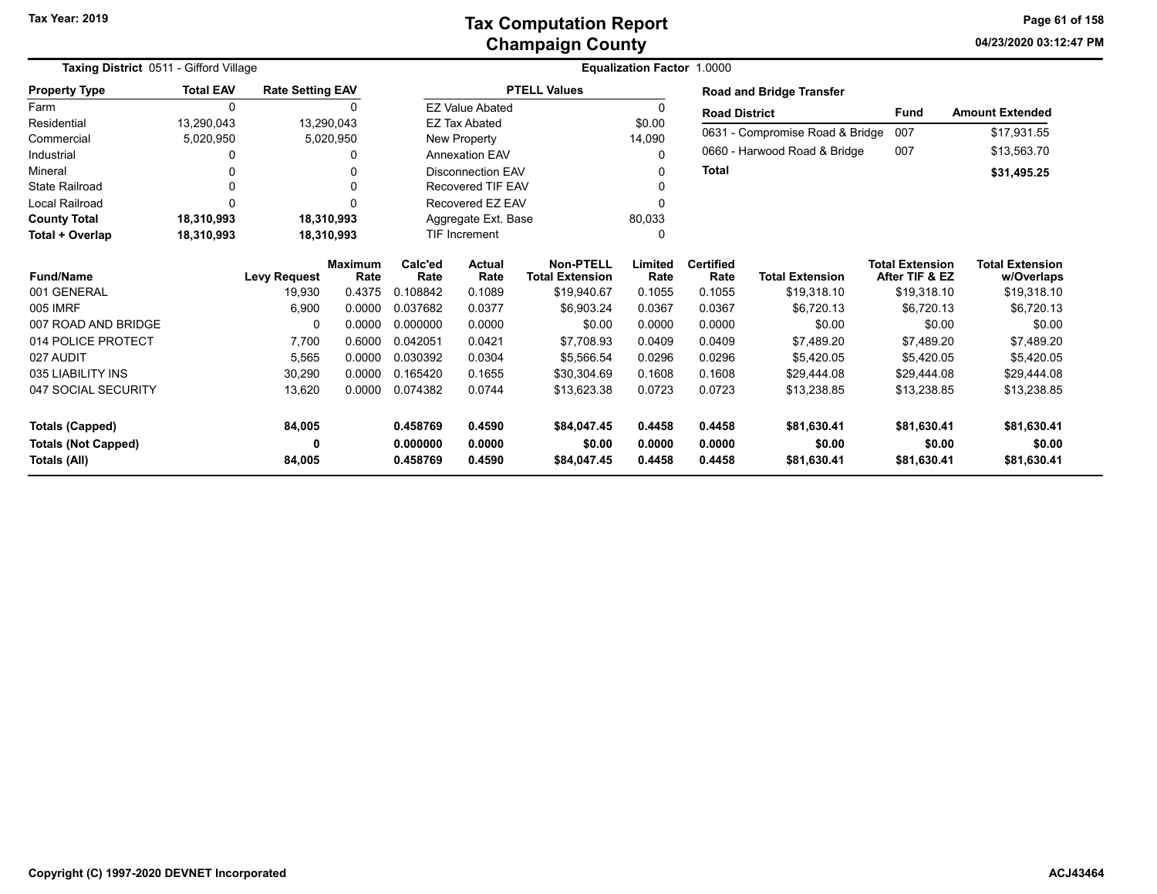| <b>Taxing District 0511 - Gifford Village</b> |                  |                         |                | <b>Equalization Factor 1.0000</b> |                          |                        |         |                  |                                 |                        |                        |  |  |
|-----------------------------------------------|------------------|-------------------------|----------------|-----------------------------------|--------------------------|------------------------|---------|------------------|---------------------------------|------------------------|------------------------|--|--|
| <b>Property Type</b>                          | <b>Total EAV</b> | <b>Rate Setting EAV</b> |                |                                   |                          | <b>PTELL Values</b>    |         |                  | <b>Road and Bridge Transfer</b> |                        |                        |  |  |
| Farm                                          | 0                |                         |                |                                   | <b>EZ Value Abated</b>   |                        |         |                  | <b>Road District</b>            | <b>Fund</b>            | <b>Amount Extended</b> |  |  |
| Residential                                   | 13,290,043       |                         | 13,290,043     |                                   | <b>EZ Tax Abated</b>     |                        | \$0.00  |                  |                                 |                        |                        |  |  |
| Commercial                                    | 5,020,950        |                         | 5,020,950      |                                   | New Property             |                        | 14,090  |                  | 0631 - Compromise Road & Bridge | 007                    | \$17,931.55            |  |  |
| Industrial                                    |                  |                         |                |                                   | <b>Annexation EAV</b>    |                        | 0       |                  | 0660 - Harwood Road & Bridge    | 007                    | \$13,563.70            |  |  |
| Mineral                                       |                  |                         |                |                                   | <b>Disconnection EAV</b> |                        |         | <b>Total</b>     |                                 |                        | \$31,495.25            |  |  |
| <b>State Railroad</b>                         |                  |                         |                |                                   | <b>Recovered TIF EAV</b> |                        |         |                  |                                 |                        |                        |  |  |
| <b>Local Railroad</b>                         | $\Omega$         |                         |                |                                   | Recovered EZ EAV         |                        |         |                  |                                 |                        |                        |  |  |
| <b>County Total</b>                           | 18,310,993       |                         | 18,310,993     |                                   | Aggregate Ext. Base      |                        | 80,033  |                  |                                 |                        |                        |  |  |
| Total + Overlap                               | 18,310,993       |                         | 18,310,993     | <b>TIF Increment</b>              |                          |                        |         |                  |                                 |                        |                        |  |  |
|                                               |                  |                         | <b>Maximum</b> | Calc'ed<br>Actual                 |                          | <b>Non-PTELL</b>       | Limited | <b>Certified</b> |                                 | <b>Total Extension</b> | <b>Total Extension</b> |  |  |
| <b>Fund/Name</b>                              |                  | <b>Levy Request</b>     | Rate           | Rate                              | Rate                     | <b>Total Extension</b> | Rate    | Rate             | <b>Total Extension</b>          | After TIF & EZ         | w/Overlaps             |  |  |
| 001 GENERAL                                   |                  | 19,930                  | 0.4375         | 0.108842                          | 0.1089                   | \$19,940.67            | 0.1055  | 0.1055           | \$19,318.10                     | \$19,318.10            | \$19,318.10            |  |  |
| 005 IMRF                                      |                  | 6,900                   | 0.0000         | 0.037682                          | 0.0377                   | \$6,903.24             | 0.0367  | 0.0367           | \$6,720.13                      | \$6,720.13             | \$6,720.13             |  |  |
| 007 ROAD AND BRIDGE                           |                  | $\Omega$                | 0.0000         | 0.000000                          | 0.0000                   | \$0.00                 | 0.0000  | 0.0000           | \$0.00                          | \$0.00                 | \$0.00                 |  |  |
| 014 POLICE PROTECT                            |                  | 7,700                   | 0.6000         | 0.042051                          | 0.0421                   | \$7,708.93             | 0.0409  | 0.0409           | \$7,489.20                      | \$7,489.20             | \$7,489.20             |  |  |
| 027 AUDIT                                     |                  | 5,565                   | 0.0000         | 0.030392                          | 0.0304                   | \$5,566.54             | 0.0296  | 0.0296           | \$5,420.05                      | \$5,420.05             | \$5,420.05             |  |  |
| 035 LIABILITY INS                             |                  | 30,290                  | 0.0000         | 0.165420                          | 0.1655                   | \$30,304.69            | 0.1608  | 0.1608           | \$29,444.08                     | \$29,444.08            | \$29,444.08            |  |  |
| 047 SOCIAL SECURITY                           |                  | 13,620                  | 0.0000         | 0.074382                          | 0.0744                   | \$13,623.38            | 0.0723  | 0.0723           | \$13,238.85                     | \$13,238.85            | \$13,238.85            |  |  |
| <b>Totals (Capped)</b>                        |                  | 84,005                  |                | 0.458769                          | 0.4590                   | \$84,047.45            | 0.4458  | 0.4458           | \$81,630.41                     | \$81,630.41            | \$81,630.41            |  |  |
| <b>Totals (Not Capped)</b>                    |                  | 0                       |                | 0.000000                          | 0.0000                   | \$0.00                 | 0.0000  | 0.0000           | \$0.00                          | \$0.00                 | \$0.00                 |  |  |
| Totals (All)                                  |                  | 84,005                  |                | 0.458769                          | 0.4590                   | \$84,047.45            | 0.4458  | 0.4458           | \$81,630.41                     | \$81,630.41            | \$81,630.41            |  |  |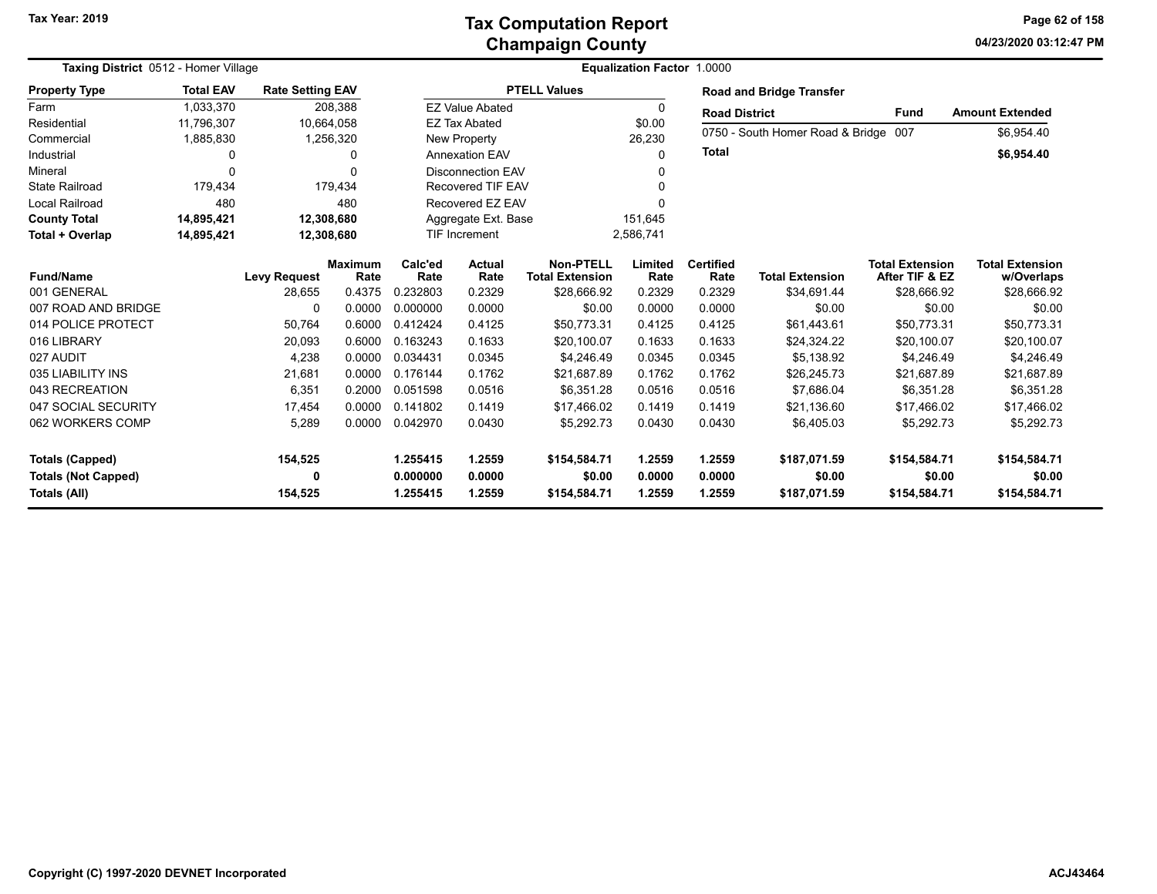### **Champaign County Tax Computation Report**

**04/23/2020 03:12:47 PM Page 62 of 158**

| Taxing District 0512 - Homer Village | Equalization Factor 1.0000 |                         |                        |                 |                          |                                            |                 |                          |                                      |                                          |                                      |
|--------------------------------------|----------------------------|-------------------------|------------------------|-----------------|--------------------------|--------------------------------------------|-----------------|--------------------------|--------------------------------------|------------------------------------------|--------------------------------------|
| <b>Property Type</b>                 | <b>Total EAV</b>           | <b>Rate Setting EAV</b> |                        |                 |                          | <b>PTELL Values</b>                        |                 |                          | <b>Road and Bridge Transfer</b>      |                                          |                                      |
| Farm                                 | 1,033,370                  |                         | 208,388                |                 | <b>EZ Value Abated</b>   |                                            | 0               | <b>Road District</b>     |                                      | <b>Fund</b>                              | <b>Amount Extended</b>               |
| Residential                          | 11,796,307                 |                         | 10,664,058             |                 | <b>EZ Tax Abated</b>     |                                            | \$0.00          |                          |                                      |                                          |                                      |
| Commercial                           | 1,885,830                  |                         | 1,256,320              |                 | New Property             |                                            | 26,230          |                          | 0750 - South Homer Road & Bridge 007 |                                          | \$6,954.40                           |
| Industrial                           | 0                          |                         | 0                      |                 | <b>Annexation EAV</b>    |                                            | 0               | <b>Total</b>             |                                      |                                          | \$6,954.40                           |
| Mineral                              | O                          |                         | 0                      |                 | <b>Disconnection EAV</b> |                                            |                 |                          |                                      |                                          |                                      |
| <b>State Railroad</b>                | 179,434                    |                         | 179,434                |                 | Recovered TIF EAV        |                                            | O               |                          |                                      |                                          |                                      |
| Local Railroad                       | 480                        |                         | 480                    |                 | Recovered EZ EAV         |                                            |                 |                          |                                      |                                          |                                      |
| <b>County Total</b>                  | 14,895,421                 |                         | 12,308,680             |                 | Aggregate Ext. Base      |                                            | 151,645         |                          |                                      |                                          |                                      |
| Total + Overlap                      | 14,895,421                 |                         | 12,308,680             |                 | <b>TIF Increment</b>     |                                            | 2,586,741       |                          |                                      |                                          |                                      |
| <b>Fund/Name</b>                     |                            | <b>Levy Request</b>     | <b>Maximum</b><br>Rate | Calc'ed<br>Rate | <b>Actual</b><br>Rate    | <b>Non-PTELL</b><br><b>Total Extension</b> | Limited<br>Rate | <b>Certified</b><br>Rate | <b>Total Extension</b>               | <b>Total Extension</b><br>After TIF & EZ | <b>Total Extension</b><br>w/Overlaps |
| 001 GENERAL                          |                            | 28,655                  | 0.4375                 | 0.232803        | 0.2329                   | \$28,666.92                                | 0.2329          | 0.2329                   | \$34,691.44                          | \$28,666.92                              | \$28,666.92                          |
| 007 ROAD AND BRIDGE                  |                            | 0                       | 0.0000                 | 0.000000        | 0.0000                   | \$0.00                                     | 0.0000          | 0.0000                   | \$0.00                               | \$0.00                                   | \$0.00                               |
| 014 POLICE PROTECT                   |                            | 50,764                  | 0.6000                 | 0.412424        | 0.4125                   | \$50,773.31                                | 0.4125          | 0.4125                   | \$61,443.61                          | \$50,773.31                              | \$50,773.31                          |
| 016 LIBRARY                          |                            | 20,093                  | 0.6000                 | 0.163243        | 0.1633                   | \$20,100.07                                | 0.1633          | 0.1633                   | \$24,324.22                          | \$20,100.07                              | \$20,100.07                          |
| 027 AUDIT                            |                            | 4,238                   | 0.0000                 | 0.034431        | 0.0345                   | \$4,246.49                                 | 0.0345          | 0.0345                   | \$5,138.92                           | \$4,246.49                               | \$4,246.49                           |
| 035 LIABILITY INS                    |                            | 21,681                  | 0.0000                 | 0.176144        | 0.1762                   | \$21,687.89                                | 0.1762          | 0.1762                   | \$26,245.73                          | \$21,687.89                              | \$21,687.89                          |
| 043 RECREATION                       |                            | 6,351                   | 0.2000                 | 0.051598        | 0.0516                   | \$6,351.28                                 | 0.0516          | 0.0516                   | \$7,686.04                           | \$6,351.28                               | \$6,351.28                           |
| 047 SOCIAL SECURITY                  |                            | 17,454                  | 0.0000                 | 0.141802        | 0.1419                   | \$17,466.02                                | 0.1419          | 0.1419                   | \$21,136.60                          | \$17,466.02                              | \$17,466.02                          |
| 062 WORKERS COMP                     |                            | 5,289                   | 0.0000                 | 0.042970        | 0.0430                   | \$5,292.73                                 | 0.0430          | 0.0430                   | \$6,405.03                           | \$5,292.73                               | \$5,292.73                           |
| <b>Totals (Capped)</b>               |                            | 154,525                 |                        | 1.255415        | 1.2559                   | \$154,584.71                               | 1.2559          | 1.2559                   | \$187,071.59                         | \$154,584.71                             | \$154,584.71                         |
| <b>Totals (Not Capped)</b>           |                            | 0                       |                        | 0.000000        | 0.0000                   | \$0.00                                     | 0.0000          | 0.0000                   | \$0.00                               | \$0.00                                   | \$0.00                               |
| Totals (All)                         |                            | 154,525                 |                        | 1.255415        | 1.2559                   | \$154,584.71                               | 1.2559          | 1.2559                   | \$187,071.59                         | \$154,584.71                             | \$154,584.71                         |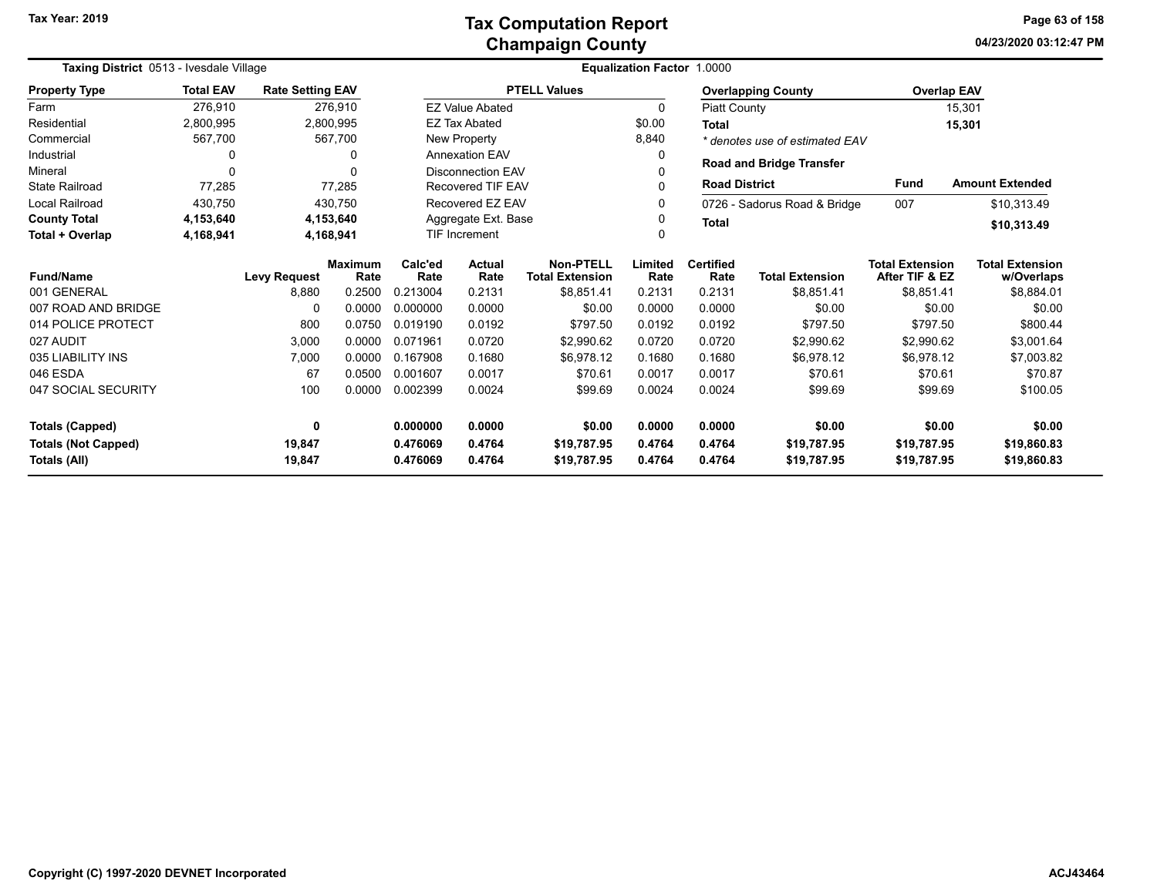### **Champaign County Tax Computation Report**

**04/23/2020 03:12:47 PM Page 63 of 158**

| Taxing District 0513 - Ivesdale Village | <b>Equalization Factor 1.0000</b> |                         |                        |                 |                          |                                            |                 |                          |                                 |                                          |                                      |
|-----------------------------------------|-----------------------------------|-------------------------|------------------------|-----------------|--------------------------|--------------------------------------------|-----------------|--------------------------|---------------------------------|------------------------------------------|--------------------------------------|
| <b>Property Type</b>                    | <b>Total EAV</b>                  | <b>Rate Setting EAV</b> |                        |                 |                          | <b>PTELL Values</b>                        |                 |                          | <b>Overlapping County</b>       | <b>Overlap EAV</b>                       |                                      |
| Farm                                    | 276,910                           |                         | 276.910                |                 | <b>EZ Value Abated</b>   |                                            | 0               | Piatt County             |                                 |                                          | 15,301                               |
| Residential                             | 2,800,995                         |                         | 2,800,995              |                 | <b>EZ Tax Abated</b>     |                                            | \$0.00          | Total                    |                                 |                                          | 15,301                               |
| Commercial                              | 567,700                           |                         | 567,700                |                 | New Property             |                                            | 8,840           |                          | * denotes use of estimated EAV  |                                          |                                      |
| Industrial                              | <sup>0</sup>                      |                         | 0                      |                 | <b>Annexation EAV</b>    |                                            | 0               |                          | <b>Road and Bridge Transfer</b> |                                          |                                      |
| Mineral                                 | $\Omega$                          |                         | 0                      |                 | <b>Disconnection EAV</b> |                                            |                 |                          |                                 |                                          |                                      |
| <b>State Railroad</b>                   | 77,285                            |                         | 77,285                 |                 | <b>Recovered TIF EAV</b> |                                            |                 |                          | <b>Road District</b>            | <b>Fund</b>                              | <b>Amount Extended</b>               |
| Local Railroad                          | 430,750                           |                         | 430.750                |                 | Recovered EZ EAV         |                                            |                 |                          | 0726 - Sadorus Road & Bridge    | 007                                      | \$10,313.49                          |
| <b>County Total</b>                     | 4,153,640                         |                         | 4,153,640              |                 | Aggregate Ext. Base      |                                            |                 | <b>Total</b>             |                                 |                                          | \$10,313.49                          |
| Total + Overlap                         | 4,168,941                         |                         | 4,168,941              |                 | <b>TIF Increment</b>     |                                            |                 |                          |                                 |                                          |                                      |
| <b>Fund/Name</b>                        |                                   | <b>Levy Request</b>     | <b>Maximum</b><br>Rate | Calc'ed<br>Rate | <b>Actual</b><br>Rate    | <b>Non-PTELL</b><br><b>Total Extension</b> | Limited<br>Rate | <b>Certified</b><br>Rate | <b>Total Extension</b>          | <b>Total Extension</b><br>After TIF & EZ | <b>Total Extension</b><br>w/Overlaps |
| 001 GENERAL                             |                                   | 8,880                   | 0.2500                 | 0.213004        | 0.2131                   | \$8,851.41                                 | 0.2131          | 0.2131                   | \$8,851.41                      | \$8,851.41                               | \$8,884.01                           |
| 007 ROAD AND BRIDGE                     |                                   | 0                       | 0.0000                 | 0.000000        | 0.0000                   | \$0.00                                     | 0.0000          | 0.0000                   | \$0.00                          | \$0.00                                   | \$0.00                               |
| 014 POLICE PROTECT                      |                                   | 800                     | 0.0750                 | 0.019190        | 0.0192                   | \$797.50                                   | 0.0192          | 0.0192                   | \$797.50                        | \$797.50                                 | \$800.44                             |
| 027 AUDIT                               |                                   | 3,000                   | 0.0000                 | 0.071961        | 0.0720                   | \$2,990.62                                 | 0.0720          | 0.0720                   | \$2,990.62                      | \$2,990.62                               | \$3,001.64                           |
| 035 LIABILITY INS                       |                                   | 7,000                   | 0.0000                 | 0.167908        | 0.1680                   | \$6,978.12                                 | 0.1680          | 0.1680                   | \$6,978.12                      | \$6,978.12                               | \$7,003.82                           |
| 046 ESDA                                |                                   | 67                      | 0.0500                 | 0.001607        | 0.0017                   | \$70.61                                    | 0.0017          | 0.0017                   | \$70.61                         | \$70.61                                  | \$70.87                              |
| 047 SOCIAL SECURITY                     |                                   | 100                     | 0.0000                 | 0.002399        | 0.0024                   | \$99.69                                    | 0.0024          | 0.0024                   | \$99.69                         | \$99.69                                  | \$100.05                             |
| <b>Totals (Capped)</b>                  |                                   | 0                       |                        | 0.000000        | 0.0000                   | \$0.00                                     | 0.0000          | 0.0000                   | \$0.00                          | \$0.00                                   | \$0.00                               |
| <b>Totals (Not Capped)</b>              |                                   | 19,847                  |                        | 0.476069        | 0.4764                   | \$19,787.95                                | 0.4764          | 0.4764                   | \$19,787.95                     | \$19,787.95                              | \$19,860.83                          |
| Totals (All)                            |                                   | 19,847                  |                        | 0.476069        | 0.4764                   | \$19,787.95                                | 0.4764          | 0.4764                   | \$19,787.95                     | \$19,787.95                              | \$19,860.83                          |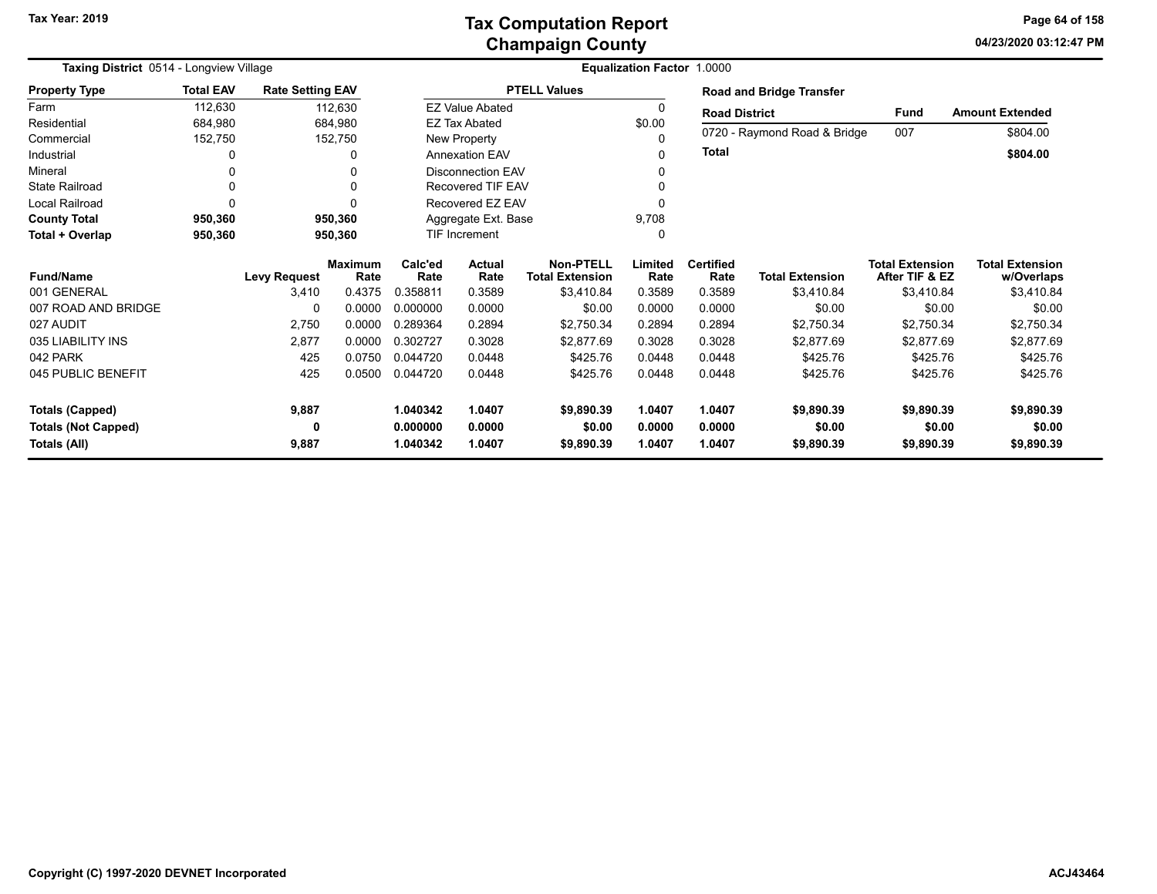### **Champaign County Tax Computation Report**

**04/23/2020 03:12:47 PM Page 64 of 158**

| Taxing District 0514 - Longview Village |                  |                         |                        | <b>Equalization Factor 1.0000</b> |                          |                                            |                 |                          |                                 |                                          |                                      |
|-----------------------------------------|------------------|-------------------------|------------------------|-----------------------------------|--------------------------|--------------------------------------------|-----------------|--------------------------|---------------------------------|------------------------------------------|--------------------------------------|
| <b>Property Type</b>                    | <b>Total EAV</b> | <b>Rate Setting EAV</b> |                        |                                   |                          | <b>PTELL Values</b>                        |                 |                          | <b>Road and Bridge Transfer</b> |                                          |                                      |
| Farm                                    | 112,630          |                         | 112,630                |                                   | <b>EZ Value Abated</b>   |                                            | $\Omega$        | <b>Road District</b>     |                                 | <b>Fund</b>                              | <b>Amount Extended</b>               |
| Residential                             | 684,980          |                         | 684.980                |                                   | <b>EZ Tax Abated</b>     |                                            | \$0.00          |                          |                                 |                                          |                                      |
| Commercial                              | 152,750          |                         | 152,750                |                                   | <b>New Property</b>      |                                            | $\Omega$        |                          | 0720 - Raymond Road & Bridge    | 007                                      | \$804.00                             |
| Industrial                              |                  |                         | <sup>0</sup>           |                                   | <b>Annexation EAV</b>    |                                            | <sup>0</sup>    | <b>Total</b>             |                                 |                                          | \$804.00                             |
| Mineral                                 |                  |                         |                        |                                   | <b>Disconnection EAV</b> |                                            |                 |                          |                                 |                                          |                                      |
| <b>State Railroad</b>                   |                  |                         | <sup>0</sup>           |                                   | <b>Recovered TIF EAV</b> |                                            |                 |                          |                                 |                                          |                                      |
| Local Railroad                          |                  |                         |                        |                                   | Recovered EZ EAV         |                                            |                 |                          |                                 |                                          |                                      |
| <b>County Total</b>                     | 950,360          |                         | 950.360                |                                   | Aggregate Ext. Base      |                                            | 9,708           |                          |                                 |                                          |                                      |
| Total + Overlap                         | 950,360          |                         | 950,360                |                                   | <b>TIF Increment</b>     |                                            | $\mathbf{0}$    |                          |                                 |                                          |                                      |
| <b>Fund/Name</b>                        |                  | <b>Levy Request</b>     | <b>Maximum</b><br>Rate | Calc'ed<br>Rate                   | <b>Actual</b><br>Rate    | <b>Non-PTELL</b><br><b>Total Extension</b> | Limited<br>Rate | <b>Certified</b><br>Rate | <b>Total Extension</b>          | <b>Total Extension</b><br>After TIF & EZ | <b>Total Extension</b><br>w/Overlaps |
| 001 GENERAL                             |                  | 3,410                   | 0.4375                 | 0.358811                          | 0.3589                   | \$3,410.84                                 | 0.3589          | 0.3589                   | \$3,410.84                      | \$3,410.84                               | \$3,410.84                           |
| 007 ROAD AND BRIDGE                     |                  | 0                       | 0.0000                 | 0.000000                          | 0.0000                   | \$0.00                                     | 0.0000          | 0.0000                   | \$0.00                          | \$0.00                                   | \$0.00                               |
| 027 AUDIT                               |                  | 2,750                   | 0.0000                 | 0.289364                          | 0.2894                   | \$2,750.34                                 | 0.2894          | 0.2894                   | \$2,750.34                      | \$2,750.34                               | \$2,750.34                           |
| 035 LIABILITY INS                       |                  | 2,877                   | 0.0000                 | 0.302727                          | 0.3028                   | \$2.877.69                                 | 0.3028          | 0.3028                   | \$2,877.69                      | \$2,877.69                               | \$2,877.69                           |
| 042 PARK                                |                  | 425                     | 0.0750                 | 0.044720                          | 0.0448                   | \$425.76                                   | 0.0448          | 0.0448                   | \$425.76                        | \$425.76                                 | \$425.76                             |
| 045 PUBLIC BENEFIT                      |                  | 425                     | 0.0500                 | 0.044720                          | 0.0448                   | \$425.76                                   | 0.0448          | 0.0448                   | \$425.76                        | \$425.76                                 | \$425.76                             |
| <b>Totals (Capped)</b>                  |                  | 9,887                   |                        | 1.040342                          | 1.0407                   | \$9,890.39                                 | 1.0407          | 1.0407                   | \$9,890.39                      | \$9,890.39                               | \$9,890.39                           |
| <b>Totals (Not Capped)</b>              |                  | 0                       |                        | 0.000000                          | 0.0000                   | \$0.00                                     | 0.0000          | 0.0000                   | \$0.00                          | \$0.00                                   | \$0.00                               |
| Totals (All)                            |                  | 9,887                   |                        | 1.040342                          | 1.0407                   | \$9,890.39                                 | 1.0407          | 1.0407                   | \$9,890.39                      | \$9,890.39                               | \$9,890.39                           |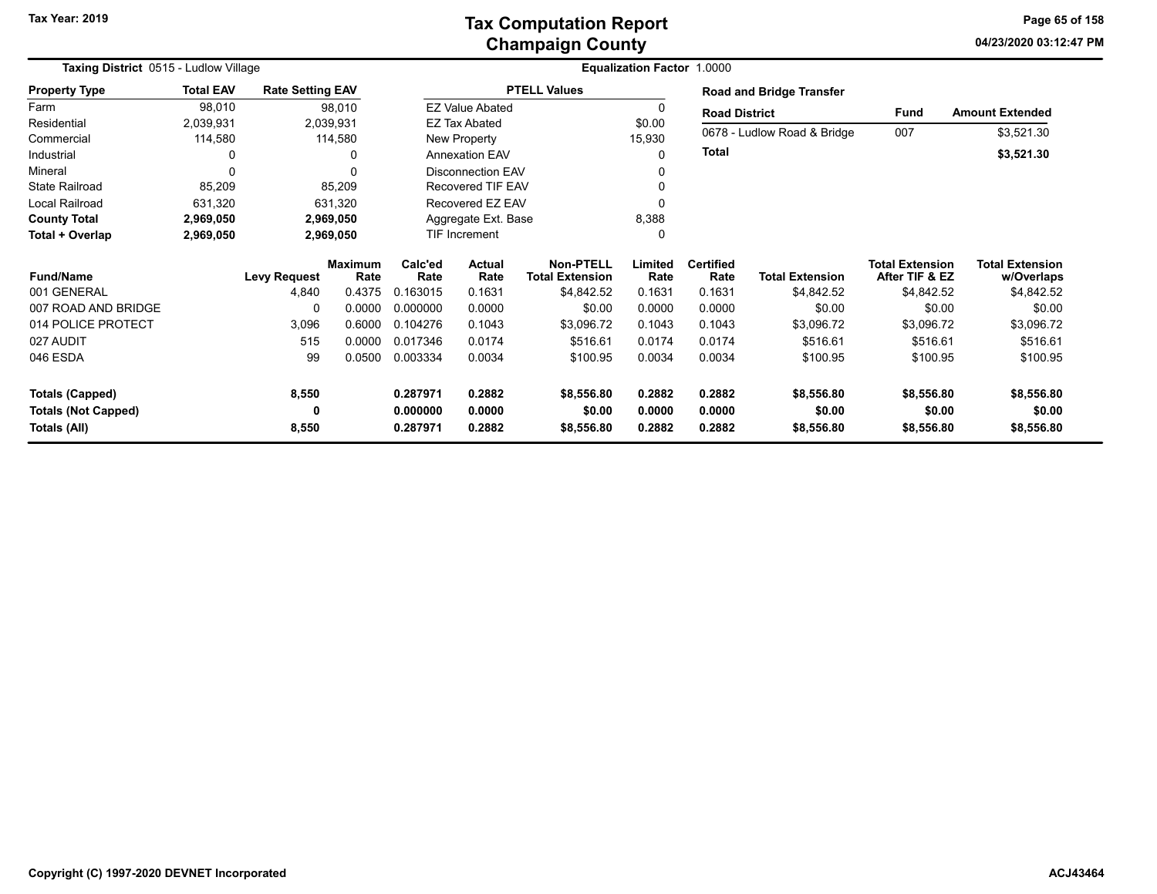**04/23/2020 03:12:47 PM Page 65 of 158**

| Taxing District 0515 - Ludlow Village |                  |                         |                        | Equalization Factor 1.0000 |                          |                                            |                 |                          |                                 |                                          |                                      |
|---------------------------------------|------------------|-------------------------|------------------------|----------------------------|--------------------------|--------------------------------------------|-----------------|--------------------------|---------------------------------|------------------------------------------|--------------------------------------|
| <b>Property Type</b>                  | <b>Total EAV</b> | <b>Rate Setting EAV</b> |                        |                            |                          | <b>PTELL Values</b>                        |                 |                          | <b>Road and Bridge Transfer</b> |                                          |                                      |
| Farm                                  | 98,010           |                         | 98,010                 |                            | <b>EZ Value Abated</b>   |                                            | 0               | <b>Road District</b>     |                                 | <b>Fund</b>                              | <b>Amount Extended</b>               |
| Residential                           | 2,039,931        | 2,039,931               |                        |                            | <b>EZ Tax Abated</b>     |                                            | \$0.00          |                          |                                 |                                          |                                      |
| Commercial                            | 114,580          |                         | 114,580                |                            | New Property             |                                            | 15,930          |                          | 0678 - Ludlow Road & Bridge     | 007                                      | \$3,521.30                           |
| Industrial                            | 0                |                         |                        |                            | <b>Annexation EAV</b>    |                                            | $\Omega$        | Total                    |                                 |                                          | \$3,521.30                           |
| Mineral                               | $\Omega$         |                         |                        |                            | <b>Disconnection EAV</b> |                                            | 0               |                          |                                 |                                          |                                      |
| <b>State Railroad</b>                 | 85,209           |                         | 85,209                 |                            | <b>Recovered TIF EAV</b> |                                            | 0               |                          |                                 |                                          |                                      |
| Local Railroad                        | 631,320          |                         | 631,320                |                            | Recovered EZ EAV         |                                            | 0               |                          |                                 |                                          |                                      |
| <b>County Total</b>                   | 2,969,050        | 2,969,050               |                        |                            | Aggregate Ext. Base      |                                            | 8,388           |                          |                                 |                                          |                                      |
| Total + Overlap                       | 2,969,050        | 2,969,050               |                        | <b>TIF Increment</b>       |                          |                                            | 0               |                          |                                 |                                          |                                      |
| <b>Fund/Name</b>                      |                  | <b>Levy Request</b>     | <b>Maximum</b><br>Rate | Calc'ed<br>Rate            | <b>Actual</b><br>Rate    | <b>Non-PTELL</b><br><b>Total Extension</b> | Limited<br>Rate | <b>Certified</b><br>Rate | <b>Total Extension</b>          | <b>Total Extension</b><br>After TIF & EZ | <b>Total Extension</b><br>w/Overlaps |
| 001 GENERAL                           |                  | 4,840                   | 0.4375                 | 0.163015                   | 0.1631                   | \$4,842.52                                 | 0.1631          | 0.1631                   | \$4,842.52                      | \$4,842.52                               | \$4,842.52                           |
| 007 ROAD AND BRIDGE                   |                  | $\Omega$                | 0.0000                 | 0.000000                   | 0.0000                   | \$0.00                                     | 0.0000          | 0.0000                   | \$0.00                          | \$0.00                                   | \$0.00                               |
| 014 POLICE PROTECT                    |                  | 3,096                   | 0.6000                 | 0.104276                   | 0.1043                   | \$3,096.72                                 | 0.1043          | 0.1043                   | \$3,096.72                      | \$3,096.72                               | \$3,096.72                           |
| 027 AUDIT                             |                  | 515                     | 0.0000                 | 0.017346                   | 0.0174                   | \$516.61                                   | 0.0174          | 0.0174                   | \$516.61                        | \$516.61                                 | \$516.61                             |
| 046 ESDA                              |                  | 99                      | 0.0500                 | 0.003334                   | 0.0034                   | \$100.95                                   | 0.0034          | 0.0034                   | \$100.95                        | \$100.95                                 | \$100.95                             |
| <b>Totals (Capped)</b>                |                  | 8,550                   |                        | 0.287971                   | 0.2882                   | \$8,556.80                                 | 0.2882          | 0.2882                   | \$8,556.80                      | \$8,556.80                               | \$8,556.80                           |
| <b>Totals (Not Capped)</b>            |                  | 0                       |                        | 0.000000                   | 0.0000                   | \$0.00                                     | 0.0000          | 0.0000                   | \$0.00                          | \$0.00                                   | \$0.00                               |
| Totals (All)                          |                  | 8,550                   |                        | 0.287971                   | 0.2882                   | \$8,556.80                                 | 0.2882          | 0.2882                   | \$8,556.80                      | \$8,556.80                               | \$8,556.80                           |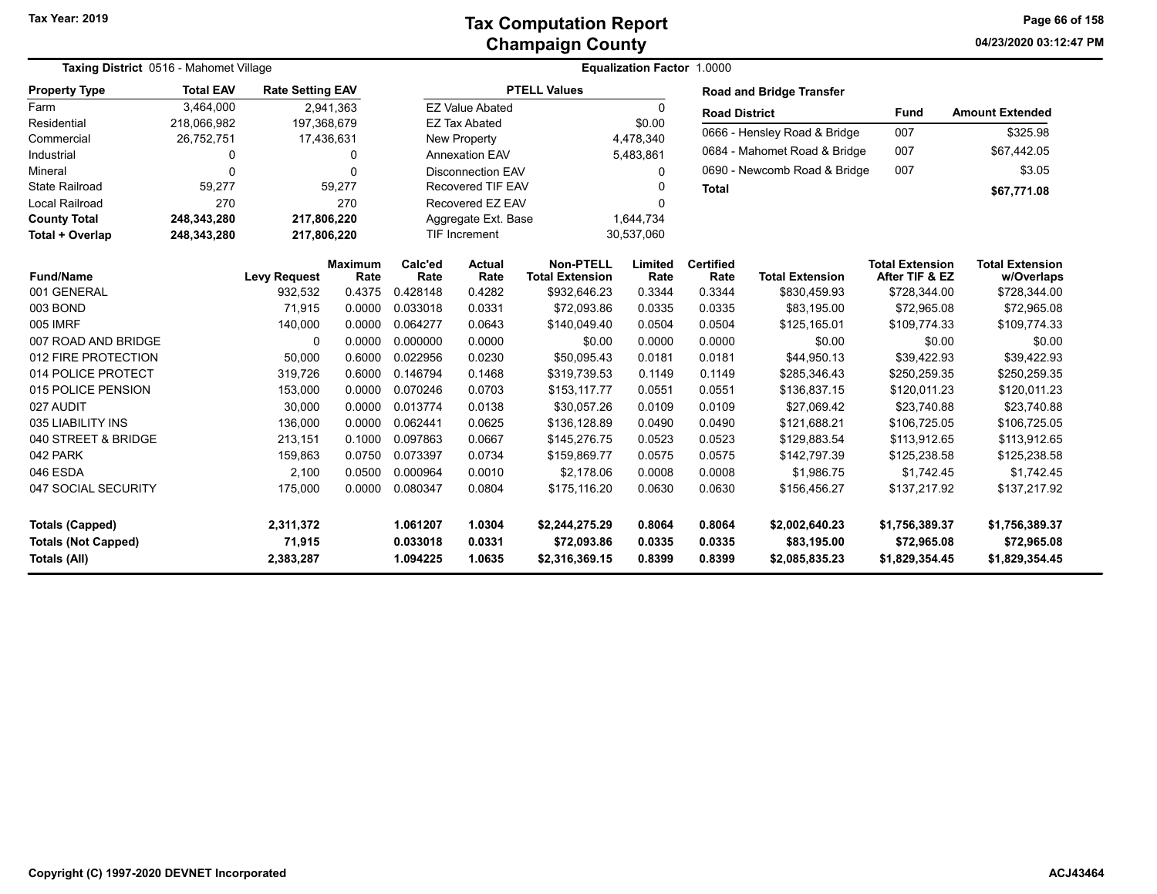**04/23/2020 03:12:47 PM Page 66 of 158**

| <b>Taxing District</b> 0516 - Mahomet Village |                  |                         |                        |                                  | <b>Equalization Factor 1.0000</b> |                                            |                 |                          |                                 |                                          |                                      |
|-----------------------------------------------|------------------|-------------------------|------------------------|----------------------------------|-----------------------------------|--------------------------------------------|-----------------|--------------------------|---------------------------------|------------------------------------------|--------------------------------------|
| <b>Property Type</b>                          | <b>Total EAV</b> | <b>Rate Setting EAV</b> |                        |                                  |                                   | <b>PTELL Values</b>                        |                 |                          | <b>Road and Bridge Transfer</b> |                                          |                                      |
| Farm                                          | 3.464.000        |                         | 2,941,363              |                                  | <b>EZ Value Abated</b>            |                                            | $\Omega$        | <b>Road District</b>     |                                 | <b>Fund</b>                              | <b>Amount Extended</b>               |
| Residential                                   | 218,066,982      | 197,368,679             |                        |                                  | <b>EZ Tax Abated</b>              |                                            | \$0.00          |                          | 0666 - Hensley Road & Bridge    | 007                                      | \$325.98                             |
| Commercial                                    | 26,752,751       |                         | 17,436,631             | 4,478,340<br><b>New Property</b> |                                   |                                            |                 |                          |                                 |                                          |                                      |
| Industrial                                    | 0                |                         | 0                      |                                  | <b>Annexation EAV</b>             |                                            | 5,483,861       |                          | 0684 - Mahomet Road & Bridge    | 007                                      | \$67,442.05                          |
| Mineral                                       | $\Omega$         |                         | 0                      |                                  | <b>Disconnection EAV</b>          |                                            | $\mathbf{0}$    |                          | 0690 - Newcomb Road & Bridge    | 007                                      | \$3.05                               |
| <b>State Railroad</b>                         | 59,277           |                         | 59,277                 |                                  | <b>Recovered TIF EAV</b>          |                                            | O               | <b>Total</b>             |                                 |                                          | \$67,771.08                          |
| <b>Local Railroad</b>                         | 270              |                         | 270                    |                                  | Recovered EZ EAV                  |                                            |                 |                          |                                 |                                          |                                      |
| <b>County Total</b>                           | 248,343,280      | 217,806,220             |                        |                                  | Aggregate Ext. Base               |                                            | 1,644,734       |                          |                                 |                                          |                                      |
| Total + Overlap                               | 248,343,280      | 217,806,220             |                        |                                  | <b>TIF Increment</b>              |                                            | 30,537,060      |                          |                                 |                                          |                                      |
| <b>Fund/Name</b>                              |                  | <b>Levy Request</b>     | <b>Maximum</b><br>Rate | Calc'ed<br>Rate                  | <b>Actual</b><br>Rate             | <b>Non-PTELL</b><br><b>Total Extension</b> | Limited<br>Rate | <b>Certified</b><br>Rate | <b>Total Extension</b>          | <b>Total Extension</b><br>After TIF & EZ | <b>Total Extension</b><br>w/Overlaps |
| 001 GENERAL                                   |                  | 932,532                 | 0.4375                 | 0.428148                         | 0.4282                            | \$932,646.23                               | 0.3344          | 0.3344                   | \$830,459.93                    | \$728,344.00                             | \$728,344.00                         |
| 003 BOND                                      |                  | 71.915                  | 0.0000                 | 0.033018                         | 0.0331                            | \$72,093.86                                | 0.0335          | 0.0335                   | \$83,195.00                     | \$72,965.08                              | \$72,965.08                          |
| 005 IMRF                                      |                  | 140,000                 | 0.0000                 | 0.064277                         | 0.0643                            | \$140,049.40                               | 0.0504          | 0.0504                   | \$125,165.01                    | \$109,774.33                             | \$109,774.33                         |
| 007 ROAD AND BRIDGE                           |                  | $\Omega$                | 0.0000                 | 0.000000                         | 0.0000                            | \$0.00                                     | 0.0000          | 0.0000                   | \$0.00                          | \$0.00                                   | \$0.00                               |
| 012 FIRE PROTECTION                           |                  | 50,000                  | 0.6000                 | 0.022956                         | 0.0230                            | \$50,095.43                                | 0.0181          | 0.0181                   | \$44,950.13                     | \$39,422.93                              | \$39,422.93                          |
| 014 POLICE PROTECT                            |                  | 319,726                 | 0.6000                 | 0.146794                         | 0.1468                            | \$319,739.53                               | 0.1149          | 0.1149                   | \$285,346.43                    | \$250,259.35                             | \$250,259.35                         |
| 015 POLICE PENSION                            |                  | 153,000                 | 0.0000                 | 0.070246                         | 0.0703                            | \$153,117.77                               | 0.0551          | 0.0551                   | \$136,837.15                    | \$120,011.23                             | \$120,011.23                         |
| 027 AUDIT                                     |                  | 30,000                  | 0.0000                 | 0.013774                         | 0.0138                            | \$30,057.26                                | 0.0109          | 0.0109                   | \$27.069.42                     | \$23,740.88                              | \$23,740.88                          |
| 035 LIABILITY INS                             |                  | 136,000                 | 0.0000                 | 0.062441                         | 0.0625                            | \$136,128.89                               | 0.0490          | 0.0490                   | \$121,688.21                    | \$106,725.05                             | \$106,725.05                         |
| 040 STREET & BRIDGE                           |                  | 213,151                 | 0.1000                 | 0.097863                         | 0.0667                            | \$145,276.75                               | 0.0523          | 0.0523                   | \$129,883.54                    | \$113,912.65                             | \$113,912.65                         |
| 042 PARK                                      |                  | 159,863                 | 0.0750                 | 0.073397                         | 0.0734                            | \$159,869.77                               | 0.0575          | 0.0575                   | \$142,797.39                    | \$125,238.58                             | \$125,238.58                         |
| 046 ESDA                                      |                  | 2,100                   | 0.0500                 | 0.000964                         | 0.0010                            | \$2,178.06                                 | 0.0008          | 0.0008                   | \$1,986.75                      | \$1,742.45                               | \$1,742.45                           |
| 047 SOCIAL SECURITY                           |                  | 175,000                 | 0.0000                 | 0.080347                         | 0.0804                            | \$175,116.20                               | 0.0630          | 0.0630                   | \$156,456.27                    | \$137,217.92                             | \$137,217.92                         |
| <b>Totals (Capped)</b>                        |                  | 2,311,372               |                        | 1.061207                         | 1.0304                            | \$2,244,275.29                             | 0.8064          | 0.8064                   | \$2,002,640.23                  | \$1,756,389.37                           | \$1,756,389.37                       |
| <b>Totals (Not Capped)</b>                    |                  | 71,915                  |                        | 0.033018                         | 0.0331                            | \$72,093.86                                | 0.0335          | 0.0335                   | \$83,195.00                     | \$72,965.08                              | \$72,965.08                          |
| <b>Totals (All)</b>                           |                  | 2,383,287               |                        | 1.094225                         | 1.0635                            | \$2,316,369.15                             | 0.8399          | 0.8399                   | \$2,085,835.23                  | \$1,829,354.45                           | \$1,829,354.45                       |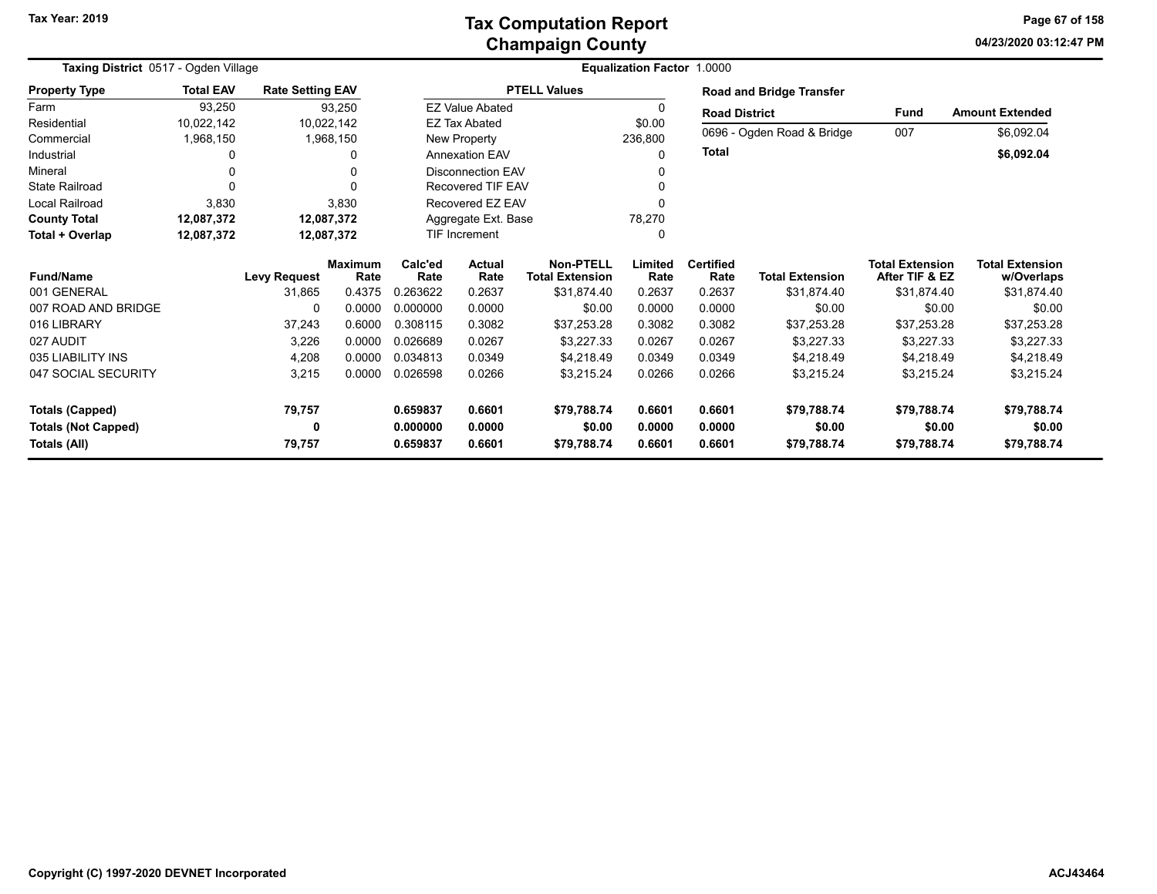### **Champaign County Tax Computation Report**

**04/23/2020 03:12:47 PM Page 67 of 158**

| Taxing District 0517 - Ogden Village |                  |                         |                        | <b>Equalization Factor 1.0000</b> |                                  |                                            |                 |                          |                                 |                                          |                                      |
|--------------------------------------|------------------|-------------------------|------------------------|-----------------------------------|----------------------------------|--------------------------------------------|-----------------|--------------------------|---------------------------------|------------------------------------------|--------------------------------------|
| <b>Property Type</b>                 | <b>Total EAV</b> | <b>Rate Setting EAV</b> |                        |                                   |                                  | <b>PTELL Values</b>                        |                 |                          | <b>Road and Bridge Transfer</b> |                                          |                                      |
| Farm                                 | 93,250           |                         | 93,250                 |                                   | <b>EZ Value Abated</b>           |                                            | 0               | <b>Road District</b>     |                                 | Fund                                     | <b>Amount Extended</b>               |
| Residential                          | 10,022,142       |                         | 10,022,142             |                                   | <b>EZ Tax Abated</b>             |                                            | \$0.00          |                          |                                 |                                          |                                      |
| Commercial                           | 1,968,150        |                         | 1,968,150              |                                   | New Property                     |                                            | 236,800         |                          | 0696 - Ogden Road & Bridge      | 007                                      | \$6,092.04                           |
| Industrial                           |                  |                         | 0                      |                                   | <b>Annexation EAV</b>            |                                            | 0               | <b>Total</b>             |                                 |                                          | \$6,092.04                           |
| Mineral                              |                  |                         | 0                      |                                   | <b>Disconnection EAV</b>         |                                            |                 |                          |                                 |                                          |                                      |
| <b>State Railroad</b>                |                  |                         |                        |                                   | <b>Recovered TIF EAV</b>         |                                            |                 |                          |                                 |                                          |                                      |
| Local Railroad                       | 3,830            |                         | 3,830                  |                                   | Recovered EZ EAV                 |                                            |                 |                          |                                 |                                          |                                      |
| <b>County Total</b>                  | 12,087,372       |                         | 12,087,372             |                                   | Aggregate Ext. Base              |                                            | 78,270          |                          |                                 |                                          |                                      |
| Total + Overlap                      | 12,087,372       |                         | 12,087,372             |                                   | $\Omega$<br><b>TIF Increment</b> |                                            |                 |                          |                                 |                                          |                                      |
| <b>Fund/Name</b>                     |                  | <b>Levy Request</b>     | <b>Maximum</b><br>Rate | Calc'ed<br>Rate                   | Actual<br>Rate                   | <b>Non-PTELL</b><br><b>Total Extension</b> | Limited<br>Rate | <b>Certified</b><br>Rate | <b>Total Extension</b>          | <b>Total Extension</b><br>After TIF & EZ | <b>Total Extension</b><br>w/Overlaps |
| 001 GENERAL                          |                  | 31,865                  | 0.4375                 | 0.263622                          | 0.2637                           | \$31,874.40                                | 0.2637          | 0.2637                   | \$31,874.40                     | \$31,874.40                              | \$31,874.40                          |
| 007 ROAD AND BRIDGE                  |                  | 0                       | 0.0000                 | 0.000000                          | 0.0000                           | \$0.00                                     | 0.0000          | 0.0000                   | \$0.00                          | \$0.00                                   | \$0.00                               |
| 016 LIBRARY                          |                  | 37,243                  | 0.6000                 | 0.308115                          | 0.3082                           | \$37,253.28                                | 0.3082          | 0.3082                   | \$37,253.28                     | \$37,253.28                              | \$37,253.28                          |
| 027 AUDIT                            |                  | 3,226                   | 0.0000                 | 0.026689                          | 0.0267                           | \$3,227.33                                 | 0.0267          | 0.0267                   | \$3,227.33                      | \$3,227.33                               | \$3,227.33                           |
| 035 LIABILITY INS                    |                  | 4,208                   | 0.0000                 | 0.034813                          | 0.0349                           | \$4,218.49                                 | 0.0349          | 0.0349                   | \$4,218.49                      | \$4,218.49                               | \$4,218.49                           |
| 047 SOCIAL SECURITY                  |                  | 3,215                   | 0.0000                 | 0.026598                          | 0.0266                           | \$3,215.24                                 | 0.0266          | 0.0266                   | \$3,215.24                      | \$3,215.24                               | \$3,215.24                           |
| <b>Totals (Capped)</b>               |                  | 79,757                  |                        | 0.659837                          | 0.6601                           | \$79,788.74                                | 0.6601          | 0.6601                   | \$79,788.74                     | \$79,788.74                              | \$79,788.74                          |
| <b>Totals (Not Capped)</b>           |                  | 0                       |                        | 0.000000                          | 0.0000                           | \$0.00                                     | 0.0000          | 0.0000                   | \$0.00                          | \$0.00                                   | \$0.00                               |
| Totals (All)                         |                  | 79,757                  |                        | 0.659837                          | 0.6601                           | \$79,788.74                                | 0.6601          | 0.6601                   | \$79,788.74                     | \$79,788.74                              | \$79,788.74                          |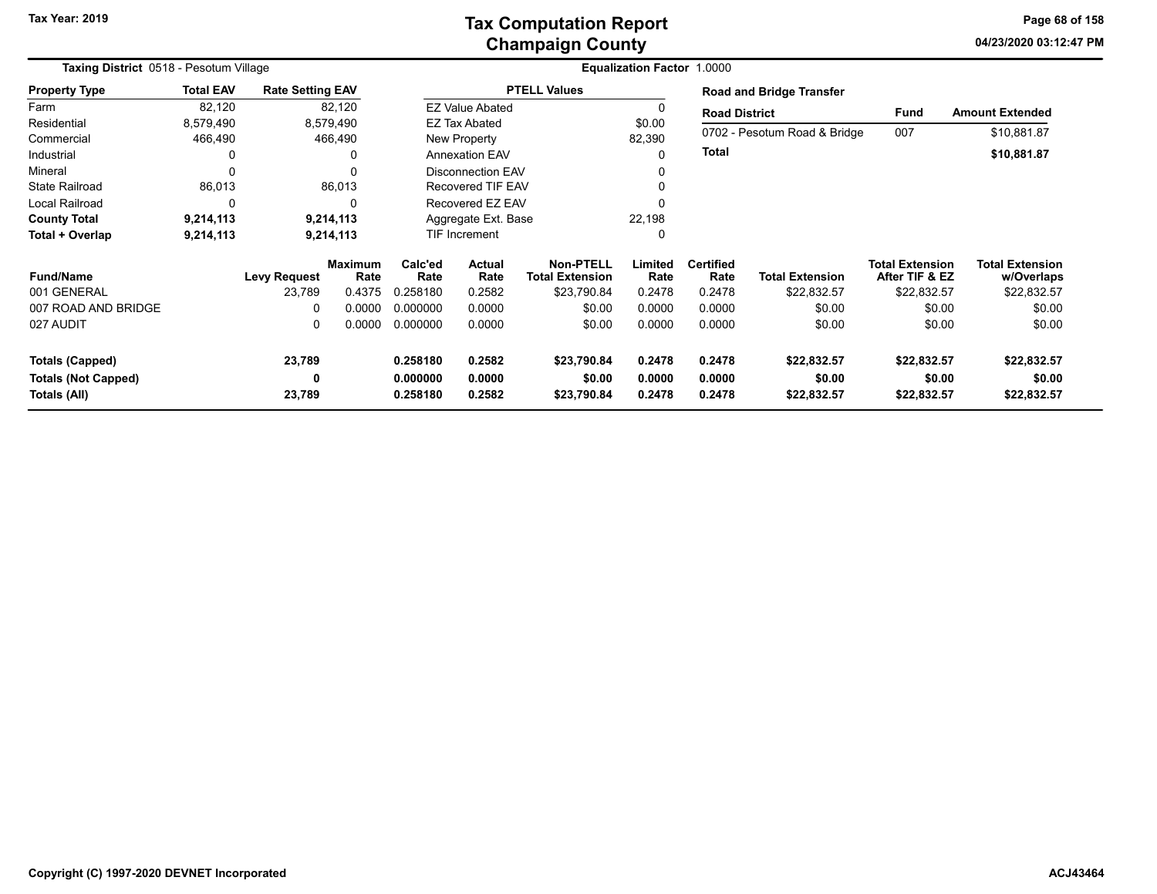**04/23/2020 03:12:47 PM Page 68 of 158**

| Taxing District 0518 - Pesotum Village     |                  |                         |                        | <b>Equalization Factor 1.0000</b> |                          |                                            |                  |                          |                                 |                                          |                                      |
|--------------------------------------------|------------------|-------------------------|------------------------|-----------------------------------|--------------------------|--------------------------------------------|------------------|--------------------------|---------------------------------|------------------------------------------|--------------------------------------|
| <b>Property Type</b>                       | <b>Total EAV</b> | <b>Rate Setting EAV</b> |                        |                                   |                          | <b>PTELL Values</b>                        |                  |                          | <b>Road and Bridge Transfer</b> |                                          |                                      |
| Farm                                       | 82,120           |                         | 82,120                 |                                   | <b>EZ Value Abated</b>   |                                            |                  | <b>Road District</b>     |                                 | Fund                                     | <b>Amount Extended</b>               |
| Residential                                | 8,579,490        |                         | 8,579,490              |                                   | <b>EZ Tax Abated</b>     |                                            | \$0.00           |                          |                                 |                                          |                                      |
| Commercial                                 | 466,490          |                         | 466,490                |                                   | New Property             |                                            | 82,390           |                          | 0702 - Pesotum Road & Bridge    | 007                                      | \$10,881.87                          |
| Industrial                                 | 0                |                         | 0                      |                                   | <b>Annexation EAV</b>    |                                            | ი                | <b>Total</b>             |                                 |                                          | \$10,881.87                          |
| Mineral                                    | 0                |                         | 0                      |                                   | <b>Disconnection EAV</b> |                                            |                  |                          |                                 |                                          |                                      |
| <b>State Railroad</b>                      | 86,013           |                         | 86,013                 |                                   | Recovered TIF EAV        |                                            |                  |                          |                                 |                                          |                                      |
| Local Railroad                             | 0                |                         | $\Omega$               |                                   | Recovered EZ EAV         |                                            |                  |                          |                                 |                                          |                                      |
| <b>County Total</b>                        | 9,214,113        |                         | 9,214,113              |                                   | Aggregate Ext. Base      |                                            | 22,198           |                          |                                 |                                          |                                      |
| Total + Overlap                            | 9,214,113        |                         | 9,214,113              | TIF Increment                     |                          |                                            | 0                |                          |                                 |                                          |                                      |
| <b>Fund/Name</b>                           |                  | Levy Request            | <b>Maximum</b><br>Rate | Calc'ed<br>Rate                   | Actual<br>Rate           | <b>Non-PTELL</b><br><b>Total Extension</b> | Limited<br>Rate  | <b>Certified</b><br>Rate | <b>Total Extension</b>          | <b>Total Extension</b><br>After TIF & EZ | <b>Total Extension</b><br>w/Overlaps |
| 001 GENERAL                                |                  | 23,789                  | 0.4375                 | 0.258180                          | 0.2582                   | \$23,790.84                                | 0.2478           | 0.2478                   | \$22,832.57                     | \$22,832.57                              | \$22,832.57                          |
| 007 ROAD AND BRIDGE                        |                  | 0                       | 0.0000                 | 0.000000                          | 0.0000                   | \$0.00                                     | 0.0000           | 0.0000                   | \$0.00                          | \$0.00                                   | \$0.00                               |
| 027 AUDIT                                  |                  | 0                       | 0.0000                 | 0.000000                          | 0.0000                   | \$0.00                                     | 0.0000           | 0.0000                   | \$0.00                          | \$0.00                                   | \$0.00                               |
| <b>Totals (Capped)</b>                     |                  | 23,789                  |                        | 0.258180                          | 0.2582                   | \$23,790.84                                | 0.2478           | 0.2478                   | \$22,832.57                     | \$22,832.57                              | \$22,832.57                          |
| <b>Totals (Not Capped)</b><br>Totals (All) |                  | 0<br>23,789             |                        | 0.000000<br>0.258180              | 0.0000<br>0.2582         | \$0.00<br>\$23,790.84                      | 0.0000<br>0.2478 | 0.0000<br>0.2478         | \$0.00<br>\$22,832.57           | \$0.00<br>\$22,832.57                    | \$0.00<br>\$22,832.57                |
|                                            |                  |                         |                        |                                   |                          |                                            |                  |                          |                                 |                                          |                                      |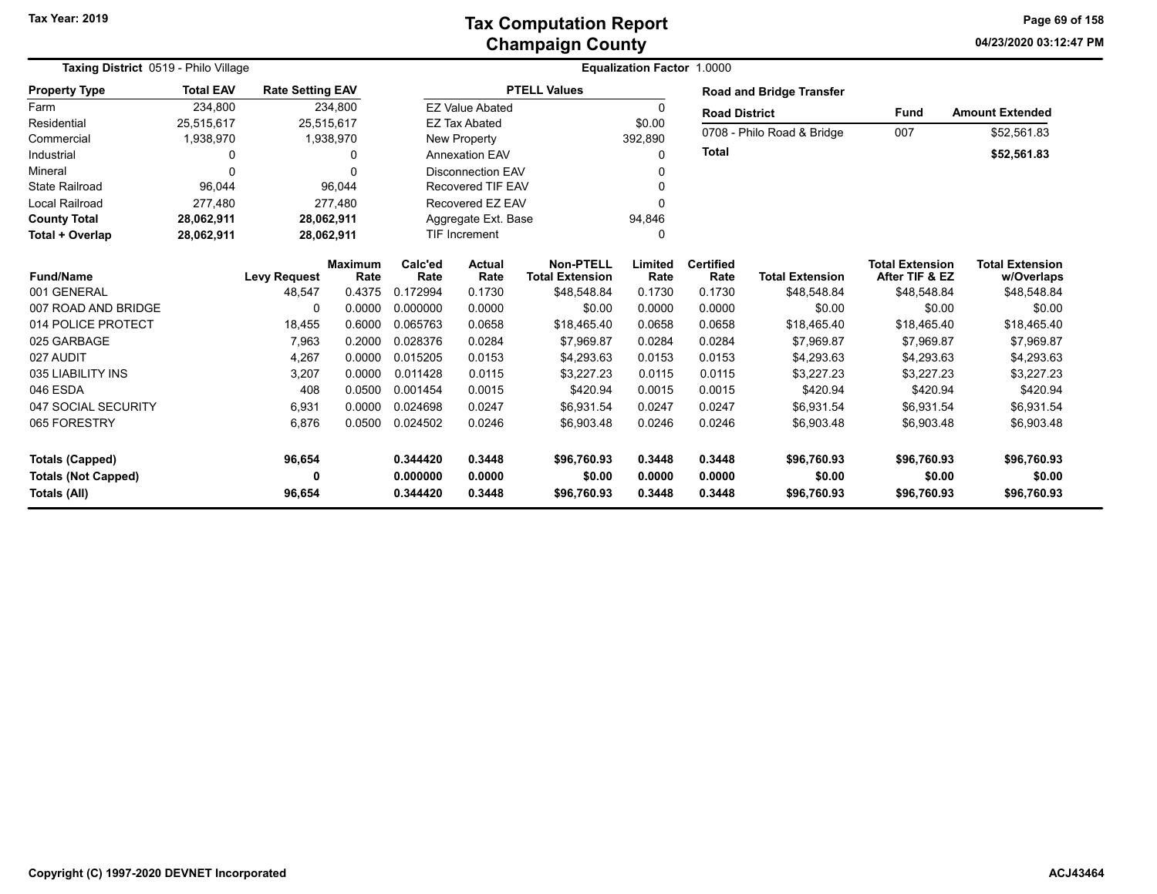### **Champaign County Tax Computation Report**

**04/23/2020 03:12:47 PM Page 69 of 158**

| Taxing District 0519 - Philo Village |                  |                         |                        |                               |                          |                                     |                 |                          |                                 |                                          |                                      |
|--------------------------------------|------------------|-------------------------|------------------------|-------------------------------|--------------------------|-------------------------------------|-----------------|--------------------------|---------------------------------|------------------------------------------|--------------------------------------|
| <b>Property Type</b>                 | <b>Total EAV</b> | <b>Rate Setting EAV</b> |                        |                               |                          | <b>PTELL Values</b>                 |                 |                          | <b>Road and Bridge Transfer</b> |                                          |                                      |
| Farm                                 | 234,800          |                         | 234,800                |                               | <b>EZ Value Abated</b>   |                                     | <sup>0</sup>    | <b>Road District</b>     |                                 | <b>Fund</b>                              | <b>Amount Extended</b>               |
| Residential                          | 25,515,617       |                         | 25,515,617             |                               | <b>EZ Tax Abated</b>     |                                     | \$0.00          |                          |                                 |                                          |                                      |
| Commercial                           | 1,938,970        |                         | 1,938,970              |                               | New Property             |                                     | 392,890         |                          | 0708 - Philo Road & Bridge      | 007                                      | \$52,561.83                          |
| Industrial                           | 0                |                         | $\Omega$               |                               | <b>Annexation EAV</b>    |                                     | $\Omega$        | <b>Total</b>             |                                 |                                          | \$52,561.83                          |
| Mineral                              | $\Omega$         |                         |                        |                               | <b>Disconnection EAV</b> |                                     |                 |                          |                                 |                                          |                                      |
| <b>State Railroad</b>                | 96,044           |                         | 96,044                 |                               | <b>Recovered TIF EAV</b> |                                     |                 |                          |                                 |                                          |                                      |
| <b>Local Railroad</b>                | 277,480          |                         | 277,480                | Recovered EZ EAV              |                          |                                     |                 |                          |                                 |                                          |                                      |
| <b>County Total</b>                  | 28,062,911       |                         | 28,062,911             | Aggregate Ext. Base<br>94,846 |                          |                                     |                 |                          |                                 |                                          |                                      |
| Total + Overlap                      | 28,062,911       |                         | 28,062,911             |                               | <b>TIF Increment</b>     |                                     |                 |                          |                                 |                                          |                                      |
| <b>Fund/Name</b>                     |                  | <b>Levy Request</b>     | <b>Maximum</b><br>Rate | Calc'ed<br>Rate               | <b>Actual</b><br>Rate    | Non-PTELL<br><b>Total Extension</b> | Limited<br>Rate | <b>Certified</b><br>Rate | <b>Total Extension</b>          | <b>Total Extension</b><br>After TIF & EZ | <b>Total Extension</b><br>w/Overlaps |
| 001 GENERAL                          |                  | 48,547                  | 0.4375                 | 0.172994                      | 0.1730                   | \$48,548.84                         | 0.1730          | 0.1730                   | \$48,548.84                     | \$48,548.84                              | \$48,548.84                          |
| 007 ROAD AND BRIDGE                  |                  | $\Omega$                | 0.0000                 | 0.000000                      | 0.0000                   | \$0.00                              | 0.0000          | 0.0000                   | \$0.00                          | \$0.00                                   | \$0.00                               |
| 014 POLICE PROTECT                   |                  | 18,455                  | 0.6000                 | 0.065763                      | 0.0658                   | \$18,465.40                         | 0.0658          | 0.0658                   | \$18,465.40                     | \$18,465.40                              | \$18,465.40                          |
| 025 GARBAGE                          |                  | 7,963                   | 0.2000                 | 0.028376                      | 0.0284                   | \$7,969.87                          | 0.0284          | 0.0284                   | \$7,969.87                      | \$7,969.87                               | \$7,969.87                           |
| 027 AUDIT                            |                  | 4,267                   | 0.0000                 | 0.015205                      | 0.0153                   | \$4,293.63                          | 0.0153          | 0.0153                   | \$4,293.63                      | \$4,293.63                               | \$4,293.63                           |
| 035 LIABILITY INS                    |                  | 3,207                   | 0.0000                 | 0.011428                      | 0.0115                   | \$3,227.23                          | 0.0115          | 0.0115                   | \$3,227.23                      | \$3,227.23                               | \$3,227.23                           |
| 046 ESDA                             |                  | 408                     | 0.0500                 | 0.001454                      | 0.0015                   | \$420.94                            | 0.0015          | 0.0015                   | \$420.94                        | \$420.94                                 | \$420.94                             |
| 047 SOCIAL SECURITY                  |                  | 6,931                   | 0.0000                 | 0.024698                      | 0.0247                   | \$6,931.54                          | 0.0247          | 0.0247                   | \$6,931.54                      | \$6,931.54                               | \$6,931.54                           |
| 065 FORESTRY                         |                  | 6,876                   | 0.0500                 | 0.024502                      | 0.0246                   | \$6,903.48                          | 0.0246          | 0.0246                   | \$6,903.48                      | \$6,903.48                               | \$6,903.48                           |
| <b>Totals (Capped)</b>               |                  | 96,654                  |                        | 0.344420                      | 0.3448                   | \$96,760.93                         | 0.3448          | 0.3448                   | \$96,760.93                     | \$96,760.93                              | \$96,760.93                          |
| <b>Totals (Not Capped)</b>           |                  | 0                       |                        | 0.000000                      | 0.0000                   | \$0.00                              | 0.0000          | 0.0000                   | \$0.00                          | \$0.00                                   | \$0.00                               |
| Totals (All)                         |                  | 96,654                  |                        | 0.344420                      | 0.3448                   | \$96,760.93                         | 0.3448          | 0.3448                   | \$96,760.93                     | \$96,760.93                              | \$96,760.93                          |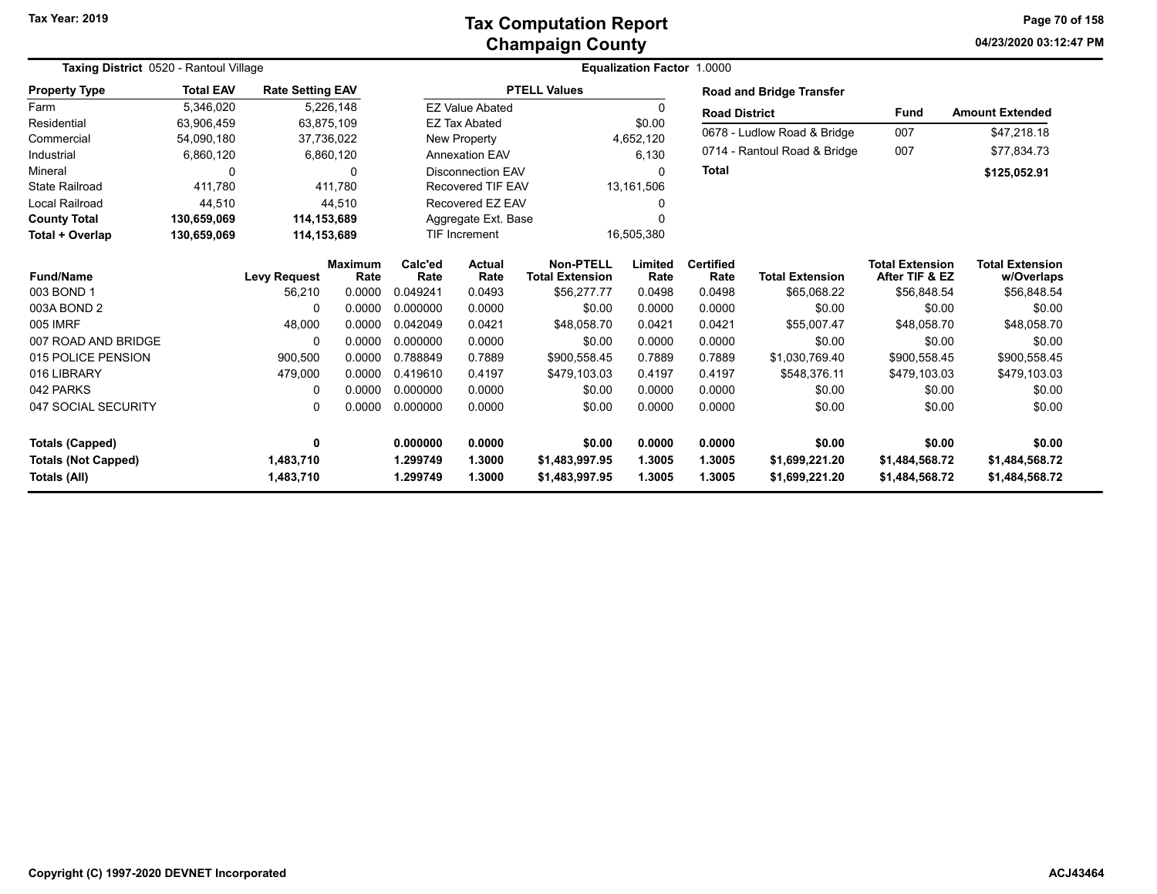#### **Champaign County Tax Computation Report**

**04/23/2020 03:12:47 PM Page 70 of 158**

| Taxing District 0520 - Rantoul Village     |                  |                         |                        | Equalization Factor 1.0000 |                                  |                                            |                  |                          |                                  |                                          |                                      |  |
|--------------------------------------------|------------------|-------------------------|------------------------|----------------------------|----------------------------------|--------------------------------------------|------------------|--------------------------|----------------------------------|------------------------------------------|--------------------------------------|--|
| <b>Property Type</b>                       | <b>Total EAV</b> | <b>Rate Setting EAV</b> |                        |                            |                                  | <b>PTELL Values</b>                        |                  |                          | <b>Road and Bridge Transfer</b>  |                                          |                                      |  |
| Farm                                       | 5,346,020        |                         | 5,226,148              |                            | <b>EZ Value Abated</b>           |                                            | O                | <b>Road District</b>     |                                  | <b>Fund</b>                              | <b>Amount Extended</b>               |  |
| Residential                                | 63,906,459       |                         | 63,875,109             |                            | <b>EZ Tax Abated</b><br>\$0.00   |                                            |                  |                          | 007                              |                                          |                                      |  |
| Commercial                                 | 54,090,180       |                         | 37,736,022             |                            | <b>New Property</b><br>4,652,120 |                                            |                  |                          | 0678 - Ludlow Road & Bridge      |                                          | \$47,218.18                          |  |
| Industrial                                 | 6,860,120        |                         | 6,860,120              |                            | <b>Annexation EAV</b>            |                                            | 6,130            |                          | 0714 - Rantoul Road & Bridge     | 007                                      | \$77,834.73                          |  |
| Mineral                                    | 0                |                         | $\Omega$               |                            | <b>Disconnection EAV</b>         |                                            | $\Omega$         | <b>Total</b>             |                                  |                                          | \$125,052.91                         |  |
| <b>State Railroad</b>                      | 411,780          |                         | 411,780                |                            | <b>Recovered TIF EAV</b>         |                                            | 13,161,506       |                          |                                  |                                          |                                      |  |
| Local Railroad                             | 44,510           |                         | 44.510                 |                            | Recovered EZ EAV                 |                                            |                  |                          |                                  |                                          |                                      |  |
| <b>County Total</b>                        | 130,659,069      |                         | 114,153,689            |                            | Aggregate Ext. Base<br>0         |                                            |                  |                          |                                  |                                          |                                      |  |
| Total + Overlap                            | 130,659,069      | 114,153,689             |                        |                            | TIF Increment                    |                                            | 16,505,380       |                          |                                  |                                          |                                      |  |
| <b>Fund/Name</b>                           |                  | <b>Levy Request</b>     | <b>Maximum</b><br>Rate | Calc'ed<br>Rate            | Actual<br>Rate                   | <b>Non-PTELL</b><br><b>Total Extension</b> | Limited<br>Rate  | <b>Certified</b><br>Rate | <b>Total Extension</b>           | <b>Total Extension</b><br>After TIF & EZ | <b>Total Extension</b><br>w/Overlaps |  |
| 003 BOND 1                                 |                  | 56,210                  | 0.0000                 | 0.049241                   | 0.0493                           | \$56,277.77                                | 0.0498           | 0.0498                   | \$65,068.22                      | \$56,848.54                              | \$56,848.54                          |  |
| 003A BOND 2                                |                  | $\Omega$                | 0.0000                 | 0.000000                   | 0.0000                           | \$0.00                                     | 0.0000           | 0.0000                   | \$0.00                           | \$0.00                                   | \$0.00                               |  |
| 005 IMRF                                   |                  | 48,000                  | 0.0000                 | 0.042049                   | 0.0421                           | \$48,058.70                                | 0.0421           | 0.0421                   | \$55,007.47                      | \$48,058.70                              | \$48,058.70                          |  |
| 007 ROAD AND BRIDGE                        |                  | $\Omega$                | 0.0000                 | 0.000000                   | 0.0000                           | \$0.00                                     | 0.0000           | 0.0000                   | \$0.00                           | \$0.00                                   | \$0.00                               |  |
| 015 POLICE PENSION                         |                  | 900,500                 | 0.0000                 | 0.788849                   | 0.7889                           | \$900,558.45                               | 0.7889           | 0.7889                   | \$1,030,769.40                   | \$900,558.45                             | \$900,558.45                         |  |
| 016 LIBRARY                                |                  | 479,000                 | 0.0000                 | 0.419610                   | 0.4197                           | \$479,103.03                               | 0.4197           | 0.4197                   | \$548,376.11                     | \$479,103.03                             | \$479,103.03                         |  |
| 042 PARKS                                  |                  | $\Omega$                | 0.0000                 | 0.000000                   | 0.0000                           | \$0.00                                     | 0.0000           | 0.0000                   | \$0.00                           | \$0.00                                   | \$0.00                               |  |
| 047 SOCIAL SECURITY                        |                  | 0                       | 0.0000                 | 0.000000                   | 0.0000                           | \$0.00                                     | 0.0000           | 0.0000                   | \$0.00                           | \$0.00                                   | \$0.00                               |  |
| <b>Totals (Capped)</b>                     |                  | 0                       |                        | 0.000000                   | 0.0000                           | \$0.00                                     | 0.0000           | 0.0000                   | \$0.00                           | \$0.00                                   | \$0.00                               |  |
| <b>Totals (Not Capped)</b><br>Totals (All) |                  | 1,483,710<br>1,483,710  |                        | 1.299749<br>1.299749       | 1.3000<br>1.3000                 | \$1,483,997.95<br>\$1,483,997.95           | 1.3005<br>1.3005 | 1.3005<br>1.3005         | \$1,699,221.20<br>\$1,699,221.20 | \$1,484,568.72<br>\$1,484,568.72         | \$1,484,568.72<br>\$1,484,568.72     |  |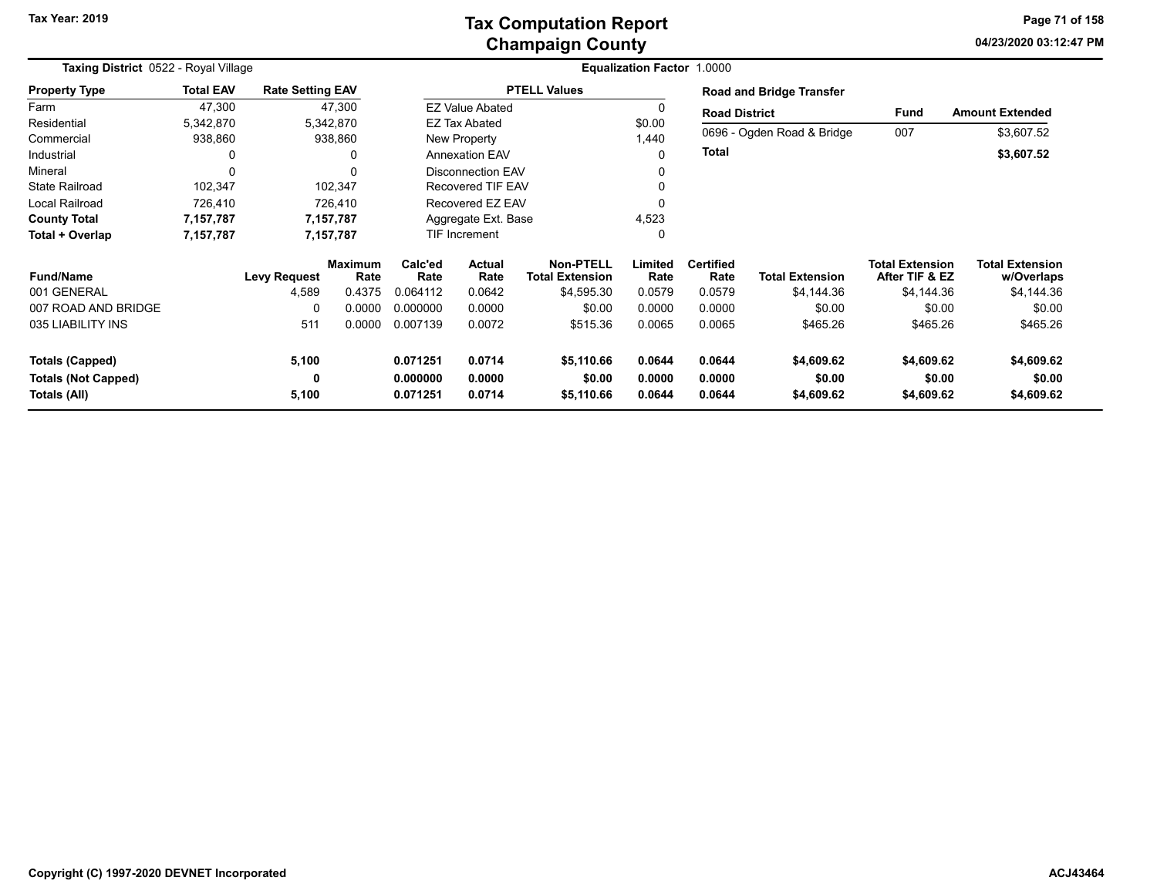### **Champaign County Tax Computation Report**

**04/23/2020 03:12:47 PMPage 71 of 158**

| Taxing District 0522 - Royal Village |                  |                         |                        | <b>Equalization Factor 1.0000</b> |                          |                                            |                 |                          |                                 |                                          |                                      |  |  |
|--------------------------------------|------------------|-------------------------|------------------------|-----------------------------------|--------------------------|--------------------------------------------|-----------------|--------------------------|---------------------------------|------------------------------------------|--------------------------------------|--|--|
| <b>Property Type</b>                 | <b>Total EAV</b> | <b>Rate Setting EAV</b> |                        |                                   |                          | <b>PTELL Values</b>                        |                 |                          | <b>Road and Bridge Transfer</b> |                                          |                                      |  |  |
| Farm                                 | 47,300           |                         | 47,300                 |                                   | <b>EZ Value Abated</b>   |                                            | 0               | <b>Road District</b>     |                                 | Fund                                     | <b>Amount Extended</b>               |  |  |
| Residential                          | 5,342,870        |                         | 5,342,870              |                                   | EZ Tax Abated            |                                            | \$0.00          |                          |                                 |                                          |                                      |  |  |
| Commercial                           | 938,860          |                         | 938,860                |                                   | New Property             |                                            | 1,440           |                          | 0696 - Ogden Road & Bridge      | 007                                      | \$3,607.52                           |  |  |
| Industrial                           | 0                |                         | 0                      |                                   | <b>Annexation EAV</b>    |                                            | 0               | Total                    |                                 |                                          | \$3,607.52                           |  |  |
| Mineral                              | 0                |                         | 0                      |                                   | <b>Disconnection EAV</b> |                                            |                 |                          |                                 |                                          |                                      |  |  |
| <b>State Railroad</b>                | 102,347          |                         | 102,347                |                                   | <b>Recovered TIF EAV</b> |                                            |                 |                          |                                 |                                          |                                      |  |  |
| Local Railroad                       | 726,410          |                         | 726,410                |                                   | Recovered EZ EAV         |                                            | 0               |                          |                                 |                                          |                                      |  |  |
| <b>County Total</b>                  | 7,157,787        |                         | 7,157,787              |                                   | Aggregate Ext. Base      |                                            |                 |                          |                                 |                                          |                                      |  |  |
| Total + Overlap                      | 7,157,787        |                         | 7,157,787              |                                   | <b>TIF Increment</b>     |                                            |                 |                          |                                 |                                          |                                      |  |  |
| <b>Fund/Name</b>                     |                  | <b>Levy Request</b>     | <b>Maximum</b><br>Rate | Calc'ed<br>Rate                   | <b>Actual</b><br>Rate    | <b>Non-PTELL</b><br><b>Total Extension</b> | Limited<br>Rate | <b>Certified</b><br>Rate | <b>Total Extension</b>          | <b>Total Extension</b><br>After TIF & EZ | <b>Total Extension</b><br>w/Overlaps |  |  |
| 001 GENERAL                          |                  | 4,589                   | 0.4375                 | 0.064112                          | 0.0642                   | \$4,595.30                                 | 0.0579          | 0.0579                   | \$4,144.36                      | \$4,144.36                               | \$4,144.36                           |  |  |
| 007 ROAD AND BRIDGE                  |                  | $\Omega$                | 0.0000                 | 0.000000                          | 0.0000                   | \$0.00                                     | 0.0000          | 0.0000                   | \$0.00                          | \$0.00                                   | \$0.00                               |  |  |
| 035 LIABILITY INS                    |                  | 511                     | 0.0000                 | 0.007139                          | 0.0072                   | \$515.36                                   | 0.0065          | 0.0065                   | \$465.26                        | \$465.26                                 | \$465.26                             |  |  |
| <b>Totals (Capped)</b>               |                  | 5,100                   |                        | 0.071251                          | 0.0714                   | \$5,110.66                                 | 0.0644          | 0.0644                   | \$4,609.62                      | \$4,609.62                               | \$4,609.62                           |  |  |
| <b>Totals (Not Capped)</b>           |                  | 0                       |                        | 0.000000                          | 0.0000                   | \$0.00                                     | 0.0000          | 0.0000                   | \$0.00                          | \$0.00                                   | \$0.00                               |  |  |
| Totals (All)                         |                  | 5,100                   |                        | 0.071251                          | 0.0714                   | \$5,110.66                                 | 0.0644          | 0.0644                   | \$4,609.62                      | \$4,609.62                               | \$4,609.62                           |  |  |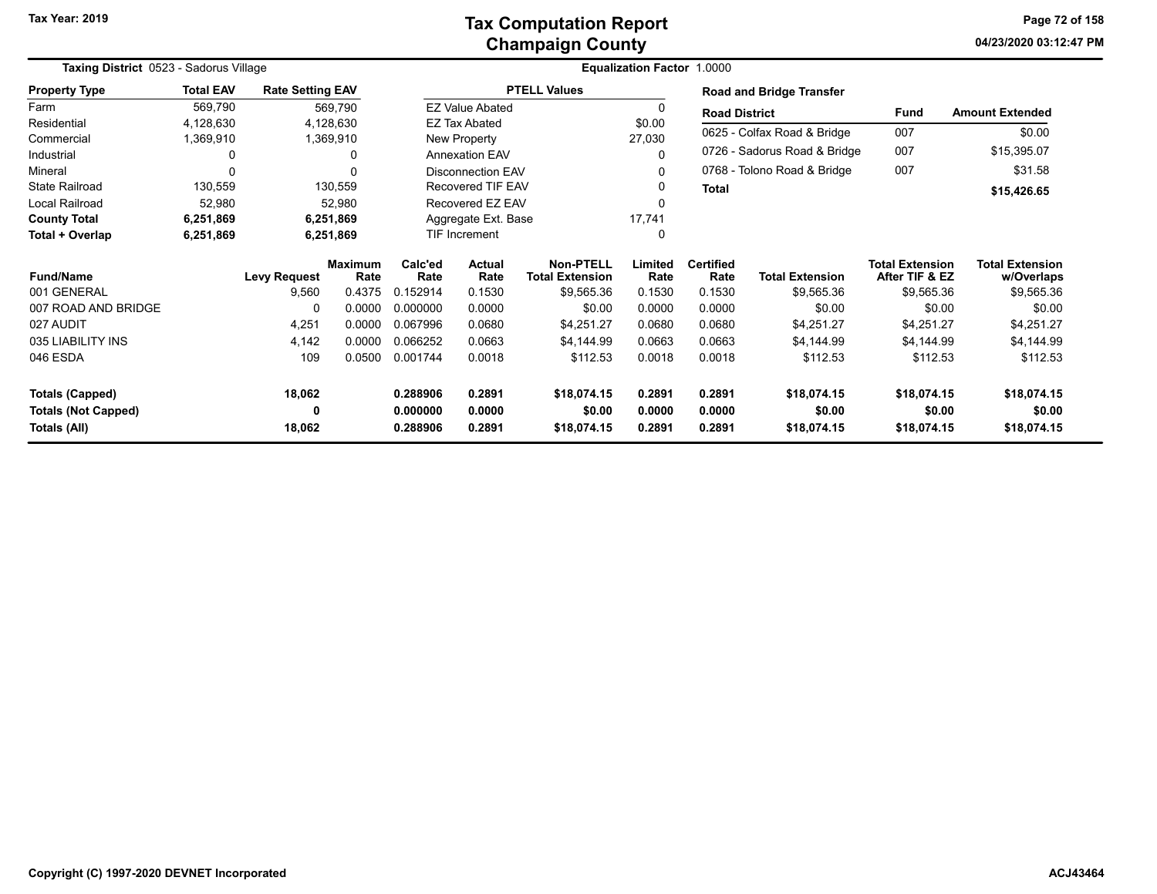**04/23/2020 03:12:47 PM Page 72 of 158**

| Taxing District 0523 - Sadorus Village |                  |                         |                        |                 | Equalization Factor 1.0000 |                                            |                 |                             |                                 |                                          |                                      |  |  |
|----------------------------------------|------------------|-------------------------|------------------------|-----------------|----------------------------|--------------------------------------------|-----------------|-----------------------------|---------------------------------|------------------------------------------|--------------------------------------|--|--|
| <b>Property Type</b>                   | <b>Total EAV</b> | <b>Rate Setting EAV</b> |                        |                 |                            | <b>PTELL Values</b>                        |                 |                             | <b>Road and Bridge Transfer</b> |                                          |                                      |  |  |
| Farm                                   | 569,790          |                         | 569,790                |                 | <b>EZ Value Abated</b>     |                                            | $\Omega$        | <b>Road District</b>        |                                 | <b>Fund</b>                              | <b>Amount Extended</b>               |  |  |
| Residential                            | 4,128,630        |                         | 4,128,630              |                 | <b>EZ Tax Abated</b>       |                                            | \$0.00          |                             |                                 |                                          |                                      |  |  |
| Commercial                             | 1,369,910        |                         | 1,369,910              |                 | New Property               |                                            | 27,030          |                             | 0625 - Colfax Road & Bridge     | 007                                      | \$0.00                               |  |  |
| Industrial                             | 0                |                         | 0                      |                 | <b>Annexation EAV</b>      |                                            |                 |                             | 0726 - Sadorus Road & Bridge    | 007                                      | \$15,395.07                          |  |  |
| Mineral                                | 0                |                         |                        |                 | <b>Disconnection EAV</b>   |                                            | 0               | 0768 - Tolono Road & Bridge |                                 | 007                                      | \$31.58                              |  |  |
| <b>State Railroad</b>                  | 130,559          |                         | 130,559                |                 | <b>Recovered TIF EAV</b>   |                                            |                 | <b>Total</b>                |                                 |                                          | \$15,426.65                          |  |  |
| Local Railroad                         | 52,980           |                         | 52,980                 |                 | Recovered EZ EAV           |                                            |                 |                             |                                 |                                          |                                      |  |  |
| <b>County Total</b>                    | 6,251,869        |                         | 6,251,869              |                 | Aggregate Ext. Base        |                                            | 17,741          |                             |                                 |                                          |                                      |  |  |
| Total + Overlap                        | 6,251,869        |                         | 6,251,869              |                 | <b>TIF Increment</b>       |                                            | 0               |                             |                                 |                                          |                                      |  |  |
| <b>Fund/Name</b>                       |                  | <b>Levy Request</b>     | <b>Maximum</b><br>Rate | Calc'ed<br>Rate | <b>Actual</b><br>Rate      | <b>Non-PTELL</b><br><b>Total Extension</b> | Limited<br>Rate | <b>Certified</b><br>Rate    | <b>Total Extension</b>          | <b>Total Extension</b><br>After TIF & EZ | <b>Total Extension</b><br>w/Overlaps |  |  |
| 001 GENERAL                            |                  | 9,560                   | 0.4375                 | 0.152914        | 0.1530                     | \$9,565.36                                 | 0.1530          | 0.1530                      | \$9,565.36                      | \$9,565.36                               | \$9,565.36                           |  |  |
| 007 ROAD AND BRIDGE                    |                  | 0                       | 0.0000                 | 0.000000        | 0.0000                     | \$0.00                                     | 0.0000          | 0.0000                      | \$0.00                          | \$0.00                                   | \$0.00                               |  |  |
| 027 AUDIT                              |                  | 4,251                   | 0.0000                 | 0.067996        | 0.0680                     | \$4,251.27                                 | 0.0680          | 0.0680                      | \$4,251.27                      | \$4,251.27                               | \$4,251.27                           |  |  |
| 035 LIABILITY INS                      |                  | 4,142                   | 0.0000                 | 0.066252        | 0.0663                     | \$4,144.99                                 | 0.0663          | 0.0663                      | \$4,144.99                      | \$4,144.99                               | \$4,144.99                           |  |  |
| 046 ESDA                               |                  | 109                     | 0.0500                 | 0.001744        | 0.0018                     | \$112.53                                   | 0.0018          | 0.0018                      | \$112.53                        | \$112.53                                 | \$112.53                             |  |  |
| <b>Totals (Capped)</b>                 |                  | 18,062                  |                        | 0.288906        | 0.2891                     | \$18,074.15                                | 0.2891          | 0.2891                      | \$18,074.15                     | \$18,074.15                              | \$18,074.15                          |  |  |
| <b>Totals (Not Capped)</b>             |                  | 0                       |                        | 0.000000        | 0.0000                     | \$0.00                                     | 0.0000          | 0.0000                      | \$0.00                          | \$0.00                                   | \$0.00                               |  |  |
| Totals (All)                           |                  | 18,062                  |                        | 0.288906        | 0.2891                     | \$18,074.15                                | 0.2891          | 0.2891                      | \$18,074.15                     | \$18,074.15                              | \$18,074.15                          |  |  |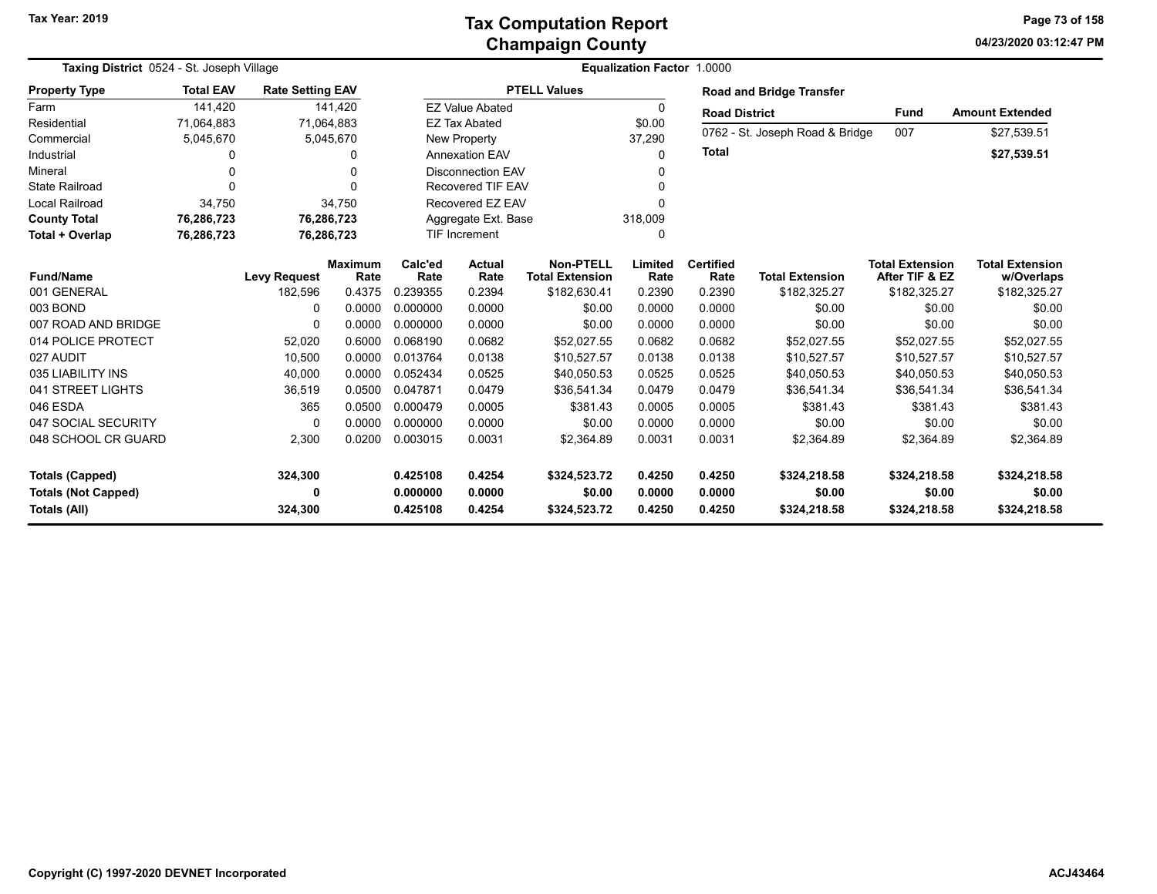| Taxing District 0524 - St. Joseph Village                            |                  |                         |                        |                                  | <b>Equalization Factor 1.0000</b> |                                            |                            |                            |                                        |                                          |                                        |  |
|----------------------------------------------------------------------|------------------|-------------------------|------------------------|----------------------------------|-----------------------------------|--------------------------------------------|----------------------------|----------------------------|----------------------------------------|------------------------------------------|----------------------------------------|--|
| <b>Property Type</b>                                                 | <b>Total EAV</b> | <b>Rate Setting EAV</b> |                        |                                  |                                   | <b>PTELL Values</b>                        |                            |                            | <b>Road and Bridge Transfer</b>        |                                          |                                        |  |
| Farm                                                                 | 141,420          |                         | 141,420                |                                  | <b>EZ Value Abated</b>            |                                            | $\Omega$                   | <b>Road District</b>       |                                        | Fund                                     | <b>Amount Extended</b>                 |  |
| Residential                                                          | 71,064,883       | 71,064,883              |                        |                                  | <b>EZ Tax Abated</b>              |                                            | \$0.00                     |                            |                                        | 007                                      |                                        |  |
| Commercial                                                           | 5,045,670        |                         | 5,045,670              |                                  | New Property                      |                                            | 37,290                     |                            | 0762 - St. Joseph Road & Bridge        |                                          | \$27,539.51                            |  |
| Industrial                                                           | 0                |                         | 0                      |                                  | <b>Annexation EAV</b>             |                                            | 0                          | <b>Total</b>               |                                        |                                          | \$27,539.51                            |  |
| Mineral                                                              | 0                |                         | $\Omega$               |                                  | <b>Disconnection EAV</b>          |                                            |                            |                            |                                        |                                          |                                        |  |
| <b>State Railroad</b>                                                | $\Omega$         |                         | $\Omega$               |                                  | <b>Recovered TIF EAV</b>          |                                            | O                          |                            |                                        |                                          |                                        |  |
| <b>Local Railroad</b>                                                | 34,750           |                         | 34,750                 |                                  | Recovered EZ EAV                  |                                            |                            |                            |                                        |                                          |                                        |  |
| <b>County Total</b>                                                  | 76,286,723       | 76,286,723              |                        |                                  | Aggregate Ext. Base               |                                            | 318,009                    |                            |                                        |                                          |                                        |  |
| Total + Overlap                                                      | 76,286,723       | 76,286,723              |                        |                                  | TIF Increment                     |                                            | 0                          |                            |                                        |                                          |                                        |  |
| <b>Fund/Name</b>                                                     |                  | <b>Levy Request</b>     | <b>Maximum</b><br>Rate | Calc'ed<br>Rate                  | <b>Actual</b><br>Rate             | <b>Non-PTELL</b><br><b>Total Extension</b> | Limited<br>Rate            | <b>Certified</b><br>Rate   | <b>Total Extension</b>                 | <b>Total Extension</b><br>After TIF & EZ | <b>Total Extension</b><br>w/Overlaps   |  |
| 001 GENERAL                                                          |                  | 182,596                 | 0.4375                 | 0.239355                         | 0.2394                            | \$182,630.41                               | 0.2390                     | 0.2390                     | \$182,325.27                           | \$182,325.27                             | \$182,325.27                           |  |
| 003 BOND                                                             |                  | $\Omega$                | 0.0000                 | 0.000000                         | 0.0000                            | \$0.00                                     | 0.0000                     | 0.0000                     | \$0.00                                 | \$0.00                                   | \$0.00                                 |  |
| 007 ROAD AND BRIDGE                                                  |                  | $\Omega$                | 0.0000                 | 0.000000                         | 0.0000                            | \$0.00                                     | 0.0000                     | 0.0000                     | \$0.00                                 | \$0.00                                   | \$0.00                                 |  |
| 014 POLICE PROTECT                                                   |                  | 52,020                  | 0.6000                 | 0.068190                         | 0.0682                            | \$52,027.55                                | 0.0682                     | 0.0682                     | \$52,027.55                            | \$52,027.55                              | \$52,027.55                            |  |
| 027 AUDIT                                                            |                  | 10,500                  | 0.0000                 | 0.013764                         | 0.0138                            | \$10,527.57                                | 0.0138                     | 0.0138                     | \$10,527.57                            | \$10,527.57                              | \$10,527.57                            |  |
| 035 LIABILITY INS                                                    |                  | 40,000                  | 0.0000                 | 0.052434                         | 0.0525                            | \$40,050.53                                | 0.0525                     | 0.0525                     | \$40,050.53                            | \$40,050.53                              | \$40,050.53                            |  |
| 041 STREET LIGHTS                                                    |                  | 36,519                  | 0.0500                 | 0.047871                         | 0.0479                            | \$36,541.34                                | 0.0479                     | 0.0479                     | \$36,541.34                            | \$36,541.34                              | \$36,541.34                            |  |
| 046 ESDA                                                             |                  | 365                     | 0.0500                 | 0.000479                         | 0.0005                            | \$381.43                                   | 0.0005                     | 0.0005                     | \$381.43                               | \$381.43                                 | \$381.43                               |  |
| 047 SOCIAL SECURITY                                                  |                  | $\Omega$                | 0.0000                 | 0.000000                         | 0.0000                            | \$0.00                                     | 0.0000                     | 0.0000                     | \$0.00                                 | \$0.00                                   | \$0.00                                 |  |
| 048 SCHOOL CR GUARD                                                  |                  | 2,300                   | 0.0200                 | 0.003015                         | 0.0031                            | \$2,364.89                                 | 0.0031                     | 0.0031                     | \$2,364.89                             | \$2,364.89                               | \$2,364.89                             |  |
| <b>Totals (Capped)</b><br><b>Totals (Not Capped)</b><br>Totals (All) |                  | 324,300<br>0<br>324,300 |                        | 0.425108<br>0.000000<br>0.425108 | 0.4254<br>0.0000<br>0.4254        | \$324,523.72<br>\$0.00<br>\$324,523.72     | 0.4250<br>0.0000<br>0.4250 | 0.4250<br>0.0000<br>0.4250 | \$324,218.58<br>\$0.00<br>\$324,218.58 | \$324,218.58<br>\$0.00<br>\$324,218.58   | \$324,218.58<br>\$0.00<br>\$324,218.58 |  |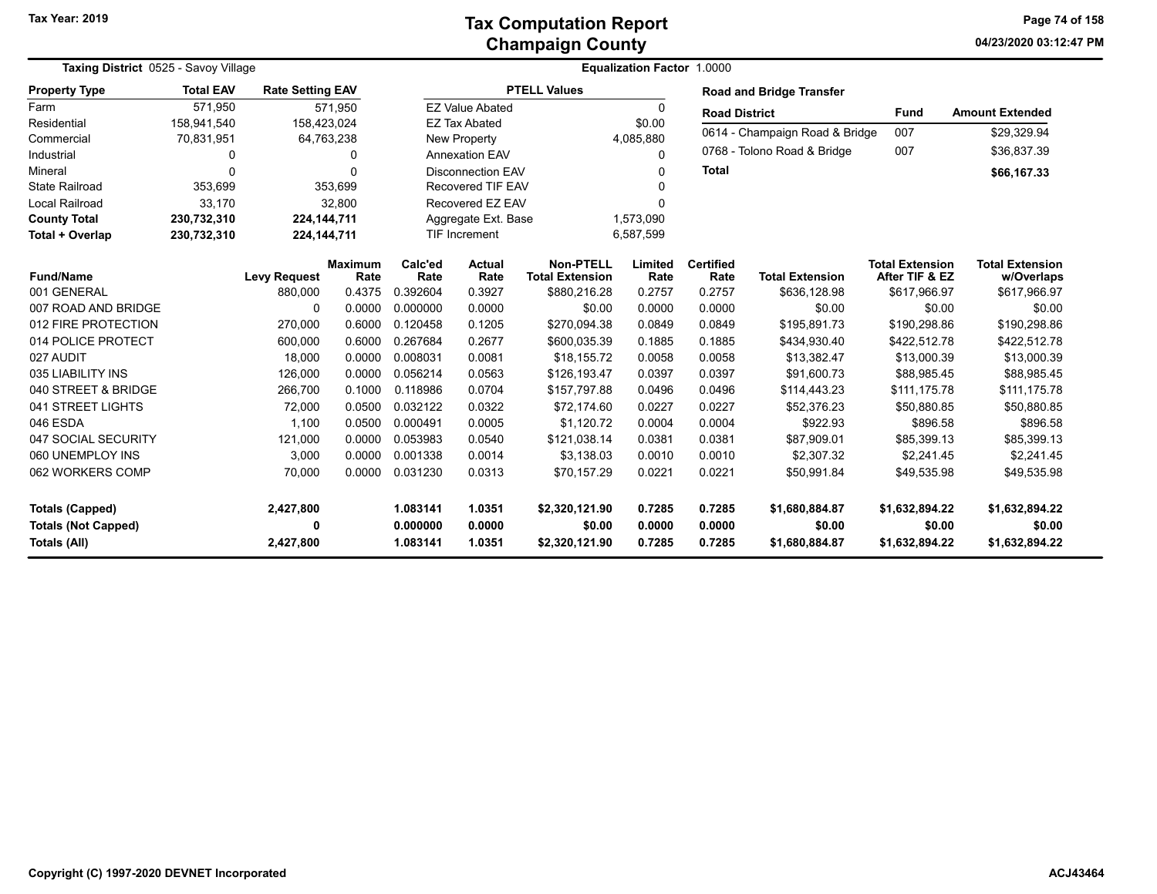**04/23/2020 03:12:47 PM Page 74 of 158**

| Taxing District 0525 - Savoy Village |                  |                         |                        |                 | Equalization Factor 1.0000 |                                            |                 |                          |                                 |                                          |                                      |  |  |
|--------------------------------------|------------------|-------------------------|------------------------|-----------------|----------------------------|--------------------------------------------|-----------------|--------------------------|---------------------------------|------------------------------------------|--------------------------------------|--|--|
| <b>Property Type</b>                 | <b>Total EAV</b> | <b>Rate Setting EAV</b> |                        |                 |                            | <b>PTELL Values</b>                        |                 |                          | <b>Road and Bridge Transfer</b> |                                          |                                      |  |  |
| Farm                                 | 571,950          |                         | 571,950                |                 | <b>EZ Value Abated</b>     |                                            | 0               | <b>Road District</b>     |                                 | <b>Fund</b>                              | <b>Amount Extended</b>               |  |  |
| Residential                          | 158,941,540      | 158,423,024             |                        |                 | <b>EZ Tax Abated</b>       |                                            | \$0.00          |                          | 0614 - Champaign Road & Bridge  | 007                                      | \$29,329.94                          |  |  |
| Commercial                           | 70,831,951       |                         | 64,763,238             |                 | <b>New Property</b>        |                                            | 4,085,880       |                          |                                 |                                          |                                      |  |  |
| Industrial                           | 0                |                         | 0                      |                 | <b>Annexation EAV</b>      |                                            | 0               |                          | 0768 - Tolono Road & Bridge     | 007                                      | \$36,837.39                          |  |  |
| Mineral                              | 0                |                         | $\Omega$               |                 | <b>Disconnection EAV</b>   |                                            | 0               | <b>Total</b>             |                                 |                                          | \$66,167.33                          |  |  |
| <b>State Railroad</b>                | 353,699          |                         | 353,699                |                 | Recovered TIF EAV          |                                            |                 |                          |                                 |                                          |                                      |  |  |
| <b>Local Railroad</b>                | 33,170           |                         | 32,800                 |                 | Recovered EZ EAV           |                                            | n               |                          |                                 |                                          |                                      |  |  |
| <b>County Total</b>                  | 230,732,310      | 224, 144, 711           |                        |                 | Aggregate Ext. Base        |                                            | 1,573,090       |                          |                                 |                                          |                                      |  |  |
| Total + Overlap                      | 230,732,310      | 224, 144, 711           |                        |                 | TIF Increment              |                                            | 6,587,599       |                          |                                 |                                          |                                      |  |  |
| <b>Fund/Name</b>                     |                  | <b>Levy Request</b>     | <b>Maximum</b><br>Rate | Calc'ed<br>Rate | <b>Actual</b><br>Rate      | <b>Non-PTELL</b><br><b>Total Extension</b> | Limited<br>Rate | <b>Certified</b><br>Rate | <b>Total Extension</b>          | <b>Total Extension</b><br>After TIF & EZ | <b>Total Extension</b><br>w/Overlaps |  |  |
| 001 GENERAL                          |                  | 880,000                 | 0.4375                 | 0.392604        | 0.3927                     | \$880,216.28                               | 0.2757          | 0.2757                   | \$636,128.98                    | \$617,966.97                             | \$617,966.97                         |  |  |
| 007 ROAD AND BRIDGE                  |                  | $\Omega$                | 0.0000                 | 0.000000        | 0.0000                     | \$0.00                                     | 0.0000          | 0.0000                   | \$0.00                          | \$0.00                                   | \$0.00                               |  |  |
| 012 FIRE PROTECTION                  |                  | 270,000                 | 0.6000                 | 0.120458        | 0.1205                     | \$270,094.38                               | 0.0849          | 0.0849                   | \$195,891.73                    | \$190,298.86                             | \$190,298.86                         |  |  |
| 014 POLICE PROTECT                   |                  | 600,000                 | 0.6000                 | 0.267684        | 0.2677                     | \$600,035.39                               | 0.1885          | 0.1885                   | \$434,930.40                    | \$422,512.78                             | \$422,512.78                         |  |  |
| 027 AUDIT                            |                  | 18,000                  | 0.0000                 | 0.008031        | 0.0081                     | \$18,155.72                                | 0.0058          | 0.0058                   | \$13,382.47                     | \$13,000.39                              | \$13,000.39                          |  |  |
| 035 LIABILITY INS                    |                  | 126,000                 | 0.0000                 | 0.056214        | 0.0563                     | \$126,193.47                               | 0.0397          | 0.0397                   | \$91,600.73                     | \$88,985.45                              | \$88,985.45                          |  |  |
| 040 STREET & BRIDGE                  |                  | 266,700                 | 0.1000                 | 0.118986        | 0.0704                     | \$157,797.88                               | 0.0496          | 0.0496                   | \$114,443.23                    | \$111,175.78                             | \$111,175.78                         |  |  |
| 041 STREET LIGHTS                    |                  | 72,000                  | 0.0500                 | 0.032122        | 0.0322                     | \$72,174.60                                | 0.0227          | 0.0227                   | \$52,376.23                     | \$50,880.85                              | \$50,880.85                          |  |  |
| 046 ESDA                             |                  | 1.100                   | 0.0500                 | 0.000491        | 0.0005                     | \$1,120.72                                 | 0.0004          | 0.0004                   | \$922.93                        | \$896.58                                 | \$896.58                             |  |  |
| 047 SOCIAL SECURITY                  |                  | 121,000                 | 0.0000                 | 0.053983        | 0.0540                     | \$121,038.14                               | 0.0381          | 0.0381                   | \$87,909.01                     | \$85,399.13                              | \$85,399.13                          |  |  |
| 060 UNEMPLOY INS                     |                  | 3,000                   | 0.0000                 | 0.001338        | 0.0014                     | \$3,138.03                                 | 0.0010          | 0.0010                   | \$2,307.32                      | \$2,241.45                               | \$2,241.45                           |  |  |
| 062 WORKERS COMP                     |                  | 70,000                  | 0.0000                 | 0.031230        | 0.0313                     | \$70,157.29                                | 0.0221          | 0.0221                   | \$50,991.84                     | \$49,535.98                              | \$49,535.98                          |  |  |
| <b>Totals (Capped)</b>               |                  | 2,427,800               |                        | 1.083141        | 1.0351                     | \$2,320,121.90                             | 0.7285          | 0.7285                   | \$1,680,884.87                  | \$1,632,894.22                           | \$1,632,894.22                       |  |  |
| <b>Totals (Not Capped)</b>           |                  | 0                       |                        | 0.000000        | 0.0000                     | \$0.00                                     | 0.0000          | 0.0000                   | \$0.00                          | \$0.00                                   | \$0.00                               |  |  |
| Totals (All)                         |                  | 2,427,800               |                        | 1.083141        | 1.0351                     | \$2,320,121.90                             | 0.7285          | 0.7285                   | \$1,680,884.87                  | \$1,632,894.22                           | \$1,632,894.22                       |  |  |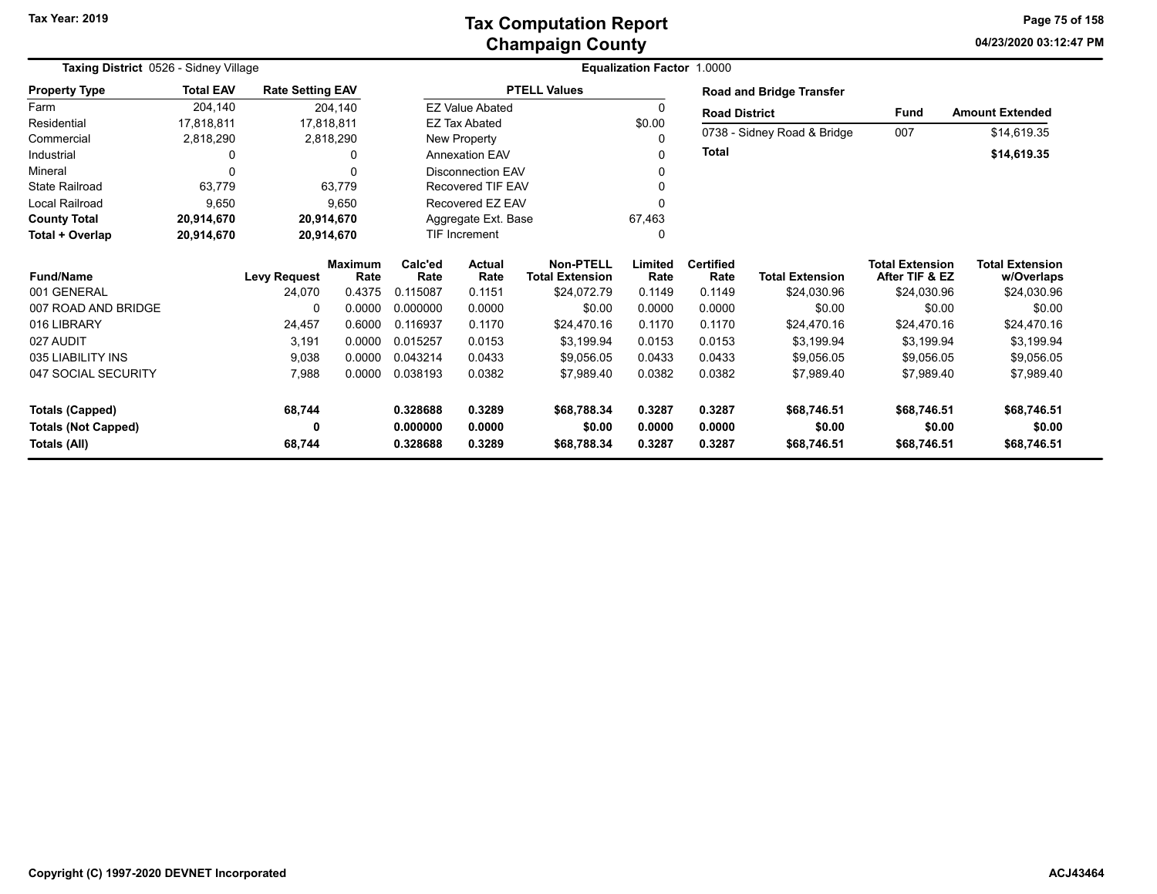### **Champaign County Tax Computation Report**

**04/23/2020 03:12:47 PM Page 75 of 158**

| Taxing District 0526 - Sidney Village |                  |                         |                        |                      | <b>Equalization Factor 1.0000</b> |                                            |                 |                          |                                 |                                          |                                      |  |
|---------------------------------------|------------------|-------------------------|------------------------|----------------------|-----------------------------------|--------------------------------------------|-----------------|--------------------------|---------------------------------|------------------------------------------|--------------------------------------|--|
| <b>Property Type</b>                  | <b>Total EAV</b> | <b>Rate Setting EAV</b> |                        |                      |                                   | <b>PTELL Values</b>                        |                 |                          | <b>Road and Bridge Transfer</b> |                                          |                                      |  |
| Farm                                  | 204,140          |                         | 204,140                |                      | <b>EZ Value Abated</b>            |                                            |                 | <b>Road District</b>     |                                 | <b>Fund</b>                              | <b>Amount Extended</b>               |  |
| Residential                           | 17,818,811       |                         | 17.818.811             |                      | <b>EZ Tax Abated</b>              |                                            | \$0.00          |                          |                                 |                                          |                                      |  |
| Commercial                            | 2,818,290        |                         | 2,818,290              |                      | New Property                      |                                            |                 |                          | 0738 - Sidney Road & Bridge     | 007                                      | \$14,619.35                          |  |
| Industrial                            | 0                |                         |                        |                      | <b>Annexation EAV</b>             |                                            |                 | <b>Total</b>             |                                 |                                          | \$14,619.35                          |  |
| Mineral                               | $\Omega$         |                         |                        |                      | <b>Disconnection EAV</b>          |                                            |                 |                          |                                 |                                          |                                      |  |
| <b>State Railroad</b>                 | 63,779           |                         | 63,779                 |                      | Recovered TIF EAV                 |                                            |                 |                          |                                 |                                          |                                      |  |
| <b>Local Railroad</b>                 | 9,650            |                         | 9,650                  |                      | Recovered EZ EAV                  |                                            |                 |                          |                                 |                                          |                                      |  |
| <b>County Total</b>                   | 20,914,670       |                         | 20,914,670             | Aggregate Ext. Base  |                                   |                                            | 67,463          |                          |                                 |                                          |                                      |  |
| Total + Overlap                       | 20,914,670       |                         | 20,914,670             | <b>TIF Increment</b> |                                   |                                            |                 |                          |                                 |                                          |                                      |  |
| <b>Fund/Name</b>                      |                  | <b>Levy Request</b>     | <b>Maximum</b><br>Rate | Calc'ed<br>Rate      | Actual<br>Rate                    | <b>Non-PTELL</b><br><b>Total Extension</b> | Limited<br>Rate | <b>Certified</b><br>Rate | <b>Total Extension</b>          | <b>Total Extension</b><br>After TIF & EZ | <b>Total Extension</b><br>w/Overlaps |  |
| 001 GENERAL                           |                  | 24,070                  | 0.4375                 | 0.115087             | 0.1151                            | \$24,072.79                                | 0.1149          | 0.1149                   | \$24,030.96                     | \$24,030.96                              | \$24,030.96                          |  |
| 007 ROAD AND BRIDGE                   |                  | $\Omega$                | 0.0000                 | 0.000000             | 0.0000                            | \$0.00                                     | 0.0000          | 0.0000                   | \$0.00                          | \$0.00                                   | \$0.00                               |  |
| 016 LIBRARY                           |                  | 24,457                  | 0.6000                 | 0.116937             | 0.1170                            | \$24,470.16                                | 0.1170          | 0.1170                   | \$24,470.16                     | \$24,470.16                              | \$24,470.16                          |  |
| 027 AUDIT                             |                  | 3,191                   | 0.0000                 | 0.015257             | 0.0153                            | \$3,199.94                                 | 0.0153          | 0.0153                   | \$3,199.94                      | \$3,199.94                               | \$3,199.94                           |  |
| 035 LIABILITY INS                     |                  | 9,038                   | 0.0000                 | 0.043214             | 0.0433                            | \$9.056.05                                 | 0.0433          | 0.0433                   | \$9,056.05                      | \$9,056.05                               | \$9,056.05                           |  |
| 047 SOCIAL SECURITY                   |                  | 7,988                   | 0.0000                 | 0.038193             | 0.0382                            | \$7,989.40                                 | 0.0382          | 0.0382                   | \$7,989.40                      | \$7,989.40                               | \$7,989.40                           |  |
| <b>Totals (Capped)</b>                |                  | 68,744                  |                        | 0.328688             | 0.3289                            | \$68,788.34                                | 0.3287          | 0.3287                   | \$68,746.51                     | \$68,746.51                              | \$68,746.51                          |  |
| <b>Totals (Not Capped)</b>            |                  | 0                       |                        | 0.000000             | 0.0000                            | \$0.00                                     | 0.0000          | 0.0000                   | \$0.00                          | \$0.00                                   | \$0.00                               |  |
| Totals (All)                          |                  | 68,744                  |                        | 0.328688             | 0.3289                            | \$68,788.34                                | 0.3287          | 0.3287                   | \$68,746.51                     | \$68,746.51                              | \$68,746.51                          |  |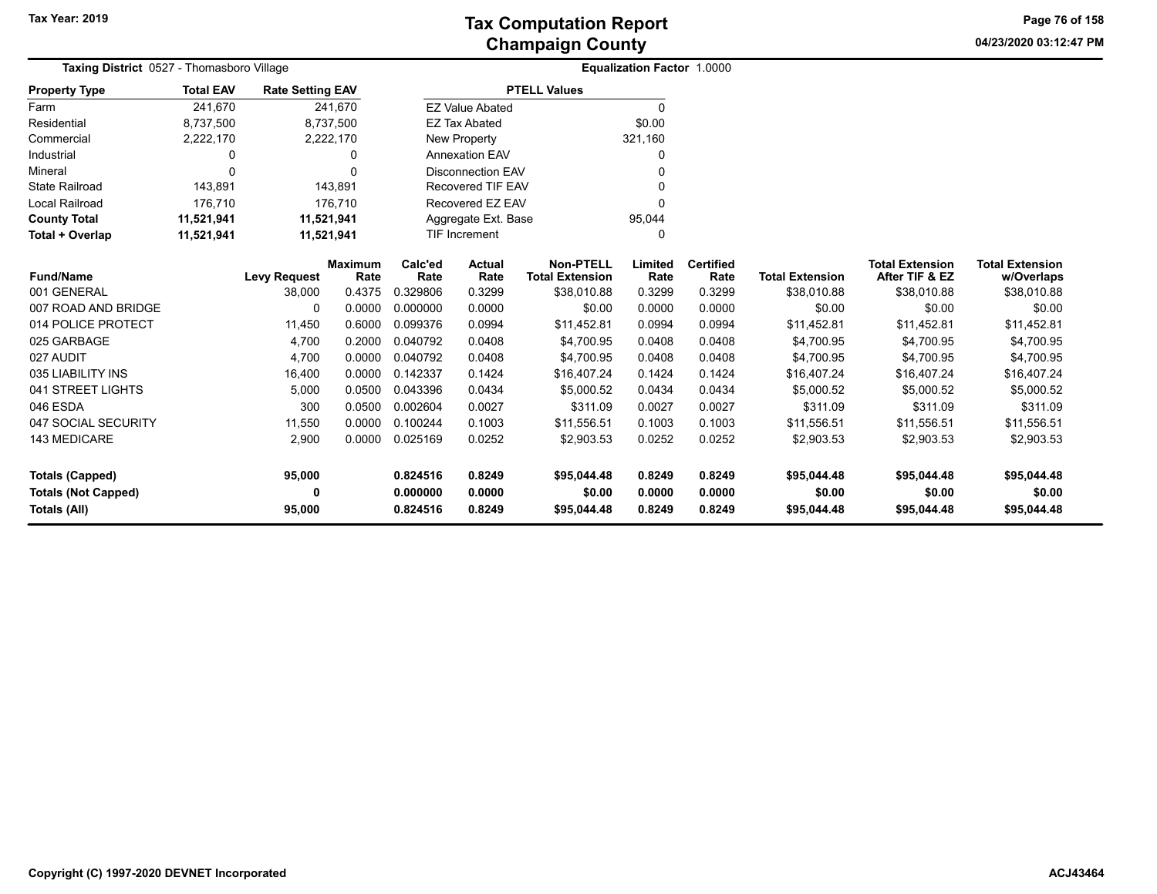**04/23/2020 03:12:47 PM Page 76 of 158**

| Taxing District 0527 - Thomasboro Village  | Equalization Factor 1.0000 |                               |                        |                      |                          |                                            |                  |                          |                        |                                          |                                      |
|--------------------------------------------|----------------------------|-------------------------------|------------------------|----------------------|--------------------------|--------------------------------------------|------------------|--------------------------|------------------------|------------------------------------------|--------------------------------------|
| <b>Property Type</b>                       | <b>Total EAV</b>           | <b>Rate Setting EAV</b>       |                        |                      |                          | <b>PTELL Values</b>                        |                  |                          |                        |                                          |                                      |
| Farm                                       | 241,670                    |                               | 241,670                |                      | <b>EZ Value Abated</b>   |                                            | $\Omega$         |                          |                        |                                          |                                      |
| Residential                                | 8,737,500                  |                               | 8,737,500              |                      | <b>EZ Tax Abated</b>     |                                            | \$0.00           |                          |                        |                                          |                                      |
| Commercial                                 | 2,222,170                  |                               | 2,222,170              |                      | New Property             |                                            | 321,160          |                          |                        |                                          |                                      |
| Industrial                                 | $\Omega$                   |                               | 0                      |                      | <b>Annexation EAV</b>    |                                            | 0                |                          |                        |                                          |                                      |
| Mineral                                    | $\Omega$                   |                               | $\Omega$               |                      | <b>Disconnection EAV</b> |                                            | 0                |                          |                        |                                          |                                      |
| <b>State Railroad</b>                      | 143,891                    |                               | 143,891                |                      | <b>Recovered TIF EAV</b> |                                            | O                |                          |                        |                                          |                                      |
| <b>Local Railroad</b>                      | 176,710                    |                               | 176,710                |                      | Recovered EZ EAV         |                                            | O                |                          |                        |                                          |                                      |
| <b>County Total</b>                        | 11,521,941                 | 11,521,941                    |                        |                      | Aggregate Ext. Base      |                                            | 95,044           |                          |                        |                                          |                                      |
| Total + Overlap                            | 11,521,941                 | 11,521,941                    |                        |                      | <b>TIF Increment</b>     |                                            | 0                |                          |                        |                                          |                                      |
| <b>Fund/Name</b>                           |                            |                               | <b>Maximum</b><br>Rate | Calc'ed<br>Rate      | Actual<br>Rate           | <b>Non-PTELL</b><br><b>Total Extension</b> | Limited<br>Rate  | <b>Certified</b><br>Rate | <b>Total Extension</b> | <b>Total Extension</b><br>After TIF & EZ | <b>Total Extension</b><br>w/Overlaps |
| 001 GENERAL                                |                            | <b>Levy Request</b><br>38,000 | 0.4375                 | 0.329806             | 0.3299                   | \$38,010.88                                | 0.3299           | 0.3299                   | \$38,010.88            | \$38,010.88                              | \$38,010.88                          |
| 007 ROAD AND BRIDGE                        |                            | $\Omega$                      | 0.0000                 | 0.000000             | 0.0000                   | \$0.00                                     | 0.0000           | 0.0000                   | \$0.00                 | \$0.00                                   | \$0.00                               |
| 014 POLICE PROTECT                         |                            | 11.450                        | 0.6000                 | 0.099376             | 0.0994                   | \$11,452.81                                | 0.0994           | 0.0994                   | \$11,452.81            | \$11,452.81                              | \$11,452.81                          |
| 025 GARBAGE                                |                            | 4,700                         | 0.2000                 | 0.040792             | 0.0408                   | \$4,700.95                                 | 0.0408           | 0.0408                   | \$4,700.95             | \$4,700.95                               | \$4,700.95                           |
| 027 AUDIT                                  |                            | 4,700                         | 0.0000                 | 0.040792             | 0.0408                   | \$4,700.95                                 | 0.0408           | 0.0408                   | \$4,700.95             | \$4,700.95                               | \$4,700.95                           |
| 035 LIABILITY INS                          |                            | 16,400                        | 0.0000                 | 0.142337             | 0.1424                   | \$16,407.24                                | 0.1424           | 0.1424                   | \$16,407.24            | \$16,407.24                              | \$16,407.24                          |
| 041 STREET LIGHTS                          |                            | 5,000                         | 0.0500                 | 0.043396             | 0.0434                   | \$5,000.52                                 | 0.0434           | 0.0434                   | \$5,000.52             | \$5,000.52                               | \$5,000.52                           |
| 046 ESDA                                   |                            | 300                           | 0.0500                 | 0.002604             | 0.0027                   | \$311.09                                   | 0.0027           | 0.0027                   | \$311.09               | \$311.09                                 | \$311.09                             |
| 047 SOCIAL SECURITY                        |                            | 11,550                        | 0.0000                 | 0.100244             | 0.1003                   | \$11,556.51                                | 0.1003           | 0.1003                   | \$11,556.51            | \$11,556.51                              | \$11,556.51                          |
| 143 MEDICARE                               |                            | 2,900                         | 0.0000                 | 0.025169             | 0.0252                   | \$2,903.53                                 | 0.0252           | 0.0252                   | \$2,903.53             | \$2,903.53                               | \$2,903.53                           |
| <b>Totals (Capped)</b>                     |                            | 95,000                        |                        | 0.824516             | 0.8249                   | \$95,044.48                                | 0.8249           | 0.8249                   | \$95,044.48            | \$95,044.48                              | \$95,044.48                          |
| <b>Totals (Not Capped)</b><br>Totals (All) |                            | 0<br>95,000                   |                        | 0.000000<br>0.824516 | 0.0000<br>0.8249         | \$0.00<br>\$95,044.48                      | 0.0000<br>0.8249 | 0.0000<br>0.8249         | \$0.00<br>\$95,044.48  | \$0.00<br>\$95,044.48                    | \$0.00<br>\$95,044.48                |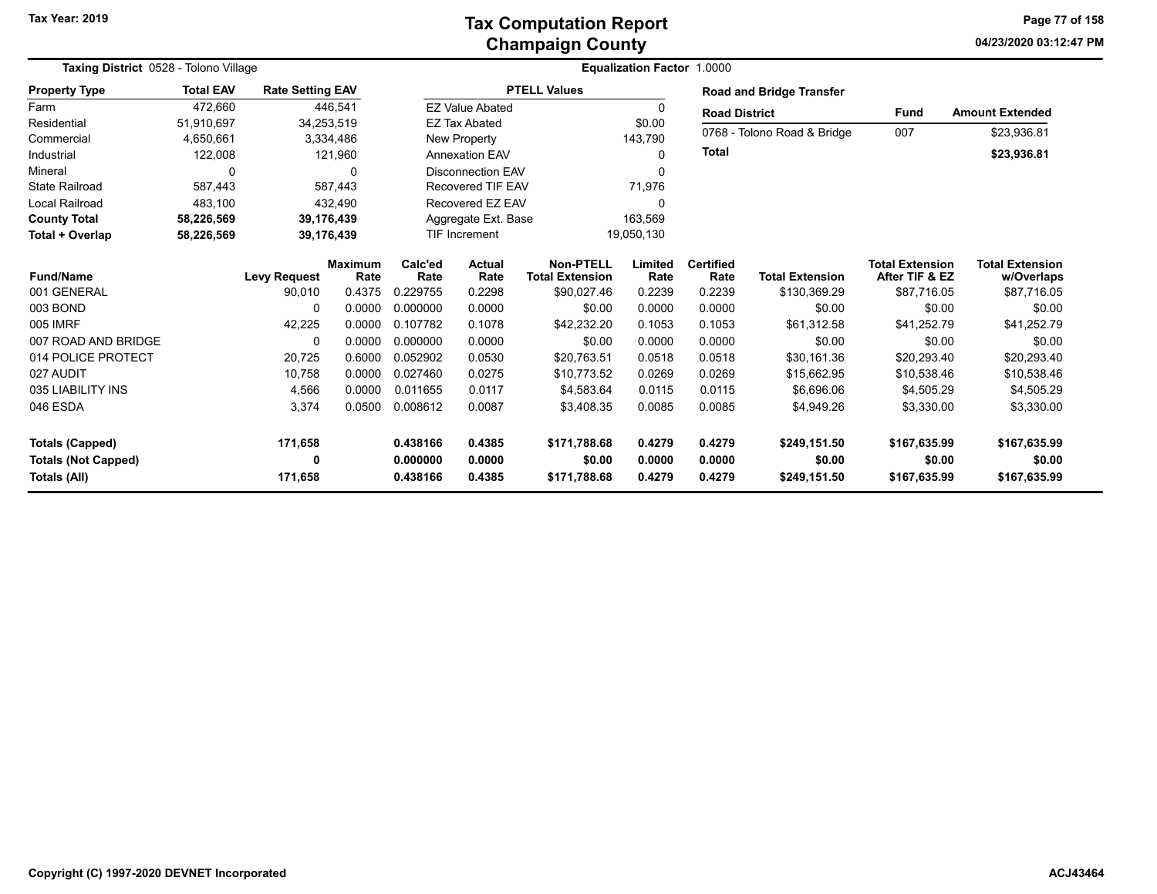| Taxing District 0528 - Tolono Village |                  |                         | <b>Equalization Factor 1.0000</b> |                 |                                    |                                     |                 |                          |                                 |                                          |                                      |
|---------------------------------------|------------------|-------------------------|-----------------------------------|-----------------|------------------------------------|-------------------------------------|-----------------|--------------------------|---------------------------------|------------------------------------------|--------------------------------------|
| <b>Property Type</b>                  | <b>Total EAV</b> | <b>Rate Setting EAV</b> |                                   |                 |                                    | <b>PTELL Values</b>                 |                 |                          | <b>Road and Bridge Transfer</b> |                                          |                                      |
| Farm                                  | 472,660          |                         | 446,541                           |                 | <b>EZ Value Abated</b>             |                                     | 0               | <b>Road District</b>     |                                 | Fund                                     | <b>Amount Extended</b>               |
| Residential                           | 51,910,697       |                         | 34,253,519                        |                 | <b>EZ Tax Abated</b>               |                                     | \$0.00          |                          |                                 |                                          |                                      |
| Commercial                            | 4,650,661        |                         | 3,334,486                         |                 | New Property<br>143,790            |                                     |                 |                          | 0768 - Tolono Road & Bridge     | 007                                      | \$23,936.81                          |
| Industrial                            | 122,008          |                         | 121,960                           |                 | <b>Annexation EAV</b><br>0         |                                     |                 | Total                    |                                 |                                          | \$23,936.81                          |
| Mineral                               | $\Omega$         |                         | $\Omega$                          |                 | <b>Disconnection EAV</b>           |                                     | U               |                          |                                 |                                          |                                      |
| <b>State Railroad</b>                 | 587,443          |                         | 587,443                           |                 | Recovered TIF EAV                  |                                     | 71,976          |                          |                                 |                                          |                                      |
| Local Railroad                        | 483,100          |                         | 432,490                           |                 | Recovered EZ EAV                   |                                     | $\Omega$        |                          |                                 |                                          |                                      |
| <b>County Total</b>                   | 58,226,569       |                         | 39,176,439                        |                 | Aggregate Ext. Base<br>163,569     |                                     |                 |                          |                                 |                                          |                                      |
| Total + Overlap                       | 58,226,569       |                         | 39,176,439                        |                 | <b>TIF Increment</b><br>19,050,130 |                                     |                 |                          |                                 |                                          |                                      |
| <b>Fund/Name</b>                      |                  | <b>Levy Request</b>     | Maximum<br>Rate                   | Calc'ed<br>Rate | Actual<br>Rate                     | Non-PTELL<br><b>Total Extension</b> | Limited<br>Rate | <b>Certified</b><br>Rate | <b>Total Extension</b>          | <b>Total Extension</b><br>After TIF & EZ | <b>Total Extension</b><br>w/Overlaps |
| 001 GENERAL                           |                  | 90,010                  | 0.4375                            | 0.229755        | 0.2298                             | \$90,027.46                         | 0.2239          | 0.2239                   | \$130,369.29                    | \$87,716.05                              | \$87,716.05                          |
| 003 BOND                              |                  | $\Omega$                | 0.0000                            | 0.000000        | 0.0000                             | \$0.00                              | 0.0000          | 0.0000                   | \$0.00                          | \$0.00                                   | \$0.00                               |
| 005 IMRF                              |                  | 42,225                  | 0.0000                            | 0.107782        | 0.1078                             | \$42,232.20                         | 0.1053          | 0.1053                   | \$61,312.58                     | \$41,252.79                              | \$41,252.79                          |
| 007 ROAD AND BRIDGE                   |                  | 0                       | 0.0000                            | 0.000000        | 0.0000                             | \$0.00                              | 0.0000          | 0.0000                   | \$0.00                          | \$0.00                                   | \$0.00                               |
| 014 POLICE PROTECT                    |                  | 20,725                  | 0.6000                            | 0.052902        | 0.0530                             | \$20,763.51                         | 0.0518          | 0.0518                   | \$30,161.36                     | \$20,293.40                              | \$20,293.40                          |
| 027 AUDIT                             |                  | 10,758                  | 0.0000                            | 0.027460        | 0.0275                             | \$10,773.52                         | 0.0269          | 0.0269                   | \$15,662.95                     | \$10,538.46                              | \$10,538.46                          |
| 035 LIABILITY INS                     |                  | 4,566                   | 0.0000                            | 0.011655        | 0.0117                             | \$4,583.64                          | 0.0115          | 0.0115                   | \$6,696.06                      | \$4,505.29                               | \$4,505.29                           |
| 046 ESDA                              |                  | 3,374                   | 0.0500                            | 0.008612        | 0.0087                             | \$3,408.35                          | 0.0085          | 0.0085                   | \$4,949.26                      | \$3,330.00                               | \$3,330.00                           |
| <b>Totals (Capped)</b>                |                  | 171,658                 |                                   | 0.438166        | 0.4385                             | \$171,788.68                        | 0.4279          | 0.4279                   | \$249,151.50                    | \$167,635.99                             | \$167,635.99                         |
| <b>Totals (Not Capped)</b>            |                  | 0                       |                                   | 0.000000        | 0.0000                             | \$0.00                              | 0.0000          | 0.0000                   | \$0.00                          | \$0.00                                   | \$0.00                               |
| Totals (All)                          |                  | 171,658                 |                                   | 0.438166        | 0.4385                             | \$171,788.68                        | 0.4279          | 0.4279                   | \$249,151.50                    | \$167,635.99                             | \$167,635.99                         |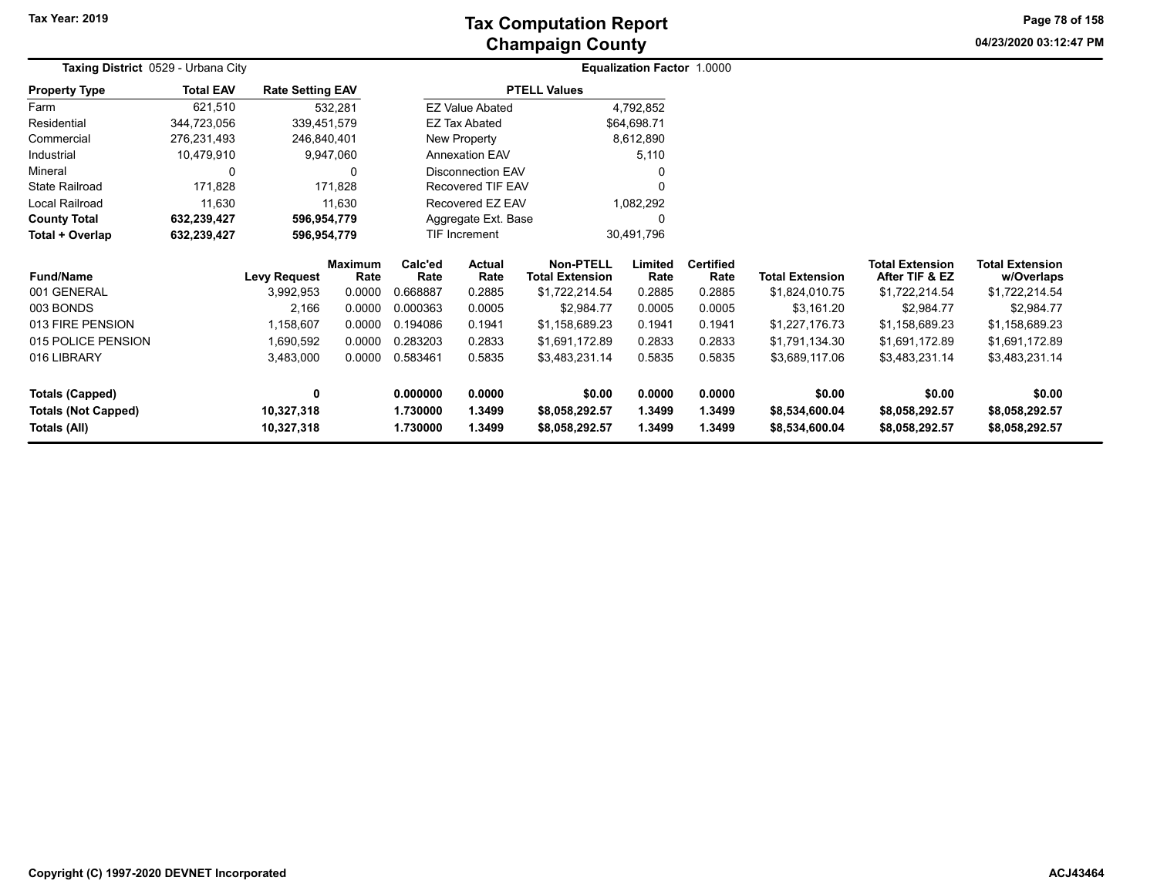**04/23/2020 03:12:47 PM Page 78 of 158**

| Taxing District 0529 - Urbana City |                  |                         |                 |                 |                          |                                            | <b>Equalization Factor 1.0000</b> |                          |                        |                                          |                                      |
|------------------------------------|------------------|-------------------------|-----------------|-----------------|--------------------------|--------------------------------------------|-----------------------------------|--------------------------|------------------------|------------------------------------------|--------------------------------------|
| <b>Property Type</b>               | <b>Total EAV</b> | <b>Rate Setting EAV</b> |                 |                 |                          | <b>PTELL Values</b>                        |                                   |                          |                        |                                          |                                      |
| Farm                               | 621,510          |                         | 532,281         |                 | <b>EZ Value Abated</b>   |                                            | 4,792,852                         |                          |                        |                                          |                                      |
| Residential                        | 344,723,056      | 339,451,579             |                 |                 | EZ Tax Abated            |                                            | \$64,698.71                       |                          |                        |                                          |                                      |
| Commercial                         | 276,231,493      | 246,840,401             |                 | New Property    |                          |                                            | 8,612,890                         |                          |                        |                                          |                                      |
| Industrial                         | 10,479,910       |                         | 9,947,060       |                 | <b>Annexation EAV</b>    |                                            | 5,110                             |                          |                        |                                          |                                      |
| Mineral                            | 0                |                         | 0               |                 | <b>Disconnection EAV</b> |                                            |                                   |                          |                        |                                          |                                      |
| <b>State Railroad</b>              | 171,828          |                         | 171,828         |                 | Recovered TIF EAV        |                                            |                                   |                          |                        |                                          |                                      |
| Local Railroad                     | 11,630           |                         | 11,630          |                 | Recovered EZ EAV         |                                            | 1,082,292                         |                          |                        |                                          |                                      |
| <b>County Total</b>                | 632,239,427      | 596,954,779             |                 |                 | Aggregate Ext. Base      |                                            | 0                                 |                          |                        |                                          |                                      |
| Total + Overlap                    | 632,239,427      | 596,954,779             |                 |                 | TIF Increment            | 30,491,796                                 |                                   |                          |                        |                                          |                                      |
| <b>Fund/Name</b>                   |                  | Levy Request            | Maximum<br>Rate | Calc'ed<br>Rate | Actual<br>Rate           | <b>Non-PTELL</b><br><b>Total Extension</b> | Limited<br>Rate                   | <b>Certified</b><br>Rate | <b>Total Extension</b> | <b>Total Extension</b><br>After TIF & EZ | <b>Total Extension</b><br>w/Overlaps |
| 001 GENERAL                        |                  | 3,992,953               | 0.0000          | 0.668887        | 0.2885                   | \$1,722,214.54                             | 0.2885                            | 0.2885                   | \$1,824,010.75         | \$1,722,214.54                           | \$1,722,214.54                       |
| 003 BONDS                          |                  | 2,166                   | 0.0000          | 0.000363        | 0.0005                   | \$2,984.77                                 | 0.0005                            | 0.0005                   | \$3,161.20             | \$2,984.77                               | \$2,984.77                           |
| 013 FIRE PENSION                   |                  | 1,158,607               | 0.0000          | 0.194086        | 0.1941                   | \$1,158,689.23                             | 0.1941                            | 0.1941                   | \$1,227,176.73         | \$1,158,689.23                           | \$1,158,689.23                       |
| 015 POLICE PENSION                 |                  | 1,690,592               | 0.0000          | 0.283203        | 0.2833                   | \$1,691,172.89                             | 0.2833                            | 0.2833                   | \$1,791,134.30         | \$1,691,172.89                           | \$1,691,172.89                       |
| 016 LIBRARY                        |                  | 3,483,000               | 0.0000          | 0.583461        | 0.5835                   | \$3,483,231.14                             | 0.5835                            | 0.5835                   | \$3,689,117.06         | \$3,483,231.14                           | \$3,483,231.14                       |
| <b>Totals (Capped)</b>             |                  | 0                       |                 | 0.000000        | 0.0000                   | \$0.00                                     | 0.0000                            | 0.0000                   | \$0.00                 | \$0.00                                   | \$0.00                               |
| <b>Totals (Not Capped)</b>         |                  | 10,327,318              |                 | 1.730000        | 1.3499                   | \$8,058,292.57                             | 1.3499                            | 1.3499                   | \$8,534,600.04         | \$8,058,292.57                           | \$8,058,292.57                       |
| Totals (All)                       |                  | 10,327,318              |                 | 1.730000        | 1.3499                   | \$8,058,292.57                             | 1.3499                            | 1.3499                   | \$8,534,600.04         | \$8,058,292.57                           | \$8,058,292.57                       |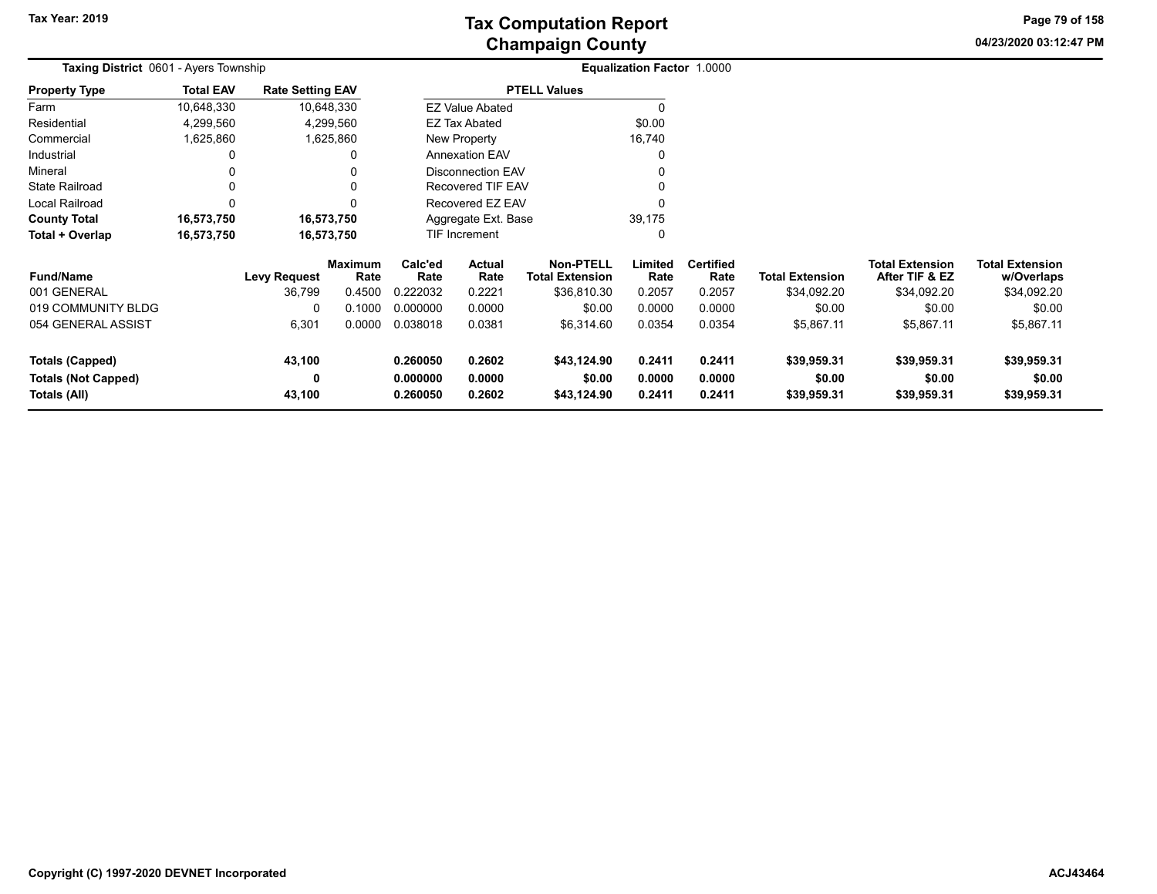**04/23/2020 03:12:47 PM Page 79 of 158**

| <b>Taxing District</b> 0601 - Ayers Township |                  |                         |                        |                      |                          |                                            | Equalization Factor 1.0000 |                          |                        |                                          |                                      |
|----------------------------------------------|------------------|-------------------------|------------------------|----------------------|--------------------------|--------------------------------------------|----------------------------|--------------------------|------------------------|------------------------------------------|--------------------------------------|
| <b>Property Type</b>                         | <b>Total EAV</b> | <b>Rate Setting EAV</b> |                        |                      |                          | <b>PTELL Values</b>                        |                            |                          |                        |                                          |                                      |
| Farm                                         | 10,648,330       |                         | 10,648,330             |                      | <b>EZ Value Abated</b>   |                                            |                            |                          |                        |                                          |                                      |
| Residential                                  | 4,299,560        |                         | 4,299,560              |                      | <b>EZ Tax Abated</b>     |                                            | \$0.00                     |                          |                        |                                          |                                      |
| Commercial                                   | 1,625,860        |                         | 1,625,860              |                      | New Property             |                                            | 16,740                     |                          |                        |                                          |                                      |
| Industrial                                   |                  |                         | 0                      |                      | <b>Annexation EAV</b>    |                                            |                            |                          |                        |                                          |                                      |
| Mineral                                      |                  |                         |                        |                      | <b>Disconnection EAV</b> |                                            |                            |                          |                        |                                          |                                      |
| <b>State Railroad</b>                        |                  |                         | 0                      |                      | Recovered TIF EAV        |                                            |                            |                          |                        |                                          |                                      |
| Local Railroad                               |                  |                         | 0                      |                      | Recovered EZ EAV         |                                            |                            |                          |                        |                                          |                                      |
| <b>County Total</b>                          | 16,573,750       |                         | 16,573,750             |                      | Aggregate Ext. Base      |                                            | 39,175                     |                          |                        |                                          |                                      |
| Total + Overlap                              | 16,573,750       | 16,573,750              |                        |                      | TIF Increment            |                                            | 0                          |                          |                        |                                          |                                      |
| <b>Fund/Name</b>                             |                  | Levy Request            | <b>Maximum</b><br>Rate | Calc'ed<br>Rate      | Actual<br>Rate           | <b>Non-PTELL</b><br><b>Total Extension</b> | Limited<br>Rate            | <b>Certified</b><br>Rate | <b>Total Extension</b> | <b>Total Extension</b><br>After TIF & EZ | <b>Total Extension</b><br>w/Overlaps |
| 001 GENERAL                                  |                  | 36,799                  | 0.4500                 | 0.222032             | 0.2221                   | \$36,810.30                                | 0.2057                     | 0.2057                   | \$34,092.20            | \$34,092.20                              | \$34,092.20                          |
| 019 COMMUNITY BLDG                           |                  |                         | 0.1000                 | 0.000000             | 0.0000                   | \$0.00                                     | 0.0000                     | 0.0000                   | \$0.00                 | \$0.00                                   | \$0.00                               |
| 054 GENERAL ASSIST                           |                  | 6,301                   | 0.0000                 | 0.038018             | 0.0381                   | \$6,314.60                                 | 0.0354                     | 0.0354                   | \$5,867.11             | \$5,867.11                               | \$5,867.11                           |
| Totals (Capped)                              |                  | 43,100                  |                        | 0.260050             | 0.2602                   | \$43,124.90                                | 0.2411                     | 0.2411                   | \$39,959.31            | \$39,959.31                              | \$39,959.31                          |
| Totals (Not Capped)<br>Totals (All)          |                  | 0<br>43,100             |                        | 0.000000<br>0.260050 | 0.0000<br>0.2602         | \$0.00<br>\$43,124.90                      | 0.0000<br>0.2411           | 0.0000<br>0.2411         | \$0.00<br>\$39,959.31  | \$0.00<br>\$39,959.31                    | \$0.00<br>\$39,959.31                |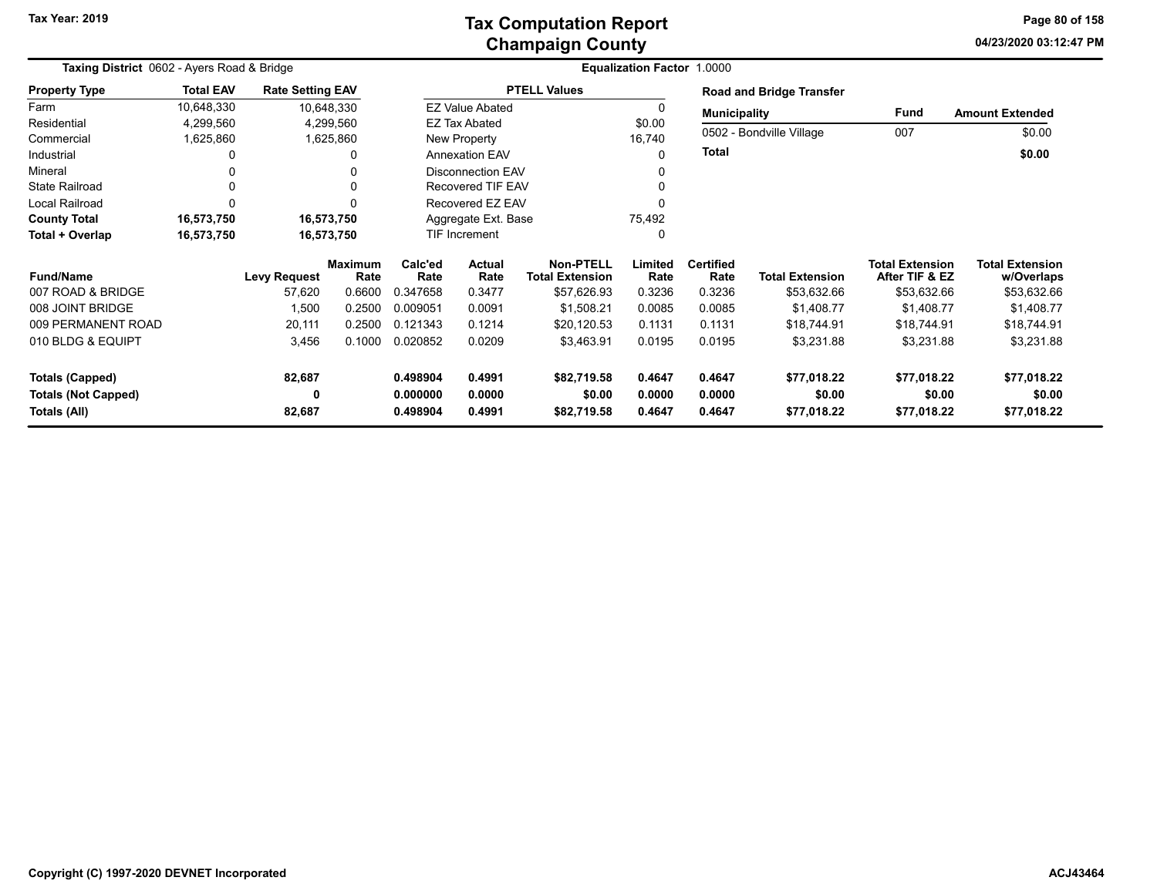### **Champaign County Tax Computation Report**

**04/23/2020 03:12:47 PM Page 80 of 158**

| Taxing District 0602 - Ayers Road & Bridge |                  |                         |                        |                 | Equalization Factor 1.0000 |                                            |                 |                          |                                 |                                          |                                      |
|--------------------------------------------|------------------|-------------------------|------------------------|-----------------|----------------------------|--------------------------------------------|-----------------|--------------------------|---------------------------------|------------------------------------------|--------------------------------------|
| <b>Property Type</b>                       | <b>Total EAV</b> | <b>Rate Setting EAV</b> |                        |                 |                            | <b>PTELL Values</b>                        |                 |                          | <b>Road and Bridge Transfer</b> |                                          |                                      |
| Farm                                       | 10,648,330       | 10,648,330              |                        |                 | <b>EZ Value Abated</b>     |                                            |                 | <b>Municipality</b>      |                                 | Fund                                     | <b>Amount Extended</b>               |
| Residential                                | 4,299,560        | 4,299,560               |                        |                 | <b>EZ Tax Abated</b>       |                                            | \$0.00          |                          |                                 |                                          |                                      |
| Commercial                                 | 1,625,860        | 1,625,860               |                        |                 | New Property               |                                            | 16,740          |                          | 0502 - Bondville Village        | 007                                      | \$0.00                               |
| Industrial                                 | 0                |                         | 0                      |                 | <b>Annexation EAV</b>      |                                            |                 | <b>Total</b>             |                                 |                                          | \$0.00                               |
| Mineral                                    | $\Omega$         |                         | $\Omega$               |                 | Disconnection EAV          |                                            |                 |                          |                                 |                                          |                                      |
| <b>State Railroad</b>                      | $\Omega$         |                         | $\Omega$               |                 | <b>Recovered TIF EAV</b>   |                                            |                 |                          |                                 |                                          |                                      |
| Local Railroad                             | $\Omega$         |                         | $\Omega$               |                 | Recovered EZ EAV           |                                            |                 |                          |                                 |                                          |                                      |
| <b>County Total</b>                        | 16,573,750       | 16,573,750              |                        |                 | Aggregate Ext. Base        |                                            | 75,492          |                          |                                 |                                          |                                      |
| Total + Overlap                            | 16,573,750       | 16,573,750              |                        |                 | TIF Increment              |                                            | $\Omega$        |                          |                                 |                                          |                                      |
| <b>Fund/Name</b>                           |                  | <b>Levy Request</b>     | <b>Maximum</b><br>Rate | Calc'ed<br>Rate | Actual<br>Rate             | <b>Non-PTELL</b><br><b>Total Extension</b> | Limited<br>Rate | <b>Certified</b><br>Rate | <b>Total Extension</b>          | <b>Total Extension</b><br>After TIF & EZ | <b>Total Extension</b><br>w/Overlaps |
| 007 ROAD & BRIDGE                          |                  | 57,620                  | 0.6600                 | 0.347658        | 0.3477                     | \$57,626.93                                | 0.3236          | 0.3236                   | \$53,632.66                     | \$53,632.66                              | \$53,632.66                          |
| 008 JOINT BRIDGE                           |                  | 1,500                   | 0.2500                 | 0.009051        | 0.0091                     | \$1,508.21                                 | 0.0085          | 0.0085                   | \$1,408.77                      | \$1,408.77                               | \$1,408.77                           |
| 009 PERMANENT ROAD                         |                  | 20,111                  | 0.2500                 | 0.121343        | 0.1214                     | \$20,120.53                                | 0.1131          | 0.1131                   | \$18,744.91                     | \$18,744.91                              | \$18,744.91                          |
| 010 BLDG & EQUIPT                          |                  | 3,456                   | 0.1000                 | 0.020852        | 0.0209                     | \$3,463.91                                 | 0.0195          | 0.0195                   | \$3,231.88                      | \$3,231.88                               | \$3,231.88                           |
| <b>Totals (Capped)</b>                     |                  | 82,687                  |                        | 0.498904        | 0.4991                     | \$82,719.58                                | 0.4647          | 0.4647                   | \$77,018.22                     | \$77,018.22                              | \$77,018.22                          |
| <b>Totals (Not Capped)</b>                 |                  | 0                       |                        | 0.000000        | 0.0000                     | \$0.00                                     | 0.0000          | 0.0000                   | \$0.00                          | \$0.00                                   | \$0.00                               |
| Totals (All)                               |                  | 82,687                  |                        | 0.498904        | 0.4991                     | \$82,719.58                                | 0.4647          | 0.4647                   | \$77,018.22                     | \$77,018.22                              | \$77,018.22                          |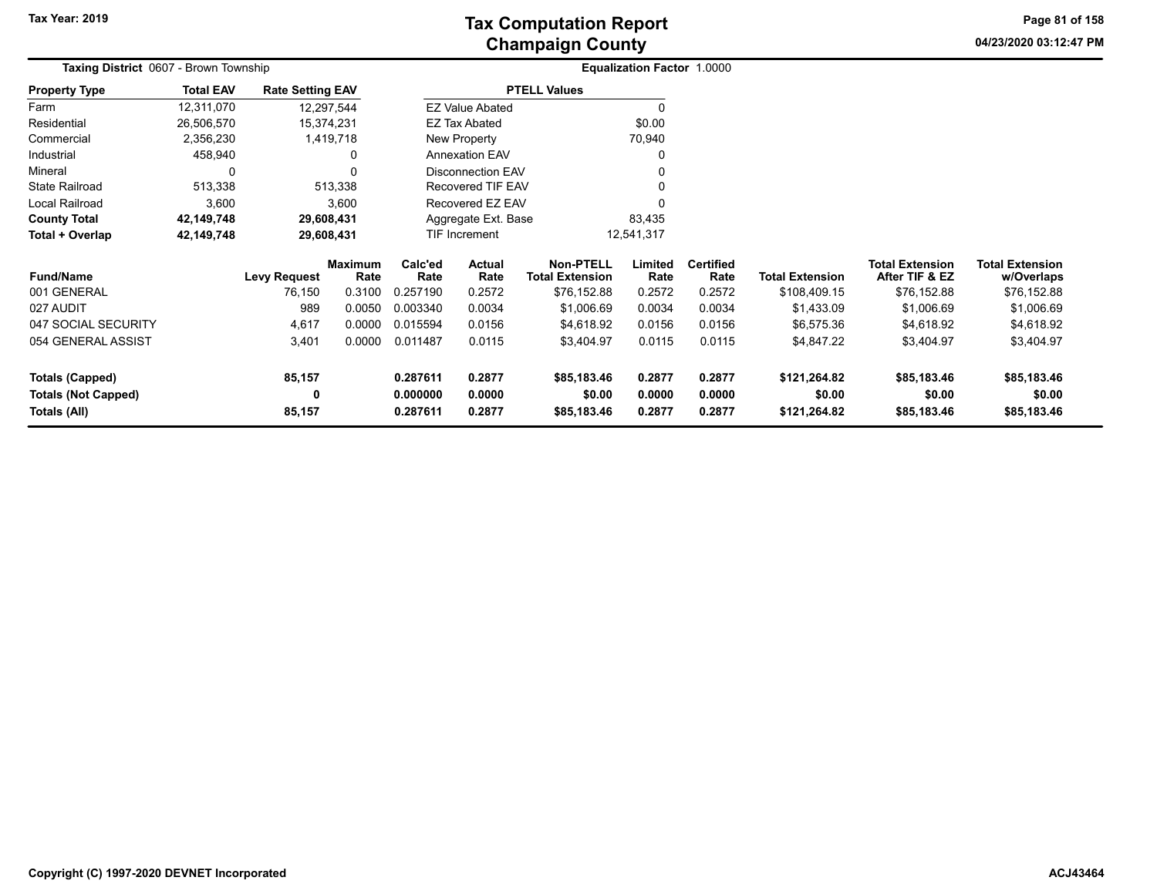**04/23/2020 03:12:47 PM Page 81 of 158**

| <b>Taxing District 0607 - Brown Township</b> |                  |                         |                 |                 |                               |                                            | <b>Equalization Factor 1.0000</b> |                          |                        |                                          |                                      |
|----------------------------------------------|------------------|-------------------------|-----------------|-----------------|-------------------------------|--------------------------------------------|-----------------------------------|--------------------------|------------------------|------------------------------------------|--------------------------------------|
| <b>Property Type</b>                         | <b>Total EAV</b> | <b>Rate Setting EAV</b> |                 |                 |                               | <b>PTELL Values</b>                        |                                   |                          |                        |                                          |                                      |
| Farm                                         | 12,311,070       | 12,297,544              |                 |                 | <b>EZ Value Abated</b>        |                                            | $\Omega$                          |                          |                        |                                          |                                      |
| Residential                                  | 26,506,570       | 15,374,231              |                 |                 | EZ Tax Abated                 |                                            | \$0.00                            |                          |                        |                                          |                                      |
| Commercial                                   | 2,356,230        |                         | 1,419,718       |                 | New Property                  |                                            | 70,940                            |                          |                        |                                          |                                      |
| Industrial                                   | 458,940          |                         | 0               |                 | <b>Annexation EAV</b>         |                                            | 0                                 |                          |                        |                                          |                                      |
| Mineral                                      | 0                |                         |                 |                 | <b>Disconnection EAV</b>      |                                            |                                   |                          |                        |                                          |                                      |
| <b>State Railroad</b>                        | 513,338          |                         | 513,338         |                 | Recovered TIF EAV             |                                            |                                   |                          |                        |                                          |                                      |
| Local Railroad                               | 3,600            |                         | 3,600           |                 | Recovered EZ EAV              |                                            |                                   |                          |                        |                                          |                                      |
| <b>County Total</b>                          | 42,149,748       | 29,608,431              |                 |                 | 83,435<br>Aggregate Ext. Base |                                            |                                   |                          |                        |                                          |                                      |
| Total + Overlap                              | 42,149,748       | 29,608,431              |                 |                 | 12,541,317<br>TIF Increment   |                                            |                                   |                          |                        |                                          |                                      |
| <b>Fund/Name</b>                             |                  | Levy Request            | Maximum<br>Rate | Calc'ed<br>Rate | Actual<br>Rate                | <b>Non-PTELL</b><br><b>Total Extension</b> | Limited<br>Rate                   | <b>Certified</b><br>Rate | <b>Total Extension</b> | <b>Total Extension</b><br>After TIF & EZ | <b>Total Extension</b><br>w/Overlaps |
| 001 GENERAL                                  |                  | 76,150                  | 0.3100          | 0.257190        | 0.2572                        | \$76,152.88                                | 0.2572                            | 0.2572                   | \$108,409.15           | \$76,152.88                              | \$76,152.88                          |
| 027 AUDIT                                    |                  | 989                     | 0.0050          | 0.003340        | 0.0034                        | \$1,006.69                                 | 0.0034                            | 0.0034                   | \$1,433.09             | \$1,006.69                               | \$1,006.69                           |
| 047 SOCIAL SECURITY                          |                  | 4,617                   | 0.0000          | 0.015594        | 0.0156                        | \$4,618.92                                 | 0.0156                            | 0.0156                   | \$6,575.36             | \$4,618.92                               | \$4,618.92                           |
| 054 GENERAL ASSIST                           |                  | 3,401                   | 0.0000          | 0.011487        | 0.0115                        | \$3,404.97                                 | 0.0115                            | 0.0115                   | \$4,847.22             | \$3,404.97                               | \$3,404.97                           |
| Totals (Capped)                              |                  | 85,157                  |                 | 0.287611        | 0.2877                        | \$85,183.46                                | 0.2877                            | 0.2877                   | \$121,264.82           | \$85,183.46                              | \$85,183.46                          |
| <b>Totals (Not Capped)</b>                   |                  |                         |                 | 0.000000        | 0.0000                        | \$0.00                                     | 0.0000                            | 0.0000                   | \$0.00                 | \$0.00                                   | \$0.00                               |
| Totals (All)                                 |                  | 85,157                  |                 | 0.287611        | 0.2877                        | \$85,183.46                                | 0.2877                            | 0.2877                   | \$121,264.82           | \$85,183.46                              | \$85,183.46                          |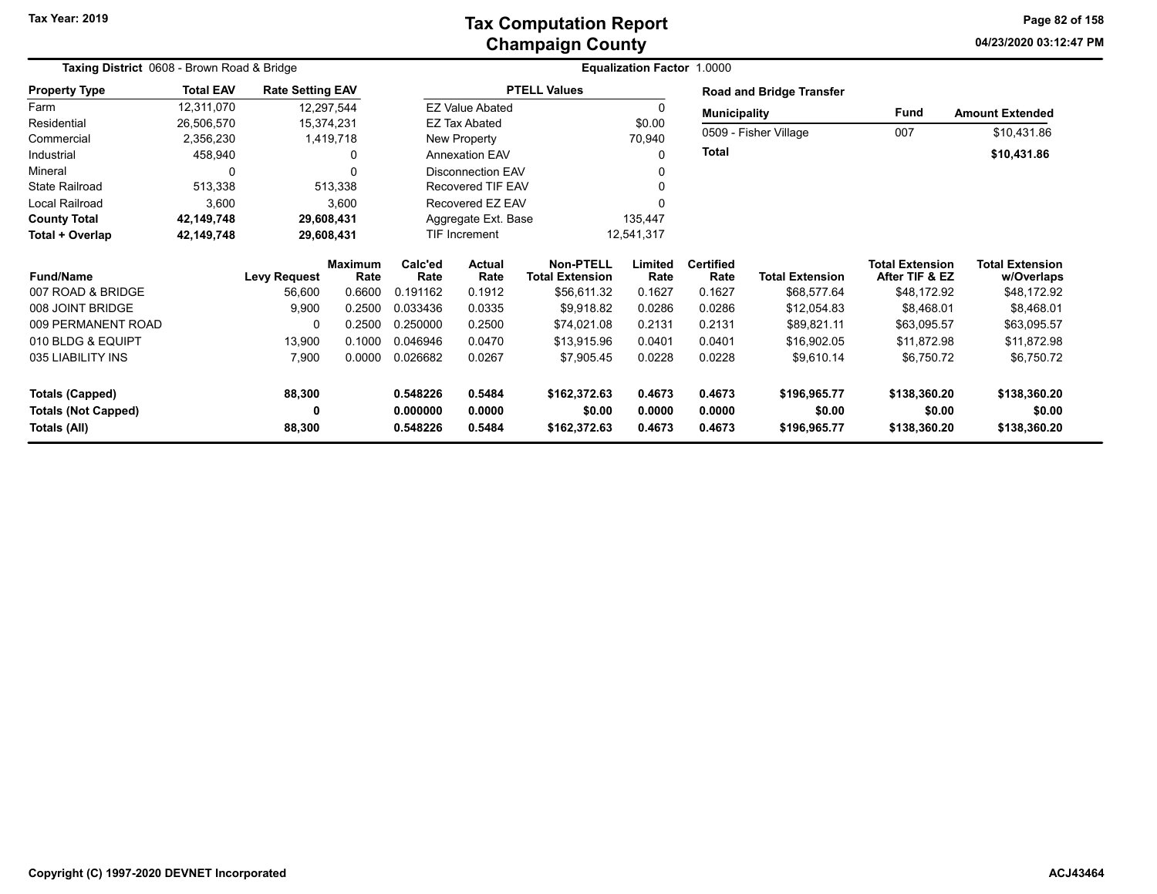**04/23/2020 03:12:47 PM Page 82 of 158**

| Taxing District 0608 - Brown Road & Bridge |                  |                         |                        |                 | Equalization Factor 1.0000 |                                            |                 |                          |                                 |                                   |                                      |  |  |
|--------------------------------------------|------------------|-------------------------|------------------------|-----------------|----------------------------|--------------------------------------------|-----------------|--------------------------|---------------------------------|-----------------------------------|--------------------------------------|--|--|
| <b>Property Type</b>                       | <b>Total EAV</b> | <b>Rate Setting EAV</b> |                        |                 |                            | <b>PTELL Values</b>                        |                 |                          | <b>Road and Bridge Transfer</b> |                                   |                                      |  |  |
| Farm                                       | 12,311,070       |                         | 12,297,544             |                 | <b>EZ Value Abated</b>     |                                            | $\Omega$        | <b>Municipality</b>      |                                 | Fund                              | <b>Amount Extended</b>               |  |  |
| Residential                                | 26,506,570       |                         | 15,374,231             |                 | EZ Tax Abated              |                                            | \$0.00          |                          |                                 |                                   |                                      |  |  |
| Commercial                                 | 2,356,230        |                         | 1,419,718              |                 | New Property               |                                            | 70,940          | 0509 - Fisher Village    |                                 | 007                               | \$10,431.86                          |  |  |
| Industrial                                 | 458,940          |                         | 0                      |                 | <b>Annexation EAV</b>      |                                            | $\Omega$        | <b>Total</b>             |                                 |                                   | \$10,431.86                          |  |  |
| Mineral                                    | 0                |                         | 0                      |                 | <b>Disconnection EAV</b>   |                                            |                 |                          |                                 |                                   |                                      |  |  |
| <b>State Railroad</b>                      | 513,338          |                         | 513,338                |                 | <b>Recovered TIF EAV</b>   |                                            |                 |                          |                                 |                                   |                                      |  |  |
| Local Railroad                             | 3,600            |                         | 3,600                  |                 | Recovered EZ EAV           |                                            |                 |                          |                                 |                                   |                                      |  |  |
| <b>County Total</b>                        | 42,149,748       |                         | 29,608,431             |                 | Aggregate Ext. Base        |                                            | 135,447         |                          |                                 |                                   |                                      |  |  |
| Total + Overlap                            | 42,149,748       |                         | 29,608,431             | TIF Increment   |                            |                                            | 12,541,317      |                          |                                 |                                   |                                      |  |  |
| <b>Fund/Name</b>                           |                  | <b>Levy Request</b>     | <b>Maximum</b><br>Rate | Calc'ed<br>Rate | <b>Actual</b><br>Rate      | <b>Non-PTELL</b><br><b>Total Extension</b> | Limited<br>Rate | <b>Certified</b><br>Rate | <b>Total Extension</b>          | Total Extension<br>After TIF & EZ | <b>Total Extension</b><br>w/Overlaps |  |  |
| 007 ROAD & BRIDGE                          |                  | 56,600                  | 0.6600                 | 0.191162        | 0.1912                     | \$56,611.32                                | 0.1627          | 0.1627                   | \$68,577.64                     | \$48,172.92                       | \$48,172.92                          |  |  |
| 008 JOINT BRIDGE                           |                  | 9,900                   | 0.2500                 | 0.033436        | 0.0335                     | \$9,918.82                                 | 0.0286          | 0.0286                   | \$12,054.83                     | \$8,468.01                        | \$8,468.01                           |  |  |
| 009 PERMANENT ROAD                         |                  | 0                       | 0.2500                 | 0.250000        | 0.2500                     | \$74,021.08                                | 0.2131          | 0.2131                   | \$89,821.11                     | \$63,095.57                       | \$63,095.57                          |  |  |
| 010 BLDG & EQUIPT                          |                  | 13,900                  | 0.1000                 | 0.046946        | 0.0470                     | \$13,915.96                                | 0.0401          | 0.0401                   | \$16,902.05                     | \$11,872.98                       | \$11,872.98                          |  |  |
| 035 LIABILITY INS                          |                  | 7,900                   | 0.0000                 | 0.026682        | 0.0267                     | \$7,905.45                                 | 0.0228          | 0.0228                   | \$9,610.14                      | \$6,750.72                        | \$6,750.72                           |  |  |
| <b>Totals (Capped)</b>                     |                  | 88,300                  |                        | 0.548226        | 0.5484                     | \$162,372.63                               | 0.4673          | 0.4673                   | \$196,965.77                    | \$138,360.20                      | \$138,360.20                         |  |  |
| <b>Totals (Not Capped)</b>                 |                  | 0                       |                        | 0.000000        | 0.0000                     | \$0.00                                     | 0.0000          | 0.0000                   | \$0.00                          | \$0.00                            | \$0.00                               |  |  |
| Totals (All)                               |                  | 88,300                  |                        | 0.548226        | 0.5484                     | \$162,372.63                               | 0.4673          | 0.4673                   | \$196,965.77                    | \$138,360.20                      | \$138,360.20                         |  |  |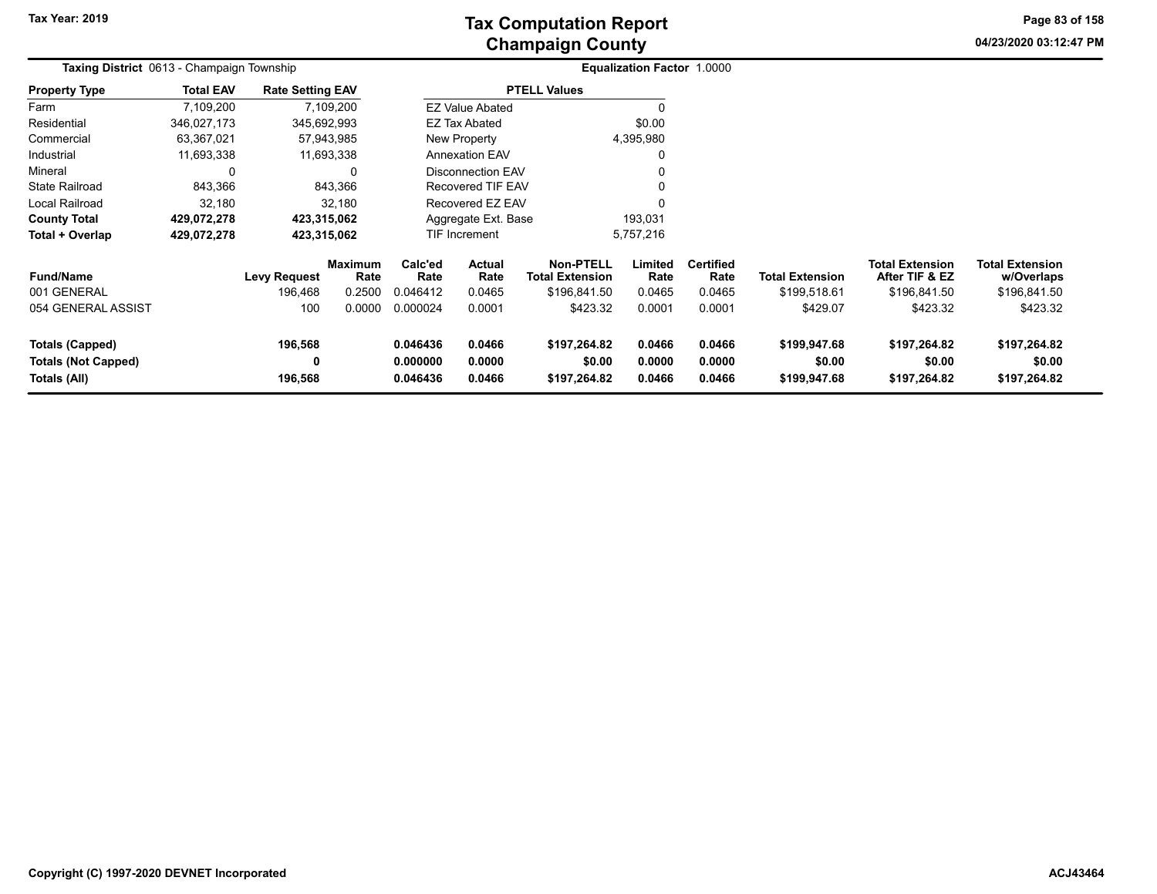## **Champaign County Tax Computation Report**

**04/23/2020 03:12:47 PMPage 83 of 158**

| Taxing District 0613 - Champaign Township                     |                  |                         |                        |                                  |                            |                                            | Equalization Factor 1.0000 |                            |                                        |                                          |                                        |  |
|---------------------------------------------------------------|------------------|-------------------------|------------------------|----------------------------------|----------------------------|--------------------------------------------|----------------------------|----------------------------|----------------------------------------|------------------------------------------|----------------------------------------|--|
| <b>Property Type</b>                                          | <b>Total EAV</b> | <b>Rate Setting EAV</b> |                        |                                  |                            | <b>PTELL Values</b>                        |                            |                            |                                        |                                          |                                        |  |
| Farm                                                          | 7,109,200        |                         | 7,109,200              |                                  | <b>EZ Value Abated</b>     |                                            |                            |                            |                                        |                                          |                                        |  |
| Residential                                                   | 346,027,173      | 345,692,993             |                        |                                  | <b>EZ Tax Abated</b>       |                                            | \$0.00                     |                            |                                        |                                          |                                        |  |
| Commercial                                                    | 63,367,021       |                         | 57,943,985             |                                  | New Property               |                                            | 4,395,980                  |                            |                                        |                                          |                                        |  |
| Industrial                                                    | 11,693,338       |                         | 11,693,338             |                                  | <b>Annexation EAV</b>      |                                            |                            |                            |                                        |                                          |                                        |  |
| Mineral                                                       | 0                |                         | 0                      |                                  | <b>Disconnection EAV</b>   |                                            |                            |                            |                                        |                                          |                                        |  |
| State Railroad                                                | 843,366          |                         | 843,366                |                                  | <b>Recovered TIF EAV</b>   |                                            |                            |                            |                                        |                                          |                                        |  |
| Local Railroad                                                | 32,180           |                         | 32,180                 |                                  | Recovered EZ EAV           |                                            |                            |                            |                                        |                                          |                                        |  |
| <b>County Total</b>                                           | 429,072,278      | 423,315,062             |                        |                                  | Aggregate Ext. Base        |                                            | 193,031                    |                            |                                        |                                          |                                        |  |
| Total + Overlap                                               | 429,072,278      | 423,315,062             |                        |                                  | <b>TIF Increment</b>       |                                            | 5,757,216                  |                            |                                        |                                          |                                        |  |
| <b>Fund/Name</b>                                              |                  | <b>Levy Request</b>     | <b>Maximum</b><br>Rate | Calc'ed<br>Rate                  | Actual<br>Rate             | <b>Non-PTELL</b><br><b>Total Extension</b> | Limited<br>Rate            | <b>Certified</b><br>Rate   | <b>Total Extension</b>                 | <b>Total Extension</b><br>After TIF & EZ | <b>Total Extension</b><br>w/Overlaps   |  |
| 001 GENERAL                                                   |                  | 196,468                 | 0.2500                 | 0.046412                         | 0.0465                     | \$196,841.50                               | 0.0465                     | 0.0465                     | \$199,518.61                           | \$196,841.50                             | \$196,841.50                           |  |
| 054 GENERAL ASSIST                                            |                  | 100                     | 0.0000                 | 0.000024                         | 0.0001                     | \$423.32                                   | 0.0001                     | 0.0001                     | \$429.07                               | \$423.32                                 | \$423.32                               |  |
| Totals (Capped)<br><b>Totals (Not Capped)</b><br>Totals (All) |                  | 196,568<br>0<br>196,568 |                        | 0.046436<br>0.000000<br>0.046436 | 0.0466<br>0.0000<br>0.0466 | \$197,264.82<br>\$0.00<br>\$197,264.82     | 0.0466<br>0.0000<br>0.0466 | 0.0466<br>0.0000<br>0.0466 | \$199,947.68<br>\$0.00<br>\$199,947.68 | \$197,264.82<br>\$0.00<br>\$197,264.82   | \$197,264.82<br>\$0.00<br>\$197,264.82 |  |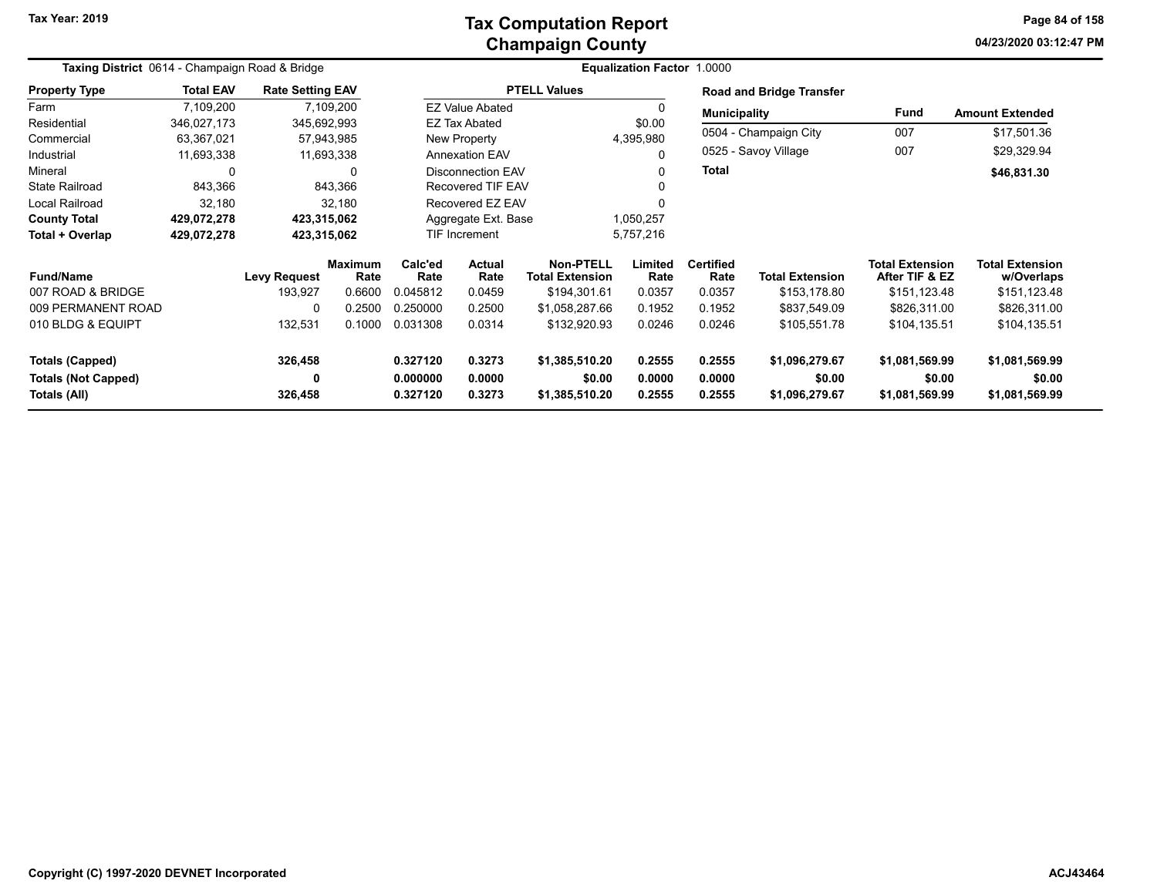### **Champaign County Tax Computation Report**

**04/23/2020 03:12:47 PMPage 84 of 158**

| Taxing District 0614 - Champaign Road & Bridge |                  |                         |                        |                 |                          | <b>Equalization Factor 1.0000</b>          |                 |                          |                          |                                          |                                      |
|------------------------------------------------|------------------|-------------------------|------------------------|-----------------|--------------------------|--------------------------------------------|-----------------|--------------------------|--------------------------|------------------------------------------|--------------------------------------|
| <b>Property Type</b>                           | <b>Total EAV</b> | <b>Rate Setting EAV</b> |                        |                 |                          | <b>PTELL Values</b>                        |                 |                          | Road and Bridge Transfer |                                          |                                      |
| Farm                                           | 7,109,200        |                         | 7,109,200              |                 | <b>EZ Value Abated</b>   |                                            |                 | <b>Municipality</b>      |                          | Fund                                     | <b>Amount Extended</b>               |
| Residential                                    | 346,027,173      |                         | 345,692,993            |                 | EZ Tax Abated            |                                            |                 |                          |                          |                                          |                                      |
| Commercial                                     | 63,367,021       |                         | 57,943,985             |                 | New Property             |                                            | 4,395,980       |                          | 0504 - Champaign City    | 007                                      | \$17,501.36                          |
| Industrial                                     | 11,693,338       |                         | 11,693,338             |                 | <b>Annexation EAV</b>    |                                            |                 |                          | 0525 - Savoy Village     | 007                                      | \$29,329.94                          |
| Mineral                                        | 0                |                         | $\Omega$               |                 | <b>Disconnection EAV</b> |                                            |                 | Total                    |                          |                                          | \$46,831.30                          |
| <b>State Railroad</b>                          | 843,366          |                         | 843,366                |                 | <b>Recovered TIF EAV</b> |                                            |                 |                          |                          |                                          |                                      |
| Local Railroad                                 | 32,180           |                         | 32,180                 |                 | Recovered EZ EAV         |                                            |                 |                          |                          |                                          |                                      |
| <b>County Total</b>                            | 429,072,278      |                         | 423,315,062            |                 | Aggregate Ext. Base      |                                            | 1,050,257       |                          |                          |                                          |                                      |
| Total + Overlap                                | 429,072,278      |                         | 423,315,062            |                 | <b>TIF Increment</b>     |                                            | 5,757,216       |                          |                          |                                          |                                      |
| <b>Fund/Name</b>                               |                  | <b>Levy Request</b>     | <b>Maximum</b><br>Rate | Calc'ed<br>Rate | Actual<br>Rate           | <b>Non-PTELL</b><br><b>Total Extension</b> | Limited<br>Rate | <b>Certified</b><br>Rate | <b>Total Extension</b>   | <b>Total Extension</b><br>After TIF & EZ | <b>Total Extension</b><br>w/Overlaps |
| 007 ROAD & BRIDGE                              |                  | 193,927                 | 0.6600                 | 0.045812        | 0.0459                   | \$194,301.61                               | 0.0357          | 0.0357                   | \$153,178.80             | \$151,123.48                             | \$151,123.48                         |
| 009 PERMANENT ROAD                             |                  | 0                       | 0.2500                 | 0.250000        | 0.2500                   | \$1,058,287.66                             | 0.1952          | 0.1952                   | \$837,549.09             | \$826,311.00                             | \$826,311.00                         |
| 010 BLDG & EQUIPT                              |                  | 132,531                 | 0.1000                 | 0.031308        | 0.0314                   | \$132,920.93                               | 0.0246          | 0.0246                   | \$105,551.78             | \$104,135.51                             | \$104,135.51                         |
| <b>Totals (Capped)</b>                         |                  | 326,458                 |                        | 0.327120        | 0.3273                   | \$1,385,510.20                             | 0.2555          | 0.2555                   | \$1,096,279.67           | \$1,081,569.99                           | \$1,081,569.99                       |
| <b>Totals (Not Capped)</b>                     |                  | 0                       |                        | 0.000000        | 0.0000                   | \$0.00                                     | 0.0000          | 0.0000                   | \$0.00                   | \$0.00                                   | \$0.00                               |
| Totals (All)                                   |                  | 326,458                 |                        | 0.327120        | 0.3273                   | \$1,385,510.20                             | 0.2555          | 0.2555                   | \$1,096,279.67           | \$1,081,569.99                           | \$1,081,569.99                       |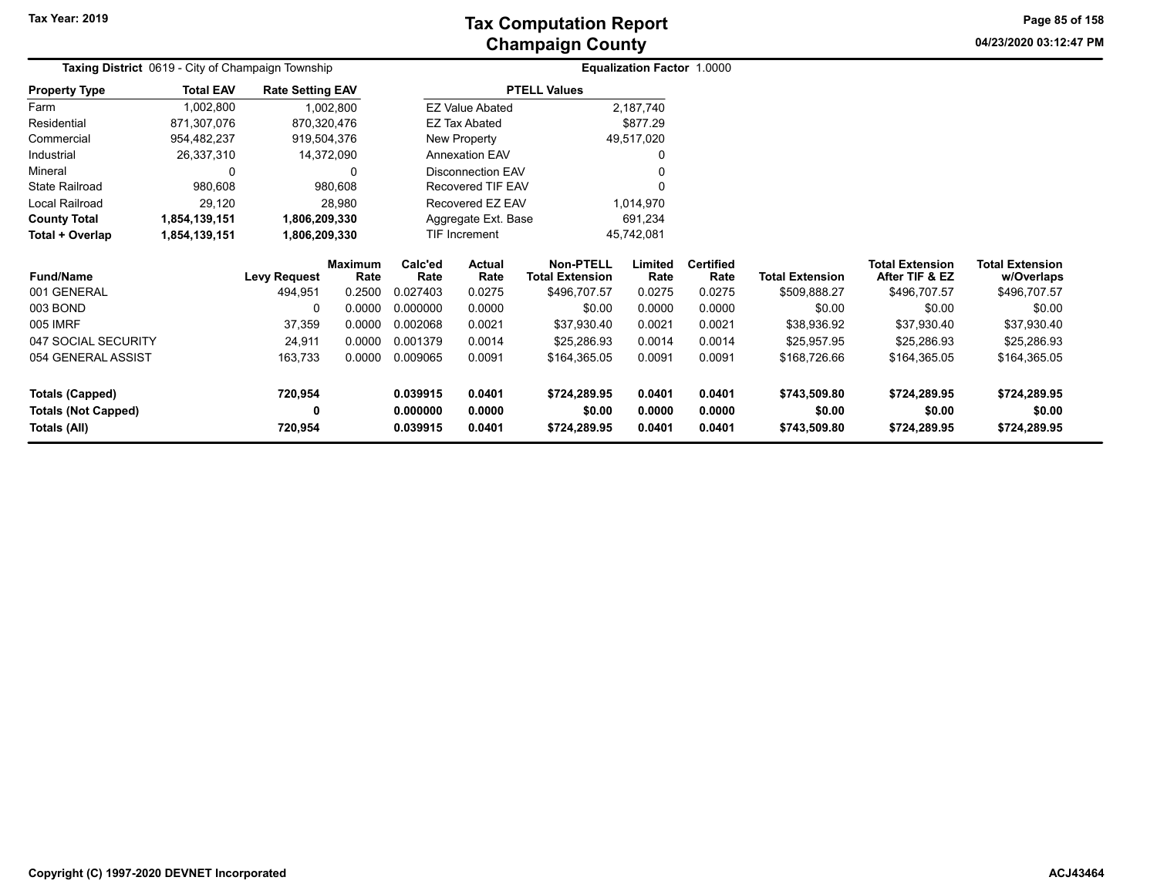**04/23/2020 03:12:47 PM Page 85 of 158**

| <b>Taxing District</b> 0619 - City of Champaign Township |                  |                         |                        | Equalization Factor 1.0000 |                          |                                            |                 |                          |                        |                                          |                                      |
|----------------------------------------------------------|------------------|-------------------------|------------------------|----------------------------|--------------------------|--------------------------------------------|-----------------|--------------------------|------------------------|------------------------------------------|--------------------------------------|
| <b>Property Type</b>                                     | <b>Total EAV</b> | <b>Rate Setting EAV</b> |                        |                            |                          | <b>PTELL Values</b>                        |                 |                          |                        |                                          |                                      |
| Farm                                                     | 1,002,800        |                         | 1,002,800              |                            | <b>EZ Value Abated</b>   |                                            | 2,187,740       |                          |                        |                                          |                                      |
| Residential                                              | 871,307,076      | 870,320,476             |                        |                            | EZ Tax Abated            |                                            | \$877.29        |                          |                        |                                          |                                      |
| Commercial                                               | 954,482,237      | 919,504,376             |                        | New Property               |                          |                                            | 49,517,020      |                          |                        |                                          |                                      |
| Industrial                                               | 26,337,310       | 14,372,090              |                        | <b>Annexation EAV</b>      |                          |                                            | 0               |                          |                        |                                          |                                      |
| Mineral                                                  | 0                |                         | 0                      |                            | <b>Disconnection EAV</b> |                                            |                 |                          |                        |                                          |                                      |
| <b>State Railroad</b>                                    | 980,608          |                         | 980,608                |                            | Recovered TIF EAV        |                                            |                 |                          |                        |                                          |                                      |
| Local Railroad                                           | 29,120           |                         | 28,980                 | Recovered EZ EAV           |                          |                                            | 1,014,970       |                          |                        |                                          |                                      |
| <b>County Total</b>                                      | 1,854,139,151    | 1,806,209,330           |                        | Aggregate Ext. Base        |                          |                                            | 691,234         |                          |                        |                                          |                                      |
| Total + Overlap                                          | 1,854,139,151    | 1,806,209,330           |                        | TIF Increment              |                          |                                            | 45,742,081      |                          |                        |                                          |                                      |
| <b>Fund/Name</b>                                         |                  | <b>Levy Request</b>     | <b>Maximum</b><br>Rate | Calc'ed<br>Rate            | Actual<br>Rate           | <b>Non-PTELL</b><br><b>Total Extension</b> | Limited<br>Rate | <b>Certified</b><br>Rate | <b>Total Extension</b> | <b>Total Extension</b><br>After TIF & EZ | <b>Total Extension</b><br>w/Overlaps |
| 001 GENERAL                                              |                  | 494,951                 | 0.2500                 | 0.027403                   | 0.0275                   | \$496,707.57                               | 0.0275          | 0.0275                   | \$509,888.27           | \$496,707.57                             | \$496,707.57                         |
| 003 BOND                                                 |                  | 0                       | 0.0000                 | 0.000000                   | 0.0000                   | \$0.00                                     | 0.0000          | 0.0000                   | \$0.00                 | \$0.00                                   | \$0.00                               |
| 005 IMRF                                                 |                  | 37,359                  | 0.0000                 | 0.002068                   | 0.0021                   | \$37,930.40                                | 0.0021          | 0.0021                   | \$38,936.92            | \$37,930.40                              | \$37,930.40                          |
| 047 SOCIAL SECURITY                                      |                  | 24,911                  | 0.0000                 | 0.001379                   | 0.0014                   | \$25,286.93                                | 0.0014          | 0.0014                   | \$25,957.95            | \$25,286.93                              | \$25,286.93                          |
| 054 GENERAL ASSIST                                       |                  | 163,733                 | 0.0000                 | 0.009065                   | 0.0091                   | \$164,365.05                               | 0.0091          | 0.0091                   | \$168,726.66           | \$164,365.05                             | \$164,365.05                         |
| <b>Totals (Capped)</b>                                   |                  | 720,954                 |                        | 0.039915                   | 0.0401                   | \$724,289.95                               | 0.0401          | 0.0401                   | \$743,509.80           | \$724,289.95                             | \$724,289.95                         |
| <b>Totals (Not Capped)</b>                               |                  | 0                       |                        | 0.000000                   | 0.0000                   | \$0.00                                     | 0.0000          | 0.0000                   | \$0.00                 | \$0.00                                   | \$0.00                               |
| Totals (All)                                             |                  | 720,954                 |                        | 0.039915                   | 0.0401                   | \$724,289.95                               | 0.0401          | 0.0401                   | \$743,509.80           | \$724,289.95                             | \$724,289.95                         |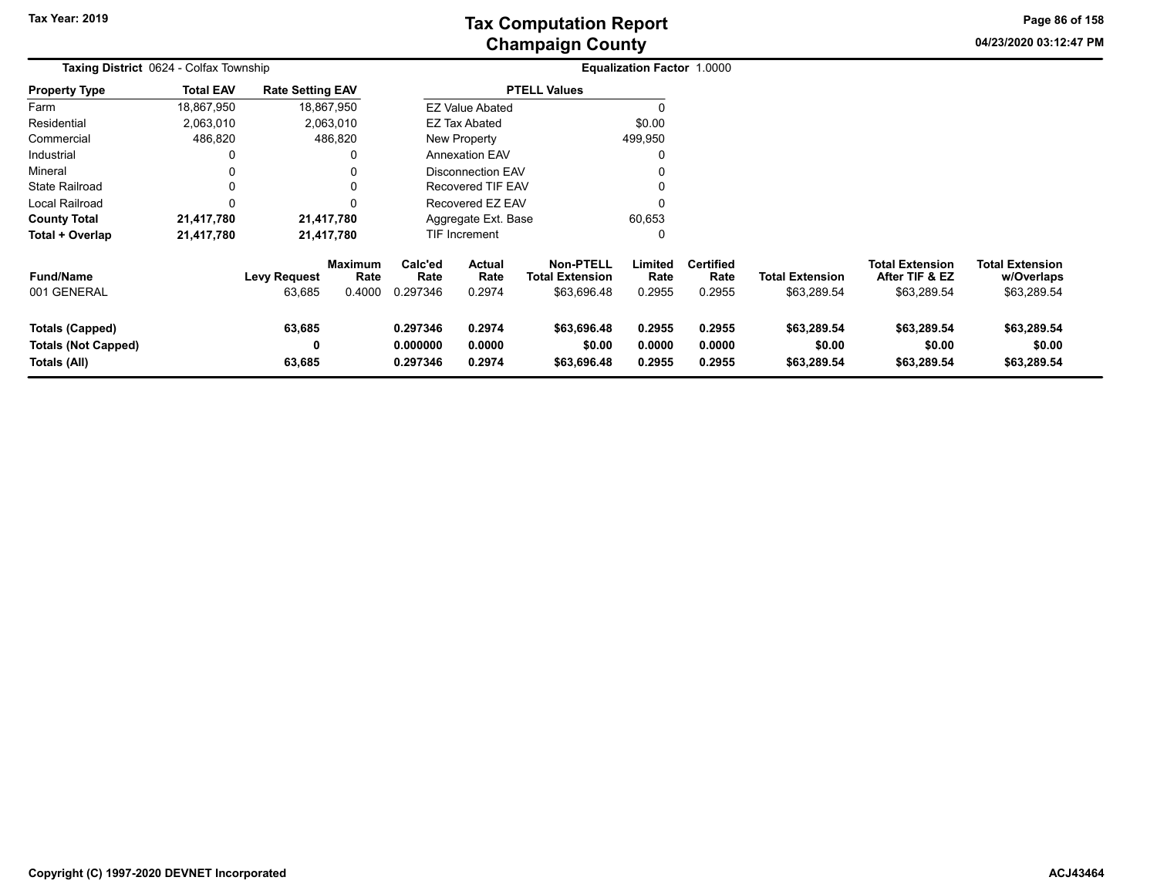## **Champaign County Tax Computation Report**

**04/23/2020 03:12:47 PMPage 86 of 158**

| Taxing District 0624 - Colfax Township                        |                  |                               |                                  |                                  | <b>Equalization Factor 1.0000</b> |                                                           |                            |                                    |                                       |                                                         |                                                     |  |
|---------------------------------------------------------------|------------------|-------------------------------|----------------------------------|----------------------------------|-----------------------------------|-----------------------------------------------------------|----------------------------|------------------------------------|---------------------------------------|---------------------------------------------------------|-----------------------------------------------------|--|
| <b>Property Type</b>                                          | <b>Total EAV</b> | <b>Rate Setting EAV</b>       |                                  |                                  |                                   | <b>PTELL Values</b>                                       |                            |                                    |                                       |                                                         |                                                     |  |
| Farm                                                          | 18,867,950       |                               | 18,867,950                       |                                  | <b>EZ Value Abated</b>            |                                                           |                            |                                    |                                       |                                                         |                                                     |  |
| Residential                                                   | 2,063,010        |                               | 2,063,010                        |                                  | <b>EZ Tax Abated</b>              |                                                           | \$0.00                     |                                    |                                       |                                                         |                                                     |  |
| Commercial                                                    | 486,820          |                               | 486,820                          |                                  | New Property                      |                                                           | 499,950                    |                                    |                                       |                                                         |                                                     |  |
| Industrial                                                    | 0                |                               |                                  |                                  | <b>Annexation EAV</b>             |                                                           |                            |                                    |                                       |                                                         |                                                     |  |
| Mineral                                                       | 0                |                               |                                  |                                  | Disconnection EAV                 |                                                           |                            |                                    |                                       |                                                         |                                                     |  |
| <b>State Railroad</b>                                         | 0                |                               |                                  |                                  | Recovered TIF EAV                 |                                                           | 0                          |                                    |                                       |                                                         |                                                     |  |
| <b>Local Railroad</b>                                         | $\Omega$         |                               |                                  |                                  | Recovered EZ EAV                  |                                                           | $\Omega$                   |                                    |                                       |                                                         |                                                     |  |
| <b>County Total</b>                                           | 21,417,780       |                               | 21,417,780                       |                                  | Aggregate Ext. Base               |                                                           | 60,653                     |                                    |                                       |                                                         |                                                     |  |
| Total + Overlap                                               | 21,417,780       |                               | 21,417,780                       |                                  | TIF Increment                     |                                                           | 0                          |                                    |                                       |                                                         |                                                     |  |
| <b>Fund/Name</b><br>001 GENERAL                               |                  | <b>Levy Request</b><br>63,685 | <b>Maximum</b><br>Rate<br>0.4000 | Calc'ed<br>Rate<br>0.297346      | <b>Actual</b><br>Rate<br>0.2974   | <b>Non-PTELL</b><br><b>Total Extension</b><br>\$63,696.48 | Limited<br>Rate<br>0.2955  | <b>Certified</b><br>Rate<br>0.2955 | <b>Total Extension</b><br>\$63,289.54 | <b>Total Extension</b><br>After TIF & EZ<br>\$63,289.54 | <b>Total Extension</b><br>w/Overlaps<br>\$63,289.54 |  |
| Totals (Capped)<br><b>Totals (Not Capped)</b><br>Totals (All) |                  | 63,685<br>0<br>63,685         |                                  | 0.297346<br>0.000000<br>0.297346 | 0.2974<br>0.0000<br>0.2974        | \$63,696.48<br>\$0.00<br>\$63,696.48                      | 0.2955<br>0.0000<br>0.2955 | 0.2955<br>0.0000<br>0.2955         | \$63,289.54<br>\$0.00<br>\$63,289.54  | \$63,289.54<br>\$0.00<br>\$63,289.54                    | \$63,289.54<br>\$0.00<br>\$63,289.54                |  |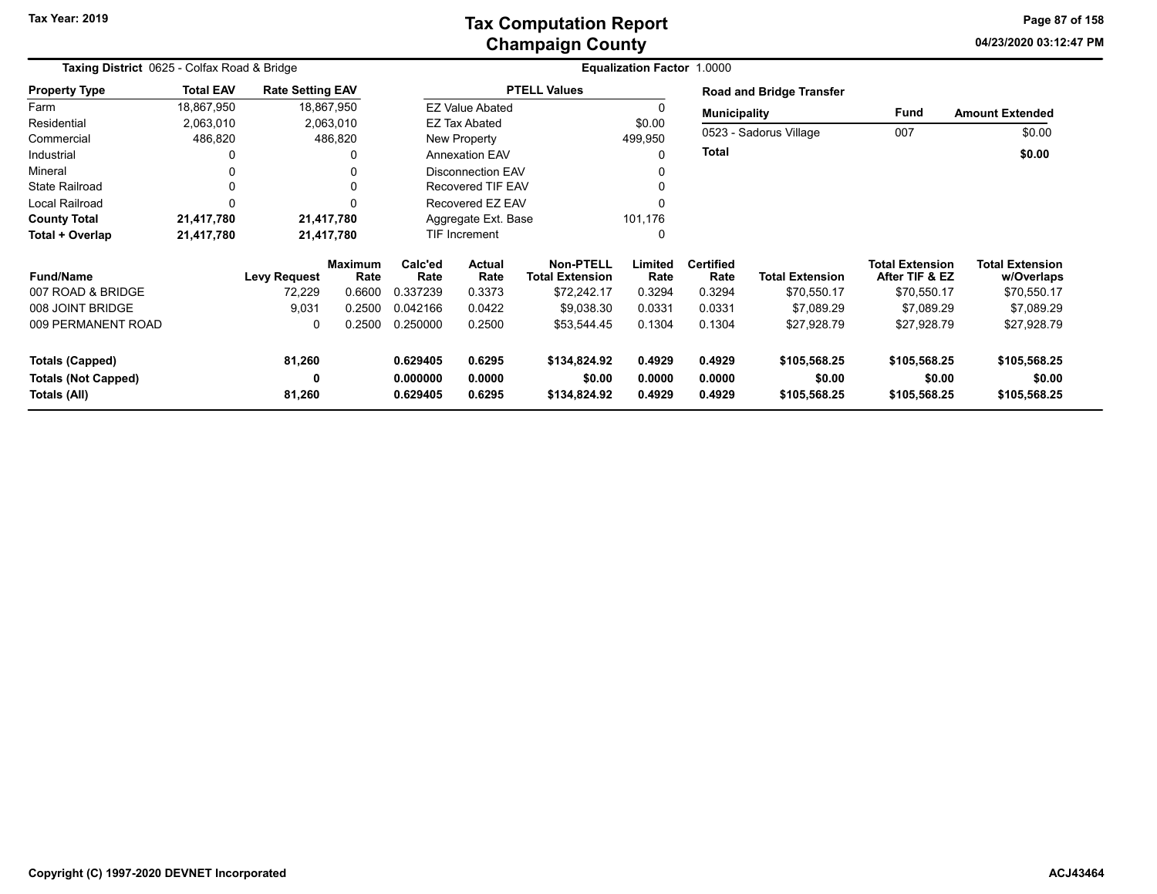### **Champaign County Tax Computation Report**

**04/23/2020 03:12:47 PMPage 87 of 158**

|                            | Taxing District 0625 - Colfax Road & Bridge |                         |                        |                 |                          |                                            | Equalization Factor 1.0000 |                          |                                 |                                          |                                      |
|----------------------------|---------------------------------------------|-------------------------|------------------------|-----------------|--------------------------|--------------------------------------------|----------------------------|--------------------------|---------------------------------|------------------------------------------|--------------------------------------|
| <b>Property Type</b>       | <b>Total EAV</b>                            | <b>Rate Setting EAV</b> |                        |                 |                          | <b>PTELL Values</b>                        |                            |                          | <b>Road and Bridge Transfer</b> |                                          |                                      |
| Farm                       | 18,867,950                                  |                         | 18,867,950             |                 | <b>EZ Value Abated</b>   |                                            |                            | <b>Municipality</b>      |                                 | Fund                                     | <b>Amount Extended</b>               |
| Residential                | 2,063,010                                   |                         | 2,063,010              |                 | EZ Tax Abated            |                                            | \$0.00                     |                          |                                 |                                          |                                      |
| Commercial                 | 486,820                                     |                         | 486,820                |                 | New Property             |                                            | 499,950                    |                          | 0523 - Sadorus Village          | 007                                      | \$0.00                               |
| Industrial                 |                                             |                         | 0                      |                 | <b>Annexation EAV</b>    |                                            |                            | <b>Total</b>             |                                 |                                          | \$0.00                               |
| Mineral                    |                                             |                         | 0                      |                 | <b>Disconnection EAV</b> |                                            |                            |                          |                                 |                                          |                                      |
| <b>State Railroad</b>      |                                             |                         | 0                      |                 | <b>Recovered TIF EAV</b> |                                            |                            |                          |                                 |                                          |                                      |
| <b>Local Railroad</b>      |                                             |                         | $\Omega$               |                 | Recovered EZ EAV         |                                            |                            |                          |                                 |                                          |                                      |
| <b>County Total</b>        | 21,417,780                                  |                         | 21,417,780             |                 | Aggregate Ext. Base      |                                            | 101,176                    |                          |                                 |                                          |                                      |
| Total + Overlap            | 21,417,780                                  |                         | 21,417,780             | TIF Increment   |                          |                                            | 0                          |                          |                                 |                                          |                                      |
| <b>Fund/Name</b>           |                                             | <b>Levy Request</b>     | <b>Maximum</b><br>Rate | Calc'ed<br>Rate | <b>Actual</b><br>Rate    | <b>Non-PTELL</b><br><b>Total Extension</b> | Limited<br>Rate            | <b>Certified</b><br>Rate | <b>Total Extension</b>          | <b>Total Extension</b><br>After TIF & EZ | <b>Total Extension</b><br>w/Overlaps |
| 007 ROAD & BRIDGE          |                                             | 72,229                  | 0.6600                 | 0.337239        | 0.3373                   | \$72,242.17                                | 0.3294                     | 0.3294                   | \$70,550.17                     | \$70,550.17                              | \$70,550.17                          |
| 008 JOINT BRIDGE           |                                             | 9,031                   | 0.2500                 | 0.042166        | 0.0422                   | \$9,038.30                                 | 0.0331                     | 0.0331                   | \$7,089.29                      | \$7,089.29                               | \$7,089.29                           |
| 009 PERMANENT ROAD         |                                             | 0                       | 0.2500                 | 0.250000        | 0.2500                   | \$53,544.45                                | 0.1304                     | 0.1304                   | \$27,928.79                     | \$27,928.79                              | \$27,928.79                          |
| Totals (Capped)            |                                             | 81,260                  |                        | 0.629405        | 0.6295                   | \$134,824.92                               | 0.4929                     | 0.4929                   | \$105,568.25                    | \$105,568.25                             | \$105,568.25                         |
| <b>Totals (Not Capped)</b> |                                             | 0                       |                        | 0.000000        | 0.0000                   | \$0.00                                     | 0.0000                     | 0.0000                   | \$0.00                          | \$0.00                                   | \$0.00                               |
| Totals (All)               |                                             | 81,260                  |                        | 0.629405        | 0.6295                   | \$134,824.92                               | 0.4929                     | 0.4929                   | \$105,568.25                    | \$105,568.25                             | \$105,568.25                         |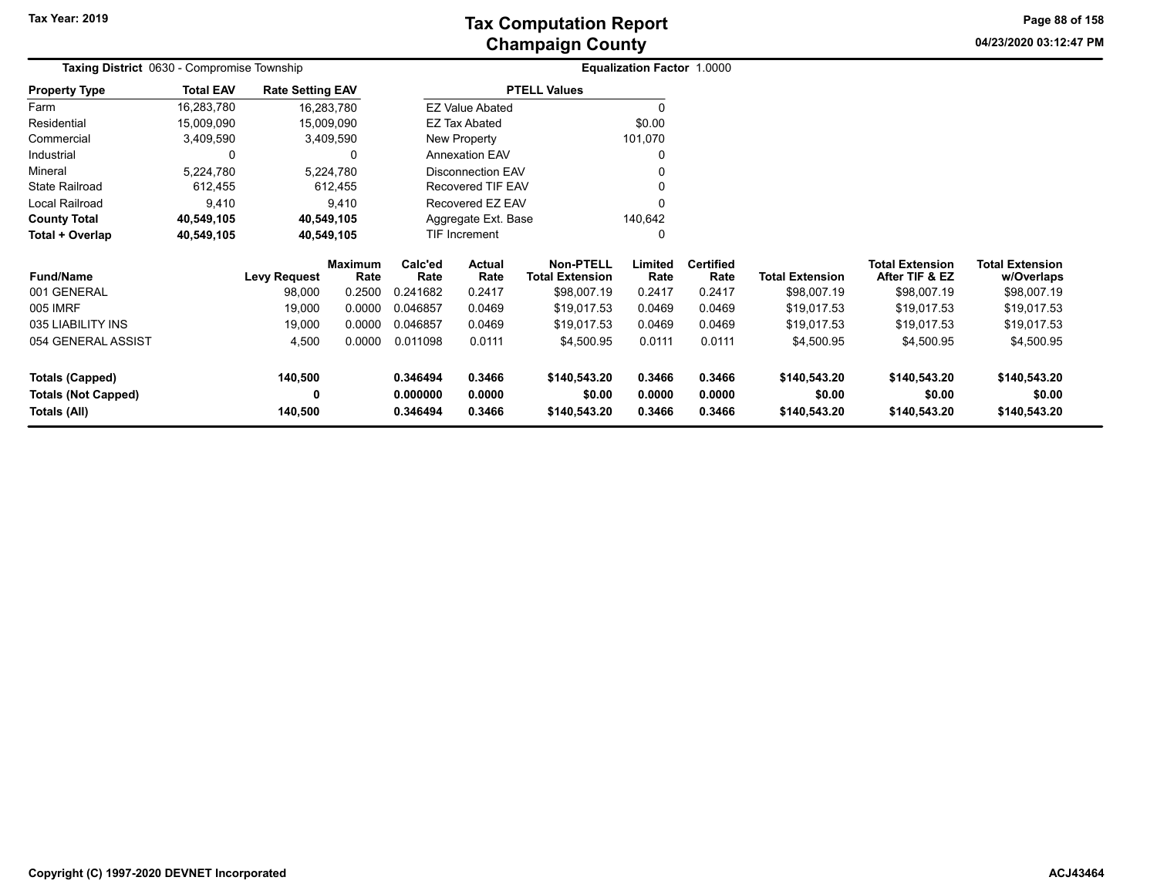**04/23/2020 03:12:47 PM Page 88 of 158**

| Taxing District 0630 - Compromise Township |                  |                         |                 |                                   |                          |                                            | <b>Equalization Factor 1.0000</b> |                          |                        |                                          |                                      |
|--------------------------------------------|------------------|-------------------------|-----------------|-----------------------------------|--------------------------|--------------------------------------------|-----------------------------------|--------------------------|------------------------|------------------------------------------|--------------------------------------|
| <b>Property Type</b>                       | <b>Total EAV</b> | <b>Rate Setting EAV</b> |                 |                                   |                          | <b>PTELL Values</b>                        |                                   |                          |                        |                                          |                                      |
| Farm                                       | 16,283,780       | 16,283,780              |                 |                                   | <b>EZ Value Abated</b>   |                                            |                                   |                          |                        |                                          |                                      |
| Residential                                | 15,009,090       | 15,009,090              |                 |                                   | EZ Tax Abated            |                                            | \$0.00                            |                          |                        |                                          |                                      |
| Commercial                                 | 3,409,590        |                         | 3,409,590       | New Property                      |                          |                                            | 101,070                           |                          |                        |                                          |                                      |
| Industrial                                 |                  |                         | 0               |                                   | <b>Annexation EAV</b>    |                                            |                                   |                          |                        |                                          |                                      |
| Mineral                                    | 5,224,780        |                         | 5,224,780       |                                   | <b>Disconnection EAV</b> |                                            |                                   |                          |                        |                                          |                                      |
| <b>State Railroad</b>                      | 612,455          |                         | 612,455         |                                   | Recovered TIF EAV        |                                            |                                   |                          |                        |                                          |                                      |
| Local Railroad                             | 9,410            |                         | 9,410           |                                   | Recovered EZ EAV         |                                            |                                   |                          |                        |                                          |                                      |
| <b>County Total</b>                        | 40,549,105       | 40,549,105              |                 |                                   | Aggregate Ext. Base      |                                            | 140,642                           |                          |                        |                                          |                                      |
| Total + Overlap                            | 40,549,105       | 40,549,105              |                 | TIF Increment                     |                          |                                            | 0                                 |                          |                        |                                          |                                      |
| <b>Fund/Name</b>                           |                  | <b>Levy Request</b>     | Maximum<br>Rate | Calc'ed<br>Actual<br>Rate<br>Rate |                          | <b>Non-PTELL</b><br><b>Total Extension</b> | Limited<br>Rate                   | <b>Certified</b><br>Rate | <b>Total Extension</b> | <b>Total Extension</b><br>After TIF & EZ | <b>Total Extension</b><br>w/Overlaps |
| 001 GENERAL                                |                  | 98,000                  | 0.2500          | 0.241682                          | 0.2417                   | \$98,007.19                                | 0.2417                            | 0.2417                   | \$98,007.19            | \$98,007.19                              | \$98,007.19                          |
| 005 IMRF                                   |                  | 19,000                  | 0.0000          | 0.046857                          | 0.0469                   | \$19,017.53                                | 0.0469                            | 0.0469                   | \$19,017.53            | \$19,017.53                              | \$19,017.53                          |
| 035 LIABILITY INS                          |                  | 19,000                  | 0.0000          | 0.046857                          | 0.0469                   | \$19,017.53                                | 0.0469                            | 0.0469                   | \$19,017.53            | \$19,017.53                              | \$19,017.53                          |
| 054 GENERAL ASSIST                         |                  | 4,500                   | 0.0000          | 0.011098                          | 0.0111                   | \$4,500.95                                 | 0.0111                            | 0.0111                   | \$4,500.95             | \$4,500.95                               | \$4,500.95                           |
| <b>Totals (Capped)</b>                     |                  | 140,500                 |                 | 0.346494<br>0.3466                |                          | \$140,543.20                               | 0.3466                            | 0.3466                   | \$140,543.20           | \$140,543.20                             | \$140,543.20                         |
| <b>Totals (Not Capped)</b>                 |                  | 0                       |                 | 0.000000                          | 0.0000                   | \$0.00                                     | 0.0000                            | 0.0000                   | \$0.00                 | \$0.00                                   | \$0.00                               |
| Totals (All)                               |                  | 140,500                 |                 | 0.346494                          | 0.3466                   | \$140,543.20                               | 0.3466                            | 0.3466                   | \$140,543.20           | \$140,543.20                             | \$140,543.20                         |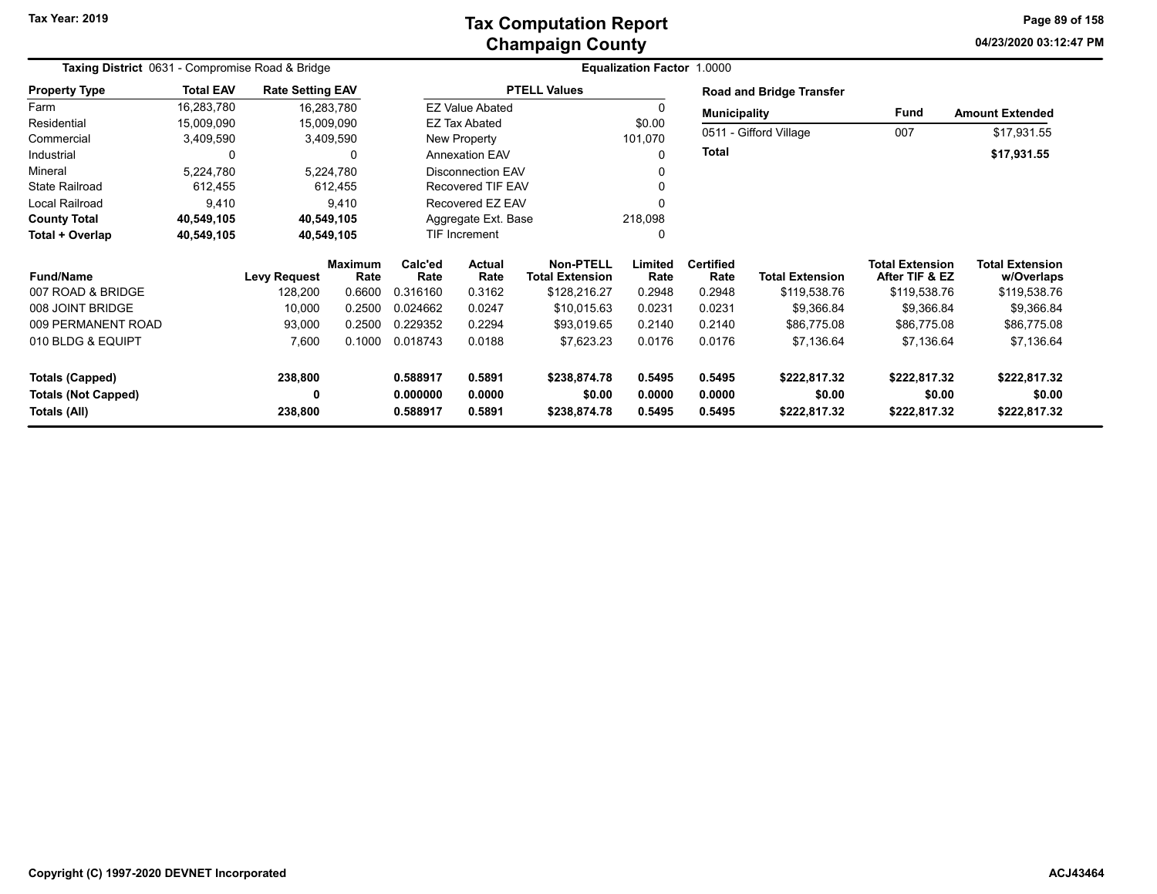### **Champaign County Tax Computation Report**

**04/23/2020 03:12:47 PMPage 89 of 158**

|                                            | Taxing District 0631 - Compromise Road & Bridge |                         |                        |                      |                          |                                     | <b>Equalization Factor 1.0000</b> |                          |                                 |                                          |                                      |
|--------------------------------------------|-------------------------------------------------|-------------------------|------------------------|----------------------|--------------------------|-------------------------------------|-----------------------------------|--------------------------|---------------------------------|------------------------------------------|--------------------------------------|
| <b>Property Type</b>                       | <b>Total EAV</b>                                | <b>Rate Setting EAV</b> |                        |                      |                          | <b>PTELL Values</b>                 |                                   |                          | <b>Road and Bridge Transfer</b> |                                          |                                      |
| Farm                                       | 16,283,780                                      | 16,283,780              |                        |                      | <b>EZ Value Abated</b>   |                                     | 0                                 | <b>Municipality</b>      |                                 | Fund                                     | <b>Amount Extended</b>               |
| Residential                                | 15,009,090                                      | 15,009,090              |                        |                      | EZ Tax Abated            |                                     | \$0.00                            |                          | 0511 - Gifford Village          |                                          |                                      |
| Commercial                                 | 3,409,590                                       | 3,409,590               |                        |                      | New Property             |                                     | 101,070                           |                          |                                 | 007                                      | \$17,931.55                          |
| Industrial                                 | $\Omega$                                        |                         | 0                      |                      | <b>Annexation EAV</b>    |                                     | 0                                 | <b>Total</b>             |                                 |                                          | \$17,931.55                          |
| Mineral                                    | 5,224,780                                       | 5,224,780               |                        |                      | Disconnection EAV        |                                     |                                   |                          |                                 |                                          |                                      |
| <b>State Railroad</b>                      | 612,455                                         |                         | 612,455                |                      | <b>Recovered TIF EAV</b> |                                     | 0                                 |                          |                                 |                                          |                                      |
| Local Railroad                             | 9,410                                           |                         | 9,410                  |                      | Recovered EZ EAV         |                                     |                                   |                          |                                 |                                          |                                      |
| <b>County Total</b>                        | 40,549,105                                      | 40,549,105              |                        |                      | Aggregate Ext. Base      |                                     | 218,098                           |                          |                                 |                                          |                                      |
| Total + Overlap                            | 40,549,105                                      | 40,549,105              |                        |                      | <b>TIF Increment</b>     |                                     | 0                                 |                          |                                 |                                          |                                      |
| <b>Fund/Name</b>                           |                                                 | <b>Levy Request</b>     | <b>Maximum</b><br>Rate |                      | Actual<br>Rate           | Non-PTELL<br><b>Total Extension</b> | Limited<br>Rate                   | <b>Certified</b><br>Rate | <b>Total Extension</b>          | <b>Total Extension</b><br>After TIF & EZ | <b>Total Extension</b><br>w/Overlaps |
| 007 ROAD & BRIDGE                          |                                                 | 128,200                 | 0.6600                 | 0.316160             | 0.3162                   | \$128,216.27                        | 0.2948                            | 0.2948                   | \$119,538.76                    | \$119,538.76                             | \$119,538.76                         |
| 008 JOINT BRIDGE                           |                                                 | 10,000                  | 0.2500                 | 0.024662             | 0.0247                   | \$10,015.63                         | 0.0231                            | 0.0231                   | \$9,366.84                      | \$9,366.84                               | \$9,366.84                           |
| 009 PERMANENT ROAD                         |                                                 | 93,000                  | 0.2500                 | 0.229352             | 0.2294                   | \$93,019.65                         | 0.2140                            | 0.2140                   | \$86,775.08                     | \$86,775.08                              | \$86,775.08                          |
| 010 BLDG & EQUIPT                          |                                                 | 7,600                   | 0.1000                 | 0.018743             | 0.0188                   | \$7,623.23                          | 0.0176                            | 0.0176                   | \$7,136.64                      | \$7,136.64                               | \$7,136.64                           |
| <b>Totals (Capped)</b>                     |                                                 | 238,800                 |                        | 0.588917             | 0.5891                   | \$238,874.78                        | 0.5495                            | 0.5495                   | \$222,817.32                    | \$222,817.32                             | \$222,817.32                         |
| <b>Totals (Not Capped)</b><br>Totals (All) |                                                 | 0<br>238,800            |                        | 0.000000<br>0.588917 | 0.0000<br>0.5891         | \$0.00<br>\$238,874.78              | 0.0000<br>0.5495                  | 0.0000<br>0.5495         | \$0.00<br>\$222,817.32          | \$0.00<br>\$222,817.32                   | \$0.00<br>\$222,817.32               |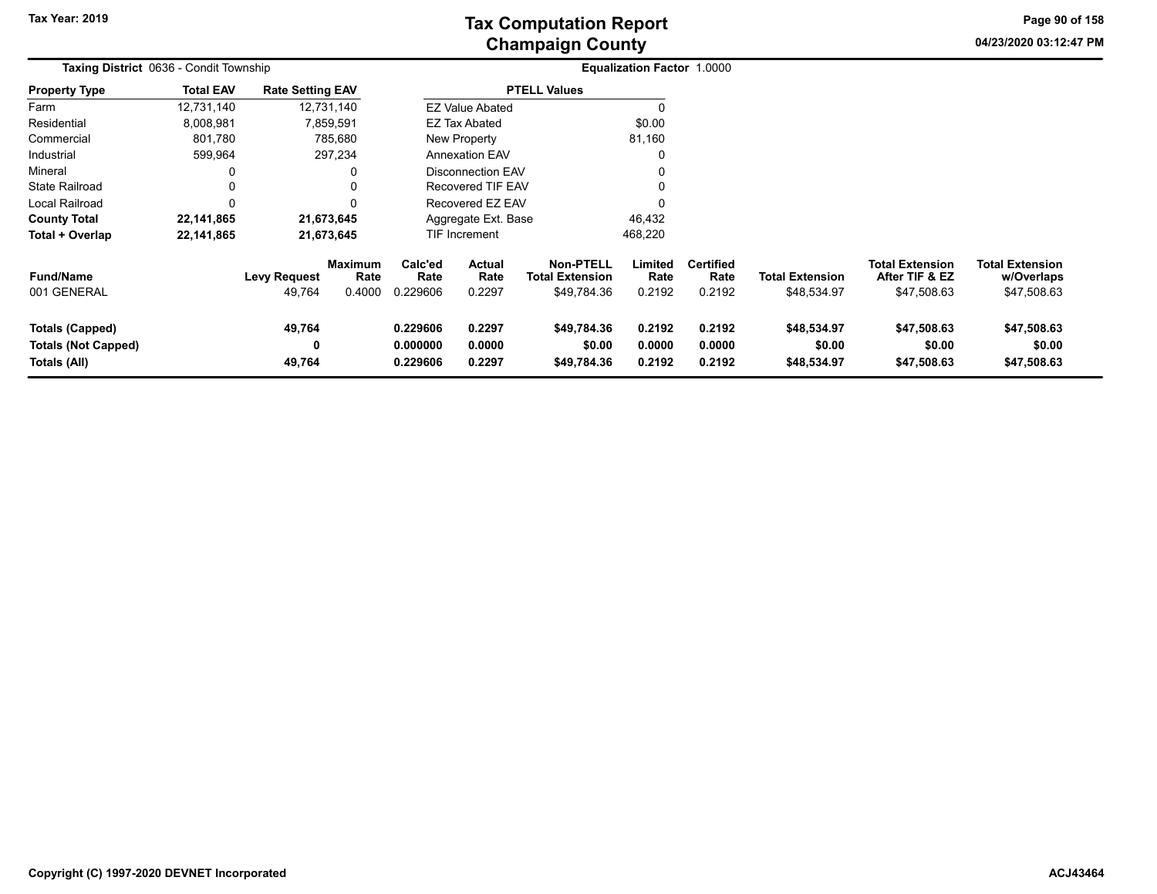**04/23/2020 03:12:47 PM Page 90 of 158**

|                                                                      | Taxing District 0636 - Condit Township |                               |                                  |                                  |                                 |                                                           | <b>Equalization Factor 1.0000</b> |                                    |                                       |                                                         |                                                     |
|----------------------------------------------------------------------|----------------------------------------|-------------------------------|----------------------------------|----------------------------------|---------------------------------|-----------------------------------------------------------|-----------------------------------|------------------------------------|---------------------------------------|---------------------------------------------------------|-----------------------------------------------------|
| <b>Property Type</b>                                                 | <b>Total EAV</b>                       | <b>Rate Setting EAV</b>       |                                  |                                  |                                 | <b>PTELL Values</b>                                       |                                   |                                    |                                       |                                                         |                                                     |
| Farm                                                                 | 12,731,140                             |                               | 12,731,140                       |                                  | <b>EZ Value Abated</b>          |                                                           |                                   |                                    |                                       |                                                         |                                                     |
| Residential                                                          | 8,008,981                              |                               | 7,859,591                        |                                  | <b>EZ Tax Abated</b>            |                                                           | \$0.00                            |                                    |                                       |                                                         |                                                     |
| Commercial                                                           | 801,780                                |                               | 785,680                          |                                  | New Property                    |                                                           | 81,160                            |                                    |                                       |                                                         |                                                     |
| Industrial                                                           | 599,964                                |                               | 297,234                          |                                  | <b>Annexation EAV</b>           |                                                           |                                   |                                    |                                       |                                                         |                                                     |
| Mineral                                                              |                                        |                               | 0                                |                                  | <b>Disconnection EAV</b>        |                                                           |                                   |                                    |                                       |                                                         |                                                     |
| <b>State Railroad</b>                                                |                                        |                               | 0                                |                                  | <b>Recovered TIF EAV</b>        |                                                           |                                   |                                    |                                       |                                                         |                                                     |
| Local Railroad                                                       |                                        |                               | $\Omega$                         |                                  | Recovered EZ EAV                |                                                           |                                   |                                    |                                       |                                                         |                                                     |
| <b>County Total</b>                                                  | 22,141,865                             |                               | 21,673,645                       |                                  | Aggregate Ext. Base             |                                                           | 46,432                            |                                    |                                       |                                                         |                                                     |
| Total + Overlap                                                      | 22,141,865                             |                               | 21,673,645                       |                                  | TIF Increment                   |                                                           | 468,220                           |                                    |                                       |                                                         |                                                     |
| <b>Fund/Name</b><br>001 GENERAL                                      |                                        | <b>Levy Request</b><br>49,764 | <b>Maximum</b><br>Rate<br>0.4000 | Calc'ed<br>Rate<br>0.229606      | <b>Actual</b><br>Rate<br>0.2297 | <b>Non-PTELL</b><br><b>Total Extension</b><br>\$49,784.36 | Limited<br>Rate<br>0.2192         | <b>Certified</b><br>Rate<br>0.2192 | <b>Total Extension</b><br>\$48,534.97 | <b>Total Extension</b><br>After TIF & EZ<br>\$47,508.63 | <b>Total Extension</b><br>w/Overlaps<br>\$47,508.63 |
| <b>Totals (Capped)</b><br><b>Totals (Not Capped)</b><br>Totals (All) |                                        | 49,764<br>0<br>49,764         |                                  | 0.229606<br>0.000000<br>0.229606 | 0.2297<br>0.0000<br>0.2297      | \$49,784.36<br>\$0.00<br>\$49,784.36                      | 0.2192<br>0.0000<br>0.2192        | 0.2192<br>0.0000<br>0.2192         | \$48,534.97<br>\$0.00<br>\$48,534.97  | \$47,508.63<br>\$0.00<br>\$47,508.63                    | \$47,508.63<br>\$0.00<br>\$47,508.63                |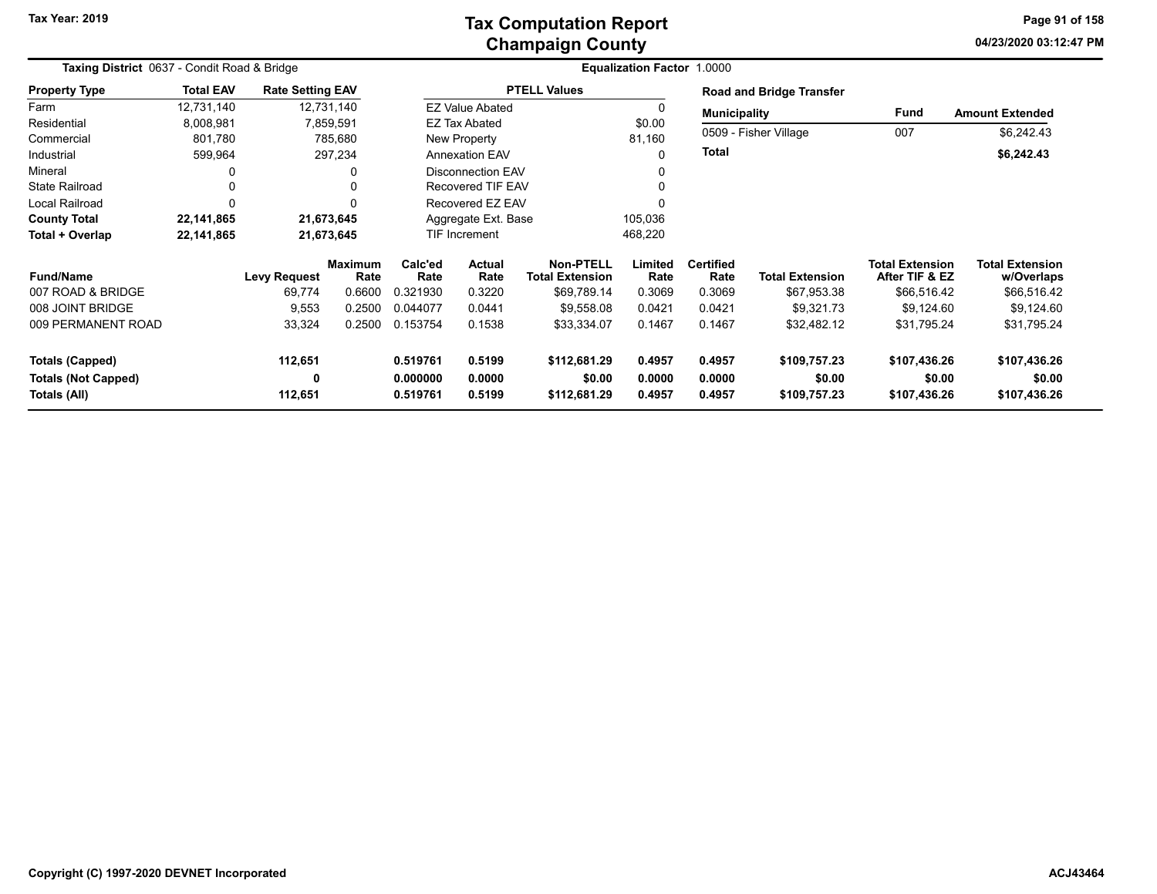### **Champaign County Tax Computation Report**

**04/23/2020 03:12:47 PM Page 91 of 158**

| Taxing District 0637 - Condit Road & Bridge |                  |                         |                        |                      |                                                 |                        | <b>Equalization Factor 1.0000</b> |                          |                                 |                                          |                                      |
|---------------------------------------------|------------------|-------------------------|------------------------|----------------------|-------------------------------------------------|------------------------|-----------------------------------|--------------------------|---------------------------------|------------------------------------------|--------------------------------------|
| <b>Property Type</b>                        | <b>Total EAV</b> | <b>Rate Setting EAV</b> |                        |                      |                                                 | <b>PTELL Values</b>    |                                   |                          | <b>Road and Bridge Transfer</b> |                                          |                                      |
| Farm                                        | 12,731,140       |                         | 12,731,140             |                      | <b>EZ Value Abated</b>                          |                        |                                   | <b>Municipality</b>      |                                 | <b>Fund</b>                              | <b>Amount Extended</b>               |
| Residential                                 | 8,008,981        |                         | 7,859,591              |                      | <b>EZ Tax Abated</b>                            |                        | \$0.00                            |                          |                                 |                                          |                                      |
| Commercial                                  | 801,780          |                         | 785,680                |                      | New Property                                    |                        | 81,160                            |                          | 0509 - Fisher Village           | 007                                      | \$6,242.43                           |
| Industrial                                  | 599,964          |                         | 297,234                |                      | <b>Annexation EAV</b>                           |                        | 0                                 | <b>Total</b>             |                                 |                                          | \$6,242.43                           |
| Mineral                                     |                  |                         | 0                      |                      | <b>Disconnection EAV</b>                        |                        |                                   |                          |                                 |                                          |                                      |
| <b>State Railroad</b>                       |                  |                         | 0                      |                      | <b>Recovered TIF EAV</b>                        |                        |                                   |                          |                                 |                                          |                                      |
| Local Railroad                              | $\Omega$         |                         | $\Omega$               |                      | Recovered EZ EAV                                |                        |                                   |                          |                                 |                                          |                                      |
| <b>County Total</b>                         | 22,141,865       |                         | 21,673,645             |                      | Aggregate Ext. Base                             |                        | 105,036                           |                          |                                 |                                          |                                      |
| Total + Overlap                             | 22,141,865       |                         | 21,673,645             |                      | <b>TIF Increment</b>                            |                        | 468,220                           |                          |                                 |                                          |                                      |
| <b>Fund/Name</b>                            |                  | <b>Levy Request</b>     | <b>Maximum</b><br>Rate | Calc'ed<br>Rate      | <b>Actual</b><br><b>Total Extension</b><br>Rate |                        | Limited<br>Rate                   | <b>Certified</b><br>Rate | <b>Total Extension</b>          | <b>Total Extension</b><br>After TIF & EZ | <b>Total Extension</b><br>w/Overlaps |
| 007 ROAD & BRIDGE                           |                  | 69,774                  | 0.6600                 | 0.321930             | 0.3220                                          | \$69,789.14            | 0.3069                            | 0.3069                   | \$67,953.38                     | \$66,516.42                              | \$66,516.42                          |
| 008 JOINT BRIDGE                            |                  | 9,553                   | 0.2500                 | 0.044077             | 0.0441                                          | \$9,558.08             | 0.0421                            | 0.0421                   | \$9,321.73                      | \$9,124.60                               | \$9,124.60                           |
| 009 PERMANENT ROAD                          |                  | 33,324                  | 0.2500                 | 0.153754             | 0.1538                                          | \$33,334.07            | 0.1467                            | 0.1467                   | \$32,482.12                     | \$31,795.24                              | \$31,795.24                          |
| Totals (Capped)                             |                  | 112,651                 |                        | 0.519761             | 0.5199                                          | \$112,681.29           | 0.4957                            | 0.4957                   | \$109,757.23                    | \$107,436.26                             | \$107,436.26                         |
| <b>Totals (Not Capped)</b><br>Totals (All)  |                  | 0<br>112,651            |                        | 0.000000<br>0.519761 | 0.0000<br>0.5199                                | \$0.00<br>\$112,681.29 | 0.0000<br>0.4957                  | 0.0000<br>0.4957         | \$0.00<br>\$109,757.23          | \$0.00<br>\$107,436.26                   | \$0.00<br>\$107,436.26               |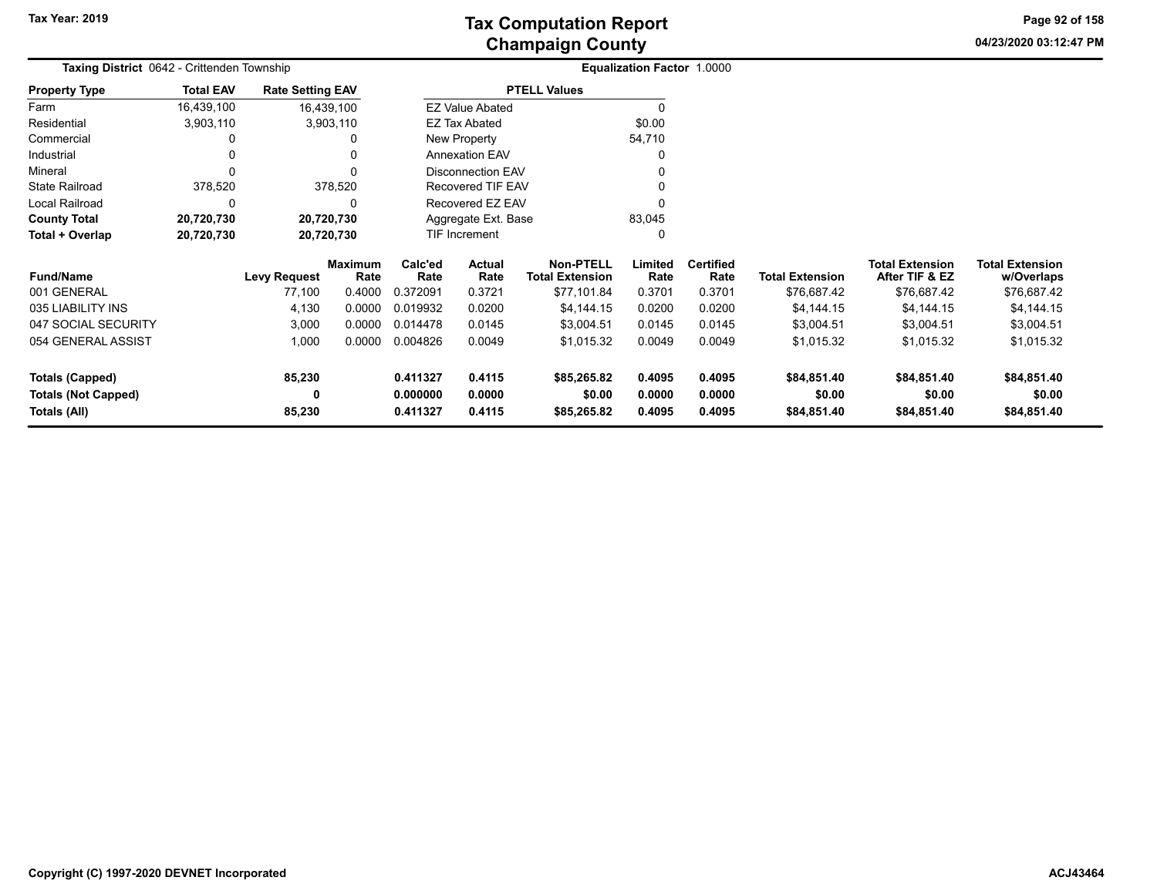**04/23/2020 03:12:47 PM Page 92 of 158**

| <b>Taxing District</b> 0642 - Crittenden Township |                  |                         |                        |                    |                          |                                     | Equalization Factor 1.0000 |                   |                        |                                          |                                      |
|---------------------------------------------------|------------------|-------------------------|------------------------|--------------------|--------------------------|-------------------------------------|----------------------------|-------------------|------------------------|------------------------------------------|--------------------------------------|
| <b>Property Type</b>                              | <b>Total EAV</b> | <b>Rate Setting EAV</b> |                        |                    |                          | <b>PTELL Values</b>                 |                            |                   |                        |                                          |                                      |
| Farm                                              | 16,439,100       | 16,439,100              |                        |                    | <b>EZ Value Abated</b>   |                                     | 0                          |                   |                        |                                          |                                      |
| Residential                                       | 3,903,110        |                         | 3,903,110              |                    | <b>EZ Tax Abated</b>     |                                     | \$0.00                     |                   |                        |                                          |                                      |
| Commercial                                        |                  |                         |                        |                    | New Property             |                                     | 54,710                     |                   |                        |                                          |                                      |
| Industrial                                        |                  |                         |                        |                    | <b>Annexation EAV</b>    |                                     | 0                          |                   |                        |                                          |                                      |
| Mineral                                           | $\Omega$         |                         |                        |                    | <b>Disconnection EAV</b> |                                     |                            |                   |                        |                                          |                                      |
| <b>State Railroad</b>                             | 378,520          |                         | 378,520                |                    | Recovered TIF EAV        |                                     |                            |                   |                        |                                          |                                      |
| Local Railroad                                    | 0                |                         |                        |                    | Recovered EZ EAV         |                                     |                            |                   |                        |                                          |                                      |
| <b>County Total</b>                               | 20,720,730       | 20,720,730              |                        |                    | Aggregate Ext. Base      |                                     | 83,045                     |                   |                        |                                          |                                      |
| Total + Overlap                                   | 20,720,730       | 20,720,730              |                        |                    | TIF Increment            |                                     | 0                          |                   |                        |                                          |                                      |
| <b>Fund/Name</b>                                  |                  | <b>Levy Request</b>     | <b>Maximum</b><br>Rate | Calc'ed<br>Rate    | Actual<br>Rate           | Non-PTELL<br><b>Total Extension</b> | Limited<br>Rate            | Certified<br>Rate | <b>Total Extension</b> | <b>Total Extension</b><br>After TIF & EZ | <b>Total Extension</b><br>w/Overlaps |
| 001 GENERAL                                       |                  | 77,100                  | 0.4000                 | 0.372091           | 0.3721                   | \$77,101.84                         | 0.3701                     | 0.3701            | \$76,687.42            | \$76,687.42                              | \$76,687.42                          |
| 035 LIABILITY INS                                 |                  | 4,130                   | 0.0000                 | 0.019932           | 0.0200                   | \$4,144.15                          | 0.0200                     | 0.0200            | \$4,144.15             | \$4,144.15                               | \$4,144.15                           |
| 047 SOCIAL SECURITY                               |                  | 3,000                   | 0.0000                 | 0.014478           | 0.0145                   | \$3,004.51                          | 0.0145                     | 0.0145            | \$3,004.51             | \$3,004.51                               | \$3,004.51                           |
| 054 GENERAL ASSIST                                |                  | 1,000                   | 0.0000                 | 0.004826           | 0.0049                   | \$1,015.32                          | 0.0049                     | 0.0049            | \$1,015.32             | \$1,015.32                               | \$1,015.32                           |
| <b>Totals (Capped)</b>                            |                  | 85,230                  |                        | 0.411327           | 0.4115                   | \$85,265.82                         | 0.4095                     | 0.4095            | \$84,851.40            | \$84,851.40                              | \$84,851.40                          |
| <b>Totals (Not Capped)</b>                        |                  | 0                       |                        | 0.000000<br>0.0000 |                          | \$0.00                              | 0.0000                     | 0.0000            | \$0.00                 | \$0.00                                   | \$0.00                               |
| Totals (All)                                      |                  | 85,230                  |                        | 0.411327           | \$85,265.82              | 0.4095                              | 0.4095                     | \$84,851.40       | \$84,851.40            | \$84,851.40                              |                                      |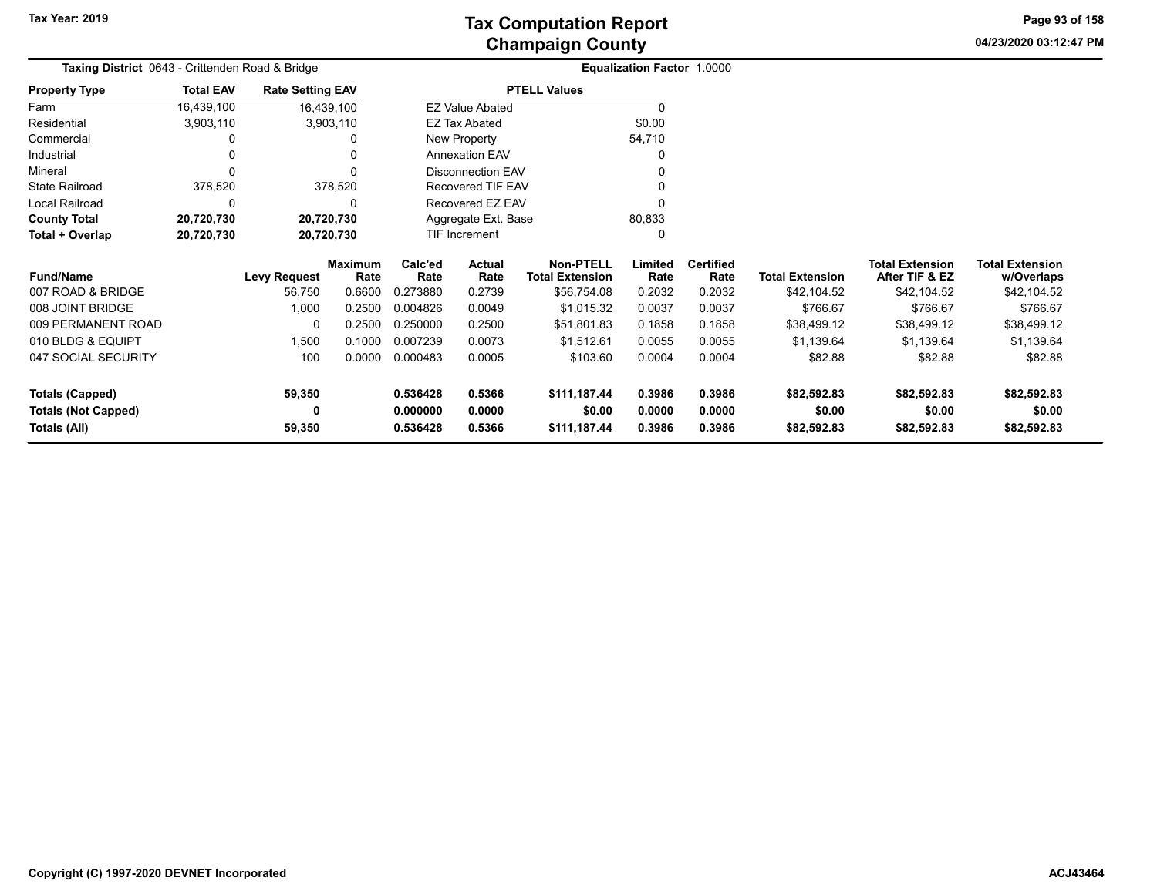**04/23/2020 03:12:47 PM Page 93 of 158**

| Taxing District 0643 - Crittenden Road & Bridge |                  |                         |                        | <b>Equalization Factor 1.0000</b> |                          |                                            |                 |                          |                        |                                          |                                      |
|-------------------------------------------------|------------------|-------------------------|------------------------|-----------------------------------|--------------------------|--------------------------------------------|-----------------|--------------------------|------------------------|------------------------------------------|--------------------------------------|
| <b>Property Type</b>                            | <b>Total EAV</b> | <b>Rate Setting EAV</b> |                        |                                   |                          | <b>PTELL Values</b>                        |                 |                          |                        |                                          |                                      |
| Farm                                            | 16,439,100       |                         | 16,439,100             |                                   | <b>EZ Value Abated</b>   |                                            | $\Omega$        |                          |                        |                                          |                                      |
| Residential                                     | 3,903,110        |                         | 3,903,110              |                                   | EZ Tax Abated            |                                            | \$0.00          |                          |                        |                                          |                                      |
| Commercial                                      |                  |                         | 0                      |                                   | New Property             |                                            | 54,710          |                          |                        |                                          |                                      |
| Industrial                                      |                  |                         | $\Omega$               |                                   | <b>Annexation EAV</b>    |                                            | 0               |                          |                        |                                          |                                      |
| Mineral                                         |                  |                         | $\Omega$               |                                   | <b>Disconnection EAV</b> |                                            |                 |                          |                        |                                          |                                      |
| <b>State Railroad</b>                           | 378,520          |                         | 378,520                | Recovered TIF EAV                 |                          |                                            |                 |                          |                        |                                          |                                      |
| Local Railroad                                  | 0                |                         | 0                      |                                   | Recovered EZ EAV         |                                            |                 |                          |                        |                                          |                                      |
| <b>County Total</b>                             | 20,720,730       | 20,720,730              |                        |                                   | Aggregate Ext. Base      |                                            | 80,833          |                          |                        |                                          |                                      |
| Total + Overlap                                 | 20,720,730       | 20,720,730              |                        |                                   | TIF Increment<br>0       |                                            |                 |                          |                        |                                          |                                      |
| <b>Fund/Name</b>                                |                  | <b>Levy Request</b>     | <b>Maximum</b><br>Rate | Calc'ed<br>Rate                   | Actual<br>Rate           | <b>Non-PTELL</b><br><b>Total Extension</b> | Limited<br>Rate | <b>Certified</b><br>Rate | <b>Total Extension</b> | <b>Total Extension</b><br>After TIF & EZ | <b>Total Extension</b><br>w/Overlaps |
| 007 ROAD & BRIDGE                               |                  | 56,750                  | 0.6600                 | 0.273880                          | 0.2739                   | \$56,754.08                                | 0.2032          | 0.2032                   | \$42,104.52            | \$42,104.52                              | \$42,104.52                          |
| 008 JOINT BRIDGE                                |                  | 1,000                   | 0.2500                 | 0.004826                          | 0.0049                   | \$1,015.32                                 | 0.0037          | 0.0037                   | \$766.67               | \$766.67                                 | \$766.67                             |
| 009 PERMANENT ROAD                              |                  | 0                       | 0.2500                 | 0.250000                          | 0.2500                   | \$51,801.83                                | 0.1858          | 0.1858                   | \$38,499.12            | \$38,499.12                              | \$38,499.12                          |
| 010 BLDG & EQUIPT                               |                  | 1,500                   | 0.1000                 | 0.007239                          | 0.0073                   | \$1,512.61                                 | 0.0055          | 0.0055                   | \$1,139.64             | \$1,139.64                               | \$1,139.64                           |
| 047 SOCIAL SECURITY                             |                  | 100                     | 0.0000                 | 0.000483                          | 0.0005                   | \$103.60                                   | 0.0004          | 0.0004                   | \$82.88                | \$82.88                                  | \$82.88                              |
| <b>Totals (Capped)</b>                          |                  | 59,350                  |                        | 0.536428                          | 0.5366                   | \$111,187.44                               | 0.3986          | 0.3986                   | \$82,592.83            | \$82,592.83                              | \$82,592.83                          |
| <b>Totals (Not Capped)</b>                      |                  | 0                       |                        | 0.000000                          | 0.0000                   | \$0.00                                     | 0.0000          | 0.0000                   | \$0.00                 | \$0.00                                   | \$0.00                               |
| Totals (All)                                    |                  | 59,350                  |                        | 0.536428                          | 0.5366                   | \$111,187.44                               | 0.3986          | 0.3986                   | \$82,592.83            | \$82,592.83                              | \$82,592.83                          |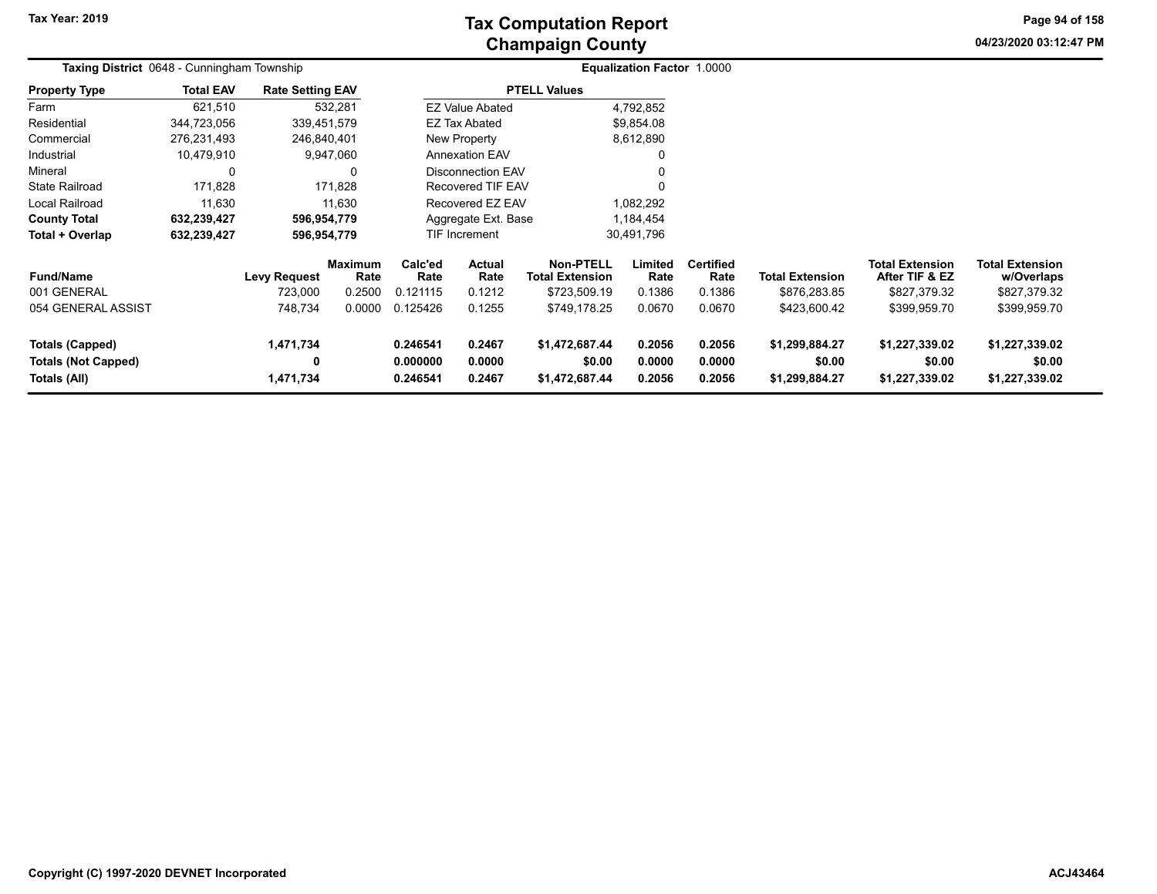**04/23/2020 03:12:47 PMPage 94 of 158**

|                                                               | <b>Taxing District 0648 - Cunningham Township</b> |                             |                        |                                          |                            |                                            | Equalization Factor 1.0000 |                            |                                            |                                            |                                            |  |
|---------------------------------------------------------------|---------------------------------------------------|-----------------------------|------------------------|------------------------------------------|----------------------------|--------------------------------------------|----------------------------|----------------------------|--------------------------------------------|--------------------------------------------|--------------------------------------------|--|
| <b>Property Type</b>                                          | <b>Total EAV</b>                                  | <b>Rate Setting EAV</b>     |                        |                                          |                            | <b>PTELL Values</b>                        |                            |                            |                                            |                                            |                                            |  |
| Farm                                                          | 621,510                                           |                             | 532,281                |                                          | <b>EZ Value Abated</b>     |                                            | 4,792,852                  |                            |                                            |                                            |                                            |  |
| Residential                                                   | 344,723,056                                       | 339,451,579                 |                        |                                          | <b>EZ Tax Abated</b>       |                                            | \$9,854.08                 |                            |                                            |                                            |                                            |  |
| Commercial                                                    | 276,231,493                                       | 246,840,401                 |                        |                                          | New Property               |                                            | 8,612,890                  |                            |                                            |                                            |                                            |  |
| Industrial                                                    | 10,479,910                                        |                             | 9,947,060              |                                          | <b>Annexation EAV</b>      |                                            | 0                          |                            |                                            |                                            |                                            |  |
| Mineral                                                       | 0                                                 |                             |                        | Disconnection EAV                        |                            |                                            | 0                          |                            |                                            |                                            |                                            |  |
| <b>State Railroad</b>                                         | 171,828                                           |                             | 171,828                | <b>Recovered TIF EAV</b>                 |                            |                                            | $\Omega$                   |                            |                                            |                                            |                                            |  |
| <b>Local Railroad</b>                                         | 11.630                                            |                             | 11.630                 |                                          | Recovered EZ EAV           |                                            | 1,082,292                  |                            |                                            |                                            |                                            |  |
| <b>County Total</b>                                           | 632,239,427                                       | 596,954,779                 |                        | Aggregate Ext. Base                      |                            |                                            | 1,184,454                  |                            |                                            |                                            |                                            |  |
| Total + Overlap                                               | 632,239,427                                       | 596,954,779                 |                        |                                          | TIF Increment              |                                            | 30,491,796                 |                            |                                            |                                            |                                            |  |
| <b>Fund/Name</b>                                              |                                                   | <b>Levy Request</b>         | <b>Maximum</b><br>Rate | Calc'ed<br><b>Actual</b><br>Rate<br>Rate |                            | <b>Non-PTELL</b><br><b>Total Extension</b> | Limited<br>Rate            | <b>Certified</b><br>Rate   | <b>Total Extension</b>                     | <b>Total Extension</b><br>After TIF & EZ   | <b>Total Extension</b><br>w/Overlaps       |  |
| 001 GENERAL                                                   |                                                   | 723,000                     | 0.2500                 | 0.121115                                 | 0.1212                     | \$723,509.19                               | 0.1386                     | 0.1386                     | \$876,283.85                               | \$827,379.32                               | \$827,379.32                               |  |
| 054 GENERAL ASSIST                                            |                                                   | 748,734                     | 0.0000                 | 0.125426                                 | 0.1255                     | \$749,178.25                               | 0.0670                     | 0.0670                     | \$423,600.42                               | \$399,959.70                               | \$399,959.70                               |  |
| Totals (Capped)<br><b>Totals (Not Capped)</b><br>Totals (All) |                                                   | 1,471,734<br>0<br>1,471,734 |                        | 0.246541<br>0.000000<br>0.246541         | 0.2467<br>0.0000<br>0.2467 | \$1,472,687.44<br>\$0.00<br>\$1,472,687.44 | 0.2056<br>0.0000<br>0.2056 | 0.2056<br>0.0000<br>0.2056 | \$1,299,884.27<br>\$0.00<br>\$1,299,884.27 | \$1,227,339.02<br>\$0.00<br>\$1,227,339.02 | \$1,227,339.02<br>\$0.00<br>\$1,227,339.02 |  |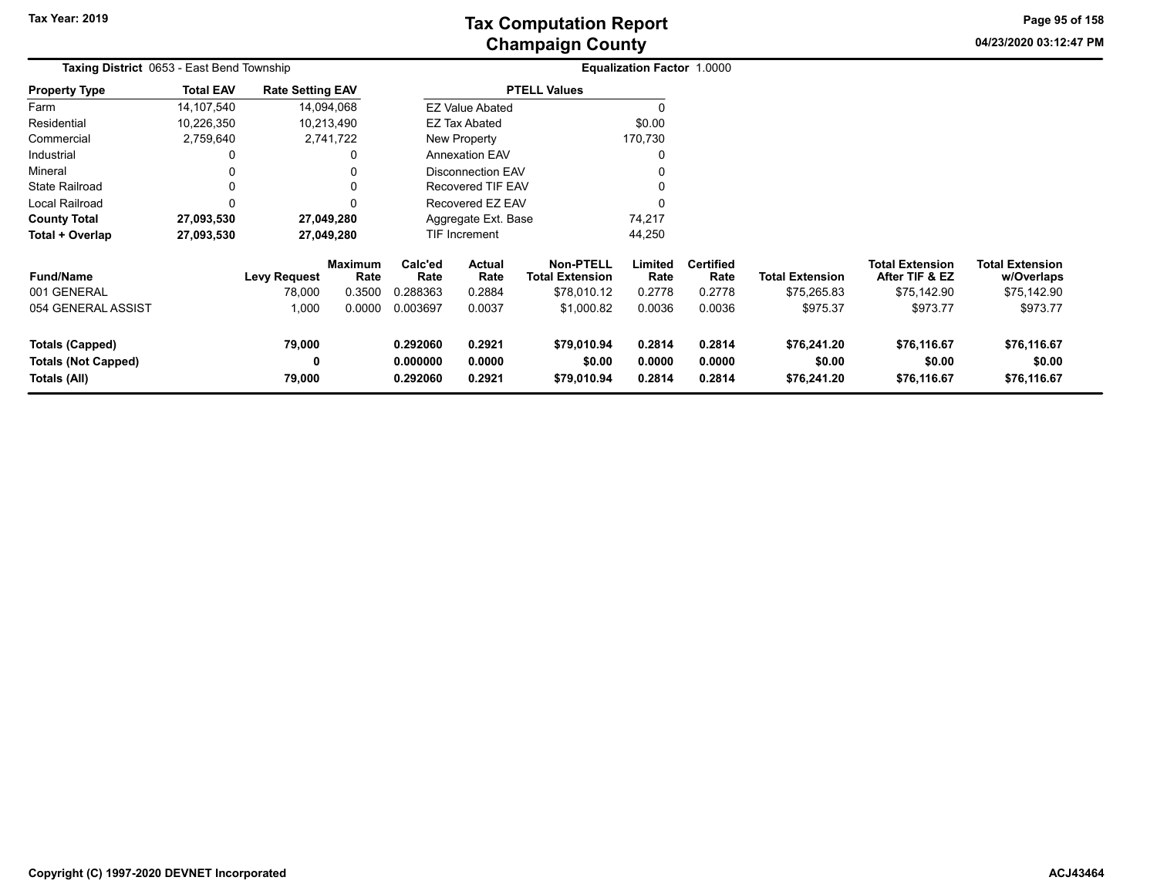**04/23/2020 03:12:47 PM Page 95 of 158**

|                                                      | <b>Taxing District 0653 - East Bend Township</b> |                         |                 |                                          |                          |                                            | <b>Equalization Factor 1.0000</b> |                          |                        |                                          |                                      |  |
|------------------------------------------------------|--------------------------------------------------|-------------------------|-----------------|------------------------------------------|--------------------------|--------------------------------------------|-----------------------------------|--------------------------|------------------------|------------------------------------------|--------------------------------------|--|
| <b>Property Type</b>                                 | <b>Total EAV</b>                                 | <b>Rate Setting EAV</b> |                 |                                          |                          | <b>PTELL Values</b>                        |                                   |                          |                        |                                          |                                      |  |
| Farm                                                 | 14,107,540                                       |                         | 14,094,068      |                                          | <b>EZ Value Abated</b>   |                                            | 0                                 |                          |                        |                                          |                                      |  |
| Residential                                          | 10,226,350                                       |                         | 10,213,490      |                                          | EZ Tax Abated            |                                            | \$0.00                            |                          |                        |                                          |                                      |  |
| Commercial                                           | 2,759,640                                        |                         | 2,741,722       |                                          | New Property             |                                            | 170,730                           |                          |                        |                                          |                                      |  |
| Industrial                                           |                                                  |                         |                 |                                          | <b>Annexation EAV</b>    |                                            | 0                                 |                          |                        |                                          |                                      |  |
| Mineral                                              |                                                  |                         |                 |                                          | <b>Disconnection EAV</b> |                                            |                                   |                          |                        |                                          |                                      |  |
| <b>State Railroad</b>                                |                                                  |                         |                 |                                          | Recovered TIF EAV        |                                            | 0                                 |                          |                        |                                          |                                      |  |
| Local Railroad                                       |                                                  |                         |                 |                                          | Recovered EZ EAV         |                                            | $\Omega$                          |                          |                        |                                          |                                      |  |
| <b>County Total</b>                                  | 27,093,530                                       |                         | 27,049,280      |                                          | Aggregate Ext. Base      |                                            | 74,217                            |                          |                        |                                          |                                      |  |
| Total + Overlap                                      | 27,093,530                                       |                         | 27,049,280      |                                          | TIF Increment            |                                            | 44,250                            |                          |                        |                                          |                                      |  |
| <b>Fund/Name</b>                                     |                                                  | Levy Request            | Maximum<br>Rate | Calc'ed<br>Rate                          | <b>Actual</b><br>Rate    | <b>Non-PTELL</b><br><b>Total Extension</b> | Limited<br>Rate                   | <b>Certified</b><br>Rate | <b>Total Extension</b> | <b>Total Extension</b><br>After TIF & EZ | <b>Total Extension</b><br>w/Overlaps |  |
| 001 GENERAL                                          |                                                  | 78,000                  | 0.3500          | 0.288363                                 | 0.2884                   | \$78,010.12                                | 0.2778                            | 0.2778                   | \$75,265.83            | \$75,142.90                              | \$75,142.90                          |  |
| 054 GENERAL ASSIST                                   |                                                  | 1,000                   | 0.0000          | 0.003697                                 | 0.0037                   | \$1,000.82                                 | 0.0036                            | 0.0036                   | \$975.37               | \$973.77                                 | \$973.77                             |  |
| <b>Totals (Capped)</b><br><b>Totals (Not Capped)</b> |                                                  | 79,000<br>0             |                 | 0.2921<br>0.292060<br>0.0000<br>0.000000 |                          | \$79,010.94<br>\$0.00                      | 0.2814<br>0.0000                  | 0.2814<br>0.0000         | \$76,241.20<br>\$0.00  | \$76,116.67<br>\$0.00                    | \$76,116.67<br>\$0.00                |  |
| Totals (All)                                         |                                                  | 79,000                  |                 | 0.292060<br>0.2921<br>\$79,010.94        |                          |                                            | 0.2814                            | 0.2814                   | \$76,241.20            | \$76,116.67                              | \$76,116.67                          |  |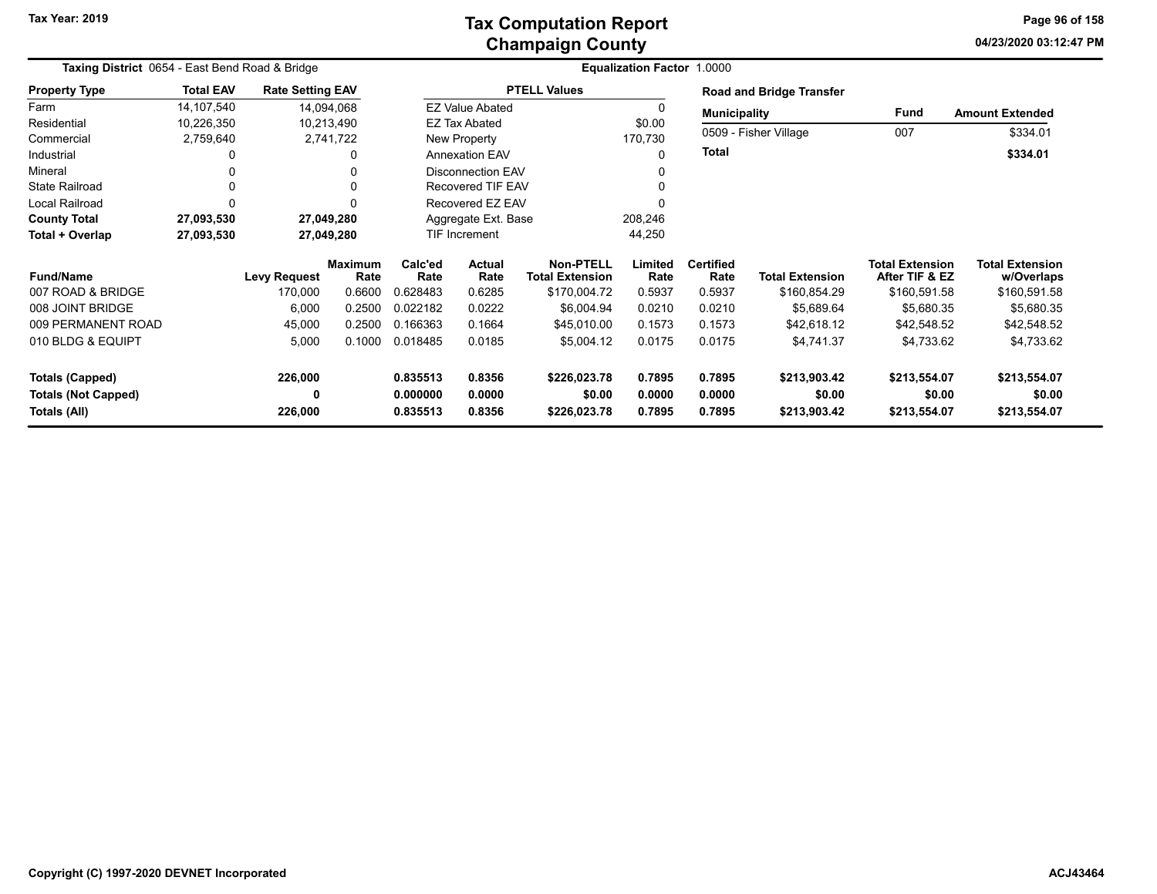### **Champaign County Tax Computation Report**

**04/23/2020 03:12:47 PMPage 96 of 158**

| Taxing District 0654 - East Bend Road & Bridge       |                  |                         |                        |                      |                          |                                            | <b>Equalization Factor 1.0000</b> |                          |                                 |                                          |                                      |
|------------------------------------------------------|------------------|-------------------------|------------------------|----------------------|--------------------------|--------------------------------------------|-----------------------------------|--------------------------|---------------------------------|------------------------------------------|--------------------------------------|
| <b>Property Type</b>                                 | <b>Total EAV</b> | <b>Rate Setting EAV</b> |                        |                      |                          | <b>PTELL Values</b>                        |                                   |                          | <b>Road and Bridge Transfer</b> |                                          |                                      |
| Farm                                                 | 14,107,540       | 14,094,068              |                        |                      | <b>EZ Value Abated</b>   |                                            |                                   | <b>Municipality</b>      |                                 | Fund                                     | <b>Amount Extended</b>               |
| Residential                                          | 10,226,350       | 10,213,490              |                        |                      | <b>EZ Tax Abated</b>     |                                            | \$0.00                            |                          | 0509 - Fisher Village           | 007                                      |                                      |
| Commercial                                           | 2,759,640        |                         | 2,741,722              |                      | New Property             |                                            | 170,730                           |                          |                                 |                                          | \$334.01                             |
| Industrial                                           | 0                |                         | 0                      |                      | <b>Annexation EAV</b>    |                                            | 0                                 | <b>Total</b>             |                                 |                                          | \$334.01                             |
| Mineral                                              | 0                |                         |                        |                      | <b>Disconnection EAV</b> |                                            |                                   |                          |                                 |                                          |                                      |
| <b>State Railroad</b>                                | 0                |                         |                        |                      | <b>Recovered TIF EAV</b> |                                            |                                   |                          |                                 |                                          |                                      |
| <b>Local Railroad</b>                                | 0                |                         |                        |                      | Recovered EZ EAV         |                                            |                                   |                          |                                 |                                          |                                      |
| <b>County Total</b>                                  | 27,093,530       | 27,049,280              |                        |                      | Aggregate Ext. Base      |                                            | 208,246                           |                          |                                 |                                          |                                      |
| Total + Overlap                                      | 27,093,530       | 27,049,280              |                        |                      | TIF Increment            |                                            | 44,250                            |                          |                                 |                                          |                                      |
| <b>Fund/Name</b>                                     |                  | <b>Levy Request</b>     | <b>Maximum</b><br>Rate | Calc'ed<br>Rate      | Actual<br>Rate           | <b>Non-PTELL</b><br><b>Total Extension</b> | Limited<br>Rate                   | <b>Certified</b><br>Rate | <b>Total Extension</b>          | <b>Total Extension</b><br>After TIF & EZ | <b>Total Extension</b><br>w/Overlaps |
| 007 ROAD & BRIDGE                                    |                  | 170,000                 | 0.6600                 | 0.628483             | 0.6285                   | \$170,004.72                               | 0.5937                            | 0.5937                   | \$160,854.29                    | \$160,591.58                             | \$160,591.58                         |
| 008 JOINT BRIDGE                                     |                  | 6,000                   | 0.2500                 | 0.022182             | 0.0222                   | \$6,004.94                                 | 0.0210                            | 0.0210                   | \$5,689.64                      | \$5,680.35                               | \$5,680.35                           |
| 009 PERMANENT ROAD                                   |                  | 45,000                  | 0.2500                 | 0.166363             | 0.1664                   | \$45,010.00                                | 0.1573                            | 0.1573                   | \$42,618.12                     | \$42,548.52                              | \$42,548.52                          |
| 010 BLDG & EQUIPT                                    |                  | 5,000                   | 0.1000                 | 0.018485             | 0.0185                   | \$5,004.12                                 | 0.0175                            | 0.0175                   | \$4,741.37                      | \$4,733.62                               | \$4,733.62                           |
|                                                      |                  |                         |                        |                      |                          |                                            |                                   |                          |                                 |                                          |                                      |
| <b>Totals (Capped)</b><br><b>Totals (Not Capped)</b> |                  | 226,000<br>0            |                        | 0.835513<br>0.000000 | 0.8356<br>0.0000         | \$226,023.78<br>\$0.00                     | 0.7895<br>0.0000                  | 0.7895<br>0.0000         | \$213,903.42<br>\$0.00          | \$213,554.07<br>\$0.00                   | \$213,554.07<br>\$0.00               |
| Totals (All)                                         |                  | 226,000                 |                        | 0.835513             | 0.8356                   | \$226,023.78                               | 0.7895                            | 0.7895                   | \$213,903.42                    | \$213,554.07                             | \$213,554.07                         |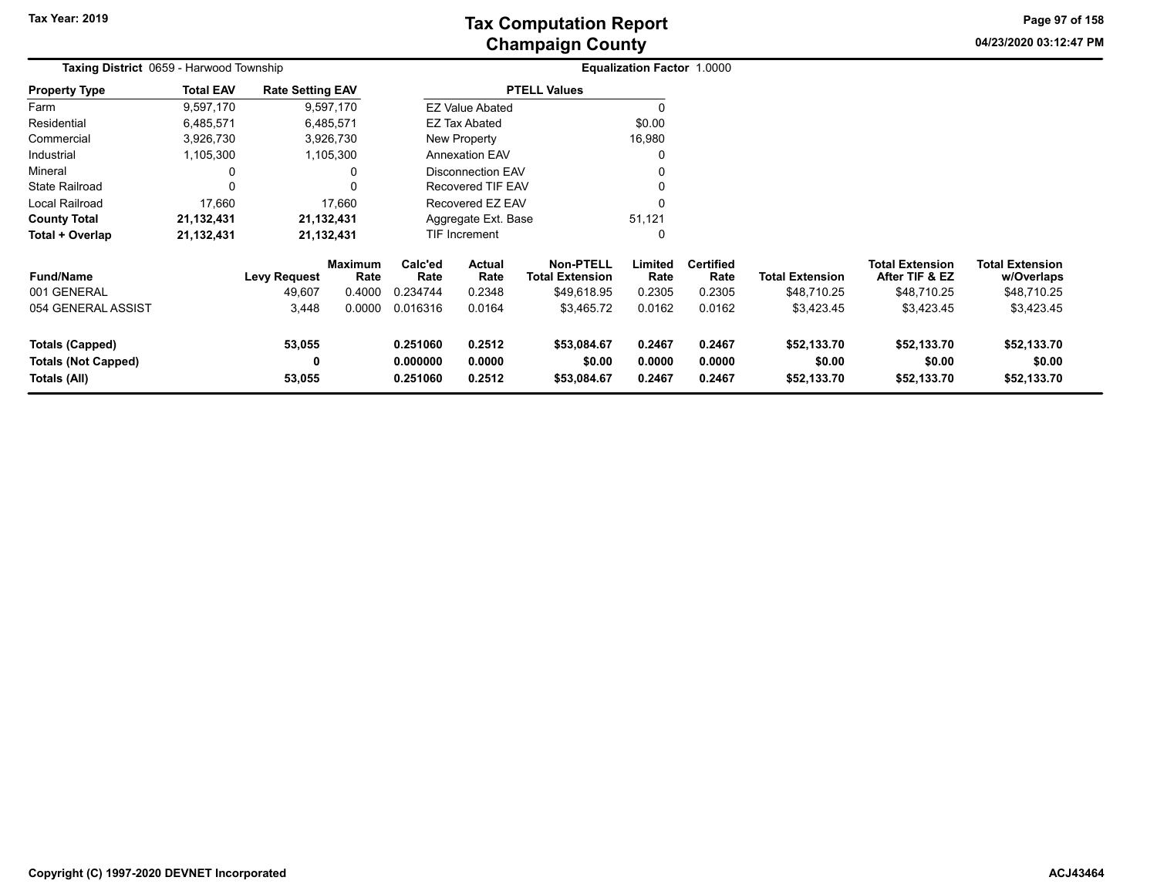**04/23/2020 03:12:47 PM Page 97 of 158**

| Taxing District 0659 - Harwood Township |                  |                         |                        |                               |                                                      |                                            | Equalization Factor 1.0000 |                          |                        |                                          |                                      |
|-----------------------------------------|------------------|-------------------------|------------------------|-------------------------------|------------------------------------------------------|--------------------------------------------|----------------------------|--------------------------|------------------------|------------------------------------------|--------------------------------------|
| <b>Property Type</b>                    | <b>Total EAV</b> | <b>Rate Setting EAV</b> |                        |                               |                                                      | <b>PTELL Values</b>                        |                            |                          |                        |                                          |                                      |
| Farm                                    | 9,597,170        |                         | 9,597,170              |                               | <b>EZ Value Abated</b>                               |                                            |                            |                          |                        |                                          |                                      |
| Residential                             | 6,485,571        |                         | 6,485,571              |                               | <b>EZ Tax Abated</b>                                 |                                            | \$0.00                     |                          |                        |                                          |                                      |
| Commercial                              | 3,926,730        |                         | 3,926,730              |                               | New Property                                         |                                            | 16,980                     |                          |                        |                                          |                                      |
| Industrial                              | 1,105,300        |                         | 1,105,300              |                               | <b>Annexation EAV</b>                                |                                            |                            |                          |                        |                                          |                                      |
| Mineral                                 |                  |                         | 0                      |                               | <b>Disconnection EAV</b><br><b>Recovered TIF EAV</b> |                                            |                            |                          |                        |                                          |                                      |
| <b>State Railroad</b>                   |                  |                         | 0                      |                               |                                                      |                                            |                            |                          |                        |                                          |                                      |
| Local Railroad                          | 17,660           |                         | 17,660                 |                               | Recovered EZ EAV                                     |                                            |                            |                          |                        |                                          |                                      |
| <b>County Total</b>                     | 21,132,431       |                         | 21,132,431             | Aggregate Ext. Base<br>51,121 |                                                      |                                            |                            |                          |                        |                                          |                                      |
| Total + Overlap                         | 21,132,431       | 21,132,431              |                        |                               | <b>TIF Increment</b>                                 |                                            | $\Omega$                   |                          |                        |                                          |                                      |
| <b>Fund/Name</b>                        |                  | <b>Levy Request</b>     | <b>Maximum</b><br>Rate | Calc'ed<br>Rate               | Actual<br>Rate                                       | <b>Non-PTELL</b><br><b>Total Extension</b> | Limited<br>Rate            | <b>Certified</b><br>Rate | <b>Total Extension</b> | <b>Total Extension</b><br>After TIF & EZ | <b>Total Extension</b><br>w/Overlaps |
| 001 GENERAL                             |                  | 49,607                  | 0.4000                 | 0.234744                      | 0.2348                                               | \$49,618.95                                | 0.2305                     | 0.2305                   | \$48,710.25            | \$48,710.25                              | \$48,710.25                          |
| 054 GENERAL ASSIST                      |                  | 3,448                   | 0.0000                 | 0.016316                      | 0.0164                                               | \$3,465.72                                 | 0.0162                     | 0.0162                   | \$3,423.45             | \$3,423.45                               | \$3,423.45                           |
| Totals (Capped)                         |                  | 53,055                  |                        | 0.251060                      | 0.2512                                               | \$53,084.67                                | 0.2467                     | 0.2467                   | \$52,133.70            | \$52,133.70                              | \$52,133.70                          |
| <b>Totals (Not Capped)</b>              |                  | 0                       |                        | 0.000000                      | 0.0000                                               | \$0.00                                     | 0.0000                     | 0.0000                   | \$0.00                 | \$0.00                                   | \$0.00                               |
| Totals (All)                            |                  | 53,055                  |                        | 0.251060                      | 0.2512                                               | \$53,084.67                                | 0.2467                     | 0.2467                   | \$52,133.70            | \$52,133.70                              | \$52,133.70                          |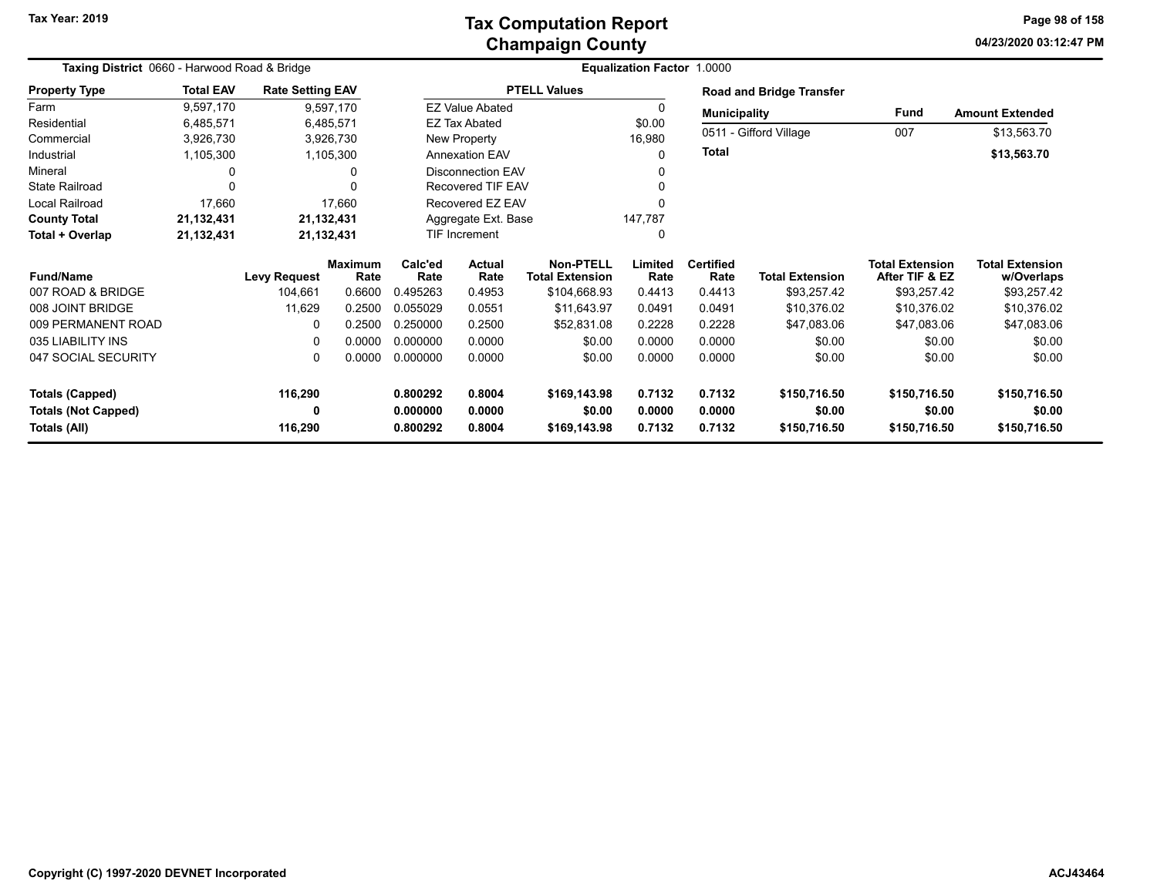### **Champaign County Tax Computation Report**

**04/23/2020 03:12:47 PM Page 98 of 158**

| Taxing District 0660 - Harwood Road & Bridge |                  |                         |                        |                 |                        | Equalization Factor 1.0000                 |                 |                          |                                 |                                          |                                      |
|----------------------------------------------|------------------|-------------------------|------------------------|-----------------|------------------------|--------------------------------------------|-----------------|--------------------------|---------------------------------|------------------------------------------|--------------------------------------|
| <b>Property Type</b>                         | <b>Total EAV</b> | <b>Rate Setting EAV</b> |                        |                 |                        | <b>PTELL Values</b>                        |                 |                          | <b>Road and Bridge Transfer</b> |                                          |                                      |
| Farm                                         | 9,597,170        |                         | 9,597,170              |                 | <b>EZ Value Abated</b> |                                            | 0               | <b>Municipality</b>      |                                 | <b>Fund</b>                              | <b>Amount Extended</b>               |
| Residential                                  | 6,485,571        | 6,485,571               |                        |                 | <b>EZ Tax Abated</b>   |                                            | \$0.00          |                          |                                 |                                          |                                      |
| Commercial                                   | 3,926,730        |                         | 3,926,730              |                 | New Property           |                                            | 16,980          |                          | 0511 - Gifford Village          | 007                                      | \$13,563.70                          |
| Industrial                                   | 1,105,300        |                         | 1,105,300              |                 | <b>Annexation EAV</b>  |                                            | $\Omega$        | Total                    |                                 |                                          | \$13,563.70                          |
| Mineral                                      |                  |                         | 0                      |                 | Disconnection EAV      |                                            |                 |                          |                                 |                                          |                                      |
| <b>State Railroad</b>                        | O                |                         | n                      |                 | Recovered TIF EAV      |                                            |                 |                          |                                 |                                          |                                      |
| Local Railroad                               | 17,660           |                         | 17,660                 |                 | Recovered EZ EAV       |                                            |                 |                          |                                 |                                          |                                      |
| <b>County Total</b>                          | 21,132,431       | 21,132,431              |                        |                 | Aggregate Ext. Base    |                                            | 147,787         |                          |                                 |                                          |                                      |
| Total + Overlap                              | 21,132,431       | 21,132,431              |                        |                 | <b>TIF Increment</b>   |                                            | 0               |                          |                                 |                                          |                                      |
| <b>Fund/Name</b>                             |                  | <b>Levy Request</b>     | <b>Maximum</b><br>Rate | Calc'ed<br>Rate | <b>Actual</b><br>Rate  | <b>Non-PTELL</b><br><b>Total Extension</b> | Limited<br>Rate | <b>Certified</b><br>Rate | <b>Total Extension</b>          | <b>Total Extension</b><br>After TIF & EZ | <b>Total Extension</b><br>w/Overlaps |
| 007 ROAD & BRIDGE                            |                  | 104,661                 | 0.6600                 | 0.495263        | 0.4953                 | \$104,668.93                               | 0.4413          | 0.4413                   | \$93,257.42                     | \$93,257.42                              | \$93,257.42                          |
| 008 JOINT BRIDGE                             |                  | 11,629                  | 0.2500                 | 0.055029        | 0.0551                 | \$11,643.97                                | 0.0491          | 0.0491                   | \$10,376.02                     | \$10,376.02                              | \$10,376.02                          |
| 009 PERMANENT ROAD                           |                  |                         | 0.2500                 | 0.250000        | 0.2500                 | \$52,831.08                                | 0.2228          | 0.2228                   | \$47,083.06                     | \$47,083.06                              | \$47,083.06                          |
| 035 LIABILITY INS                            |                  |                         | 0.0000                 | 0.000000        | 0.0000                 | \$0.00                                     | 0.0000          | 0.0000                   | \$0.00                          | \$0.00                                   | \$0.00                               |
| 047 SOCIAL SECURITY                          |                  | 0                       | 0.0000                 | 0.000000        | 0.0000                 | \$0.00                                     | 0.0000          | 0.0000                   | \$0.00                          | \$0.00                                   | \$0.00                               |
| <b>Totals (Capped)</b>                       |                  | 116,290                 |                        | 0.800292        | 0.8004                 | \$169,143.98                               | 0.7132          | 0.7132                   | \$150,716.50                    | \$150,716.50                             | \$150,716.50                         |
| <b>Totals (Not Capped)</b>                   |                  |                         |                        | 0.000000        | 0.0000                 | \$0.00                                     | 0.0000          | 0.0000                   | \$0.00                          | \$0.00                                   | \$0.00                               |
| Totals (All)                                 |                  | 116,290                 |                        | 0.800292        | 0.8004                 | \$169,143.98                               | 0.7132          | 0.7132                   | \$150,716.50                    | \$150,716.50                             | \$150,716.50                         |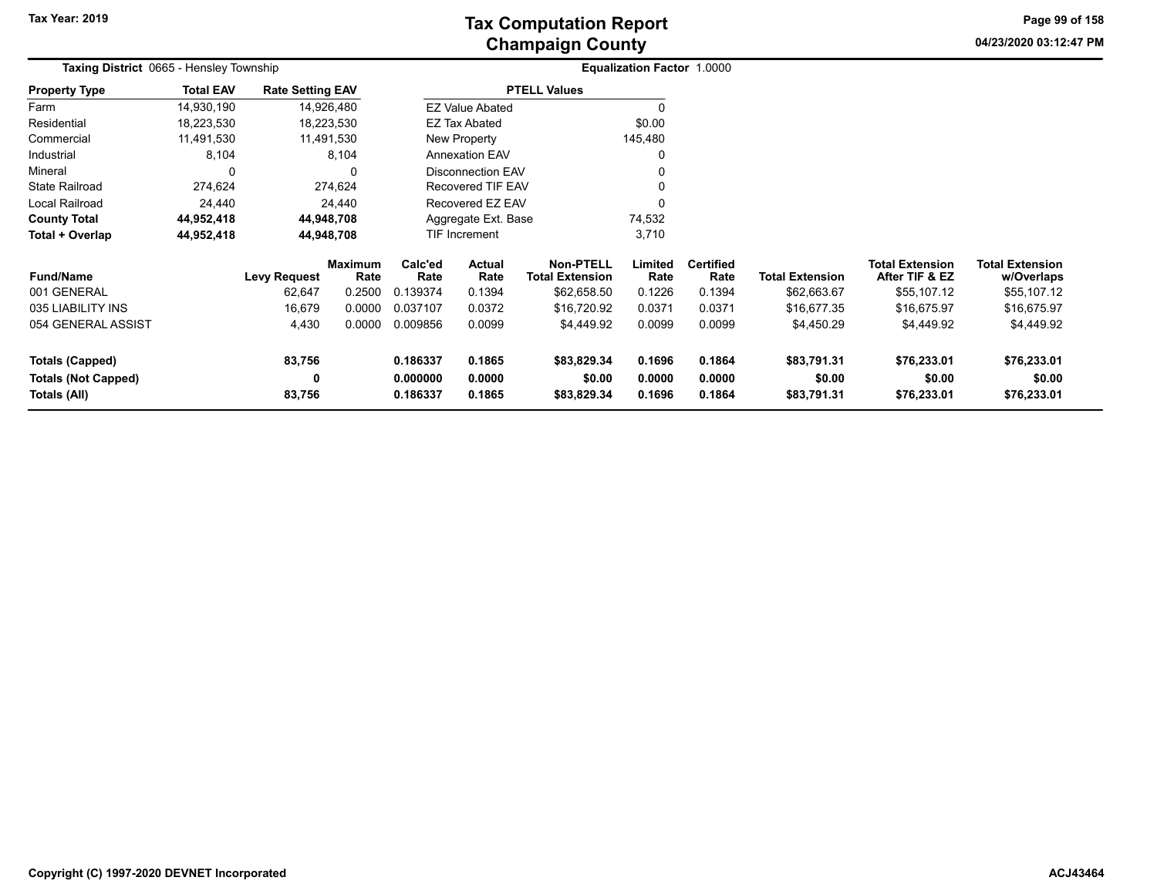**04/23/2020 03:12:47 PMPage 99 of 158**

| Taxing District 0665 - Hensley Township |                  |                         |                        | Equalization Factor 1.0000 |                        |                                            |                 |                          |                        |                                          |                                      |
|-----------------------------------------|------------------|-------------------------|------------------------|----------------------------|------------------------|--------------------------------------------|-----------------|--------------------------|------------------------|------------------------------------------|--------------------------------------|
| <b>Property Type</b>                    | <b>Total EAV</b> | <b>Rate Setting EAV</b> |                        |                            |                        | <b>PTELL Values</b>                        |                 |                          |                        |                                          |                                      |
| Farm                                    | 14,930,190       | 14,926,480              |                        |                            | <b>EZ Value Abated</b> |                                            |                 |                          |                        |                                          |                                      |
| Residential                             | 18,223,530       | 18,223,530              |                        |                            | EZ Tax Abated          |                                            | \$0.00          |                          |                        |                                          |                                      |
| Commercial                              | 11,491,530       | 11,491,530              |                        |                            | New Property           |                                            | 145,480         |                          |                        |                                          |                                      |
| Industrial                              | 8,104            |                         | 8,104                  |                            | <b>Annexation EAV</b>  |                                            |                 |                          |                        |                                          |                                      |
| Mineral                                 | 0                |                         | 0                      |                            | Disconnection EAV      |                                            |                 |                          |                        |                                          |                                      |
| <b>State Railroad</b>                   | 274,624          |                         | 274,624                |                            | Recovered TIF EAV      |                                            |                 |                          |                        |                                          |                                      |
| Local Railroad                          | 24,440           |                         | 24,440                 |                            | Recovered EZ EAV       |                                            |                 |                          |                        |                                          |                                      |
| <b>County Total</b>                     | 44,952,418       | 44,948,708              |                        |                            | Aggregate Ext. Base    |                                            | 74,532          |                          |                        |                                          |                                      |
| Total + Overlap                         | 44,952,418       | 44,948,708              |                        |                            | 3,710<br>TIF Increment |                                            |                 |                          |                        |                                          |                                      |
| <b>Fund/Name</b>                        |                  | <b>Levy Request</b>     | <b>Maximum</b><br>Rate | Calc'ed<br>Rate            | Actual<br>Rate         | <b>Non-PTELL</b><br><b>Total Extension</b> | Limited<br>Rate | <b>Certified</b><br>Rate | <b>Total Extension</b> | <b>Total Extension</b><br>After TIF & EZ | <b>Total Extension</b><br>w/Overlaps |
| 001 GENERAL                             |                  | 62,647                  | 0.2500                 | 0.139374                   | 0.1394                 | \$62,658.50                                | 0.1226          | 0.1394                   | \$62,663.67            | \$55,107.12                              | \$55,107.12                          |
| 035 LIABILITY INS                       |                  | 16,679                  | 0.0000                 | 0.037107                   | 0.0372                 | \$16,720.92                                | 0.0371          | 0.0371                   | \$16,677.35            | \$16,675.97                              | \$16,675.97                          |
| 054 GENERAL ASSIST                      |                  | 4,430                   | 0.0000                 | 0.009856                   | 0.0099                 | \$4,449.92                                 | 0.0099          | 0.0099                   | \$4,450.29             | \$4,449.92                               | \$4,449.92                           |
| <b>Totals (Capped)</b>                  |                  | 83,756                  |                        | 0.186337                   | 0.1865                 | \$83,829.34                                | 0.1696          | 0.1864                   | \$83,791.31            | \$76,233.01                              | \$76,233.01                          |
| <b>Totals (Not Capped)</b>              |                  | 0                       |                        | 0.000000                   | 0.0000                 | \$0.00                                     | 0.0000          | 0.0000                   | \$0.00                 | \$0.00                                   | \$0.00                               |
| Totals (All)                            |                  | 83,756                  |                        | 0.186337                   | 0.1865                 | \$83,829.34                                | 0.1696          | 0.1864                   | \$83,791.31            | \$76,233.01                              | \$76,233.01                          |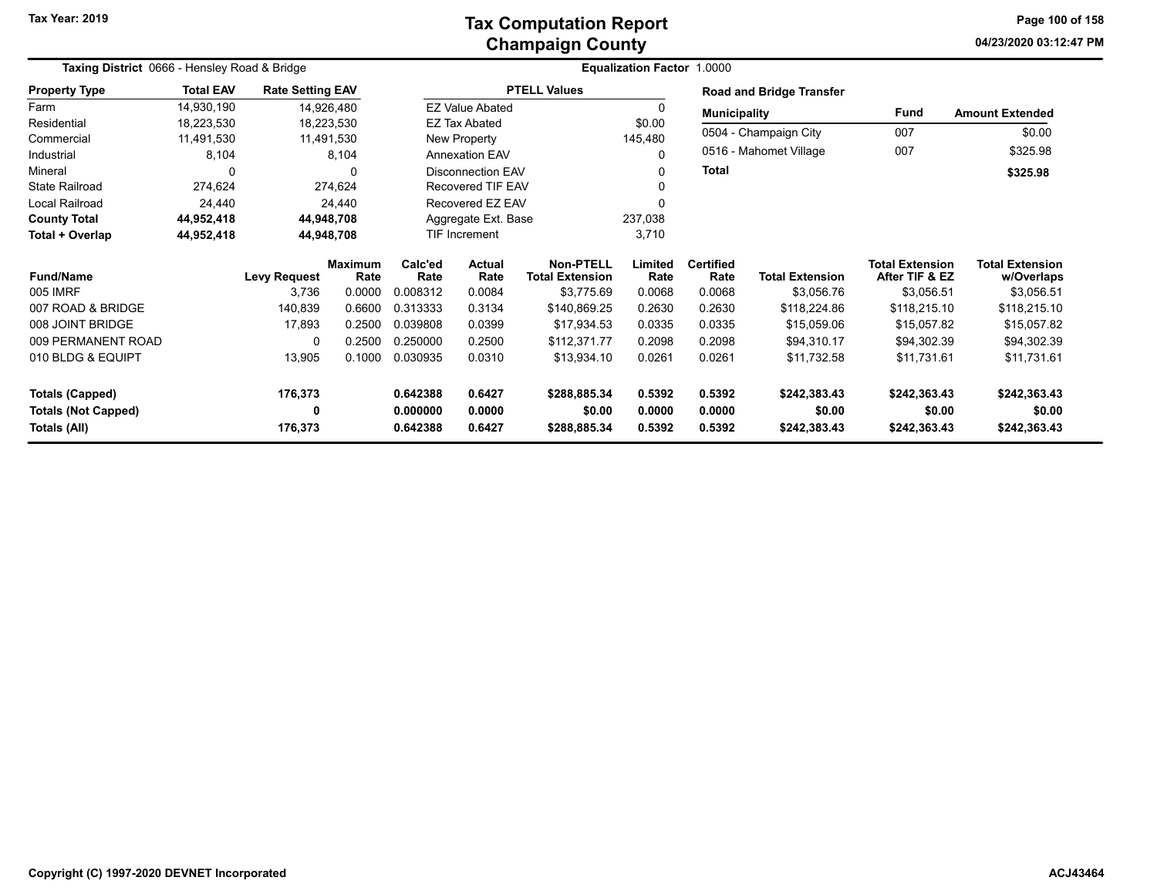**04/23/2020 03:12:47 PM Page 100 of 158**

| Taxing District 0666 - Hensley Road & Bridge |                  |                         |                        |                       | Equalization Factor 1.0000 |                                     |                 |                          |                                 |                                          |                                      |  |
|----------------------------------------------|------------------|-------------------------|------------------------|-----------------------|----------------------------|-------------------------------------|-----------------|--------------------------|---------------------------------|------------------------------------------|--------------------------------------|--|
| <b>Property Type</b>                         | <b>Total EAV</b> | <b>Rate Setting EAV</b> |                        |                       |                            | <b>PTELL Values</b>                 |                 |                          | <b>Road and Bridge Transfer</b> |                                          |                                      |  |
| Farm                                         | 14,930,190       |                         | 14,926,480             |                       | <b>EZ Value Abated</b>     |                                     | <sup>0</sup>    | <b>Municipality</b>      |                                 | Fund                                     | <b>Amount Extended</b>               |  |
| Residential                                  | 18,223,530       |                         | 18,223,530             |                       | EZ Tax Abated<br>\$0.00    |                                     |                 |                          |                                 |                                          |                                      |  |
| Commercial                                   | 11,491,530       |                         | 11,491,530             |                       | New Property               |                                     | 145,480         |                          | 0504 - Champaign City           | 007                                      | \$0.00                               |  |
| Industrial                                   | 8,104            |                         | 8,104                  | <b>Annexation EAV</b> |                            |                                     | 0               | 0516 - Mahomet Village   |                                 | 007                                      | \$325.98                             |  |
| Mineral                                      | $\Omega$         |                         | $\Omega$               |                       | <b>Disconnection EAV</b>   |                                     | 0               | <b>Total</b>             |                                 |                                          | \$325.98                             |  |
| <b>State Railroad</b>                        | 274,624          |                         | 274,624                |                       | Recovered TIF EAV          |                                     |                 |                          |                                 |                                          |                                      |  |
| Local Railroad                               | 24,440           |                         | 24,440                 |                       | Recovered EZ EAV           |                                     |                 |                          |                                 |                                          |                                      |  |
| <b>County Total</b>                          | 44,952,418       |                         | 44,948,708             |                       | Aggregate Ext. Base        |                                     | 237,038         |                          |                                 |                                          |                                      |  |
| Total + Overlap                              | 44,952,418       | 44,948,708              |                        |                       | TIF Increment              |                                     | 3,710           |                          |                                 |                                          |                                      |  |
| <b>Fund/Name</b>                             |                  | <b>Levy Request</b>     | <b>Maximum</b><br>Rate | Calc'ed<br>Rate       | Actual<br>Rate             | Non-PTELL<br><b>Total Extension</b> | Limited<br>Rate | <b>Certified</b><br>Rate | <b>Total Extension</b>          | <b>Total Extension</b><br>After TIF & EZ | <b>Total Extension</b><br>w/Overlaps |  |
| 005 IMRF                                     |                  | 3,736                   | 0.0000                 | 0.008312              | 0.0084                     | \$3,775.69                          | 0.0068          | 0.0068                   | \$3,056.76                      | \$3,056.51                               | \$3,056.51                           |  |
| 007 ROAD & BRIDGE                            |                  | 140,839                 | 0.6600                 | 0.313333              | 0.3134                     | \$140,869.25                        | 0.2630          | 0.2630                   | \$118,224.86                    | \$118,215.10                             | \$118,215.10                         |  |
| 008 JOINT BRIDGE                             |                  | 17,893                  | 0.2500                 | 0.039808              | 0.0399                     | \$17,934.53                         | 0.0335          | 0.0335                   | \$15,059.06                     | \$15,057.82                              | \$15,057.82                          |  |
| 009 PERMANENT ROAD                           |                  | $\Omega$                | 0.2500                 | 0.250000              | 0.2500                     | \$112,371.77                        | 0.2098          | 0.2098                   | \$94,310.17                     | \$94,302.39                              | \$94,302.39                          |  |
| 010 BLDG & EQUIPT                            |                  | 13,905                  | 0.1000                 | 0.030935              | 0.0310                     | \$13,934.10                         | 0.0261          | 0.0261                   | \$11,732.58                     | \$11,731.61                              | \$11,731.61                          |  |
| <b>Totals (Capped)</b>                       |                  | 176,373                 |                        | 0.642388              | 0.6427                     | \$288,885.34                        | 0.5392          | 0.5392                   | \$242,383.43                    | \$242,363.43                             | \$242,363.43                         |  |
| <b>Totals (Not Capped)</b>                   |                  | 0                       |                        | 0.000000              | 0.0000                     | \$0.00                              | 0.0000          | 0.0000                   | \$0.00                          | \$0.00                                   | \$0.00                               |  |
| Totals (All)                                 |                  | 176,373                 |                        | 0.642388              | 0.6427                     | \$288,885.34                        | 0.5392          | 0.5392                   | \$242,383.43                    | \$242,363.43                             | \$242,363.43                         |  |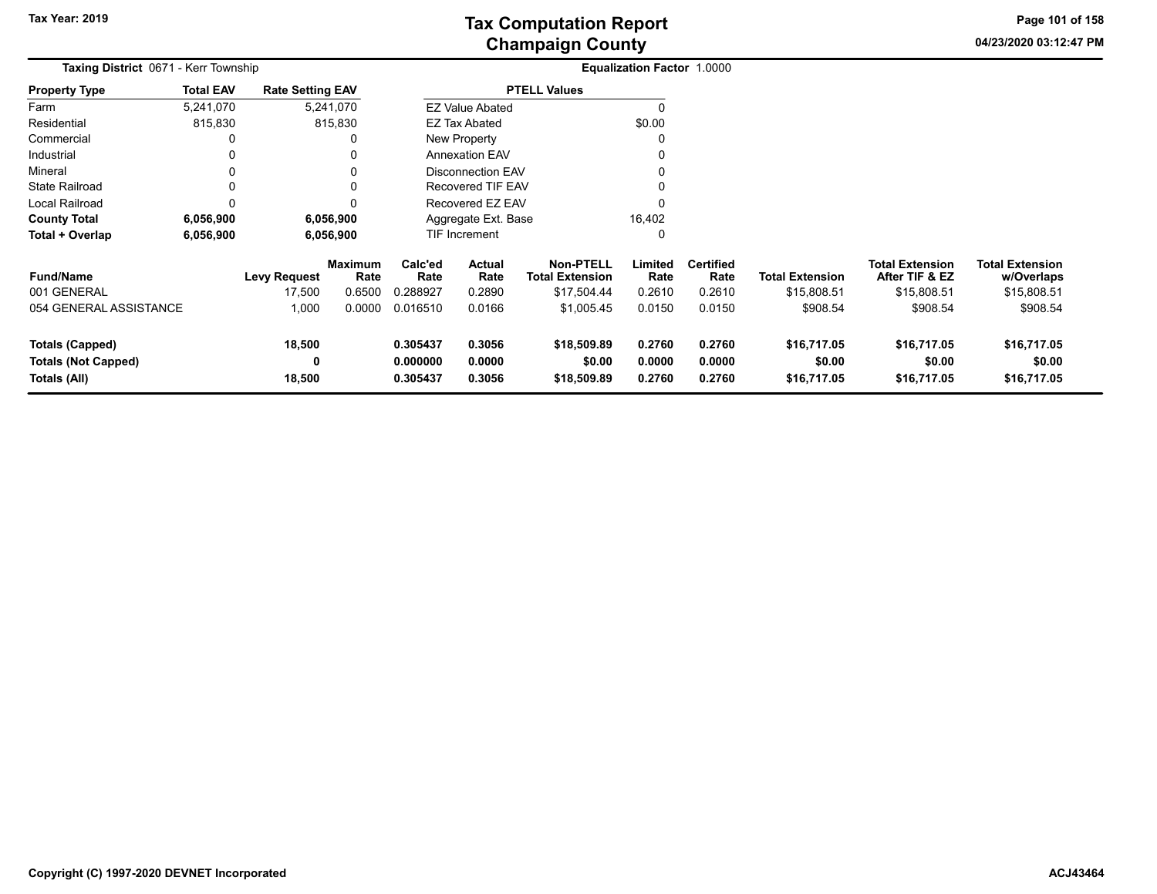**04/23/2020 03:12:47 PM Page 101 of 158**

| Taxing District 0671 - Kerr Township                                 |                  |                         |                        | <b>Equalization Factor 1.0000</b> |                                                      |                                      |                            |                            |                                      |                                          |                                      |
|----------------------------------------------------------------------|------------------|-------------------------|------------------------|-----------------------------------|------------------------------------------------------|--------------------------------------|----------------------------|----------------------------|--------------------------------------|------------------------------------------|--------------------------------------|
| <b>Property Type</b>                                                 | <b>Total EAV</b> | <b>Rate Setting EAV</b> |                        |                                   |                                                      | <b>PTELL Values</b>                  |                            |                            |                                      |                                          |                                      |
| Farm                                                                 | 5,241,070        |                         | 5,241,070              |                                   | <b>EZ Value Abated</b>                               |                                      |                            |                            |                                      |                                          |                                      |
| Residential                                                          | 815,830          |                         | 815,830                |                                   | EZ Tax Abated                                        |                                      | \$0.00                     |                            |                                      |                                          |                                      |
| Commercial                                                           | 0                |                         |                        |                                   | New Property                                         |                                      |                            |                            |                                      |                                          |                                      |
| Industrial                                                           | 0                |                         | 0                      |                                   | <b>Annexation EAV</b>                                |                                      |                            |                            |                                      |                                          |                                      |
| Mineral                                                              | 0                |                         | 0                      |                                   | <b>Disconnection EAV</b><br><b>Recovered TIF EAV</b> |                                      |                            |                            |                                      |                                          |                                      |
| <b>State Railroad</b>                                                | 0                |                         | 0                      |                                   |                                                      |                                      |                            |                            |                                      |                                          |                                      |
| Local Railroad                                                       | 0                |                         | O                      |                                   | Recovered EZ EAV                                     |                                      |                            |                            |                                      |                                          |                                      |
| <b>County Total</b>                                                  | 6,056,900        |                         | 6,056,900              |                                   | Aggregate Ext. Base                                  |                                      | 16,402                     |                            |                                      |                                          |                                      |
| Total + Overlap                                                      | 6,056,900        |                         | 6,056,900              |                                   | <b>TIF Increment</b>                                 |                                      |                            |                            |                                      |                                          |                                      |
| <b>Fund/Name</b>                                                     |                  | <b>Levy Request</b>     | <b>Maximum</b><br>Rate | Calc'ed<br>Rate                   | Actual<br>Rate                                       | Non-PTELL<br><b>Total Extension</b>  | Limited<br>Rate            | <b>Certified</b><br>Rate   | <b>Total Extension</b>               | <b>Total Extension</b><br>After TIF & EZ | <b>Total Extension</b><br>w/Overlaps |
| 001 GENERAL                                                          |                  | 17,500                  | 0.6500                 | 0.288927                          | 0.2890                                               | \$17,504.44                          | 0.2610                     | 0.2610                     | \$15,808.51                          | \$15,808.51                              | \$15,808.51                          |
| 054 GENERAL ASSISTANCE                                               |                  | 1,000                   | 0.0000                 | 0.016510                          | 0.0166                                               | \$1,005.45                           | 0.0150                     | 0.0150                     | \$908.54                             | \$908.54                                 | \$908.54                             |
| <b>Totals (Capped)</b><br><b>Totals (Not Capped)</b><br>Totals (All) |                  | 18,500<br>0<br>18,500   |                        | 0.305437<br>0.000000<br>0.305437  | 0.3056<br>0.0000<br>0.3056                           | \$18,509.89<br>\$0.00<br>\$18,509.89 | 0.2760<br>0.0000<br>0.2760 | 0.2760<br>0.0000<br>0.2760 | \$16,717.05<br>\$0.00<br>\$16,717.05 | \$16,717.05<br>\$0.00<br>\$16,717.05     | \$16,717.05<br>\$0.00<br>\$16,717.05 |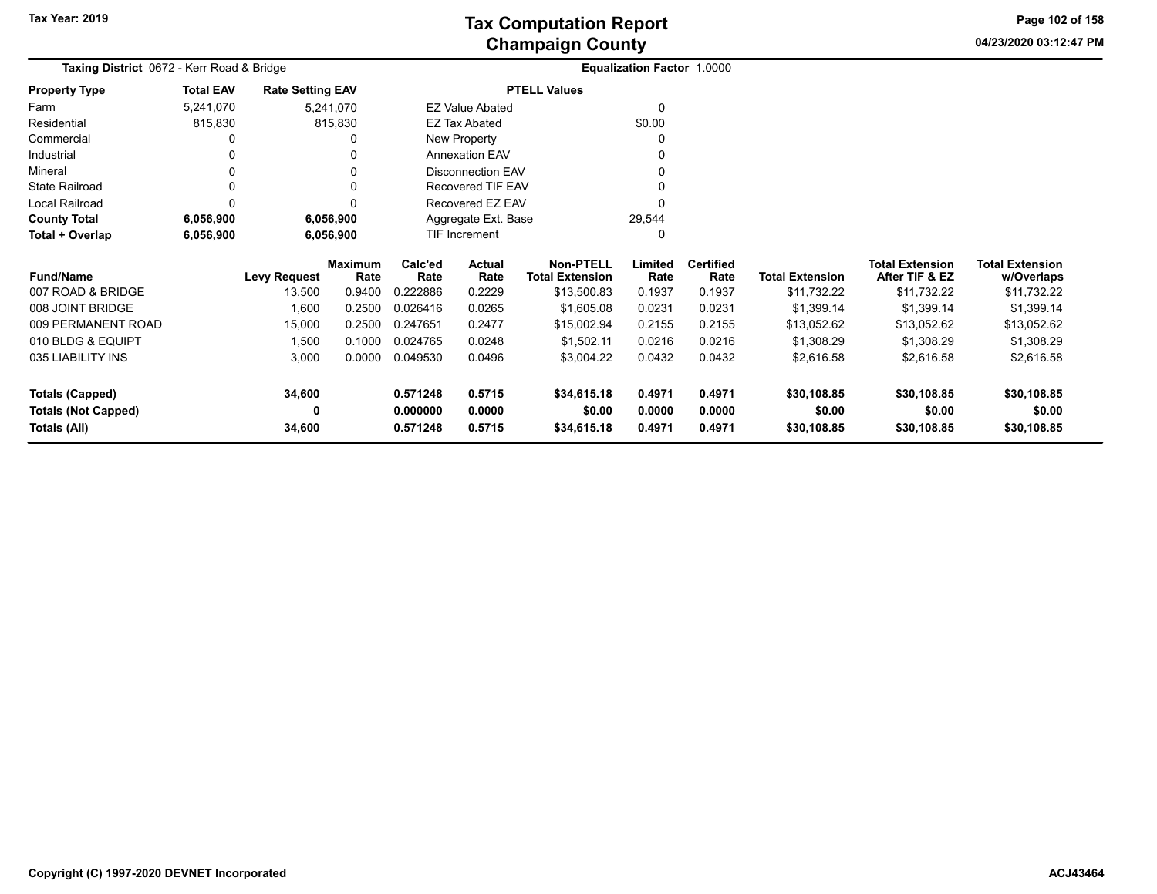**04/23/2020 03:12:47 PM Page 102 of 158**

|                            | Taxing District 0672 - Kerr Road & Bridge<br><b>Rate Setting EAV</b> |                     |                 |                 |                          |                                            | Equalization Factor 1.0000 |                          |                        |                                          |                                      |
|----------------------------|----------------------------------------------------------------------|---------------------|-----------------|-----------------|--------------------------|--------------------------------------------|----------------------------|--------------------------|------------------------|------------------------------------------|--------------------------------------|
| <b>Property Type</b>       | <b>Total EAV</b>                                                     |                     |                 |                 |                          | <b>PTELL Values</b>                        |                            |                          |                        |                                          |                                      |
| Farm                       | 5,241,070                                                            |                     | 5,241,070       |                 | <b>EZ Value Abated</b>   |                                            | $\Omega$                   |                          |                        |                                          |                                      |
| Residential                | 815,830                                                              |                     | 815,830         |                 | EZ Tax Abated            |                                            | \$0.00                     |                          |                        |                                          |                                      |
| Commercial                 |                                                                      |                     |                 |                 | New Property             |                                            | O                          |                          |                        |                                          |                                      |
| Industrial                 |                                                                      |                     |                 |                 | <b>Annexation EAV</b>    |                                            |                            |                          |                        |                                          |                                      |
| Mineral                    |                                                                      |                     | 0               |                 | <b>Disconnection EAV</b> |                                            |                            |                          |                        |                                          |                                      |
| <b>State Railroad</b>      |                                                                      |                     | $\Omega$        |                 | Recovered TIF EAV        |                                            |                            |                          |                        |                                          |                                      |
| Local Railroad             |                                                                      |                     | 0               |                 | Recovered EZ EAV         |                                            |                            |                          |                        |                                          |                                      |
| <b>County Total</b>        | 6,056,900                                                            |                     | 6,056,900       |                 | Aggregate Ext. Base      |                                            | 29,544                     |                          |                        |                                          |                                      |
| Total + Overlap            | 6,056,900                                                            |                     | 6,056,900       |                 | TIF Increment            |                                            | 0                          |                          |                        |                                          |                                      |
| <b>Fund/Name</b>           |                                                                      | <b>Levy Request</b> | Maximum<br>Rate | Calc'ed<br>Rate | Actual<br>Rate           | <b>Non-PTELL</b><br><b>Total Extension</b> | Limited<br>Rate            | <b>Certified</b><br>Rate | <b>Total Extension</b> | <b>Total Extension</b><br>After TIF & EZ | <b>Total Extension</b><br>w/Overlaps |
| 007 ROAD & BRIDGE          |                                                                      | 13,500              | 0.9400          | 0.222886        | 0.2229                   | \$13,500.83                                | 0.1937                     | 0.1937                   | \$11,732.22            | \$11,732.22                              | \$11,732.22                          |
| 008 JOINT BRIDGE           |                                                                      | 1,600               | 0.2500          | 0.026416        | 0.0265                   | \$1,605.08                                 | 0.0231                     | 0.0231                   | \$1,399.14             | \$1,399.14                               | \$1,399.14                           |
| 009 PERMANENT ROAD         |                                                                      | 15,000              | 0.2500          | 0.247651        | 0.2477                   | \$15,002.94                                | 0.2155                     | 0.2155                   | \$13,052.62            | \$13,052.62                              | \$13,052.62                          |
| 010 BLDG & EQUIPT          |                                                                      | 1,500               | 0.1000          | 0.024765        | 0.0248                   | \$1,502.11                                 | 0.0216                     | 0.0216                   | \$1,308.29             | \$1,308.29                               | \$1,308.29                           |
| 035 LIABILITY INS          |                                                                      | 3,000               | 0.0000          | 0.049530        | 0.0496                   | \$3,004.22                                 | 0.0432                     | 0.0432                   | \$2,616.58             | \$2,616.58                               | \$2,616.58                           |
| <b>Totals (Capped)</b>     |                                                                      | 34,600              |                 | 0.571248        | 0.5715                   | \$34,615.18                                | 0.4971                     | 0.4971                   | \$30,108.85            | \$30,108.85                              | \$30,108.85                          |
| <b>Totals (Not Capped)</b> |                                                                      |                     |                 | 0.000000        | 0.0000                   | \$0.00                                     | 0.0000                     | 0.0000                   | \$0.00                 | \$0.00                                   | \$0.00                               |
| Totals (All)               |                                                                      | 34,600              |                 | 0.571248        | 0.5715                   | \$34,615.18                                | 0.4971                     | 0.4971                   | \$30,108.85            | \$30,108.85                              | \$30,108.85                          |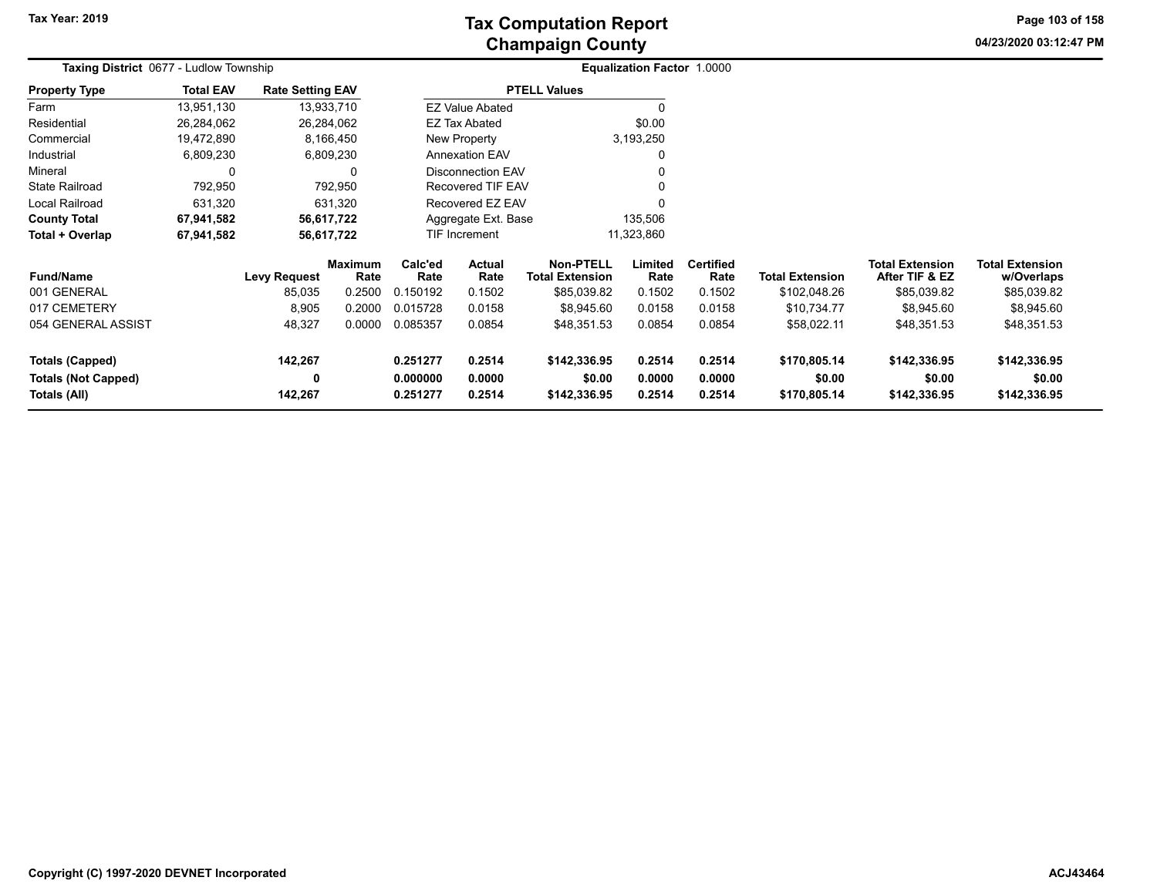**04/23/2020 03:12:47 PM Page 103 of 158**

| <b>Taxing District 0677 - Ludlow Township</b><br><b>Property Type</b> |              |                                |                                                                                                                                                           |                             |                                                 |                                                                                                                                                                     |                                        |                                              |                                        |                                               |                            |
|-----------------------------------------------------------------------|--------------|--------------------------------|-----------------------------------------------------------------------------------------------------------------------------------------------------------|-----------------------------|-------------------------------------------------|---------------------------------------------------------------------------------------------------------------------------------------------------------------------|----------------------------------------|----------------------------------------------|----------------------------------------|-----------------------------------------------|----------------------------|
| <b>Total EAV</b>                                                      |              |                                |                                                                                                                                                           |                             |                                                 |                                                                                                                                                                     |                                        |                                              |                                        |                                               |                            |
| 13,951,130                                                            |              |                                |                                                                                                                                                           |                             |                                                 |                                                                                                                                                                     |                                        |                                              |                                        |                                               |                            |
| 26,284,062                                                            |              |                                |                                                                                                                                                           |                             |                                                 | \$0.00                                                                                                                                                              |                                        |                                              |                                        |                                               |                            |
| 19,472,890                                                            |              |                                |                                                                                                                                                           |                             |                                                 |                                                                                                                                                                     |                                        |                                              |                                        |                                               |                            |
| 6,809,230                                                             |              |                                | <b>Annexation EAV</b>                                                                                                                                     |                             |                                                 |                                                                                                                                                                     |                                        |                                              |                                        |                                               |                            |
| 0                                                                     |              | 0                              |                                                                                                                                                           |                             |                                                 |                                                                                                                                                                     |                                        |                                              |                                        |                                               |                            |
| 792,950                                                               |              |                                |                                                                                                                                                           |                             |                                                 |                                                                                                                                                                     |                                        |                                              |                                        |                                               |                            |
| 631,320                                                               |              |                                |                                                                                                                                                           |                             |                                                 |                                                                                                                                                                     |                                        |                                              |                                        |                                               |                            |
| 67,941,582                                                            |              |                                | Aggregate Ext. Base                                                                                                                                       |                             |                                                 |                                                                                                                                                                     |                                        |                                              |                                        |                                               |                            |
| 67,941,582                                                            |              |                                |                                                                                                                                                           | 11,323,860<br>TIF Increment |                                                 |                                                                                                                                                                     |                                        |                                              |                                        |                                               |                            |
|                                                                       |              |                                | Calc'ed                                                                                                                                                   | <b>Actual</b>               | <b>Non-PTELL</b>                                | Limited                                                                                                                                                             | <b>Certified</b>                       |                                              | <b>Total Extension</b>                 | <b>Total Extension</b>                        |                            |
|                                                                       | 85,035       | 0.2500                         | 0.150192                                                                                                                                                  | 0.1502                      | \$85,039.82                                     | 0.1502                                                                                                                                                              | 0.1502                                 | \$102,048.26                                 |                                        | \$85,039.82                                   |                            |
|                                                                       | 8,905        | 0.2000                         | 0.015728                                                                                                                                                  | 0.0158                      | \$8,945.60                                      | 0.0158                                                                                                                                                              | 0.0158                                 | \$10,734.77                                  | \$8,945.60                             | \$8,945.60                                    |                            |
|                                                                       | 48,327       | 0.0000                         | 0.085357                                                                                                                                                  | 0.0854                      | \$48,351.53                                     | 0.0854                                                                                                                                                              | 0.0854                                 | \$58,022.11                                  | \$48,351.53                            | \$48,351.53                                   |                            |
|                                                                       | 142,267<br>0 |                                | 0.251277<br>0.000000                                                                                                                                      | 0.2514<br>0.0000            | \$142,336.95<br>\$0.00                          | 0.2514<br>0.0000                                                                                                                                                    | 0.2514<br>0.0000                       | \$170,805.14<br>\$0.00                       | \$142,336.95<br>\$0.00                 | \$142,336.95<br>\$0.00                        |                            |
|                                                                       |              | <b>Levy Request</b><br>142,267 | <b>Rate Setting EAV</b><br>13,933,710<br>26,284,062<br>8,166,450<br>6,809,230<br>792,950<br>631,320<br>56,617,722<br>56,617,722<br><b>Maximum</b><br>Rate | Rate<br>0.251277            | EZ Tax Abated<br>New Property<br>Rate<br>0.2514 | <b>PTELL Values</b><br><b>EZ Value Abated</b><br><b>Disconnection EAV</b><br><b>Recovered TIF EAV</b><br>Recovered EZ EAV<br><b>Total Extension</b><br>\$142,336.95 | 3,193,250<br>135,506<br>Rate<br>0.2514 | Equalization Factor 1.0000<br>Rate<br>0.2514 | <b>Total Extension</b><br>\$170,805.14 | After TIF & EZ<br>\$85,039.82<br>\$142,336.95 | w/Overlaps<br>\$142,336.95 |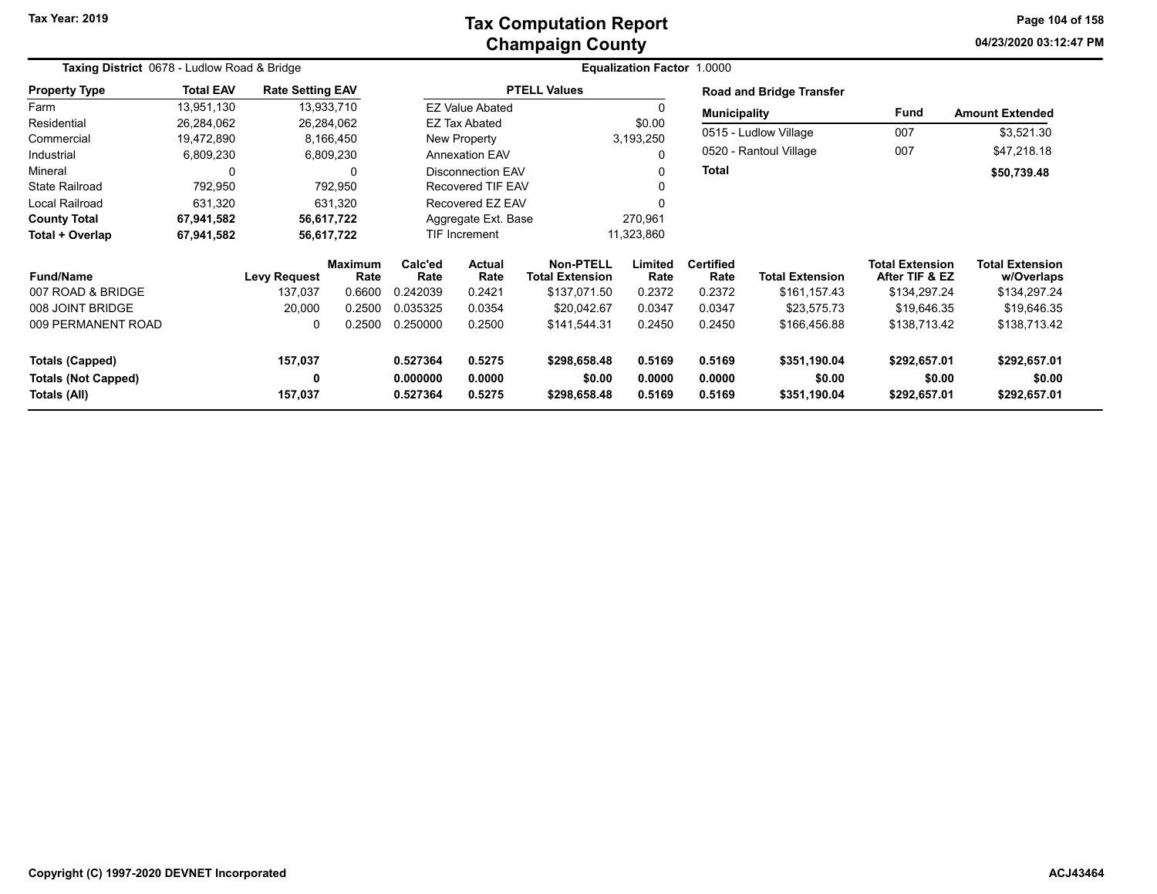### **Champaign County Tax Computation Report**

**04/23/2020 03:12:47 PMPage 104 of 158**

| Taxing District 0678 - Ludlow Road & Bridge |                  |                         |                 |                               |                                    | <b>Equalization Factor 1.0000</b>          |                 |                          |                                 |                                          |                                      |
|---------------------------------------------|------------------|-------------------------|-----------------|-------------------------------|------------------------------------|--------------------------------------------|-----------------|--------------------------|---------------------------------|------------------------------------------|--------------------------------------|
| <b>Property Type</b>                        | <b>Total EAV</b> | <b>Rate Setting EAV</b> |                 |                               |                                    | <b>PTELL Values</b>                        |                 |                          | <b>Road and Bridge Transfer</b> |                                          |                                      |
| Farm                                        | 13,951,130       |                         | 13,933,710      |                               | <b>EZ Value Abated</b>             |                                            | 0               | <b>Municipality</b>      |                                 | Fund                                     | <b>Amount Extended</b>               |
| Residential                                 | 26,284,062       |                         | 26,284,062      |                               | EZ Tax Abated                      |                                            | \$0.00          |                          |                                 |                                          |                                      |
| Commercial                                  | 19,472,890       |                         | 8,166,450       |                               | New Property                       |                                            | 3,193,250       |                          | 0515 - Ludlow Village           | 007                                      | \$3,521.30                           |
| Industrial                                  | 6,809,230        |                         | 6,809,230       |                               | <b>Annexation EAV</b><br>$\Omega$  |                                            |                 |                          | 0520 - Rantoul Village          | 007                                      | \$47,218.18                          |
| Mineral                                     | 0                |                         | 0               | <b>Disconnection EAV</b><br>0 |                                    |                                            | Total           |                          |                                 | \$50,739.48                              |                                      |
| <b>State Railroad</b>                       | 792,950          |                         | 792,950         |                               | <b>Recovered TIF EAV</b>           |                                            |                 |                          |                                 |                                          |                                      |
| Local Railroad                              | 631,320          |                         | 631,320         |                               | Recovered EZ EAV                   |                                            |                 |                          |                                 |                                          |                                      |
| <b>County Total</b>                         | 67,941,582       |                         | 56,617,722      | Aggregate Ext. Base           |                                    |                                            | 270,961         |                          |                                 |                                          |                                      |
| Total + Overlap                             | 67,941,582       |                         | 56,617,722      |                               | 11,323,860<br><b>TIF Increment</b> |                                            |                 |                          |                                 |                                          |                                      |
| <b>Fund/Name</b>                            |                  | <b>Levy Request</b>     | Maximum<br>Rate | Calc'ed<br>Rate               | <b>Actual</b><br>Rate              | <b>Non-PTELL</b><br><b>Total Extension</b> | Limited<br>Rate | <b>Certified</b><br>Rate | <b>Total Extension</b>          | <b>Total Extension</b><br>After TIF & EZ | <b>Total Extension</b><br>w/Overlaps |
| 007 ROAD & BRIDGE                           |                  | 137,037                 | 0.6600          | 0.242039                      | 0.2421                             | \$137,071.50                               | 0.2372          | 0.2372                   | \$161,157.43                    | \$134,297.24                             | \$134,297.24                         |
| 008 JOINT BRIDGE                            |                  | 20,000                  | 0.2500          | 0.035325                      | 0.0354                             | \$20,042.67                                | 0.0347          | 0.0347                   | \$23,575.73                     | \$19,646.35                              | \$19,646.35                          |
| 009 PERMANENT ROAD                          |                  | 0                       | 0.2500          | 0.250000                      | 0.2500                             | \$141,544.31                               | 0.2450          | 0.2450                   | \$166,456.88                    | \$138,713.42                             | \$138,713.42                         |
| <b>Totals (Capped)</b>                      |                  | 157,037                 |                 | 0.527364                      | 0.5275                             | \$298,658.48                               | 0.5169          | 0.5169                   | \$351,190.04                    | \$292,657.01                             | \$292,657.01                         |
| <b>Totals (Not Capped)</b>                  |                  | 0                       |                 | 0.000000                      | 0.0000                             | \$0.00                                     | 0.0000          | 0.0000                   | \$0.00                          | \$0.00                                   | \$0.00                               |
| Totals (All)                                |                  | 157,037                 |                 | 0.527364                      | 0.5275                             | \$298,658.48                               | 0.5169          | 0.5169                   | \$351,190.04                    | \$292,657.01                             | \$292,657.01                         |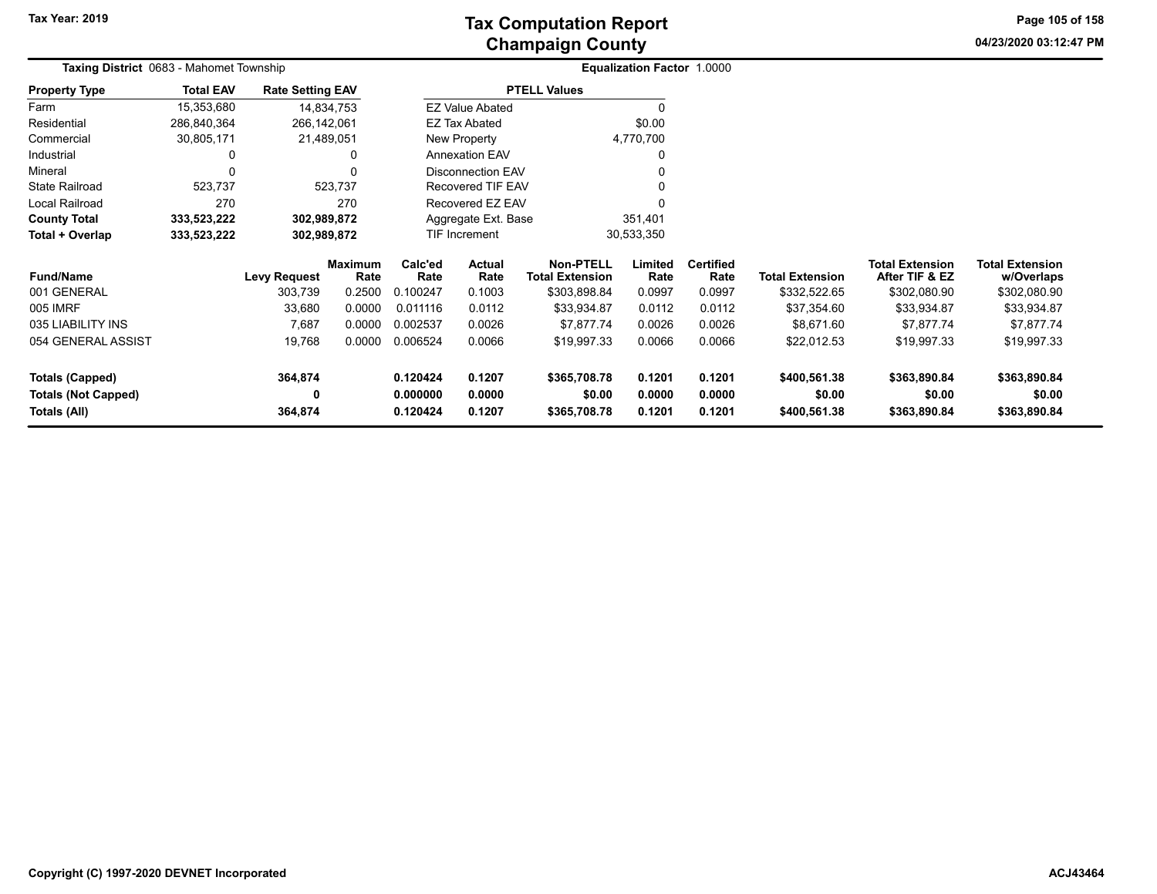# **Champaign County Tax Computation Report**

**04/23/2020 03:12:47 PM**

**Page 105 of 158**

| <b>Taxing District 0683 - Mahomet Township</b> |                  |                         |                        |                                    | Equalization Factor 1.0000 |                                            |                  |                          |                        |                                          |                                      |
|------------------------------------------------|------------------|-------------------------|------------------------|------------------------------------|----------------------------|--------------------------------------------|------------------|--------------------------|------------------------|------------------------------------------|--------------------------------------|
| <b>Property Type</b>                           | <b>Total EAV</b> | <b>Rate Setting EAV</b> |                        |                                    |                            | <b>PTELL Values</b>                        |                  |                          |                        |                                          |                                      |
| Farm                                           | 15,353,680       | 14,834,753              |                        |                                    | <b>EZ Value Abated</b>     |                                            |                  |                          |                        |                                          |                                      |
| Residential                                    | 286,840,364      | 266,142,061             |                        |                                    | EZ Tax Abated              |                                            | \$0.00           |                          |                        |                                          |                                      |
| Commercial                                     | 30,805,171       | 21,489,051              |                        |                                    | New Property               |                                            | 4,770,700        |                          |                        |                                          |                                      |
| Industrial                                     | 0                |                         | 0                      |                                    | <b>Annexation EAV</b>      |                                            |                  |                          |                        |                                          |                                      |
| Mineral                                        |                  |                         | 0                      |                                    | <b>Disconnection EAV</b>   |                                            |                  |                          |                        |                                          |                                      |
| <b>State Railroad</b>                          | 523,737          |                         | 523,737                |                                    | <b>Recovered TIF EAV</b>   |                                            |                  |                          |                        |                                          |                                      |
| Local Railroad                                 | 270              |                         | 270                    |                                    | Recovered EZ EAV           |                                            |                  |                          |                        |                                          |                                      |
| <b>County Total</b>                            | 333,523,222      | 302,989,872             |                        |                                    | Aggregate Ext. Base        |                                            | 351,401          |                          |                        |                                          |                                      |
| Total + Overlap                                | 333,523,222      | 302,989,872             |                        | <b>TIF Increment</b><br>30,533,350 |                            |                                            |                  |                          |                        |                                          |                                      |
| <b>Fund/Name</b>                               |                  | <b>Levy Request</b>     | <b>Maximum</b><br>Rate | Calc'ed<br>Rate                    | <b>Actual</b><br>Rate      | <b>Non-PTELL</b><br><b>Total Extension</b> | Limited<br>Rate  | <b>Certified</b><br>Rate | <b>Total Extension</b> | <b>Total Extension</b><br>After TIF & EZ | <b>Total Extension</b><br>w/Overlaps |
| 001 GENERAL                                    |                  | 303,739                 | 0.2500                 | 0.100247                           | 0.1003                     | \$303,898.84                               | 0.0997           | 0.0997                   | \$332,522.65           | \$302,080.90                             | \$302,080.90                         |
| 005 IMRF                                       |                  | 33,680                  | 0.0000                 | 0.011116                           | 0.0112                     | \$33,934.87                                | 0.0112           | 0.0112                   | \$37,354.60            | \$33,934.87                              | \$33,934.87                          |
| 035 LIABILITY INS                              |                  | 7,687                   | 0.0000                 | 0.002537                           | 0.0026                     | \$7,877.74                                 | 0.0026           | 0.0026                   | \$8,671.60             | \$7,877.74                               | \$7,877.74                           |
| 054 GENERAL ASSIST                             |                  | 19,768                  | 0.0000                 | 0.006524                           | 0.0066                     | \$19,997.33                                | 0.0066           | 0.0066                   | \$22,012.53            | \$19,997.33                              | \$19,997.33                          |
| <b>Totals (Capped)</b>                         |                  | 364,874                 |                        | 0.120424                           | 0.1207                     | \$365,708.78                               | 0.1201           | 0.1201                   | \$400,561.38           | \$363,890.84                             | \$363,890.84                         |
| <b>Totals (Not Capped)</b><br>Totals (All)     |                  | 0<br>364,874            |                        | 0.000000<br>0.120424               | 0.0000<br>0.1207           | \$0.00<br>\$365,708.78                     | 0.0000<br>0.1201 | 0.0000<br>0.1201         | \$0.00<br>\$400,561.38 | \$0.00<br>\$363,890.84                   | \$0.00<br>\$363,890.84               |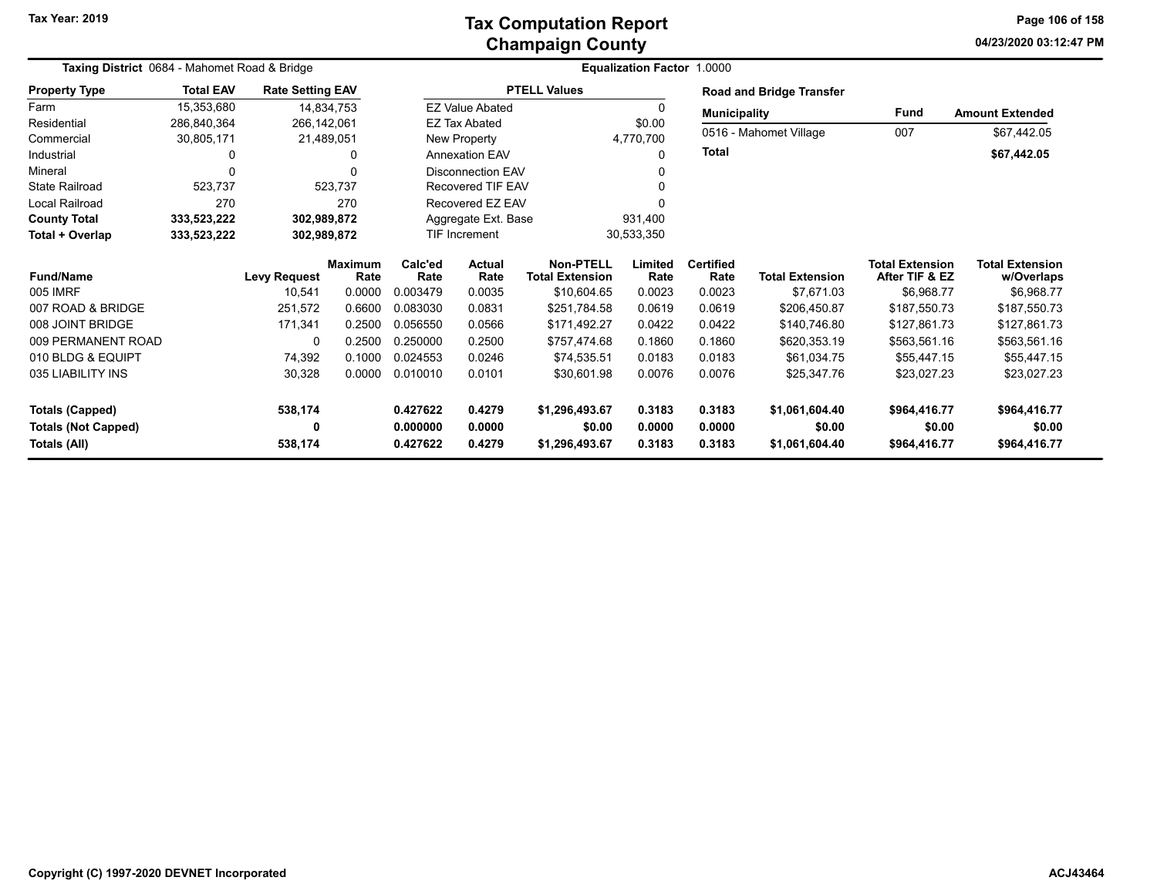**04/23/2020 03:12:47 PM Page 106 of 158**

| Taxing District 0684 - Mahomet Road & Bridge |                  |                         | <b>Equalization Factor 1.0000</b> |                 |                             |                                            |                 |                          |                                 |                                          |                                      |
|----------------------------------------------|------------------|-------------------------|-----------------------------------|-----------------|-----------------------------|--------------------------------------------|-----------------|--------------------------|---------------------------------|------------------------------------------|--------------------------------------|
| <b>Property Type</b>                         | <b>Total EAV</b> | <b>Rate Setting EAV</b> |                                   |                 |                             | <b>PTELL Values</b>                        |                 |                          | <b>Road and Bridge Transfer</b> |                                          |                                      |
| Farm                                         | 15,353,680       |                         | 14,834,753                        |                 | <b>EZ Value Abated</b>      |                                            | 0               | <b>Municipality</b>      |                                 | <b>Fund</b>                              | <b>Amount Extended</b>               |
| Residential                                  | 286,840,364      | 266,142,061             |                                   |                 | <b>EZ Tax Abated</b>        |                                            | \$0.00          |                          |                                 |                                          |                                      |
| Commercial                                   | 30,805,171       |                         | 21,489,051                        |                 | New Property<br>4,770,700   |                                            |                 |                          | 0516 - Mahomet Village          | 007                                      | \$67,442.05                          |
| Industrial                                   | 0                |                         | 0                                 |                 | <b>Annexation EAV</b><br>0  |                                            | <b>Total</b>    |                          |                                 | \$67,442.05                              |                                      |
| Mineral                                      | $\Omega$         |                         | O                                 |                 | <b>Disconnection EAV</b>    |                                            |                 |                          |                                 |                                          |                                      |
| <b>State Railroad</b>                        | 523.737          |                         | 523.737                           |                 | <b>Recovered TIF EAV</b>    |                                            | O               |                          |                                 |                                          |                                      |
| <b>Local Railroad</b>                        | 270              |                         | 270                               |                 | Recovered EZ EAV            |                                            |                 |                          |                                 |                                          |                                      |
| <b>County Total</b>                          | 333,523,222      |                         | 302,989,872                       |                 | Aggregate Ext. Base         |                                            | 931,400         |                          |                                 |                                          |                                      |
| Total + Overlap                              | 333,523,222      |                         | 302,989,872                       |                 | TIF Increment<br>30,533,350 |                                            |                 |                          |                                 |                                          |                                      |
| <b>Fund/Name</b>                             |                  | <b>Levy Request</b>     | <b>Maximum</b><br>Rate            | Calc'ed<br>Rate | Actual<br>Rate              | <b>Non-PTELL</b><br><b>Total Extension</b> | Limited<br>Rate | <b>Certified</b><br>Rate | <b>Total Extension</b>          | <b>Total Extension</b><br>After TIF & EZ | <b>Total Extension</b><br>w/Overlaps |
| 005 IMRF                                     |                  | 10,541                  | 0.0000                            | 0.003479        | 0.0035                      | \$10,604.65                                | 0.0023          | 0.0023                   | \$7,671.03                      | \$6,968.77                               | \$6,968.77                           |
| 007 ROAD & BRIDGE                            |                  | 251,572                 | 0.6600                            | 0.083030        | 0.0831                      | \$251,784.58                               | 0.0619          | 0.0619                   | \$206,450.87                    | \$187,550.73                             | \$187,550.73                         |
| 008 JOINT BRIDGE                             |                  | 171,341                 | 0.2500                            | 0.056550        | 0.0566                      | \$171,492.27                               | 0.0422          | 0.0422                   | \$140,746.80                    | \$127,861.73                             | \$127,861.73                         |
| 009 PERMANENT ROAD                           |                  | 0                       | 0.2500                            | 0.250000        | 0.2500                      | \$757,474.68                               | 0.1860          | 0.1860                   | \$620,353.19                    | \$563,561.16                             | \$563,561.16                         |
| 010 BLDG & EQUIPT                            |                  | 74,392                  | 0.1000                            | 0.024553        | 0.0246                      | \$74.535.51                                | 0.0183          | 0.0183                   | \$61.034.75                     | \$55,447.15                              | \$55,447.15                          |
| 035 LIABILITY INS                            |                  | 30,328                  | 0.0000                            | 0.010010        | 0.0101                      | \$30,601.98                                | 0.0076          | 0.0076                   | \$25,347.76                     | \$23,027.23                              | \$23,027.23                          |
| <b>Totals (Capped)</b>                       |                  | 538,174                 |                                   | 0.427622        | 0.4279                      | \$1,296,493.67                             | 0.3183          | 0.3183                   | \$1,061,604.40                  | \$964,416.77                             | \$964,416.77                         |
| <b>Totals (Not Capped)</b>                   |                  | 0                       |                                   | 0.000000        | 0.0000                      | \$0.00                                     | 0.0000          | 0.0000                   | \$0.00                          | \$0.00                                   | \$0.00                               |
| Totals (All)                                 |                  | 538,174                 |                                   | 0.427622        | 0.4279                      | \$1,296,493.67                             | 0.3183          | 0.3183                   | \$1,061,604.40                  | \$964,416.77                             | \$964,416.77                         |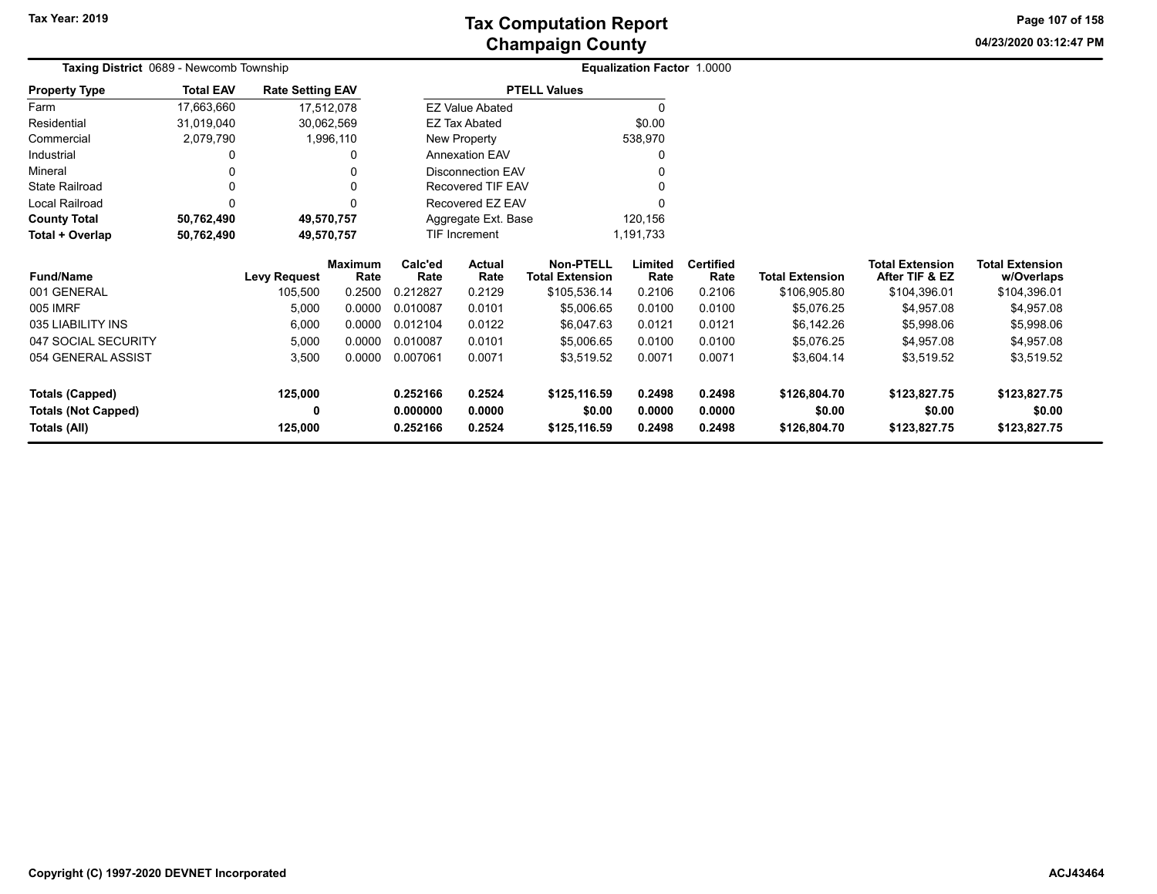**04/23/2020 03:12:47 PM Page 107 of 158**

| Taxing District 0689 - Newcomb Township |                  |                         |                        |                 |                                |                                            | Equalization Factor 1.0000 |                          |                        |                                          |                                      |
|-----------------------------------------|------------------|-------------------------|------------------------|-----------------|--------------------------------|--------------------------------------------|----------------------------|--------------------------|------------------------|------------------------------------------|--------------------------------------|
| <b>Property Type</b>                    | <b>Total EAV</b> | <b>Rate Setting EAV</b> |                        |                 |                                | <b>PTELL Values</b>                        |                            |                          |                        |                                          |                                      |
| Farm                                    | 17,663,660       | 17,512,078              |                        |                 | <b>EZ Value Abated</b>         |                                            | $\Omega$                   |                          |                        |                                          |                                      |
| Residential                             | 31,019,040       | 30,062,569              |                        |                 | \$0.00<br><b>EZ Tax Abated</b> |                                            |                            |                          |                        |                                          |                                      |
| Commercial                              | 2,079,790        |                         | 1,996,110              |                 | 538,970<br>New Property        |                                            |                            |                          |                        |                                          |                                      |
| Industrial                              | 0                |                         |                        |                 | <b>Annexation EAV</b>          |                                            |                            |                          |                        |                                          |                                      |
| Mineral                                 | 0                |                         |                        |                 | Disconnection EAV              |                                            |                            |                          |                        |                                          |                                      |
| State Railroad                          | 0                |                         |                        |                 | <b>Recovered TIF EAV</b>       |                                            |                            |                          |                        |                                          |                                      |
| Local Railroad                          | 0                |                         |                        |                 | Recovered EZ EAV               |                                            |                            |                          |                        |                                          |                                      |
| <b>County Total</b>                     | 50,762,490       | 49,570,757              |                        |                 | Aggregate Ext. Base            |                                            | 120,156                    |                          |                        |                                          |                                      |
| Total + Overlap                         | 50,762,490       | 49,570,757              |                        |                 | TIF Increment                  |                                            | 1,191,733                  |                          |                        |                                          |                                      |
| <b>Fund/Name</b>                        |                  | <b>Levy Request</b>     | <b>Maximum</b><br>Rate | Calc'ed<br>Rate | Actual<br>Rate                 | <b>Non-PTELL</b><br><b>Total Extension</b> | Limited<br>Rate            | <b>Certified</b><br>Rate | <b>Total Extension</b> | <b>Total Extension</b><br>After TIF & EZ | <b>Total Extension</b><br>w/Overlaps |
| 001 GENERAL                             |                  | 105,500                 | 0.2500                 | 0.212827        | 0.2129                         | \$105,536.14                               | 0.2106                     | 0.2106                   | \$106,905.80           | \$104,396.01                             | \$104,396.01                         |
| 005 IMRF                                |                  | 5,000                   | 0.0000                 | 0.010087        | 0.0101                         | \$5,006.65                                 | 0.0100                     | 0.0100                   | \$5,076.25             | \$4,957.08                               | \$4,957.08                           |
| 035 LIABILITY INS                       |                  | 6,000                   | 0.0000                 | 0.012104        | 0.0122                         | \$6,047.63                                 | 0.0121                     | 0.0121                   | \$6,142.26             | \$5,998.06                               | \$5,998.06                           |
| 047 SOCIAL SECURITY                     |                  | 5,000                   | 0.0000                 | 0.010087        | 0.0101                         | \$5,006.65                                 | 0.0100                     | 0.0100                   | \$5,076.25             | \$4,957.08                               | \$4,957.08                           |
| 054 GENERAL ASSIST                      |                  | 3,500                   | 0.0000                 | 0.007061        | 0.0071                         | \$3,519.52                                 | 0.0071                     | 0.0071                   | \$3,604.14             | \$3,519.52                               | \$3,519.52                           |
| <b>Totals (Capped)</b>                  |                  | 125,000                 |                        | 0.252166        | 0.2524                         | \$125,116.59                               | 0.2498                     | 0.2498                   | \$126,804.70           | \$123,827.75                             | \$123,827.75                         |
| <b>Totals (Not Capped)</b>              |                  | 0                       |                        | 0.000000        | 0.0000                         | \$0.00                                     | 0.0000                     | 0.0000                   | \$0.00                 | \$0.00                                   | \$0.00                               |
| Totals (All)                            |                  | 125,000                 |                        | 0.252166        | 0.2524                         | \$125,116.59                               | 0.2498                     | 0.2498                   | \$126,804.70           | \$123,827.75                             | \$123,827.75                         |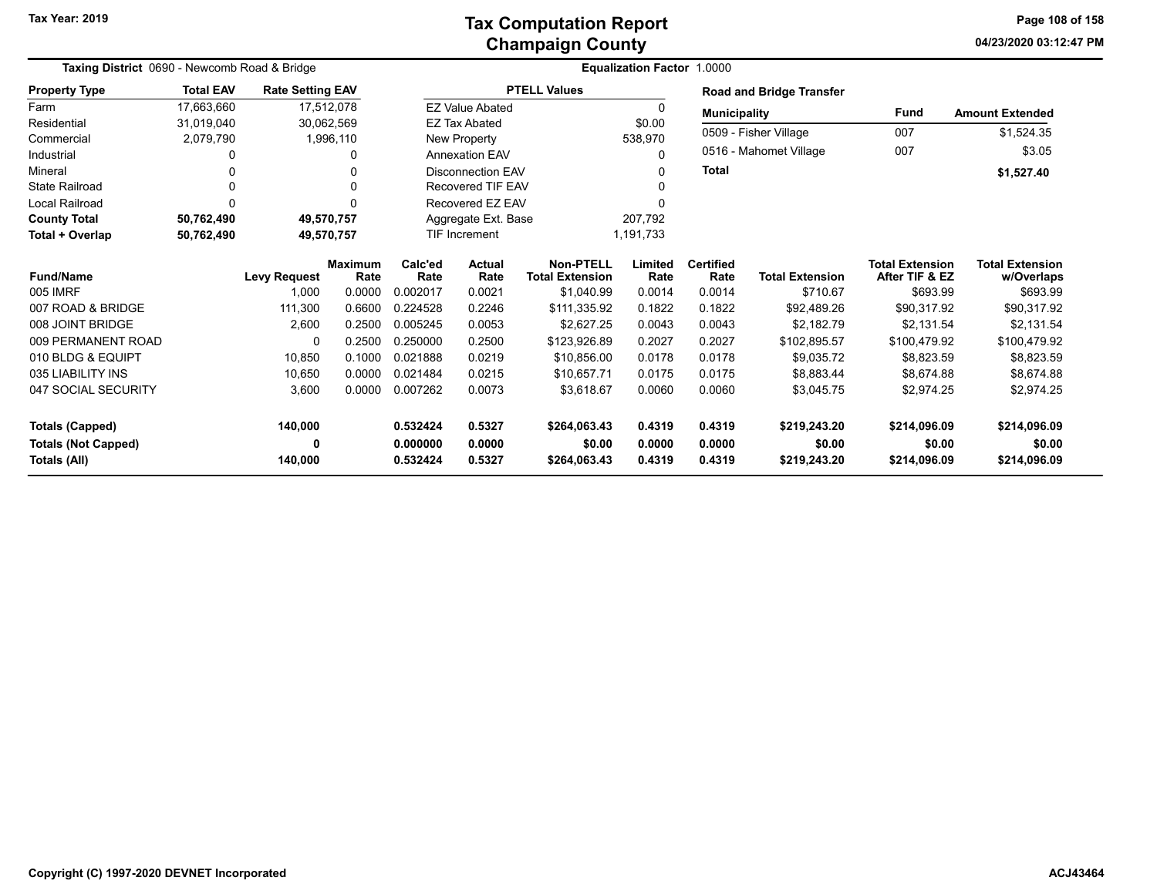#### **Champaign County Tax Computation Report**

**04/23/2020 03:12:47 PM Page 108 of 158**

| Taxing District 0690 - Newcomb Road & Bridge |                  |                         |                        |                 | Equalization Factor 1.0000     |                                     |                 |                          |                                 |                                          |                                      |
|----------------------------------------------|------------------|-------------------------|------------------------|-----------------|--------------------------------|-------------------------------------|-----------------|--------------------------|---------------------------------|------------------------------------------|--------------------------------------|
| <b>Property Type</b>                         | <b>Total EAV</b> | <b>Rate Setting EAV</b> |                        |                 |                                | <b>PTELL Values</b>                 |                 |                          | <b>Road and Bridge Transfer</b> |                                          |                                      |
| Farm                                         | 17,663,660       |                         | 17,512,078             |                 | <b>EZ Value Abated</b>         |                                     | 0               | <b>Municipality</b>      |                                 | <b>Fund</b>                              | <b>Amount Extended</b>               |
| Residential                                  | 31,019,040       |                         | 30,062,569             |                 | \$0.00<br><b>EZ Tax Abated</b> |                                     |                 | 0509 - Fisher Village    |                                 |                                          |                                      |
| Commercial                                   | 2,079,790        |                         | 1,996,110              |                 | New Property                   |                                     | 538,970         |                          |                                 | 007                                      | \$1,524.35                           |
| Industrial                                   |                  |                         | 0                      |                 | <b>Annexation EAV</b>          |                                     | 0               |                          | 0516 - Mahomet Village          | 007                                      | \$3.05                               |
| Mineral                                      |                  |                         | 0                      |                 | <b>Disconnection EAV</b><br>0  |                                     |                 | <b>Total</b>             |                                 |                                          | \$1,527.40                           |
| <b>State Railroad</b>                        |                  |                         | 0                      |                 | <b>Recovered TIF EAV</b>       |                                     | <sup>0</sup>    |                          |                                 |                                          |                                      |
| Local Railroad                               |                  |                         | 0                      |                 | Recovered EZ EAV               |                                     | ∩               |                          |                                 |                                          |                                      |
| <b>County Total</b>                          | 50,762,490       |                         | 49,570,757             |                 | Aggregate Ext. Base            |                                     | 207,792         |                          |                                 |                                          |                                      |
| Total + Overlap                              | 50,762,490       |                         | 49,570,757             |                 | TIF Increment                  |                                     | 1,191,733       |                          |                                 |                                          |                                      |
| <b>Fund/Name</b>                             |                  | <b>Levy Request</b>     | <b>Maximum</b><br>Rate | Calc'ed<br>Rate | <b>Actual</b><br>Rate          | Non-PTELL<br><b>Total Extension</b> | Limited<br>Rate | <b>Certified</b><br>Rate | <b>Total Extension</b>          | <b>Total Extension</b><br>After TIF & EZ | <b>Total Extension</b><br>w/Overlaps |
| 005 IMRF                                     |                  | 1,000                   | 0.0000                 | 0.002017        | 0.0021                         | \$1,040.99                          | 0.0014          | 0.0014                   | \$710.67                        | \$693.99                                 | \$693.99                             |
| 007 ROAD & BRIDGE                            |                  | 111,300                 | 0.6600                 | 0.224528        | 0.2246                         | \$111,335.92                        | 0.1822          | 0.1822                   | \$92,489.26                     | \$90,317.92                              | \$90,317.92                          |
| 008 JOINT BRIDGE                             |                  | 2,600                   | 0.2500                 | 0.005245        | 0.0053                         | \$2,627.25                          | 0.0043          | 0.0043                   | \$2,182.79                      | \$2,131.54                               | \$2,131.54                           |
| 009 PERMANENT ROAD                           |                  | 0                       | 0.2500                 | 0.250000        | 0.2500                         | \$123,926.89                        | 0.2027          | 0.2027                   | \$102,895.57                    | \$100,479.92                             | \$100,479.92                         |
| 010 BLDG & EQUIPT                            |                  | 10,850                  | 0.1000                 | 0.021888        | 0.0219                         | \$10,856.00                         | 0.0178          | 0.0178                   | \$9,035.72                      | \$8,823.59                               | \$8,823.59                           |
| 035 LIABILITY INS                            |                  | 10,650                  | 0.0000                 | 0.021484        | 0.0215                         | \$10,657.71                         | 0.0175          | 0.0175                   | \$8,883.44                      | \$8,674.88                               | \$8,674.88                           |
| 047 SOCIAL SECURITY                          |                  | 3,600                   | 0.0000                 | 0.007262        | 0.0073                         | \$3.618.67                          | 0.0060          | 0.0060                   | \$3,045.75                      | \$2,974.25                               | \$2,974.25                           |
| <b>Totals (Capped)</b>                       |                  | 140,000                 |                        | 0.532424        | 0.5327                         | \$264,063.43                        | 0.4319          | 0.4319                   | \$219,243.20                    | \$214,096.09                             | \$214,096.09                         |
| <b>Totals (Not Capped)</b>                   |                  | 0                       |                        | 0.000000        | 0.0000                         | \$0.00                              | 0.0000          | 0.0000                   | \$0.00                          | \$0.00                                   | \$0.00                               |
| Totals (All)                                 |                  | 140,000                 |                        | 0.532424        | 0.5327                         | \$264,063.43                        | 0.4319          | 0.4319                   | \$219,243.20                    | \$214,096.09                             | \$214,096.09                         |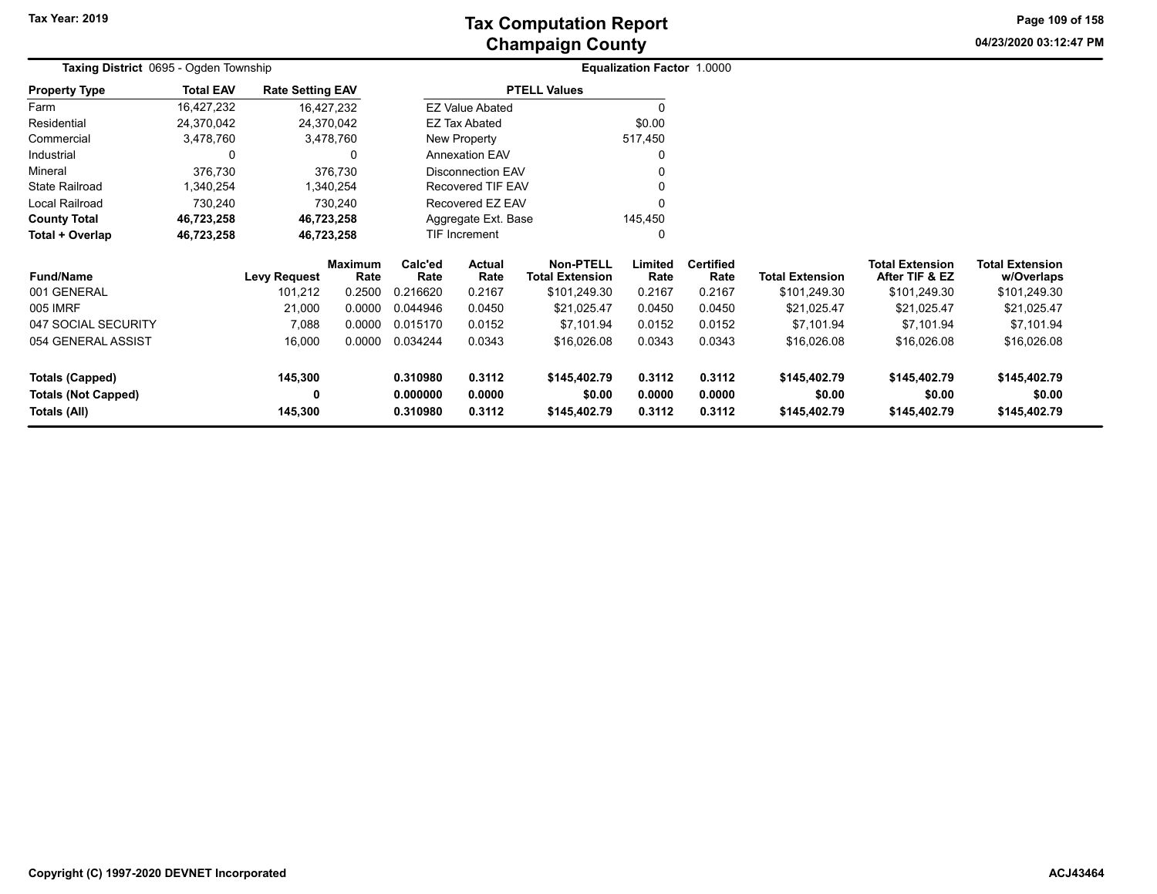**04/23/2020 03:12:47 PMPage 109 of 158**

| <b>Taxing District 0695 - Ogden Township</b> |                  |                         |                        |                                          |                          |                                            | <b>Equalization Factor 1.0000</b> |                          |                        |                                          |                                      |  |
|----------------------------------------------|------------------|-------------------------|------------------------|------------------------------------------|--------------------------|--------------------------------------------|-----------------------------------|--------------------------|------------------------|------------------------------------------|--------------------------------------|--|
| <b>Property Type</b>                         | <b>Total EAV</b> | <b>Rate Setting EAV</b> |                        |                                          |                          | <b>PTELL Values</b>                        |                                   |                          |                        |                                          |                                      |  |
| Farm                                         | 16,427,232       |                         | 16,427,232             |                                          | <b>EZ Value Abated</b>   |                                            |                                   |                          |                        |                                          |                                      |  |
| Residential                                  | 24,370,042       |                         | 24,370,042             |                                          | EZ Tax Abated            |                                            | \$0.00                            |                          |                        |                                          |                                      |  |
| Commercial                                   | 3,478,760        |                         | 3,478,760              |                                          | New Property             |                                            | 517,450                           |                          |                        |                                          |                                      |  |
| Industrial                                   | 0                |                         | 0                      |                                          | <b>Annexation EAV</b>    |                                            | 0                                 |                          |                        |                                          |                                      |  |
| Mineral                                      | 376,730          |                         | 376,730                |                                          | <b>Disconnection EAV</b> |                                            |                                   |                          |                        |                                          |                                      |  |
| <b>State Railroad</b>                        | 1,340,254        |                         | 1,340,254              |                                          | Recovered TIF EAV        |                                            |                                   |                          |                        |                                          |                                      |  |
| <b>Local Railroad</b>                        | 730,240          |                         | 730,240                |                                          | Recovered EZ EAV         |                                            |                                   |                          |                        |                                          |                                      |  |
| <b>County Total</b>                          | 46,723,258       |                         | 46,723,258             |                                          | Aggregate Ext. Base      |                                            | 145,450                           |                          |                        |                                          |                                      |  |
| Total + Overlap                              | 46,723,258       |                         | 46,723,258             |                                          | <b>TIF Increment</b>     |                                            | 0                                 |                          |                        |                                          |                                      |  |
| <b>Fund/Name</b>                             |                  | <b>Levy Request</b>     | <b>Maximum</b><br>Rate | Calc'ed<br><b>Actual</b><br>Rate<br>Rate |                          | <b>Non-PTELL</b><br><b>Total Extension</b> | Limited<br>Rate                   | <b>Certified</b><br>Rate | <b>Total Extension</b> | <b>Total Extension</b><br>After TIF & EZ | <b>Total Extension</b><br>w/Overlaps |  |
| 001 GENERAL                                  |                  | 101,212                 | 0.2500                 | 0.216620                                 | 0.2167                   | \$101,249.30                               | 0.2167                            | 0.2167                   | \$101,249.30           | \$101,249.30                             | \$101,249.30                         |  |
| 005 IMRF                                     |                  | 21,000                  | 0.0000                 | 0.044946                                 | 0.0450                   | \$21,025.47                                | 0.0450                            | 0.0450                   | \$21,025.47            | \$21,025.47                              | \$21,025.47                          |  |
| 047 SOCIAL SECURITY                          |                  | 7,088                   | 0.0000                 | 0.015170                                 | 0.0152                   | \$7,101.94                                 | 0.0152                            | 0.0152                   | \$7,101.94             | \$7,101.94                               | \$7,101.94                           |  |
| 054 GENERAL ASSIST                           |                  | 16,000                  | 0.0000                 | 0.034244                                 | 0.0343                   | \$16,026.08                                | 0.0343                            | 0.0343                   | \$16,026.08            | \$16,026.08                              | \$16,026.08                          |  |
| <b>Totals (Capped)</b>                       |                  | 145,300                 |                        | 0.310980                                 | 0.3112                   | \$145,402.79                               | 0.3112                            | 0.3112                   | \$145,402.79           | \$145,402.79                             | \$145,402.79                         |  |
| <b>Totals (Not Capped)</b><br>Totals (All)   |                  | 0<br>145,300            |                        | 0.000000<br>0.310980                     | 0.0000<br>0.3112         | \$0.00<br>\$145,402.79                     | 0.0000<br>0.3112                  | 0.0000<br>0.3112         | \$0.00<br>\$145,402.79 | \$0.00<br>\$145,402.79                   | \$0.00<br>\$145,402.79               |  |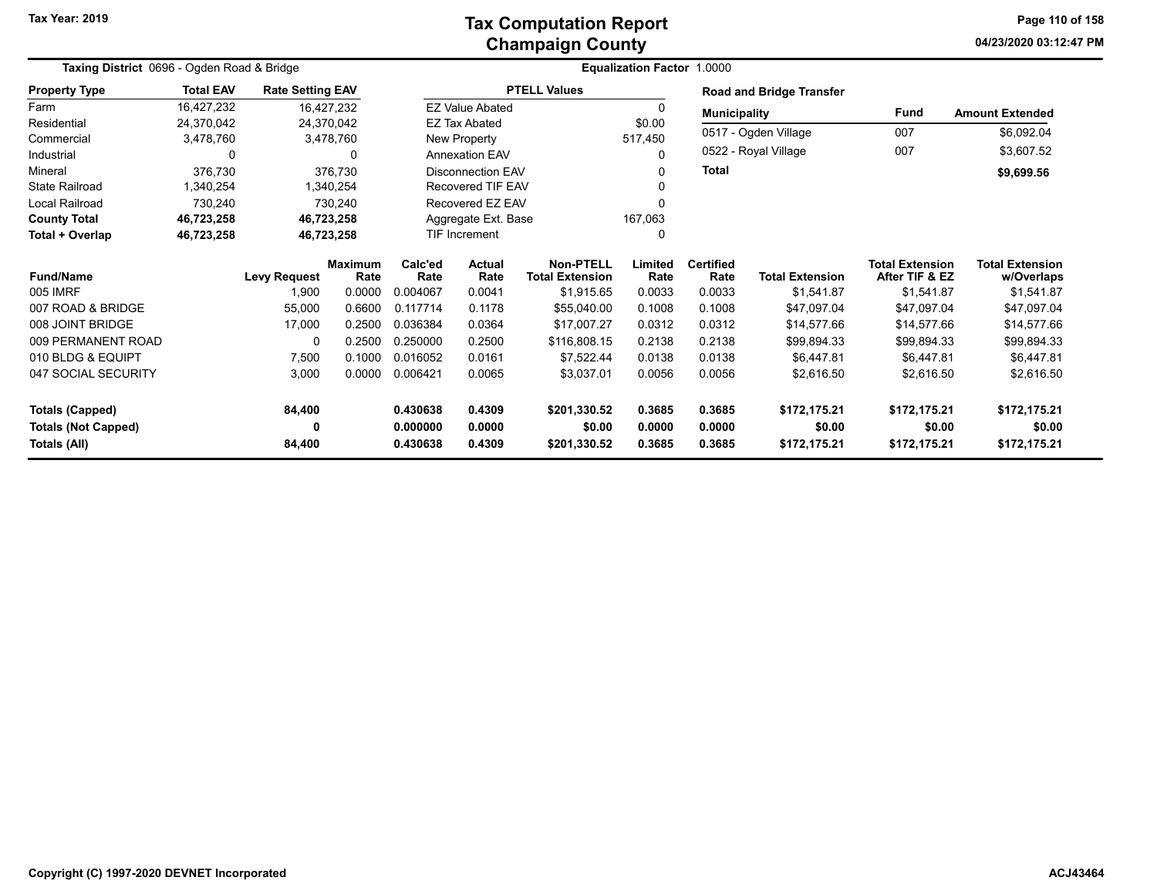### **Champaign County Tax Computation Report**

**04/23/2020 03:12:47 PM Page 110 of 158**

| Taxing District 0696 - Ogden Road & Bridge |                  |                         |                        |          |                                                                             |                     | <b>Equalization Factor 1.0000</b> |                          |                                 |                                          |                                      |
|--------------------------------------------|------------------|-------------------------|------------------------|----------|-----------------------------------------------------------------------------|---------------------|-----------------------------------|--------------------------|---------------------------------|------------------------------------------|--------------------------------------|
| <b>Property Type</b>                       | <b>Total EAV</b> | <b>Rate Setting EAV</b> |                        |          |                                                                             | <b>PTELL Values</b> |                                   |                          | <b>Road and Bridge Transfer</b> |                                          |                                      |
| Farm                                       | 16,427,232       |                         | 16,427,232             |          | <b>EZ Value Abated</b>                                                      |                     | $\Omega$                          |                          | <b>Municipality</b>             | Fund                                     | <b>Amount Extended</b>               |
| Residential                                | 24,370,042       |                         | 24,370,042             |          | <b>EZ Tax Abated</b>                                                        |                     | \$0.00                            |                          |                                 |                                          |                                      |
| Commercial                                 | 3,478,760        |                         | 3,478,760              |          | New Property                                                                |                     | 517,450                           |                          | 0517 - Ogden Village            | 007                                      | \$6,092.04                           |
| Industrial                                 | 0                |                         | $\Omega$               |          | <b>Annexation EAV</b>                                                       |                     | 0                                 |                          | 0522 - Royal Village            | 007                                      | \$3,607.52                           |
| Mineral                                    | 376,730          |                         | 376,730                |          | <b>Disconnection EAV</b>                                                    |                     |                                   | <b>Total</b>             |                                 |                                          | \$9,699.56                           |
| <b>State Railroad</b>                      | 1,340,254        |                         | 1,340,254              |          | <b>Recovered TIF EAV</b>                                                    |                     |                                   |                          |                                 |                                          |                                      |
| <b>Local Railroad</b>                      | 730,240          |                         | 730,240                |          | Recovered EZ EAV                                                            |                     |                                   |                          |                                 |                                          |                                      |
| <b>County Total</b>                        | 46,723,258       |                         | 46,723,258             |          | Aggregate Ext. Base                                                         |                     | 167,063                           |                          |                                 |                                          |                                      |
| Total + Overlap                            | 46,723,258       |                         | 46,723,258             |          | TIF Increment                                                               |                     | 0                                 |                          |                                 |                                          |                                      |
| <b>Fund/Name</b>                           |                  | <b>Levy Request</b>     | <b>Maximum</b><br>Rate | Calc'ed  | <b>Non-PTELL</b><br><b>Actual</b><br><b>Total Extension</b><br>Rate<br>Rate |                     | Limited<br>Rate                   | <b>Certified</b><br>Rate | <b>Total Extension</b>          | <b>Total Extension</b><br>After TIF & EZ | <b>Total Extension</b><br>w/Overlaps |
| 005 IMRF                                   |                  | 1,900                   | 0.0000                 | 0.004067 | 0.0041                                                                      | \$1,915.65          | 0.0033                            | 0.0033                   | \$1,541.87                      | \$1,541.87                               | \$1,541.87                           |
| 007 ROAD & BRIDGE                          |                  | 55,000                  | 0.6600                 | 0.117714 | 0.1178                                                                      | \$55,040.00         | 0.1008                            | 0.1008                   | \$47,097.04                     | \$47,097.04                              | \$47,097.04                          |
| 008 JOINT BRIDGE                           |                  | 17,000                  | 0.2500                 | 0.036384 | 0.0364                                                                      | \$17.007.27         | 0.0312                            | 0.0312                   | \$14,577.66                     | \$14,577.66                              | \$14,577.66                          |
| 009 PERMANENT ROAD                         |                  | 0                       | 0.2500                 | 0.250000 | 0.2500                                                                      | \$116,808.15        | 0.2138                            | 0.2138                   | \$99,894.33                     | \$99,894.33                              | \$99,894.33                          |
| 010 BLDG & EQUIPT                          |                  | 7,500                   | 0.1000                 | 0.016052 | 0.0161                                                                      | \$7,522.44          | 0.0138                            | 0.0138                   | \$6.447.81                      | \$6,447.81                               | \$6,447.81                           |
| 047 SOCIAL SECURITY                        |                  | 3,000                   | 0.0000                 | 0.006421 | 0.0065<br>\$3,037.01<br>0.0056                                              |                     |                                   | 0.0056                   | \$2,616.50                      | \$2,616.50                               | \$2,616.50                           |
| <b>Totals (Capped)</b>                     |                  | 84,400                  |                        | 0.430638 | 0.4309<br>\$201,330.52                                                      |                     | 0.3685                            | 0.3685                   | \$172,175.21                    | \$172,175.21                             | \$172,175.21                         |
| <b>Totals (Not Capped)</b>                 |                  | 0                       |                        | 0.000000 | 0.0000                                                                      |                     | 0.0000                            | 0.0000                   | \$0.00                          | \$0.00                                   | \$0.00                               |
| Totals (All)                               |                  | 84,400                  |                        | 0.430638 | 0.4309                                                                      | \$201,330.52        | 0.3685                            | 0.3685                   | \$172,175.21                    | \$172,175.21                             | \$172,175.21                         |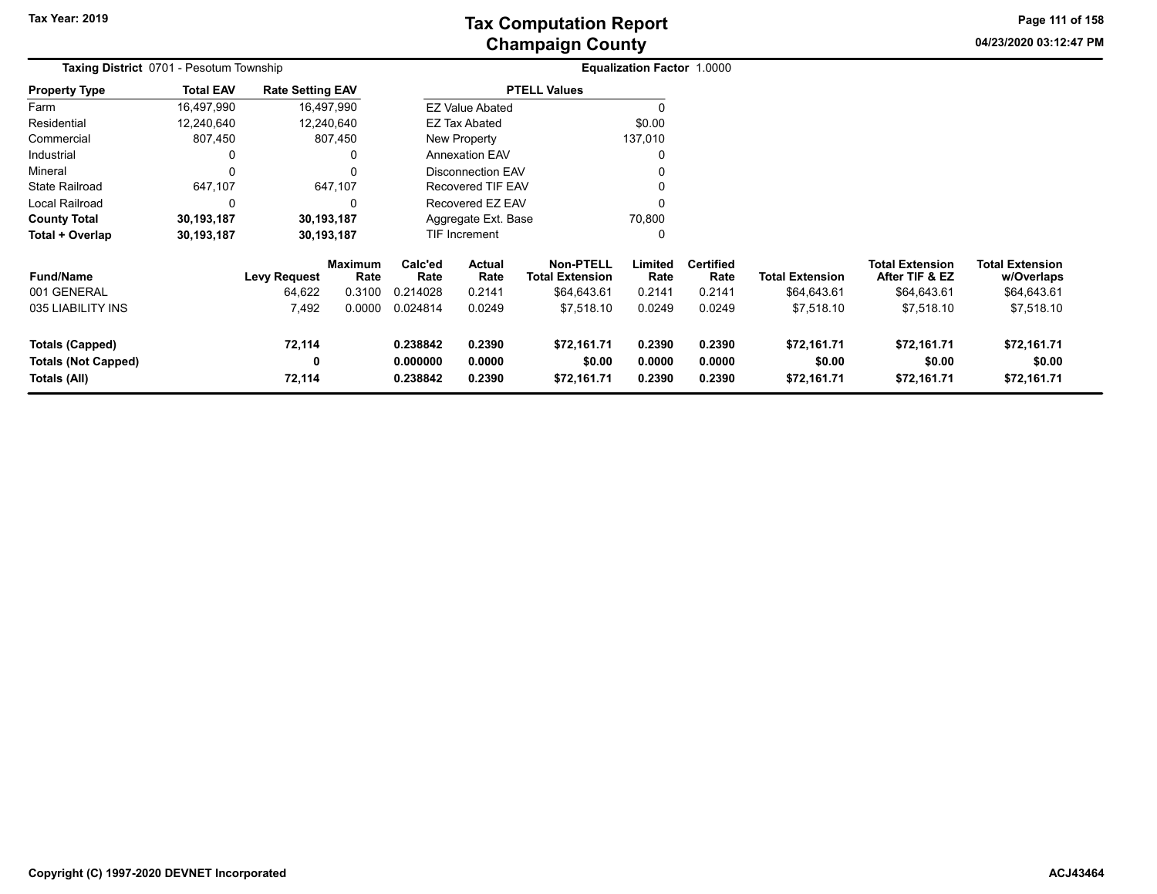**04/23/2020 03:12:47 PM Page 111 of 158**

| Taxing District 0701 - Pesotum Township |                  |                         |                        |                                   |                                          |                     | Equalization Factor 1.0000 |                          |                        |                                   |                                      |  |
|-----------------------------------------|------------------|-------------------------|------------------------|-----------------------------------|------------------------------------------|---------------------|----------------------------|--------------------------|------------------------|-----------------------------------|--------------------------------------|--|
| <b>Property Type</b>                    | <b>Total EAV</b> | <b>Rate Setting EAV</b> |                        |                                   |                                          | <b>PTELL Values</b> |                            |                          |                        |                                   |                                      |  |
| Farm                                    | 16,497,990       |                         | 16,497,990             |                                   | <b>EZ Value Abated</b>                   |                     |                            |                          |                        |                                   |                                      |  |
| Residential                             | 12,240,640       |                         | 12,240,640             |                                   | <b>EZ Tax Abated</b>                     |                     | \$0.00                     |                          |                        |                                   |                                      |  |
| Commercial                              | 807,450          |                         | 807,450                |                                   | New Property                             |                     | 137,010                    |                          |                        |                                   |                                      |  |
| Industrial                              |                  |                         |                        |                                   | <b>Annexation EAV</b>                    |                     |                            |                          |                        |                                   |                                      |  |
| Mineral                                 |                  |                         |                        |                                   | <b>Disconnection EAV</b>                 |                     |                            |                          |                        |                                   |                                      |  |
| <b>State Railroad</b>                   | 647,107          |                         | 647,107                |                                   | <b>Recovered TIF EAV</b>                 |                     |                            |                          |                        |                                   |                                      |  |
| Local Railroad                          | 0                |                         | 0                      |                                   | Recovered EZ EAV                         |                     |                            |                          |                        |                                   |                                      |  |
| <b>County Total</b>                     | 30,193,187       |                         | 30,193,187             |                                   | Aggregate Ext. Base                      |                     | 70,800                     |                          |                        |                                   |                                      |  |
| Total + Overlap                         | 30,193,187       |                         | 30,193,187             |                                   | TIF Increment<br>0                       |                     |                            |                          |                        |                                   |                                      |  |
| <b>Fund/Name</b>                        |                  | <b>Levy Request</b>     | <b>Maximum</b><br>Rate | Calc'ed<br>Rate                   | Actual<br>Rate<br><b>Total Extension</b> |                     | Limited<br>Rate            | <b>Certified</b><br>Rate | <b>Total Extension</b> | Total Extension<br>After TIF & EZ | <b>Total Extension</b><br>w/Overlaps |  |
| 001 GENERAL                             |                  | 64,622                  | 0.3100                 | 0.214028                          | 0.2141                                   | \$64,643.61         | 0.2141                     | 0.2141                   | \$64,643.61            | \$64,643.61                       | \$64,643.61                          |  |
| 035 LIABILITY INS                       |                  | 7,492                   | 0.0000                 | 0.024814                          | 0.0249                                   | \$7,518.10          | 0.0249                     | 0.0249                   | \$7,518.10             | \$7,518.10                        | \$7,518.10                           |  |
| <b>Totals (Capped)</b>                  |                  | 72,114                  |                        | 0.238842                          | 0.2390                                   | \$72,161.71         | 0.2390                     | 0.2390                   | \$72,161.71            | \$72,161.71                       | \$72,161.71                          |  |
| <b>Totals (Not Capped)</b>              |                  | 0                       |                        | 0.000000<br>0.0000                |                                          | \$0.00              | 0.0000                     | 0.0000                   | \$0.00                 | \$0.00                            | \$0.00                               |  |
| Totals (All)                            |                  | 72,114                  |                        | 0.2390<br>0.238842<br>\$72,161.71 |                                          |                     | 0.2390                     | 0.2390                   | \$72,161.71            | \$72,161.71                       | \$72,161.71                          |  |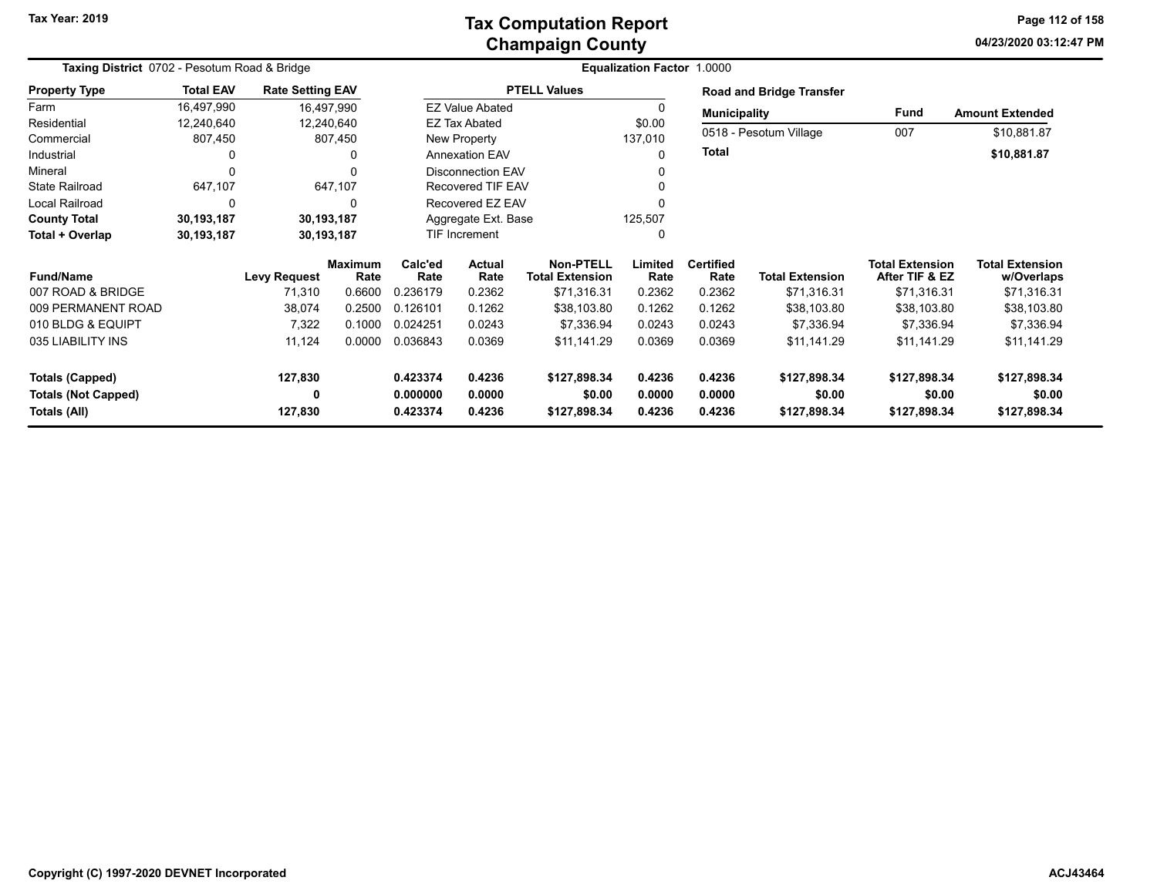## **Champaign County Tax Computation Report**

**04/23/2020 03:12:47 PM Page 112 of 158**

| Taxing District 0702 - Pesotum Road & Bridge |                  |                         |                           |                    |                          |                        | Equalization Factor 1.0000 |                     |                                 |                        |                        |
|----------------------------------------------|------------------|-------------------------|---------------------------|--------------------|--------------------------|------------------------|----------------------------|---------------------|---------------------------------|------------------------|------------------------|
| <b>Property Type</b>                         | <b>Total EAV</b> | <b>Rate Setting EAV</b> |                           |                    |                          | <b>PTELL Values</b>    |                            |                     | <b>Road and Bridge Transfer</b> |                        |                        |
| Farm                                         | 16,497,990       | 16,497,990              |                           |                    | <b>EZ Value Abated</b>   |                        |                            | <b>Municipality</b> |                                 | Fund                   | <b>Amount Extended</b> |
| Residential                                  | 12,240,640       | 12,240,640              |                           |                    | EZ Tax Abated            |                        | \$0.00                     |                     |                                 |                        |                        |
| Commercial                                   | 807,450          |                         | 807,450                   |                    | New Property             |                        | 137,010                    |                     | 0518 - Pesotum Village          | 007                    | \$10,881.87            |
| Industrial                                   |                  |                         | 0                         |                    | <b>Annexation EAV</b>    |                        | 0                          | <b>Total</b>        |                                 |                        | \$10,881.87            |
| Mineral                                      |                  |                         |                           |                    | <b>Disconnection EAV</b> |                        |                            |                     |                                 |                        |                        |
| <b>State Railroad</b>                        | 647,107          |                         | 647,107                   |                    | <b>Recovered TIF EAV</b> |                        |                            |                     |                                 |                        |                        |
| Local Railroad                               | 0                |                         | 0                         |                    | Recovered EZ EAV         |                        |                            |                     |                                 |                        |                        |
| <b>County Total</b>                          | 30,193,187       | 30,193,187              |                           |                    | Aggregate Ext. Base      |                        | 125,507                    |                     |                                 |                        |                        |
| Total + Overlap                              | 30,193,187       | 30,193,187              |                           |                    | TIF Increment            |                        | 0                          |                     |                                 |                        |                        |
|                                              |                  |                         | Calc'ed<br><b>Maximum</b> |                    | Actual                   | Non-PTELL              | Limited                    | <b>Certified</b>    |                                 | <b>Total Extension</b> | <b>Total Extension</b> |
| <b>Fund/Name</b>                             |                  | <b>Levy Request</b>     | Rate                      | Rate               | Rate                     | <b>Total Extension</b> | Rate                       | Rate                | <b>Total Extension</b>          | After TIF & EZ         | w/Overlaps             |
| 007 ROAD & BRIDGE                            |                  | 71,310                  | 0.6600                    | 0.236179           | 0.2362                   | \$71,316.31            | 0.2362                     | 0.2362              | \$71,316.31                     | \$71,316.31            | \$71,316.31            |
| 009 PERMANENT ROAD                           |                  | 38,074                  | 0.2500                    | 0.126101           | 0.1262                   | \$38,103.80            | 0.1262                     | 0.1262              | \$38,103.80                     | \$38,103.80            | \$38,103.80            |
| 010 BLDG & EQUIPT                            |                  | 7,322                   | 0.1000                    | 0.024251           | 0.0243                   | \$7.336.94             | 0.0243                     | 0.0243              | \$7.336.94                      | \$7,336.94             | \$7,336.94             |
| 035 LIABILITY INS                            |                  | 11,124                  | 0.0000                    | 0.036843           | 0.0369                   | \$11,141.29            | 0.0369                     | 0.0369              | \$11,141.29                     | \$11,141.29            | \$11,141.29            |
| <b>Totals (Capped)</b>                       |                  | 127,830                 |                           | 0.423374           | 0.4236                   | \$127,898.34           | 0.4236                     | 0.4236              | \$127,898.34                    | \$127,898.34           | \$127,898.34           |
| <b>Totals (Not Capped)</b>                   |                  | 0                       |                           | 0.000000           | 0.0000                   | \$0.00                 | 0.0000                     | 0.0000              | \$0.00                          | \$0.00                 | \$0.00                 |
| Totals (All)                                 |                  | 127,830                 |                           | 0.423374<br>0.4236 |                          | \$127,898.34           | 0.4236                     | 0.4236              | \$127,898.34                    | \$127,898.34           | \$127,898.34           |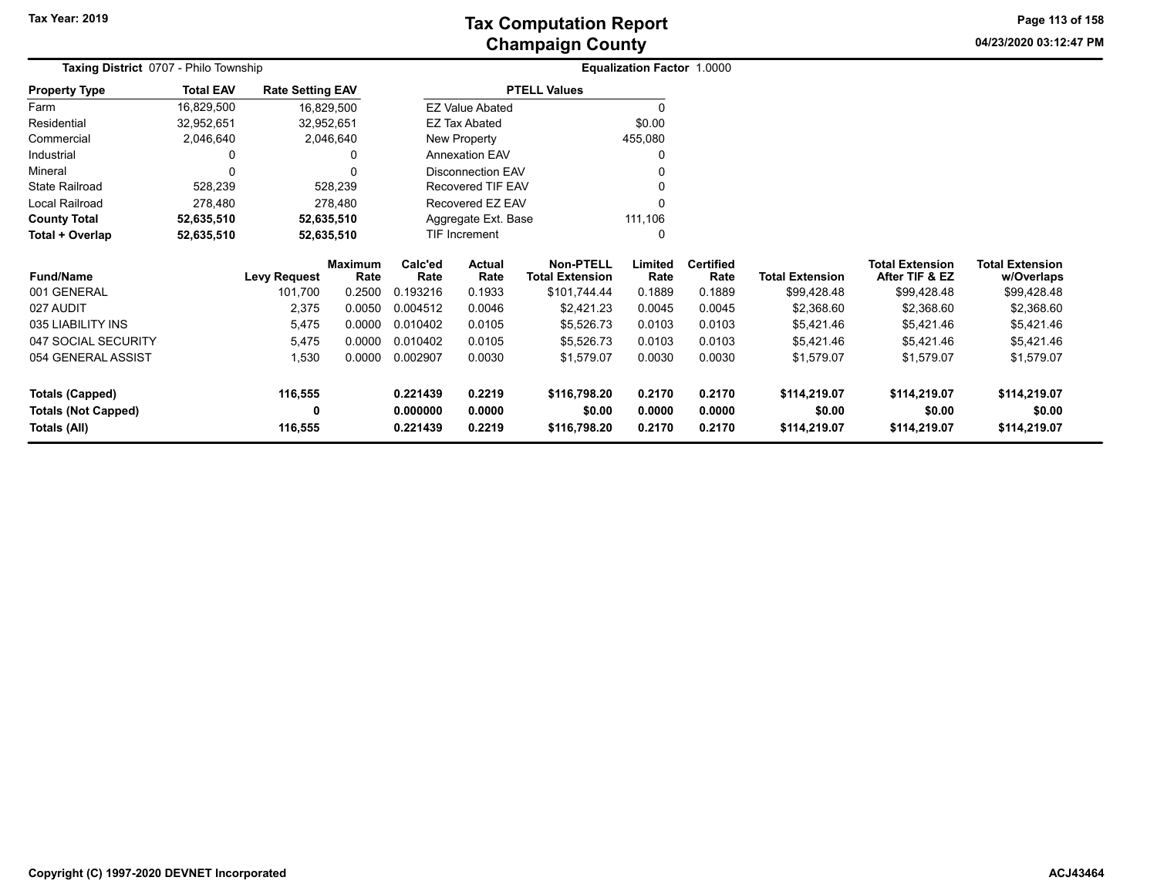**04/23/2020 03:12:47 PM Page 113 of 158**

|                            | Taxing District 0707 - Philo Township |                         |                        |                     |                          |                                            | Equalization Factor 1.0000 |                          |                        |                                          |                                      |
|----------------------------|---------------------------------------|-------------------------|------------------------|---------------------|--------------------------|--------------------------------------------|----------------------------|--------------------------|------------------------|------------------------------------------|--------------------------------------|
| <b>Property Type</b>       | <b>Total EAV</b>                      | <b>Rate Setting EAV</b> |                        |                     |                          | <b>PTELL Values</b>                        |                            |                          |                        |                                          |                                      |
| Farm                       | 16,829,500                            | 16,829,500              |                        |                     | <b>EZ Value Abated</b>   |                                            |                            |                          |                        |                                          |                                      |
| Residential                | 32,952,651                            | 32,952,651              |                        |                     | <b>EZ Tax Abated</b>     |                                            | \$0.00                     |                          |                        |                                          |                                      |
| Commercial                 | 2,046,640                             |                         | 2,046,640              |                     | New Property             |                                            | 455,080                    |                          |                        |                                          |                                      |
| Industrial                 | 0                                     |                         | 0                      |                     | <b>Annexation EAV</b>    |                                            |                            |                          |                        |                                          |                                      |
| Mineral                    | 0                                     |                         |                        |                     | <b>Disconnection EAV</b> |                                            |                            |                          |                        |                                          |                                      |
| <b>State Railroad</b>      | 528,239                               |                         | 528,239                | Recovered TIF EAV   |                          |                                            |                            |                          |                        |                                          |                                      |
| Local Railroad             | 278,480                               |                         | 278,480                | Recovered EZ EAV    |                          |                                            |                            |                          |                        |                                          |                                      |
| <b>County Total</b>        | 52,635,510                            | 52,635,510              |                        | Aggregate Ext. Base |                          |                                            | 111,106                    |                          |                        |                                          |                                      |
| Total + Overlap            | 52,635,510                            | 52,635,510              |                        |                     | TIF Increment            |                                            |                            |                          |                        |                                          |                                      |
| <b>Fund/Name</b>           |                                       | <b>Levy Request</b>     | <b>Maximum</b><br>Rate | Calc'ed<br>Rate     | Actual<br>Rate           | <b>Non-PTELL</b><br><b>Total Extension</b> | Limited<br>Rate            | <b>Certified</b><br>Rate | <b>Total Extension</b> | <b>Total Extension</b><br>After TIF & EZ | <b>Total Extension</b><br>w/Overlaps |
| 001 GENERAL                |                                       | 101,700                 | 0.2500                 | 0.193216            | 0.1933                   | \$101,744.44                               | 0.1889                     | 0.1889                   | \$99,428.48            | \$99,428.48                              | \$99,428.48                          |
| 027 AUDIT                  |                                       | 2,375                   | 0.0050                 | 0.004512            | 0.0046                   | \$2,421.23                                 | 0.0045                     | 0.0045                   | \$2,368.60             | \$2,368.60                               | \$2,368.60                           |
| 035 LIABILITY INS          |                                       | 5,475                   | 0.0000                 | 0.010402            | 0.0105                   | \$5,526.73                                 | 0.0103                     | 0.0103                   | \$5,421.46             | \$5,421.46                               | \$5,421.46                           |
| 047 SOCIAL SECURITY        |                                       | 5,475                   | 0.0000                 | 0.010402            | 0.0105                   | \$5,526.73                                 | 0.0103                     | 0.0103                   | \$5,421.46             | \$5,421.46                               | \$5,421.46                           |
| 054 GENERAL ASSIST         |                                       | 1,530                   | 0.0000                 | 0.002907            | 0.0030                   | \$1,579.07                                 | 0.0030                     | 0.0030                   | \$1,579.07             | \$1,579.07                               | \$1,579.07                           |
| <b>Totals (Capped)</b>     |                                       | 116,555                 |                        | 0.221439            | 0.2219                   | \$116,798.20                               | 0.2170                     | 0.2170                   | \$114,219.07           | \$114,219.07                             | \$114,219.07                         |
| <b>Totals (Not Capped)</b> |                                       | 0                       |                        | 0.000000            | 0.0000                   | \$0.00                                     | 0.0000                     | 0.0000                   | \$0.00                 | \$0.00                                   | \$0.00                               |
| Totals (All)               |                                       | 116,555                 |                        | 0.221439            | 0.2219                   | \$116,798.20                               | 0.2170                     | 0.2170                   | \$114,219.07           | \$114,219.07                             | \$114,219.07                         |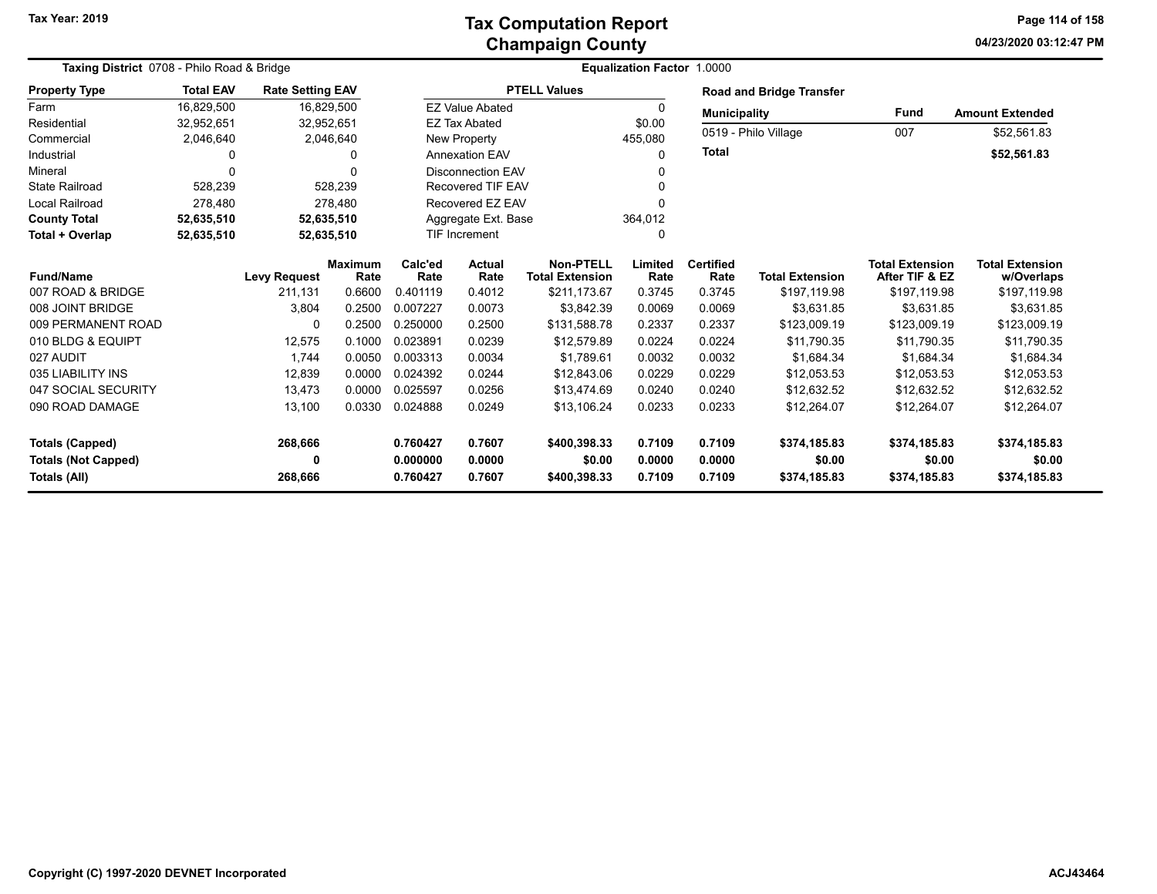## **Champaign County Tax Computation Report**

**04/23/2020 03:12:47 PM Page 114 of 158**

|                                                      | Taxing District 0708 - Philo Road & Bridge |                         |                        |                      |                          |                                            | <b>Equalization Factor 1.0000</b> |                          |                                 |                                          |                                      |
|------------------------------------------------------|--------------------------------------------|-------------------------|------------------------|----------------------|--------------------------|--------------------------------------------|-----------------------------------|--------------------------|---------------------------------|------------------------------------------|--------------------------------------|
| <b>Property Type</b>                                 | <b>Total EAV</b>                           | <b>Rate Setting EAV</b> |                        |                      |                          | <b>PTELL Values</b>                        |                                   |                          | <b>Road and Bridge Transfer</b> |                                          |                                      |
| Farm                                                 | 16,829,500                                 |                         | 16,829,500             |                      | <b>EZ Value Abated</b>   |                                            | 0                                 | <b>Municipality</b>      |                                 | <b>Fund</b>                              | <b>Amount Extended</b>               |
| Residential                                          | 32,952,651                                 |                         | 32,952,651             |                      | <b>EZ Tax Abated</b>     |                                            | \$0.00                            |                          | 0519 - Philo Village            | 007                                      | \$52,561.83                          |
| Commercial                                           | 2,046,640                                  |                         | 2,046,640              |                      | New Property             |                                            | 455,080                           |                          |                                 |                                          |                                      |
| Industrial                                           | $\Omega$                                   |                         |                        |                      | <b>Annexation EAV</b>    |                                            | $\Omega$                          | Total                    |                                 |                                          | \$52,561.83                          |
| Mineral                                              | $\Omega$                                   |                         |                        |                      | <b>Disconnection EAV</b> |                                            |                                   |                          |                                 |                                          |                                      |
| <b>State Railroad</b>                                | 528,239                                    |                         | 528,239                |                      | <b>Recovered TIF EAV</b> |                                            |                                   |                          |                                 |                                          |                                      |
| <b>Local Railroad</b>                                | 278,480                                    |                         | 278,480                |                      | Recovered EZ EAV         |                                            |                                   |                          |                                 |                                          |                                      |
| <b>County Total</b>                                  | 52,635,510                                 |                         | 52,635,510             |                      | Aggregate Ext. Base      |                                            | 364,012                           |                          |                                 |                                          |                                      |
| Total + Overlap                                      | 52,635,510                                 |                         | 52,635,510             |                      | <b>TIF Increment</b>     |                                            | 0                                 |                          |                                 |                                          |                                      |
| <b>Fund/Name</b>                                     |                                            | <b>Levy Request</b>     | <b>Maximum</b><br>Rate | Calc'ed<br>Rate      | Actual<br>Rate           | <b>Non-PTELL</b><br><b>Total Extension</b> | Limited<br>Rate                   | <b>Certified</b><br>Rate | <b>Total Extension</b>          | <b>Total Extension</b><br>After TIF & EZ | <b>Total Extension</b><br>w/Overlaps |
| 007 ROAD & BRIDGE                                    |                                            | 211.131                 | 0.6600                 | 0.401119             | 0.4012                   | \$211,173.67                               | 0.3745                            | 0.3745                   | \$197,119.98                    | \$197,119.98                             | \$197,119.98                         |
| 008 JOINT BRIDGE                                     |                                            | 3,804                   | 0.2500                 | 0.007227             | 0.0073                   | \$3,842.39                                 | 0.0069                            | 0.0069                   | \$3,631.85                      | \$3,631.85                               | \$3,631.85                           |
| 009 PERMANENT ROAD                                   |                                            | 0                       | 0.2500                 | 0.250000             | 0.2500                   | \$131,588.78                               | 0.2337                            | 0.2337                   | \$123,009.19                    | \$123,009.19                             | \$123,009.19                         |
| 010 BLDG & EQUIPT                                    |                                            | 12,575                  | 0.1000                 | 0.023891             | 0.0239                   | \$12,579.89                                | 0.0224                            | 0.0224                   | \$11,790.35                     | \$11,790.35                              | \$11,790.35                          |
| 027 AUDIT                                            |                                            | 1.744                   | 0.0050                 | 0.003313             | 0.0034                   | \$1.789.61                                 | 0.0032                            | 0.0032                   | \$1.684.34                      | \$1,684.34                               | \$1,684.34                           |
| 035 LIABILITY INS                                    |                                            | 12,839                  | 0.0000                 | 0.024392             | 0.0244                   | \$12,843.06                                | 0.0229                            | 0.0229                   | \$12,053.53                     | \$12,053.53                              | \$12,053.53                          |
| 047 SOCIAL SECURITY                                  |                                            | 13,473                  | 0.0000                 | 0.025597             | 0.0256                   | \$13,474.69                                | 0.0240                            | 0.0240                   | \$12,632.52                     | \$12,632.52                              | \$12,632.52                          |
| 090 ROAD DAMAGE                                      |                                            | 13,100                  | 0.0330                 | 0.024888             | 0.0249                   | \$13,106.24                                | 0.0233                            | 0.0233                   | \$12,264.07                     | \$12,264.07                              | \$12,264.07                          |
| <b>Totals (Capped)</b><br><b>Totals (Not Capped)</b> |                                            | 268,666<br>0            |                        | 0.760427<br>0.000000 | 0.7607<br>0.0000         | \$400,398.33<br>\$0.00                     | 0.7109<br>0.0000                  | 0.7109<br>0.0000         | \$374,185.83<br>\$0.00          | \$374,185.83<br>\$0.00                   | \$374,185.83<br>\$0.00               |
| Totals (All)                                         |                                            | 268,666                 |                        | 0.760427             | 0.7607                   | \$400,398.33                               | 0.7109                            | 0.7109                   | \$374,185.83                    | \$374,185.83                             | \$374,185.83                         |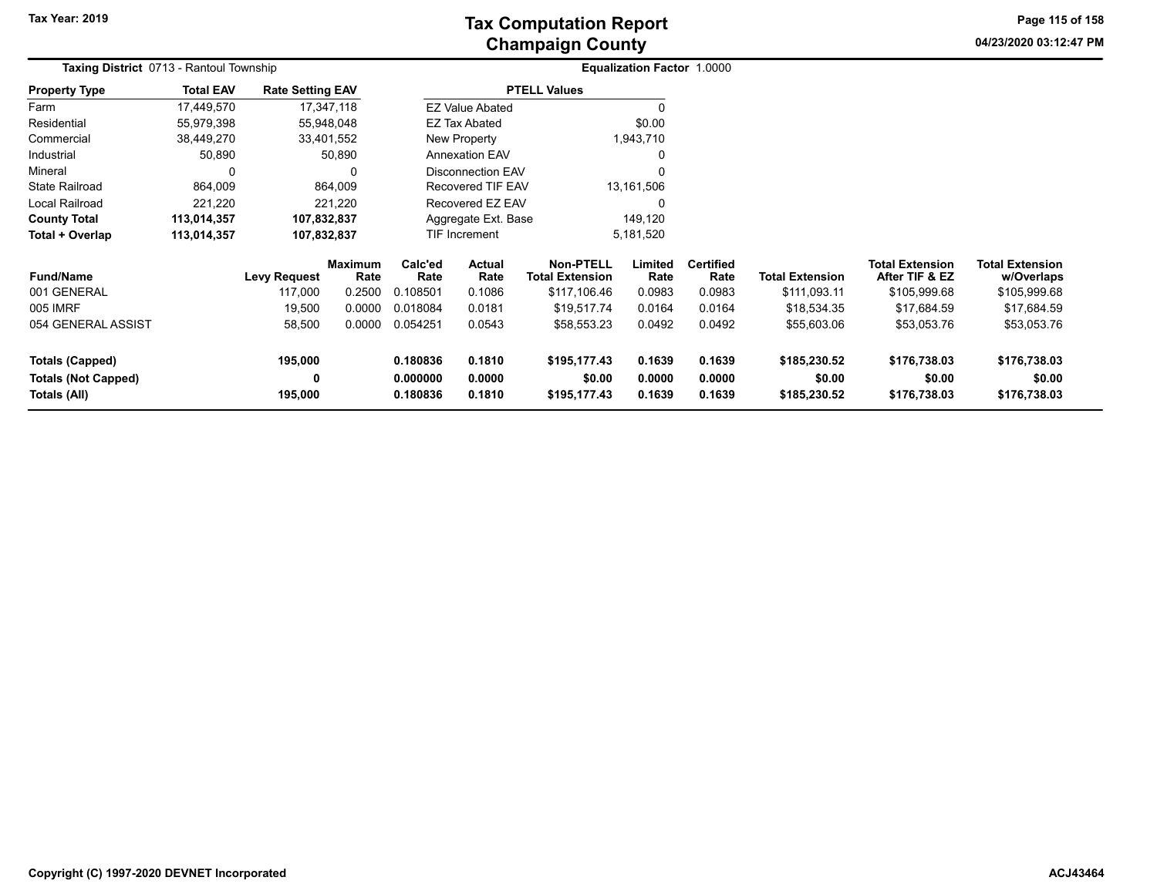# **Champaign County Tax Computation Report**

**04/23/2020 03:12:47 PM Page 115 of 158**

| Taxing District 0713 - Rantoul Township |                  |                         |                        |                    |                                          |                     | <b>Equalization Factor 1.0000</b> |                          |                        |                                          |                                      |  |
|-----------------------------------------|------------------|-------------------------|------------------------|--------------------|------------------------------------------|---------------------|-----------------------------------|--------------------------|------------------------|------------------------------------------|--------------------------------------|--|
| <b>Property Type</b>                    | <b>Total EAV</b> | <b>Rate Setting EAV</b> |                        |                    |                                          | <b>PTELL Values</b> |                                   |                          |                        |                                          |                                      |  |
| Farm                                    | 17,449,570       |                         | 17,347,118             |                    | <b>EZ Value Abated</b>                   |                     | 0                                 |                          |                        |                                          |                                      |  |
| Residential                             | 55,979,398       |                         | 55,948,048             |                    | <b>EZ Tax Abated</b>                     |                     | \$0.00                            |                          |                        |                                          |                                      |  |
| Commercial                              | 38,449,270       |                         | 33,401,552             |                    | New Property                             |                     | 1,943,710                         |                          |                        |                                          |                                      |  |
| Industrial                              | 50,890           |                         | 50,890                 |                    | <b>Annexation EAV</b>                    |                     | 0                                 |                          |                        |                                          |                                      |  |
| Mineral                                 | $\Omega$         |                         | 0                      |                    | <b>Disconnection EAV</b>                 |                     | $\Omega$                          |                          |                        |                                          |                                      |  |
| <b>State Railroad</b>                   | 864,009          |                         | 864,009                |                    | <b>Recovered TIF EAV</b>                 |                     | 13,161,506                        |                          |                        |                                          |                                      |  |
| Local Railroad                          | 221,220          |                         | 221,220                |                    | Recovered EZ EAV                         |                     | 0                                 |                          |                        |                                          |                                      |  |
| <b>County Total</b>                     | 113,014,357      | 107,832,837             |                        |                    | Aggregate Ext. Base                      |                     | 149,120                           |                          |                        |                                          |                                      |  |
| Total + Overlap                         | 113,014,357      | 107,832,837             |                        |                    | TIF Increment                            |                     | 5,181,520                         |                          |                        |                                          |                                      |  |
| <b>Fund/Name</b>                        |                  | <b>Levy Request</b>     | <b>Maximum</b><br>Rate | Calc'ed<br>Rate    | Actual<br>Rate<br><b>Total Extension</b> |                     | Limited<br>Rate                   | <b>Certified</b><br>Rate | <b>Total Extension</b> | <b>Total Extension</b><br>After TIF & EZ | <b>Total Extension</b><br>w/Overlaps |  |
| 001 GENERAL                             |                  | 117,000                 | 0.2500                 | 0.108501           | 0.1086                                   | \$117,106.46        | 0.0983                            | 0.0983                   | \$111,093.11           | \$105,999.68                             | \$105,999.68                         |  |
| 005 IMRF                                |                  | 19,500                  | 0.0000                 | 0.018084           | 0.0181                                   | \$19,517.74         | 0.0164                            | 0.0164                   | \$18,534.35            | \$17,684.59                              | \$17,684.59                          |  |
| 054 GENERAL ASSIST                      |                  | 58,500                  | 0.0000                 | 0.054251<br>0.0543 |                                          | \$58,553.23         | 0.0492                            | 0.0492                   | \$55,603.06            | \$53,053.76                              | \$53,053.76                          |  |
| Totals (Capped)                         |                  | 195,000                 |                        | 0.180836           | 0.1810                                   | \$195,177.43        | 0.1639                            | 0.1639                   | \$185,230.52           | \$176,738.03                             | \$176,738.03                         |  |
| <b>Totals (Not Capped)</b>              |                  | 0                       |                        | 0.000000           | 0.0000                                   | \$0.00              | 0.0000                            | 0.0000                   | \$0.00                 | \$0.00                                   | \$0.00                               |  |
| Totals (All)                            |                  | 195,000                 |                        | 0.180836           | 0.1810                                   | \$195,177.43        | 0.1639                            | 0.1639                   | \$185,230.52           | \$176,738.03                             | \$176,738.03                         |  |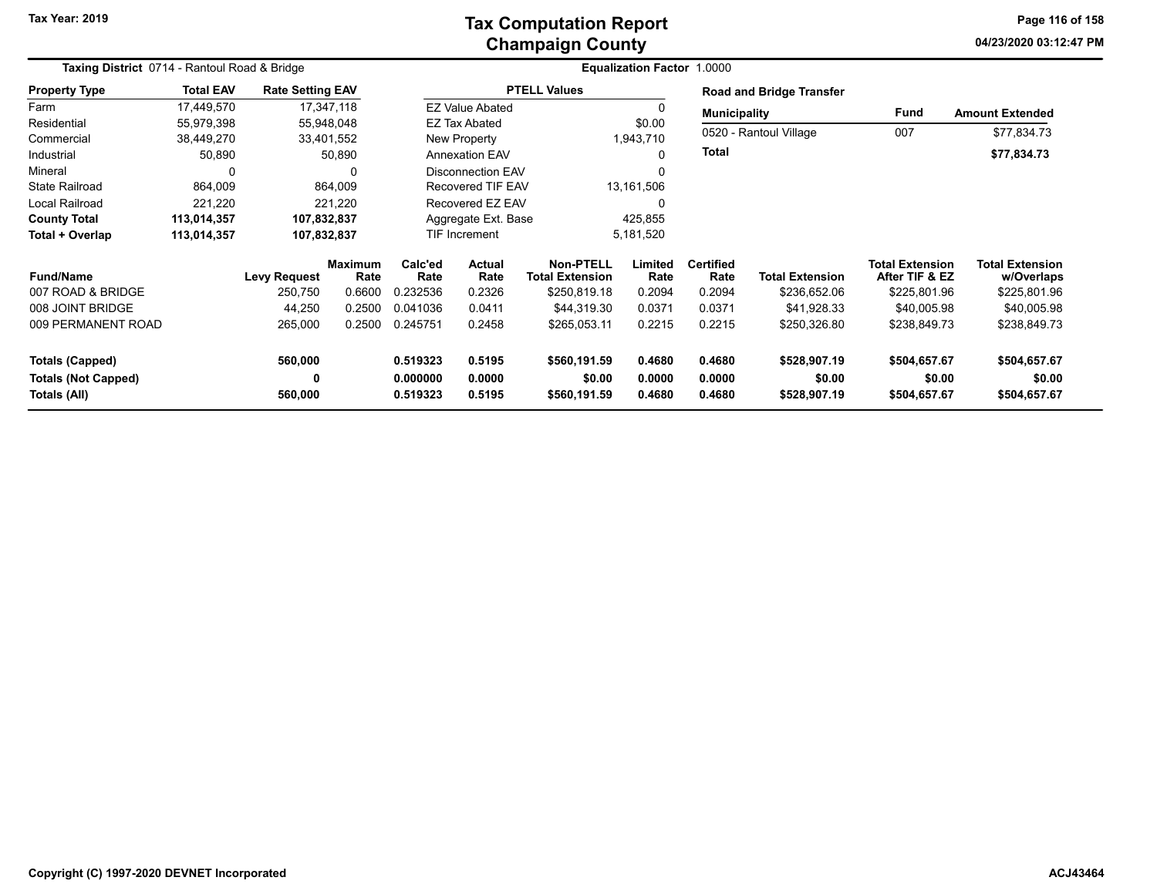### **Champaign County Tax Computation Report**

**04/23/2020 03:12:47 PMPage 116 of 158**

| Taxing District 0714 - Rantoul Road & Bridge |                  |                         |                        |                 |                                          |                     | Equalization Factor 1.0000 |                          |                          |                                          |                                      |
|----------------------------------------------|------------------|-------------------------|------------------------|-----------------|------------------------------------------|---------------------|----------------------------|--------------------------|--------------------------|------------------------------------------|--------------------------------------|
| <b>Property Type</b>                         | <b>Total EAV</b> | <b>Rate Setting EAV</b> |                        |                 |                                          | <b>PTELL Values</b> |                            |                          | Road and Bridge Transfer |                                          |                                      |
| Farm                                         | 17,449,570       |                         | 17,347,118             |                 | <b>EZ Value Abated</b>                   |                     | $\Omega$                   | <b>Municipality</b>      |                          | <b>Fund</b>                              | <b>Amount Extended</b>               |
| Residential                                  | 55,979,398       |                         | 55,948,048             |                 | <b>EZ Tax Abated</b>                     |                     | \$0.00                     |                          |                          |                                          |                                      |
| Commercial                                   | 38,449,270       |                         | 33,401,552             |                 | New Property                             |                     | 1,943,710                  |                          | 0520 - Rantoul Village   | 007                                      | \$77,834.73                          |
| Industrial                                   | 50,890           |                         | 50,890                 |                 | <b>Annexation EAV</b>                    |                     | $\Omega$                   | <b>Total</b>             |                          |                                          | \$77,834.73                          |
| Mineral                                      | 0                |                         | 0                      |                 | <b>Disconnection EAV</b>                 |                     | $\Omega$                   |                          |                          |                                          |                                      |
| <b>State Railroad</b>                        | 864,009          |                         | 864,009                |                 | <b>Recovered TIF EAV</b>                 |                     | 13,161,506                 |                          |                          |                                          |                                      |
| Local Railroad                               | 221,220          |                         | 221,220                |                 | Recovered EZ EAV                         |                     | $\Omega$                   |                          |                          |                                          |                                      |
| <b>County Total</b>                          | 113,014,357      | 107,832,837             |                        |                 | Aggregate Ext. Base                      |                     | 425,855                    |                          |                          |                                          |                                      |
| Total + Overlap                              | 113,014,357      | 107,832,837             |                        |                 | <b>TIF Increment</b>                     |                     | 5,181,520                  |                          |                          |                                          |                                      |
| <b>Fund/Name</b>                             |                  | <b>Levy Request</b>     | <b>Maximum</b><br>Rate | Calc'ed<br>Rate | Actual<br>Rate<br><b>Total Extension</b> |                     | Limited<br>Rate            | <b>Certified</b><br>Rate | <b>Total Extension</b>   | <b>Total Extension</b><br>After TIF & EZ | <b>Total Extension</b><br>w/Overlaps |
| 007 ROAD & BRIDGE                            |                  | 250,750                 | 0.6600                 | 0.232536        | 0.2326                                   | \$250,819.18        | 0.2094                     | 0.2094                   | \$236,652.06             | \$225,801.96                             | \$225,801.96                         |
| 008 JOINT BRIDGE                             |                  | 44,250                  | 0.2500                 | 0.041036        | 0.0411                                   | \$44,319.30         | 0.0371                     | 0.0371                   | \$41,928.33              | \$40,005.98                              | \$40,005.98                          |
| 009 PERMANENT ROAD                           |                  | 265,000                 | 0.2500                 | 0.245751        | 0.2458                                   | \$265,053.11        | 0.2215                     | 0.2215                   | \$250,326.80             | \$238,849.73                             | \$238,849.73                         |
| <b>Totals (Capped)</b>                       |                  | 560,000                 |                        | 0.519323        | 0.5195                                   | \$560,191.59        | 0.4680                     | 0.4680                   | \$528,907.19             | \$504,657.67                             | \$504,657.67                         |
| <b>Totals (Not Capped)</b>                   |                  | 0                       |                        | 0.000000        | 0.0000                                   | \$0.00              | 0.0000                     | 0.0000                   | \$0.00                   | \$0.00                                   | \$0.00                               |
| Totals (All)                                 |                  | 560,000                 |                        | 0.519323        | 0.5195<br>0.4680<br>\$560,191.59         |                     | 0.4680                     | \$528,907.19             | \$504,657.67             | \$504,657.67                             |                                      |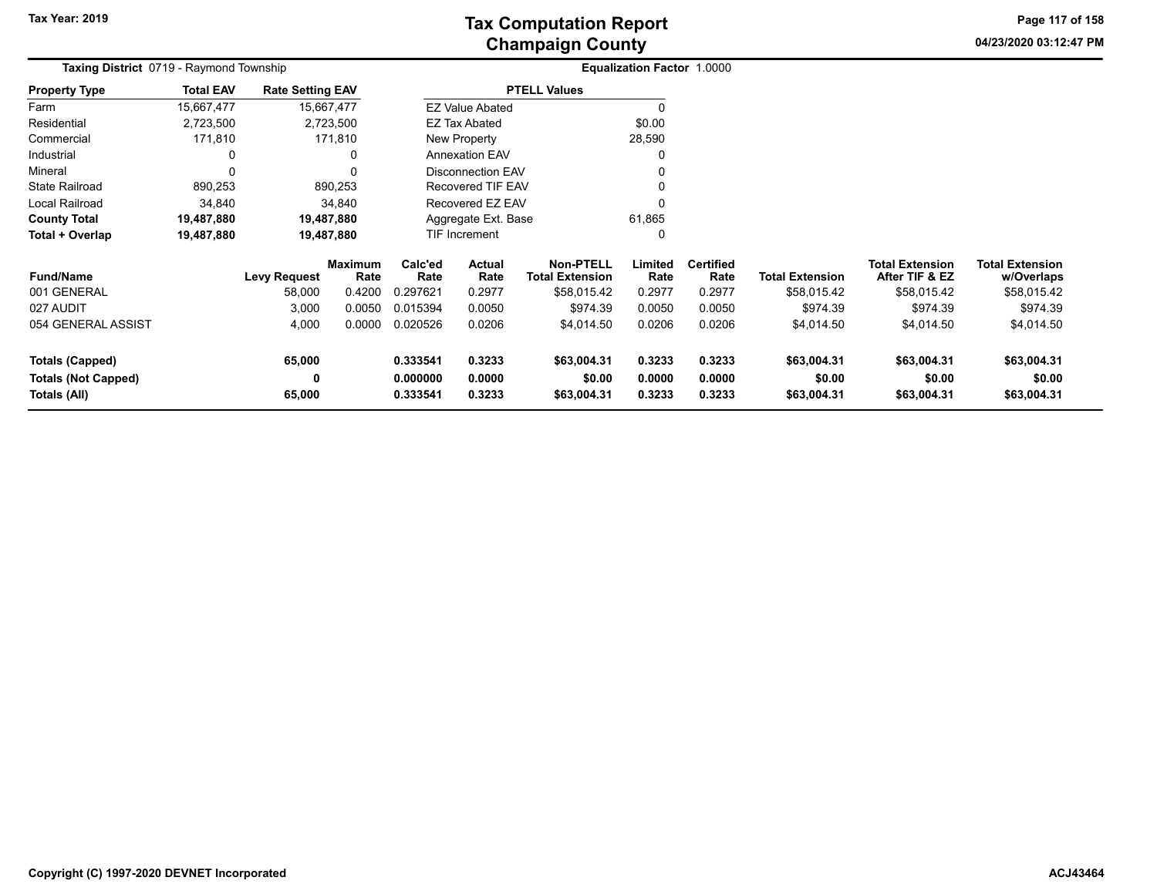**04/23/2020 03:12:47 PM Page 117 of 158**

| <b>Taxing District</b> 0719 - Raymond Township |                  |                         |                 |                                                                                       |                          |                                            | <b>Equalization Factor 1.0000</b> |                       |                        |                                          |                                      |  |
|------------------------------------------------|------------------|-------------------------|-----------------|---------------------------------------------------------------------------------------|--------------------------|--------------------------------------------|-----------------------------------|-----------------------|------------------------|------------------------------------------|--------------------------------------|--|
| <b>Property Type</b>                           | <b>Total EAV</b> | <b>Rate Setting EAV</b> |                 |                                                                                       |                          | <b>PTELL Values</b>                        |                                   |                       |                        |                                          |                                      |  |
| Farm                                           | 15,667,477       | 15,667,477              |                 |                                                                                       | <b>EZ Value Abated</b>   |                                            |                                   |                       |                        |                                          |                                      |  |
| Residential                                    | 2,723,500        |                         | 2,723,500       |                                                                                       | EZ Tax Abated            |                                            | \$0.00                            |                       |                        |                                          |                                      |  |
| Commercial                                     | 171,810          |                         | 171,810         |                                                                                       | New Property             |                                            | 28,590                            |                       |                        |                                          |                                      |  |
| Industrial                                     | 0                |                         | 0               |                                                                                       | <b>Annexation EAV</b>    |                                            |                                   |                       |                        |                                          |                                      |  |
| Mineral                                        |                  |                         |                 |                                                                                       | <b>Disconnection EAV</b> |                                            |                                   |                       |                        |                                          |                                      |  |
| <b>State Railroad</b>                          | 890,253          |                         | 890,253         |                                                                                       | Recovered TIF EAV        |                                            |                                   |                       |                        |                                          |                                      |  |
| Local Railroad                                 | 34,840           |                         | 34,840          |                                                                                       | Recovered EZ EAV         |                                            |                                   |                       |                        |                                          |                                      |  |
| <b>County Total</b>                            | 19,487,880       | 19,487,880              |                 |                                                                                       | Aggregate Ext. Base      |                                            | 61,865                            |                       |                        |                                          |                                      |  |
| Total + Overlap                                | 19,487,880       | 19,487,880              |                 | TIF Increment                                                                         |                          |                                            |                                   |                       |                        |                                          |                                      |  |
| <b>Fund/Name</b>                               |                  | <b>Levy Request</b>     | Maximum<br>Rate | Calc'ed<br>Rate                                                                       | Actual<br>Rate           | <b>Non-PTELL</b><br><b>Total Extension</b> | Limited<br>Rate                   | Certified<br>Rate     | <b>Total Extension</b> | <b>Total Extension</b><br>After TIF & EZ | <b>Total Extension</b><br>w/Overlaps |  |
| 001 GENERAL                                    |                  | 58,000                  | 0.4200          | 0.297621                                                                              | 0.2977                   | \$58,015.42                                | 0.2977                            | 0.2977                | \$58,015.42            | \$58,015.42                              | \$58,015.42                          |  |
| 027 AUDIT                                      |                  | 3,000                   | 0.0050          | 0.015394                                                                              | 0.0050                   | \$974.39                                   | 0.0050                            | 0.0050                | \$974.39               | \$974.39                                 | \$974.39                             |  |
| 054 GENERAL ASSIST                             |                  | 4,000                   | 0.0000          | 0.020526                                                                              | 0.0206                   | \$4,014.50                                 | 0.0206                            | 0.0206                | \$4,014.50             | \$4,014.50                               | \$4,014.50                           |  |
| <b>Totals (Capped)</b>                         |                  | 65,000                  |                 | 0.3233<br>0.333541                                                                    |                          | \$63,004.31                                | 0.3233                            | 0.3233                | \$63,004.31            | \$63,004.31                              | \$63,004.31                          |  |
| <b>Totals (Not Capped)</b><br>Totals (All)     |                  | 0<br>65,000             |                 | 0.0000<br>0.000000<br>\$0.00<br>0.0000<br>0.3233<br>0.333541<br>\$63,004.31<br>0.3233 |                          |                                            | 0.0000<br>0.3233                  | \$0.00<br>\$63,004.31 | \$0.00<br>\$63,004.31  | \$0.00<br>\$63,004.31                    |                                      |  |
|                                                |                  |                         |                 |                                                                                       |                          |                                            |                                   |                       |                        |                                          |                                      |  |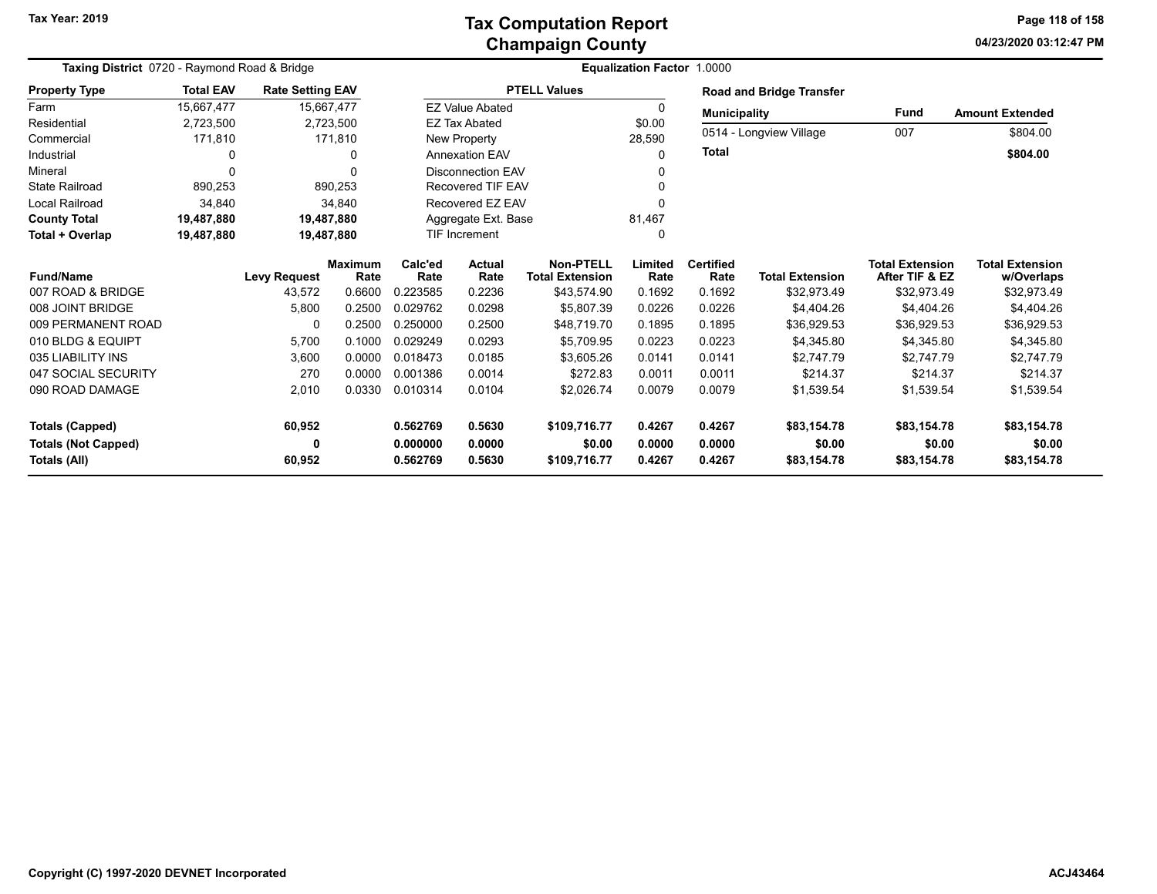| Taxing District 0720 - Raymond Road & Bridge |                  |                         |                |          |                        |                        | <b>Equalization Factor 1.0000</b> |                     |                                 |                        |                        |
|----------------------------------------------|------------------|-------------------------|----------------|----------|------------------------|------------------------|-----------------------------------|---------------------|---------------------------------|------------------------|------------------------|
| <b>Property Type</b>                         | <b>Total EAV</b> | <b>Rate Setting EAV</b> |                |          |                        | <b>PTELL Values</b>    |                                   |                     | <b>Road and Bridge Transfer</b> |                        |                        |
| Farm                                         | 15,667,477       |                         | 15,667,477     |          | <b>EZ Value Abated</b> |                        | 0                                 | <b>Municipality</b> |                                 | <b>Fund</b>            | <b>Amount Extended</b> |
| Residential                                  | 2,723,500        |                         | 2,723,500      |          | <b>EZ Tax Abated</b>   |                        | \$0.00                            |                     | 0514 - Longview Village         | 007                    |                        |
| Commercial                                   | 171,810          |                         | 171,810        |          | <b>New Property</b>    |                        | 28,590                            |                     |                                 |                        | \$804.00               |
| Industrial                                   | 0                |                         | O              |          | <b>Annexation EAV</b>  |                        | $\Omega$                          | <b>Total</b>        |                                 |                        | \$804.00               |
| Mineral                                      | $\Omega$         |                         |                |          | Disconnection EAV      |                        | 0                                 |                     |                                 |                        |                        |
| <b>State Railroad</b>                        | 890,253          |                         | 890,253        |          | Recovered TIF EAV      |                        | 0                                 |                     |                                 |                        |                        |
| <b>Local Railroad</b>                        | 34,840           |                         | 34,840         |          | Recovered EZ EAV       |                        | 0                                 |                     |                                 |                        |                        |
| <b>County Total</b>                          | 19,487,880       |                         | 19,487,880     |          | Aggregate Ext. Base    |                        | 81,467                            |                     |                                 |                        |                        |
| Total + Overlap                              | 19,487,880       |                         | 19,487,880     |          | <b>TIF Increment</b>   |                        | 0                                 |                     |                                 |                        |                        |
|                                              |                  |                         | <b>Maximum</b> | Calc'ed  | <b>Actual</b>          |                        | Limited                           | <b>Certified</b>    |                                 | <b>Total Extension</b> | <b>Total Extension</b> |
| <b>Fund/Name</b>                             |                  | <b>Levy Request</b>     | Rate           | Rate     | Rate                   | <b>Total Extension</b> | Rate                              | Rate                | <b>Total Extension</b>          | After TIF & EZ         | w/Overlaps             |
| 007 ROAD & BRIDGE                            |                  | 43,572                  | 0.6600         | 0.223585 | 0.2236                 | \$43,574.90            | 0.1692                            | 0.1692              | \$32.973.49                     | \$32,973.49            | \$32,973.49            |
| 008 JOINT BRIDGE                             |                  | 5,800                   | 0.2500         | 0.029762 | 0.0298                 | \$5,807.39             | 0.0226                            | 0.0226              | \$4,404.26                      | \$4,404.26             | \$4,404.26             |
| 009 PERMANENT ROAD                           |                  | 0                       | 0.2500         | 0.250000 | 0.2500                 | \$48,719.70            | 0.1895                            | 0.1895              | \$36,929.53                     | \$36,929.53            | \$36,929.53            |
| 010 BLDG & EQUIPT                            |                  | 5,700                   | 0.1000         | 0.029249 | 0.0293                 | \$5,709.95             | 0.0223                            | 0.0223              | \$4,345.80                      | \$4,345.80             | \$4,345.80             |
| 035 LIABILITY INS                            |                  | 3,600                   | 0.0000         | 0.018473 | 0.0185                 | \$3.605.26             | 0.0141                            | 0.0141              | \$2.747.79                      | \$2,747.79             | \$2.747.79             |
| 047 SOCIAL SECURITY                          |                  | 270                     | 0.0000         | 0.001386 | 0.0014                 | \$272.83               | 0.0011                            | 0.0011              | \$214.37                        | \$214.37               | \$214.37               |
| 090 ROAD DAMAGE                              |                  | 2,010                   | 0.0330         | 0.010314 | 0.0104                 | \$2,026.74             | 0.0079                            | 0.0079              | \$1,539.54                      | \$1,539.54             | \$1,539.54             |
| <b>Totals (Capped)</b>                       |                  | 60,952                  |                | 0.562769 | 0.5630                 | \$109,716.77           | 0.4267                            | 0.4267              | \$83,154.78                     | \$83,154.78            | \$83,154.78            |
| <b>Totals (Not Capped)</b>                   |                  | 0                       |                | 0.000000 | 0.0000                 | \$0.00                 | 0.0000                            | 0.0000              | \$0.00                          | \$0.00                 | \$0.00                 |
| Totals (All)                                 |                  | 60,952                  |                | 0.562769 | 0.5630                 | \$109,716.77           | 0.4267                            | 0.4267              | \$83,154.78                     | \$83,154.78            | \$83,154.78            |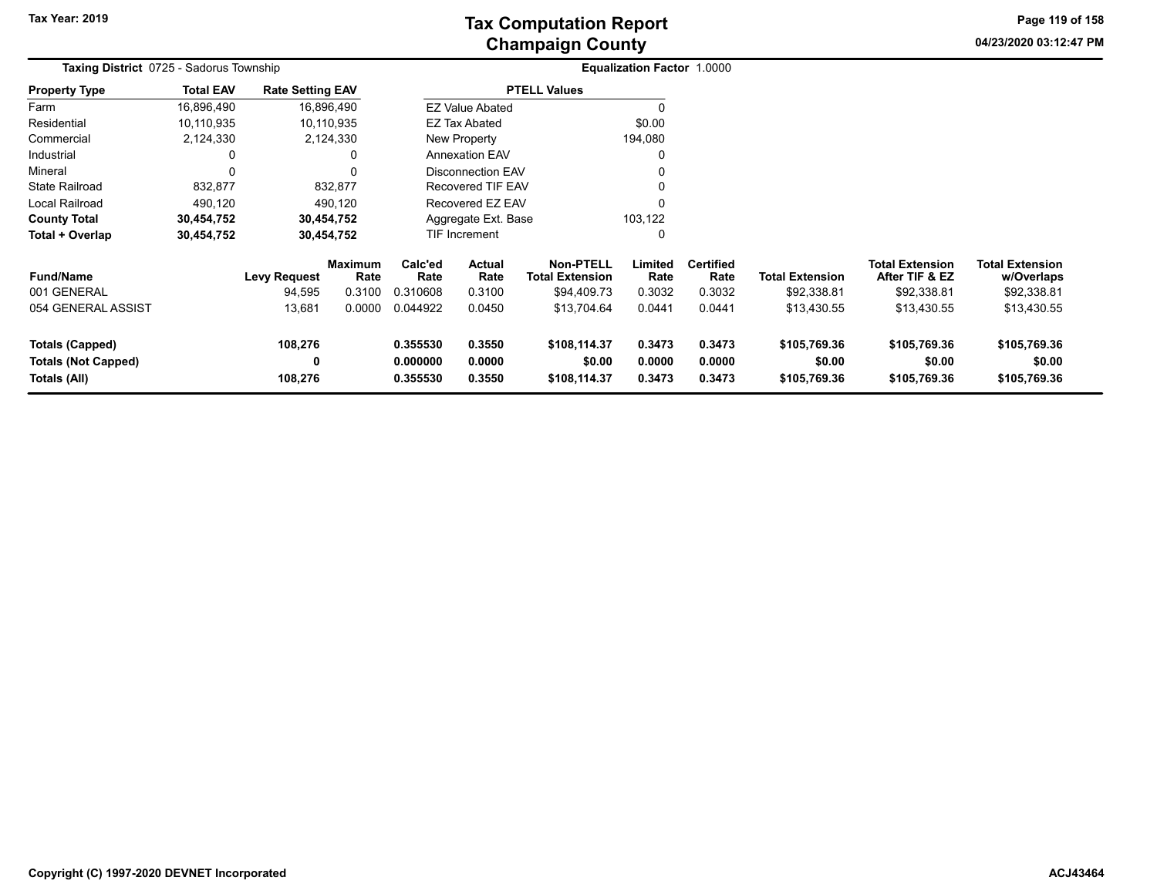**04/23/2020 03:12:47 PM Page 119 of 158**

| Taxing District 0725 - Sadorus Township                       |                  |                         |                        |                                                                |                          |                                            | <b>Equalization Factor 1.0000</b> |                            |                                        |                                          |                                        |  |
|---------------------------------------------------------------|------------------|-------------------------|------------------------|----------------------------------------------------------------|--------------------------|--------------------------------------------|-----------------------------------|----------------------------|----------------------------------------|------------------------------------------|----------------------------------------|--|
| <b>Property Type</b>                                          | <b>Total EAV</b> | <b>Rate Setting EAV</b> |                        |                                                                |                          | <b>PTELL Values</b>                        |                                   |                            |                                        |                                          |                                        |  |
| Farm                                                          | 16,896,490       |                         | 16,896,490             |                                                                | <b>EZ Value Abated</b>   |                                            | 0                                 |                            |                                        |                                          |                                        |  |
| Residential                                                   | 10,110,935       |                         | 10,110,935             |                                                                | EZ Tax Abated            |                                            | \$0.00                            |                            |                                        |                                          |                                        |  |
| Commercial                                                    | 2,124,330        |                         | 2,124,330              |                                                                | <b>New Property</b>      |                                            | 194,080                           |                            |                                        |                                          |                                        |  |
| Industrial                                                    | 0                |                         | 0                      |                                                                | <b>Annexation EAV</b>    |                                            | $\Omega$                          |                            |                                        |                                          |                                        |  |
| Mineral                                                       | 0                |                         |                        |                                                                | <b>Disconnection EAV</b> |                                            |                                   |                            |                                        |                                          |                                        |  |
| <b>State Railroad</b>                                         | 832,877          |                         | 832,877                |                                                                | <b>Recovered TIF EAV</b> |                                            | 0                                 |                            |                                        |                                          |                                        |  |
| Local Railroad                                                | 490,120          |                         | 490,120                |                                                                | Recovered EZ EAV         |                                            | $\mathbf{0}$                      |                            |                                        |                                          |                                        |  |
| <b>County Total</b>                                           | 30,454,752       |                         | 30,454,752             |                                                                | Aggregate Ext. Base      |                                            | 103,122                           |                            |                                        |                                          |                                        |  |
| Total + Overlap                                               | 30,454,752       |                         | 30,454,752             |                                                                | <b>TIF Increment</b>     |                                            | 0                                 |                            |                                        |                                          |                                        |  |
| <b>Fund/Name</b>                                              |                  | <b>Levy Request</b>     | <b>Maximum</b><br>Rate | Calc'ed<br>Rate                                                | <b>Actual</b><br>Rate    | <b>Non-PTELL</b><br><b>Total Extension</b> | Limited<br>Rate                   | <b>Certified</b><br>Rate   | <b>Total Extension</b>                 | <b>Total Extension</b><br>After TIF & EZ | <b>Total Extension</b><br>w/Overlaps   |  |
| 001 GENERAL                                                   |                  | 94,595                  | 0.3100                 | 0.310608                                                       | 0.3100                   | \$94,409.73                                | 0.3032                            | 0.3032                     | \$92,338.81                            | \$92,338.81                              | \$92,338.81                            |  |
| 054 GENERAL ASSIST                                            |                  | 13,681                  | 0.0000                 | 0.044922                                                       | 0.0450                   | \$13,704.64                                | 0.0441                            | 0.0441                     | \$13,430.55                            | \$13,430.55                              | \$13,430.55                            |  |
| <b>Totals (Capped)</b><br>Totals (Not Capped)<br>Totals (All) |                  | 108,276<br>0<br>108,276 |                        | 0.355530<br>0.3550<br>0.000000<br>0.0000<br>0.3550<br>0.355530 |                          | \$108,114.37<br>\$0.00<br>\$108,114.37     | 0.3473<br>0.0000<br>0.3473        | 0.3473<br>0.0000<br>0.3473 | \$105,769.36<br>\$0.00<br>\$105,769.36 | \$105,769.36<br>\$0.00<br>\$105,769.36   | \$105,769.36<br>\$0.00<br>\$105,769.36 |  |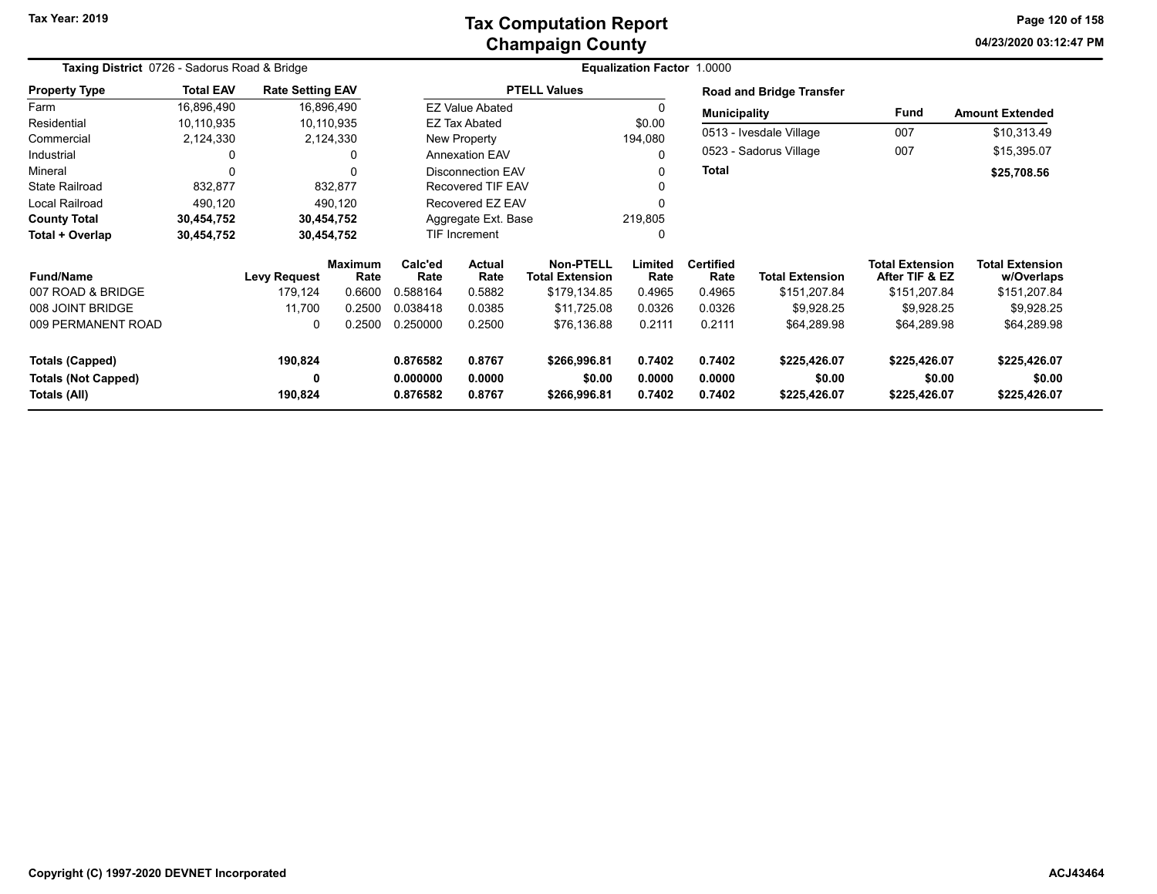### **Champaign County Tax Computation Report**

**04/23/2020 03:12:47 PM Page 120 of 158**

| Taxing District 0726 - Sadorus Road & Bridge         |                  |                         |                        |                      |                          |                                            | <b>Equalization Factor 1.0000</b> |                          |                                 |                                          |                                      |
|------------------------------------------------------|------------------|-------------------------|------------------------|----------------------|--------------------------|--------------------------------------------|-----------------------------------|--------------------------|---------------------------------|------------------------------------------|--------------------------------------|
| <b>Property Type</b>                                 | <b>Total EAV</b> | <b>Rate Setting EAV</b> |                        |                      |                          | <b>PTELL Values</b>                        |                                   |                          | <b>Road and Bridge Transfer</b> |                                          |                                      |
| Farm                                                 | 16,896,490       |                         | 16,896,490             |                      | <b>EZ Value Abated</b>   |                                            |                                   | <b>Municipality</b>      |                                 | Fund                                     | <b>Amount Extended</b>               |
| Residential                                          | 10,110,935       |                         | 10,110,935             |                      | <b>EZ Tax Abated</b>     |                                            | \$0.00                            |                          |                                 |                                          |                                      |
| Commercial                                           | 2,124,330        |                         | 2,124,330              |                      | New Property             |                                            | 194,080                           |                          | 0513 - Ivesdale Village         | 007                                      | \$10,313.49                          |
| Industrial                                           | 0                |                         | 0                      |                      | <b>Annexation EAV</b>    |                                            |                                   |                          | 0523 - Sadorus Village          | 007                                      | \$15,395.07                          |
| Mineral                                              | $\Omega$         |                         | $\Omega$               |                      | <b>Disconnection EAV</b> |                                            |                                   | <b>Total</b>             |                                 |                                          | \$25,708.56                          |
| <b>State Railroad</b>                                | 832,877          |                         | 832,877                |                      | <b>Recovered TIF EAV</b> |                                            |                                   |                          |                                 |                                          |                                      |
| Local Railroad                                       | 490,120          |                         | 490,120                |                      | Recovered EZ EAV         |                                            |                                   |                          |                                 |                                          |                                      |
| <b>County Total</b>                                  | 30,454,752       |                         | 30,454,752             |                      | Aggregate Ext. Base      |                                            | 219,805                           |                          |                                 |                                          |                                      |
| Total + Overlap                                      | 30,454,752       | 30,454,752              |                        |                      | <b>TIF Increment</b>     |                                            |                                   |                          |                                 |                                          |                                      |
| <b>Fund/Name</b>                                     |                  | <b>Levy Request</b>     | <b>Maximum</b><br>Rate | Calc'ed<br>Rate      | Actual<br>Rate           | <b>Non-PTELL</b><br><b>Total Extension</b> | Limited<br>Rate                   | <b>Certified</b><br>Rate | <b>Total Extension</b>          | <b>Total Extension</b><br>After TIF & EZ | <b>Total Extension</b><br>w/Overlaps |
| 007 ROAD & BRIDGE                                    |                  | 179,124                 | 0.6600                 | 0.588164             | 0.5882                   | \$179,134.85                               | 0.4965                            | 0.4965                   | \$151,207.84                    | \$151,207.84                             | \$151,207.84                         |
| 008 JOINT BRIDGE                                     |                  | 11,700                  | 0.2500                 | 0.038418             | 0.0385                   | \$11,725.08                                | 0.0326                            | 0.0326                   | \$9,928.25                      | \$9,928.25                               | \$9,928.25                           |
| 009 PERMANENT ROAD                                   |                  | $\Omega$                | 0.2500                 | 0.250000             | 0.2500                   | \$76,136.88                                | 0.2111                            | 0.2111                   | \$64,289.98                     | \$64,289.98                              | \$64,289.98                          |
| <b>Totals (Capped)</b><br><b>Totals (Not Capped)</b> |                  | 190,824<br>0            |                        | 0.876582<br>0.000000 | 0.8767<br>0.0000         | \$266,996.81<br>\$0.00                     | 0.7402<br>0.0000                  | 0.7402<br>0.0000         | \$225,426.07<br>\$0.00          | \$225,426.07<br>\$0.00                   | \$225,426.07<br>\$0.00               |
| Totals (All)                                         |                  | 190,824                 |                        | 0.876582             | 0.8767                   | \$266,996.81                               | 0.7402                            | 0.7402                   | \$225,426.07                    | \$225,426.07                             | \$225,426.07                         |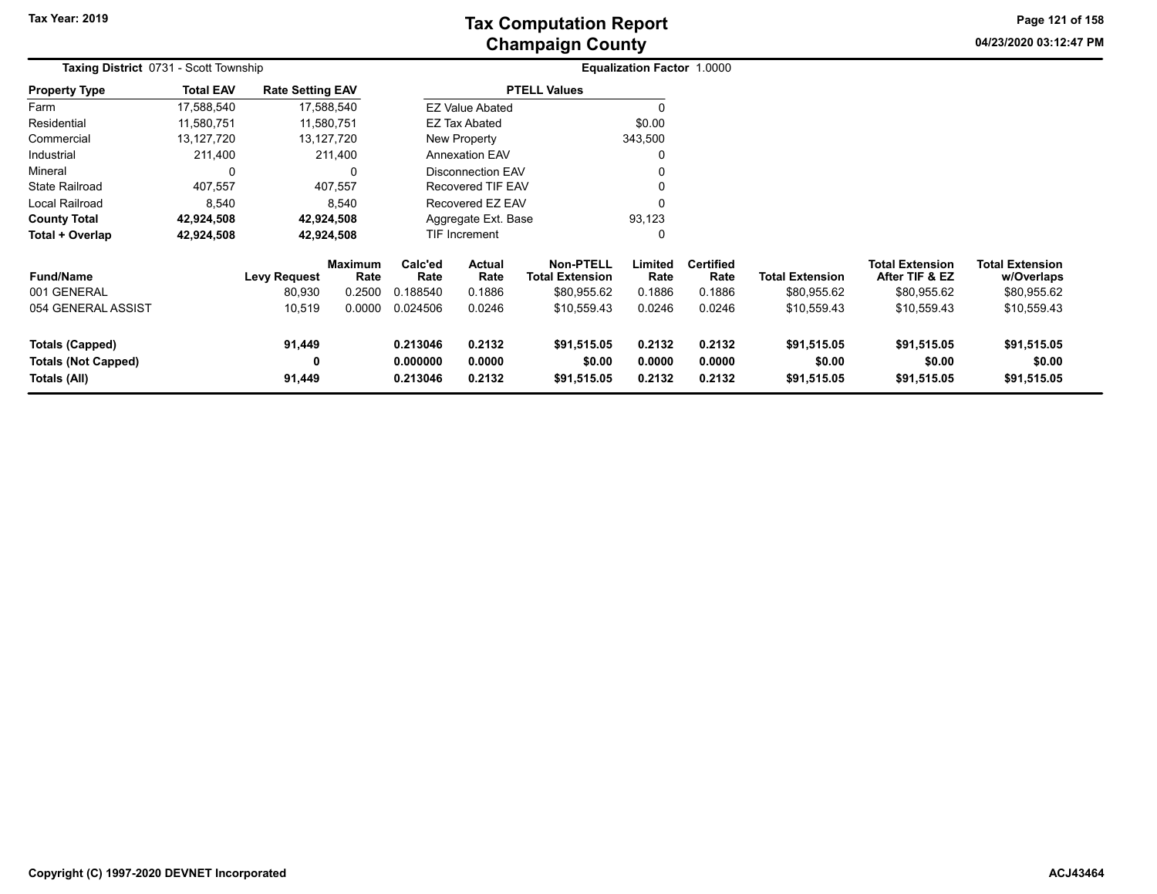**04/23/2020 03:12:47 PM Page 121 of 158**

| <b>Taxing District 0731 - Scott Township</b>         | <b>Equalization Factor 1.0000</b> |                         |                        |                      |                          |                                     |                  |                          |                        |                                          |                                      |  |
|------------------------------------------------------|-----------------------------------|-------------------------|------------------------|----------------------|--------------------------|-------------------------------------|------------------|--------------------------|------------------------|------------------------------------------|--------------------------------------|--|
| <b>Property Type</b>                                 | <b>Total EAV</b>                  | <b>Rate Setting EAV</b> |                        |                      |                          | <b>PTELL Values</b>                 |                  |                          |                        |                                          |                                      |  |
| Farm                                                 | 17,588,540                        |                         | 17,588,540             |                      | <b>EZ Value Abated</b>   |                                     | $\Omega$         |                          |                        |                                          |                                      |  |
| Residential                                          | 11,580,751                        |                         | 11,580,751             |                      | EZ Tax Abated            |                                     | \$0.00           |                          |                        |                                          |                                      |  |
| Commercial                                           | 13,127,720                        |                         | 13,127,720             |                      | New Property             |                                     | 343,500          |                          |                        |                                          |                                      |  |
| Industrial                                           | 211,400                           |                         | 211,400                |                      | <b>Annexation EAV</b>    |                                     | 0                |                          |                        |                                          |                                      |  |
| Mineral                                              | 0                                 |                         |                        |                      | <b>Disconnection EAV</b> |                                     |                  |                          |                        |                                          |                                      |  |
| <b>State Railroad</b>                                | 407,557                           |                         | 407,557                |                      | <b>Recovered TIF EAV</b> |                                     | $\Omega$         |                          |                        |                                          |                                      |  |
| Local Railroad                                       | 8,540                             |                         | 8,540                  |                      | Recovered EZ EAV         |                                     | $\mathbf{0}$     |                          |                        |                                          |                                      |  |
| <b>County Total</b>                                  | 42,924,508                        |                         | 42,924,508             |                      | Aggregate Ext. Base      |                                     | 93,123           |                          |                        |                                          |                                      |  |
| Total + Overlap                                      | 42,924,508                        |                         | 42,924,508             |                      | <b>TIF Increment</b>     |                                     | 0                |                          |                        |                                          |                                      |  |
| <b>Fund/Name</b>                                     |                                   | Levy Request            | <b>Maximum</b><br>Rate | Calc'ed<br>Rate      | Actual<br>Rate           | Non-PTELL<br><b>Total Extension</b> | Limited<br>Rate  | <b>Certified</b><br>Rate | <b>Total Extension</b> | <b>Total Extension</b><br>After TIF & EZ | <b>Total Extension</b><br>w/Overlaps |  |
| 001 GENERAL                                          |                                   | 80,930                  | 0.2500                 | 0.188540             | 0.1886                   | \$80,955.62                         | 0.1886           | 0.1886                   | \$80,955.62            | \$80,955.62                              | \$80,955.62                          |  |
| 054 GENERAL ASSIST                                   |                                   | 10,519                  | 0.0000                 | 0.024506             | 0.0246                   | \$10,559.43                         | 0.0246           | 0.0246                   | \$10,559.43            | \$10,559.43                              | \$10,559.43                          |  |
| <b>Totals (Capped)</b><br><b>Totals (Not Capped)</b> |                                   | 91,449<br>0             |                        | 0.213046<br>0.000000 | 0.2132<br>0.0000         | \$91,515.05<br>\$0.00               | 0.2132<br>0.0000 | 0.2132<br>0.0000         | \$91,515.05<br>\$0.00  | \$91,515.05<br>\$0.00                    | \$91,515.05<br>\$0.00                |  |
| Totals (All)                                         |                                   | 91,449                  |                        | 0.213046             | 0.2132                   | \$91,515.05                         | 0.2132           | 0.2132                   | \$91,515.05            | \$91,515.05                              | \$91,515.05                          |  |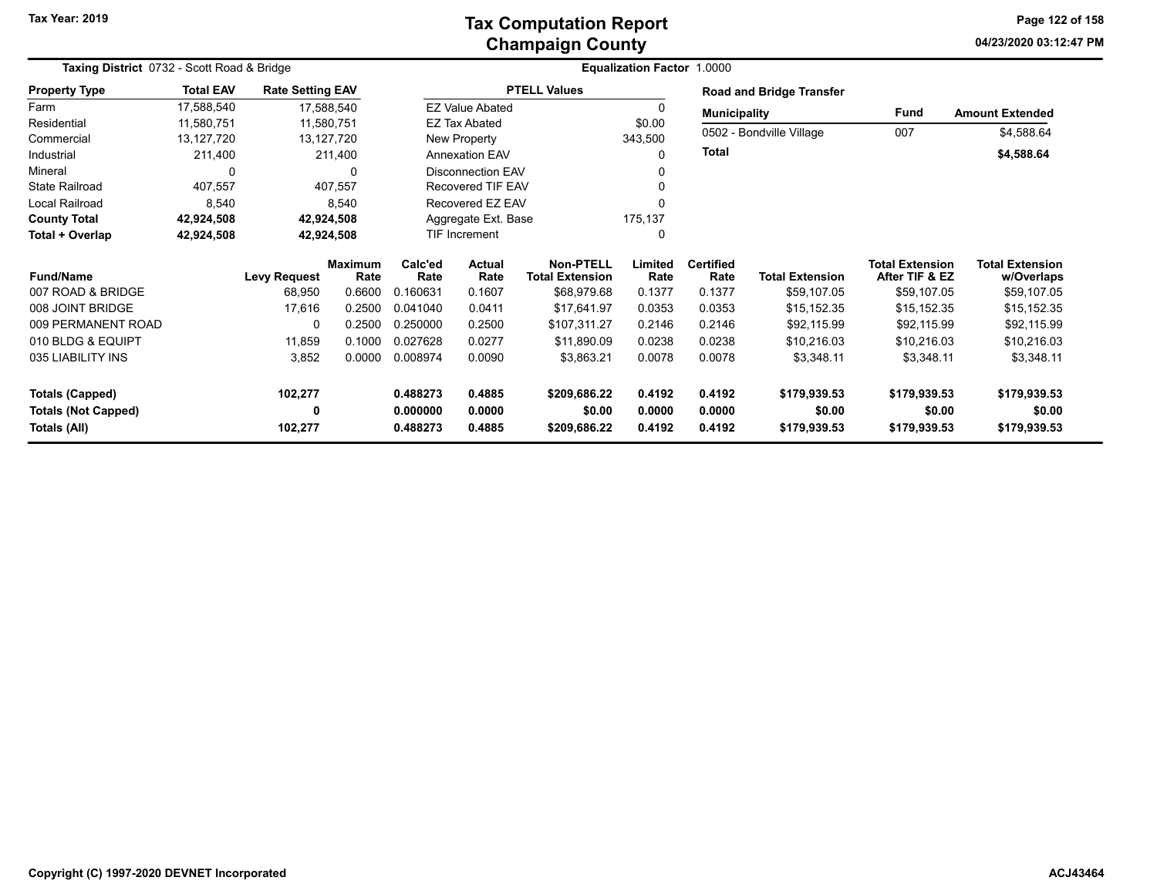### **Champaign County Tax Computation Report**

**04/23/2020 03:12:47 PM Page 122 of 158**

| Taxing District 0732 - Scott Road & Bridge |                  |                         |                        |                 | Equalization Factor 1.0000 |                                            |                 |                          |                                 |                                          |                                      |  |
|--------------------------------------------|------------------|-------------------------|------------------------|-----------------|----------------------------|--------------------------------------------|-----------------|--------------------------|---------------------------------|------------------------------------------|--------------------------------------|--|
| <b>Property Type</b>                       | <b>Total EAV</b> | <b>Rate Setting EAV</b> |                        |                 |                            | <b>PTELL Values</b>                        |                 |                          | <b>Road and Bridge Transfer</b> |                                          |                                      |  |
| Farm                                       | 17,588,540       |                         | 17,588,540             |                 | <b>EZ Value Abated</b>     |                                            | 0               | <b>Municipality</b>      |                                 | Fund                                     | <b>Amount Extended</b>               |  |
| Residential                                | 11,580,751       |                         | 11,580,751             |                 | EZ Tax Abated              |                                            | \$0.00          |                          | 0502 - Bondville Village        | 007                                      |                                      |  |
| Commercial                                 | 13,127,720       |                         | 13,127,720             |                 | New Property               |                                            | 343,500         |                          |                                 |                                          | \$4,588.64                           |  |
| Industrial                                 | 211,400          |                         | 211,400                |                 | <b>Annexation EAV</b>      |                                            | $\Omega$        | <b>Total</b>             |                                 |                                          | \$4,588.64                           |  |
| Mineral                                    | 0                |                         | 0                      |                 | <b>Disconnection EAV</b>   |                                            | O               |                          |                                 |                                          |                                      |  |
| <b>State Railroad</b>                      | 407,557          |                         | 407.557                |                 | <b>Recovered TIF EAV</b>   |                                            | 0               |                          |                                 |                                          |                                      |  |
| Local Railroad                             | 8,540            |                         | 8,540                  |                 | Recovered EZ EAV           |                                            |                 |                          |                                 |                                          |                                      |  |
| <b>County Total</b>                        | 42,924,508       |                         | 42,924,508             |                 | Aggregate Ext. Base        |                                            | 175,137         |                          |                                 |                                          |                                      |  |
| Total + Overlap                            | 42,924,508       |                         | 42,924,508             |                 | TIF Increment              |                                            | $\Omega$        |                          |                                 |                                          |                                      |  |
| <b>Fund/Name</b>                           |                  | <b>Levy Request</b>     | <b>Maximum</b><br>Rate | Calc'ed<br>Rate | Actual<br>Rate             | <b>Non-PTELL</b><br><b>Total Extension</b> | Limited<br>Rate | <b>Certified</b><br>Rate | <b>Total Extension</b>          | <b>Total Extension</b><br>After TIF & EZ | <b>Total Extension</b><br>w/Overlaps |  |
| 007 ROAD & BRIDGE                          |                  | 68,950                  | 0.6600                 | 0.160631        | 0.1607                     | \$68,979.68                                | 0.1377          | 0.1377                   | \$59,107.05                     | \$59,107.05                              | \$59,107.05                          |  |
| 008 JOINT BRIDGE                           |                  | 17,616                  | 0.2500                 | 0.041040        | 0.0411                     | \$17,641.97                                | 0.0353          | 0.0353                   | \$15,152.35                     | \$15,152.35                              | \$15,152.35                          |  |
| 009 PERMANENT ROAD                         |                  | $\Omega$                | 0.2500                 | 0.250000        | 0.2500                     | \$107,311.27                               | 0.2146          | 0.2146                   | \$92,115.99                     | \$92,115.99                              | \$92,115.99                          |  |
| 010 BLDG & EQUIPT                          |                  | 11,859                  | 0.1000                 | 0.027628        | 0.0277                     | \$11,890.09                                | 0.0238          | 0.0238                   | \$10,216.03                     | \$10,216.03                              | \$10,216.03                          |  |
| 035 LIABILITY INS                          |                  | 3,852                   | 0.0000                 | 0.008974        | 0.0090                     | \$3,863.21                                 | 0.0078          | 0.0078                   | \$3,348.11                      | \$3,348.11                               | \$3,348.11                           |  |
| <b>Totals (Capped)</b>                     |                  | 102,277                 |                        | 0.488273        | 0.4885                     | \$209,686.22                               | 0.4192          | 0.4192                   | \$179,939.53                    | \$179,939.53                             | \$179,939.53                         |  |
| <b>Totals (Not Capped)</b>                 |                  | 0                       |                        | 0.000000        | 0.0000                     | \$0.00                                     | 0.0000          | 0.0000                   | \$0.00                          | \$0.00                                   | \$0.00                               |  |
| Totals (All)                               |                  | 102,277                 |                        | 0.488273        | 0.4885                     | \$209,686.22                               | 0.4192          | 0.4192                   | \$179,939.53                    | \$179,939.53                             | \$179,939.53                         |  |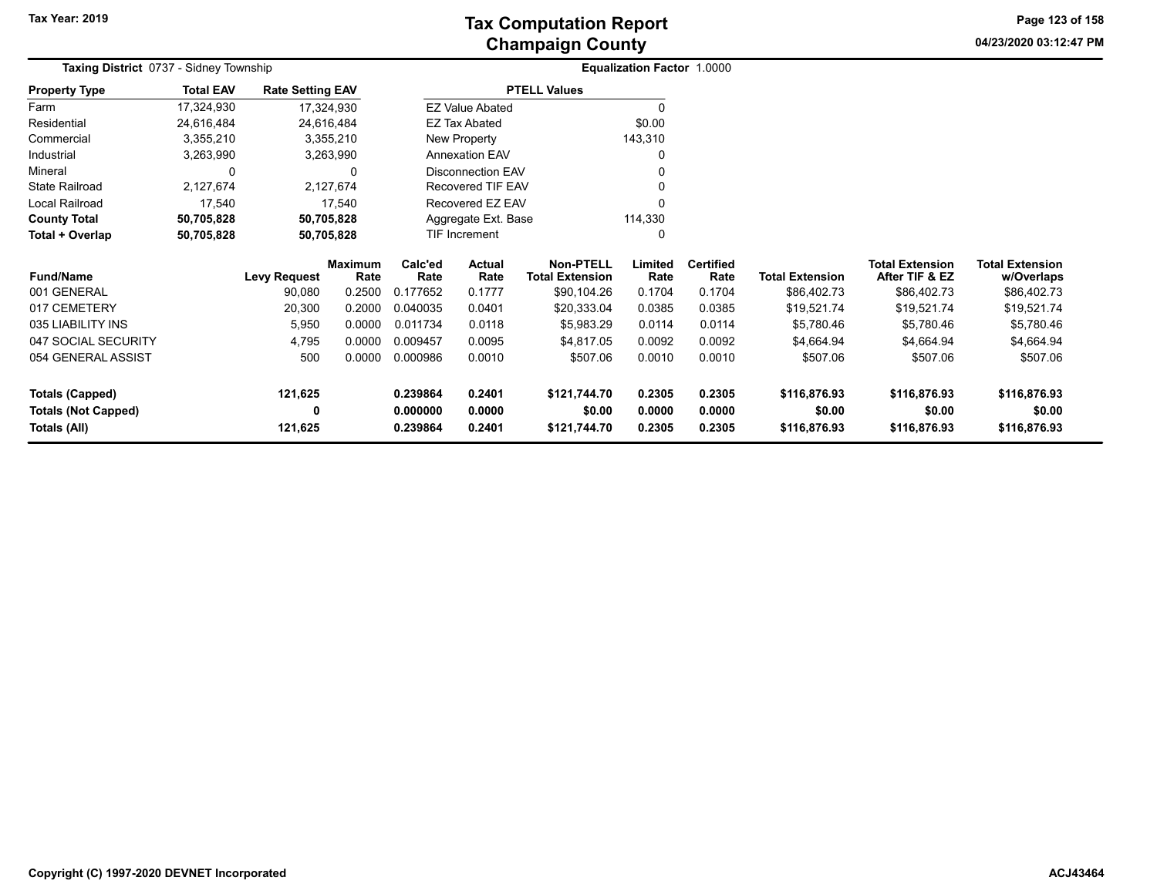# **Champaign County Tax Computation Report**

**04/23/2020 03:12:47 PM Page 123 of 158**

| Taxing District 0737 - Sidney Township |                  |                         |                 |                 |                          |                                            | <b>Equalization Factor 1.0000</b> |                          |                        |                                          |                                      |
|----------------------------------------|------------------|-------------------------|-----------------|-----------------|--------------------------|--------------------------------------------|-----------------------------------|--------------------------|------------------------|------------------------------------------|--------------------------------------|
| <b>Property Type</b>                   | <b>Total EAV</b> | <b>Rate Setting EAV</b> |                 |                 |                          | <b>PTELL Values</b>                        |                                   |                          |                        |                                          |                                      |
| Farm                                   | 17,324,930       | 17,324,930              |                 |                 | <b>EZ Value Abated</b>   |                                            | $\Omega$                          |                          |                        |                                          |                                      |
| Residential                            | 24,616,484       | 24,616,484              |                 |                 | <b>EZ Tax Abated</b>     |                                            | \$0.00                            |                          |                        |                                          |                                      |
| Commercial                             | 3,355,210        | 3,355,210               |                 |                 | New Property             |                                            | 143,310                           |                          |                        |                                          |                                      |
| Industrial                             | 3,263,990        | 3,263,990               |                 |                 | <b>Annexation EAV</b>    |                                            | $\Omega$                          |                          |                        |                                          |                                      |
| Mineral                                | 0                |                         | 0               |                 | <b>Disconnection EAV</b> |                                            |                                   |                          |                        |                                          |                                      |
| <b>State Railroad</b>                  | 2,127,674        | 2,127,674               |                 |                 | Recovered TIF EAV        |                                            |                                   |                          |                        |                                          |                                      |
| Local Railroad                         | 17,540           |                         | 17,540          |                 | Recovered EZ EAV         |                                            | O                                 |                          |                        |                                          |                                      |
| <b>County Total</b>                    | 50,705,828       | 50,705,828              |                 |                 | Aggregate Ext. Base      |                                            | 114,330                           |                          |                        |                                          |                                      |
| Total + Overlap                        | 50,705,828       | 50,705,828              |                 |                 | TIF Increment            |                                            | $\Omega$                          |                          |                        |                                          |                                      |
| <b>Fund/Name</b>                       |                  | <b>Levy Request</b>     | Maximum<br>Rate | Calc'ed<br>Rate | Actual<br>Rate           | <b>Non-PTELL</b><br><b>Total Extension</b> | Limited<br>Rate                   | <b>Certified</b><br>Rate | <b>Total Extension</b> | <b>Total Extension</b><br>After TIF & EZ | <b>Total Extension</b><br>w/Overlaps |
| 001 GENERAL                            |                  | 90,080                  | 0.2500          | 0.177652        | 0.1777                   | \$90,104.26                                | 0.1704                            | 0.1704                   | \$86,402.73            | \$86,402.73                              | \$86,402.73                          |
| 017 CEMETERY                           |                  | 20,300                  | 0.2000          | 0.040035        | 0.0401                   | \$20,333.04                                | 0.0385                            | 0.0385                   | \$19,521.74            | \$19,521.74                              | \$19,521.74                          |
| 035 LIABILITY INS                      |                  | 5,950                   | 0.0000          | 0.011734        | 0.0118                   | \$5,983.29                                 | 0.0114                            | 0.0114                   | \$5,780.46             | \$5,780.46                               | \$5,780.46                           |
| 047 SOCIAL SECURITY                    |                  | 4,795                   | 0.0000          | 0.009457        | 0.0095                   | \$4,817.05                                 | 0.0092                            | 0.0092                   | \$4,664.94             | \$4,664.94                               | \$4,664.94                           |
| 054 GENERAL ASSIST                     |                  | 500                     | 0.0000          | 0.000986        | 0.0010                   | \$507.06                                   | 0.0010                            | 0.0010                   | \$507.06               | \$507.06                                 | \$507.06                             |
| <b>Totals (Capped)</b>                 |                  | 121,625                 |                 | 0.239864        | 0.2401                   | \$121,744.70                               | 0.2305                            | 0.2305                   | \$116,876.93           | \$116,876.93                             | \$116,876.93                         |
| <b>Totals (Not Capped)</b>             |                  |                         |                 | 0.000000        | 0.0000                   | \$0.00                                     | 0.0000                            | 0.0000                   | \$0.00                 | \$0.00                                   | \$0.00                               |
| Totals (All)                           |                  | 121,625                 |                 | 0.239864        | 0.2401                   | \$121,744.70                               | 0.2305                            | 0.2305                   | \$116,876.93           | \$116,876.93                             | \$116,876.93                         |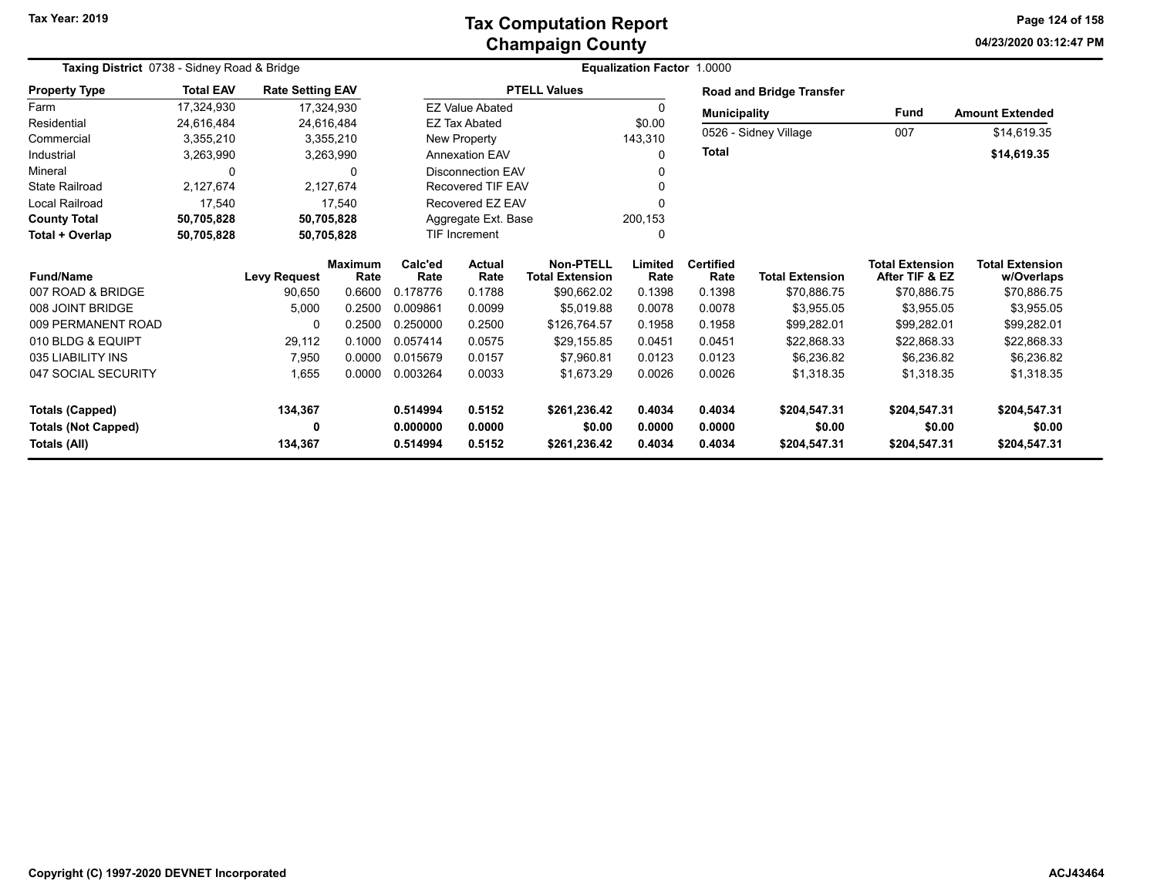### **Champaign County Tax Computation Report**

**04/23/2020 03:12:47 PM Page 124 of 158**

| Taxing District 0738 - Sidney Road & Bridge |                  |                         |                        | Equalization Factor 1.0000 |                          |                                            |                 |                          |                                 |                                          |                                      |
|---------------------------------------------|------------------|-------------------------|------------------------|----------------------------|--------------------------|--------------------------------------------|-----------------|--------------------------|---------------------------------|------------------------------------------|--------------------------------------|
| <b>Property Type</b>                        | <b>Total EAV</b> | <b>Rate Setting EAV</b> |                        |                            |                          | <b>PTELL Values</b>                        |                 |                          | <b>Road and Bridge Transfer</b> |                                          |                                      |
| Farm                                        | 17,324,930       |                         | 17,324,930             |                            | <b>EZ Value Abated</b>   |                                            | 0               | <b>Municipality</b>      |                                 | <b>Fund</b>                              | <b>Amount Extended</b>               |
| Residential                                 | 24,616,484       |                         | 24,616,484             |                            | <b>EZ Tax Abated</b>     |                                            | \$0.00          |                          |                                 |                                          |                                      |
| Commercial                                  | 3,355,210        |                         | 3,355,210              |                            | New Property             |                                            | 143,310         |                          | 0526 - Sidney Village           | 007                                      | \$14,619.35                          |
| Industrial                                  | 3,263,990        |                         | 3,263,990              |                            | <b>Annexation EAV</b>    |                                            | 0               | <b>Total</b>             |                                 |                                          | \$14,619.35                          |
| Mineral                                     | $\Omega$         |                         | 0                      |                            | <b>Disconnection EAV</b> |                                            |                 |                          |                                 |                                          |                                      |
| <b>State Railroad</b>                       | 2,127,674        |                         | 2,127,674              |                            | Recovered TIF EAV        |                                            |                 |                          |                                 |                                          |                                      |
| Local Railroad                              | 17,540           |                         | 17,540                 |                            | Recovered EZ EAV         |                                            |                 |                          |                                 |                                          |                                      |
| <b>County Total</b>                         | 50,705,828       |                         | 50,705,828             |                            | Aggregate Ext. Base      |                                            | 200,153         |                          |                                 |                                          |                                      |
| Total + Overlap                             | 50,705,828       |                         | 50,705,828             |                            | TIF Increment            |                                            |                 |                          |                                 |                                          |                                      |
| <b>Fund/Name</b>                            |                  | <b>Levy Request</b>     | <b>Maximum</b><br>Rate | Calc'ed<br>Rate            | <b>Actual</b><br>Rate    | <b>Non-PTELL</b><br><b>Total Extension</b> | Limited<br>Rate | <b>Certified</b><br>Rate | <b>Total Extension</b>          | <b>Total Extension</b><br>After TIF & EZ | <b>Total Extension</b><br>w/Overlaps |
| 007 ROAD & BRIDGE                           |                  | 90,650                  | 0.6600                 | 0.178776                   | 0.1788                   | \$90,662.02                                | 0.1398          | 0.1398                   | \$70,886.75                     | \$70,886.75                              | \$70,886.75                          |
| 008 JOINT BRIDGE                            |                  | 5,000                   | 0.2500                 | 0.009861                   | 0.0099                   | \$5,019.88                                 | 0.0078          | 0.0078                   | \$3,955.05                      | \$3,955.05                               | \$3,955.05                           |
| 009 PERMANENT ROAD                          |                  | $\Omega$                | 0.2500                 | 0.250000                   | 0.2500                   | \$126,764.57                               | 0.1958          | 0.1958                   | \$99,282.01                     | \$99,282.01                              | \$99,282.01                          |
| 010 BLDG & EQUIPT                           |                  | 29,112                  | 0.1000                 | 0.057414                   | 0.0575                   | \$29,155.85                                | 0.0451          | 0.0451                   | \$22,868.33                     | \$22,868.33                              | \$22,868.33                          |
| 035 LIABILITY INS                           |                  | 7,950                   | 0.0000                 | 0.015679                   | 0.0157                   | \$7,960.81                                 | 0.0123          | 0.0123                   | \$6,236.82                      | \$6,236.82                               | \$6,236.82                           |
| 047 SOCIAL SECURITY                         |                  | 1,655                   | 0.0000                 | 0.003264                   | 0.0033                   | \$1,673.29                                 | 0.0026          | 0.0026                   | \$1,318.35                      | \$1,318.35                               | \$1,318.35                           |
| <b>Totals (Capped)</b>                      |                  | 134,367                 |                        | 0.514994                   | 0.5152                   | \$261,236.42                               | 0.4034          | 0.4034                   | \$204,547.31                    | \$204,547.31                             | \$204,547.31                         |
| <b>Totals (Not Capped)</b>                  |                  | 0                       |                        | 0.000000                   | 0.0000                   | \$0.00                                     | 0.0000          | 0.0000                   | \$0.00                          | \$0.00                                   | \$0.00                               |
| Totals (All)                                |                  | 134,367                 |                        | 0.514994                   | 0.5152                   | \$261,236.42                               | 0.4034          | 0.4034                   | \$204,547.31                    | \$204,547.31                             | \$204,547.31                         |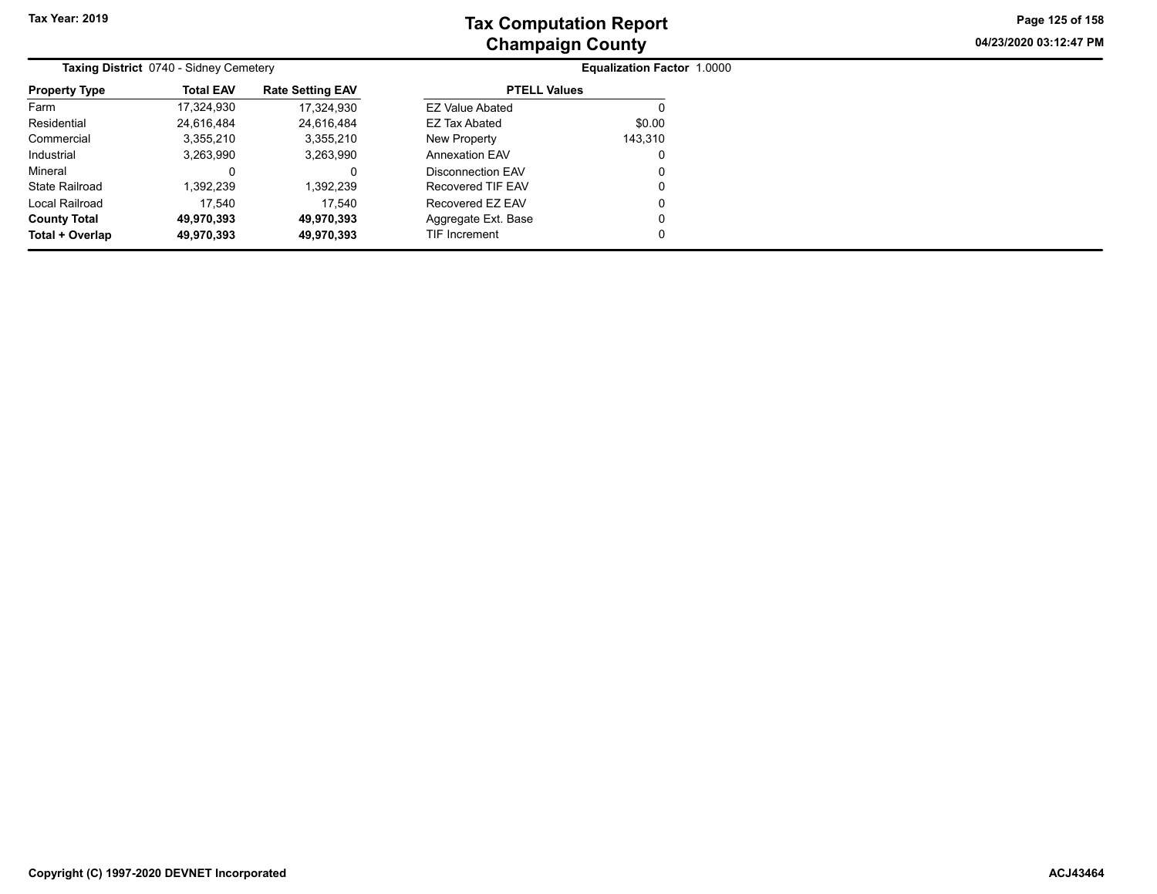**04/23/2020 03:12:47 PM Page 125 of 158**

|                      | Taxing District 0740 - Sidney Cemetery |                         | <b>Equalization Factor 1.0000</b> |         |  |  |  |
|----------------------|----------------------------------------|-------------------------|-----------------------------------|---------|--|--|--|
| <b>Property Type</b> | <b>Total EAV</b>                       | <b>Rate Setting EAV</b> | <b>PTELL Values</b>               |         |  |  |  |
| Farm                 | 17,324,930                             | 17.324.930              | <b>EZ Value Abated</b>            |         |  |  |  |
| Residential          | 24.616.484                             | 24.616.484              | EZ Tax Abated                     | \$0.00  |  |  |  |
| Commercial           | 3,355,210                              | 3,355,210               | New Property                      | 143,310 |  |  |  |
| Industrial           | 3,263,990                              | 3,263,990               | <b>Annexation EAV</b>             | 0       |  |  |  |
| Mineral              |                                        |                         | Disconnection EAV                 | 0       |  |  |  |
| State Railroad       | 1,392,239                              | 1,392,239               | Recovered TIF EAV                 | 0       |  |  |  |
| Local Railroad       | 17.540                                 | 17.540                  | Recovered EZ EAV                  | 0       |  |  |  |
| <b>County Total</b>  | 49,970,393                             | 49,970,393              | Aggregate Ext. Base               | 0       |  |  |  |
| Total + Overlap      | 49,970,393                             | 49,970,393              | TIF Increment                     | 0       |  |  |  |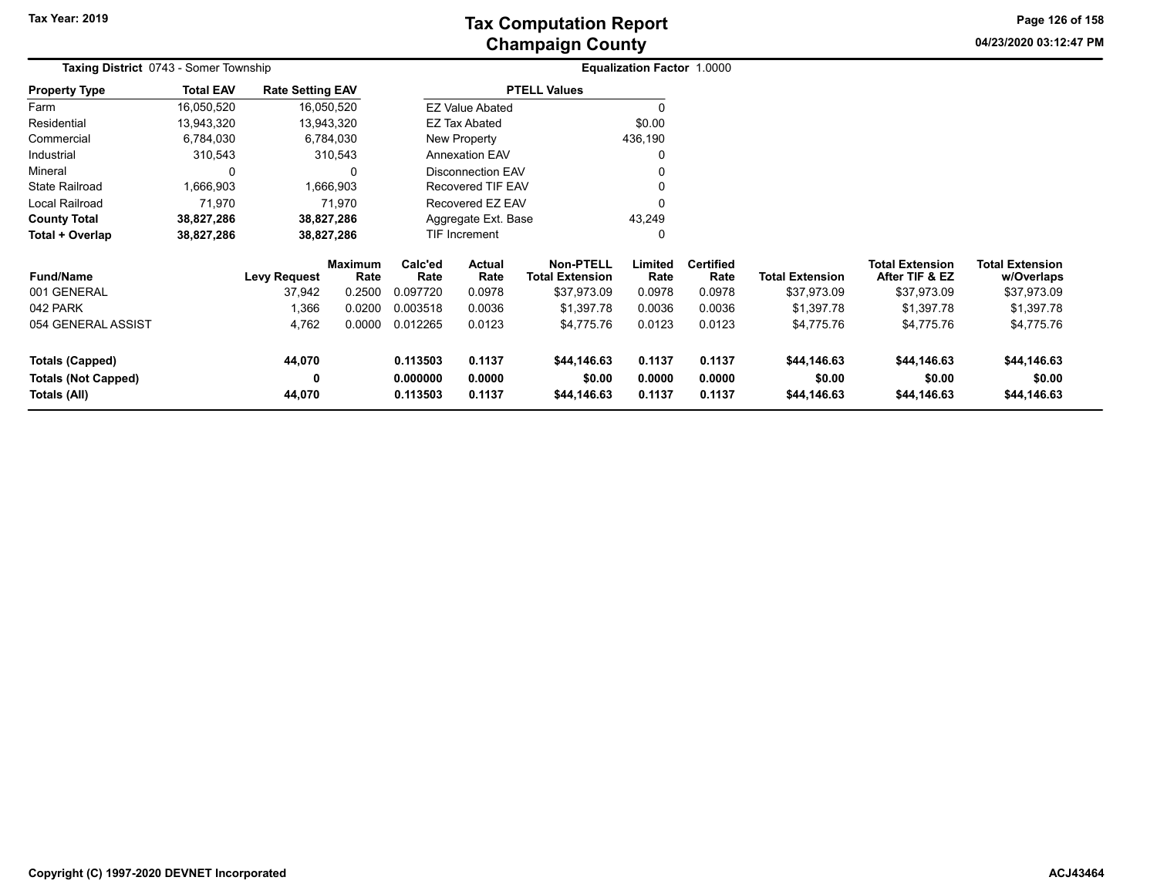**04/23/2020 03:12:47 PM Page 126 of 158**

| <b>Taxing District 0743 - Somer Township</b> |                  |                         |                        | <b>Equalization Factor 1.0000</b> |                          |                                            |                 |                          |                        |                                          |                                      |  |
|----------------------------------------------|------------------|-------------------------|------------------------|-----------------------------------|--------------------------|--------------------------------------------|-----------------|--------------------------|------------------------|------------------------------------------|--------------------------------------|--|
| <b>Property Type</b>                         | <b>Total EAV</b> | <b>Rate Setting EAV</b> |                        |                                   |                          | <b>PTELL Values</b>                        |                 |                          |                        |                                          |                                      |  |
| Farm                                         | 16,050,520       |                         | 16,050,520             |                                   | <b>EZ Value Abated</b>   |                                            | $\Omega$        |                          |                        |                                          |                                      |  |
| Residential                                  | 13,943,320       |                         | 13,943,320             |                                   | EZ Tax Abated            |                                            | \$0.00          |                          |                        |                                          |                                      |  |
| Commercial                                   | 6,784,030        |                         | 6,784,030              |                                   | New Property             |                                            | 436,190         |                          |                        |                                          |                                      |  |
| Industrial                                   | 310,543          |                         | 310,543                |                                   | <b>Annexation EAV</b>    |                                            | 0               |                          |                        |                                          |                                      |  |
| Mineral                                      | 0                |                         | 0                      |                                   | <b>Disconnection EAV</b> |                                            | O               |                          |                        |                                          |                                      |  |
| <b>State Railroad</b>                        | 1,666,903        |                         | 1,666,903              |                                   | <b>Recovered TIF EAV</b> |                                            | O               |                          |                        |                                          |                                      |  |
| Local Railroad                               | 71,970           |                         | 71,970                 |                                   | Recovered EZ EAV         |                                            | $\Omega$        |                          |                        |                                          |                                      |  |
| <b>County Total</b>                          | 38,827,286       |                         | 38,827,286             |                                   | Aggregate Ext. Base      |                                            | 43,249          |                          |                        |                                          |                                      |  |
| Total + Overlap                              | 38,827,286       |                         | 38,827,286             |                                   | TIF Increment            |                                            | 0               |                          |                        |                                          |                                      |  |
| <b>Fund/Name</b>                             |                  | <b>Levy Request</b>     | <b>Maximum</b><br>Rate | Calc'ed<br>Rate                   | Actual<br>Rate           | <b>Non-PTELL</b><br><b>Total Extension</b> | Limited<br>Rate | <b>Certified</b><br>Rate | <b>Total Extension</b> | <b>Total Extension</b><br>After TIF & EZ | <b>Total Extension</b><br>w/Overlaps |  |
| 001 GENERAL                                  |                  | 37,942                  | 0.2500                 | 0.097720                          | 0.0978                   | \$37,973.09                                | 0.0978          | 0.0978                   | \$37,973.09            | \$37,973.09                              | \$37,973.09                          |  |
| 042 PARK                                     |                  | 1,366                   | 0.0200                 | 0.003518                          | 0.0036                   | \$1,397.78                                 | 0.0036          | 0.0036                   | \$1,397.78             | \$1,397.78                               | \$1,397.78                           |  |
| 054 GENERAL ASSIST                           |                  | 4,762                   | 0.0000                 | 0.012265                          | 0.0123                   | \$4,775.76                                 | 0.0123          | 0.0123                   | \$4,775.76             | \$4,775.76                               | \$4,775.76                           |  |
| <b>Totals (Capped)</b>                       |                  | 44,070                  |                        | 0.113503                          | 0.1137                   | \$44,146.63                                | 0.1137          | 0.1137                   | \$44,146.63            | \$44,146.63                              | \$44,146.63                          |  |
| <b>Totals (Not Capped)</b>                   |                  | 0                       |                        | 0.000000                          | 0.0000                   | \$0.00                                     | 0.0000          | 0.0000                   | \$0.00                 | \$0.00                                   | \$0.00                               |  |
| Totals (All)                                 |                  | 44,070                  |                        | 0.113503                          | 0.1137                   | \$44,146.63                                | 0.1137          | 0.1137                   | \$44,146.63            | \$44,146.63                              | \$44,146.63                          |  |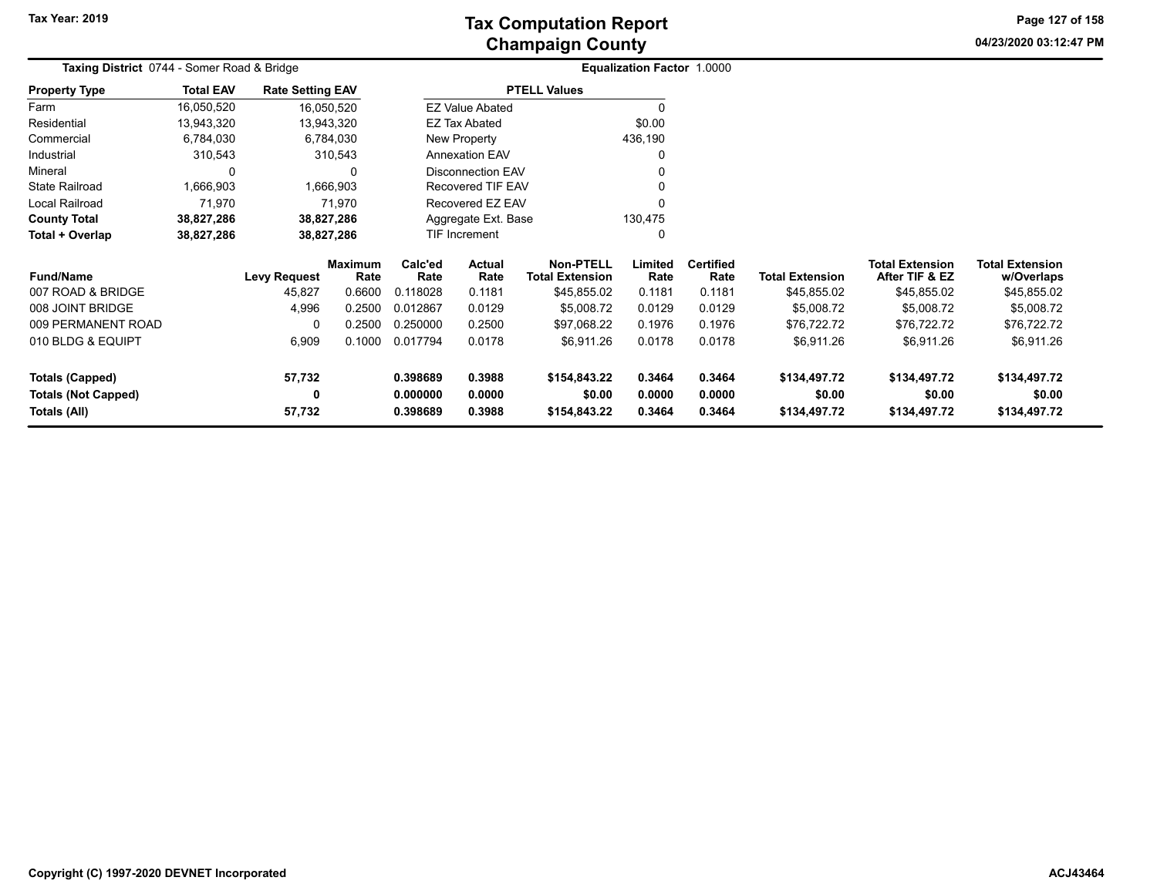**04/23/2020 03:12:47 PMPage 127 of 158**

| Taxing District 0744 - Somer Road & Bridge           |                  |                         |                        |                      | <b>Equalization Factor 1.0000</b> |                                            |                  |                          |                        |                                          |                                      |  |
|------------------------------------------------------|------------------|-------------------------|------------------------|----------------------|-----------------------------------|--------------------------------------------|------------------|--------------------------|------------------------|------------------------------------------|--------------------------------------|--|
| <b>Property Type</b>                                 | <b>Total EAV</b> | <b>Rate Setting EAV</b> |                        |                      |                                   | <b>PTELL Values</b>                        |                  |                          |                        |                                          |                                      |  |
| Farm                                                 | 16,050,520       |                         | 16,050,520             |                      | <b>EZ Value Abated</b>            |                                            | 0                |                          |                        |                                          |                                      |  |
| Residential                                          | 13,943,320       |                         | 13,943,320             |                      | EZ Tax Abated                     |                                            | \$0.00           |                          |                        |                                          |                                      |  |
| Commercial                                           | 6,784,030        |                         | 6,784,030              |                      | New Property                      |                                            | 436,190          |                          |                        |                                          |                                      |  |
| Industrial                                           | 310,543          |                         | 310,543                |                      | <b>Annexation EAV</b>             |                                            | $\Omega$         |                          |                        |                                          |                                      |  |
| Mineral                                              | 0                |                         | $\Omega$               |                      | <b>Disconnection EAV</b>          |                                            |                  |                          |                        |                                          |                                      |  |
| <b>State Railroad</b>                                | 1,666,903        |                         | 1,666,903              |                      | <b>Recovered TIF EAV</b>          |                                            |                  |                          |                        |                                          |                                      |  |
| Local Railroad                                       | 71,970           |                         | 71,970                 |                      | Recovered EZ EAV                  |                                            |                  |                          |                        |                                          |                                      |  |
| <b>County Total</b>                                  | 38,827,286       |                         | 38,827,286             |                      | Aggregate Ext. Base               |                                            | 130,475          |                          |                        |                                          |                                      |  |
| Total + Overlap                                      | 38,827,286       |                         | 38,827,286             |                      | TIF Increment<br>$\Omega$         |                                            |                  |                          |                        |                                          |                                      |  |
| <b>Fund/Name</b>                                     |                  | <b>Levy Request</b>     | <b>Maximum</b><br>Rate | Calc'ed<br>Rate      | <b>Actual</b><br>Rate             | <b>Non-PTELL</b><br><b>Total Extension</b> | Limited<br>Rate  | <b>Certified</b><br>Rate | <b>Total Extension</b> | <b>Total Extension</b><br>After TIF & EZ | <b>Total Extension</b><br>w/Overlaps |  |
| 007 ROAD & BRIDGE                                    |                  | 45,827                  | 0.6600                 | 0.118028             | 0.1181                            | \$45,855.02                                | 0.1181           | 0.1181                   | \$45,855.02            | \$45,855.02                              | \$45,855.02                          |  |
| 008 JOINT BRIDGE                                     |                  | 4,996                   | 0.2500                 | 0.012867             | 0.0129                            | \$5,008.72                                 | 0.0129           | 0.0129                   | \$5,008.72             | \$5,008.72                               | \$5,008.72                           |  |
| 009 PERMANENT ROAD                                   |                  | 0                       | 0.2500                 | 0.250000             | 0.2500                            | \$97,068.22                                | 0.1976           | 0.1976                   | \$76,722.72            | \$76,722.72                              | \$76,722.72                          |  |
| 010 BLDG & EQUIPT                                    |                  | 6,909                   | 0.1000                 | 0.017794             | 0.0178                            | \$6,911.26                                 | 0.0178           | 0.0178                   | \$6,911.26             | \$6,911.26                               | \$6,911.26                           |  |
| <b>Totals (Capped)</b><br><b>Totals (Not Capped)</b> |                  | 57,732<br>0             |                        | 0.398689<br>0.000000 | 0.3988<br>0.0000                  | \$154,843.22<br>\$0.00                     | 0.3464<br>0.0000 | 0.3464<br>0.0000         | \$134,497.72<br>\$0.00 | \$134,497.72<br>\$0.00                   | \$134,497.72<br>\$0.00               |  |
| Totals (All)                                         |                  | 57,732                  |                        | 0.398689             | 0.3988                            | \$154,843.22                               | 0.3464           | 0.3464                   | \$134,497.72           | \$134,497.72                             | \$134,497.72                         |  |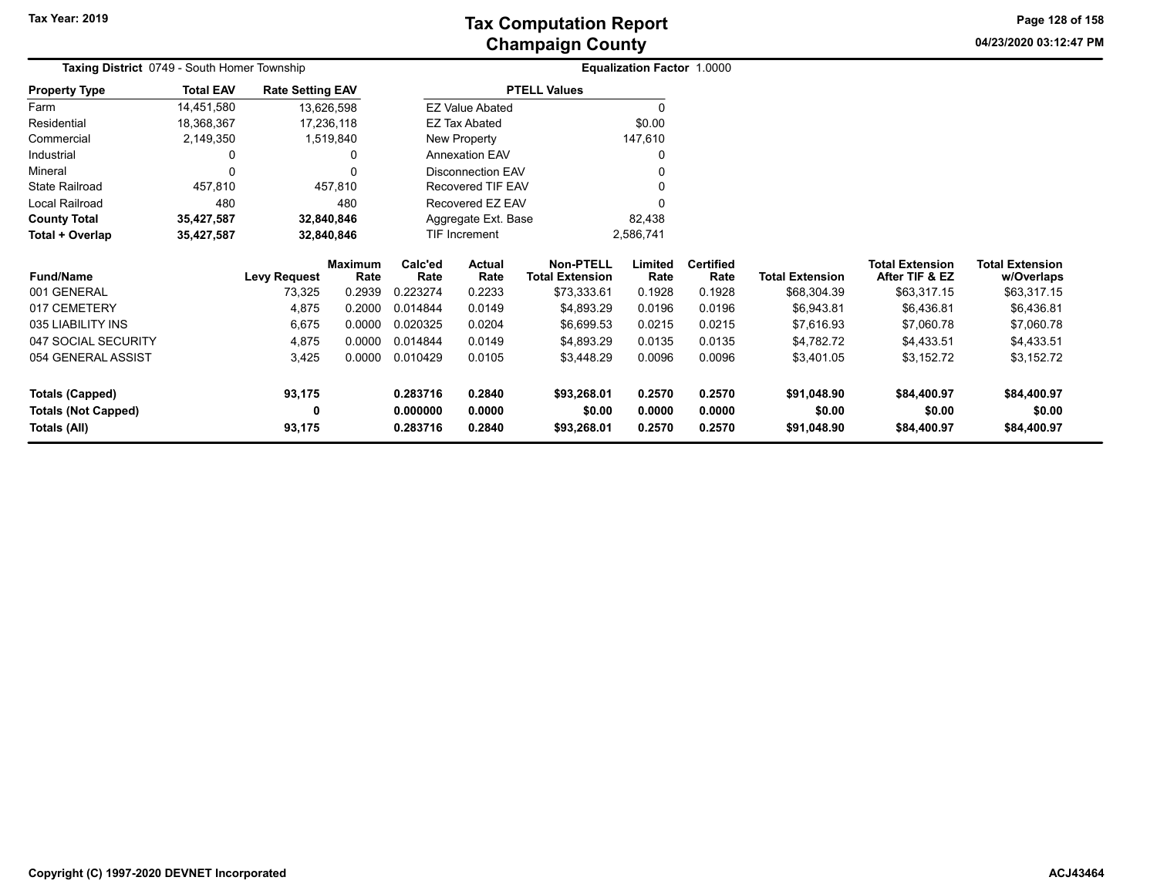**04/23/2020 03:12:47 PM Page 128 of 158**

| <b>Taxing District</b> 0749 - South Homer Township |                  |                         |                 |                 |                          |                                            | <b>Equalization Factor 1.0000</b> |                          |                        |                                          |                                      |
|----------------------------------------------------|------------------|-------------------------|-----------------|-----------------|--------------------------|--------------------------------------------|-----------------------------------|--------------------------|------------------------|------------------------------------------|--------------------------------------|
| <b>Property Type</b>                               | <b>Total EAV</b> | <b>Rate Setting EAV</b> |                 |                 |                          | <b>PTELL Values</b>                        |                                   |                          |                        |                                          |                                      |
| Farm                                               | 14,451,580       | 13,626,598              |                 |                 | <b>EZ Value Abated</b>   |                                            |                                   |                          |                        |                                          |                                      |
| Residential                                        | 18,368,367       | 17,236,118              |                 |                 | EZ Tax Abated            |                                            | \$0.00                            |                          |                        |                                          |                                      |
| Commercial                                         | 2,149,350        |                         | 1,519,840       |                 | New Property             |                                            | 147,610                           |                          |                        |                                          |                                      |
| Industrial                                         | 0                |                         |                 |                 | <b>Annexation EAV</b>    |                                            |                                   |                          |                        |                                          |                                      |
| Mineral                                            | 0                |                         |                 |                 | <b>Disconnection EAV</b> |                                            |                                   |                          |                        |                                          |                                      |
| <b>State Railroad</b>                              | 457,810          |                         | 457,810         |                 | Recovered TIF EAV        |                                            |                                   |                          |                        |                                          |                                      |
| Local Railroad                                     | 480              |                         | 480             |                 | Recovered EZ EAV         |                                            |                                   |                          |                        |                                          |                                      |
| <b>County Total</b>                                | 35,427,587       | 32,840,846              |                 |                 | Aggregate Ext. Base      |                                            | 82,438                            |                          |                        |                                          |                                      |
| Total + Overlap                                    | 35,427,587       | 32,840,846              |                 |                 | <b>TIF Increment</b>     |                                            | 2,586,741                         |                          |                        |                                          |                                      |
| <b>Fund/Name</b>                                   |                  | <b>Levy Request</b>     | Maximum<br>Rate | Calc'ed<br>Rate | Actual<br>Rate           | <b>Non-PTELL</b><br><b>Total Extension</b> | Limited<br>Rate                   | <b>Certified</b><br>Rate | <b>Total Extension</b> | <b>Total Extension</b><br>After TIF & EZ | <b>Total Extension</b><br>w/Overlaps |
| 001 GENERAL                                        |                  | 73,325                  | 0.2939          | 0.223274        | 0.2233                   | \$73,333.61                                | 0.1928                            | 0.1928                   | \$68,304.39            | \$63,317.15                              | \$63,317.15                          |
| 017 CEMETERY                                       |                  | 4,875                   | 0.2000          | 0.014844        | 0.0149                   | \$4,893.29                                 | 0.0196                            | 0.0196                   | \$6,943.81             | \$6,436.81                               | \$6,436.81                           |
| 035 LIABILITY INS                                  |                  | 6,675                   | 0.0000          | 0.020325        | 0.0204                   | \$6,699.53                                 | 0.0215                            | 0.0215                   | \$7,616.93             | \$7,060.78                               | \$7,060.78                           |
| 047 SOCIAL SECURITY                                |                  | 4,875                   | 0.0000          | 0.014844        | 0.0149                   | \$4,893.29                                 | 0.0135                            | 0.0135                   | \$4,782.72             | \$4,433.51                               | \$4,433.51                           |
| 054 GENERAL ASSIST                                 |                  | 3,425                   | 0.0000          | 0.010429        | 0.0105                   | \$3,448.29                                 | 0.0096                            | 0.0096                   | \$3,401.05             | \$3,152.72                               | \$3,152.72                           |
| <b>Totals (Capped)</b>                             |                  | 93,175                  |                 | 0.283716        | 0.2840                   | \$93,268.01                                | 0.2570                            | 0.2570                   | \$91,048.90            | \$84,400.97                              | \$84,400.97                          |
| <b>Totals (Not Capped)</b>                         |                  | 0                       |                 | 0.000000        | 0.0000                   | \$0.00                                     | 0.0000                            | 0.0000                   | \$0.00                 | \$0.00                                   | \$0.00                               |
| <b>Totals (All)</b>                                |                  | 93,175                  |                 | 0.283716        | 0.2840                   | \$93,268.01                                | 0.2570                            | 0.2570                   | \$91,048.90            | \$84,400.97                              | \$84,400.97                          |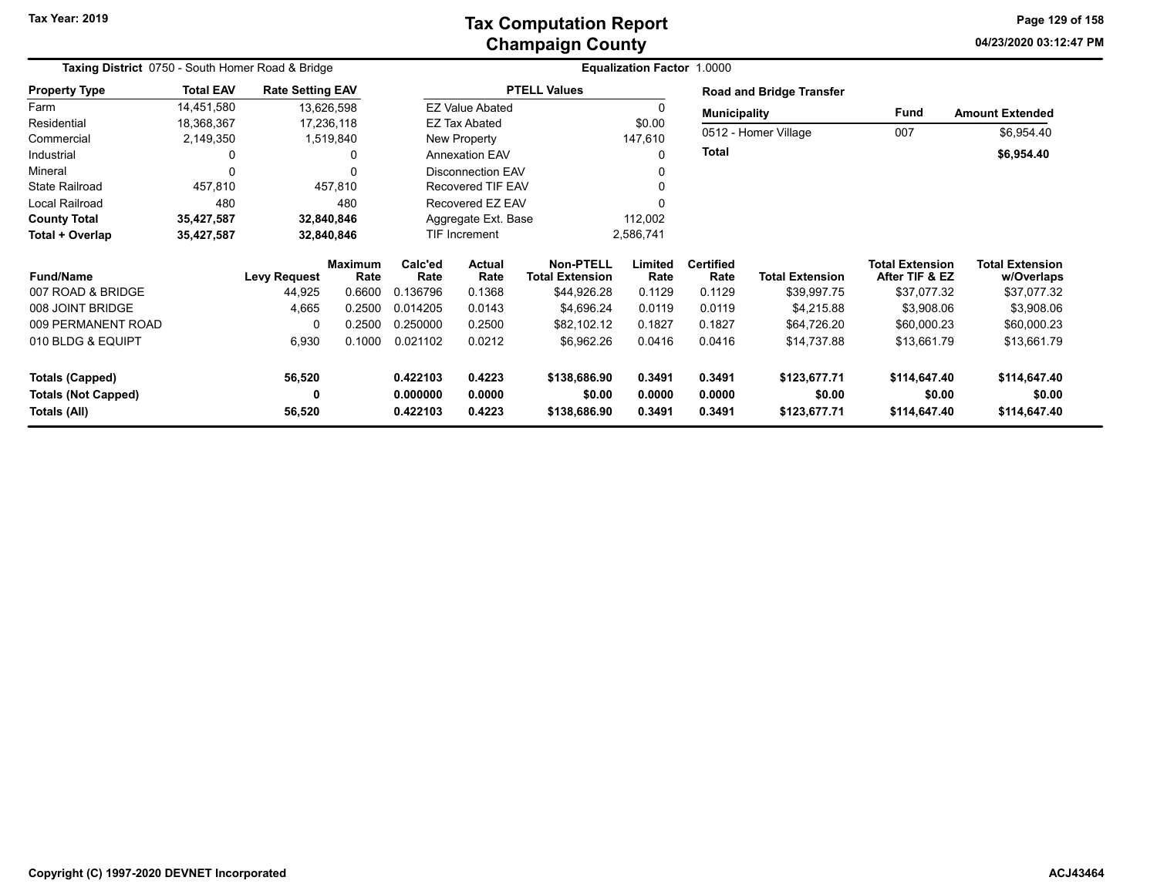## **Champaign County Tax Computation Report**

**04/23/2020 03:12:47 PM Page 129 of 158**

| Taxing District 0750 - South Homer Road & Bridge |                  |                         |                        |                      |                                   |                                            | <b>Equalization Factor 1.0000</b> |                          |                                 |                                          |                                      |
|--------------------------------------------------|------------------|-------------------------|------------------------|----------------------|-----------------------------------|--------------------------------------------|-----------------------------------|--------------------------|---------------------------------|------------------------------------------|--------------------------------------|
| <b>Property Type</b>                             | <b>Total EAV</b> | <b>Rate Setting EAV</b> |                        |                      |                                   | <b>PTELL Values</b>                        |                                   |                          | <b>Road and Bridge Transfer</b> |                                          |                                      |
| Farm                                             | 14,451,580       |                         | 13,626,598             |                      | <b>EZ Value Abated</b>            |                                            |                                   | <b>Municipality</b>      |                                 | Fund                                     | <b>Amount Extended</b>               |
| Residential                                      | 18,368,367       |                         | 17,236,118             |                      | <b>EZ Tax Abated</b>              |                                            | \$0.00                            |                          | 0512 - Homer Village            | 007                                      |                                      |
| Commercial                                       | 2,149,350        |                         | 1,519,840              |                      | New Property                      |                                            | 147,610                           |                          |                                 |                                          | \$6,954.40                           |
| Industrial                                       | 0                |                         | 0                      |                      | <b>Annexation EAV</b>             |                                            |                                   | <b>Total</b>             |                                 |                                          | \$6,954.40                           |
| Mineral                                          | 0                |                         |                        |                      | <b>Disconnection EAV</b>          |                                            |                                   |                          |                                 |                                          |                                      |
| <b>State Railroad</b>                            | 457,810          |                         | 457,810                |                      | Recovered TIF EAV                 |                                            |                                   |                          |                                 |                                          |                                      |
| Local Railroad                                   | 480              |                         | 480                    |                      | Recovered EZ EAV                  |                                            |                                   |                          |                                 |                                          |                                      |
| <b>County Total</b>                              | 35,427,587       |                         | 32,840,846             |                      | Aggregate Ext. Base               |                                            | 112,002                           |                          |                                 |                                          |                                      |
| Total + Overlap                                  | 35,427,587       |                         | 32,840,846             |                      | <b>TIF Increment</b><br>2,586,741 |                                            |                                   |                          |                                 |                                          |                                      |
| <b>Fund/Name</b>                                 |                  | <b>Levy Request</b>     | <b>Maximum</b><br>Rate | Calc'ed<br>Rate      | Actual<br>Rate                    | <b>Non-PTELL</b><br><b>Total Extension</b> | Limited<br>Rate                   | <b>Certified</b><br>Rate | <b>Total Extension</b>          | <b>Total Extension</b><br>After TIF & EZ | <b>Total Extension</b><br>w/Overlaps |
| 007 ROAD & BRIDGE                                |                  | 44,925                  | 0.6600                 | 0.136796             | 0.1368                            | \$44,926.28                                | 0.1129                            | 0.1129                   | \$39,997.75                     | \$37,077.32                              | \$37,077.32                          |
| 008 JOINT BRIDGE                                 |                  | 4,665                   | 0.2500                 | 0.014205             | 0.0143                            | \$4,696.24                                 | 0.0119                            | 0.0119                   | \$4,215.88                      | \$3,908.06                               | \$3,908.06                           |
| 009 PERMANENT ROAD                               |                  | 0                       | 0.2500                 | 0.250000             | 0.2500                            | \$82,102.12                                | 0.1827                            | 0.1827                   | \$64,726.20                     | \$60,000.23                              | \$60,000.23                          |
| 010 BLDG & EQUIPT                                |                  | 6,930                   | 0.1000                 | 0.021102             | 0.0212                            | \$6,962.26                                 | 0.0416                            | 0.0416                   | \$14,737.88                     | \$13,661.79                              | \$13,661.79                          |
| <b>Totals (Capped)</b>                           |                  | 56,520                  |                        | 0.422103             | 0.4223                            | \$138,686.90                               | 0.3491                            | 0.3491                   | \$123,677.71                    | \$114,647.40                             | \$114,647.40                         |
| <b>Totals (Not Capped)</b><br>Totals (All)       |                  | 0<br>56,520             |                        | 0.000000<br>0.422103 | 0.0000<br>0.4223                  | \$0.00<br>\$138,686.90                     | 0.0000<br>0.3491                  | 0.0000<br>0.3491         | \$0.00<br>\$123,677.71          | \$0.00<br>\$114,647.40                   | \$0.00<br>\$114,647.40               |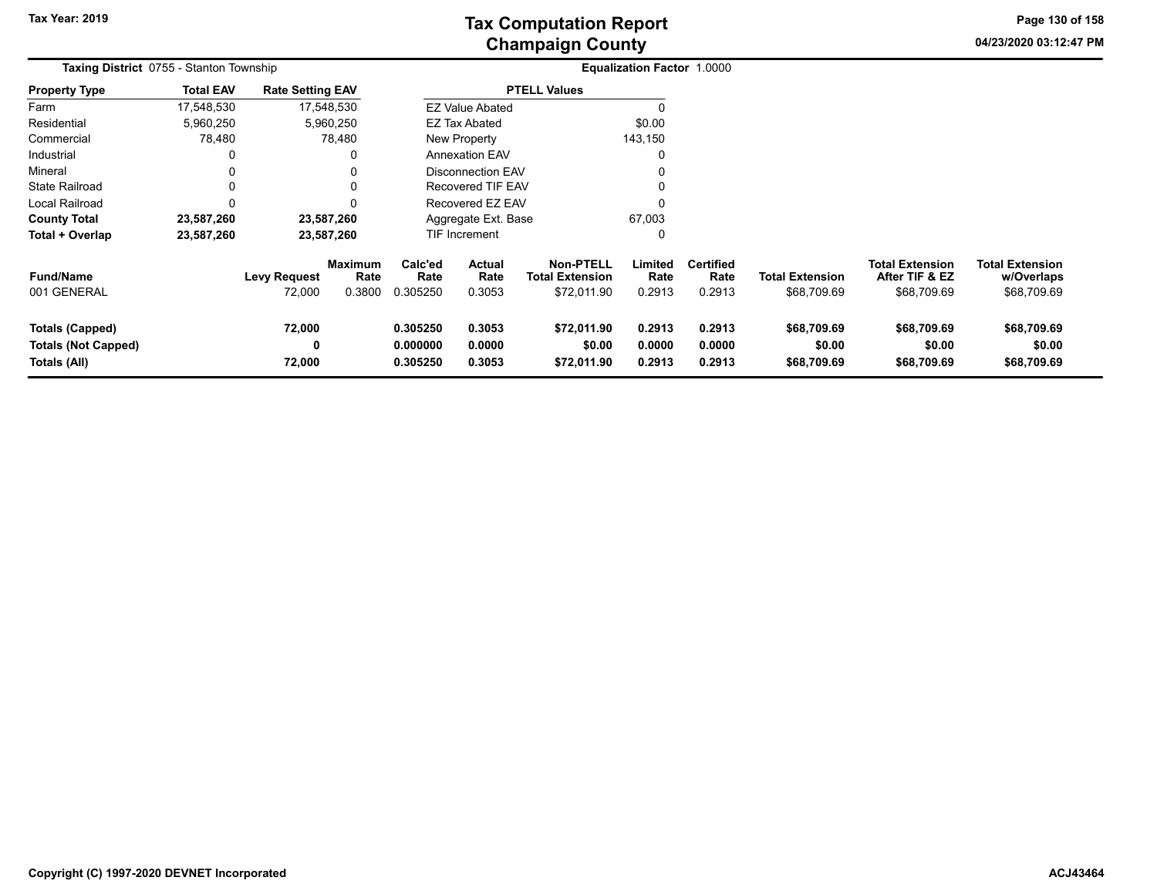**04/23/2020 03:12:47 PM Page 130 of 158**

| <b>Taxing District</b> 0755 - Stanton Township                       |                  |                               |                                  |                                  | <b>Equalization Factor 1.0000</b> |                                                           |                            |                                    |                                       |                                                         |                                                     |  |
|----------------------------------------------------------------------|------------------|-------------------------------|----------------------------------|----------------------------------|-----------------------------------|-----------------------------------------------------------|----------------------------|------------------------------------|---------------------------------------|---------------------------------------------------------|-----------------------------------------------------|--|
| <b>Property Type</b>                                                 | <b>Total EAV</b> | <b>Rate Setting EAV</b>       |                                  |                                  |                                   | <b>PTELL Values</b>                                       |                            |                                    |                                       |                                                         |                                                     |  |
| Farm                                                                 | 17,548,530       |                               | 17,548,530                       |                                  | <b>EZ Value Abated</b>            |                                                           | 0                          |                                    |                                       |                                                         |                                                     |  |
| Residential                                                          | 5,960,250        |                               | 5,960,250                        |                                  | EZ Tax Abated                     |                                                           | \$0.00                     |                                    |                                       |                                                         |                                                     |  |
| Commercial                                                           | 78,480           |                               | 78,480                           |                                  | New Property                      |                                                           | 143,150                    |                                    |                                       |                                                         |                                                     |  |
| Industrial                                                           |                  |                               |                                  |                                  | <b>Annexation EAV</b>             |                                                           | 0                          |                                    |                                       |                                                         |                                                     |  |
| Mineral                                                              | 0                |                               | 0                                |                                  | <b>Disconnection EAV</b>          |                                                           | 0                          |                                    |                                       |                                                         |                                                     |  |
| <b>State Railroad</b>                                                | 0                |                               | 0                                |                                  | <b>Recovered TIF EAV</b>          |                                                           | 0                          |                                    |                                       |                                                         |                                                     |  |
| Local Railroad                                                       |                  |                               | $\Omega$                         |                                  | Recovered EZ EAV                  |                                                           | 0                          |                                    |                                       |                                                         |                                                     |  |
| <b>County Total</b>                                                  | 23,587,260       |                               | 23,587,260                       |                                  | Aggregate Ext. Base               |                                                           | 67,003                     |                                    |                                       |                                                         |                                                     |  |
| Total + Overlap                                                      | 23,587,260       |                               | 23,587,260                       |                                  | TIF Increment                     |                                                           | 0                          |                                    |                                       |                                                         |                                                     |  |
| <b>Fund/Name</b><br>001 GENERAL                                      |                  | <b>Levy Request</b><br>72,000 | <b>Maximum</b><br>Rate<br>0.3800 | Calc'ed<br>Rate<br>0.305250      | <b>Actual</b><br>Rate<br>0.3053   | <b>Non-PTELL</b><br><b>Total Extension</b><br>\$72,011.90 | Limited<br>Rate<br>0.2913  | <b>Certified</b><br>Rate<br>0.2913 | <b>Total Extension</b><br>\$68,709.69 | <b>Total Extension</b><br>After TIF & EZ<br>\$68,709.69 | <b>Total Extension</b><br>w/Overlaps<br>\$68,709.69 |  |
| <b>Totals (Capped)</b><br><b>Totals (Not Capped)</b><br>Totals (All) |                  | 72,000<br>0<br>72,000         |                                  | 0.305250<br>0.000000<br>0.305250 | 0.3053<br>0.0000<br>0.3053        | \$72,011.90<br>\$0.00<br>\$72,011.90                      | 0.2913<br>0.0000<br>0.2913 | 0.2913<br>0.0000<br>0.2913         | \$68,709.69<br>\$0.00<br>\$68,709.69  | \$68,709.69<br>\$0.00<br>\$68,709.69                    | \$68,709.69<br>\$0.00<br>\$68,709.69                |  |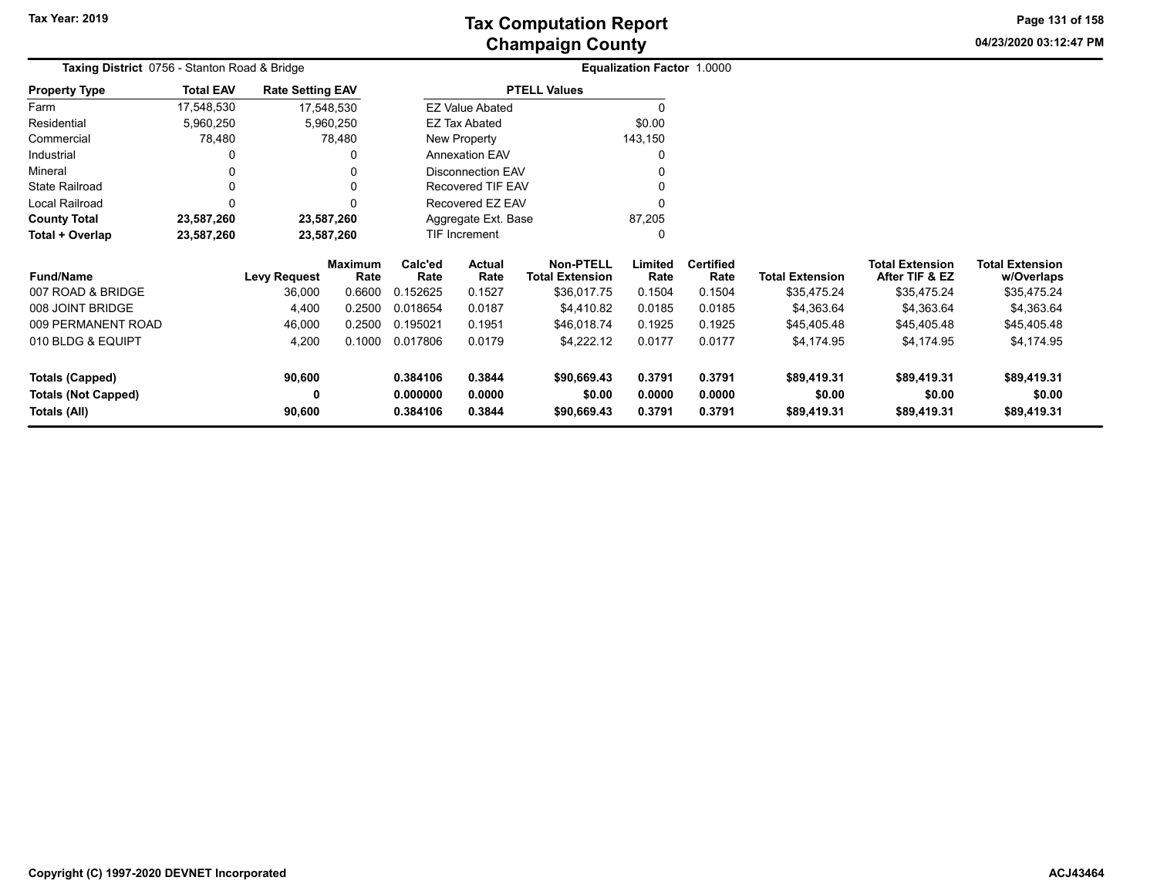**04/23/2020 03:12:47 PM Page 131 of 158**

| Taxing District 0756 - Stanton Road & Bridge |                  |                         |                        |                 | Equalization Factor 1.0000 |                                            |                 |                          |                        |                                          |                                      |  |
|----------------------------------------------|------------------|-------------------------|------------------------|-----------------|----------------------------|--------------------------------------------|-----------------|--------------------------|------------------------|------------------------------------------|--------------------------------------|--|
| <b>Property Type</b>                         | <b>Total EAV</b> | <b>Rate Setting EAV</b> |                        |                 |                            | <b>PTELL Values</b>                        |                 |                          |                        |                                          |                                      |  |
| Farm                                         | 17,548,530       |                         | 17,548,530             |                 | <b>EZ Value Abated</b>     |                                            |                 |                          |                        |                                          |                                      |  |
| Residential                                  | 5,960,250        |                         | 5,960,250              |                 | <b>EZ Tax Abated</b>       |                                            | \$0.00          |                          |                        |                                          |                                      |  |
| Commercial                                   | 78,480           |                         | 78,480                 |                 | New Property               |                                            | 143,150         |                          |                        |                                          |                                      |  |
| Industrial                                   |                  |                         |                        |                 | Annexation EAV             |                                            |                 |                          |                        |                                          |                                      |  |
| Mineral                                      |                  |                         |                        |                 | <b>Disconnection EAV</b>   |                                            |                 |                          |                        |                                          |                                      |  |
| <b>State Railroad</b>                        |                  |                         |                        |                 | <b>Recovered TIF EAV</b>   |                                            |                 |                          |                        |                                          |                                      |  |
| Local Railroad                               |                  |                         |                        |                 | Recovered EZ EAV           |                                            |                 |                          |                        |                                          |                                      |  |
| <b>County Total</b>                          | 23,587,260       | 23,587,260              |                        |                 | Aggregate Ext. Base        |                                            | 87,205          |                          |                        |                                          |                                      |  |
| Total + Overlap                              | 23,587,260       | 23,587,260              |                        |                 | <b>TIF Increment</b>       |                                            | 0               |                          |                        |                                          |                                      |  |
| <b>Fund/Name</b>                             |                  | <b>Levy Request</b>     | <b>Maximum</b><br>Rate | Calc'ed<br>Rate | <b>Actual</b><br>Rate      | <b>Non-PTELL</b><br><b>Total Extension</b> | Limited<br>Rate | <b>Certified</b><br>Rate | <b>Total Extension</b> | <b>Total Extension</b><br>After TIF & EZ | <b>Total Extension</b><br>w/Overlaps |  |
| 007 ROAD & BRIDGE                            |                  | 36,000                  | 0.6600                 | 0.152625        | 0.1527                     | \$36,017.75                                | 0.1504          | 0.1504                   | \$35,475.24            | \$35,475.24                              | \$35,475.24                          |  |
| 008 JOINT BRIDGE                             |                  | 4,400                   | 0.2500                 | 0.018654        | 0.0187                     | \$4,410.82                                 | 0.0185          | 0.0185                   | \$4,363.64             | \$4,363.64                               | \$4,363.64                           |  |
| 009 PERMANENT ROAD                           |                  | 46,000                  | 0.2500                 | 0.195021        | 0.1951                     | \$46,018.74                                | 0.1925          | 0.1925                   | \$45,405.48            | \$45,405.48                              | \$45,405.48                          |  |
| 010 BLDG & EQUIPT                            |                  | 4,200                   | 0.1000                 | 0.017806        | 0.0179                     | \$4,222.12                                 | 0.0177          | 0.0177                   | \$4,174.95             | \$4,174.95                               | \$4,174.95                           |  |
| Totals (Capped)                              |                  | 90,600                  |                        | 0.384106        | 0.3844                     | \$90,669.43                                | 0.3791          | 0.3791                   | \$89,419.31            | \$89,419.31                              | \$89,419.31                          |  |
| <b>Totals (Not Capped)</b>                   |                  |                         |                        | 0.000000        | 0.0000                     | \$0.00                                     | 0.0000          | 0.0000                   | \$0.00                 | \$0.00                                   | \$0.00                               |  |
| Totals (All)                                 |                  | 90,600                  |                        | 0.384106        | 0.3844                     | \$90,669.43                                | 0.3791          | 0.3791                   | \$89,419.31            | \$89,419.31                              | \$89,419.31                          |  |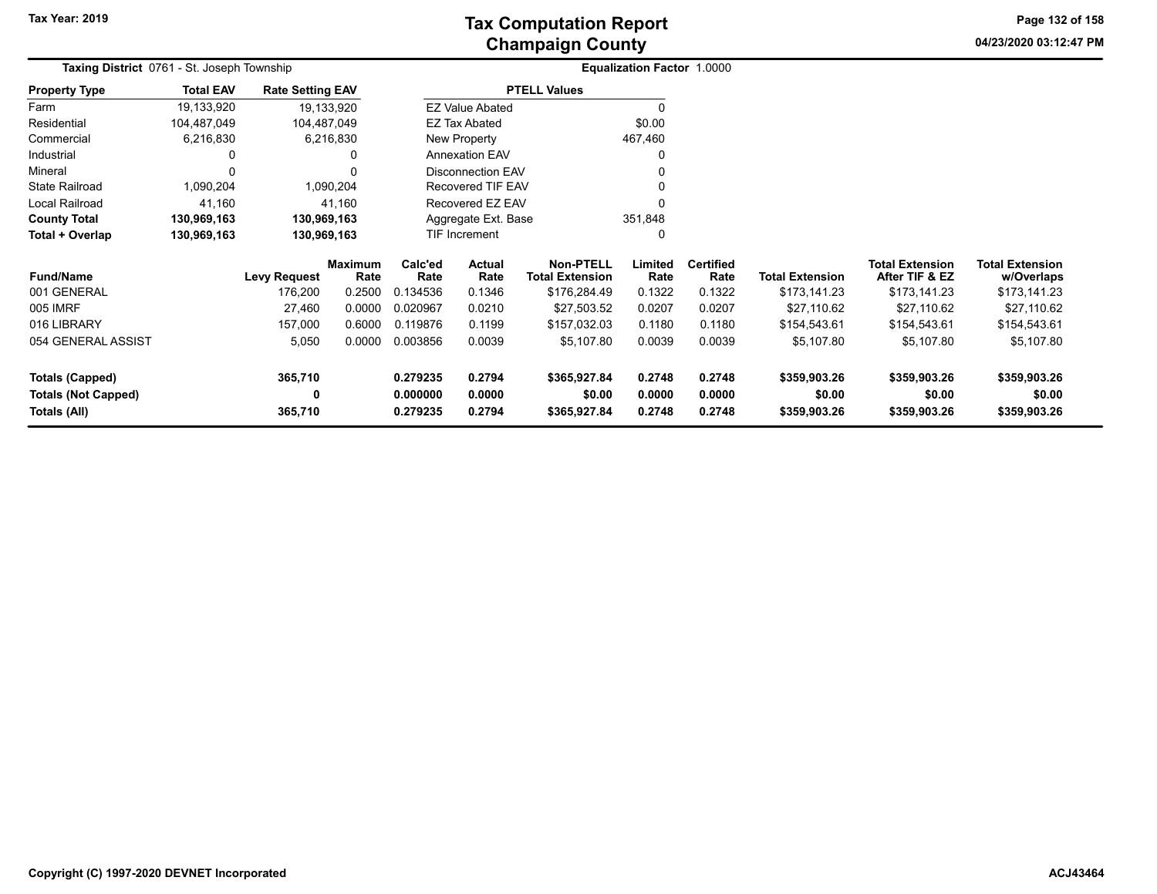**04/23/2020 03:12:47 PM Page 132 of 158**

| Taxing District 0761 - St. Joseph Township | Equalization Factor 1.0000 |                         |                        |                      |                          |                                            |                  |                          |                        |                                          |                                      |
|--------------------------------------------|----------------------------|-------------------------|------------------------|----------------------|--------------------------|--------------------------------------------|------------------|--------------------------|------------------------|------------------------------------------|--------------------------------------|
| <b>Property Type</b>                       | <b>Total EAV</b>           | <b>Rate Setting EAV</b> |                        |                      |                          | <b>PTELL Values</b>                        |                  |                          |                        |                                          |                                      |
| Farm                                       | 19,133,920                 |                         | 19,133,920             |                      | <b>EZ Value Abated</b>   |                                            |                  |                          |                        |                                          |                                      |
| Residential                                | 104,487,049                | 104,487,049             |                        |                      | <b>EZ Tax Abated</b>     |                                            | \$0.00           |                          |                        |                                          |                                      |
| Commercial                                 | 6,216,830                  |                         | 6,216,830              |                      | New Property             |                                            | 467,460          |                          |                        |                                          |                                      |
| Industrial                                 | 0                          |                         | 0                      |                      | <b>Annexation EAV</b>    |                                            |                  |                          |                        |                                          |                                      |
| Mineral                                    | 0                          |                         |                        |                      | <b>Disconnection EAV</b> |                                            |                  |                          |                        |                                          |                                      |
| <b>State Railroad</b>                      | 1,090,204                  |                         | 1,090,204              |                      | <b>Recovered TIF EAV</b> |                                            |                  |                          |                        |                                          |                                      |
| Local Railroad                             | 41,160                     |                         | 41,160                 |                      | Recovered EZ EAV         |                                            |                  |                          |                        |                                          |                                      |
| <b>County Total</b>                        | 130,969,163                | 130,969,163             |                        |                      | Aggregate Ext. Base      |                                            | 351,848          |                          |                        |                                          |                                      |
| Total + Overlap                            | 130,969,163                | 130,969,163             |                        |                      | TIF Increment            |                                            |                  |                          |                        |                                          |                                      |
| <b>Fund/Name</b>                           |                            | <b>Levy Request</b>     | <b>Maximum</b><br>Rate | Calc'ed<br>Rate      | Actual<br>Rate           | <b>Non-PTELL</b><br><b>Total Extension</b> | Limited<br>Rate  | <b>Certified</b><br>Rate | <b>Total Extension</b> | <b>Total Extension</b><br>After TIF & EZ | <b>Total Extension</b><br>w/Overlaps |
| 001 GENERAL                                |                            | 176,200                 | 0.2500                 | 0.134536             | 0.1346                   | \$176,284.49                               | 0.1322           | 0.1322                   | \$173,141.23           | \$173,141.23                             | \$173,141.23                         |
| 005 IMRF                                   |                            | 27,460                  | 0.0000                 | 0.020967             | 0.0210                   | \$27,503.52                                | 0.0207           | 0.0207                   | \$27,110.62            | \$27,110.62                              | \$27,110.62                          |
| 016 LIBRARY                                |                            | 157,000                 | 0.6000                 | 0.119876             | 0.1199                   | \$157,032.03                               | 0.1180           | 0.1180                   | \$154,543.61           | \$154,543.61                             | \$154,543.61                         |
| 054 GENERAL ASSIST                         |                            | 5,050                   | 0.0000                 | 0.003856             | 0.0039                   | \$5,107.80                                 | 0.0039           | 0.0039                   | \$5,107.80             | \$5,107.80                               | \$5,107.80                           |
| <b>Totals (Capped)</b>                     |                            | 365,710                 |                        | 0.279235             | 0.2794                   | \$365,927.84                               | 0.2748           | 0.2748                   | \$359,903.26           | \$359,903.26                             | \$359,903.26                         |
| <b>Totals (Not Capped)</b><br>Totals (All) |                            | 0<br>365,710            |                        | 0.000000<br>0.279235 | 0.0000<br>0.2794         | \$0.00<br>\$365,927.84                     | 0.0000<br>0.2748 | 0.0000<br>0.2748         | \$0.00<br>\$359,903.26 | \$0.00<br>\$359,903.26                   | \$0.00<br>\$359,903.26               |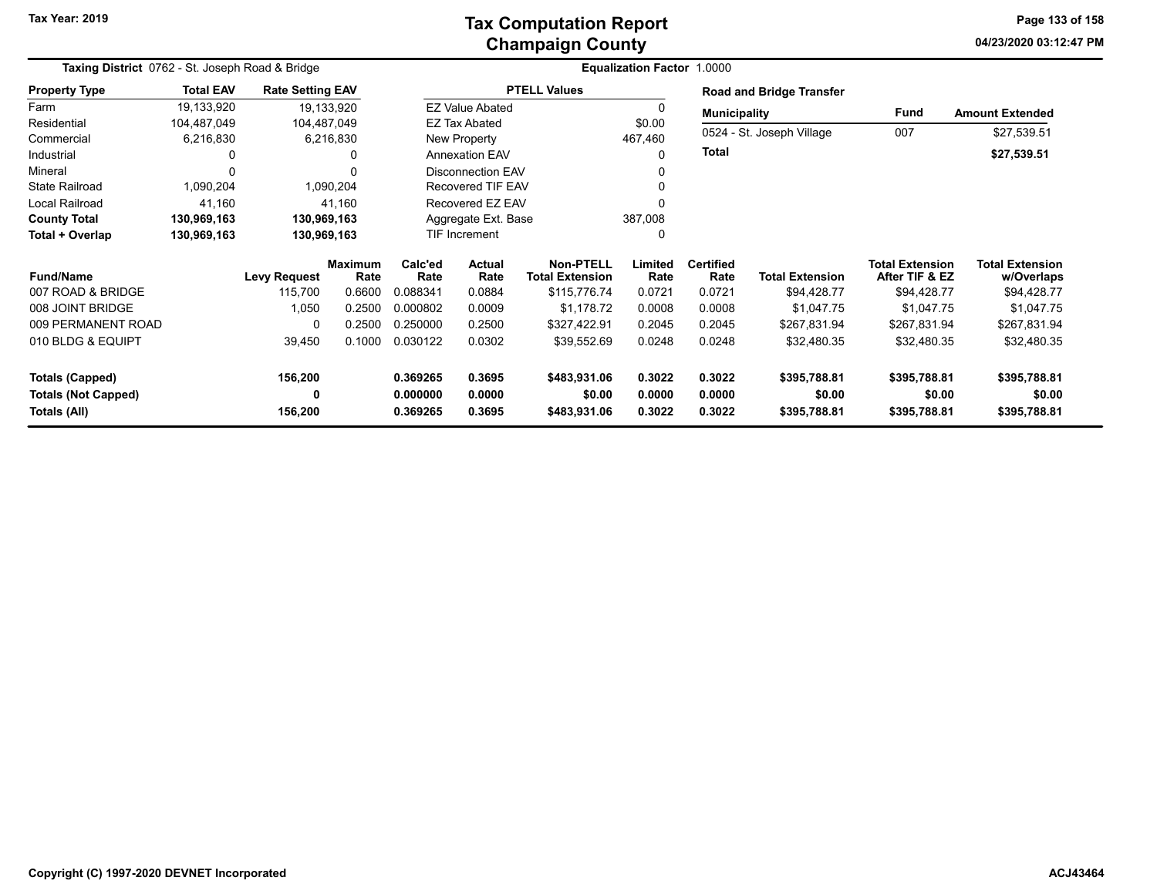### **Champaign County Tax Computation Report**

**04/23/2020 03:12:47 PMPage 133 of 158**

|                                            | Taxing District 0762 - St. Joseph Road & Bridge |                         |                        |                                   |                          |                                            | <b>Equalization Factor 1.0000</b> |                          |                           |                                          |                                      |
|--------------------------------------------|-------------------------------------------------|-------------------------|------------------------|-----------------------------------|--------------------------|--------------------------------------------|-----------------------------------|--------------------------|---------------------------|------------------------------------------|--------------------------------------|
| <b>Property Type</b>                       | <b>Total EAV</b>                                | <b>Rate Setting EAV</b> |                        |                                   |                          | <b>PTELL Values</b>                        |                                   |                          | Road and Bridge Transfer  |                                          |                                      |
| Farm                                       | 19,133,920                                      |                         | 19,133,920             |                                   | <b>EZ Value Abated</b>   |                                            |                                   | <b>Municipality</b>      |                           | Fund                                     | <b>Amount Extended</b>               |
| Residential                                | 104,487,049                                     | 104,487,049             |                        |                                   | <b>EZ Tax Abated</b>     |                                            | \$0.00                            |                          |                           |                                          |                                      |
| Commercial                                 | 6,216,830                                       |                         | 6,216,830              |                                   | New Property             |                                            | 467,460                           |                          | 0524 - St. Joseph Village | 007                                      | \$27,539.51                          |
| Industrial                                 | 0                                               |                         | 0                      |                                   | <b>Annexation EAV</b>    |                                            |                                   | <b>Total</b>             |                           |                                          | \$27,539.51                          |
| Mineral                                    | O                                               |                         | ∩                      |                                   | <b>Disconnection EAV</b> |                                            |                                   |                          |                           |                                          |                                      |
| <b>State Railroad</b>                      | 1,090,204                                       |                         | 1,090,204              |                                   | <b>Recovered TIF EAV</b> |                                            |                                   |                          |                           |                                          |                                      |
| Local Railroad                             | 41,160                                          |                         | 41,160                 |                                   | Recovered EZ EAV         |                                            |                                   |                          |                           |                                          |                                      |
| <b>County Total</b>                        | 130,969,163                                     | 130,969,163             |                        |                                   | Aggregate Ext. Base      |                                            | 387,008                           |                          |                           |                                          |                                      |
| Total + Overlap                            | 130,969,163                                     | 130,969,163             |                        |                                   | TIF Increment            |                                            |                                   |                          |                           |                                          |                                      |
| <b>Fund/Name</b>                           |                                                 | <b>Levy Request</b>     | <b>Maximum</b><br>Rate | Calc'ed<br>Actual<br>Rate<br>Rate |                          | <b>Non-PTELL</b><br><b>Total Extension</b> | Limited<br>Rate                   | <b>Certified</b><br>Rate | <b>Total Extension</b>    | <b>Total Extension</b><br>After TIF & EZ | <b>Total Extension</b><br>w/Overlaps |
| 007 ROAD & BRIDGE                          |                                                 | 115,700                 | 0.6600                 | 0.088341                          | 0.0884                   | \$115,776.74                               | 0.0721                            | 0.0721                   | \$94,428.77               | \$94,428.77                              | \$94,428.77                          |
| 008 JOINT BRIDGE                           |                                                 | 1,050                   | 0.2500                 | 0.000802                          | 0.0009                   | \$1,178.72                                 | 0.0008                            | 0.0008                   | \$1,047.75                | \$1,047.75                               | \$1,047.75                           |
| 009 PERMANENT ROAD                         |                                                 | $\Omega$                | 0.2500                 | 0.250000                          | 0.2500                   | \$327,422.91                               | 0.2045                            | 0.2045                   | \$267,831.94              | \$267,831.94                             | \$267,831.94                         |
| 010 BLDG & EQUIPT                          |                                                 | 39,450                  | 0.1000                 | 0.030122                          | 0.0302                   | \$39,552.69                                | 0.0248                            | 0.0248                   | \$32,480.35               | \$32,480.35                              | \$32,480.35                          |
| <b>Totals (Capped)</b>                     |                                                 | 156,200                 |                        | 0.369265                          | 0.3695                   | \$483,931.06                               | 0.3022                            | 0.3022                   | \$395,788.81              | \$395,788.81                             | \$395,788.81                         |
| <b>Totals (Not Capped)</b><br>Totals (All) |                                                 | 0<br>156,200            |                        | 0.000000<br>0.369265              | 0.0000<br>0.3695         | \$0.00<br>\$483,931.06                     | 0.0000<br>0.3022                  | 0.0000<br>0.3022         | \$0.00<br>\$395,788.81    | \$0.00<br>\$395,788.81                   | \$0.00<br>\$395,788.81               |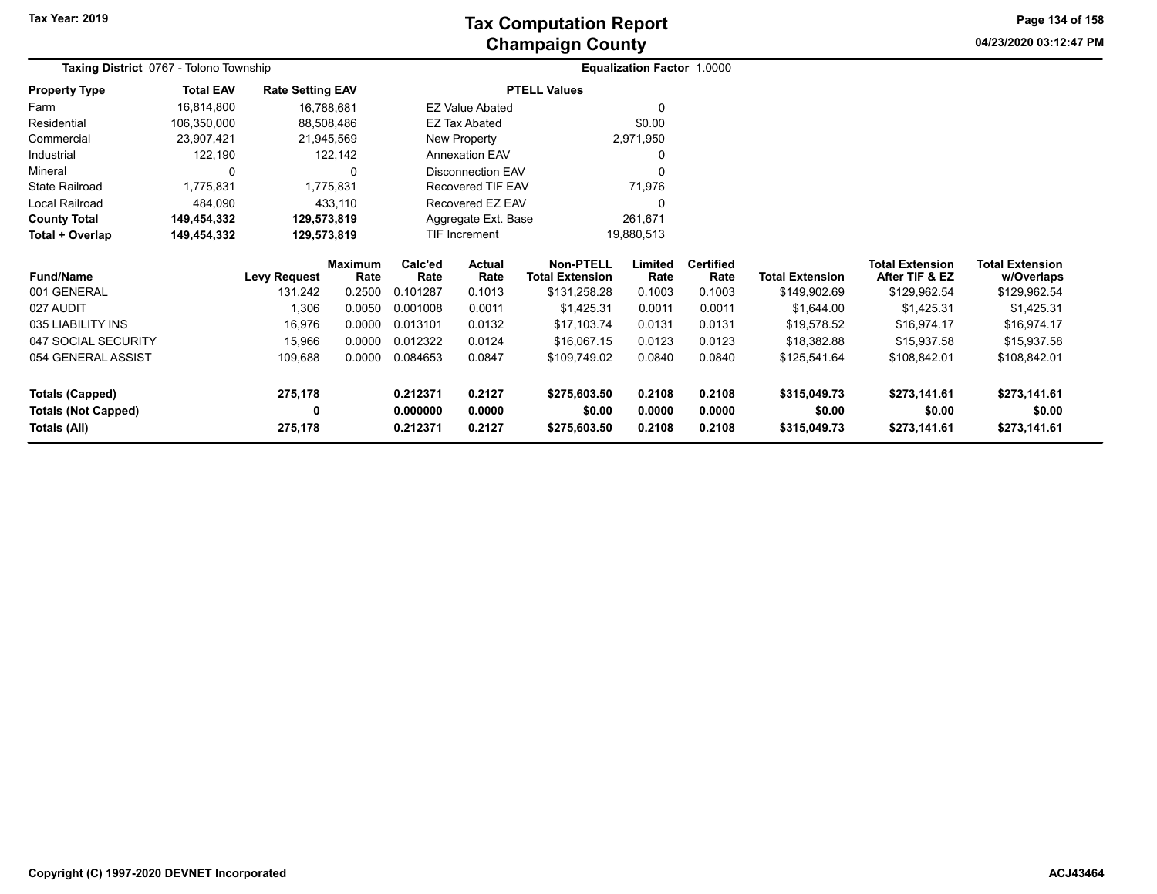**04/23/2020 03:12:47 PM Page 134 of 158**

| Taxing District 0767 - Tolono Township |                  |                         |                        |                                   |                          |                                            | <b>Equalization Factor 1.0000</b> |                          |                        |                                          |                                      |  |
|----------------------------------------|------------------|-------------------------|------------------------|-----------------------------------|--------------------------|--------------------------------------------|-----------------------------------|--------------------------|------------------------|------------------------------------------|--------------------------------------|--|
| <b>Property Type</b>                   | <b>Total EAV</b> | <b>Rate Setting EAV</b> |                        |                                   |                          | <b>PTELL Values</b>                        |                                   |                          |                        |                                          |                                      |  |
| Farm                                   | 16,814,800       |                         | 16,788,681             |                                   | <b>EZ Value Abated</b>   |                                            | $\Omega$                          |                          |                        |                                          |                                      |  |
| Residential                            | 106,350,000      |                         | 88,508,486             |                                   | <b>EZ Tax Abated</b>     |                                            | \$0.00                            |                          |                        |                                          |                                      |  |
| Commercial                             | 23,907,421       |                         | 21,945,569             |                                   | New Property             |                                            | 2,971,950                         |                          |                        |                                          |                                      |  |
| Industrial                             | 122,190          |                         | 122,142                |                                   | <b>Annexation EAV</b>    |                                            |                                   |                          |                        |                                          |                                      |  |
| Mineral                                | $\Omega$         |                         | 0                      |                                   | <b>Disconnection EAV</b> |                                            | $\Omega$                          |                          |                        |                                          |                                      |  |
| <b>State Railroad</b>                  | 1,775,831        |                         | 1,775,831              |                                   | Recovered TIF EAV        |                                            | 71,976                            |                          |                        |                                          |                                      |  |
| Local Railroad                         | 484,090          |                         | 433,110                |                                   | Recovered EZ EAV         |                                            | $\Omega$                          |                          |                        |                                          |                                      |  |
| <b>County Total</b>                    | 149,454,332      | 129,573,819             |                        | Aggregate Ext. Base               |                          |                                            | 261,671                           |                          |                        |                                          |                                      |  |
| Total + Overlap                        | 149,454,332      | 129,573,819             |                        | TIF Increment                     |                          |                                            | 19,880,513                        |                          |                        |                                          |                                      |  |
| <b>Fund/Name</b>                       |                  | <b>Levy Request</b>     | <b>Maximum</b><br>Rate | Calc'ed<br>Actual<br>Rate<br>Rate |                          | <b>Non-PTELL</b><br><b>Total Extension</b> | Limited<br>Rate                   | <b>Certified</b><br>Rate | <b>Total Extension</b> | <b>Total Extension</b><br>After TIF & EZ | <b>Total Extension</b><br>w/Overlaps |  |
| 001 GENERAL                            |                  | 131,242                 | 0.2500                 | 0.101287                          | 0.1013                   | \$131,258.28                               | 0.1003                            | 0.1003                   | \$149,902.69           | \$129,962.54                             | \$129,962.54                         |  |
| 027 AUDIT                              |                  | 1,306                   | 0.0050                 | 0.001008                          | 0.0011                   | \$1,425.31                                 | 0.0011                            | 0.0011                   | \$1,644.00             | \$1,425.31                               | \$1,425.31                           |  |
| 035 LIABILITY INS                      |                  | 16,976                  | 0.0000                 | 0.013101                          | 0.0132                   | \$17,103.74                                | 0.0131                            | 0.0131                   | \$19,578.52            | \$16,974.17                              | \$16,974.17                          |  |
| 047 SOCIAL SECURITY                    |                  | 15,966                  | 0.0000                 | 0.012322                          | 0.0124                   | \$16,067.15                                | 0.0123                            | 0.0123                   | \$18,382.88            | \$15,937.58                              | \$15,937.58                          |  |
| 054 GENERAL ASSIST                     |                  | 109,688                 | 0.0000                 | 0.084653                          | 0.0847                   | \$109,749.02                               | 0.0840                            | 0.0840                   | \$125,541.64           | \$108,842.01                             | \$108,842.01                         |  |
| Totals (Capped)                        |                  | 275,178                 |                        | 0.2127<br>0.212371                |                          | \$275,603.50                               | 0.2108                            | 0.2108                   | \$315,049.73           | \$273,141.61                             | \$273,141.61                         |  |
| <b>Totals (Not Capped)</b>             |                  | 0                       |                        | 0.000000                          | 0.0000                   | \$0.00                                     | 0.0000                            | 0.0000                   | \$0.00                 | \$0.00                                   | \$0.00                               |  |
| Totals (All)                           |                  | 275,178                 |                        | 0.212371                          | 0.2127                   | \$275,603.50                               | 0.2108                            | 0.2108                   | \$315,049.73           | \$273,141.61                             | \$273,141.61                         |  |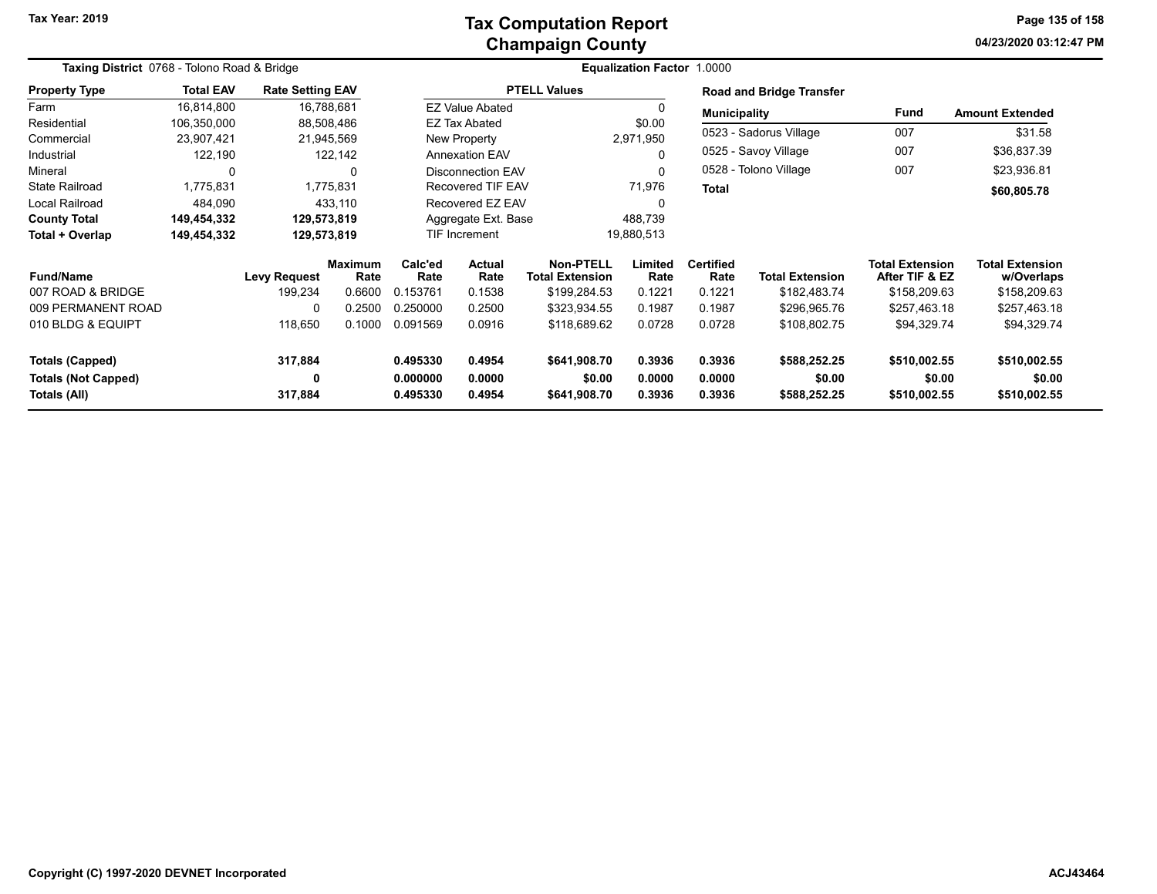#### **Champaign County Tax Computation Report**

**04/23/2020 03:12:47 PMPage 135 of 158**

| Taxing District 0768 - Tolono Road & Bridge |                  |                         |                        |                    |                        |                                            | <b>Equalization Factor 1.0000</b> |                          |                                 |                                          |                                      |
|---------------------------------------------|------------------|-------------------------|------------------------|--------------------|------------------------|--------------------------------------------|-----------------------------------|--------------------------|---------------------------------|------------------------------------------|--------------------------------------|
| <b>Property Type</b>                        | <b>Total EAV</b> | <b>Rate Setting EAV</b> |                        |                    |                        | <b>PTELL Values</b>                        |                                   |                          | <b>Road and Bridge Transfer</b> |                                          |                                      |
| Farm                                        | 16,814,800       | 16,788,681              |                        |                    | <b>EZ Value Abated</b> |                                            |                                   | <b>Municipality</b>      |                                 | Fund                                     | <b>Amount Extended</b>               |
| Residential                                 | 106,350,000      | 88,508,486              |                        |                    | <b>EZ Tax Abated</b>   |                                            | \$0.00                            |                          |                                 |                                          |                                      |
| Commercial                                  | 23,907,421       | 21,945,569              |                        |                    | New Property           |                                            | 2,971,950                         |                          | 0523 - Sadorus Village          | 007                                      | \$31.58                              |
| Industrial                                  | 122,190          |                         | 122,142                |                    | <b>Annexation EAV</b>  |                                            | 0                                 |                          | 0525 - Savoy Village            | 007                                      | \$36,837.39                          |
| Mineral                                     | 0                |                         | 0                      |                    | Disconnection EAV      |                                            | 0                                 |                          | 0528 - Tolono Village           | 007                                      | \$23,936.81                          |
| <b>State Railroad</b>                       | 1,775,831        |                         | 1,775,831              |                    | Recovered TIF EAV      |                                            | 71,976                            | <b>Total</b>             |                                 |                                          | \$60,805.78                          |
| Local Railroad                              | 484,090          |                         | 433,110                |                    | Recovered EZ EAV       |                                            |                                   |                          |                                 |                                          |                                      |
| <b>County Total</b>                         | 149,454,332      | 129,573,819             |                        |                    | Aggregate Ext. Base    |                                            | 488,739                           |                          |                                 |                                          |                                      |
| Total + Overlap                             | 149,454,332      | 129,573,819             |                        |                    | <b>TIF Increment</b>   |                                            | 19,880,513                        |                          |                                 |                                          |                                      |
| <b>Fund/Name</b>                            |                  | <b>Levy Request</b>     | <b>Maximum</b><br>Rate | Calc'ed<br>Rate    | Actual<br>Rate         | <b>Non-PTELL</b><br><b>Total Extension</b> | Limited<br>Rate                   | <b>Certified</b><br>Rate | <b>Total Extension</b>          | <b>Total Extension</b><br>After TIF & EZ | <b>Total Extension</b><br>w/Overlaps |
| 007 ROAD & BRIDGE                           |                  | 199,234                 | 0.6600                 | 0.153761           | 0.1538                 | \$199,284.53                               | 0.1221                            | 0.1221                   | \$182,483.74                    | \$158,209.63                             | \$158,209.63                         |
| 009 PERMANENT ROAD                          |                  | 0                       | 0.2500                 | 0.250000           | 0.2500                 | \$323,934.55                               | 0.1987                            | 0.1987                   | \$296,965.76                    | \$257,463.18                             | \$257,463.18                         |
| 010 BLDG & EQUIPT                           |                  | 118,650                 | 0.1000                 | 0.091569           | 0.0916                 | \$118,689.62                               | 0.0728                            | 0.0728                   | \$108,802.75                    | \$94,329.74                              | \$94,329.74                          |
| <b>Totals (Capped)</b>                      |                  | 317,884                 |                        | 0.495330<br>0.4954 |                        | \$641,908.70                               | 0.3936                            | 0.3936                   | \$588,252.25                    | \$510,002.55                             | \$510,002.55                         |
| <b>Totals (Not Capped)</b>                  |                  | 0                       |                        | 0.000000           | 0.0000                 | \$0.00                                     | 0.0000                            | 0.0000                   | \$0.00                          | \$0.00                                   | \$0.00                               |
| Totals (All)                                |                  | 317,884                 |                        | 0.495330<br>0.4954 |                        | \$641,908.70                               | 0.3936                            | 0.3936                   | \$588,252.25                    | \$510,002.55                             | \$510,002.55                         |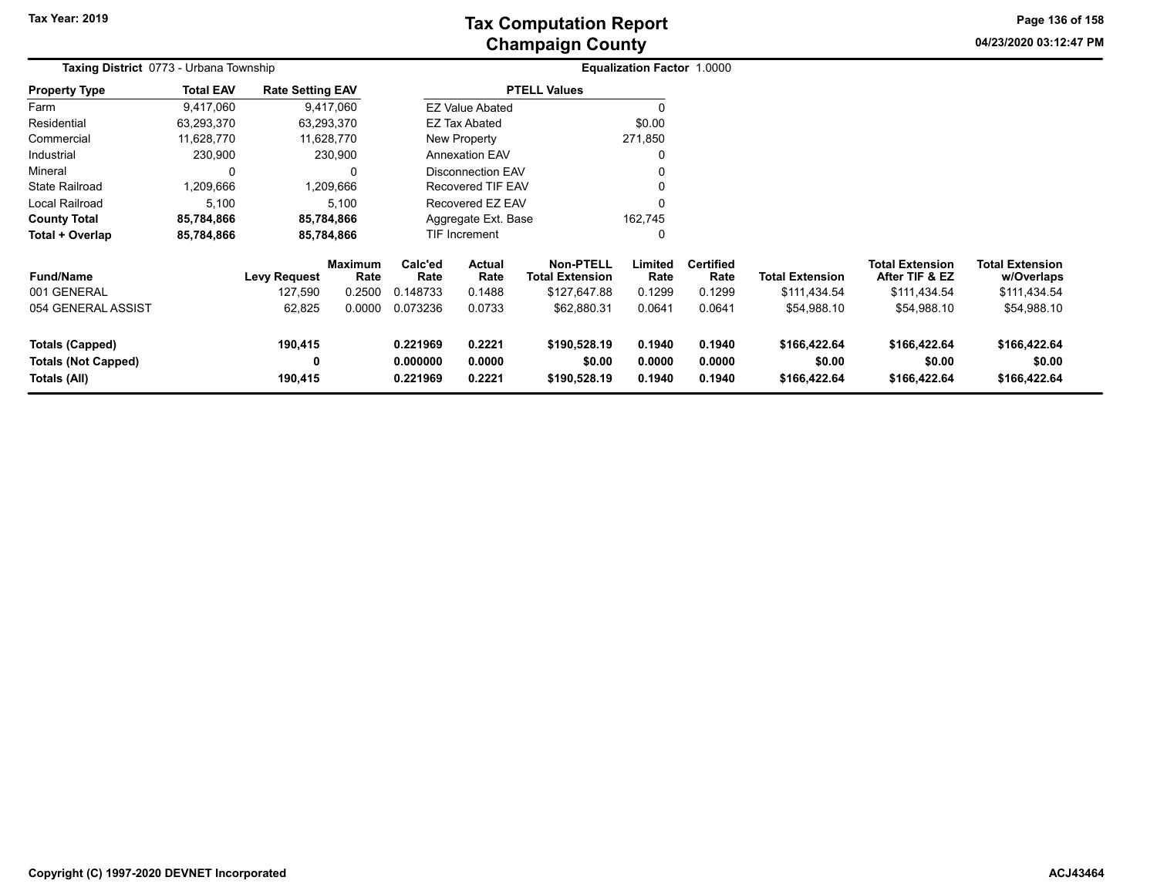**04/23/2020 03:12:47 PM Page 136 of 158**

|                            | <b>Taxing District 0773 - Urbana Township</b> |                         |                 |                                              |                          |                                            | <b>Equalization Factor 1.0000</b> |                          |                        |                                          |                                      |
|----------------------------|-----------------------------------------------|-------------------------|-----------------|----------------------------------------------|--------------------------|--------------------------------------------|-----------------------------------|--------------------------|------------------------|------------------------------------------|--------------------------------------|
| <b>Property Type</b>       | <b>Total EAV</b>                              | <b>Rate Setting EAV</b> |                 |                                              |                          | <b>PTELL Values</b>                        |                                   |                          |                        |                                          |                                      |
| Farm                       | 9,417,060                                     |                         | 9,417,060       |                                              | <b>EZ Value Abated</b>   |                                            | $\Omega$                          |                          |                        |                                          |                                      |
| Residential                | 63,293,370                                    |                         | 63,293,370      |                                              | EZ Tax Abated            |                                            | \$0.00                            |                          |                        |                                          |                                      |
| Commercial                 | 11,628,770                                    |                         | 11,628,770      |                                              | New Property             |                                            | 271,850                           |                          |                        |                                          |                                      |
| Industrial                 | 230,900                                       |                         | 230,900         |                                              | <b>Annexation EAV</b>    |                                            | 0                                 |                          |                        |                                          |                                      |
| Mineral                    | 0                                             |                         |                 |                                              | <b>Disconnection EAV</b> |                                            |                                   |                          |                        |                                          |                                      |
| <b>State Railroad</b>      | 1,209,666                                     |                         | 1,209,666       |                                              | Recovered TIF EAV        |                                            |                                   |                          |                        |                                          |                                      |
| Local Railroad             | 5,100                                         |                         | 5,100           |                                              | Recovered EZ EAV         |                                            | $\Omega$                          |                          |                        |                                          |                                      |
| <b>County Total</b>        | 85,784,866                                    |                         | 85,784,866      |                                              | Aggregate Ext. Base      |                                            | 162,745                           |                          |                        |                                          |                                      |
| Total + Overlap            | 85,784,866                                    |                         | 85,784,866      |                                              | <b>TIF Increment</b>     |                                            | 0                                 |                          |                        |                                          |                                      |
| <b>Fund/Name</b>           |                                               | <b>Levy Request</b>     | Maximum<br>Rate | Calc'ed<br>Rate                              | Actual<br>Rate           | <b>Non-PTELL</b><br><b>Total Extension</b> | Limited<br>Rate                   | <b>Certified</b><br>Rate | <b>Total Extension</b> | <b>Total Extension</b><br>After TIF & EZ | <b>Total Extension</b><br>w/Overlaps |
| 001 GENERAL                |                                               | 127,590                 | 0.2500          | 0.148733                                     | 0.1488                   | \$127,647.88                               | 0.1299                            | 0.1299                   | \$111,434.54           | \$111,434.54                             | \$111,434.54                         |
| 054 GENERAL ASSIST         |                                               | 62,825                  | 0.0000          | 0.073236                                     | 0.0733                   | \$62,880.31                                | 0.0641                            | 0.0641                   | \$54,988.10            | \$54,988.10                              | \$54,988.10                          |
| <b>Totals (Capped)</b>     |                                               | 190,415                 |                 | 0.221969<br>0.2221                           |                          | \$190,528.19                               | 0.1940                            | 0.1940                   | \$166,422.64           | \$166,422.64                             | \$166,422.64                         |
| <b>Totals (Not Capped)</b> |                                               | 0                       |                 | 0.000000<br>0.0000                           |                          | \$0.00                                     | 0.0000                            | 0.0000                   | \$0.00                 | \$0.00                                   | \$0.00                               |
| Totals (All)               |                                               | 190,415                 |                 | 0.221969<br>0.2221<br>\$190,528.19<br>0.1940 |                          |                                            | 0.1940                            | \$166,422.64             | \$166,422.64           | \$166,422.64                             |                                      |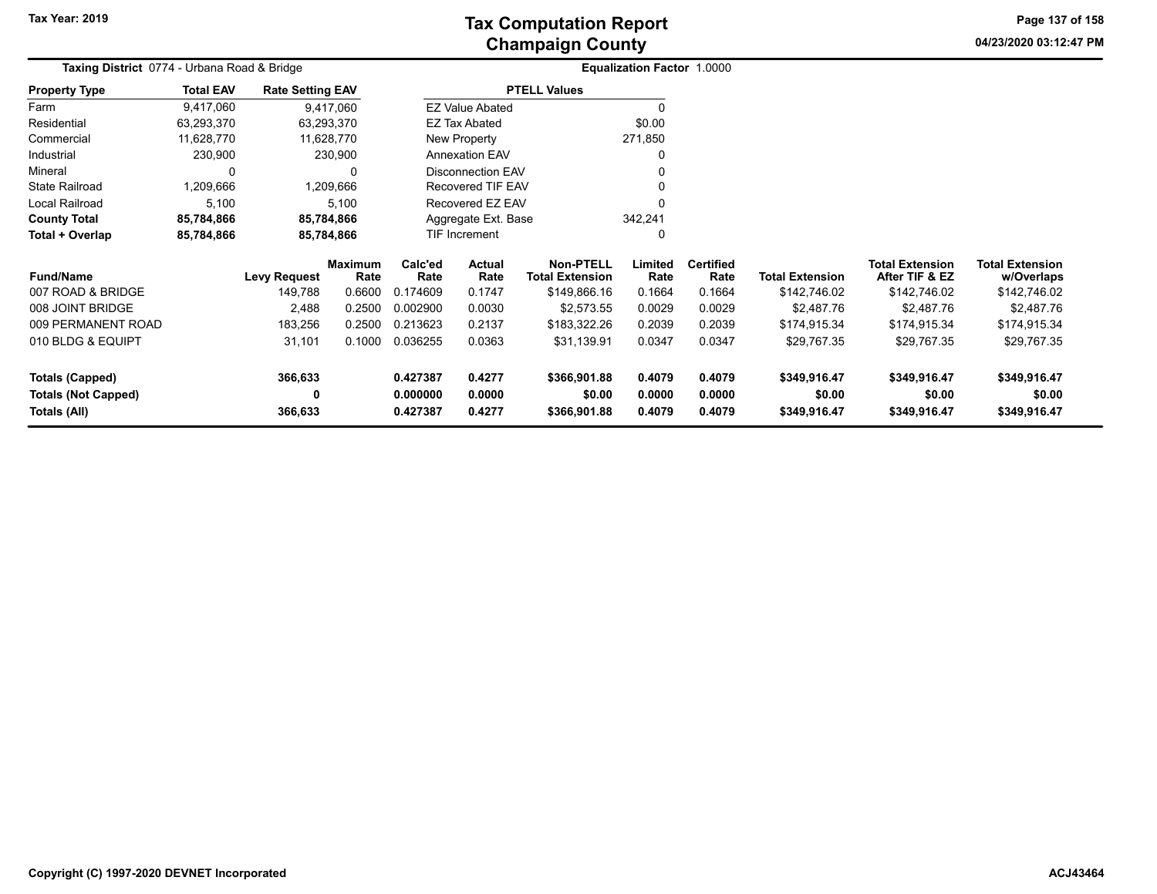**04/23/2020 03:12:47 PMPage 137 of 158**

| Taxing District 0774 - Urbana Road & Bridge |                  |                         |                        |                                          |                                                                  |                                     | Equalization Factor 1.0000 |                          |                        |                                          |                                      |
|---------------------------------------------|------------------|-------------------------|------------------------|------------------------------------------|------------------------------------------------------------------|-------------------------------------|----------------------------|--------------------------|------------------------|------------------------------------------|--------------------------------------|
| <b>Property Type</b>                        | <b>Total EAV</b> | <b>Rate Setting EAV</b> |                        |                                          |                                                                  | <b>PTELL Values</b>                 |                            |                          |                        |                                          |                                      |
| Farm                                        | 9,417,060        | 9,417,060               |                        |                                          | <b>EZ Value Abated</b>                                           |                                     |                            |                          |                        |                                          |                                      |
| Residential                                 | 63,293,370       | 63,293,370              |                        |                                          | EZ Tax Abated                                                    |                                     | \$0.00                     |                          |                        |                                          |                                      |
| Commercial                                  | 11,628,770       | 11,628,770              |                        | New Property                             |                                                                  |                                     | 271,850                    |                          |                        |                                          |                                      |
| Industrial                                  | 230,900          | 230,900                 |                        |                                          | <b>Annexation EAV</b>                                            |                                     |                            |                          |                        |                                          |                                      |
| Mineral                                     | $\Omega$         |                         |                        |                                          | <b>Disconnection EAV</b>                                         |                                     |                            |                          |                        |                                          |                                      |
| <b>State Railroad</b>                       | 1,209,666        | 1,209,666               |                        |                                          | <b>Recovered TIF EAV</b>                                         |                                     |                            |                          |                        |                                          |                                      |
| Local Railroad                              | 5,100            |                         | 5,100                  |                                          | Recovered EZ EAV                                                 |                                     |                            |                          |                        |                                          |                                      |
| <b>County Total</b>                         | 85,784,866       | 85,784,866              |                        |                                          | Aggregate Ext. Base                                              |                                     | 342,241                    |                          |                        |                                          |                                      |
| Total + Overlap                             | 85,784,866       | 85,784,866              |                        |                                          | TIF Increment                                                    |                                     | 0                          |                          |                        |                                          |                                      |
| <b>Fund/Name</b>                            |                  | Levy Request            | <b>Maximum</b><br>Rate | Calc'ed<br><b>Actual</b><br>Rate<br>Rate |                                                                  | Non-PTELL<br><b>Total Extension</b> | Limited<br>Rate            | <b>Certified</b><br>Rate | <b>Total Extension</b> | <b>Total Extension</b><br>After TIF & EZ | <b>Total Extension</b><br>w/Overlaps |
| 007 ROAD & BRIDGE                           |                  | 149,788                 | 0.6600                 | 0.174609                                 | 0.1747                                                           | \$149,866.16                        | 0.1664                     | 0.1664                   | \$142,746.02           | \$142,746.02                             | \$142,746.02                         |
| 008 JOINT BRIDGE                            |                  | 2,488                   | 0.2500                 | 0.002900                                 | 0.0030                                                           | \$2,573.55                          | 0.0029                     | 0.0029                   | \$2,487.76             | \$2,487.76                               | \$2,487.76                           |
| 009 PERMANENT ROAD                          |                  | 183,256                 | 0.2500                 | 0.213623                                 | 0.2137                                                           | \$183,322.26                        | 0.2039                     | 0.2039                   | \$174,915.34           | \$174,915.34                             | \$174,915.34                         |
| 010 BLDG & EQUIPT                           |                  | 31,101                  | 0.1000                 | 0.036255                                 | 0.0363                                                           | \$31,139.91                         | 0.0347                     | 0.0347                   | \$29,767.35            | \$29,767.35                              | \$29,767.35                          |
| <b>Totals (Capped)</b>                      |                  | 366,633                 |                        | 0.427387<br>0.4277                       |                                                                  | \$366,901.88                        | 0.4079                     | 0.4079                   | \$349,916.47           | \$349,916.47                             | \$349,916.47                         |
| <b>Totals (Not Capped)</b><br>Totals (All)  |                  | 0<br>366,633            |                        | 0.427387                                 | 0.000000<br>0.0000<br>\$0.00<br>0.0000<br>0.4277<br>\$366,901.88 |                                     | 0.4079                     | 0.0000<br>0.4079         | \$0.00<br>\$349,916.47 | \$0.00<br>\$349,916.47                   | \$0.00<br>\$349,916.47               |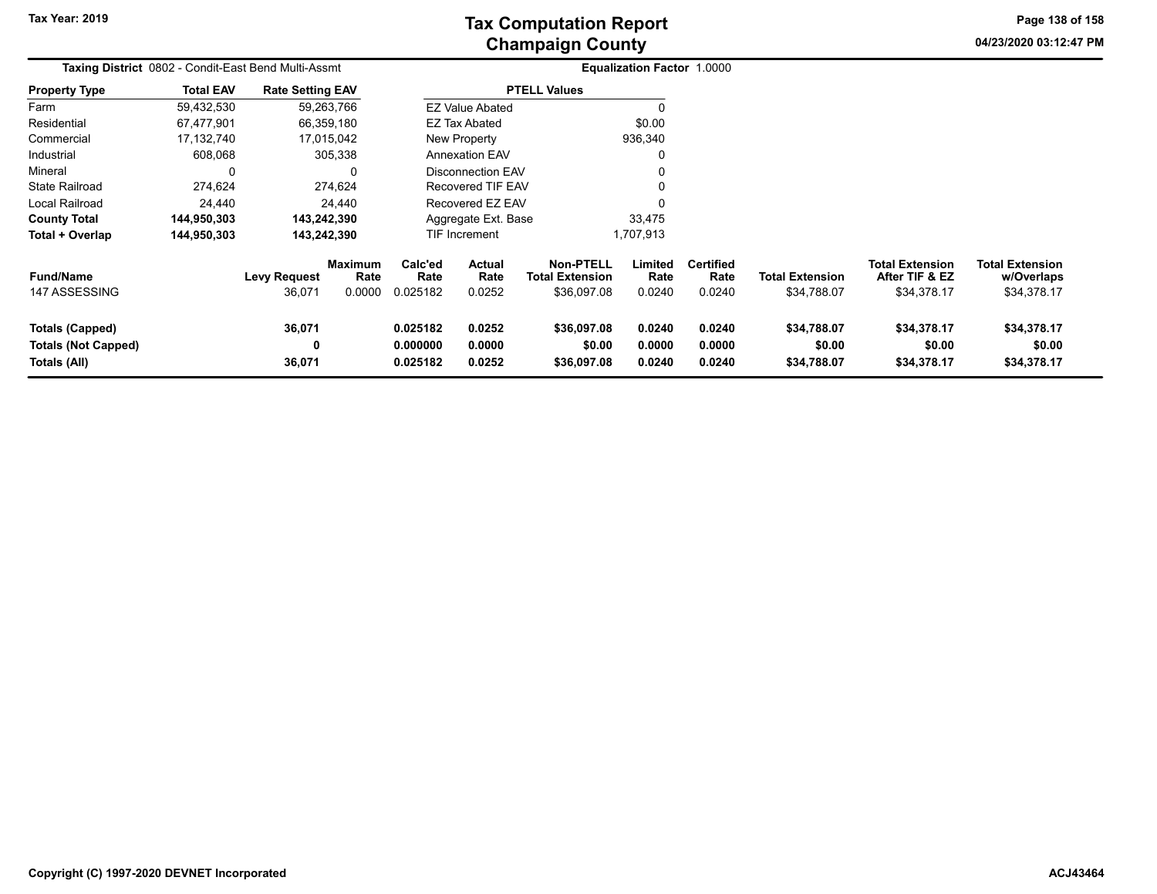**04/23/2020 03:12:47 PM Page 138 of 158**

| <b>Taxing District</b> 0802 - Condit-East Bend Multi-Assmt    |                  |                               |                                  |                                  |                            |                                                           | <b>Equalization Factor 1.0000</b> |                                    |                                       |                                                         |                                                     |
|---------------------------------------------------------------|------------------|-------------------------------|----------------------------------|----------------------------------|----------------------------|-----------------------------------------------------------|-----------------------------------|------------------------------------|---------------------------------------|---------------------------------------------------------|-----------------------------------------------------|
| <b>Property Type</b>                                          | <b>Total EAV</b> | <b>Rate Setting EAV</b>       |                                  |                                  |                            | <b>PTELL Values</b>                                       |                                   |                                    |                                       |                                                         |                                                     |
| Farm                                                          | 59,432,530       |                               | 59,263,766                       |                                  | <b>EZ Value Abated</b>     |                                                           |                                   |                                    |                                       |                                                         |                                                     |
| Residential                                                   | 67,477,901       | 66,359,180                    |                                  |                                  | <b>EZ Tax Abated</b>       |                                                           | \$0.00                            |                                    |                                       |                                                         |                                                     |
| Commercial                                                    | 17,132,740       | 17,015,042                    |                                  |                                  | New Property               |                                                           | 936,340                           |                                    |                                       |                                                         |                                                     |
| Industrial                                                    | 608,068          |                               | 305,338                          |                                  | <b>Annexation EAV</b>      |                                                           |                                   |                                    |                                       |                                                         |                                                     |
| Mineral                                                       |                  |                               | 0                                |                                  | Disconnection EAV          |                                                           |                                   |                                    |                                       |                                                         |                                                     |
| <b>State Railroad</b>                                         | 274,624          |                               | 274.624                          |                                  | Recovered TIF EAV          |                                                           |                                   |                                    |                                       |                                                         |                                                     |
| Local Railroad                                                | 24,440           |                               | 24,440                           |                                  | Recovered EZ EAV           |                                                           |                                   |                                    |                                       |                                                         |                                                     |
| <b>County Total</b>                                           | 144,950,303      | 143,242,390                   |                                  |                                  | Aggregate Ext. Base        |                                                           | 33,475                            |                                    |                                       |                                                         |                                                     |
| Total + Overlap                                               | 144,950,303      | 143,242,390                   |                                  |                                  | TIF Increment              |                                                           | 1,707,913                         |                                    |                                       |                                                         |                                                     |
| <b>Fund/Name</b><br>147 ASSESSING                             |                  | <b>Levy Request</b><br>36,071 | <b>Maximum</b><br>Rate<br>0.0000 | Calc'ed<br>Rate<br>0.025182      | Actual<br>Rate<br>0.0252   | <b>Non-PTELL</b><br><b>Total Extension</b><br>\$36,097.08 | Limited<br>Rate<br>0.0240         | <b>Certified</b><br>Rate<br>0.0240 | <b>Total Extension</b><br>\$34,788.07 | <b>Total Extension</b><br>After TIF & EZ<br>\$34,378.17 | <b>Total Extension</b><br>w/Overlaps<br>\$34,378.17 |
| Totals (Capped)<br><b>Totals (Not Capped)</b><br>Totals (All) |                  | 36,071<br>0<br>36,071         |                                  | 0.025182<br>0.000000<br>0.025182 | 0.0252<br>0.0000<br>0.0252 | \$36,097.08<br>\$0.00<br>\$36,097.08                      | 0.0240<br>0.0000<br>0.0240        | 0.0240<br>0.0000<br>0.0240         | \$34,788.07<br>\$0.00<br>\$34,788.07  | \$34,378.17<br>\$0.00<br>\$34,378.17                    | \$34,378.17<br>\$0.00<br>\$34,378.17                |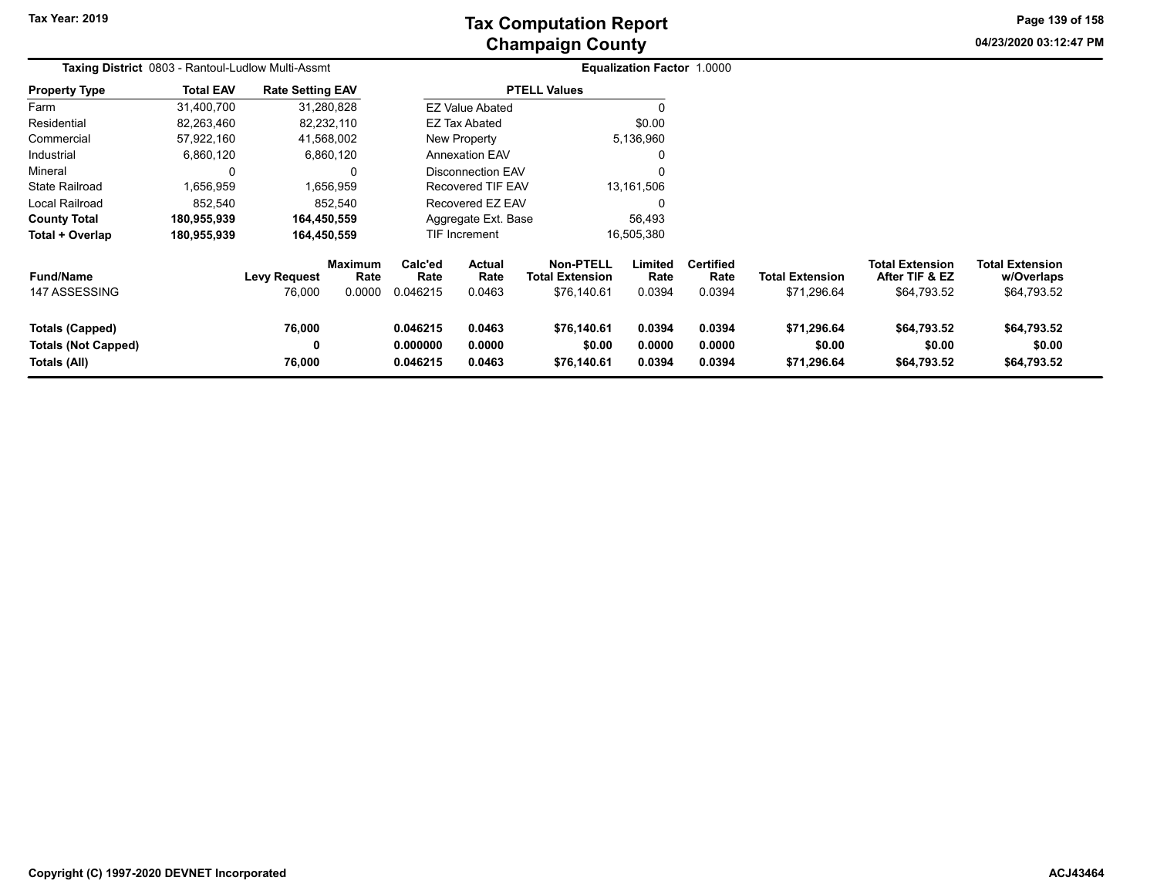## **Champaign County Tax Computation Report**

**04/23/2020 03:12:47 PM Page 139 of 158**

|                                                                      | Taxing District 0803 - Rantoul-Ludlow Multi-Assmt |                               |                                  |                                  |                                 |                                                           | Equalization Factor 1.0000 |                                    |                                       |                                                         |                                                     |  |
|----------------------------------------------------------------------|---------------------------------------------------|-------------------------------|----------------------------------|----------------------------------|---------------------------------|-----------------------------------------------------------|----------------------------|------------------------------------|---------------------------------------|---------------------------------------------------------|-----------------------------------------------------|--|
| <b>Property Type</b>                                                 | <b>Total EAV</b>                                  | <b>Rate Setting EAV</b>       |                                  |                                  |                                 | <b>PTELL Values</b>                                       |                            |                                    |                                       |                                                         |                                                     |  |
| Farm                                                                 | 31,400,700                                        | 31,280,828                    |                                  |                                  | <b>EZ Value Abated</b>          |                                                           |                            |                                    |                                       |                                                         |                                                     |  |
| Residential                                                          | 82,263,460                                        | 82,232,110                    |                                  |                                  | EZ Tax Abated                   |                                                           | \$0.00                     |                                    |                                       |                                                         |                                                     |  |
| Commercial                                                           | 57,922,160                                        | 41,568,002                    |                                  |                                  | New Property                    |                                                           | 5,136,960                  |                                    |                                       |                                                         |                                                     |  |
| Industrial                                                           | 6,860,120                                         |                               | 6,860,120                        |                                  | <b>Annexation EAV</b>           |                                                           |                            |                                    |                                       |                                                         |                                                     |  |
| Mineral                                                              | 0                                                 |                               | 0                                |                                  | Disconnection EAV               |                                                           |                            |                                    |                                       |                                                         |                                                     |  |
| <b>State Railroad</b>                                                | 1,656,959                                         |                               | 1,656,959                        |                                  | Recovered TIF EAV               |                                                           | 13,161,506                 |                                    |                                       |                                                         |                                                     |  |
| Local Railroad                                                       | 852,540                                           |                               | 852,540                          |                                  | Recovered EZ EAV                |                                                           |                            |                                    |                                       |                                                         |                                                     |  |
| <b>County Total</b>                                                  | 180,955,939                                       | 164,450,559                   |                                  |                                  | Aggregate Ext. Base             |                                                           | 56,493                     |                                    |                                       |                                                         |                                                     |  |
| Total + Overlap                                                      | 180,955,939                                       | 164,450,559                   |                                  |                                  | TIF Increment                   |                                                           | 16,505,380                 |                                    |                                       |                                                         |                                                     |  |
| <b>Fund/Name</b><br>147 ASSESSING                                    |                                                   | <b>Levy Request</b><br>76,000 | <b>Maximum</b><br>Rate<br>0.0000 | Calc'ed<br>Rate<br>0.046215      | <b>Actual</b><br>Rate<br>0.0463 | <b>Non-PTELL</b><br><b>Total Extension</b><br>\$76,140.61 | Limited<br>Rate<br>0.0394  | <b>Certified</b><br>Rate<br>0.0394 | <b>Total Extension</b><br>\$71,296.64 | <b>Total Extension</b><br>After TIF & EZ<br>\$64,793.52 | <b>Total Extension</b><br>w/Overlaps<br>\$64,793.52 |  |
| <b>Totals (Capped)</b><br><b>Totals (Not Capped)</b><br>Totals (All) |                                                   | 76,000<br>0<br>76,000         |                                  | 0.046215<br>0.000000<br>0.046215 | 0.0463<br>0.0000<br>0.0463      | \$76,140.61<br>\$0.00<br>\$76,140.61                      | 0.0394<br>0.0000<br>0.0394 | 0.0394<br>0.0000<br>0.0394         | \$71,296.64<br>\$0.00<br>\$71,296.64  | \$64,793.52<br>\$0.00<br>\$64,793.52                    | \$64,793.52<br>\$0.00<br>\$64,793.52                |  |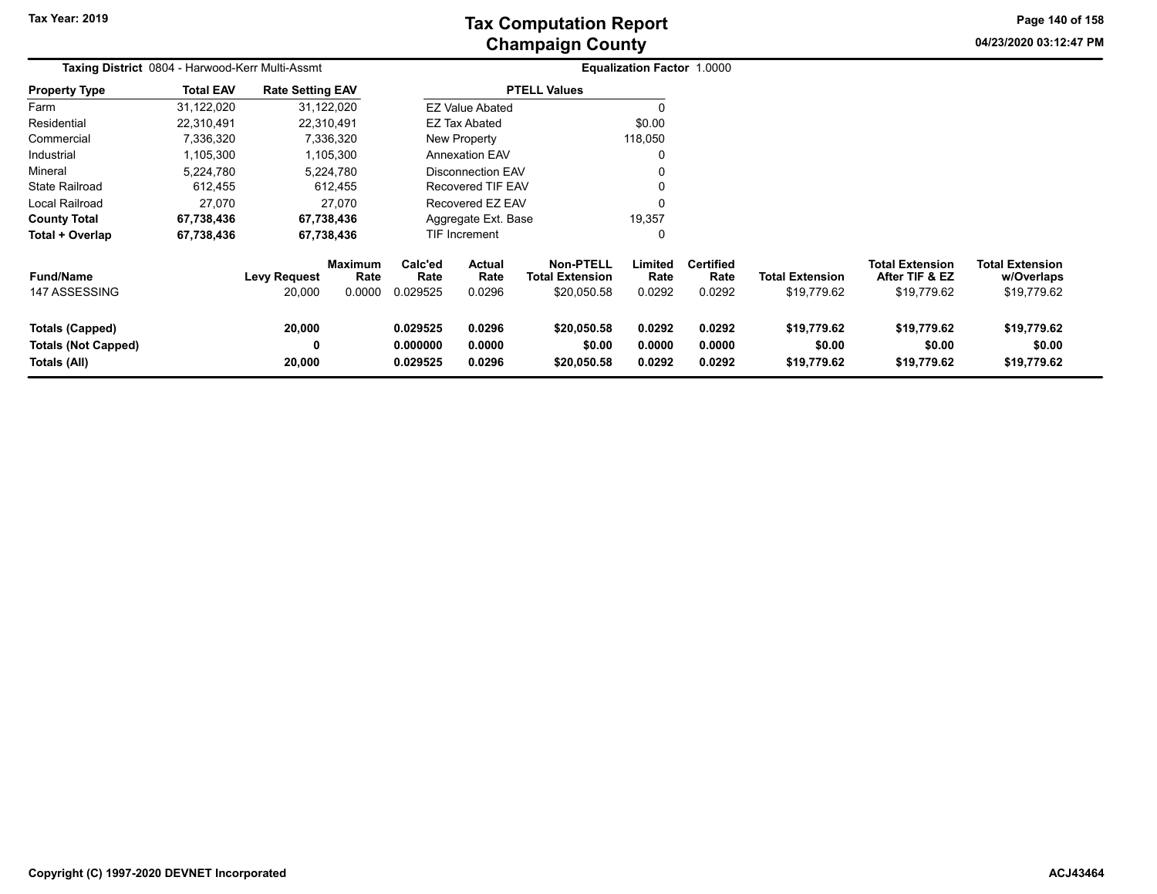# **Champaign County Tax Computation Report**

**04/23/2020 03:12:47 PMPage 140 of 158**

|                                                               | <b>Taxing District 0804 - Harwood-Kerr Multi-Assmt</b> |                               |                                  |                                  |                            |                                                           | Equalization Factor 1.0000 |                                    |                                       |                                                         |                                                     |  |
|---------------------------------------------------------------|--------------------------------------------------------|-------------------------------|----------------------------------|----------------------------------|----------------------------|-----------------------------------------------------------|----------------------------|------------------------------------|---------------------------------------|---------------------------------------------------------|-----------------------------------------------------|--|
| <b>Property Type</b>                                          | <b>Total EAV</b>                                       | <b>Rate Setting EAV</b>       |                                  |                                  |                            | <b>PTELL Values</b>                                       |                            |                                    |                                       |                                                         |                                                     |  |
| Farm                                                          | 31,122,020                                             |                               | 31,122,020                       |                                  | <b>EZ Value Abated</b>     |                                                           | O                          |                                    |                                       |                                                         |                                                     |  |
| Residential                                                   | 22.310.491                                             |                               | 22,310,491                       |                                  | <b>EZ Tax Abated</b>       |                                                           | \$0.00                     |                                    |                                       |                                                         |                                                     |  |
| Commercial                                                    | 7,336,320                                              |                               | 7,336,320                        | New Property                     |                            |                                                           | 118,050                    |                                    |                                       |                                                         |                                                     |  |
| Industrial                                                    | 1,105,300                                              |                               | 1,105,300                        |                                  | <b>Annexation EAV</b>      |                                                           | $\Omega$                   |                                    |                                       |                                                         |                                                     |  |
| Mineral                                                       | 5,224,780                                              |                               | 5,224,780                        |                                  | <b>Disconnection EAV</b>   |                                                           | $\Omega$                   |                                    |                                       |                                                         |                                                     |  |
| <b>State Railroad</b>                                         | 612,455                                                |                               | 612,455                          |                                  | Recovered TIF EAV          |                                                           |                            |                                    |                                       |                                                         |                                                     |  |
| Local Railroad                                                | 27,070                                                 |                               | 27.070                           |                                  | Recovered EZ EAV           |                                                           | $\Omega$                   |                                    |                                       |                                                         |                                                     |  |
| <b>County Total</b>                                           | 67,738,436                                             |                               | 67,738,436                       |                                  | Aggregate Ext. Base        |                                                           | 19,357                     |                                    |                                       |                                                         |                                                     |  |
| Total + Overlap                                               | 67,738,436                                             |                               | 67,738,436                       |                                  | TIF Increment              |                                                           | 0                          |                                    |                                       |                                                         |                                                     |  |
| <b>Fund/Name</b><br>147 ASSESSING                             |                                                        | <b>Levy Request</b><br>20,000 | <b>Maximum</b><br>Rate<br>0.0000 | Calc'ed<br>Rate<br>0.029525      | Actual<br>Rate<br>0.0296   | <b>Non-PTELL</b><br><b>Total Extension</b><br>\$20,050.58 | Limited<br>Rate<br>0.0292  | <b>Certified</b><br>Rate<br>0.0292 | <b>Total Extension</b><br>\$19,779.62 | <b>Total Extension</b><br>After TIF & EZ<br>\$19,779.62 | <b>Total Extension</b><br>w/Overlaps<br>\$19,779.62 |  |
| Totals (Capped)<br><b>Totals (Not Capped)</b><br>Totals (All) |                                                        | 20,000<br>0<br>20,000         |                                  | 0.029525<br>0.000000<br>0.029525 | 0.0296<br>0.0000<br>0.0296 | \$20,050.58<br>\$0.00<br>\$20,050.58                      | 0.0292<br>0.0000<br>0.0292 | 0.0292<br>0.0000<br>0.0292         | \$19,779.62<br>\$0.00<br>\$19,779.62  | \$19,779.62<br>\$0.00<br>\$19,779.62                    | \$19,779.62<br>\$0.00<br>\$19,779.62                |  |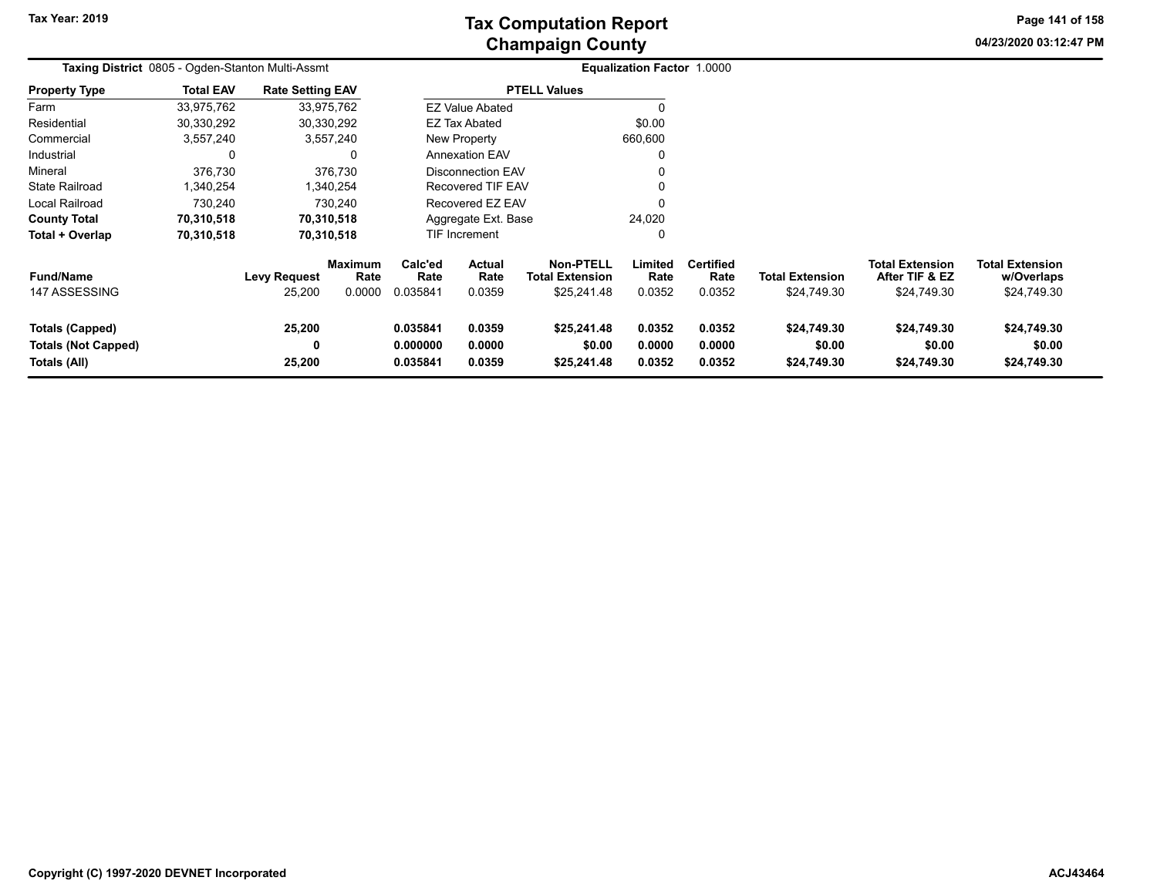# **Champaign County Tax Computation Report**

**04/23/2020 03:12:47 PMPage 141 of 158**

| Taxing District 0805 - Ogden-Stanton Multi-Assmt |                  |                               |                                  |                                          |                          |                                                    | <b>Equalization Factor 1.0000</b> |                                    |                                       |                                                         |                                                     |  |
|--------------------------------------------------|------------------|-------------------------------|----------------------------------|------------------------------------------|--------------------------|----------------------------------------------------|-----------------------------------|------------------------------------|---------------------------------------|---------------------------------------------------------|-----------------------------------------------------|--|
| <b>Property Type</b>                             | <b>Total EAV</b> | <b>Rate Setting EAV</b>       |                                  |                                          |                          | <b>PTELL Values</b>                                |                                   |                                    |                                       |                                                         |                                                     |  |
| Farm                                             | 33,975,762       | 33,975,762                    |                                  |                                          | <b>EZ Value Abated</b>   |                                                    |                                   |                                    |                                       |                                                         |                                                     |  |
| Residential                                      | 30,330,292       | 30,330,292                    |                                  |                                          | <b>EZ Tax Abated</b>     |                                                    | \$0.00                            |                                    |                                       |                                                         |                                                     |  |
| Commercial                                       | 3,557,240        | 3,557,240                     |                                  |                                          | New Property             |                                                    | 660,600                           |                                    |                                       |                                                         |                                                     |  |
| Industrial                                       | 0                |                               | $\Omega$                         |                                          | <b>Annexation EAV</b>    |                                                    |                                   |                                    |                                       |                                                         |                                                     |  |
| Mineral                                          | 376,730          |                               | 376,730                          |                                          | <b>Disconnection EAV</b> |                                                    |                                   |                                    |                                       |                                                         |                                                     |  |
| <b>State Railroad</b>                            | ,340,254         |                               | ,340,254                         |                                          | Recovered TIF EAV        |                                                    |                                   |                                    |                                       |                                                         |                                                     |  |
| Local Railroad                                   | 730,240          |                               | 730,240                          |                                          | Recovered EZ EAV         |                                                    |                                   |                                    |                                       |                                                         |                                                     |  |
| <b>County Total</b>                              | 70,310,518       | 70,310,518                    |                                  |                                          | Aggregate Ext. Base      |                                                    | 24,020                            |                                    |                                       |                                                         |                                                     |  |
| Total + Overlap                                  | 70,310,518       | 70,310,518                    |                                  |                                          | TIF Increment            |                                                    | 0                                 |                                    |                                       |                                                         |                                                     |  |
| <b>Fund/Name</b><br>147 ASSESSING                |                  | <b>Levy Request</b><br>25,200 | <b>Maximum</b><br>Rate<br>0.0000 | Calc'ed<br>Rate<br>0.035841              | Actual<br>Rate<br>0.0359 | Non-PTELL<br><b>Total Extension</b><br>\$25,241.48 | Limited<br>Rate<br>0.0352         | <b>Certified</b><br>Rate<br>0.0352 | <b>Total Extension</b><br>\$24,749.30 | <b>Total Extension</b><br>After TIF & EZ<br>\$24,749.30 | <b>Total Extension</b><br>w/Overlaps<br>\$24,749.30 |  |
| Totals (Capped)<br><b>Totals (Not Capped)</b>    |                  | 25,200<br>0                   |                                  | 0.035841<br>0.0359<br>0.000000<br>0.0000 |                          | \$25,241.48<br>\$0.00                              | 0.0352<br>0.0000                  | 0.0352<br>0.0000                   | \$24,749.30<br>\$0.00                 | \$24,749.30<br>\$0.00                                   | \$24,749.30<br>\$0.00                               |  |
| Totals (All)                                     |                  | 25,200                        |                                  | 0.035841                                 | 0.0359                   | \$25,241.48                                        | 0.0352                            | 0.0352                             | \$24,749.30                           | \$24,749.30                                             | \$24,749.30                                         |  |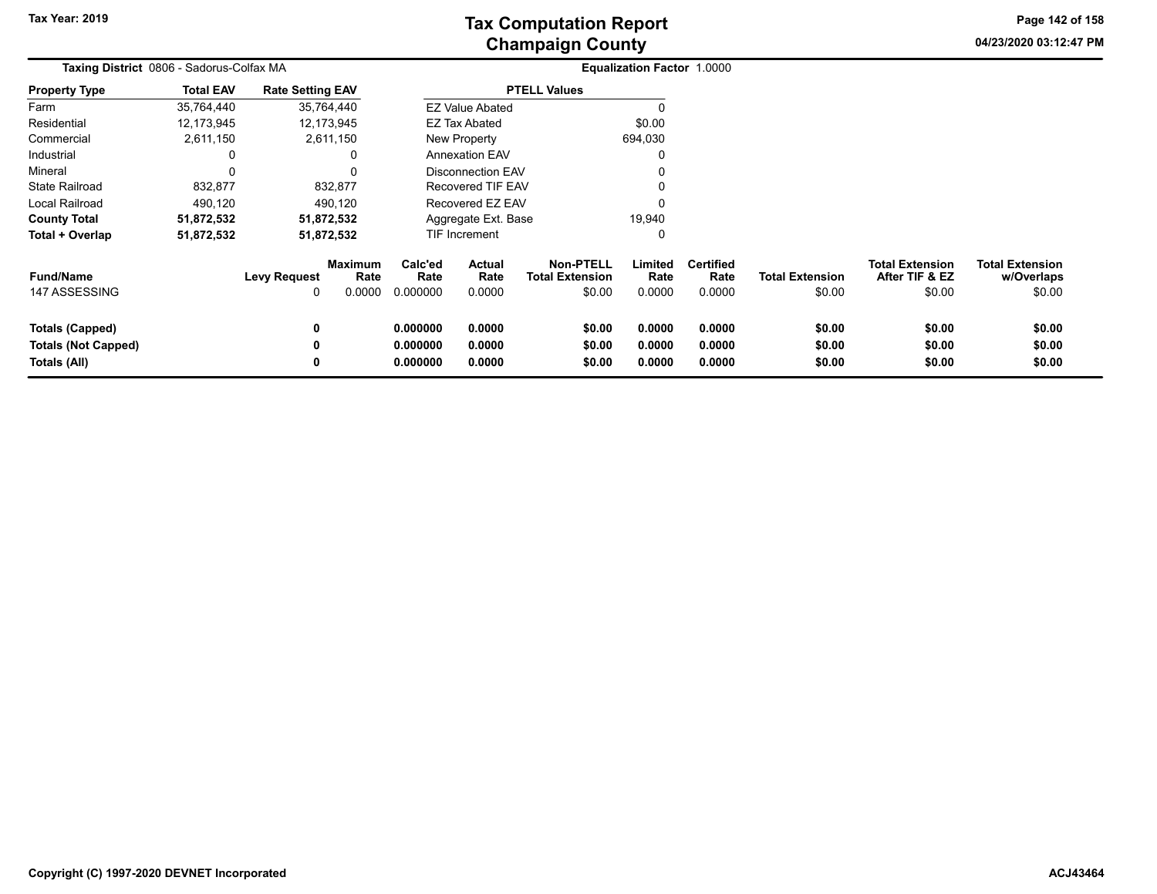**04/23/2020 03:12:47 PM Page 142 of 158**

|                                                                      | Taxing District 0806 - Sadorus-Colfax MA |                          |                                  |                                  |                                 |                                                      | <b>Equalization Factor 1.0000</b> |                                    |                                  |                                                    |                                                |
|----------------------------------------------------------------------|------------------------------------------|--------------------------|----------------------------------|----------------------------------|---------------------------------|------------------------------------------------------|-----------------------------------|------------------------------------|----------------------------------|----------------------------------------------------|------------------------------------------------|
| <b>Property Type</b>                                                 | <b>Total EAV</b>                         | <b>Rate Setting EAV</b>  |                                  |                                  |                                 | <b>PTELL Values</b>                                  |                                   |                                    |                                  |                                                    |                                                |
| Farm                                                                 | 35,764,440                               |                          | 35,764,440                       |                                  | <b>EZ Value Abated</b>          |                                                      |                                   |                                    |                                  |                                                    |                                                |
| Residential                                                          | 12,173,945                               |                          | 12,173,945                       |                                  | <b>EZ Tax Abated</b>            |                                                      | \$0.00                            |                                    |                                  |                                                    |                                                |
| Commercial                                                           | 2,611,150                                |                          | 2,611,150                        |                                  | New Property                    |                                                      | 694,030                           |                                    |                                  |                                                    |                                                |
| Industrial                                                           | 0                                        |                          | 0                                |                                  | <b>Annexation EAV</b>           |                                                      |                                   |                                    |                                  |                                                    |                                                |
| Mineral                                                              | $\Omega$                                 |                          | 0                                |                                  | Disconnection EAV               |                                                      |                                   |                                    |                                  |                                                    |                                                |
| <b>State Railroad</b>                                                | 832,877                                  |                          | 832,877                          |                                  | Recovered TIF EAV               |                                                      |                                   |                                    |                                  |                                                    |                                                |
| Local Railroad                                                       | 490,120                                  |                          | 490,120                          |                                  | Recovered EZ EAV                |                                                      |                                   |                                    |                                  |                                                    |                                                |
| <b>County Total</b>                                                  | 51,872,532                               |                          | 51,872,532                       |                                  | Aggregate Ext. Base             |                                                      | 19,940                            |                                    |                                  |                                                    |                                                |
| Total + Overlap                                                      | 51,872,532                               |                          | 51,872,532                       |                                  | TIF Increment                   |                                                      | 0                                 |                                    |                                  |                                                    |                                                |
| <b>Fund/Name</b><br>147 ASSESSING                                    |                                          | <b>Levy Request</b><br>0 | <b>Maximum</b><br>Rate<br>0.0000 | Calc'ed<br>Rate<br>0.000000      | <b>Actual</b><br>Rate<br>0.0000 | <b>Non-PTELL</b><br><b>Total Extension</b><br>\$0.00 | Limited<br>Rate<br>0.0000         | <b>Certified</b><br>Rate<br>0.0000 | <b>Total Extension</b><br>\$0.00 | <b>Total Extension</b><br>After TIF & EZ<br>\$0.00 | <b>Total Extension</b><br>w/Overlaps<br>\$0.00 |
| <b>Totals (Capped)</b><br><b>Totals (Not Capped)</b><br>Totals (All) |                                          | 0<br>0<br>0              |                                  | 0.000000<br>0.000000<br>0.000000 | 0.0000<br>0.0000<br>0.0000      | \$0.00<br>\$0.00<br>\$0.00                           | 0.0000<br>0.0000<br>0.0000        | 0.0000<br>0.0000<br>0.0000         | \$0.00<br>\$0.00<br>\$0.00       | \$0.00<br>\$0.00<br>\$0.00                         | \$0.00<br>\$0.00<br>\$0.00                     |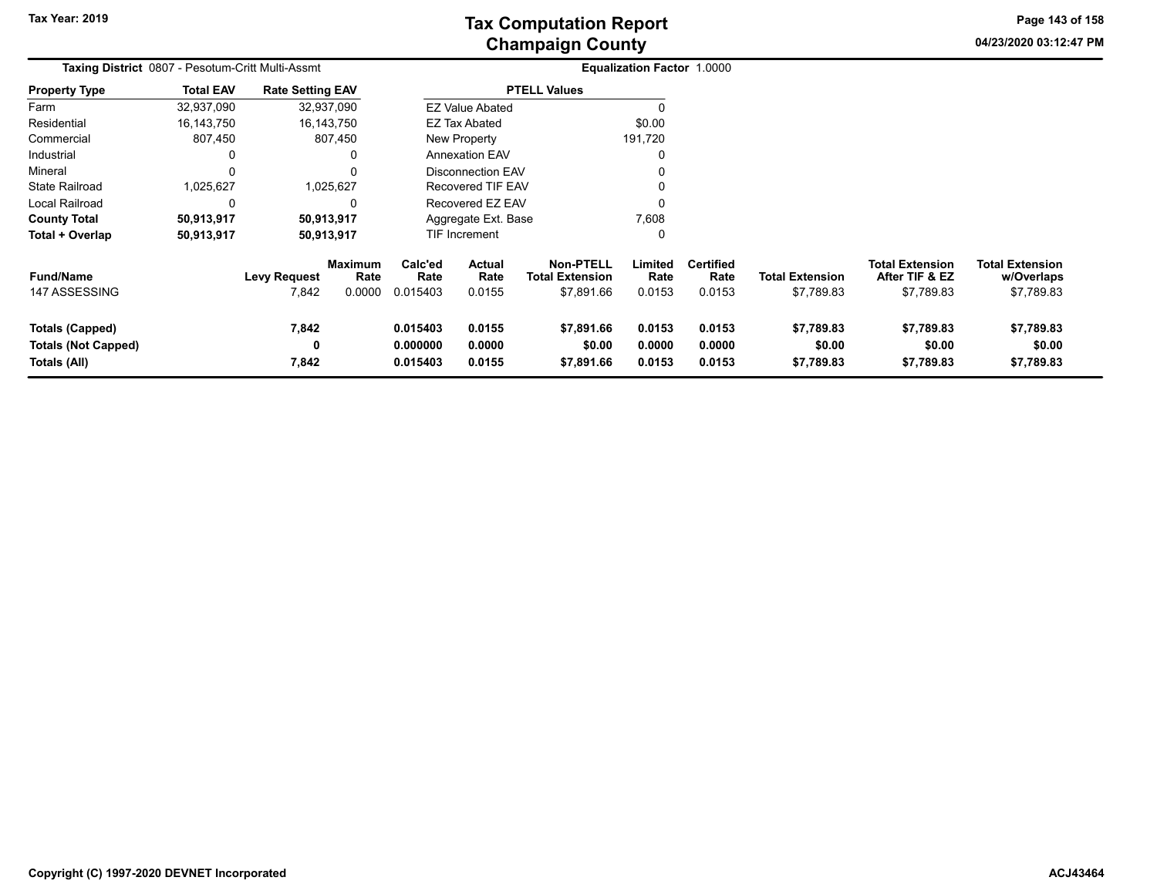**04/23/2020 03:12:47 PM Page 143 of 158**

| Taxing District 0807 - Pesotum-Critt Multi-Assmt              |                  |                              |                                  |                                                                |                                 |                                                          | <b>Equalization Factor 1.0000</b> |                                    |                                      |                                                        |                                                    |
|---------------------------------------------------------------|------------------|------------------------------|----------------------------------|----------------------------------------------------------------|---------------------------------|----------------------------------------------------------|-----------------------------------|------------------------------------|--------------------------------------|--------------------------------------------------------|----------------------------------------------------|
| <b>Property Type</b>                                          | <b>Total EAV</b> | <b>Rate Setting EAV</b>      |                                  |                                                                |                                 | <b>PTELL Values</b>                                      |                                   |                                    |                                      |                                                        |                                                    |
| Farm                                                          | 32,937,090       |                              | 32,937,090                       |                                                                | <b>EZ Value Abated</b>          |                                                          |                                   |                                    |                                      |                                                        |                                                    |
| Residential                                                   | 16,143,750       |                              | 16,143,750                       |                                                                | EZ Tax Abated                   |                                                          | \$0.00                            |                                    |                                      |                                                        |                                                    |
| Commercial                                                    | 807,450          |                              | 807,450                          |                                                                | New Property                    |                                                          | 191,720                           |                                    |                                      |                                                        |                                                    |
| Industrial                                                    | 0                |                              | 0                                |                                                                | <b>Annexation EAV</b>           |                                                          |                                   |                                    |                                      |                                                        |                                                    |
| Mineral                                                       | $\mathbf 0$      |                              | 0                                |                                                                | <b>Disconnection EAV</b>        |                                                          |                                   |                                    |                                      |                                                        |                                                    |
| <b>State Railroad</b>                                         | 1,025,627        |                              | 1,025,627                        |                                                                | Recovered TIF EAV               |                                                          |                                   |                                    |                                      |                                                        |                                                    |
| Local Railroad                                                | $\mathbf 0$      |                              | 0                                |                                                                | Recovered EZ EAV                |                                                          |                                   |                                    |                                      |                                                        |                                                    |
| <b>County Total</b>                                           | 50,913,917       |                              | 50,913,917                       |                                                                | Aggregate Ext. Base             |                                                          | 7,608                             |                                    |                                      |                                                        |                                                    |
| Total + Overlap                                               | 50,913,917       |                              | 50,913,917                       |                                                                | TIF Increment                   |                                                          | 0                                 |                                    |                                      |                                                        |                                                    |
| <b>Fund/Name</b><br>147 ASSESSING                             |                  | <b>Levy Request</b><br>7,842 | <b>Maximum</b><br>Rate<br>0.0000 | Calc'ed<br>Rate<br>0.015403                                    | <b>Actual</b><br>Rate<br>0.0155 | <b>Non-PTELL</b><br><b>Total Extension</b><br>\$7,891.66 | Limited<br>Rate<br>0.0153         | <b>Certified</b><br>Rate<br>0.0153 | <b>Total Extension</b><br>\$7,789.83 | <b>Total Extension</b><br>After TIF & EZ<br>\$7,789.83 | <b>Total Extension</b><br>w/Overlaps<br>\$7,789.83 |
| Totals (Capped)<br><b>Totals (Not Capped)</b><br>Totals (All) |                  | 7,842<br>0<br>7,842          |                                  | 0.015403<br>0.0155<br>0.000000<br>0.0000<br>0.015403<br>0.0155 |                                 | \$7,891.66<br>\$0.00<br>\$7,891.66                       | 0.0153<br>0.0000<br>0.0153        | 0.0153<br>0.0000<br>0.0153         | \$7,789.83<br>\$0.00<br>\$7,789.83   | \$7,789.83<br>\$0.00<br>\$7,789.83                     | \$7,789.83<br>\$0.00<br>\$7,789.83                 |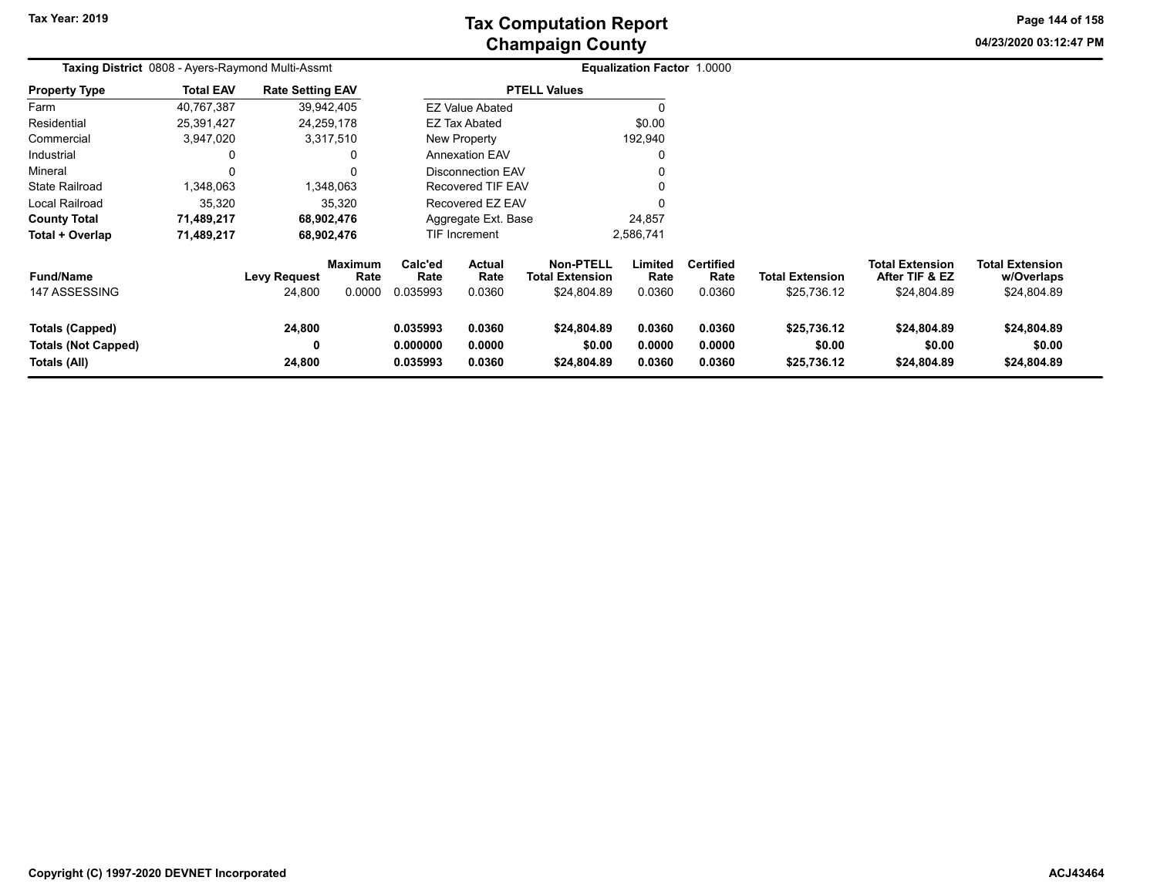# **Champaign County Tax Computation Report**

**04/23/2020 03:12:47 PM**

**Page 144 of 158**

| Taxing District 0808 - Ayers-Raymond Multi-Assmt                     |                  |                               |                                  |                                                                |                                 |                                                    | <b>Equalization Factor 1.0000</b> |                                    |                                       |                                                         |                                                     |
|----------------------------------------------------------------------|------------------|-------------------------------|----------------------------------|----------------------------------------------------------------|---------------------------------|----------------------------------------------------|-----------------------------------|------------------------------------|---------------------------------------|---------------------------------------------------------|-----------------------------------------------------|
| Property Type                                                        | <b>Total EAV</b> | <b>Rate Setting EAV</b>       |                                  |                                                                |                                 | <b>PTELL Values</b>                                |                                   |                                    |                                       |                                                         |                                                     |
| Farm                                                                 | 40,767,387       |                               | 39,942,405                       |                                                                | <b>EZ Value Abated</b>          |                                                    |                                   |                                    |                                       |                                                         |                                                     |
| Residential                                                          | 25,391,427       |                               | 24,259,178                       |                                                                | <b>EZ Tax Abated</b>            |                                                    | \$0.00                            |                                    |                                       |                                                         |                                                     |
| Commercial                                                           | 3,947,020        |                               | 3,317,510                        |                                                                | <b>New Property</b>             |                                                    | 192,940                           |                                    |                                       |                                                         |                                                     |
| Industrial                                                           | 0                |                               |                                  |                                                                | <b>Annexation EAV</b>           |                                                    |                                   |                                    |                                       |                                                         |                                                     |
| Mineral                                                              | 0                |                               |                                  |                                                                | <b>Disconnection EAV</b>        |                                                    |                                   |                                    |                                       |                                                         |                                                     |
| State Railroad                                                       | 1,348,063        |                               | 1,348,063                        |                                                                | <b>Recovered TIF EAV</b>        |                                                    |                                   |                                    |                                       |                                                         |                                                     |
| Local Railroad                                                       | 35,320           |                               | 35,320                           |                                                                | Recovered EZ EAV                |                                                    |                                   |                                    |                                       |                                                         |                                                     |
| <b>County Total</b>                                                  | 71,489,217       |                               | 68,902,476                       |                                                                | Aggregate Ext. Base             |                                                    | 24,857                            |                                    |                                       |                                                         |                                                     |
| Total + Overlap                                                      | 71,489,217       |                               | 68,902,476                       |                                                                | <b>TIF Increment</b>            |                                                    | 2,586,741                         |                                    |                                       |                                                         |                                                     |
| <b>Fund/Name</b><br>147 ASSESSING                                    |                  | <b>Levy Request</b><br>24,800 | <b>Maximum</b><br>Rate<br>0.0000 | Calc'ed<br>Rate<br>0.035993                                    | <b>Actual</b><br>Rate<br>0.0360 | <b>Non-PTELL</b><br>Total Extension<br>\$24,804.89 | Limited<br>Rate<br>0.0360         | <b>Certified</b><br>Rate<br>0.0360 | <b>Total Extension</b><br>\$25,736.12 | <b>Total Extension</b><br>After TIF & EZ<br>\$24,804.89 | <b>Total Extension</b><br>w/Overlaps<br>\$24,804.89 |
| <b>Totals (Capped)</b><br><b>Totals (Not Capped)</b><br>Totals (All) |                  | 24,800<br>0<br>24,800         |                                  | 0.035993<br>0.0360<br>0.000000<br>0.0000<br>0.035993<br>0.0360 |                                 | \$24,804.89<br>\$0.00<br>\$24,804.89               | 0.0360<br>0.0000<br>0.0360        | 0.0360<br>0.0000<br>0.0360         | \$25,736.12<br>\$0.00<br>\$25,736.12  | \$24,804.89<br>\$0.00<br>\$24,804.89                    | \$24,804.89<br>\$0.00<br>\$24,804.89                |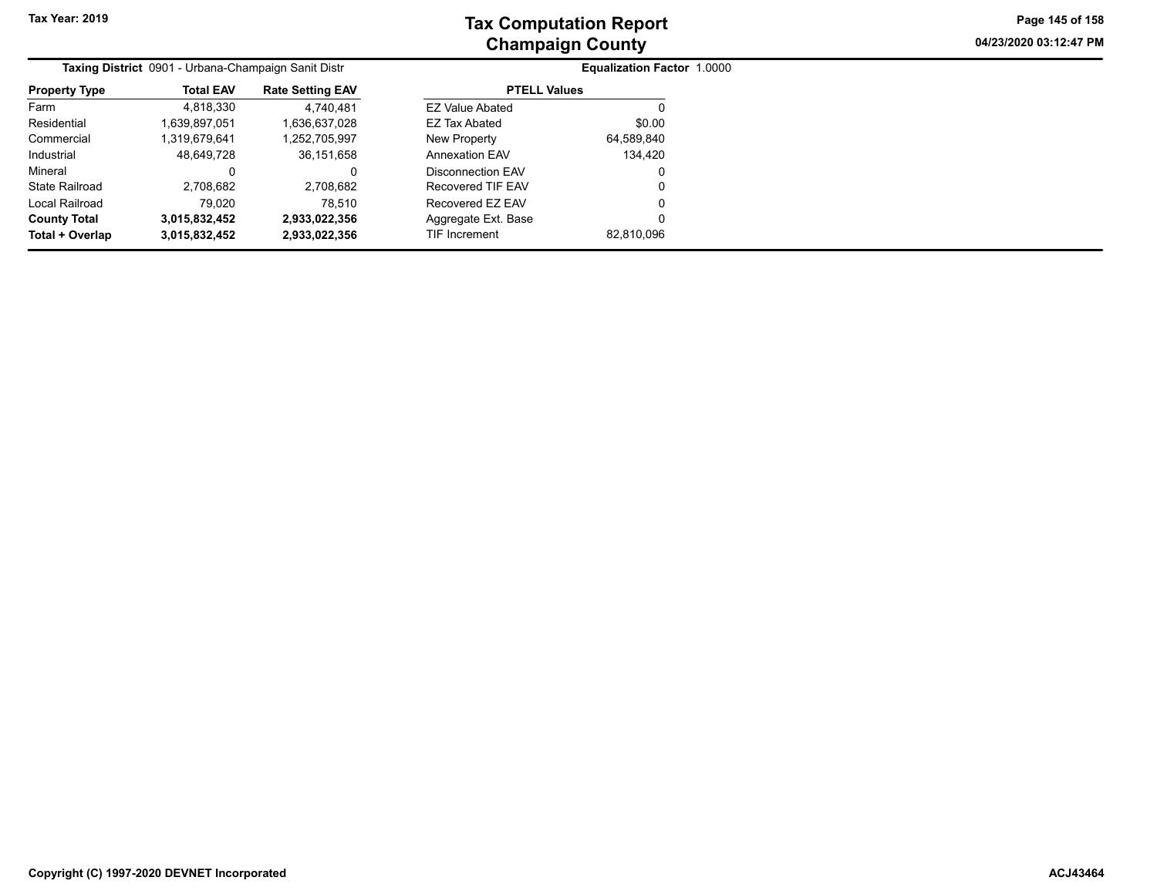**04/23/2020 03:12:47 PM Page 145 of 158**

|                      | Taxing District 0901 - Urbana-Champaign Sanit Distr |                         | <b>Equalization Factor 1.0000</b> |            |  |  |  |  |
|----------------------|-----------------------------------------------------|-------------------------|-----------------------------------|------------|--|--|--|--|
| <b>Property Type</b> | <b>Total EAV</b>                                    | <b>Rate Setting EAV</b> | <b>PTELL Values</b>               |            |  |  |  |  |
| Farm                 | 4,818,330                                           | 4.740.481               | <b>EZ Value Abated</b>            |            |  |  |  |  |
| Residential          | 1,639,897,051                                       | 1,636,637,028           | EZ Tax Abated                     | \$0.00     |  |  |  |  |
| Commercial           | 1,319,679,641                                       | 1,252,705,997           | New Property                      | 64,589,840 |  |  |  |  |
| Industrial           | 48,649,728                                          | 36,151,658              | <b>Annexation EAV</b>             | 134.420    |  |  |  |  |
| Mineral              | 0                                                   | 0                       | Disconnection EAV                 | 0          |  |  |  |  |
| State Railroad       | 2.708.682                                           | 2,708,682               | Recovered TIF EAV                 | 0          |  |  |  |  |
| Local Railroad       | 79.020                                              | 78.510                  | Recovered EZ EAV                  | 0          |  |  |  |  |
| <b>County Total</b>  | 3,015,832,452                                       | 2,933,022,356           | Aggregate Ext. Base               | 0          |  |  |  |  |
| Total + Overlap      | 3,015,832,452                                       | 2,933,022,356           | <b>TIF Increment</b>              | 82,810,096 |  |  |  |  |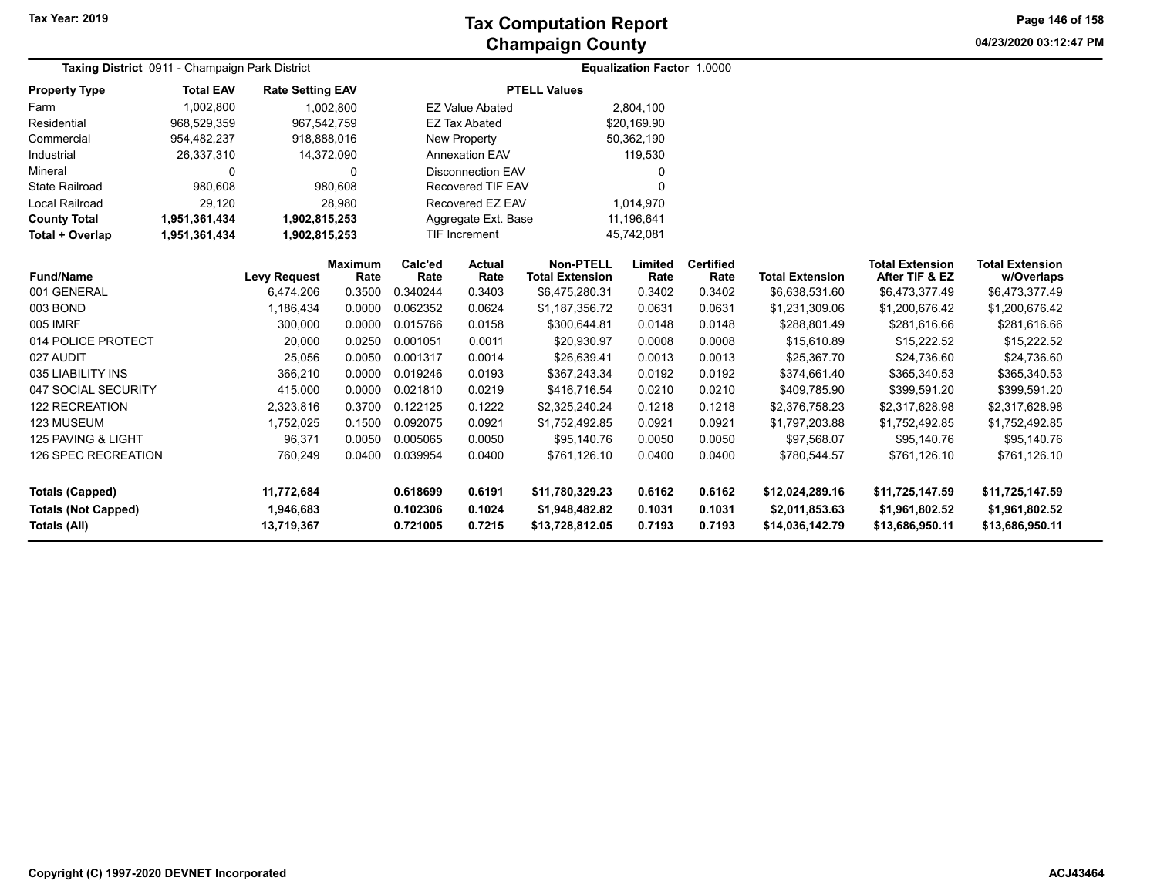**04/23/2020 03:12:47 PM Page 146 of 158**

| Taxing District 0911 - Champaign Park District |                  | <b>Equalization Factor 1.0000</b> |                |                      |                          |                                   |                  |                  |                                   |                                   |                                   |  |
|------------------------------------------------|------------------|-----------------------------------|----------------|----------------------|--------------------------|-----------------------------------|------------------|------------------|-----------------------------------|-----------------------------------|-----------------------------------|--|
| <b>Property Type</b>                           | <b>Total EAV</b> | <b>Rate Setting EAV</b>           |                |                      |                          | <b>PTELL Values</b>               |                  |                  |                                   |                                   |                                   |  |
| Farm                                           | 1,002,800        |                                   | 1,002,800      |                      | <b>EZ Value Abated</b>   |                                   | 2,804,100        |                  |                                   |                                   |                                   |  |
| Residential                                    | 968,529,359      | 967,542,759                       |                |                      | <b>EZ Tax Abated</b>     |                                   | \$20,169.90      |                  |                                   |                                   |                                   |  |
| Commercial                                     | 954,482,237      | 918,888,016                       |                |                      | New Property             |                                   | 50,362,190       |                  |                                   |                                   |                                   |  |
| Industrial                                     | 26,337,310       |                                   | 14,372,090     |                      | <b>Annexation EAV</b>    |                                   | 119,530          |                  |                                   |                                   |                                   |  |
| Mineral                                        | 0                |                                   | 0              |                      | <b>Disconnection EAV</b> |                                   | 0                |                  |                                   |                                   |                                   |  |
| <b>State Railroad</b>                          | 980,608          |                                   | 980,608        |                      | <b>Recovered TIF EAV</b> |                                   | $\Omega$         |                  |                                   |                                   |                                   |  |
| <b>Local Railroad</b>                          | 29,120           |                                   | 28,980         | Recovered EZ EAV     |                          |                                   | 1,014,970        |                  |                                   |                                   |                                   |  |
| <b>County Total</b>                            | 1,951,361,434    | 1,902,815,253                     |                |                      | Aggregate Ext. Base      |                                   | 11,196,641       |                  |                                   |                                   |                                   |  |
| Total + Overlap                                | 1,951,361,434    | 1,902,815,253                     |                | <b>TIF Increment</b> |                          |                                   | 45,742,081       |                  |                                   |                                   |                                   |  |
|                                                |                  |                                   | <b>Maximum</b> | Calc'ed              | <b>Actual</b>            | <b>Non-PTELL</b>                  | Limited          | <b>Certified</b> |                                   | <b>Total Extension</b>            | <b>Total Extension</b>            |  |
| <b>Fund/Name</b>                               |                  | <b>Levy Request</b>               | Rate           | Rate                 | Rate                     | <b>Total Extension</b>            | Rate             | Rate             | <b>Total Extension</b>            | After TIF & EZ                    | w/Overlaps                        |  |
| 001 GENERAL                                    |                  | 6,474,206                         | 0.3500         | 0.340244             | 0.3403                   | \$6,475,280.31                    | 0.3402           | 0.3402           | \$6,638,531.60                    | \$6,473,377.49                    | \$6,473,377.49                    |  |
| 003 BOND                                       |                  | 1,186,434                         | 0.0000         | 0.062352             | 0.0624                   | \$1,187,356.72                    | 0.0631           | 0.0631           | \$1,231,309.06                    | \$1,200,676.42                    | \$1,200,676.42                    |  |
| 005 IMRF                                       |                  | 300,000                           | 0.0000         | 0.015766             | 0.0158                   | \$300,644.81                      | 0.0148           | 0.0148           | \$288,801.49                      | \$281,616.66                      | \$281,616.66                      |  |
| 014 POLICE PROTECT                             |                  | 20,000                            | 0.0250         | 0.001051             | 0.0011                   | \$20,930.97                       | 0.0008           | 0.0008           | \$15,610.89                       | \$15,222.52                       | \$15,222.52                       |  |
| 027 AUDIT                                      |                  | 25,056                            | 0.0050         | 0.001317             | 0.0014                   | \$26,639.41                       | 0.0013           | 0.0013           | \$25,367.70                       | \$24,736.60                       | \$24,736.60                       |  |
| 035 LIABILITY INS                              |                  | 366,210                           | 0.0000         | 0.019246             | 0.0193                   | \$367,243.34                      | 0.0192           | 0.0192           | \$374,661.40                      | \$365,340.53                      | \$365,340.53                      |  |
| 047 SOCIAL SECURITY                            |                  | 415,000                           | 0.0000         | 0.021810             | 0.0219                   | \$416,716.54                      | 0.0210           | 0.0210           | \$409,785.90                      | \$399,591.20                      | \$399,591.20                      |  |
| <b>122 RECREATION</b>                          |                  | 2,323,816                         | 0.3700         | 0.122125             | 0.1222                   | \$2,325,240.24                    | 0.1218           | 0.1218           | \$2,376,758.23                    | \$2,317,628.98                    | \$2,317,628.98                    |  |
| 123 MUSEUM                                     |                  | 1,752,025                         | 0.1500         | 0.092075             | 0.0921                   | \$1,752,492.85                    | 0.0921           | 0.0921           | \$1,797,203.88                    | \$1,752,492.85                    | \$1,752,492.85                    |  |
| 125 PAVING & LIGHT                             |                  | 96,371                            | 0.0050         | 0.005065             | 0.0050                   | \$95,140.76                       | 0.0050           | 0.0050           | \$97,568.07                       | \$95,140.76                       | \$95,140.76                       |  |
| 126 SPEC RECREATION                            |                  | 760,249                           | 0.0400         | 0.039954             | 0.0400                   | \$761,126.10                      | 0.0400           | 0.0400           | \$780,544.57                      | \$761,126.10                      | \$761,126.10                      |  |
| <b>Totals (Capped)</b>                         |                  | 11,772,684                        |                | 0.618699<br>0.6191   |                          | \$11,780,329.23                   | 0.6162           | 0.6162           | \$12,024,289.16                   | \$11,725,147.59                   | \$11,725,147.59                   |  |
| <b>Totals (Not Capped)</b><br>Totals (All)     |                  | 1,946,683<br>13,719,367           |                | 0.102306<br>0.721005 | 0.1024<br>0.7215         | \$1,948,482.82<br>\$13,728,812.05 | 0.1031<br>0.7193 | 0.1031<br>0.7193 | \$2,011,853.63<br>\$14,036,142.79 | \$1,961,802.52<br>\$13,686,950.11 | \$1,961,802.52<br>\$13,686,950.11 |  |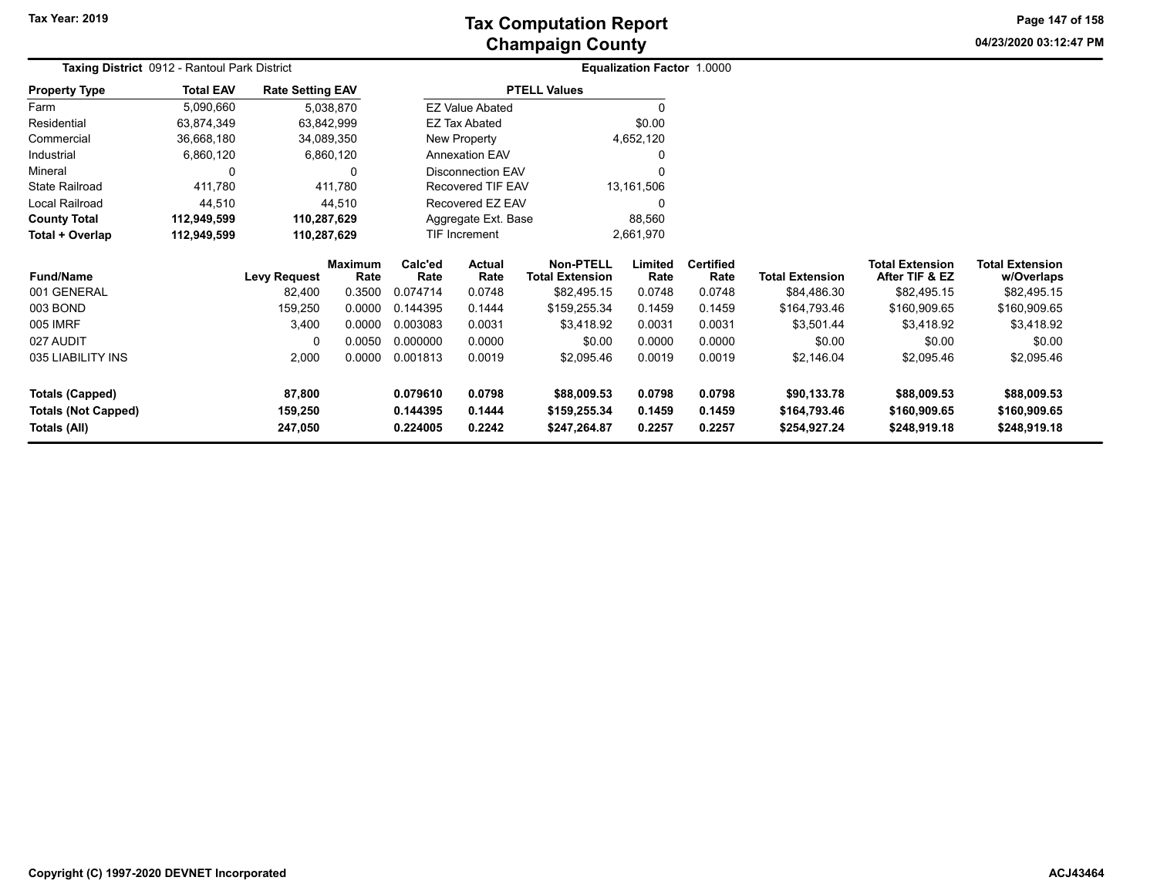**Tax Year: 2019**

# **Champaign County Tax Computation Report**

**04/23/2020 03:12:47 PM Page 147 of 158**

| Taxing District 0912 - Rantoul Park District |                  |                         |                        |                      | Equalization Factor 1.0000 |                                     |                 |                          |                        |                                          |                                      |  |
|----------------------------------------------|------------------|-------------------------|------------------------|----------------------|----------------------------|-------------------------------------|-----------------|--------------------------|------------------------|------------------------------------------|--------------------------------------|--|
| <b>Property Type</b>                         | <b>Total EAV</b> | <b>Rate Setting EAV</b> |                        |                      |                            | <b>PTELL Values</b>                 |                 |                          |                        |                                          |                                      |  |
| Farm                                         | 5,090,660        |                         | 5,038,870              |                      | <b>EZ Value Abated</b>     |                                     |                 |                          |                        |                                          |                                      |  |
| Residential                                  | 63,874,349       |                         | 63,842,999             |                      | <b>EZ Tax Abated</b>       |                                     | \$0.00          |                          |                        |                                          |                                      |  |
| Commercial                                   | 36,668,180       |                         | 34,089,350             |                      | New Property               |                                     | 4,652,120       |                          |                        |                                          |                                      |  |
| Industrial                                   | 6,860,120        |                         | 6,860,120              |                      | <b>Annexation EAV</b>      |                                     |                 |                          |                        |                                          |                                      |  |
| Mineral                                      | 0                |                         | 0                      |                      | <b>Disconnection EAV</b>   |                                     |                 |                          |                        |                                          |                                      |  |
| <b>State Railroad</b>                        | 411,780          |                         | 411,780                |                      | <b>Recovered TIF EAV</b>   |                                     | 13,161,506      |                          |                        |                                          |                                      |  |
| Local Railroad                               | 44,510           |                         | 44,510                 | Recovered EZ EAV     |                            |                                     |                 |                          |                        |                                          |                                      |  |
| <b>County Total</b>                          | 112,949,599      | 110,287,629             |                        | Aggregate Ext. Base  |                            |                                     | 88,560          |                          |                        |                                          |                                      |  |
| Total + Overlap                              | 112,949,599      | 110,287,629             |                        | <b>TIF Increment</b> |                            |                                     | 2,661,970       |                          |                        |                                          |                                      |  |
| <b>Fund/Name</b>                             |                  | <b>Levy Request</b>     | <b>Maximum</b><br>Rate | Calc'ed<br>Rate      | <b>Actual</b><br>Rate      | Non-PTELL<br><b>Total Extension</b> | Limited<br>Rate | <b>Certified</b><br>Rate | <b>Total Extension</b> | <b>Total Extension</b><br>After TIF & EZ | <b>Total Extension</b><br>w/Overlaps |  |
| 001 GENERAL                                  |                  | 82,400                  | 0.3500                 | 0.074714             | 0.0748                     | \$82,495.15                         | 0.0748          | 0.0748                   | \$84,486.30            | \$82,495.15                              | \$82,495.15                          |  |
| 003 BOND                                     |                  | 159,250                 | 0.0000                 | 0.144395             | 0.1444                     | \$159,255.34                        | 0.1459          | 0.1459                   | \$164,793.46           | \$160,909.65                             | \$160,909.65                         |  |
| 005 IMRF                                     |                  | 3,400                   | 0.0000                 | 0.003083             | 0.0031                     | \$3,418.92                          | 0.0031          | 0.0031                   | \$3,501.44             | \$3,418.92                               | \$3,418.92                           |  |
| 027 AUDIT                                    |                  | 0                       | 0.0050                 | 0.000000             | 0.0000                     | \$0.00                              | 0.0000          | 0.0000                   | \$0.00                 | \$0.00                                   | \$0.00                               |  |
| 035 LIABILITY INS                            |                  | 2,000                   | 0.0000                 | 0.001813             | 0.0019                     | \$2,095.46                          | 0.0019          | 0.0019                   | \$2,146.04             | \$2,095.46                               | \$2,095.46                           |  |
| <b>Totals (Capped)</b>                       |                  | 87,800                  |                        | 0.079610             | 0.0798                     | \$88,009.53                         | 0.0798          | 0.0798                   | \$90,133.78            | \$88,009.53                              | \$88,009.53                          |  |
| <b>Totals (Not Capped)</b>                   |                  | 159,250                 |                        | 0.144395             | 0.1444                     | \$159,255.34                        | 0.1459          | 0.1459                   | \$164,793.46           | \$160,909.65                             | \$160,909.65                         |  |
| Totals (All)                                 |                  | 247,050                 |                        | 0.224005<br>0.2242   |                            | \$247,264.87                        | 0.2257          | 0.2257                   | \$254,927.24           | \$248,919.18                             | \$248,919.18                         |  |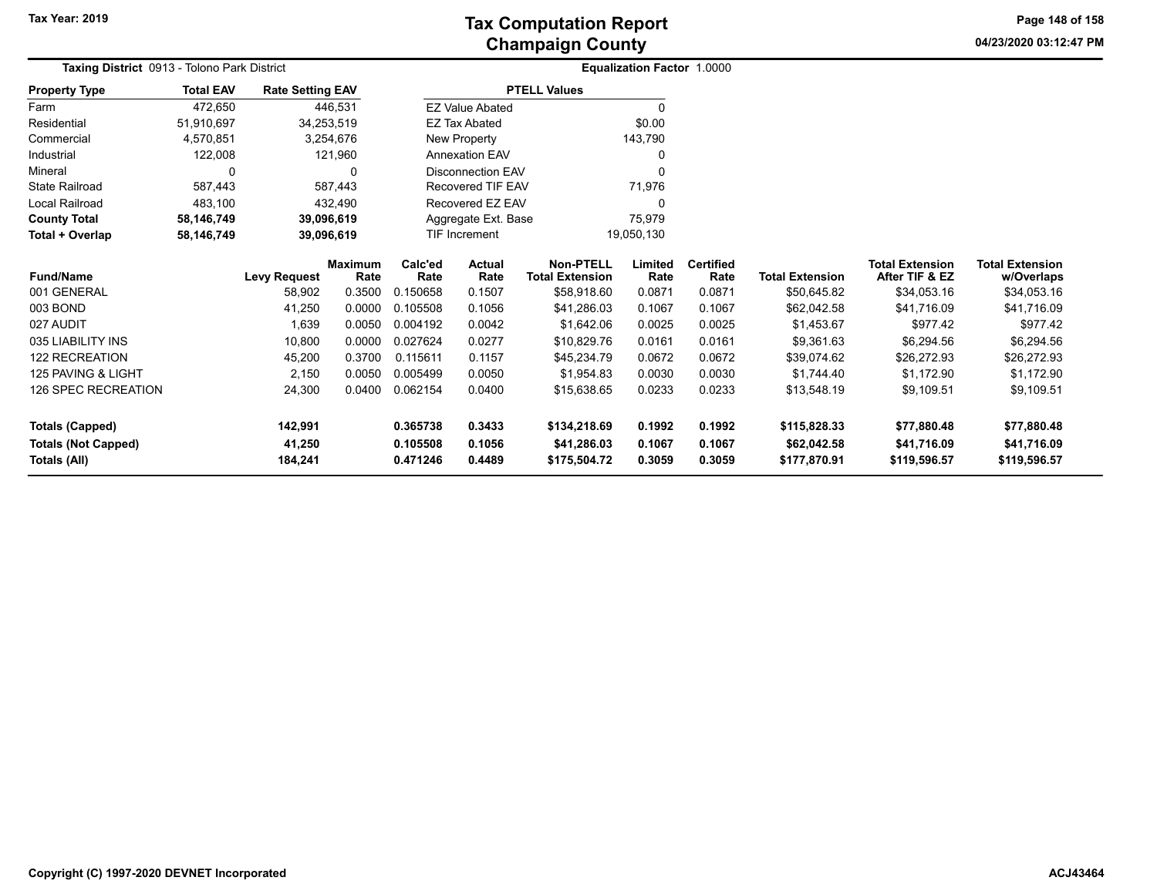**04/23/2020 03:12:47 PM Page 148 of 158**

| Taxing District 0913 - Tolono Park District          |                  |                         |                        |                      |                                    |                                            | Equalization Factor 1.0000 |                          |                             |                                          |                                      |
|------------------------------------------------------|------------------|-------------------------|------------------------|----------------------|------------------------------------|--------------------------------------------|----------------------------|--------------------------|-----------------------------|------------------------------------------|--------------------------------------|
| <b>Property Type</b>                                 | <b>Total EAV</b> | <b>Rate Setting EAV</b> |                        |                      |                                    | <b>PTELL Values</b>                        |                            |                          |                             |                                          |                                      |
| Farm                                                 | 472,650          |                         | 446,531                |                      | <b>EZ Value Abated</b>             |                                            | $\mathbf{0}$               |                          |                             |                                          |                                      |
| Residential                                          | 51,910,697       | 34,253,519              |                        |                      | <b>EZ Tax Abated</b>               |                                            | \$0.00                     |                          |                             |                                          |                                      |
| Commercial                                           | 4,570,851        | 3,254,676               |                        |                      | New Property                       |                                            | 143,790                    |                          |                             |                                          |                                      |
| Industrial                                           | 122,008          |                         | 121,960                |                      | <b>Annexation EAV</b>              |                                            | 0                          |                          |                             |                                          |                                      |
| Mineral                                              |                  |                         | 0                      |                      | <b>Disconnection EAV</b>           |                                            | $\Omega$                   |                          |                             |                                          |                                      |
| <b>State Railroad</b>                                | 587,443          |                         | 587,443                |                      | <b>Recovered TIF EAV</b>           |                                            | 71,976                     |                          |                             |                                          |                                      |
| Local Railroad                                       | 483,100          |                         | 432,490                |                      | Recovered EZ EAV                   |                                            | 0                          |                          |                             |                                          |                                      |
| <b>County Total</b>                                  | 58,146,749       | 39,096,619              |                        |                      | Aggregate Ext. Base                |                                            | 75,979                     |                          |                             |                                          |                                      |
| Total + Overlap                                      | 58,146,749       | 39,096,619              |                        |                      | <b>TIF Increment</b><br>19,050,130 |                                            |                            |                          |                             |                                          |                                      |
| <b>Fund/Name</b>                                     |                  | <b>Levy Request</b>     | <b>Maximum</b><br>Rate | Calc'ed<br>Rate      | Actual<br>Rate                     | <b>Non-PTELL</b><br><b>Total Extension</b> | Limited<br>Rate            | <b>Certified</b><br>Rate | <b>Total Extension</b>      | <b>Total Extension</b><br>After TIF & EZ | <b>Total Extension</b><br>w/Overlaps |
| 001 GENERAL                                          |                  | 58,902                  | 0.3500                 | 0.150658             | 0.1507                             | \$58,918.60                                | 0.0871                     | 0.0871                   | \$50,645.82                 | \$34,053.16                              | \$34,053.16                          |
| 003 BOND                                             |                  | 41,250                  | 0.0000                 | 0.105508             | 0.1056                             | \$41,286.03                                | 0.1067                     | 0.1067                   | \$62,042.58                 | \$41,716.09                              | \$41,716.09                          |
| 027 AUDIT                                            |                  | 1,639                   | 0.0050                 | 0.004192             | 0.0042                             | \$1,642.06                                 | 0.0025                     | 0.0025                   | \$1,453.67                  | \$977.42                                 | \$977.42                             |
| 035 LIABILITY INS                                    |                  | 10,800                  | 0.0000                 | 0.027624             | 0.0277                             | \$10,829.76                                | 0.0161                     | 0.0161                   | \$9,361.63                  | \$6,294.56                               | \$6,294.56                           |
| <b>122 RECREATION</b>                                |                  | 45,200                  | 0.3700                 | 0.115611             | 0.1157                             | \$45,234.79                                | 0.0672                     | 0.0672                   | \$39,074.62                 | \$26,272.93                              | \$26,272.93                          |
| 125 PAVING & LIGHT                                   |                  | 2,150                   | 0.0050                 | 0.005499             | 0.0050                             | \$1,954.83                                 | 0.0030                     | 0.0030                   | \$1,744.40                  | \$1,172.90                               | \$1,172.90                           |
| <b>126 SPEC RECREATION</b>                           |                  | 24,300                  | 0.0400                 | 0.062154             | 0.0400                             | \$15,638.65                                | 0.0233                     | 0.0233                   | \$13,548.19                 | \$9,109.51                               | \$9,109.51                           |
| <b>Totals (Capped)</b><br><b>Totals (Not Capped)</b> |                  | 142,991<br>41,250       |                        | 0.365738<br>0.105508 | 0.3433<br>0.1056                   | \$134,218.69<br>\$41,286.03                | 0.1992<br>0.1067           | 0.1992<br>0.1067         | \$115,828.33<br>\$62,042.58 | \$77,880.48<br>\$41,716.09               | \$77,880.48<br>\$41,716.09           |
| Totals (All)                                         |                  | 184,241                 |                        | 0.471246             | 0.4489                             | \$175,504.72                               | 0.3059                     | 0.3059                   | \$177,870.91                | \$119,596.57                             | \$119,596.57                         |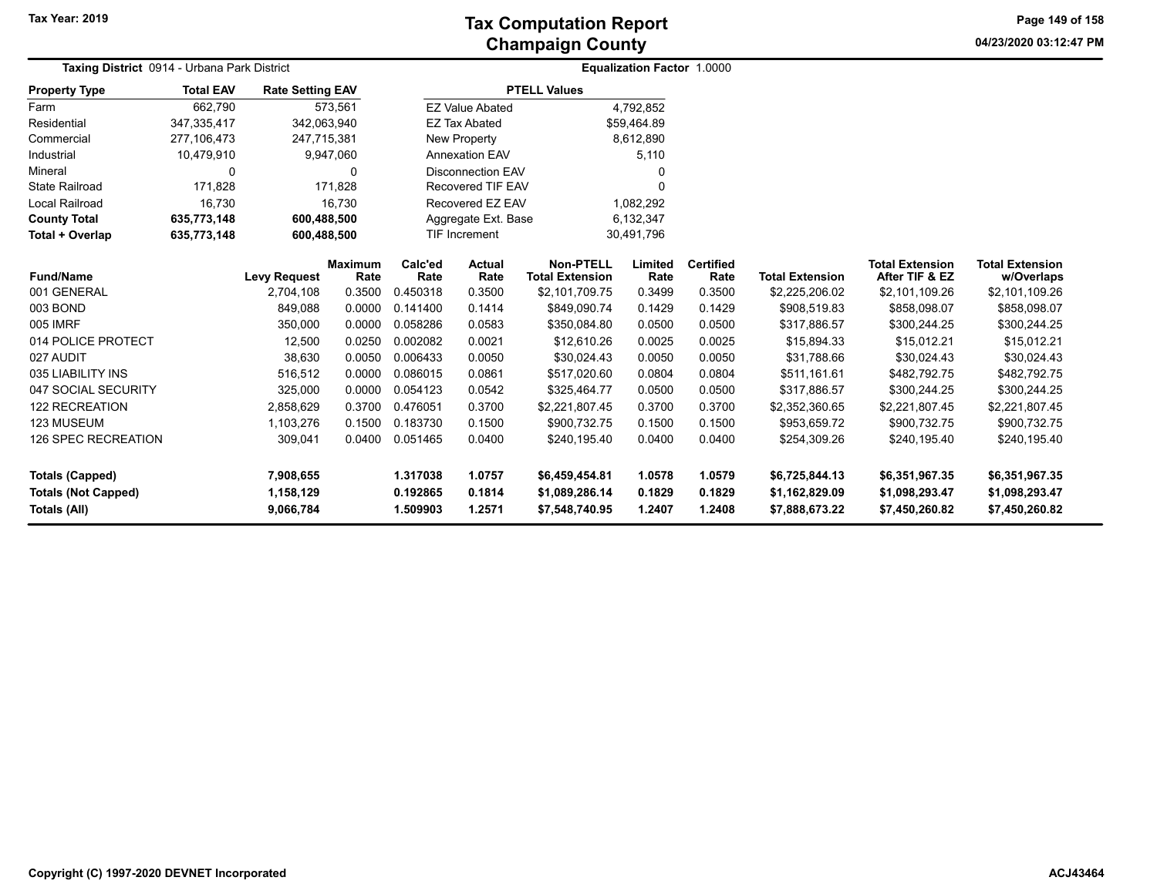**04/23/2020 03:12:47 PM Page 149 of 158**

| Taxing District 0914 - Urbana Park District |                  |                         |                        |                          |                          |                                            | Equalization Factor 1.0000 |                          |                        |                                          |                                      |
|---------------------------------------------|------------------|-------------------------|------------------------|--------------------------|--------------------------|--------------------------------------------|----------------------------|--------------------------|------------------------|------------------------------------------|--------------------------------------|
| <b>Property Type</b>                        | <b>Total EAV</b> | <b>Rate Setting EAV</b> |                        |                          |                          | <b>PTELL Values</b>                        |                            |                          |                        |                                          |                                      |
| Farm                                        | 662,790          |                         | 573,561                |                          | <b>EZ Value Abated</b>   |                                            | 4,792,852                  |                          |                        |                                          |                                      |
| Residential                                 | 347,335,417      | 342,063,940             |                        |                          | <b>EZ Tax Abated</b>     |                                            | \$59,464.89                |                          |                        |                                          |                                      |
| Commercial                                  | 277,106,473      | 247,715,381             |                        |                          | New Property             |                                            | 8,612,890                  |                          |                        |                                          |                                      |
| Industrial                                  | 10,479,910       |                         | 9,947,060              | <b>Annexation EAV</b>    |                          |                                            | 5,110                      |                          |                        |                                          |                                      |
| Mineral                                     | 0                |                         | $\Omega$               |                          | <b>Disconnection EAV</b> |                                            |                            |                          |                        |                                          |                                      |
| <b>State Railroad</b>                       | 171,828          |                         | 171.828                | <b>Recovered TIF EAV</b> |                          |                                            | 0                          |                          |                        |                                          |                                      |
| Local Railroad                              | 16,730           |                         | 16.730                 | Recovered EZ EAV         |                          |                                            | 1,082,292                  |                          |                        |                                          |                                      |
| <b>County Total</b>                         | 635,773,148      | 600,488,500             |                        |                          | Aggregate Ext. Base      |                                            | 6,132,347                  |                          |                        |                                          |                                      |
| Total + Overlap                             | 635,773,148      | 600,488,500             |                        | <b>TIF Increment</b>     |                          |                                            | 30,491,796                 |                          |                        |                                          |                                      |
| <b>Fund/Name</b>                            |                  | <b>Levy Request</b>     | <b>Maximum</b><br>Rate | Calc'ed<br>Rate          | <b>Actual</b><br>Rate    | <b>Non-PTELL</b><br><b>Total Extension</b> | Limited<br>Rate            | <b>Certified</b><br>Rate | <b>Total Extension</b> | <b>Total Extension</b><br>After TIF & EZ | <b>Total Extension</b><br>w/Overlaps |
| 001 GENERAL                                 |                  | 2,704,108               | 0.3500                 | 0.450318                 | 0.3500                   | \$2,101,709.75                             | 0.3499                     | 0.3500                   | \$2,225,206.02         | \$2,101,109.26                           | \$2,101,109.26                       |
| 003 BOND                                    |                  | 849,088                 | 0.0000                 | 0.141400                 | 0.1414                   | \$849,090.74                               | 0.1429                     | 0.1429                   | \$908,519.83           | \$858,098.07                             | \$858,098.07                         |
| 005 IMRF                                    |                  | 350,000                 | 0.0000                 | 0.058286                 | 0.0583                   | \$350,084.80                               | 0.0500                     | 0.0500                   | \$317,886.57           | \$300,244.25                             | \$300,244.25                         |
| 014 POLICE PROTECT                          |                  | 12,500                  | 0.0250                 | 0.002082                 | 0.0021                   | \$12,610.26                                | 0.0025                     | 0.0025                   | \$15,894.33            | \$15,012.21                              | \$15,012.21                          |
| 027 AUDIT                                   |                  | 38,630                  | 0.0050                 | 0.006433                 | 0.0050                   | \$30,024.43                                | 0.0050                     | 0.0050                   | \$31,788.66            | \$30,024.43                              | \$30,024.43                          |
| 035 LIABILITY INS                           |                  | 516,512                 | 0.0000                 | 0.086015                 | 0.0861                   | \$517,020.60                               | 0.0804                     | 0.0804                   | \$511,161.61           | \$482,792.75                             | \$482,792.75                         |
| 047 SOCIAL SECURITY                         |                  | 325,000                 | 0.0000                 | 0.054123                 | 0.0542                   | \$325,464.77                               | 0.0500                     | 0.0500                   | \$317,886.57           | \$300,244.25                             | \$300,244.25                         |
| 122 RECREATION                              |                  | 2,858,629               | 0.3700                 | 0.476051                 | 0.3700                   | \$2,221,807.45                             | 0.3700                     | 0.3700                   | \$2,352,360.65         | \$2,221,807.45                           | \$2,221,807.45                       |
| 123 MUSEUM                                  |                  | 1,103,276               | 0.1500                 | 0.183730                 | 0.1500                   | \$900,732.75                               | 0.1500                     | 0.1500                   | \$953,659.72           | \$900,732.75                             | \$900,732.75                         |
| 126 SPEC RECREATION                         |                  | 309,041                 | 0.0400                 | 0.051465                 | 0.0400                   | \$240.195.40                               | 0.0400                     | 0.0400                   | \$254,309.26           | \$240.195.40                             | \$240,195.40                         |
| <b>Totals (Capped)</b>                      |                  | 7,908,655               |                        | 1.317038                 | 1.0757                   | \$6,459,454.81                             | 1.0578                     | 1.0579                   | \$6,725,844.13         | \$6,351,967.35                           | \$6,351,967.35                       |
| <b>Totals (Not Capped)</b>                  |                  | 1,158,129               |                        | 0.192865                 | 0.1814                   | \$1,089,286.14                             | 0.1829                     | 0.1829                   | \$1,162,829.09         | \$1,098,293.47                           | \$1,098,293.47                       |
| Totals (All)                                |                  | 9,066,784               |                        | 1.509903                 | 1.2571                   | \$7,548,740.95                             | 1.2407                     | 1.2408                   | \$7,888,673.22         | \$7,450,260.82                           | \$7,450,260.82                       |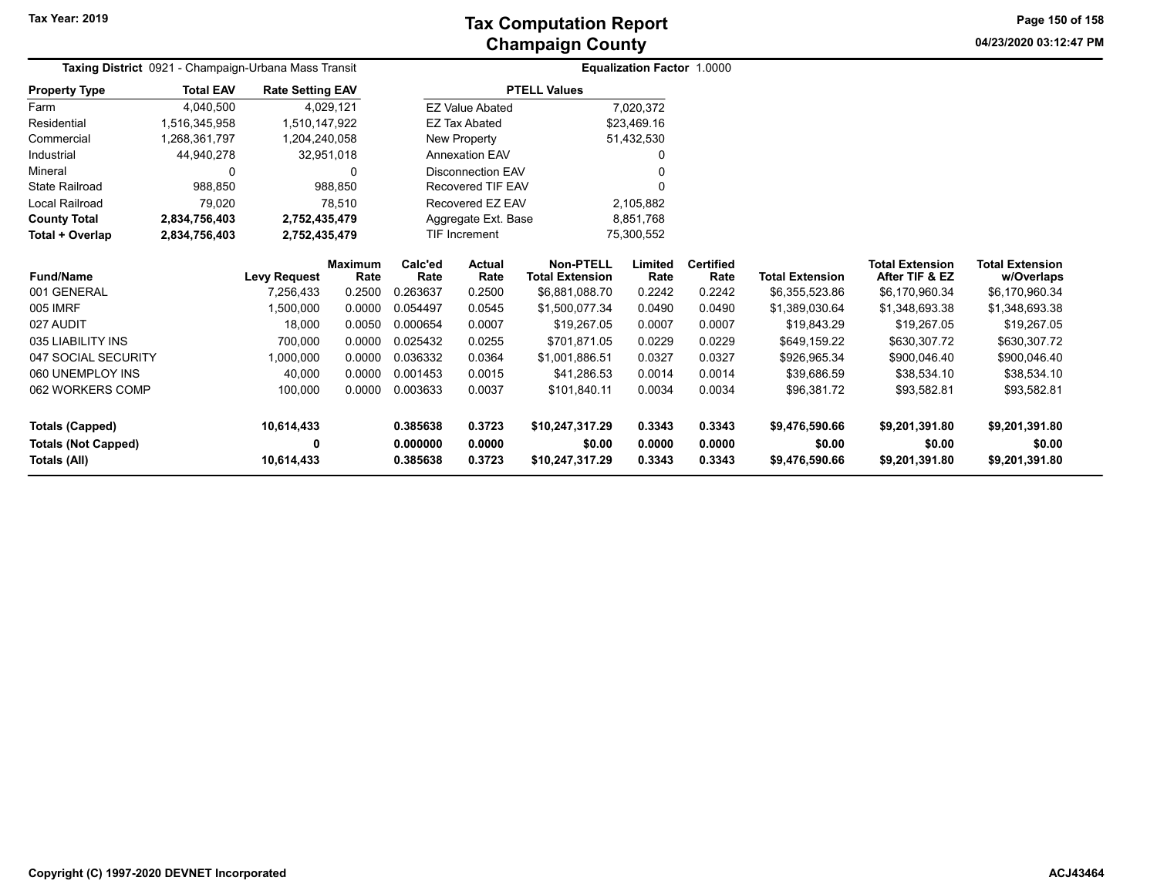**04/23/2020 03:12:47 PM Page 150 of 158**

| Taxing District 0921 - Champaign-Urbana Mass Transit |                  |                         |                        |                          |                        |                                            | Equalization Factor 1.0000 |                          |                        |                                          |                                      |
|------------------------------------------------------|------------------|-------------------------|------------------------|--------------------------|------------------------|--------------------------------------------|----------------------------|--------------------------|------------------------|------------------------------------------|--------------------------------------|
| <b>Property Type</b>                                 | <b>Total EAV</b> | <b>Rate Setting EAV</b> |                        |                          |                        | <b>PTELL Values</b>                        |                            |                          |                        |                                          |                                      |
| Farm                                                 | 4,040,500        |                         | 4,029,121              |                          | <b>EZ Value Abated</b> |                                            | 7,020,372                  |                          |                        |                                          |                                      |
| Residential                                          | 1.516.345.958    | 1.510.147.922           |                        |                          | <b>EZ Tax Abated</b>   | \$23.469.16                                |                            |                          |                        |                                          |                                      |
| Commercial                                           | 1,268,361,797    | 1,204,240,058           |                        |                          | New Property           | 51,432,530                                 |                            |                          |                        |                                          |                                      |
| Industrial                                           | 44,940,278       |                         | 32,951,018             | <b>Annexation EAV</b>    |                        |                                            |                            |                          |                        |                                          |                                      |
| Mineral                                              | 0                |                         | 0                      | <b>Disconnection EAV</b> |                        |                                            |                            |                          |                        |                                          |                                      |
| <b>State Railroad</b>                                | 988,850          |                         | 988,850                | <b>Recovered TIF EAV</b> |                        |                                            |                            |                          |                        |                                          |                                      |
| Local Railroad                                       | 79,020           |                         | 78,510                 | Recovered EZ EAV         |                        |                                            | 2,105,882                  |                          |                        |                                          |                                      |
| <b>County Total</b>                                  | 2,834,756,403    | 2,752,435,479           |                        | Aggregate Ext. Base      |                        | 8,851,768                                  |                            |                          |                        |                                          |                                      |
| Total + Overlap                                      | 2,834,756,403    | 2,752,435,479           |                        | <b>TIF Increment</b>     |                        | 75,300,552                                 |                            |                          |                        |                                          |                                      |
| <b>Fund/Name</b>                                     |                  | <b>Levy Request</b>     | <b>Maximum</b><br>Rate | Calc'ed<br>Rate          | <b>Actual</b><br>Rate  | <b>Non-PTELL</b><br><b>Total Extension</b> | Limited<br>Rate            | <b>Certified</b><br>Rate | <b>Total Extension</b> | <b>Total Extension</b><br>After TIF & EZ | <b>Total Extension</b><br>w/Overlaps |
| 001 GENERAL                                          |                  | 7,256,433               | 0.2500                 | 0.263637                 | 0.2500                 | \$6,881,088.70                             | 0.2242                     | 0.2242                   | \$6,355,523.86         | \$6,170,960.34                           | \$6,170,960.34                       |
| 005 IMRF                                             |                  | 1,500,000               | 0.0000                 | 0.054497                 | 0.0545                 | \$1,500,077.34                             | 0.0490                     | 0.0490                   | \$1,389,030.64         | \$1,348,693.38                           | \$1,348,693.38                       |
| 027 AUDIT                                            |                  | 18,000                  | 0.0050                 | 0.000654                 | 0.0007                 | \$19,267.05                                | 0.0007                     | 0.0007                   | \$19,843.29            | \$19,267.05                              | \$19,267.05                          |
| 035 LIABILITY INS                                    |                  | 700,000                 | 0.0000                 | 0.025432                 | 0.0255                 | \$701,871.05                               | 0.0229                     | 0.0229                   | \$649,159.22           | \$630,307.72                             | \$630,307.72                         |
| 047 SOCIAL SECURITY                                  |                  | 1,000,000               | 0.0000                 | 0.036332                 | 0.0364                 | \$1,001,886.51                             | 0.0327                     | 0.0327                   | \$926,965.34           | \$900,046.40                             | \$900,046.40                         |
| 060 UNEMPLOY INS                                     |                  | 40,000                  | 0.0000                 | 0.001453                 | 0.0015                 | \$41,286.53                                | 0.0014                     | 0.0014                   | \$39,686.59            | \$38,534.10                              | \$38,534.10                          |
| 062 WORKERS COMP                                     |                  | 100,000                 | 0.0000                 | 0.003633                 | 0.0037                 | \$101,840.11                               | 0.0034                     | 0.0034                   | \$96,381.72            | \$93,582.81                              | \$93,582.81                          |
| <b>Totals (Capped)</b>                               |                  | 10,614,433              |                        | 0.385638<br>0.3723       |                        | \$10,247,317.29                            | 0.3343                     | 0.3343                   | \$9,476,590.66         | \$9,201,391.80                           | \$9,201,391.80                       |
| <b>Totals (Not Capped)</b>                           |                  | 0                       |                        | 0.000000                 | 0.0000                 | \$0.00                                     | 0.0000                     | 0.0000                   | \$0.00                 | \$0.00                                   | \$0.00                               |
| Totals (All)                                         |                  | 10,614,433              |                        | 0.385638                 | 0.3723                 | \$10,247,317.29                            | 0.3343                     | 0.3343                   | \$9,476,590.66         | \$9,201,391.80                           | \$9,201,391.80                       |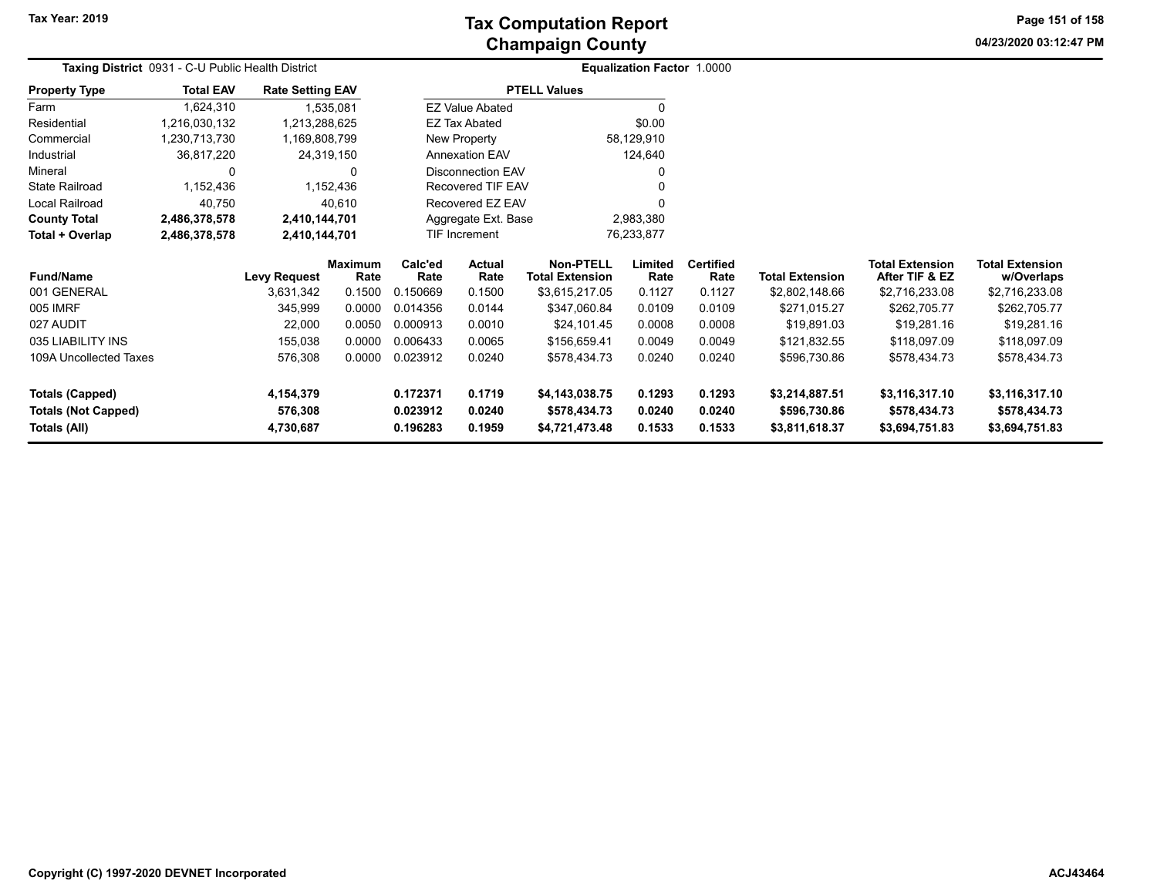**04/23/2020 03:12:47 PM Page 151 of 158**

| Taxing District 0931 - C-U Public Health District |                  |                         |                 |                    | <b>Equalization Factor 1.0000</b> |                                            |                 |                          |                        |                                          |                                      |  |
|---------------------------------------------------|------------------|-------------------------|-----------------|--------------------|-----------------------------------|--------------------------------------------|-----------------|--------------------------|------------------------|------------------------------------------|--------------------------------------|--|
| <b>Property Type</b>                              | <b>Total EAV</b> | <b>Rate Setting EAV</b> |                 |                    |                                   | <b>PTELL Values</b>                        |                 |                          |                        |                                          |                                      |  |
| Farm                                              | 1,624,310        |                         | 1,535,081       |                    | <b>EZ Value Abated</b>            |                                            | $\Omega$        |                          |                        |                                          |                                      |  |
| Residential                                       | 1,216,030,132    | 1,213,288,625           |                 |                    | EZ Tax Abated                     |                                            | \$0.00          |                          |                        |                                          |                                      |  |
| Commercial                                        | 1,230,713,730    | 1,169,808,799           |                 |                    | New Property                      |                                            | 58,129,910      |                          |                        |                                          |                                      |  |
| Industrial                                        | 36,817,220       | 24,319,150              |                 |                    | Annexation EAV                    |                                            | 124,640         |                          |                        |                                          |                                      |  |
| Mineral                                           | O                |                         | 0               |                    | <b>Disconnection EAV</b>          |                                            |                 |                          |                        |                                          |                                      |  |
| <b>State Railroad</b>                             | 1,152,436        |                         | 1,152,436       |                    | Recovered TIF EAV                 |                                            |                 |                          |                        |                                          |                                      |  |
| Local Railroad                                    | 40,750           |                         | 40,610          |                    | Recovered EZ EAV                  |                                            |                 |                          |                        |                                          |                                      |  |
| <b>County Total</b>                               | 2,486,378,578    | 2,410,144,701           |                 |                    | Aggregate Ext. Base               |                                            | 2,983,380       |                          |                        |                                          |                                      |  |
| Total + Overlap                                   | 2,486,378,578    | 2,410,144,701           |                 |                    | TIF Increment                     |                                            | 76,233,877      |                          |                        |                                          |                                      |  |
| <b>Fund/Name</b>                                  |                  | <b>Levy Request</b>     | Maximum<br>Rate | Calc'ed<br>Rate    | <b>Actual</b><br>Rate             | <b>Non-PTELL</b><br><b>Total Extension</b> | Limited<br>Rate | <b>Certified</b><br>Rate | <b>Total Extension</b> | <b>Total Extension</b><br>After TIF & EZ | <b>Total Extension</b><br>w/Overlaps |  |
| 001 GENERAL                                       |                  | 3,631,342               | 0.1500          | 0.150669           | 0.1500                            | \$3,615,217.05                             | 0.1127          | 0.1127                   | \$2,802,148.66         | \$2,716,233.08                           | \$2,716,233.08                       |  |
| 005 IMRF                                          |                  | 345,999                 | 0.0000          | 0.014356           | 0.0144                            | \$347,060.84                               | 0.0109          | 0.0109                   | \$271,015.27           | \$262,705.77                             | \$262,705.77                         |  |
| 027 AUDIT                                         |                  | 22,000                  | 0.0050          | 0.000913           | 0.0010                            | \$24,101.45                                | 0.0008          | 0.0008                   | \$19,891.03            | \$19,281.16                              | \$19,281.16                          |  |
| 035 LIABILITY INS                                 |                  | 155,038                 | 0.0000          | 0.006433           | 0.0065                            | \$156,659.41                               | 0.0049          | 0.0049                   | \$121,832.55           | \$118,097.09                             | \$118,097.09                         |  |
| 109A Uncollected Taxes                            |                  | 576,308                 | 0.0000          | 0.023912           | 0.0240                            | \$578,434.73                               | 0.0240          | 0.0240                   | \$596,730.86           | \$578,434.73                             | \$578,434.73                         |  |
| <b>Totals (Capped)</b>                            |                  | 4,154,379               |                 | 0.172371<br>0.1719 |                                   | \$4,143,038.75                             | 0.1293          | 0.1293                   | \$3,214,887.51         | \$3,116,317.10                           | \$3,116,317.10                       |  |
| <b>Totals (Not Capped)</b>                        |                  | 576,308                 |                 | 0.023912           | 0.0240                            | \$578,434.73                               | 0.0240          | 0.0240                   | \$596,730.86           | \$578,434.73                             | \$578,434.73                         |  |
| Totals (All)                                      |                  | 4,730,687               |                 | 0.196283           | 0.1959<br>\$4,721,473.48          |                                            | 0.1533          | 0.1533                   | \$3,811,618.37         | \$3,694,751.83                           | \$3,694,751.83                       |  |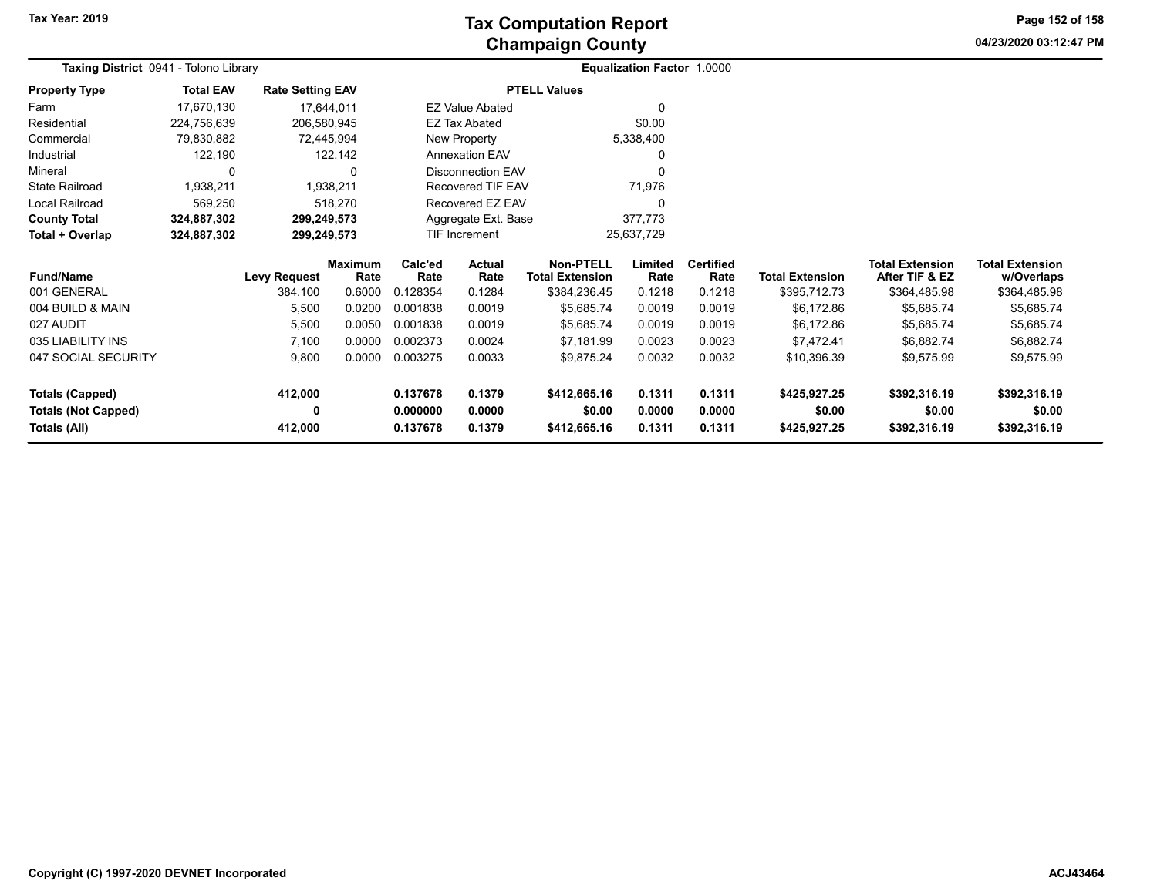**04/23/2020 03:12:47 PM Page 152 of 158**

| Taxing District 0941 - Tolono Library | Equalization Factor 1.0000 |                         |                        |                       |                        |                                            |                 |                          |                        |                                          |                                      |
|---------------------------------------|----------------------------|-------------------------|------------------------|-----------------------|------------------------|--------------------------------------------|-----------------|--------------------------|------------------------|------------------------------------------|--------------------------------------|
| <b>Property Type</b>                  | <b>Total EAV</b>           | <b>Rate Setting EAV</b> |                        |                       |                        | <b>PTELL Values</b>                        |                 |                          |                        |                                          |                                      |
| Farm                                  | 17,670,130                 |                         | 17,644,011             |                       | <b>EZ Value Abated</b> |                                            |                 |                          |                        |                                          |                                      |
| Residential                           | 224,756,639                | 206,580,945             |                        |                       | <b>EZ Tax Abated</b>   |                                            | \$0.00          |                          |                        |                                          |                                      |
| Commercial                            | 79,830,882                 |                         | 72,445,994             |                       | New Property           |                                            | 5,338,400       |                          |                        |                                          |                                      |
| Industrial                            | 122,190                    |                         | 122,142                | <b>Annexation EAV</b> |                        |                                            |                 |                          |                        |                                          |                                      |
| Mineral                               | 0                          |                         | 0                      | Disconnection EAV     |                        |                                            | 0               |                          |                        |                                          |                                      |
| <b>State Railroad</b>                 | 1,938,211                  |                         | 1,938,211              | Recovered TIF EAV     |                        |                                            | 71,976          |                          |                        |                                          |                                      |
| Local Railroad                        | 569,250                    |                         | 518,270                |                       | Recovered EZ EAV       |                                            | 0               |                          |                        |                                          |                                      |
| <b>County Total</b>                   | 324,887,302                | 299,249,573             |                        |                       | Aggregate Ext. Base    |                                            | 377,773         |                          |                        |                                          |                                      |
| Total + Overlap                       | 324,887,302                | 299,249,573             |                        | <b>TIF Increment</b>  |                        |                                            | 25,637,729      |                          |                        |                                          |                                      |
| <b>Fund/Name</b>                      |                            | <b>Levy Request</b>     | <b>Maximum</b><br>Rate | Calc'ed<br>Rate       | Actual<br>Rate         | <b>Non-PTELL</b><br><b>Total Extension</b> | Limited<br>Rate | <b>Certified</b><br>Rate | <b>Total Extension</b> | <b>Total Extension</b><br>After TIF & EZ | <b>Total Extension</b><br>w/Overlaps |
| 001 GENERAL                           |                            | 384,100                 | 0.6000                 | 0.128354              | 0.1284                 | \$384,236.45                               | 0.1218          | 0.1218                   | \$395,712.73           | \$364,485.98                             | \$364,485.98                         |
| 004 BUILD & MAIN                      |                            | 5,500                   | 0.0200                 | 0.001838              | 0.0019                 | \$5,685.74                                 | 0.0019          | 0.0019                   | \$6,172.86             | \$5,685.74                               | \$5,685.74                           |
| 027 AUDIT                             |                            | 5,500                   | 0.0050                 | 0.001838              | 0.0019                 | \$5,685.74                                 | 0.0019          | 0.0019                   | \$6,172.86             | \$5,685.74                               | \$5,685.74                           |
| 035 LIABILITY INS                     |                            | 7,100                   | 0.0000                 | 0.002373              | 0.0024                 | \$7,181.99                                 | 0.0023          | 0.0023                   | \$7,472.41             | \$6,882.74                               | \$6,882.74                           |
| 047 SOCIAL SECURITY                   |                            | 9,800                   | 0.0000                 | 0.003275              | 0.0033                 | \$9,875.24                                 | 0.0032          | 0.0032                   | \$10,396.39            | \$9,575.99                               | \$9,575.99                           |
| <b>Totals (Capped)</b>                |                            | 412,000                 |                        | 0.137678              | 0.1379                 | \$412,665.16                               | 0.1311          | 0.1311                   | \$425,927.25           | \$392,316.19                             | \$392,316.19                         |
| <b>Totals (Not Capped)</b>            |                            | 0                       |                        | 0.000000              | 0.0000                 | \$0.00                                     | 0.0000          | 0.0000                   | \$0.00                 | \$0.00                                   | \$0.00                               |
| Totals (All)                          |                            | 412,000                 |                        | 0.137678              | 0.1379                 | \$412,665.16                               | 0.1311          | 0.1311                   | \$425,927.25           | \$392,316.19                             | \$392,316.19                         |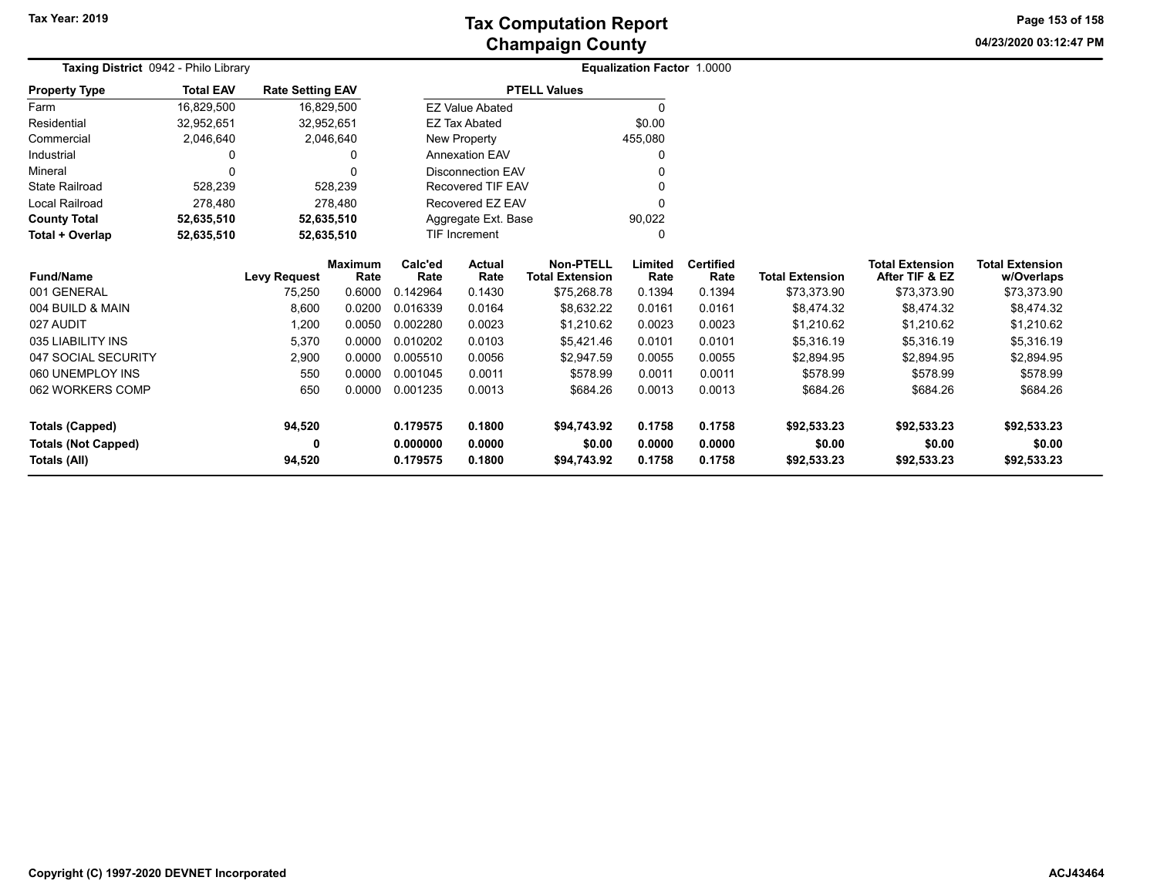**Tax Year: 2019**

# **Champaign County Tax Computation Report**

**04/23/2020 03:12:47 PM Page 153 of 158**

| Taxing District 0942 - Philo Library |                  |                         | <b>Equalization Factor 1.0000</b> |                           |                          |                                            |                 |                          |                        |                                          |                                      |
|--------------------------------------|------------------|-------------------------|-----------------------------------|---------------------------|--------------------------|--------------------------------------------|-----------------|--------------------------|------------------------|------------------------------------------|--------------------------------------|
| <b>Property Type</b>                 | <b>Total EAV</b> | <b>Rate Setting EAV</b> |                                   |                           |                          | <b>PTELL Values</b>                        |                 |                          |                        |                                          |                                      |
| Farm                                 | 16,829,500       |                         | 16,829,500                        |                           | <b>EZ Value Abated</b>   |                                            | $\Omega$        |                          |                        |                                          |                                      |
| Residential                          | 32,952,651       |                         | 32,952,651                        |                           | <b>EZ Tax Abated</b>     |                                            | \$0.00          |                          |                        |                                          |                                      |
| Commercial                           | 2,046,640        |                         | 2,046,640                         |                           | New Property             |                                            | 455,080         |                          |                        |                                          |                                      |
| Industrial                           | 0                |                         | 0                                 |                           | <b>Annexation EAV</b>    |                                            | $\Omega$        |                          |                        |                                          |                                      |
| Mineral                              | $\Omega$         |                         | 0                                 |                           | <b>Disconnection EAV</b> |                                            |                 |                          |                        |                                          |                                      |
| <b>State Railroad</b>                | 528,239          |                         | 528,239                           |                           | Recovered TIF EAV        |                                            |                 |                          |                        |                                          |                                      |
| <b>Local Railroad</b>                | 278,480          |                         | 278,480                           |                           | Recovered EZ EAV         |                                            | $\Omega$        |                          |                        |                                          |                                      |
| <b>County Total</b>                  | 52,635,510       |                         | 52,635,510                        |                           | Aggregate Ext. Base      |                                            | 90,022          |                          |                        |                                          |                                      |
| Total + Overlap                      | 52,635,510       |                         | 52,635,510                        | <b>TIF Increment</b><br>0 |                          |                                            |                 |                          |                        |                                          |                                      |
| <b>Fund/Name</b>                     |                  | <b>Levy Request</b>     | <b>Maximum</b><br>Rate            | Calc'ed<br>Rate           | <b>Actual</b><br>Rate    | <b>Non-PTELL</b><br><b>Total Extension</b> | Limited<br>Rate | <b>Certified</b><br>Rate | <b>Total Extension</b> | <b>Total Extension</b><br>After TIF & EZ | <b>Total Extension</b><br>w/Overlaps |
| 001 GENERAL                          |                  | 75,250                  | 0.6000                            | 0.142964                  | 0.1430                   | \$75,268.78                                | 0.1394          | 0.1394                   | \$73,373.90            | \$73,373.90                              | \$73,373.90                          |
| 004 BUILD & MAIN                     |                  | 8,600                   | 0.0200                            | 0.016339                  | 0.0164                   | \$8,632.22                                 | 0.0161          | 0.0161                   | \$8,474.32             | \$8,474.32                               | \$8,474.32                           |
| 027 AUDIT                            |                  | 1,200                   | 0.0050                            | 0.002280                  | 0.0023                   | \$1,210.62                                 | 0.0023          | 0.0023                   | \$1,210.62             | \$1,210.62                               | \$1,210.62                           |
| 035 LIABILITY INS                    |                  | 5,370                   | 0.0000                            | 0.010202                  | 0.0103                   | \$5,421.46                                 | 0.0101          | 0.0101                   | \$5,316.19             | \$5,316.19                               | \$5,316.19                           |
| 047 SOCIAL SECURITY                  |                  | 2,900                   | 0.0000                            | 0.005510                  | 0.0056                   | \$2,947.59                                 | 0.0055          | 0.0055                   | \$2,894.95             | \$2,894.95                               | \$2,894.95                           |
| 060 UNEMPLOY INS                     |                  | 550                     | 0.0000                            | 0.001045                  | 0.0011                   | \$578.99                                   | 0.0011          | 0.0011                   | \$578.99               | \$578.99                                 | \$578.99                             |
| 062 WORKERS COMP                     |                  | 650                     | 0.0000                            | 0.001235                  | 0.0013                   | \$684.26                                   | 0.0013          | 0.0013                   | \$684.26               | \$684.26                                 | \$684.26                             |
| <b>Totals (Capped)</b>               |                  | 94,520                  |                                   | 0.179575                  | 0.1800                   | \$94,743.92                                | 0.1758          | 0.1758                   | \$92,533.23            | \$92,533.23                              | \$92,533.23                          |
| <b>Totals (Not Capped)</b>           |                  | 0                       |                                   | 0.000000<br>0.0000        |                          | \$0.00                                     | 0.0000          | 0.0000                   | \$0.00                 | \$0.00                                   | \$0.00                               |
| Totals (All)                         |                  | 94,520                  |                                   | 0.179575                  | 0.1800                   | \$94,743.92                                | 0.1758          | 0.1758                   | \$92,533.23            | \$92,533.23                              | \$92,533.23                          |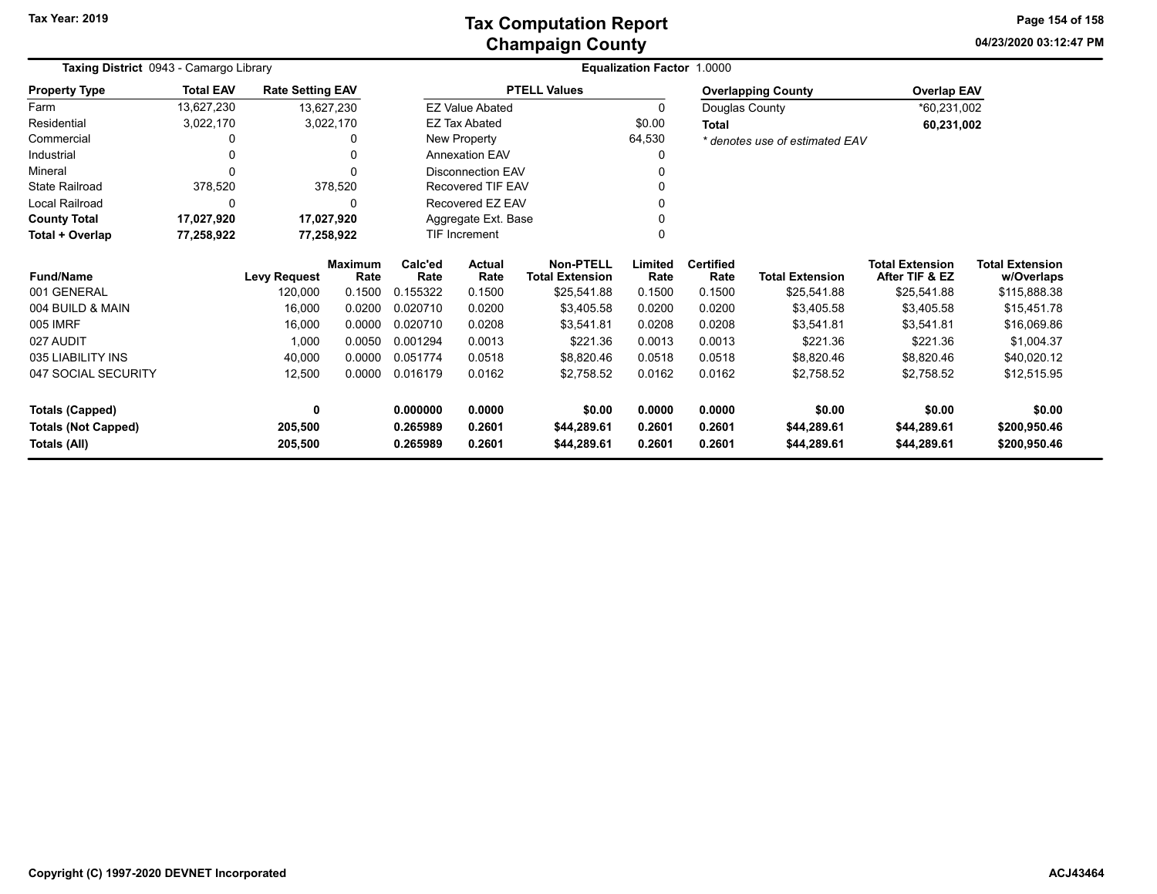**04/23/2020 03:12:47 PM Page 154 of 158**

| Taxing District 0943 - Camargo Library |                  |                         |                        |                                   | Equalization Factor 1.0000 |                                            |                 |                          |                                |                                          |                                      |
|----------------------------------------|------------------|-------------------------|------------------------|-----------------------------------|----------------------------|--------------------------------------------|-----------------|--------------------------|--------------------------------|------------------------------------------|--------------------------------------|
| <b>Property Type</b>                   | <b>Total EAV</b> | <b>Rate Setting EAV</b> |                        |                                   |                            | <b>PTELL Values</b>                        |                 |                          | <b>Overlapping County</b>      | <b>Overlap EAV</b>                       |                                      |
| Farm                                   | 13,627,230       |                         | 13,627,230             |                                   | <b>EZ Value Abated</b>     |                                            | 0               | Douglas County           |                                | *60,231,002                              |                                      |
| Residential                            | 3,022,170        |                         | 3,022,170              |                                   | <b>EZ Tax Abated</b>       |                                            | \$0.00          | <b>Total</b>             |                                | 60,231,002                               |                                      |
| Commercial                             | 0                |                         | 0                      |                                   | New Property               |                                            | 64,530          |                          | * denotes use of estimated EAV |                                          |                                      |
| Industrial                             | 0                |                         | 0                      |                                   | <b>Annexation EAV</b>      |                                            | 0               |                          |                                |                                          |                                      |
| Mineral                                | $\Omega$         |                         | 0                      |                                   | <b>Disconnection EAV</b>   |                                            | 0               |                          |                                |                                          |                                      |
| <b>State Railroad</b>                  | 378,520          |                         | 378,520                |                                   | <b>Recovered TIF EAV</b>   |                                            | 0               |                          |                                |                                          |                                      |
| <b>Local Railroad</b>                  | $\Omega$         |                         | 0                      |                                   | Recovered EZ EAV           |                                            | 0               |                          |                                |                                          |                                      |
| <b>County Total</b>                    | 17,027,920       |                         | 17,027,920             |                                   | Aggregate Ext. Base        |                                            |                 |                          |                                |                                          |                                      |
| Total + Overlap                        | 77,258,922       |                         | 77,258,922             |                                   | <b>TIF Increment</b>       |                                            | 0               |                          |                                |                                          |                                      |
| <b>Fund/Name</b>                       |                  | <b>Levy Request</b>     | <b>Maximum</b><br>Rate | Calc'ed<br>Rate                   | <b>Actual</b><br>Rate      | <b>Non-PTELL</b><br><b>Total Extension</b> | Limited<br>Rate | <b>Certified</b><br>Rate | <b>Total Extension</b>         | <b>Total Extension</b><br>After TIF & EZ | <b>Total Extension</b><br>w/Overlaps |
| 001 GENERAL                            |                  | 120,000                 | 0.1500                 | 0.155322                          | 0.1500                     | \$25,541.88                                | 0.1500          | 0.1500                   | \$25,541.88                    | \$25,541.88                              | \$115,888.38                         |
| 004 BUILD & MAIN                       |                  | 16,000                  | 0.0200                 | 0.020710                          | 0.0200                     | \$3,405.58                                 | 0.0200          | 0.0200                   | \$3,405.58                     | \$3,405.58                               | \$15,451.78                          |
| 005 IMRF                               |                  | 16,000                  | 0.0000                 | 0.020710                          | 0.0208                     | \$3,541.81                                 | 0.0208          | 0.0208                   | \$3,541.81                     | \$3,541.81                               | \$16,069.86                          |
| 027 AUDIT                              |                  | 1,000                   | 0.0050                 | 0.001294                          | 0.0013                     | \$221.36                                   | 0.0013          | 0.0013                   | \$221.36                       | \$221.36                                 | \$1,004.37                           |
| 035 LIABILITY INS                      |                  | 40,000                  | 0.0000                 | 0.051774                          | 0.0518                     | \$8,820.46                                 | 0.0518          | 0.0518                   | \$8,820.46                     | \$8,820.46                               | \$40,020.12                          |
| 047 SOCIAL SECURITY                    |                  | 12,500                  | 0.0000                 | 0.016179                          | 0.0162                     | \$2,758.52                                 | 0.0162          | 0.0162                   | \$2,758.52                     | \$2,758.52                               | \$12,515.95                          |
| <b>Totals (Capped)</b>                 |                  | 0                       |                        | 0.000000                          | 0.0000                     | \$0.00                                     | 0.0000          | 0.0000                   | \$0.00                         | \$0.00                                   | \$0.00                               |
| <b>Totals (Not Capped)</b>             |                  | 205,500                 |                        | 0.2601<br>0.265989                |                            | \$44,289.61                                | 0.2601          | 0.2601                   | \$44,289.61                    | \$44,289.61                              | \$200,950.46                         |
| Totals (All)                           |                  | 205,500                 |                        | 0.265989<br>0.2601<br>\$44,289.61 |                            |                                            | 0.2601          | 0.2601                   | \$44,289.61                    | \$44,289.61                              | \$200,950.46                         |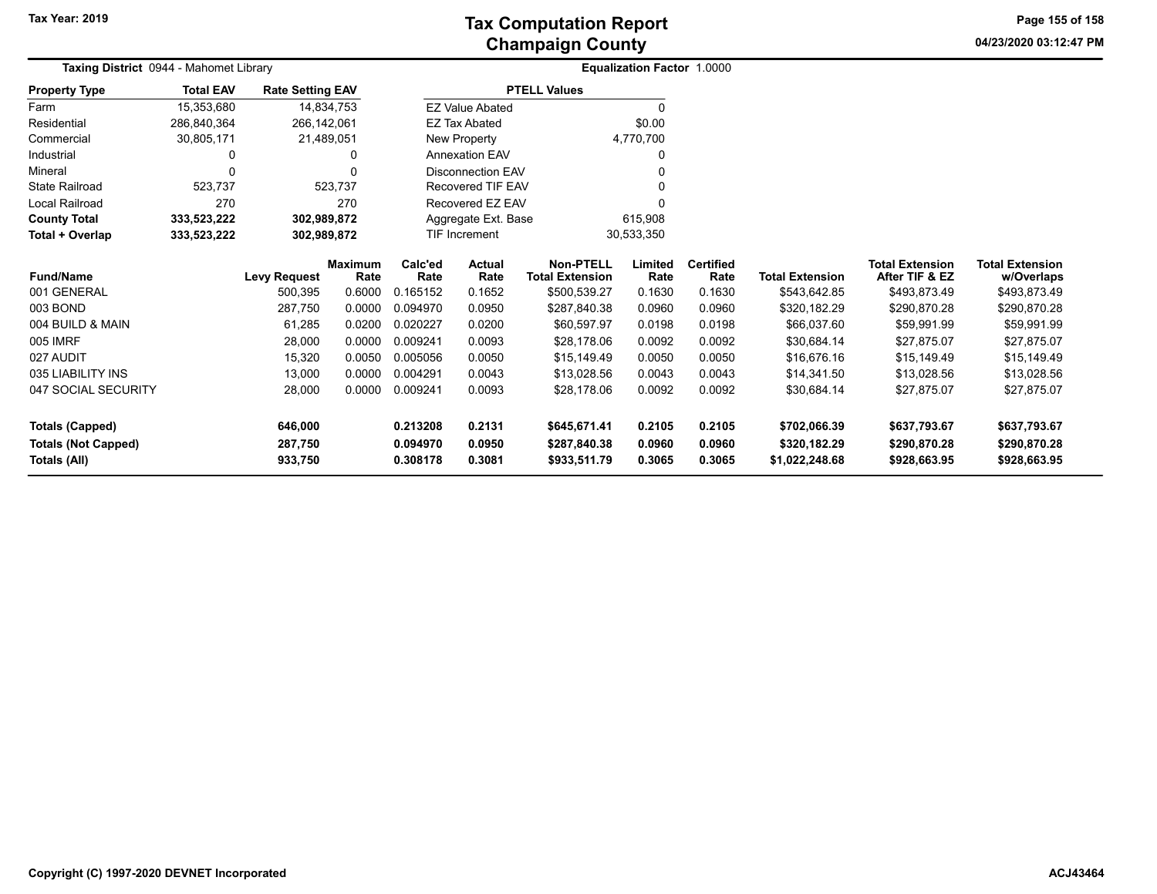**04/23/2020 03:12:47 PM Page 155 of 158**

| Taxing District 0944 - Mahomet Library               |                  |                         |                        |                                          | Equalization Factor 1.0000 |                                            |                  |                          |                              |                                          |                                      |
|------------------------------------------------------|------------------|-------------------------|------------------------|------------------------------------------|----------------------------|--------------------------------------------|------------------|--------------------------|------------------------------|------------------------------------------|--------------------------------------|
| <b>Property Type</b>                                 | <b>Total EAV</b> | <b>Rate Setting EAV</b> |                        |                                          |                            | <b>PTELL Values</b>                        |                  |                          |                              |                                          |                                      |
| Farm                                                 | 15,353,680       |                         | 14,834,753             |                                          | <b>EZ Value Abated</b>     |                                            |                  |                          |                              |                                          |                                      |
| Residential                                          | 286,840,364      | 266,142,061             |                        |                                          | <b>EZ Tax Abated</b>       |                                            | \$0.00           |                          |                              |                                          |                                      |
| Commercial                                           | 30,805,171       |                         | 21,489,051             |                                          | <b>New Property</b>        |                                            | 4,770,700        |                          |                              |                                          |                                      |
| Industrial                                           |                  |                         | 0                      |                                          | <b>Annexation EAV</b>      |                                            |                  |                          |                              |                                          |                                      |
| Mineral                                              | $\Omega$         |                         | $\Omega$               |                                          | <b>Disconnection EAV</b>   |                                            |                  |                          |                              |                                          |                                      |
| <b>State Railroad</b>                                | 523,737          |                         | 523,737                |                                          | <b>Recovered TIF EAV</b>   |                                            |                  |                          |                              |                                          |                                      |
| <b>Local Railroad</b>                                | 270              |                         | 270                    | Recovered EZ EAV                         |                            |                                            |                  |                          |                              |                                          |                                      |
| <b>County Total</b>                                  | 333,523,222      | 302,989,872             |                        | Aggregate Ext. Base                      |                            |                                            | 615,908          |                          |                              |                                          |                                      |
| Total + Overlap                                      | 333,523,222      | 302,989,872             |                        | TIF Increment                            |                            | 30,533,350                                 |                  |                          |                              |                                          |                                      |
| <b>Fund/Name</b>                                     |                  | <b>Levy Request</b>     | <b>Maximum</b><br>Rate | Calc'ed<br>Rate                          | Actual<br>Rate             | <b>Non-PTELL</b><br><b>Total Extension</b> | Limited<br>Rate  | <b>Certified</b><br>Rate | <b>Total Extension</b>       | <b>Total Extension</b><br>After TIF & EZ | <b>Total Extension</b><br>w/Overlaps |
| 001 GENERAL                                          |                  | 500,395                 | 0.6000                 | 0.165152                                 | 0.1652                     | \$500,539.27                               | 0.1630           | 0.1630                   | \$543,642.85                 | \$493,873.49                             | \$493,873.49                         |
| 003 BOND                                             |                  | 287,750                 | 0.0000                 | 0.094970                                 | 0.0950                     | \$287,840.38                               | 0.0960           | 0.0960                   | \$320,182.29                 | \$290,870.28                             | \$290,870.28                         |
| 004 BUILD & MAIN                                     |                  | 61,285                  | 0.0200                 | 0.020227                                 | 0.0200                     | \$60,597.97                                | 0.0198           | 0.0198                   | \$66,037.60                  | \$59,991.99                              | \$59,991.99                          |
| 005 IMRF                                             |                  | 28,000                  | 0.0000                 | 0.009241                                 | 0.0093                     | \$28,178.06                                | 0.0092           | 0.0092                   | \$30,684.14                  | \$27,875.07                              | \$27,875.07                          |
| 027 AUDIT                                            |                  | 15,320                  | 0.0050                 | 0.005056                                 | 0.0050                     | \$15,149.49                                | 0.0050           | 0.0050                   | \$16,676.16                  | \$15,149.49                              | \$15,149.49                          |
| 035 LIABILITY INS                                    |                  | 13,000                  | 0.0000                 | 0.004291                                 | 0.0043                     | \$13,028.56                                | 0.0043           | 0.0043                   | \$14,341.50                  | \$13,028.56                              | \$13,028.56                          |
| 047 SOCIAL SECURITY                                  |                  | 28,000                  | 0.0000                 | 0.009241                                 | 0.0093                     | \$28,178.06                                | 0.0092           | 0.0092                   | \$30,684.14                  | \$27,875.07                              | \$27,875.07                          |
| <b>Totals (Capped)</b><br><b>Totals (Not Capped)</b> |                  | 646,000<br>287,750      |                        | 0.213208<br>0.2131<br>0.094970<br>0.0950 |                            | \$645,671.41<br>\$287,840.38               | 0.2105<br>0.0960 | 0.2105<br>0.0960         | \$702,066.39<br>\$320,182.29 | \$637,793.67<br>\$290,870.28             | \$637,793.67<br>\$290,870.28         |
| Totals (All)                                         |                  | 933,750                 |                        | 0.308178                                 | 0.3081                     | \$933,511.79                               | 0.3065           | 0.3065                   | \$1,022,248.68               | \$928,663.95                             | \$928,663.95                         |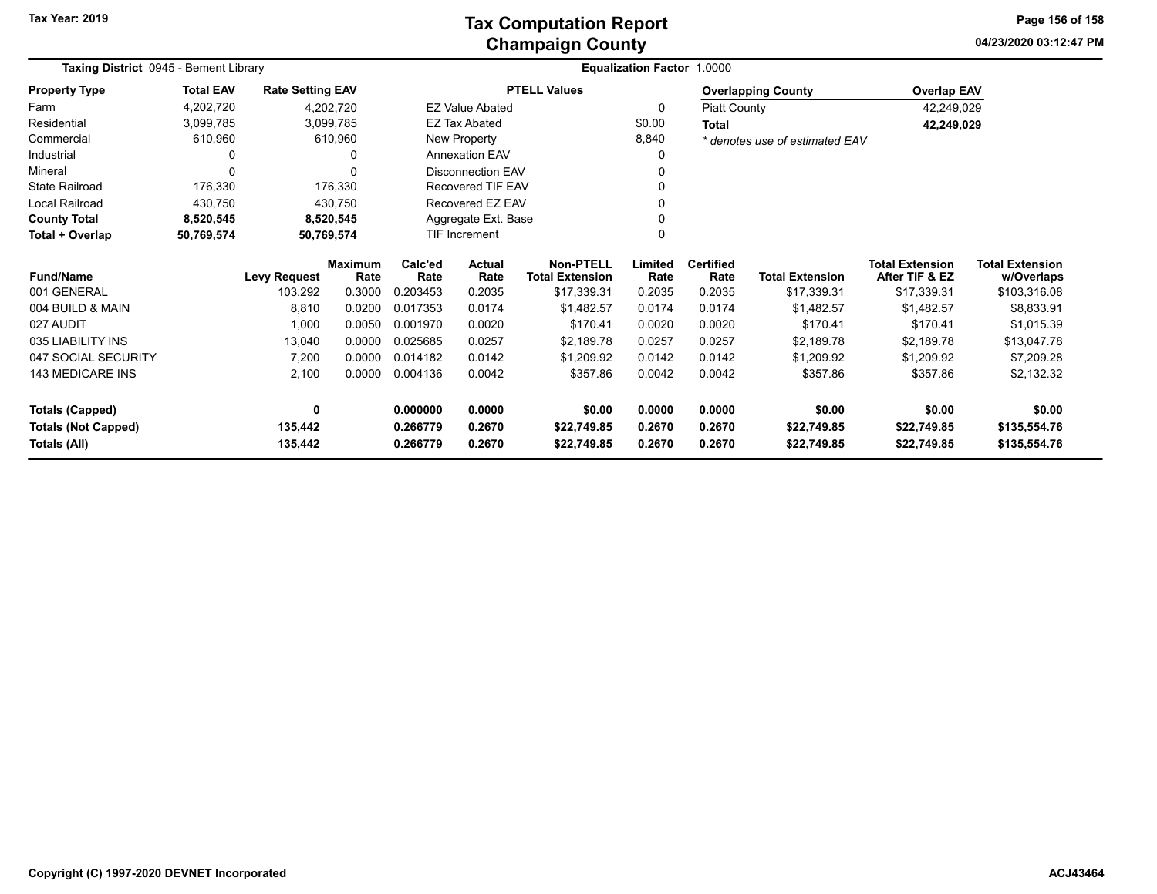**04/23/2020 03:12:47 PM Page 156 of 158**

| Taxing District 0945 - Bement Library |                  |                         |                 | Equalization Factor 1.0000 |                                             |                                            |                 |                          |                                |                                          |                                      |
|---------------------------------------|------------------|-------------------------|-----------------|----------------------------|---------------------------------------------|--------------------------------------------|-----------------|--------------------------|--------------------------------|------------------------------------------|--------------------------------------|
| <b>Property Type</b>                  | <b>Total EAV</b> | <b>Rate Setting EAV</b> |                 |                            |                                             | <b>PTELL Values</b>                        |                 |                          | <b>Overlapping County</b>      | <b>Overlap EAV</b>                       |                                      |
| Farm                                  | 4,202,720        |                         | 4,202,720       |                            | <b>EZ Value Abated</b>                      |                                            | 0               | <b>Piatt County</b>      |                                | 42,249,029                               |                                      |
| Residential                           | 3,099,785        |                         | 3,099,785       |                            | <b>EZ Tax Abated</b>                        |                                            | \$0.00          | <b>Total</b>             |                                | 42,249,029                               |                                      |
| Commercial                            | 610,960          |                         | 610,960         |                            | New Property                                |                                            | 8,840           |                          | * denotes use of estimated EAV |                                          |                                      |
| Industrial                            | 0                |                         |                 |                            | <b>Annexation EAV</b>                       |                                            | 0               |                          |                                |                                          |                                      |
| Mineral                               | $\Omega$         |                         |                 |                            | <b>Disconnection EAV</b>                    |                                            |                 |                          |                                |                                          |                                      |
| <b>State Railroad</b>                 | 176,330          |                         | 176,330         |                            | Recovered TIF EAV                           |                                            |                 |                          |                                |                                          |                                      |
| Local Railroad                        | 430,750          |                         | 430,750         |                            | Recovered EZ EAV                            |                                            |                 |                          |                                |                                          |                                      |
| <b>County Total</b>                   | 8,520,545        |                         | 8,520,545       |                            | Aggregate Ext. Base<br><b>TIF Increment</b> |                                            |                 |                          |                                |                                          |                                      |
| Total + Overlap                       | 50,769,574       |                         | 50,769,574      |                            |                                             |                                            |                 |                          |                                |                                          |                                      |
| <b>Fund/Name</b>                      |                  | <b>Levy Request</b>     | Maximum<br>Rate | Calc'ed<br>Rate            | Actual<br>Rate                              | <b>Non-PTELL</b><br><b>Total Extension</b> | Limited<br>Rate | <b>Certified</b><br>Rate | <b>Total Extension</b>         | <b>Total Extension</b><br>After TIF & EZ | <b>Total Extension</b><br>w/Overlaps |
| 001 GENERAL                           |                  | 103,292                 | 0.3000          | 0.203453                   | 0.2035                                      | \$17,339.31                                | 0.2035          | 0.2035                   | \$17,339.31                    | \$17,339.31                              | \$103,316.08                         |
| 004 BUILD & MAIN                      |                  | 8,810                   | 0.0200          | 0.017353                   | 0.0174                                      | \$1,482.57                                 | 0.0174          | 0.0174                   | \$1,482.57                     | \$1,482.57                               | \$8,833.91                           |
| 027 AUDIT                             |                  | 1,000                   | 0.0050          | 0.001970                   | 0.0020                                      | \$170.41                                   | 0.0020          | 0.0020                   | \$170.41                       | \$170.41                                 | \$1,015.39                           |
| 035 LIABILITY INS                     |                  | 13,040                  | 0.0000          | 0.025685                   | 0.0257                                      | \$2,189.78                                 | 0.0257          | 0.0257                   | \$2,189.78                     | \$2,189.78                               | \$13,047.78                          |
| 047 SOCIAL SECURITY                   |                  | 7,200                   | 0.0000          | 0.014182                   | 0.0142                                      | \$1,209.92                                 | 0.0142          | 0.0142                   | \$1,209.92                     | \$1,209.92                               | \$7,209.28                           |
| 143 MEDICARE INS                      |                  | 2,100                   | 0.0000          | 0.004136                   | 0.0042                                      | \$357.86                                   | 0.0042          | 0.0042                   | \$357.86                       | \$357.86                                 | \$2,132.32                           |
| <b>Totals (Capped)</b>                |                  | 0                       |                 | 0.000000                   | 0.0000                                      | \$0.00                                     | 0.0000          | 0.0000                   | \$0.00                         | \$0.00                                   | \$0.00                               |
| <b>Totals (Not Capped)</b>            |                  | 135,442                 |                 | 0.266779<br>0.2670         |                                             | \$22,749.85                                | 0.2670          | 0.2670                   | \$22,749.85                    | \$22,749.85                              | \$135,554.76                         |
| Totals (All)                          |                  | 135,442                 |                 | 0.266779                   | 0.2670                                      | \$22,749.85                                | 0.2670          | 0.2670                   | \$22,749.85                    | \$22,749.85                              | \$135,554.76                         |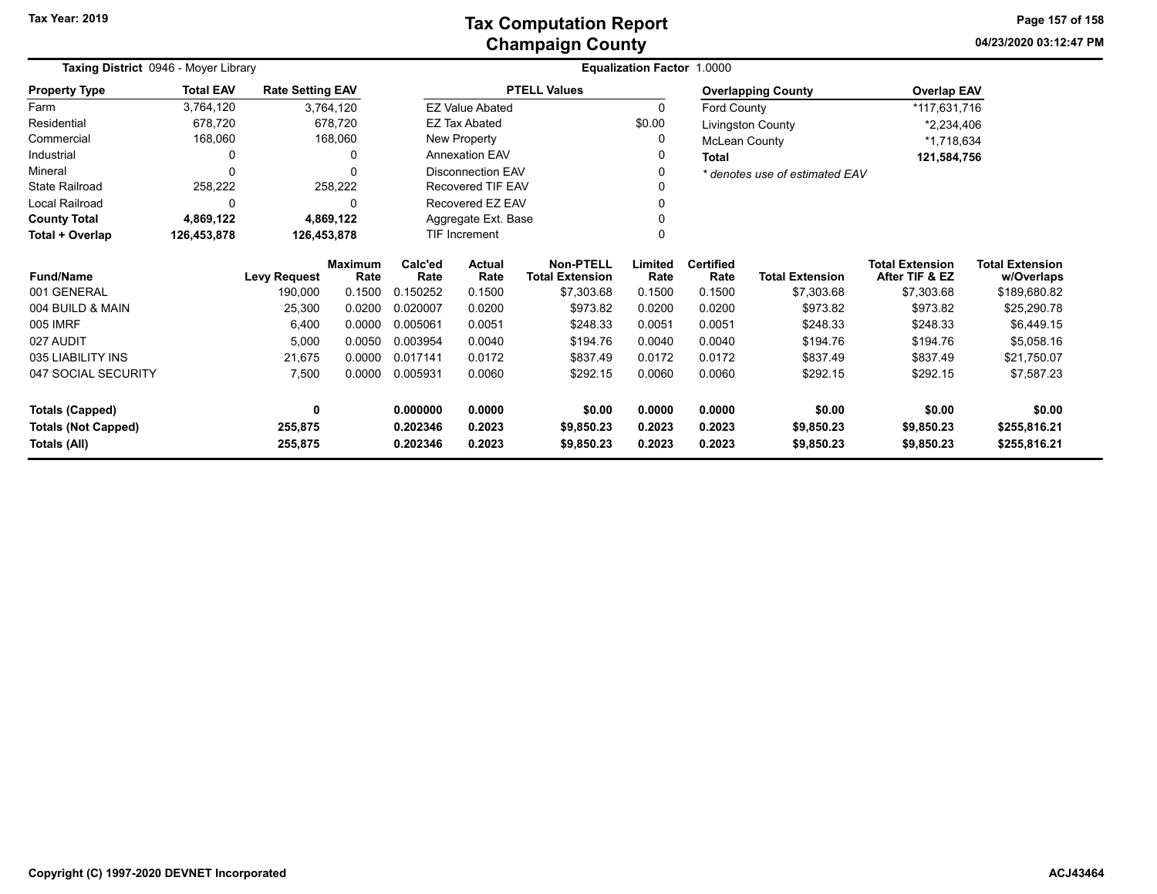**04/23/2020 03:12:47 PM Page 157 of 158**

| Taxing District 0946 - Moyer Library |                  |                         |                        |                 | Equalization Factor 1.0000 |                                            |                                    |                                |                           |                                          |                                      |  |  |
|--------------------------------------|------------------|-------------------------|------------------------|-----------------|----------------------------|--------------------------------------------|------------------------------------|--------------------------------|---------------------------|------------------------------------------|--------------------------------------|--|--|
| <b>Property Type</b>                 | <b>Total EAV</b> | <b>Rate Setting EAV</b> |                        |                 |                            | <b>PTELL Values</b>                        |                                    |                                | <b>Overlapping County</b> | <b>Overlap EAV</b>                       |                                      |  |  |
| Farm                                 | 3,764,120        |                         | 3,764,120              |                 | <b>EZ Value Abated</b>     |                                            |                                    | 0<br>Ford County               |                           | *117,631,716                             |                                      |  |  |
| Residential                          | 678,720          | 678,720                 |                        |                 | <b>EZ Tax Abated</b>       |                                            | \$0.00<br><b>Livingston County</b> |                                |                           | *2,234,406                               |                                      |  |  |
| Commercial                           | 168,060          |                         | 168,060                |                 | New Property               |                                            | 0                                  | McLean County                  |                           | *1,718,634                               |                                      |  |  |
| Industrial                           | 0                |                         | 0                      |                 | <b>Annexation EAV</b>      |                                            |                                    | <b>Total</b>                   |                           | 121,584,756                              |                                      |  |  |
| Mineral                              | $\Omega$         |                         | 0                      |                 | <b>Disconnection EAV</b>   |                                            |                                    | * denotes use of estimated EAV |                           |                                          |                                      |  |  |
| <b>State Railroad</b>                | 258,222          |                         | 258,222                |                 | Recovered TIF EAV          |                                            |                                    |                                |                           |                                          |                                      |  |  |
| Local Railroad                       | 0                |                         | 0                      |                 | Recovered EZ EAV           |                                            |                                    |                                |                           |                                          |                                      |  |  |
| <b>County Total</b>                  | 4,869,122        |                         | 4,869,122              |                 | Aggregate Ext. Base        |                                            |                                    |                                |                           |                                          |                                      |  |  |
| Total + Overlap                      | 126,453,878      | 126,453,878             |                        | TIF Increment   |                            |                                            |                                    |                                |                           |                                          |                                      |  |  |
| <b>Fund/Name</b>                     |                  | <b>Levy Request</b>     | <b>Maximum</b><br>Rate | Calc'ed<br>Rate | <b>Actual</b><br>Rate      | <b>Non-PTELL</b><br><b>Total Extension</b> | Limited<br>Rate                    | <b>Certified</b><br>Rate       | <b>Total Extension</b>    | <b>Total Extension</b><br>After TIF & EZ | <b>Total Extension</b><br>w/Overlaps |  |  |
| 001 GENERAL                          |                  | 190,000                 | 0.1500                 | 0.150252        | 0.1500                     | \$7,303.68                                 | 0.1500                             | 0.1500                         | \$7,303.68                | \$7,303.68                               | \$189,680.82                         |  |  |
| 004 BUILD & MAIN                     |                  | 25,300                  | 0.0200                 | 0.020007        | 0.0200                     | \$973.82                                   | 0.0200                             | 0.0200                         | \$973.82                  | \$973.82                                 | \$25,290.78                          |  |  |
| 005 IMRF                             |                  | 6,400                   | 0.0000                 | 0.005061        | 0.0051                     | \$248.33                                   | 0.0051                             | 0.0051                         | \$248.33                  | \$248.33                                 | \$6,449.15                           |  |  |
| 027 AUDIT                            |                  | 5,000                   | 0.0050                 | 0.003954        | 0.0040                     | \$194.76                                   | 0.0040                             | 0.0040                         | \$194.76                  | \$194.76                                 | \$5,058.16                           |  |  |
| 035 LIABILITY INS                    |                  | 21,675                  | 0.0000                 | 0.017141        | 0.0172                     | \$837.49                                   | 0.0172                             | 0.0172                         | \$837.49                  | \$837.49                                 | \$21,750.07                          |  |  |
| 047 SOCIAL SECURITY                  |                  | 7,500                   | 0.0000                 | 0.005931        | 0.0060                     | \$292.15                                   | 0.0060                             | 0.0060                         | \$292.15                  | \$292.15                                 | \$7,587.23                           |  |  |
| <b>Totals (Capped)</b>               |                  | 0                       |                        | 0.000000        | 0.0000                     | \$0.00                                     | 0.0000                             | 0.0000                         | \$0.00                    | \$0.00                                   | \$0.00                               |  |  |
| <b>Totals (Not Capped)</b>           |                  | 255,875                 |                        | 0.202346        | 0.2023                     | \$9,850.23                                 | 0.2023                             | 0.2023                         | \$9,850.23                | \$9,850.23                               | \$255,816.21                         |  |  |
| Totals (All)                         |                  | 255,875                 |                        | 0.202346        | 0.2023                     | \$9,850.23                                 | 0.2023                             | 0.2023                         | \$9,850.23                | \$9,850.23                               | \$255,816.21                         |  |  |